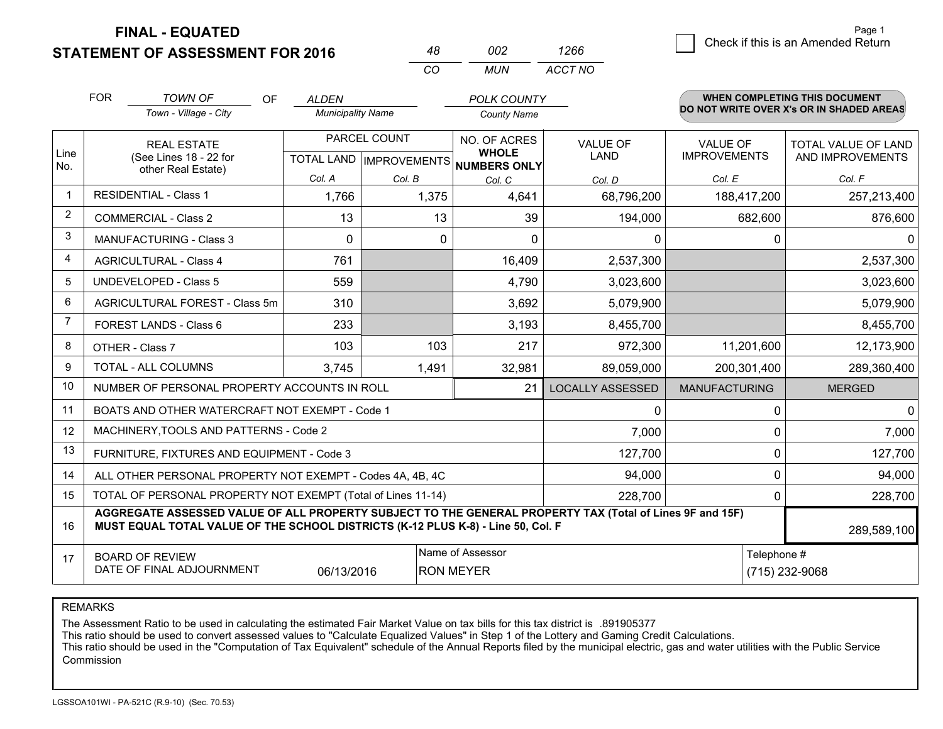**FINAL - EQUATED**

**STATEMENT OF ASSESSMENT FOR 2016** 

|                | <b>FOR</b>                                                                                                                                                                                   | <b>TOWN OF</b><br><b>OF</b>                                  | <b>ALDEN</b>             |              | <b>POLK COUNTY</b>                                   |                         |                                          | <b>WHEN COMPLETING THIS DOCUMENT</b> |  |
|----------------|----------------------------------------------------------------------------------------------------------------------------------------------------------------------------------------------|--------------------------------------------------------------|--------------------------|--------------|------------------------------------------------------|-------------------------|------------------------------------------|--------------------------------------|--|
|                |                                                                                                                                                                                              | Town - Village - City                                        | <b>Municipality Name</b> |              | <b>County Name</b>                                   |                         | DO NOT WRITE OVER X's OR IN SHADED AREAS |                                      |  |
|                |                                                                                                                                                                                              | <b>REAL ESTATE</b>                                           |                          | PARCEL COUNT | NO. OF ACRES                                         | VALUE OF                | <b>VALUE OF</b>                          | TOTAL VALUE OF LAND                  |  |
| Line<br>No.    |                                                                                                                                                                                              | (See Lines 18 - 22 for<br>other Real Estate)                 |                          |              | <b>WHOLE</b><br>TOTAL LAND IMPROVEMENTS NUMBERS ONLY | LAND                    | <b>IMPROVEMENTS</b>                      | AND IMPROVEMENTS                     |  |
|                |                                                                                                                                                                                              |                                                              | Col. A                   | Col. B       | Col. C                                               | Col. D                  | Col. E                                   | Col. F                               |  |
| $\mathbf 1$    |                                                                                                                                                                                              | <b>RESIDENTIAL - Class 1</b>                                 | 1,766                    | 1,375        | 4,641                                                | 68,796,200              | 188,417,200                              | 257,213,400                          |  |
| $\overline{2}$ | <b>COMMERCIAL - Class 2</b>                                                                                                                                                                  |                                                              | 13                       | 13           | 39                                                   | 194,000                 | 682,600                                  | 876,600                              |  |
| 3              |                                                                                                                                                                                              | <b>MANUFACTURING - Class 3</b>                               | $\Omega$                 | 0            | $\Omega$                                             | $\Omega$                |                                          | 0<br>$\mathbf{0}$                    |  |
| 4              |                                                                                                                                                                                              | <b>AGRICULTURAL - Class 4</b>                                | 761                      |              | 16,409                                               | 2,537,300               |                                          | 2,537,300                            |  |
| 5              |                                                                                                                                                                                              | <b>UNDEVELOPED - Class 5</b>                                 | 559                      |              | 4,790                                                | 3,023,600               |                                          | 3,023,600                            |  |
| 6              |                                                                                                                                                                                              | AGRICULTURAL FOREST - Class 5m                               | 310                      |              | 3,692                                                | 5,079,900               |                                          | 5,079,900                            |  |
| $\overline{7}$ |                                                                                                                                                                                              | FOREST LANDS - Class 6                                       | 233                      |              | 3,193                                                | 8,455,700               |                                          | 8,455,700                            |  |
| 8              |                                                                                                                                                                                              | OTHER - Class 7                                              | 103                      | 103          | 217                                                  | 972,300                 | 11,201,600                               | 12,173,900                           |  |
| 9              |                                                                                                                                                                                              | TOTAL - ALL COLUMNS                                          | 3,745                    | 1,491        | 32,981                                               | 89,059,000              | 200,301,400                              | 289,360,400                          |  |
| 10             |                                                                                                                                                                                              | NUMBER OF PERSONAL PROPERTY ACCOUNTS IN ROLL                 |                          |              | 21                                                   | <b>LOCALLY ASSESSED</b> | <b>MANUFACTURING</b>                     | <b>MERGED</b>                        |  |
| 11             |                                                                                                                                                                                              | BOATS AND OTHER WATERCRAFT NOT EXEMPT - Code 1               |                          |              |                                                      | $\mathbf 0$             |                                          | $\Omega$<br>$\mathbf{0}$             |  |
| 12             |                                                                                                                                                                                              | MACHINERY, TOOLS AND PATTERNS - Code 2                       |                          |              |                                                      | 7,000                   |                                          | 7,000<br>0                           |  |
| 13             |                                                                                                                                                                                              | FURNITURE, FIXTURES AND EQUIPMENT - Code 3                   |                          |              |                                                      | 127,700                 |                                          | 0<br>127,700                         |  |
| 14             |                                                                                                                                                                                              | ALL OTHER PERSONAL PROPERTY NOT EXEMPT - Codes 4A, 4B, 4C    |                          |              |                                                      | 94,000                  |                                          | 0<br>94,000                          |  |
| 15             |                                                                                                                                                                                              | TOTAL OF PERSONAL PROPERTY NOT EXEMPT (Total of Lines 11-14) |                          |              |                                                      | 228,700                 |                                          | 0<br>228,700                         |  |
| 16             | AGGREGATE ASSESSED VALUE OF ALL PROPERTY SUBJECT TO THE GENERAL PROPERTY TAX (Total of Lines 9F and 15F)<br>MUST EQUAL TOTAL VALUE OF THE SCHOOL DISTRICTS (K-12 PLUS K-8) - Line 50, Col. F |                                                              |                          |              |                                                      |                         |                                          | 289,589,100                          |  |
| 17             | Name of Assessor<br><b>BOARD OF REVIEW</b>                                                                                                                                                   |                                                              |                          |              |                                                      |                         | Telephone #                              |                                      |  |
|                | DATE OF FINAL ADJOURNMENT<br>06/13/2016<br><b>RON MEYER</b>                                                                                                                                  |                                                              |                          |              |                                                      |                         | (715) 232-9068                           |                                      |  |

*CO*

*MUN*

*ACCT NO1266*

*<sup>48</sup> <sup>002</sup>*

REMARKS

The Assessment Ratio to be used in calculating the estimated Fair Market Value on tax bills for this tax district is .891905377<br>This ratio should be used to convert assessed values to "Calculate Equalized Values" in Step 1 Commission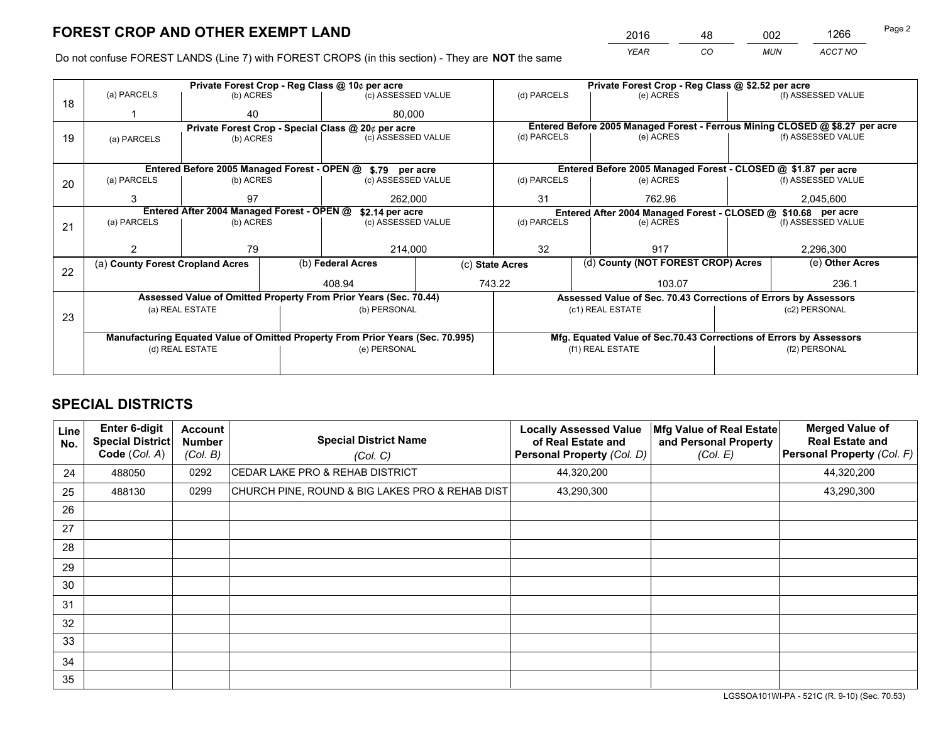*YEAR CO MUN ACCT NO* <sup>2016</sup> <sup>48</sup> <sup>002</sup> <sup>1266</sup>

Do not confuse FOREST LANDS (Line 7) with FOREST CROPS (in this section) - They are **NOT** the same

|    |                                                                                |                                                    |  | Private Forest Crop - Reg Class @ 10¢ per acre                   |             |                                                       | Private Forest Crop - Reg Class @ \$2.52 per acre                            |  |                    |  |
|----|--------------------------------------------------------------------------------|----------------------------------------------------|--|------------------------------------------------------------------|-------------|-------------------------------------------------------|------------------------------------------------------------------------------|--|--------------------|--|
| 18 | (a) PARCELS                                                                    | (b) ACRES                                          |  | (c) ASSESSED VALUE                                               |             | (d) PARCELS                                           | (e) ACRES                                                                    |  | (f) ASSESSED VALUE |  |
|    |                                                                                | 40                                                 |  | 80.000                                                           |             |                                                       |                                                                              |  |                    |  |
|    |                                                                                | Private Forest Crop - Special Class @ 20¢ per acre |  |                                                                  |             |                                                       | Entered Before 2005 Managed Forest - Ferrous Mining CLOSED @ \$8.27 per acre |  |                    |  |
| 19 | (a) PARCELS                                                                    | (b) ACRES                                          |  | (c) ASSESSED VALUE                                               |             | (d) PARCELS                                           | (e) ACRES                                                                    |  | (f) ASSESSED VALUE |  |
|    |                                                                                |                                                    |  |                                                                  |             |                                                       |                                                                              |  |                    |  |
|    |                                                                                |                                                    |  | Entered Before 2005 Managed Forest - OPEN @ \$.79 per acre       |             |                                                       | Entered Before 2005 Managed Forest - CLOSED @ \$1.87 per acre                |  |                    |  |
| 20 | (a) PARCELS                                                                    | (b) ACRES                                          |  | (c) ASSESSED VALUE                                               |             | (d) PARCELS                                           | (e) ACRES                                                                    |  | (f) ASSESSED VALUE |  |
|    | 3                                                                              | 97                                                 |  | 262,000                                                          |             | 31<br>762.96                                          |                                                                              |  | 2,045,600          |  |
|    | Entered After 2004 Managed Forest - OPEN @<br>\$2.14 per acre                  |                                                    |  |                                                                  |             |                                                       | Entered After 2004 Managed Forest - CLOSED @ \$10.68 per acre                |  |                    |  |
| 21 | (a) PARCELS                                                                    | (b) ACRES                                          |  | (c) ASSESSED VALUE                                               | (d) PARCELS |                                                       | (e) ACRES                                                                    |  | (f) ASSESSED VALUE |  |
|    |                                                                                |                                                    |  |                                                                  |             |                                                       |                                                                              |  |                    |  |
|    |                                                                                | 79                                                 |  | 214,000                                                          |             | 32                                                    | 917                                                                          |  |                    |  |
| 22 | (a) County Forest Cropland Acres                                               |                                                    |  | (b) Federal Acres                                                |             | (d) County (NOT FOREST CROP) Acres<br>(c) State Acres |                                                                              |  | (e) Other Acres    |  |
|    |                                                                                |                                                    |  | 408.94                                                           | 743.22      |                                                       | 103.07                                                                       |  | 236.1              |  |
|    |                                                                                |                                                    |  | Assessed Value of Omitted Property From Prior Years (Sec. 70.44) |             |                                                       | Assessed Value of Sec. 70.43 Corrections of Errors by Assessors              |  |                    |  |
| 23 |                                                                                | (a) REAL ESTATE                                    |  | (b) PERSONAL                                                     |             |                                                       | (c1) REAL ESTATE                                                             |  | (c2) PERSONAL      |  |
|    |                                                                                |                                                    |  |                                                                  |             |                                                       |                                                                              |  |                    |  |
|    | Manufacturing Equated Value of Omitted Property From Prior Years (Sec. 70.995) |                                                    |  |                                                                  |             |                                                       | Mfg. Equated Value of Sec.70.43 Corrections of Errors by Assessors           |  |                    |  |
|    |                                                                                | (d) REAL ESTATE                                    |  | (e) PERSONAL                                                     |             |                                                       | (f1) REAL ESTATE                                                             |  | (f2) PERSONAL      |  |
|    |                                                                                |                                                    |  |                                                                  |             |                                                       |                                                                              |  |                    |  |

# **SPECIAL DISTRICTS**

| Line<br>No. | <b>Enter 6-digit</b><br><b>Special District</b><br>Code (Col. A) | <b>Account</b><br><b>Number</b><br>(Col. B) | <b>Special District Name</b><br>(Col. C)        | <b>Locally Assessed Value</b><br>of Real Estate and<br>Personal Property (Col. D) | Mfg Value of Real Estate<br>and Personal Property<br>(Col. E) | <b>Merged Value of</b><br><b>Real Estate and</b><br>Personal Property (Col. F) |
|-------------|------------------------------------------------------------------|---------------------------------------------|-------------------------------------------------|-----------------------------------------------------------------------------------|---------------------------------------------------------------|--------------------------------------------------------------------------------|
| 24          | 488050                                                           | 0292                                        | CEDAR LAKE PRO & REHAB DISTRICT                 | 44,320,200                                                                        |                                                               | 44,320,200                                                                     |
| 25          | 488130                                                           | 0299                                        | CHURCH PINE, ROUND & BIG LAKES PRO & REHAB DIST | 43,290,300                                                                        |                                                               | 43,290,300                                                                     |
| 26          |                                                                  |                                             |                                                 |                                                                                   |                                                               |                                                                                |
| 27          |                                                                  |                                             |                                                 |                                                                                   |                                                               |                                                                                |
| 28          |                                                                  |                                             |                                                 |                                                                                   |                                                               |                                                                                |
| 29          |                                                                  |                                             |                                                 |                                                                                   |                                                               |                                                                                |
| 30          |                                                                  |                                             |                                                 |                                                                                   |                                                               |                                                                                |
| 31          |                                                                  |                                             |                                                 |                                                                                   |                                                               |                                                                                |
| 32          |                                                                  |                                             |                                                 |                                                                                   |                                                               |                                                                                |
| 33          |                                                                  |                                             |                                                 |                                                                                   |                                                               |                                                                                |
| 34          |                                                                  |                                             |                                                 |                                                                                   |                                                               |                                                                                |
| 35          |                                                                  |                                             |                                                 |                                                                                   |                                                               |                                                                                |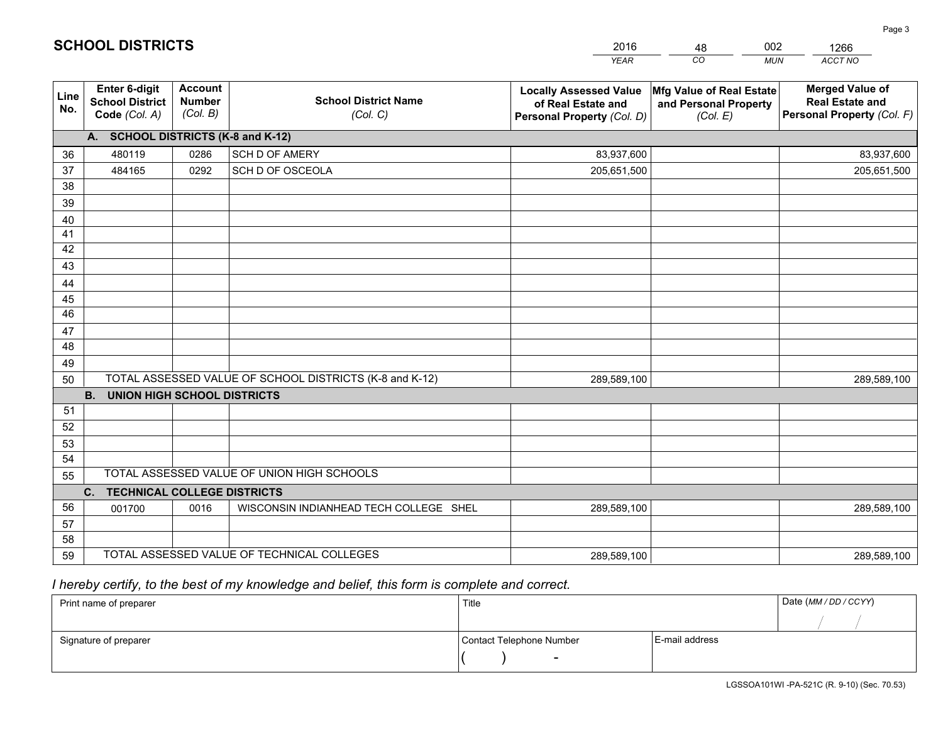|             |                                                          |                                             |                                                         | <b>YEAR</b>                                                                       | CO<br><b>MUN</b>                                              | ACCT NO                                                                        |
|-------------|----------------------------------------------------------|---------------------------------------------|---------------------------------------------------------|-----------------------------------------------------------------------------------|---------------------------------------------------------------|--------------------------------------------------------------------------------|
| Line<br>No. | Enter 6-digit<br><b>School District</b><br>Code (Col. A) | <b>Account</b><br><b>Number</b><br>(Col. B) | <b>School District Name</b><br>(Col. C)                 | <b>Locally Assessed Value</b><br>of Real Estate and<br>Personal Property (Col. D) | Mfg Value of Real Estate<br>and Personal Property<br>(Col. E) | <b>Merged Value of</b><br><b>Real Estate and</b><br>Personal Property (Col. F) |
|             | A. SCHOOL DISTRICTS (K-8 and K-12)                       |                                             |                                                         |                                                                                   |                                                               |                                                                                |
| 36          | 480119                                                   | 0286                                        | SCH D OF AMERY                                          | 83,937,600                                                                        |                                                               | 83,937,600                                                                     |
| 37          | 484165                                                   | 0292                                        | SCH D OF OSCEOLA                                        | 205,651,500                                                                       |                                                               | 205,651,500                                                                    |
| 38          |                                                          |                                             |                                                         |                                                                                   |                                                               |                                                                                |
| 39          |                                                          |                                             |                                                         |                                                                                   |                                                               |                                                                                |
| 40          |                                                          |                                             |                                                         |                                                                                   |                                                               |                                                                                |
| 41          |                                                          |                                             |                                                         |                                                                                   |                                                               |                                                                                |
| 42          |                                                          |                                             |                                                         |                                                                                   |                                                               |                                                                                |
| 43          |                                                          |                                             |                                                         |                                                                                   |                                                               |                                                                                |
| 44          |                                                          |                                             |                                                         |                                                                                   |                                                               |                                                                                |
| 45          |                                                          |                                             |                                                         |                                                                                   |                                                               |                                                                                |
| 46          |                                                          |                                             |                                                         |                                                                                   |                                                               |                                                                                |
| 47          |                                                          |                                             |                                                         |                                                                                   |                                                               |                                                                                |
| 48          |                                                          |                                             |                                                         |                                                                                   |                                                               |                                                                                |
| 49          |                                                          |                                             | TOTAL ASSESSED VALUE OF SCHOOL DISTRICTS (K-8 and K-12) |                                                                                   |                                                               |                                                                                |
| 50          | B <sub>1</sub><br><b>UNION HIGH SCHOOL DISTRICTS</b>     |                                             |                                                         | 289,589,100                                                                       |                                                               | 289,589,100                                                                    |
| 51          |                                                          |                                             |                                                         |                                                                                   |                                                               |                                                                                |
| 52          |                                                          |                                             |                                                         |                                                                                   |                                                               |                                                                                |
| 53          |                                                          |                                             |                                                         |                                                                                   |                                                               |                                                                                |
| 54          |                                                          |                                             |                                                         |                                                                                   |                                                               |                                                                                |
| 55          |                                                          |                                             | TOTAL ASSESSED VALUE OF UNION HIGH SCHOOLS              |                                                                                   |                                                               |                                                                                |
|             | C. TECHNICAL COLLEGE DISTRICTS                           |                                             |                                                         |                                                                                   |                                                               |                                                                                |
| 56          | 001700                                                   | 0016                                        | WISCONSIN INDIANHEAD TECH COLLEGE SHEL                  | 289,589,100                                                                       |                                                               | 289,589,100                                                                    |
| 57          |                                                          |                                             |                                                         |                                                                                   |                                                               |                                                                                |
| 58          |                                                          |                                             |                                                         |                                                                                   |                                                               |                                                                                |
| 59          |                                                          |                                             | TOTAL ASSESSED VALUE OF TECHNICAL COLLEGES              | 289,589,100                                                                       |                                                               | 289,589,100                                                                    |

48

002

 *I hereby certify, to the best of my knowledge and belief, this form is complete and correct.*

**SCHOOL DISTRICTS**

| Print name of preparer | Title                    |                | Date (MM / DD / CCYY) |
|------------------------|--------------------------|----------------|-----------------------|
|                        |                          |                |                       |
| Signature of preparer  | Contact Telephone Number | E-mail address |                       |
|                        | $\overline{\phantom{0}}$ |                |                       |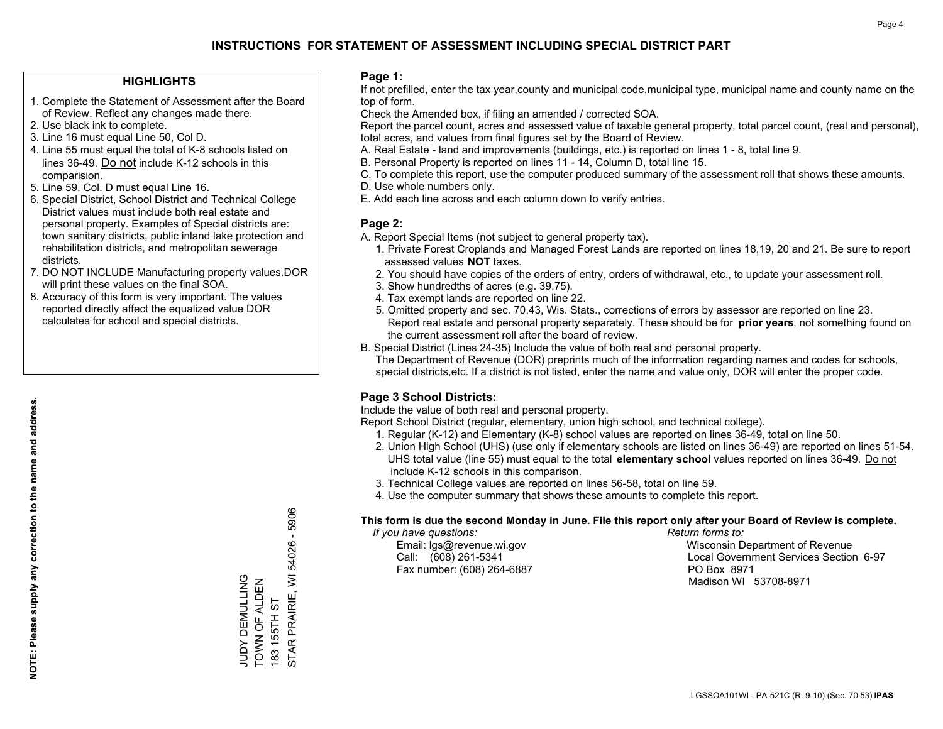### **HIGHLIGHTS**

- 1. Complete the Statement of Assessment after the Board of Review. Reflect any changes made there.
- 2. Use black ink to complete.
- 3. Line 16 must equal Line 50, Col D.
- 4. Line 55 must equal the total of K-8 schools listed on lines 36-49. Do not include K-12 schools in this comparision.
- 5. Line 59, Col. D must equal Line 16.
- 6. Special District, School District and Technical College District values must include both real estate and personal property. Examples of Special districts are: town sanitary districts, public inland lake protection and rehabilitation districts, and metropolitan sewerage districts.
- 7. DO NOT INCLUDE Manufacturing property values.DOR will print these values on the final SOA.

JUDY DEMULLING TOWN OF ALDEN 183 155TH ST

JUDY DEMULLING<br>TOWN OF ALDEN

STAR PRAIRIE, WI 54026 - 5906

STAR PRAIRIE, WI

183 155TH ST

5906

54026 -

 8. Accuracy of this form is very important. The values reported directly affect the equalized value DOR calculates for school and special districts.

### **Page 1:**

 If not prefilled, enter the tax year,county and municipal code,municipal type, municipal name and county name on the top of form.

Check the Amended box, if filing an amended / corrected SOA.

 Report the parcel count, acres and assessed value of taxable general property, total parcel count, (real and personal), total acres, and values from final figures set by the Board of Review.

- A. Real Estate land and improvements (buildings, etc.) is reported on lines 1 8, total line 9.
- B. Personal Property is reported on lines 11 14, Column D, total line 15.
- C. To complete this report, use the computer produced summary of the assessment roll that shows these amounts.
- D. Use whole numbers only.
- E. Add each line across and each column down to verify entries.

### **Page 2:**

- A. Report Special Items (not subject to general property tax).
- 1. Private Forest Croplands and Managed Forest Lands are reported on lines 18,19, 20 and 21. Be sure to report assessed values **NOT** taxes.
- 2. You should have copies of the orders of entry, orders of withdrawal, etc., to update your assessment roll.
	- 3. Show hundredths of acres (e.g. 39.75).
- 4. Tax exempt lands are reported on line 22.
- 5. Omitted property and sec. 70.43, Wis. Stats., corrections of errors by assessor are reported on line 23. Report real estate and personal property separately. These should be for **prior years**, not something found on the current assessment roll after the board of review.
- B. Special District (Lines 24-35) Include the value of both real and personal property.
- The Department of Revenue (DOR) preprints much of the information regarding names and codes for schools, special districts,etc. If a district is not listed, enter the name and value only, DOR will enter the proper code.

### **Page 3 School Districts:**

Include the value of both real and personal property.

Report School District (regular, elementary, union high school, and technical college).

- 1. Regular (K-12) and Elementary (K-8) school values are reported on lines 36-49, total on line 50.
- 2. Union High School (UHS) (use only if elementary schools are listed on lines 36-49) are reported on lines 51-54. UHS total value (line 55) must equal to the total **elementary school** values reported on lines 36-49. Do notinclude K-12 schools in this comparison.
- 3. Technical College values are reported on lines 56-58, total on line 59.
- 4. Use the computer summary that shows these amounts to complete this report.

#### **This form is due the second Monday in June. File this report only after your Board of Review is complete.**

 *If you have questions: Return forms to:*

Fax number: (608) 264-6887 PO Box 8971

 Email: lgs@revenue.wi.gov Wisconsin Department of Revenue Call: (608) 261-5341 Local Government Services Section 6-97Madison WI 53708-8971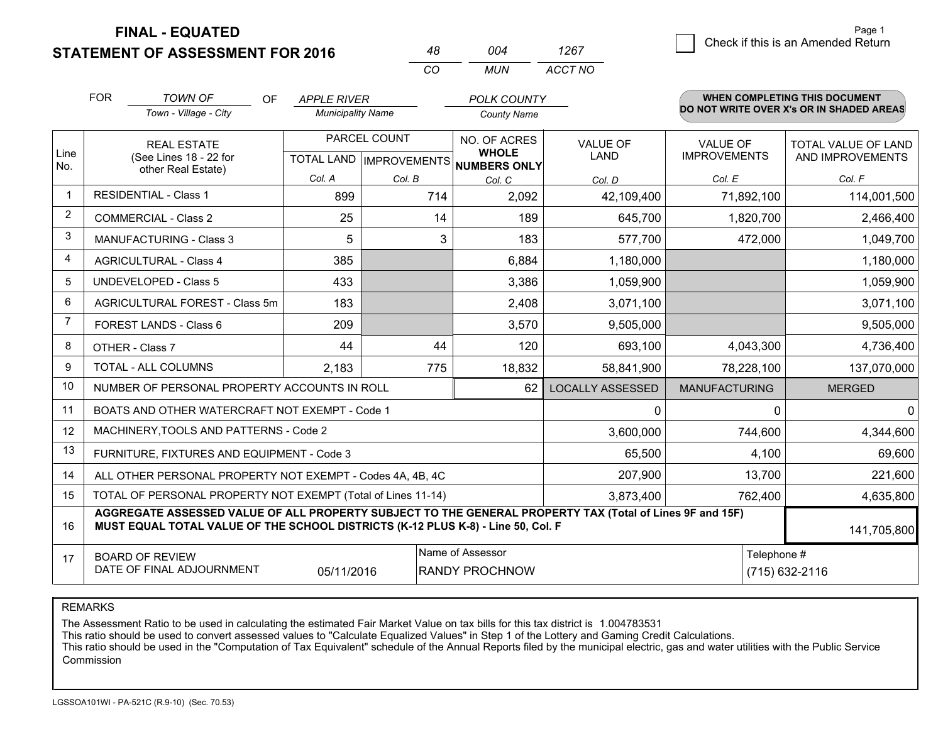**STATEMENT OF ASSESSMENT FOR 2016** 

**FINAL - EQUATED**

|                | <b>FOR</b>                                                                                                                                                                                   | <b>TOWN OF</b><br><b>OF</b><br>Town - Village - City               | <b>APPLE RIVER</b><br><b>Municipality Name</b> |                                           | <b>POLK COUNTY</b><br><b>County Name</b>            |                                |                                        | WHEN COMPLETING THIS DOCUMENT<br>DO NOT WRITE OVER X's OR IN SHADED AREAS |
|----------------|----------------------------------------------------------------------------------------------------------------------------------------------------------------------------------------------|--------------------------------------------------------------------|------------------------------------------------|-------------------------------------------|-----------------------------------------------------|--------------------------------|----------------------------------------|---------------------------------------------------------------------------|
| Line<br>No.    |                                                                                                                                                                                              | <b>REAL ESTATE</b><br>(See Lines 18 - 22 for<br>other Real Estate) |                                                | PARCEL COUNT<br>TOTAL LAND   IMPROVEMENTS | NO. OF ACRES<br><b>WHOLE</b><br><b>NUMBERS ONLY</b> | <b>VALUE OF</b><br><b>LAND</b> | <b>VALUE OF</b><br><b>IMPROVEMENTS</b> | TOTAL VALUE OF LAND<br>AND IMPROVEMENTS                                   |
|                |                                                                                                                                                                                              |                                                                    | Col. A                                         | Col. B<br>Col. C<br>Col. D                |                                                     | Col. E                         | Col. F                                 |                                                                           |
|                |                                                                                                                                                                                              | <b>RESIDENTIAL - Class 1</b>                                       | 899                                            | 714                                       | 2,092                                               | 42,109,400                     | 71,892,100                             | 114,001,500                                                               |
| 2              |                                                                                                                                                                                              | <b>COMMERCIAL - Class 2</b>                                        | 25                                             | 14                                        | 189                                                 | 645,700                        | 1,820,700                              | 2,466,400                                                                 |
| 3              |                                                                                                                                                                                              | <b>MANUFACTURING - Class 3</b>                                     | 5                                              | 3                                         | 183                                                 | 577,700                        | 472,000                                | 1,049,700                                                                 |
| 4              |                                                                                                                                                                                              | <b>AGRICULTURAL - Class 4</b>                                      | 385                                            |                                           | 6,884                                               | 1,180,000                      |                                        | 1,180,000                                                                 |
| 5              |                                                                                                                                                                                              | <b>UNDEVELOPED - Class 5</b>                                       | 433                                            |                                           | 3,386                                               | 1,059,900                      |                                        | 1,059,900                                                                 |
| 6              |                                                                                                                                                                                              | AGRICULTURAL FOREST - Class 5m                                     | 183                                            |                                           | 2,408                                               | 3,071,100                      |                                        | 3,071,100                                                                 |
| $\overline{7}$ |                                                                                                                                                                                              | FOREST LANDS - Class 6                                             | 209                                            |                                           | 3,570                                               | 9,505,000                      |                                        | 9,505,000                                                                 |
| 8              |                                                                                                                                                                                              | OTHER - Class 7                                                    | 44                                             | 44                                        | 120                                                 | 693,100                        | 4,043,300                              | 4,736,400                                                                 |
| 9              |                                                                                                                                                                                              | TOTAL - ALL COLUMNS                                                | 2,183                                          | 775                                       | 18,832                                              | 58,841,900                     | 78,228,100                             | 137,070,000                                                               |
| 10             |                                                                                                                                                                                              | NUMBER OF PERSONAL PROPERTY ACCOUNTS IN ROLL                       |                                                |                                           | 62                                                  | <b>LOCALLY ASSESSED</b>        | <b>MANUFACTURING</b>                   | <b>MERGED</b>                                                             |
| 11             |                                                                                                                                                                                              | BOATS AND OTHER WATERCRAFT NOT EXEMPT - Code 1                     |                                                |                                           |                                                     | 0                              | $\Omega$                               | $\mathbf{0}$                                                              |
| 12             |                                                                                                                                                                                              | MACHINERY, TOOLS AND PATTERNS - Code 2                             |                                                |                                           |                                                     | 3,600,000                      | 744,600                                | 4,344,600                                                                 |
| 13             |                                                                                                                                                                                              | FURNITURE, FIXTURES AND EQUIPMENT - Code 3                         |                                                |                                           |                                                     | 65,500                         | 4,100                                  | 69,600                                                                    |
| 14             |                                                                                                                                                                                              | ALL OTHER PERSONAL PROPERTY NOT EXEMPT - Codes 4A, 4B, 4C          |                                                |                                           |                                                     | 207,900                        | 13,700                                 | 221,600                                                                   |
| 15             |                                                                                                                                                                                              | TOTAL OF PERSONAL PROPERTY NOT EXEMPT (Total of Lines 11-14)       |                                                |                                           |                                                     | 3,873,400                      | 762,400                                | 4,635,800                                                                 |
| 16             | AGGREGATE ASSESSED VALUE OF ALL PROPERTY SUBJECT TO THE GENERAL PROPERTY TAX (Total of Lines 9F and 15F)<br>MUST EQUAL TOTAL VALUE OF THE SCHOOL DISTRICTS (K-12 PLUS K-8) - Line 50, Col. F |                                                                    |                                                |                                           |                                                     |                                |                                        | 141,705,800                                                               |
| 17             | Name of Assessor<br>Telephone #<br><b>BOARD OF REVIEW</b><br>DATE OF FINAL ADJOURNMENT<br><b>RANDY PROCHNOW</b><br>05/11/2016                                                                |                                                                    |                                                |                                           |                                                     |                                | (715) 632-2116                         |                                                                           |

*CO*

*MUN*

*ACCT NO1267*

*<sup>48</sup> <sup>004</sup>*

REMARKS

The Assessment Ratio to be used in calculating the estimated Fair Market Value on tax bills for this tax district is 1.004783531<br>This ratio should be used to convert assessed values to "Calculate Equalized Values" in Step Commission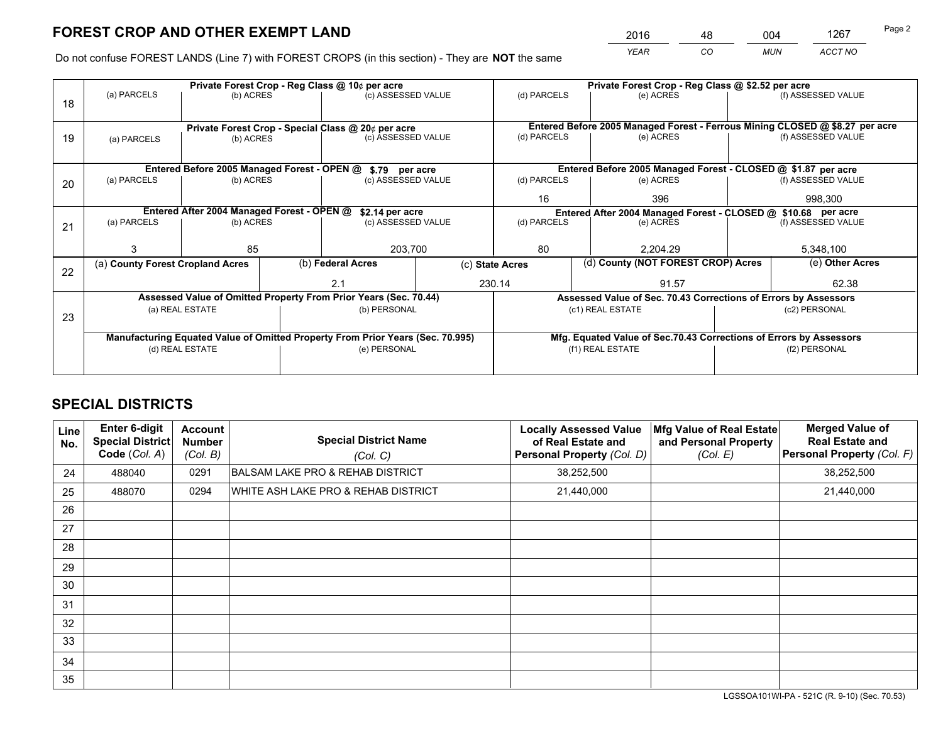*YEAR CO MUN ACCT NO* 2016 <u>48 004 1267</u>

Do not confuse FOREST LANDS (Line 7) with FOREST CROPS (in this section) - They are **NOT** the same

|    |                                                                                        |                                            | Private Forest Crop - Reg Class @ 10¢ per acre |                                                                  | Private Forest Crop - Reg Class @ \$2.52 per acre                  |                                                       |                                                               |                                                                 |                 |                                                                              |
|----|----------------------------------------------------------------------------------------|--------------------------------------------|------------------------------------------------|------------------------------------------------------------------|--------------------------------------------------------------------|-------------------------------------------------------|---------------------------------------------------------------|-----------------------------------------------------------------|-----------------|------------------------------------------------------------------------------|
| 18 | (a) PARCELS                                                                            | (b) ACRES                                  |                                                | (c) ASSESSED VALUE                                               |                                                                    | (d) PARCELS                                           |                                                               | (e) ACRES                                                       |                 | (f) ASSESSED VALUE                                                           |
|    |                                                                                        |                                            |                                                | Private Forest Crop - Special Class @ 20¢ per acre               |                                                                    |                                                       |                                                               |                                                                 |                 | Entered Before 2005 Managed Forest - Ferrous Mining CLOSED @ \$8.27 per acre |
| 19 | (a) PARCELS                                                                            | (b) ACRES                                  |                                                | (c) ASSESSED VALUE                                               |                                                                    | (d) PARCELS                                           |                                                               | (e) ACRES                                                       |                 | (f) ASSESSED VALUE                                                           |
|    |                                                                                        |                                            |                                                |                                                                  | Entered Before 2005 Managed Forest - CLOSED @ \$1.87 per acre      |                                                       |                                                               |                                                                 |                 |                                                                              |
| 20 | Entered Before 2005 Managed Forest - OPEN @ \$.79 per acre<br>(a) PARCELS<br>(b) ACRES |                                            |                                                | (c) ASSESSED VALUE                                               |                                                                    | (d) PARCELS                                           |                                                               | (e) ACRES                                                       |                 | (f) ASSESSED VALUE                                                           |
|    |                                                                                        |                                            |                                                |                                                                  | 16                                                                 |                                                       | 396                                                           |                                                                 | 998,300         |                                                                              |
|    |                                                                                        | Entered After 2004 Managed Forest - OPEN @ | \$2.14 per acre                                |                                                                  |                                                                    |                                                       | Entered After 2004 Managed Forest - CLOSED @ \$10.68 per acre |                                                                 |                 |                                                                              |
| 21 | (a) PARCELS                                                                            | (b) ACRES                                  |                                                | (c) ASSESSED VALUE                                               |                                                                    | (d) PARCELS                                           |                                                               | (e) ACRES                                                       |                 | (f) ASSESSED VALUE                                                           |
|    |                                                                                        | 85                                         |                                                | 203,700                                                          |                                                                    | 80<br>2,204.29                                        |                                                               |                                                                 | 5,348,100       |                                                                              |
| 22 | (a) County Forest Cropland Acres                                                       |                                            |                                                | (b) Federal Acres                                                |                                                                    | (d) County (NOT FOREST CROP) Acres<br>(c) State Acres |                                                               |                                                                 | (e) Other Acres |                                                                              |
|    |                                                                                        |                                            |                                                | 230.14<br>2.1                                                    |                                                                    |                                                       |                                                               | 91.57                                                           |                 | 62.38                                                                        |
|    |                                                                                        |                                            |                                                | Assessed Value of Omitted Property From Prior Years (Sec. 70.44) |                                                                    |                                                       |                                                               | Assessed Value of Sec. 70.43 Corrections of Errors by Assessors |                 |                                                                              |
| 23 |                                                                                        | (a) REAL ESTATE                            |                                                | (b) PERSONAL                                                     |                                                                    |                                                       |                                                               | (c1) REAL ESTATE                                                |                 | (c2) PERSONAL                                                                |
|    | Manufacturing Equated Value of Omitted Property From Prior Years (Sec. 70.995)         |                                            |                                                |                                                                  | Mfg. Equated Value of Sec.70.43 Corrections of Errors by Assessors |                                                       |                                                               |                                                                 |                 |                                                                              |
|    | (d) REAL ESTATE                                                                        |                                            | (e) PERSONAL                                   | (f1) REAL ESTATE                                                 |                                                                    | (f2) PERSONAL                                         |                                                               |                                                                 |                 |                                                                              |
|    |                                                                                        |                                            |                                                |                                                                  |                                                                    |                                                       |                                                               |                                                                 |                 |                                                                              |

# **SPECIAL DISTRICTS**

| Line<br>No. | Enter 6-digit<br>Special District<br>Code (Col. A) | <b>Account</b><br><b>Number</b><br>(Col. B) | <b>Special District Name</b><br>(Col. C)    | <b>Locally Assessed Value</b><br>of Real Estate and<br><b>Personal Property (Col. D)</b> | Mfg Value of Real Estate<br>and Personal Property<br>(Col. E) | <b>Merged Value of</b><br><b>Real Estate and</b><br>Personal Property (Col. F) |
|-------------|----------------------------------------------------|---------------------------------------------|---------------------------------------------|------------------------------------------------------------------------------------------|---------------------------------------------------------------|--------------------------------------------------------------------------------|
| 24          | 488040                                             | 0291                                        | <b>BALSAM LAKE PRO &amp; REHAB DISTRICT</b> | 38,252,500                                                                               |                                                               | 38,252,500                                                                     |
| 25          | 488070                                             | 0294                                        | WHITE ASH LAKE PRO & REHAB DISTRICT         | 21,440,000                                                                               |                                                               | 21,440,000                                                                     |
| 26          |                                                    |                                             |                                             |                                                                                          |                                                               |                                                                                |
| 27          |                                                    |                                             |                                             |                                                                                          |                                                               |                                                                                |
| 28          |                                                    |                                             |                                             |                                                                                          |                                                               |                                                                                |
| 29          |                                                    |                                             |                                             |                                                                                          |                                                               |                                                                                |
| 30          |                                                    |                                             |                                             |                                                                                          |                                                               |                                                                                |
| 31          |                                                    |                                             |                                             |                                                                                          |                                                               |                                                                                |
| 32          |                                                    |                                             |                                             |                                                                                          |                                                               |                                                                                |
| 33          |                                                    |                                             |                                             |                                                                                          |                                                               |                                                                                |
| 34          |                                                    |                                             |                                             |                                                                                          |                                                               |                                                                                |
| 35          |                                                    |                                             |                                             |                                                                                          |                                                               |                                                                                |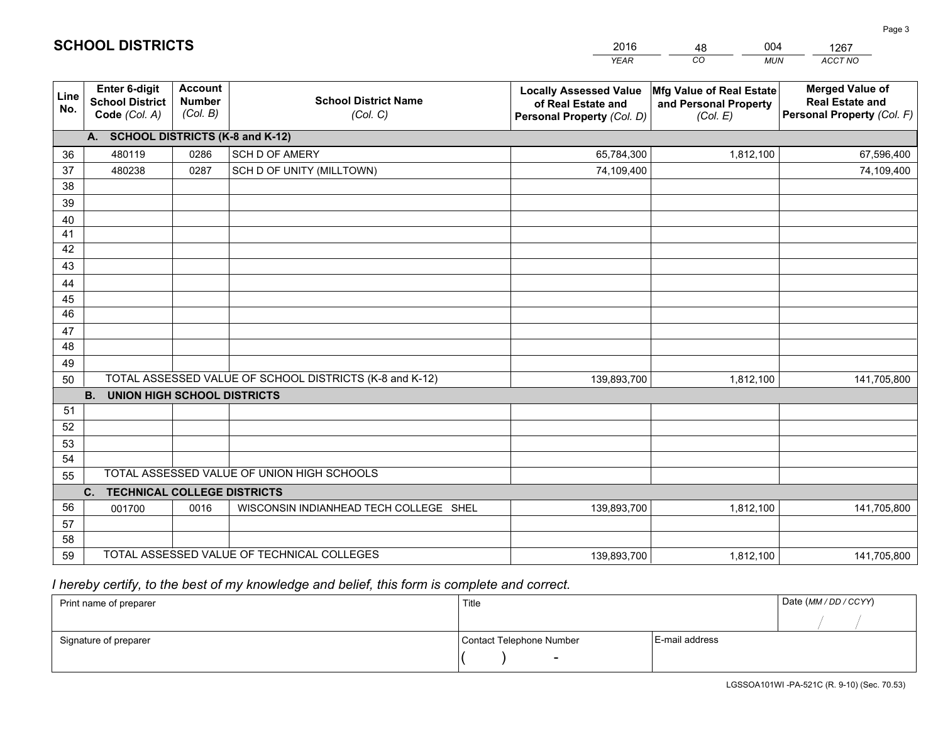|             |                                                                 |                                             |                                                         | <b>YEAR</b>                                                                       | CO<br><b>MUN</b>                                              | ACCT NO                                                                        |
|-------------|-----------------------------------------------------------------|---------------------------------------------|---------------------------------------------------------|-----------------------------------------------------------------------------------|---------------------------------------------------------------|--------------------------------------------------------------------------------|
| Line<br>No. | <b>Enter 6-digit</b><br><b>School District</b><br>Code (Col. A) | <b>Account</b><br><b>Number</b><br>(Col. B) | <b>School District Name</b><br>(Col. C)                 | <b>Locally Assessed Value</b><br>of Real Estate and<br>Personal Property (Col. D) | Mfg Value of Real Estate<br>and Personal Property<br>(Col. E) | <b>Merged Value of</b><br><b>Real Estate and</b><br>Personal Property (Col. F) |
|             | A. SCHOOL DISTRICTS (K-8 and K-12)                              |                                             |                                                         |                                                                                   |                                                               |                                                                                |
| 36          | 480119                                                          | 0286                                        | SCH D OF AMERY                                          | 65,784,300                                                                        | 1,812,100                                                     | 67,596,400                                                                     |
| 37          | 480238                                                          | 0287                                        | SCH D OF UNITY (MILLTOWN)                               | 74,109,400                                                                        |                                                               | 74,109,400                                                                     |
| 38          |                                                                 |                                             |                                                         |                                                                                   |                                                               |                                                                                |
| 39          |                                                                 |                                             |                                                         |                                                                                   |                                                               |                                                                                |
| 40          |                                                                 |                                             |                                                         |                                                                                   |                                                               |                                                                                |
| 41          |                                                                 |                                             |                                                         |                                                                                   |                                                               |                                                                                |
| 42          |                                                                 |                                             |                                                         |                                                                                   |                                                               |                                                                                |
| 43          |                                                                 |                                             |                                                         |                                                                                   |                                                               |                                                                                |
| 44<br>45    |                                                                 |                                             |                                                         |                                                                                   |                                                               |                                                                                |
| 46          |                                                                 |                                             |                                                         |                                                                                   |                                                               |                                                                                |
| 47          |                                                                 |                                             |                                                         |                                                                                   |                                                               |                                                                                |
| 48          |                                                                 |                                             |                                                         |                                                                                   |                                                               |                                                                                |
| 49          |                                                                 |                                             |                                                         |                                                                                   |                                                               |                                                                                |
| 50          |                                                                 |                                             | TOTAL ASSESSED VALUE OF SCHOOL DISTRICTS (K-8 and K-12) | 139,893,700                                                                       | 1,812,100                                                     | 141,705,800                                                                    |
|             | <b>B.</b><br><b>UNION HIGH SCHOOL DISTRICTS</b>                 |                                             |                                                         |                                                                                   |                                                               |                                                                                |
| 51          |                                                                 |                                             |                                                         |                                                                                   |                                                               |                                                                                |
| 52          |                                                                 |                                             |                                                         |                                                                                   |                                                               |                                                                                |
| 53          |                                                                 |                                             |                                                         |                                                                                   |                                                               |                                                                                |
| 54          |                                                                 |                                             |                                                         |                                                                                   |                                                               |                                                                                |
| 55          |                                                                 |                                             | TOTAL ASSESSED VALUE OF UNION HIGH SCHOOLS              |                                                                                   |                                                               |                                                                                |
|             | C.<br><b>TECHNICAL COLLEGE DISTRICTS</b>                        |                                             |                                                         |                                                                                   |                                                               |                                                                                |
| 56          | 001700                                                          | 0016                                        | WISCONSIN INDIANHEAD TECH COLLEGE SHEL                  | 139,893,700                                                                       | 1,812,100                                                     | 141,705,800                                                                    |
| 57          |                                                                 |                                             |                                                         |                                                                                   |                                                               |                                                                                |
| 58          |                                                                 |                                             |                                                         |                                                                                   |                                                               |                                                                                |
| 59          |                                                                 |                                             | TOTAL ASSESSED VALUE OF TECHNICAL COLLEGES              | 139,893,700                                                                       | 1,812,100                                                     | 141,705,800                                                                    |

48

004

 *I hereby certify, to the best of my knowledge and belief, this form is complete and correct.*

**SCHOOL DISTRICTS**

| Print name of preparer | Title                    | Date (MM / DD / CCYY) |  |
|------------------------|--------------------------|-----------------------|--|
|                        |                          |                       |  |
| Signature of preparer  | Contact Telephone Number | E-mail address        |  |
|                        | $\overline{\phantom{a}}$ |                       |  |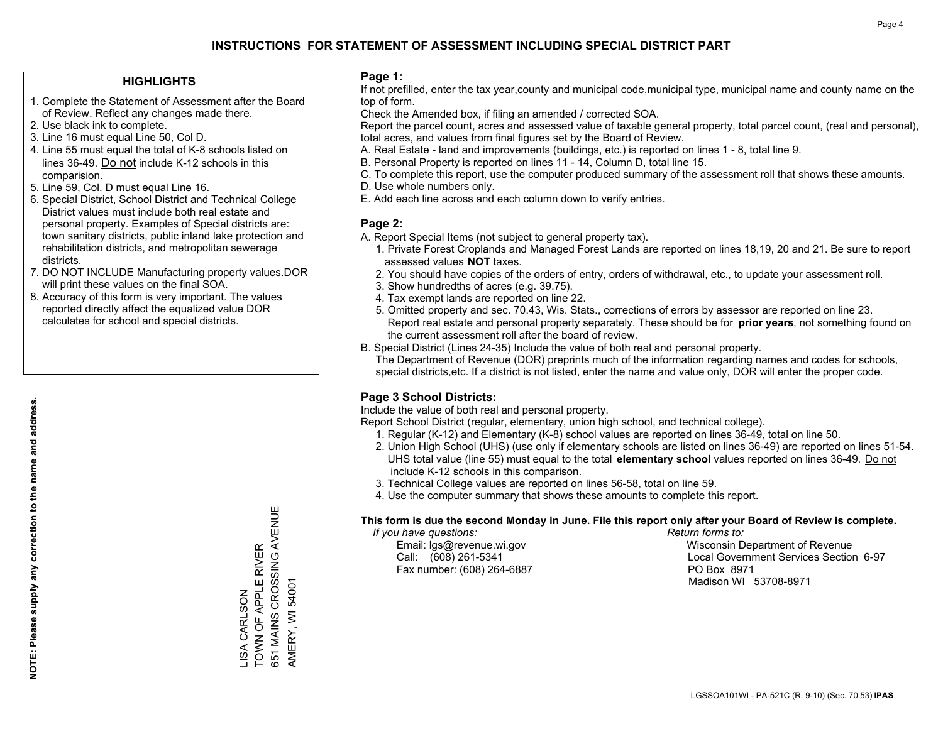### **HIGHLIGHTS**

- 1. Complete the Statement of Assessment after the Board of Review. Reflect any changes made there.
- 2. Use black ink to complete.
- 3. Line 16 must equal Line 50, Col D.
- 4. Line 55 must equal the total of K-8 schools listed on lines 36-49. Do not include K-12 schools in this comparision.
- 5. Line 59, Col. D must equal Line 16.
- 6. Special District, School District and Technical College District values must include both real estate and personal property. Examples of Special districts are: town sanitary districts, public inland lake protection and rehabilitation districts, and metropolitan sewerage districts.
- 7. DO NOT INCLUDE Manufacturing property values.DOR will print these values on the final SOA.
- 8. Accuracy of this form is very important. The values reported directly affect the equalized value DOR calculates for school and special districts.

### **Page 1:**

 If not prefilled, enter the tax year,county and municipal code,municipal type, municipal name and county name on the top of form.

Check the Amended box, if filing an amended / corrected SOA.

 Report the parcel count, acres and assessed value of taxable general property, total parcel count, (real and personal), total acres, and values from final figures set by the Board of Review.

- A. Real Estate land and improvements (buildings, etc.) is reported on lines 1 8, total line 9.
- B. Personal Property is reported on lines 11 14, Column D, total line 15.
- C. To complete this report, use the computer produced summary of the assessment roll that shows these amounts.
- D. Use whole numbers only.
- E. Add each line across and each column down to verify entries.

### **Page 2:**

- A. Report Special Items (not subject to general property tax).
- 1. Private Forest Croplands and Managed Forest Lands are reported on lines 18,19, 20 and 21. Be sure to report assessed values **NOT** taxes.
- 2. You should have copies of the orders of entry, orders of withdrawal, etc., to update your assessment roll.
	- 3. Show hundredths of acres (e.g. 39.75).
- 4. Tax exempt lands are reported on line 22.
- 5. Omitted property and sec. 70.43, Wis. Stats., corrections of errors by assessor are reported on line 23. Report real estate and personal property separately. These should be for **prior years**, not something found on the current assessment roll after the board of review.
- B. Special District (Lines 24-35) Include the value of both real and personal property.
- The Department of Revenue (DOR) preprints much of the information regarding names and codes for schools, special districts,etc. If a district is not listed, enter the name and value only, DOR will enter the proper code.

### **Page 3 School Districts:**

Include the value of both real and personal property.

Report School District (regular, elementary, union high school, and technical college).

- 1. Regular (K-12) and Elementary (K-8) school values are reported on lines 36-49, total on line 50.
- 2. Union High School (UHS) (use only if elementary schools are listed on lines 36-49) are reported on lines 51-54. UHS total value (line 55) must equal to the total **elementary school** values reported on lines 36-49. Do notinclude K-12 schools in this comparison.
- 3. Technical College values are reported on lines 56-58, total on line 59.
- 4. Use the computer summary that shows these amounts to complete this report.

#### **This form is due the second Monday in June. File this report only after your Board of Review is complete.**

 *If you have questions: Return forms to:*

Fax number: (608) 264-6887 PO Box 8971

 Email: lgs@revenue.wi.gov Wisconsin Department of Revenue Call: (608) 261-5341 Local Government Services Section 6-97Madison WI 53708-8971

. ∽…… → … → … → … → …<br>651 MAINS CROSSING AVENUE 651 MAINS CROSSING AVENUE TOWN OF APPLE RIVER TOWN OF APPLE RIVER AMERY, WI 54001 AMERY, WI 54001 **JSA CARLSON** LISA CARLSON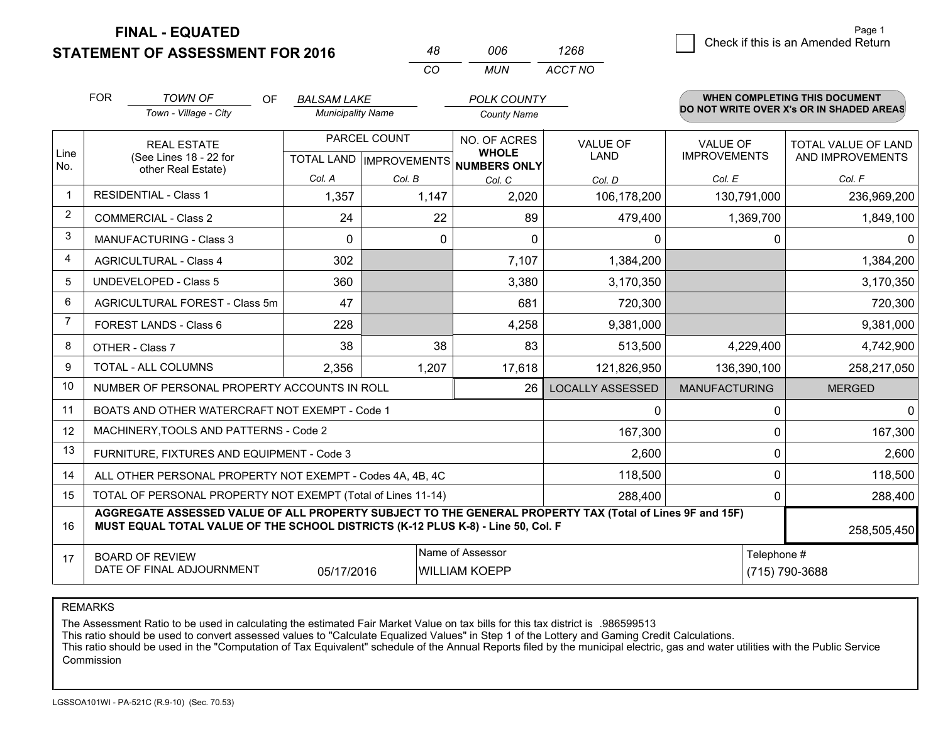**STATEMENT OF ASSESSMENT FOR 2016 FINAL - EQUATED**

|   |                                    | Page 1 |
|---|------------------------------------|--------|
| 8 | Check if this is an Amended Return |        |

|                |                                            |                                                                                                                                                                                              |                          | CO           | <b>MUN</b>                                           | <b>ACCT NO</b>          |                      |                                          |  |
|----------------|--------------------------------------------|----------------------------------------------------------------------------------------------------------------------------------------------------------------------------------------------|--------------------------|--------------|------------------------------------------------------|-------------------------|----------------------|------------------------------------------|--|
|                | <b>FOR</b>                                 | <b>TOWN OF</b><br><b>OF</b>                                                                                                                                                                  | <b>BALSAM LAKE</b>       |              | <b>POLK COUNTY</b>                                   |                         |                      | <b>WHEN COMPLETING THIS DOCUMENT</b>     |  |
|                |                                            | Town - Village - City                                                                                                                                                                        | <b>Municipality Name</b> |              | <b>County Name</b>                                   |                         |                      | DO NOT WRITE OVER X's OR IN SHADED AREAS |  |
|                |                                            | <b>REAL ESTATE</b>                                                                                                                                                                           |                          | PARCEL COUNT | NO. OF ACRES                                         | <b>VALUE OF</b>         | VALUE OF             | <b>TOTAL VALUE OF LAND</b>               |  |
| Line<br>No.    |                                            | (See Lines 18 - 22 for<br>other Real Estate)                                                                                                                                                 |                          |              | <b>WHOLE</b><br>TOTAL LAND IMPROVEMENTS NUMBERS ONLY | <b>LAND</b>             | <b>IMPROVEMENTS</b>  | AND IMPROVEMENTS                         |  |
|                |                                            |                                                                                                                                                                                              | Col. A                   | Col. B       | Col. C                                               | Col. D                  | Col. E               | Col. F                                   |  |
| $\mathbf{1}$   | <b>RESIDENTIAL - Class 1</b>               |                                                                                                                                                                                              | 1,357                    | 1,147        | 2,020                                                | 106,178,200             | 130,791,000          | 236,969,200                              |  |
| $\overline{2}$ |                                            | <b>COMMERCIAL - Class 2</b>                                                                                                                                                                  | 24                       | 22           | 89                                                   | 479,400                 | 1,369,700            | 1,849,100                                |  |
| 3              |                                            | <b>MANUFACTURING - Class 3</b>                                                                                                                                                               | $\Omega$                 | $\Omega$     | $\Omega$                                             | $\Omega$                |                      | $\mathbf{0}$<br>0                        |  |
| 4              |                                            | <b>AGRICULTURAL - Class 4</b>                                                                                                                                                                | 302                      |              | 7,107                                                | 1,384,200               |                      | 1,384,200                                |  |
| 5              |                                            | <b>UNDEVELOPED - Class 5</b>                                                                                                                                                                 | 360                      |              | 3,380                                                | 3,170,350               |                      | 3,170,350                                |  |
| 6              | AGRICULTURAL FOREST - Class 5m             |                                                                                                                                                                                              | 47                       |              | 681                                                  | 720,300                 |                      | 720,300                                  |  |
| $\overline{7}$ | FOREST LANDS - Class 6                     |                                                                                                                                                                                              | 228                      |              | 4,258                                                | 9,381,000               |                      | 9,381,000                                |  |
| 8              |                                            | OTHER - Class 7                                                                                                                                                                              | 38                       | 38           | 83                                                   | 513,500                 | 4,229,400            | 4,742,900                                |  |
| 9              |                                            | TOTAL - ALL COLUMNS                                                                                                                                                                          | 2,356                    | 1,207        | 17,618                                               | 121,826,950             | 136,390,100          | 258,217,050                              |  |
| 10             |                                            | NUMBER OF PERSONAL PROPERTY ACCOUNTS IN ROLL                                                                                                                                                 |                          |              | 26                                                   | <b>LOCALLY ASSESSED</b> | <b>MANUFACTURING</b> | <b>MERGED</b>                            |  |
| 11             |                                            | BOATS AND OTHER WATERCRAFT NOT EXEMPT - Code 1                                                                                                                                               |                          |              |                                                      | 0                       |                      | $\mathbf 0$<br>$\mathbf{0}$              |  |
| 12             |                                            | MACHINERY, TOOLS AND PATTERNS - Code 2                                                                                                                                                       |                          |              |                                                      | 167,300                 |                      | $\mathbf 0$<br>167,300                   |  |
| 13             |                                            | FURNITURE, FIXTURES AND EQUIPMENT - Code 3                                                                                                                                                   |                          |              |                                                      | 2,600                   |                      | $\mathbf 0$<br>2,600                     |  |
| 14             |                                            | ALL OTHER PERSONAL PROPERTY NOT EXEMPT - Codes 4A, 4B, 4C                                                                                                                                    |                          |              |                                                      | 118,500                 |                      | $\mathbf 0$<br>118,500                   |  |
| 15             |                                            | TOTAL OF PERSONAL PROPERTY NOT EXEMPT (Total of Lines 11-14)                                                                                                                                 |                          |              |                                                      | 288,400                 |                      | $\mathbf 0$<br>288,400                   |  |
| 16             |                                            | AGGREGATE ASSESSED VALUE OF ALL PROPERTY SUBJECT TO THE GENERAL PROPERTY TAX (Total of Lines 9F and 15F)<br>MUST EQUAL TOTAL VALUE OF THE SCHOOL DISTRICTS (K-12 PLUS K-8) - Line 50, Col. F |                          |              |                                                      |                         |                      | 258,505,450                              |  |
| 17             | Name of Assessor<br><b>BOARD OF REVIEW</b> |                                                                                                                                                                                              |                          |              |                                                      |                         |                      | Telephone #                              |  |
|                |                                            | DATE OF FINAL ADJOURNMENT                                                                                                                                                                    | 05/17/2016               |              | <b>WILLIAM KOEPP</b>                                 |                         | (715) 790-3688       |                                          |  |

*<sup>48</sup> <sup>006</sup>*

*1268*

REMARKS

The Assessment Ratio to be used in calculating the estimated Fair Market Value on tax bills for this tax district is .986599513<br>This ratio should be used to convert assessed values to "Calculate Equalized Values" in Step 1 Commission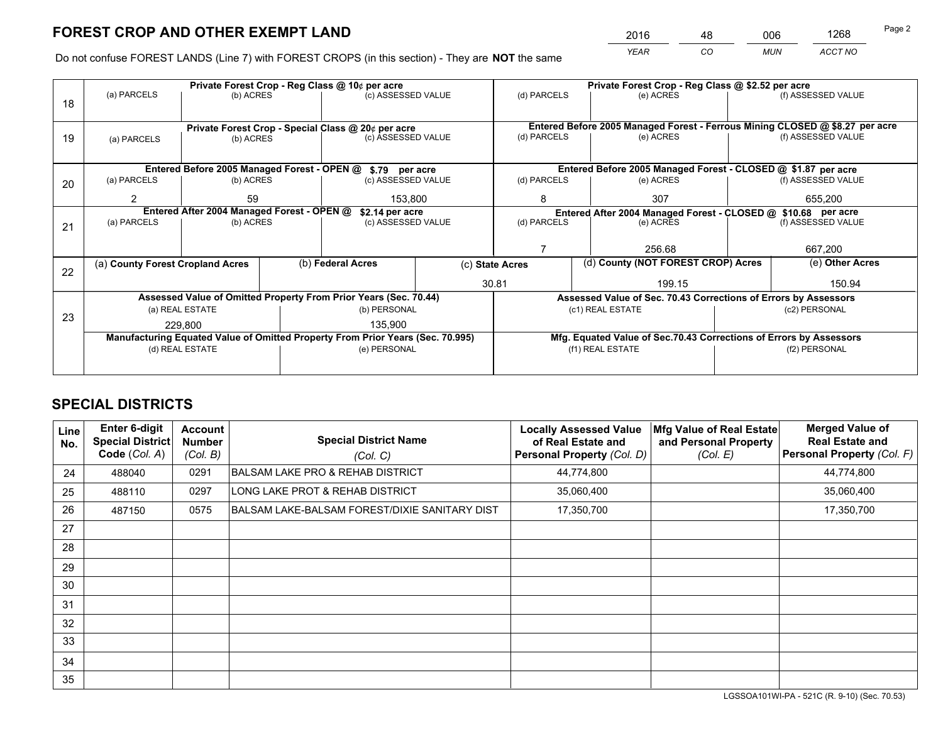*YEAR CO MUN ACCT NO* <sup>2016</sup> <sup>48</sup> <sup>006</sup> <sup>1268</sup>

Do not confuse FOREST LANDS (Line 7) with FOREST CROPS (in this section) - They are **NOT** the same

| (f) ASSESSED VALUE                                                           |  |  |  |
|------------------------------------------------------------------------------|--|--|--|
|                                                                              |  |  |  |
|                                                                              |  |  |  |
| Entered Before 2005 Managed Forest - Ferrous Mining CLOSED @ \$8.27 per acre |  |  |  |
| (f) ASSESSED VALUE                                                           |  |  |  |
|                                                                              |  |  |  |
| Entered Before 2005 Managed Forest - CLOSED @ \$1.87 per acre                |  |  |  |
| (f) ASSESSED VALUE                                                           |  |  |  |
| 655,200                                                                      |  |  |  |
| Entered After 2004 Managed Forest - CLOSED @ \$10.68 per acre                |  |  |  |
| (f) ASSESSED VALUE                                                           |  |  |  |
|                                                                              |  |  |  |
| 667,200                                                                      |  |  |  |
| (e) Other Acres                                                              |  |  |  |
| 150.94                                                                       |  |  |  |
| Assessed Value of Sec. 70.43 Corrections of Errors by Assessors              |  |  |  |
| (c2) PERSONAL                                                                |  |  |  |
|                                                                              |  |  |  |
| Mfg. Equated Value of Sec.70.43 Corrections of Errors by Assessors           |  |  |  |
| (f2) PERSONAL                                                                |  |  |  |
|                                                                              |  |  |  |
|                                                                              |  |  |  |

# **SPECIAL DISTRICTS**

| Line<br>No. | <b>Enter 6-digit</b><br><b>Special District</b><br>Code (Col. A) | <b>Account</b><br><b>Number</b><br>(Col. B) | <b>Special District Name</b><br>(Col. C)      | <b>Locally Assessed Value</b><br>of Real Estate and<br>Personal Property (Col. D) | Mfg Value of Real Estate<br>and Personal Property<br>(Col. E) | <b>Merged Value of</b><br><b>Real Estate and</b><br>Personal Property (Col. F) |
|-------------|------------------------------------------------------------------|---------------------------------------------|-----------------------------------------------|-----------------------------------------------------------------------------------|---------------------------------------------------------------|--------------------------------------------------------------------------------|
| 24          | 488040                                                           | 0291                                        | <b>BALSAM LAKE PRO &amp; REHAB DISTRICT</b>   | 44,774,800                                                                        |                                                               | 44,774,800                                                                     |
| 25          | 488110                                                           | 0297                                        | LONG LAKE PROT & REHAB DISTRICT               | 35,060,400                                                                        |                                                               | 35,060,400                                                                     |
| 26          | 487150                                                           | 0575                                        | BALSAM LAKE-BALSAM FOREST/DIXIE SANITARY DIST | 17,350,700                                                                        |                                                               | 17,350,700                                                                     |
| 27          |                                                                  |                                             |                                               |                                                                                   |                                                               |                                                                                |
| 28          |                                                                  |                                             |                                               |                                                                                   |                                                               |                                                                                |
| 29          |                                                                  |                                             |                                               |                                                                                   |                                                               |                                                                                |
| 30          |                                                                  |                                             |                                               |                                                                                   |                                                               |                                                                                |
| 31          |                                                                  |                                             |                                               |                                                                                   |                                                               |                                                                                |
| 32          |                                                                  |                                             |                                               |                                                                                   |                                                               |                                                                                |
| 33          |                                                                  |                                             |                                               |                                                                                   |                                                               |                                                                                |
| 34          |                                                                  |                                             |                                               |                                                                                   |                                                               |                                                                                |
| 35          |                                                                  |                                             |                                               |                                                                                   |                                                               |                                                                                |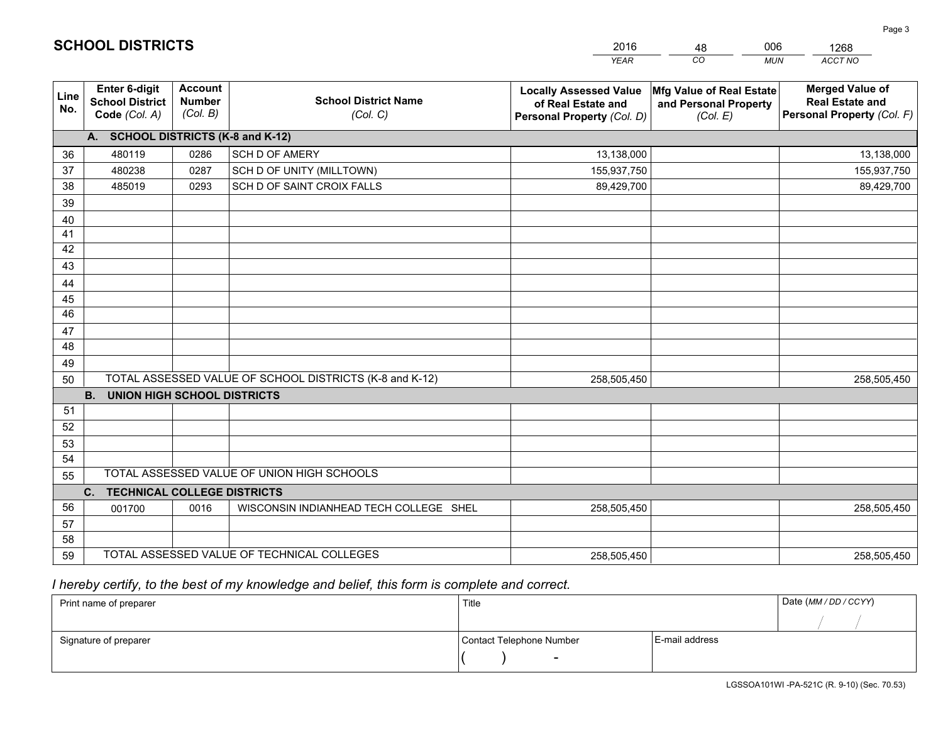|             |                                                                 |                                             |                                                         | <b>YEAR</b>                                                                       | CO<br><b>MUN</b>                                              | ACCT NO                                                                        |
|-------------|-----------------------------------------------------------------|---------------------------------------------|---------------------------------------------------------|-----------------------------------------------------------------------------------|---------------------------------------------------------------|--------------------------------------------------------------------------------|
| Line<br>No. | <b>Enter 6-digit</b><br><b>School District</b><br>Code (Col. A) | <b>Account</b><br><b>Number</b><br>(Col. B) | <b>School District Name</b><br>(Col. C)                 | <b>Locally Assessed Value</b><br>of Real Estate and<br>Personal Property (Col. D) | Mfg Value of Real Estate<br>and Personal Property<br>(Col. E) | <b>Merged Value of</b><br><b>Real Estate and</b><br>Personal Property (Col. F) |
|             | A. SCHOOL DISTRICTS (K-8 and K-12)                              |                                             |                                                         |                                                                                   |                                                               |                                                                                |
| 36          | 480119                                                          | 0286                                        | <b>SCH D OF AMERY</b>                                   | 13,138,000                                                                        |                                                               | 13,138,000                                                                     |
| 37          | 480238                                                          | 0287                                        | SCH D OF UNITY (MILLTOWN)                               | 155,937,750                                                                       |                                                               | 155,937,750                                                                    |
| 38          | 485019                                                          | 0293                                        | SCH D OF SAINT CROIX FALLS                              | 89,429,700                                                                        |                                                               | 89,429,700                                                                     |
| 39          |                                                                 |                                             |                                                         |                                                                                   |                                                               |                                                                                |
| 40          |                                                                 |                                             |                                                         |                                                                                   |                                                               |                                                                                |
| 41          |                                                                 |                                             |                                                         |                                                                                   |                                                               |                                                                                |
| 42          |                                                                 |                                             |                                                         |                                                                                   |                                                               |                                                                                |
| 43          |                                                                 |                                             |                                                         |                                                                                   |                                                               |                                                                                |
| 44          |                                                                 |                                             |                                                         |                                                                                   |                                                               |                                                                                |
| 45          |                                                                 |                                             |                                                         |                                                                                   |                                                               |                                                                                |
| 46          |                                                                 |                                             |                                                         |                                                                                   |                                                               |                                                                                |
| 47          |                                                                 |                                             |                                                         |                                                                                   |                                                               |                                                                                |
| 48          |                                                                 |                                             |                                                         |                                                                                   |                                                               |                                                                                |
| 49          |                                                                 |                                             | TOTAL ASSESSED VALUE OF SCHOOL DISTRICTS (K-8 and K-12) |                                                                                   |                                                               |                                                                                |
| 50          | <b>B.</b><br><b>UNION HIGH SCHOOL DISTRICTS</b>                 |                                             |                                                         | 258,505,450                                                                       |                                                               | 258,505,450                                                                    |
| 51          |                                                                 |                                             |                                                         |                                                                                   |                                                               |                                                                                |
| 52          |                                                                 |                                             |                                                         |                                                                                   |                                                               |                                                                                |
| 53          |                                                                 |                                             |                                                         |                                                                                   |                                                               |                                                                                |
| 54          |                                                                 |                                             |                                                         |                                                                                   |                                                               |                                                                                |
| 55          |                                                                 |                                             | TOTAL ASSESSED VALUE OF UNION HIGH SCHOOLS              |                                                                                   |                                                               |                                                                                |
|             | <b>TECHNICAL COLLEGE DISTRICTS</b><br>C.                        |                                             |                                                         |                                                                                   |                                                               |                                                                                |
| 56          | 001700                                                          | 0016                                        | WISCONSIN INDIANHEAD TECH COLLEGE SHEL                  | 258,505,450                                                                       |                                                               | 258,505,450                                                                    |
| 57          |                                                                 |                                             |                                                         |                                                                                   |                                                               |                                                                                |
| 58          |                                                                 |                                             |                                                         |                                                                                   |                                                               |                                                                                |
| 59          |                                                                 |                                             | TOTAL ASSESSED VALUE OF TECHNICAL COLLEGES              | 258,505,450                                                                       |                                                               | 258,505,450                                                                    |

48

006

 *I hereby certify, to the best of my knowledge and belief, this form is complete and correct.*

**SCHOOL DISTRICTS**

| Print name of preparer | Title                    | Date (MM / DD / CCYY) |  |
|------------------------|--------------------------|-----------------------|--|
|                        |                          |                       |  |
| Signature of preparer  | Contact Telephone Number | E-mail address        |  |
|                        | $\overline{\phantom{0}}$ |                       |  |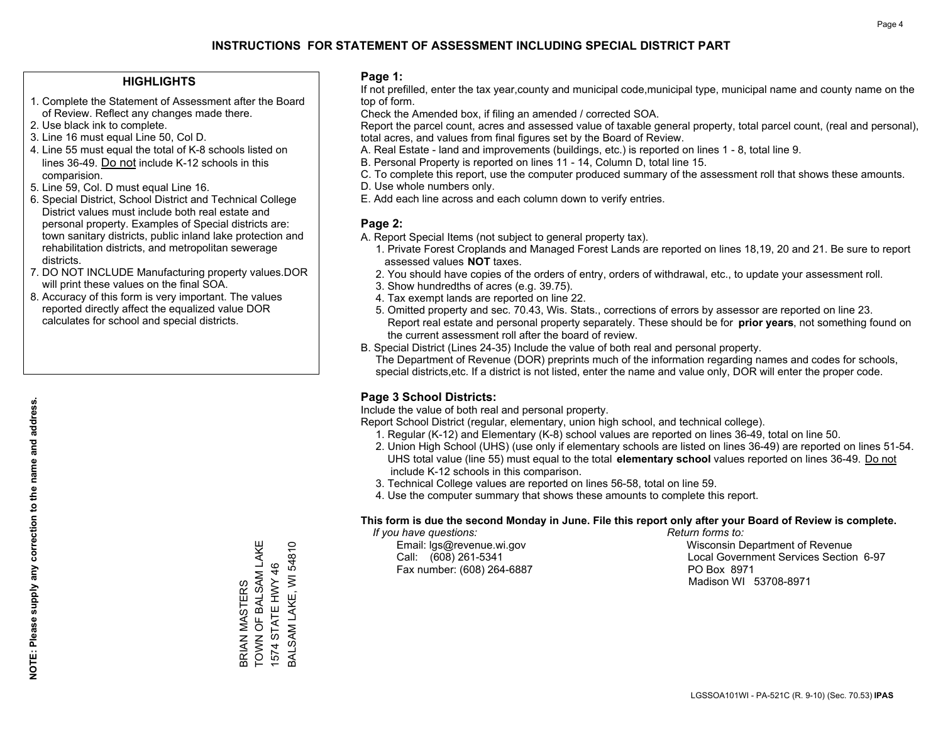### **HIGHLIGHTS**

- 1. Complete the Statement of Assessment after the Board of Review. Reflect any changes made there.
- 2. Use black ink to complete.
- 3. Line 16 must equal Line 50, Col D.
- 4. Line 55 must equal the total of K-8 schools listed on lines 36-49. Do not include K-12 schools in this comparision.
- 5. Line 59, Col. D must equal Line 16.
- 6. Special District, School District and Technical College District values must include both real estate and personal property. Examples of Special districts are: town sanitary districts, public inland lake protection and rehabilitation districts, and metropolitan sewerage districts.
- 7. DO NOT INCLUDE Manufacturing property values.DOR will print these values on the final SOA.

BRIAN MASTERS

TOWN OF BALSAM LAKE 1574 STATE HWY 46 BALSAM LAKE, WI 54810

BALSAM LAKE, WI 54810 1574 STATE HWY 46

BRIAN MASTERS<br>TOWN OF BALSAM LAKE

 8. Accuracy of this form is very important. The values reported directly affect the equalized value DOR calculates for school and special districts.

### **Page 1:**

 If not prefilled, enter the tax year,county and municipal code,municipal type, municipal name and county name on the top of form.

Check the Amended box, if filing an amended / corrected SOA.

 Report the parcel count, acres and assessed value of taxable general property, total parcel count, (real and personal), total acres, and values from final figures set by the Board of Review.

- A. Real Estate land and improvements (buildings, etc.) is reported on lines 1 8, total line 9.
- B. Personal Property is reported on lines 11 14, Column D, total line 15.
- C. To complete this report, use the computer produced summary of the assessment roll that shows these amounts.
- D. Use whole numbers only.
- E. Add each line across and each column down to verify entries.

### **Page 2:**

- A. Report Special Items (not subject to general property tax).
- 1. Private Forest Croplands and Managed Forest Lands are reported on lines 18,19, 20 and 21. Be sure to report assessed values **NOT** taxes.
- 2. You should have copies of the orders of entry, orders of withdrawal, etc., to update your assessment roll.
	- 3. Show hundredths of acres (e.g. 39.75).
- 4. Tax exempt lands are reported on line 22.
- 5. Omitted property and sec. 70.43, Wis. Stats., corrections of errors by assessor are reported on line 23. Report real estate and personal property separately. These should be for **prior years**, not something found on the current assessment roll after the board of review.
- B. Special District (Lines 24-35) Include the value of both real and personal property.
- The Department of Revenue (DOR) preprints much of the information regarding names and codes for schools, special districts,etc. If a district is not listed, enter the name and value only, DOR will enter the proper code.

### **Page 3 School Districts:**

Include the value of both real and personal property.

Report School District (regular, elementary, union high school, and technical college).

- 1. Regular (K-12) and Elementary (K-8) school values are reported on lines 36-49, total on line 50.
- 2. Union High School (UHS) (use only if elementary schools are listed on lines 36-49) are reported on lines 51-54. UHS total value (line 55) must equal to the total **elementary school** values reported on lines 36-49. Do notinclude K-12 schools in this comparison.
- 3. Technical College values are reported on lines 56-58, total on line 59.
- 4. Use the computer summary that shows these amounts to complete this report.

#### **This form is due the second Monday in June. File this report only after your Board of Review is complete.**

 *If you have questions: Return forms to:*

Fax number: (608) 264-6887 PO Box 8971

 Email: lgs@revenue.wi.gov Wisconsin Department of Revenue Call: (608) 261-5341 Local Government Services Section 6-97Madison WI 53708-8971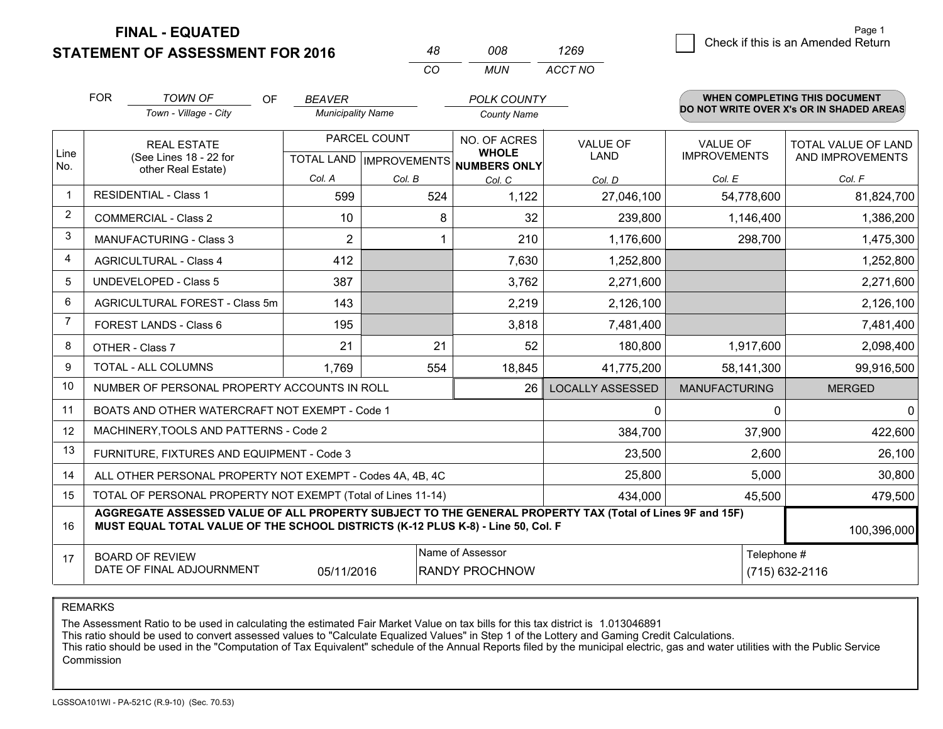**FINAL - EQUATED**

**STATEMENT OF ASSESSMENT FOR 2016** 

| Page 1                             |
|------------------------------------|
| Check if this is an Amended Return |
|                                    |

|                | <b>FOR</b>                                                                                                                                                                                                  | <b>TOWN OF</b><br>OF                                         | <b>BEAVER</b>            |                                      | <b>POLK COUNTY</b>  |                         |                      | <b>WHEN COMPLETING THIS DOCUMENT</b>     |
|----------------|-------------------------------------------------------------------------------------------------------------------------------------------------------------------------------------------------------------|--------------------------------------------------------------|--------------------------|--------------------------------------|---------------------|-------------------------|----------------------|------------------------------------------|
|                |                                                                                                                                                                                                             | Town - Village - City                                        | <b>Municipality Name</b> |                                      | <b>County Name</b>  |                         |                      | DO NOT WRITE OVER X's OR IN SHADED AREAS |
|                |                                                                                                                                                                                                             | <b>REAL ESTATE</b>                                           |                          | PARCEL COUNT                         | <b>NO. OF ACRES</b> | <b>VALUE OF</b>         | <b>VALUE OF</b>      | TOTAL VALUE OF LAND                      |
| Line<br>No.    |                                                                                                                                                                                                             | (See Lines 18 - 22 for<br>other Real Estate)                 |                          | TOTAL LAND IMPROVEMENTS NUMBERS ONLY | <b>WHOLE</b>        | <b>LAND</b>             | <b>IMPROVEMENTS</b>  | AND IMPROVEMENTS                         |
|                |                                                                                                                                                                                                             |                                                              | Col. A                   | Col. B                               | Col. C              | Col. D                  | Col. E               | Col. F                                   |
| $\mathbf 1$    |                                                                                                                                                                                                             | <b>RESIDENTIAL - Class 1</b>                                 | 599                      | 524                                  | 1,122               | 27,046,100              | 54,778,600           | 81,824,700                               |
| $\overline{2}$ |                                                                                                                                                                                                             | <b>COMMERCIAL - Class 2</b>                                  | 10                       | 8                                    | 32                  | 239,800                 | 1,146,400            | 1,386,200                                |
| 3              |                                                                                                                                                                                                             | <b>MANUFACTURING - Class 3</b>                               | 2                        |                                      | 210                 | 1,176,600               | 298,700              | 1,475,300                                |
| 4              |                                                                                                                                                                                                             | <b>AGRICULTURAL - Class 4</b>                                | 412                      |                                      | 7,630               | 1,252,800               |                      | 1,252,800                                |
| 5              |                                                                                                                                                                                                             | <b>UNDEVELOPED - Class 5</b>                                 | 387                      |                                      | 3,762               | 2,271,600               |                      | 2,271,600                                |
| 6              |                                                                                                                                                                                                             | AGRICULTURAL FOREST - Class 5m                               | 143                      |                                      | 2,219               | 2,126,100               |                      | 2,126,100                                |
| $\overline{7}$ |                                                                                                                                                                                                             | FOREST LANDS - Class 6                                       | 195                      |                                      | 3,818               | 7,481,400               |                      | 7,481,400                                |
| 8              |                                                                                                                                                                                                             | OTHER - Class 7                                              | 21                       | 21                                   | 52                  | 180,800                 | 1,917,600            | 2,098,400                                |
| 9              |                                                                                                                                                                                                             | TOTAL - ALL COLUMNS                                          | 1.769                    | 554                                  | 18,845              | 41,775,200              | 58,141,300           | 99,916,500                               |
| 10             |                                                                                                                                                                                                             | NUMBER OF PERSONAL PROPERTY ACCOUNTS IN ROLL                 |                          |                                      | 26                  | <b>LOCALLY ASSESSED</b> | <b>MANUFACTURING</b> | <b>MERGED</b>                            |
| 11             |                                                                                                                                                                                                             | BOATS AND OTHER WATERCRAFT NOT EXEMPT - Code 1               |                          |                                      |                     | 0                       | $\Omega$             | 0                                        |
| 12             |                                                                                                                                                                                                             | MACHINERY, TOOLS AND PATTERNS - Code 2                       |                          |                                      |                     | 384,700                 | 37,900               | 422,600                                  |
| 13             |                                                                                                                                                                                                             | FURNITURE, FIXTURES AND EQUIPMENT - Code 3                   |                          |                                      |                     | 23,500                  | 2,600                | 26,100                                   |
| 14             |                                                                                                                                                                                                             | ALL OTHER PERSONAL PROPERTY NOT EXEMPT - Codes 4A, 4B, 4C    |                          |                                      |                     | 25,800                  | 5,000                | 30,800                                   |
| 15             |                                                                                                                                                                                                             | TOTAL OF PERSONAL PROPERTY NOT EXEMPT (Total of Lines 11-14) |                          |                                      | 434,000             | 45,500                  | 479,500              |                                          |
| 16             | AGGREGATE ASSESSED VALUE OF ALL PROPERTY SUBJECT TO THE GENERAL PROPERTY TAX (Total of Lines 9F and 15F)<br>MUST EQUAL TOTAL VALUE OF THE SCHOOL DISTRICTS (K-12 PLUS K-8) - Line 50, Col. F<br>100,396,000 |                                                              |                          |                                      |                     |                         |                      |                                          |
| 17             |                                                                                                                                                                                                             | <b>BOARD OF REVIEW</b>                                       |                          |                                      | Name of Assessor    |                         | Telephone #          |                                          |
|                | DATE OF FINAL ADJOURNMENT<br>05/11/2016<br><b>RANDY PROCHNOW</b>                                                                                                                                            |                                                              |                          |                                      |                     | (715) 632-2116          |                      |                                          |

*CO*

*MUN*

*ACCT NO1269*

*<sup>48</sup> <sup>008</sup>*

REMARKS

The Assessment Ratio to be used in calculating the estimated Fair Market Value on tax bills for this tax district is 1.013046891<br>This ratio should be used to convert assessed values to "Calculate Equalized Values" in Step Commission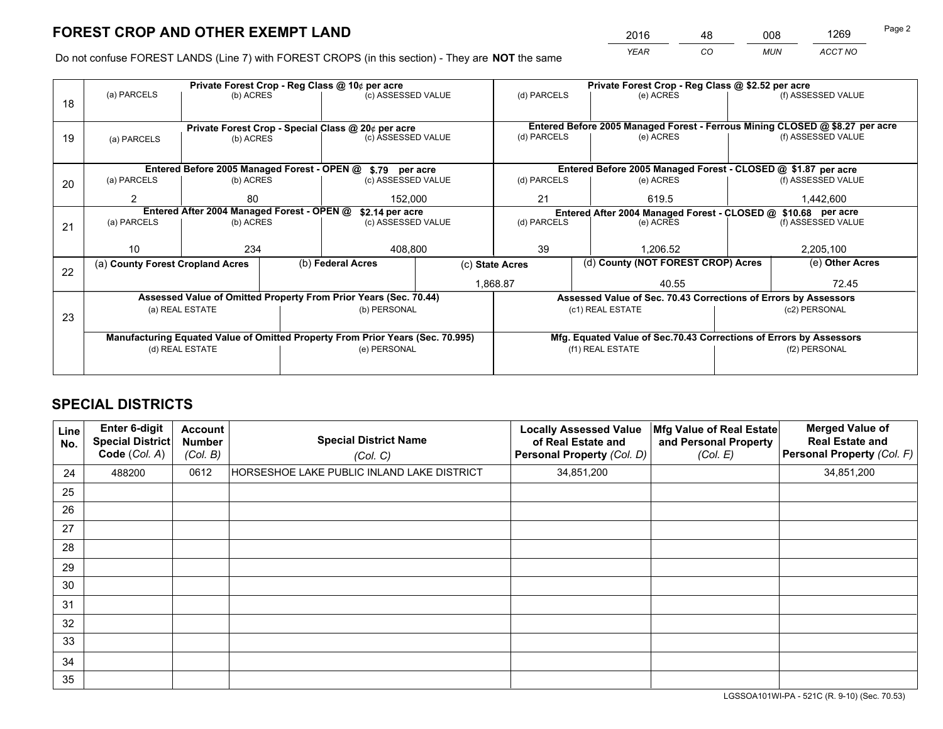*YEAR CO MUN ACCT NO* <sup>2016</sup> <sup>48</sup> <sup>008</sup> <sup>1269</sup>

Do not confuse FOREST LANDS (Line 7) with FOREST CROPS (in this section) - They are **NOT** the same

|    | Private Forest Crop - Reg Class @ 10¢ per acre                                 |                                            |  |                                                                  |                 | Private Forest Crop - Reg Class @ \$2.52 per acre                  |                                                                              |  |                    |  |
|----|--------------------------------------------------------------------------------|--------------------------------------------|--|------------------------------------------------------------------|-----------------|--------------------------------------------------------------------|------------------------------------------------------------------------------|--|--------------------|--|
| 18 | (a) PARCELS                                                                    | (b) ACRES                                  |  | (c) ASSESSED VALUE                                               |                 | (d) PARCELS                                                        | (e) ACRES                                                                    |  | (f) ASSESSED VALUE |  |
|    |                                                                                |                                            |  |                                                                  |                 |                                                                    |                                                                              |  |                    |  |
|    |                                                                                |                                            |  | Private Forest Crop - Special Class @ 20¢ per acre               |                 |                                                                    | Entered Before 2005 Managed Forest - Ferrous Mining CLOSED @ \$8.27 per acre |  |                    |  |
| 19 | (a) PARCELS                                                                    | (b) ACRES                                  |  | (c) ASSESSED VALUE                                               |                 | (d) PARCELS                                                        | (e) ACRES                                                                    |  | (f) ASSESSED VALUE |  |
|    |                                                                                |                                            |  |                                                                  |                 |                                                                    |                                                                              |  |                    |  |
|    |                                                                                |                                            |  | Entered Before 2005 Managed Forest - OPEN @ \$.79 per acre       |                 |                                                                    | Entered Before 2005 Managed Forest - CLOSED @ \$1.87 per acre                |  |                    |  |
| 20 | (a) PARCELS                                                                    | (b) ACRES                                  |  | (c) ASSESSED VALUE                                               |                 | (d) PARCELS                                                        | (e) ACRES                                                                    |  | (f) ASSESSED VALUE |  |
|    | 2                                                                              | 80                                         |  |                                                                  | 21<br>152.000   |                                                                    | 619.5                                                                        |  |                    |  |
|    |                                                                                | Entered After 2004 Managed Forest - OPEN @ |  | \$2.14 per acre                                                  |                 | Entered After 2004 Managed Forest - CLOSED @ \$10.68 per acre      |                                                                              |  |                    |  |
| 21 | (a) PARCELS                                                                    | (b) ACRES                                  |  | (c) ASSESSED VALUE                                               | (d) PARCELS     |                                                                    | (e) ACRES                                                                    |  |                    |  |
|    |                                                                                |                                            |  |                                                                  |                 |                                                                    |                                                                              |  |                    |  |
|    | 10 <sup>°</sup>                                                                | 234                                        |  | 408,800                                                          |                 | 39                                                                 | 1.206.52                                                                     |  |                    |  |
| 22 | (a) County Forest Cropland Acres                                               |                                            |  | (b) Federal Acres                                                | (c) State Acres |                                                                    | (d) County (NOT FOREST CROP) Acres                                           |  | (e) Other Acres    |  |
|    |                                                                                |                                            |  |                                                                  | 1,868.87        |                                                                    | 40.55                                                                        |  | 72.45              |  |
|    |                                                                                |                                            |  | Assessed Value of Omitted Property From Prior Years (Sec. 70.44) |                 |                                                                    | Assessed Value of Sec. 70.43 Corrections of Errors by Assessors              |  |                    |  |
| 23 |                                                                                | (a) REAL ESTATE                            |  | (b) PERSONAL                                                     |                 |                                                                    | (c1) REAL ESTATE                                                             |  | (c2) PERSONAL      |  |
|    |                                                                                |                                            |  |                                                                  |                 |                                                                    |                                                                              |  |                    |  |
|    | Manufacturing Equated Value of Omitted Property From Prior Years (Sec. 70.995) |                                            |  |                                                                  |                 | Mfg. Equated Value of Sec.70.43 Corrections of Errors by Assessors |                                                                              |  |                    |  |
|    | (d) REAL ESTATE                                                                |                                            |  | (e) PERSONAL                                                     |                 |                                                                    | (f1) REAL ESTATE                                                             |  | (f2) PERSONAL      |  |
|    |                                                                                |                                            |  |                                                                  |                 |                                                                    |                                                                              |  |                    |  |

# **SPECIAL DISTRICTS**

| Line<br>No. | <b>Enter 6-digit</b><br><b>Special District</b><br>Code (Col. A) | <b>Account</b><br><b>Number</b><br>(Col. B) | <b>Special District Name</b><br>(Col. C)   | <b>Locally Assessed Value</b><br>of Real Estate and<br>Personal Property (Col. D) | Mfg Value of Real Estate<br>and Personal Property<br>(Col. E) | <b>Merged Value of</b><br><b>Real Estate and</b><br>Personal Property (Col. F) |
|-------------|------------------------------------------------------------------|---------------------------------------------|--------------------------------------------|-----------------------------------------------------------------------------------|---------------------------------------------------------------|--------------------------------------------------------------------------------|
| 24          | 488200                                                           | 0612                                        | HORSESHOE LAKE PUBLIC INLAND LAKE DISTRICT | 34,851,200                                                                        |                                                               | 34,851,200                                                                     |
| 25          |                                                                  |                                             |                                            |                                                                                   |                                                               |                                                                                |
| 26          |                                                                  |                                             |                                            |                                                                                   |                                                               |                                                                                |
| 27          |                                                                  |                                             |                                            |                                                                                   |                                                               |                                                                                |
| 28          |                                                                  |                                             |                                            |                                                                                   |                                                               |                                                                                |
| 29          |                                                                  |                                             |                                            |                                                                                   |                                                               |                                                                                |
| 30          |                                                                  |                                             |                                            |                                                                                   |                                                               |                                                                                |
| 31          |                                                                  |                                             |                                            |                                                                                   |                                                               |                                                                                |
| 32          |                                                                  |                                             |                                            |                                                                                   |                                                               |                                                                                |
| 33          |                                                                  |                                             |                                            |                                                                                   |                                                               |                                                                                |
| 34          |                                                                  |                                             |                                            |                                                                                   |                                                               |                                                                                |
| 35          |                                                                  |                                             |                                            |                                                                                   |                                                               |                                                                                |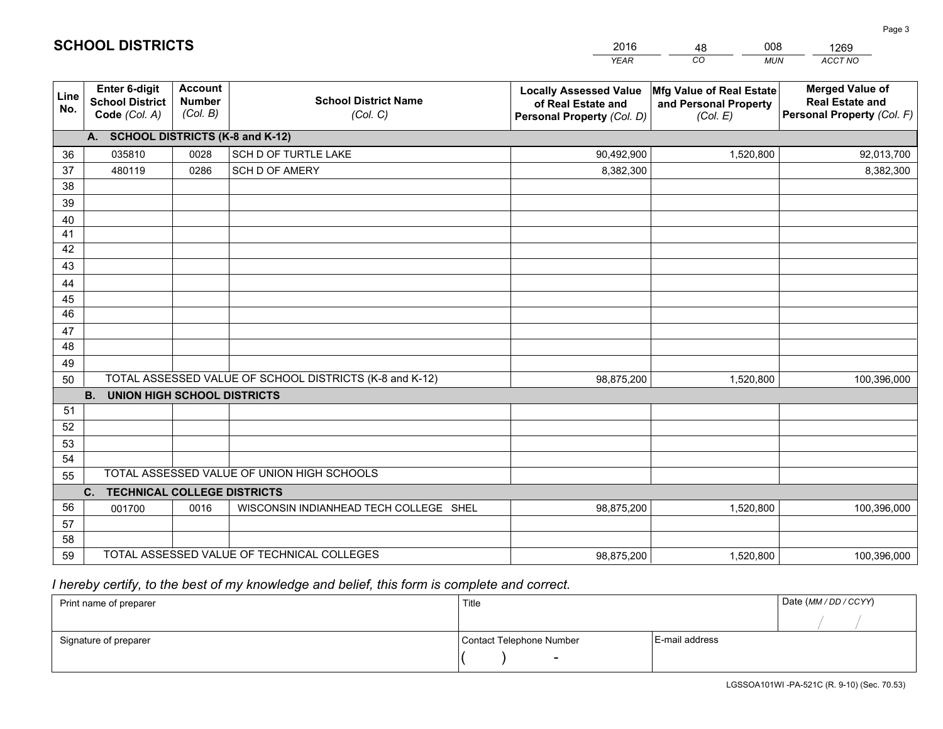|                       |                                                                 |                                             |                                                         | <b>YEAR</b>                                                                       | CO<br><b>MUN</b>                                              | ACCT NO                                                                        |
|-----------------------|-----------------------------------------------------------------|---------------------------------------------|---------------------------------------------------------|-----------------------------------------------------------------------------------|---------------------------------------------------------------|--------------------------------------------------------------------------------|
| Line<br>No.           | <b>Enter 6-digit</b><br><b>School District</b><br>Code (Col. A) | <b>Account</b><br><b>Number</b><br>(Col. B) | <b>School District Name</b><br>(Col. C)                 | <b>Locally Assessed Value</b><br>of Real Estate and<br>Personal Property (Col. D) | Mfg Value of Real Estate<br>and Personal Property<br>(Col. E) | <b>Merged Value of</b><br><b>Real Estate and</b><br>Personal Property (Col. F) |
|                       | A. SCHOOL DISTRICTS (K-8 and K-12)                              |                                             |                                                         |                                                                                   |                                                               |                                                                                |
| 36                    | 035810                                                          | 0028                                        | SCH D OF TURTLE LAKE                                    | 90,492,900                                                                        | 1,520,800                                                     | 92,013,700                                                                     |
| 37                    | 480119                                                          | 0286                                        | <b>SCH D OF AMERY</b>                                   | 8,382,300                                                                         |                                                               | 8,382,300                                                                      |
| 38                    |                                                                 |                                             |                                                         |                                                                                   |                                                               |                                                                                |
| 39                    |                                                                 |                                             |                                                         |                                                                                   |                                                               |                                                                                |
| 40                    |                                                                 |                                             |                                                         |                                                                                   |                                                               |                                                                                |
| 41                    |                                                                 |                                             |                                                         |                                                                                   |                                                               |                                                                                |
| 42                    |                                                                 |                                             |                                                         |                                                                                   |                                                               |                                                                                |
| 43                    |                                                                 |                                             |                                                         |                                                                                   |                                                               |                                                                                |
| 44                    |                                                                 |                                             |                                                         |                                                                                   |                                                               |                                                                                |
| 45<br>$\overline{46}$ |                                                                 |                                             |                                                         |                                                                                   |                                                               |                                                                                |
|                       |                                                                 |                                             |                                                         |                                                                                   |                                                               |                                                                                |
| 47<br>48              |                                                                 |                                             |                                                         |                                                                                   |                                                               |                                                                                |
| 49                    |                                                                 |                                             |                                                         |                                                                                   |                                                               |                                                                                |
| 50                    |                                                                 |                                             | TOTAL ASSESSED VALUE OF SCHOOL DISTRICTS (K-8 and K-12) | 98,875,200                                                                        | 1,520,800                                                     | 100,396,000                                                                    |
|                       | <b>B.</b><br><b>UNION HIGH SCHOOL DISTRICTS</b>                 |                                             |                                                         |                                                                                   |                                                               |                                                                                |
| 51                    |                                                                 |                                             |                                                         |                                                                                   |                                                               |                                                                                |
| 52                    |                                                                 |                                             |                                                         |                                                                                   |                                                               |                                                                                |
| 53                    |                                                                 |                                             |                                                         |                                                                                   |                                                               |                                                                                |
| 54                    |                                                                 |                                             |                                                         |                                                                                   |                                                               |                                                                                |
| 55                    |                                                                 |                                             | TOTAL ASSESSED VALUE OF UNION HIGH SCHOOLS              |                                                                                   |                                                               |                                                                                |
|                       | C.<br><b>TECHNICAL COLLEGE DISTRICTS</b>                        |                                             |                                                         |                                                                                   |                                                               |                                                                                |
| 56                    | 001700                                                          | 0016                                        | WISCONSIN INDIANHEAD TECH COLLEGE SHEL                  | 98,875,200                                                                        | 1,520,800                                                     | 100,396,000                                                                    |
| 57                    |                                                                 |                                             |                                                         |                                                                                   |                                                               |                                                                                |
| 58                    |                                                                 |                                             |                                                         |                                                                                   |                                                               |                                                                                |
| 59                    |                                                                 |                                             | TOTAL ASSESSED VALUE OF TECHNICAL COLLEGES              | 98,875,200                                                                        | 1,520,800                                                     | 100,396,000                                                                    |

48

008

 *I hereby certify, to the best of my knowledge and belief, this form is complete and correct.*

**SCHOOL DISTRICTS**

| Print name of preparer | Title                    | Date (MM / DD / CCYY) |  |
|------------------------|--------------------------|-----------------------|--|
|                        |                          |                       |  |
| Signature of preparer  | Contact Telephone Number | E-mail address        |  |
|                        |                          |                       |  |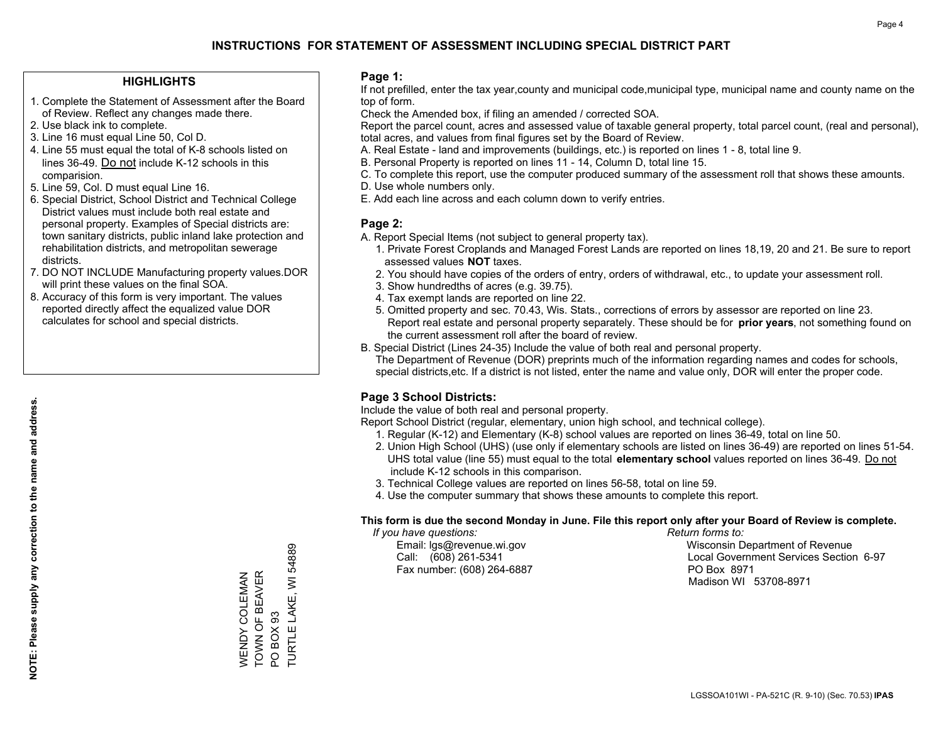### **HIGHLIGHTS**

- 1. Complete the Statement of Assessment after the Board of Review. Reflect any changes made there.
- 2. Use black ink to complete.
- 3. Line 16 must equal Line 50, Col D.
- 4. Line 55 must equal the total of K-8 schools listed on lines 36-49. Do not include K-12 schools in this comparision.
- 5. Line 59, Col. D must equal Line 16.
- 6. Special District, School District and Technical College District values must include both real estate and personal property. Examples of Special districts are: town sanitary districts, public inland lake protection and rehabilitation districts, and metropolitan sewerage districts.
- 7. DO NOT INCLUDE Manufacturing property values.DOR will print these values on the final SOA.
- 8. Accuracy of this form is very important. The values reported directly affect the equalized value DOR calculates for school and special districts.

### **Page 1:**

 If not prefilled, enter the tax year,county and municipal code,municipal type, municipal name and county name on the top of form.

Check the Amended box, if filing an amended / corrected SOA.

 Report the parcel count, acres and assessed value of taxable general property, total parcel count, (real and personal), total acres, and values from final figures set by the Board of Review.

- A. Real Estate land and improvements (buildings, etc.) is reported on lines 1 8, total line 9.
- B. Personal Property is reported on lines 11 14, Column D, total line 15.
- C. To complete this report, use the computer produced summary of the assessment roll that shows these amounts.
- D. Use whole numbers only.
- E. Add each line across and each column down to verify entries.

### **Page 2:**

- A. Report Special Items (not subject to general property tax).
- 1. Private Forest Croplands and Managed Forest Lands are reported on lines 18,19, 20 and 21. Be sure to report assessed values **NOT** taxes.
- 2. You should have copies of the orders of entry, orders of withdrawal, etc., to update your assessment roll.
	- 3. Show hundredths of acres (e.g. 39.75).
- 4. Tax exempt lands are reported on line 22.
- 5. Omitted property and sec. 70.43, Wis. Stats., corrections of errors by assessor are reported on line 23. Report real estate and personal property separately. These should be for **prior years**, not something found on the current assessment roll after the board of review.
- B. Special District (Lines 24-35) Include the value of both real and personal property.
- The Department of Revenue (DOR) preprints much of the information regarding names and codes for schools, special districts,etc. If a district is not listed, enter the name and value only, DOR will enter the proper code.

### **Page 3 School Districts:**

Include the value of both real and personal property.

Report School District (regular, elementary, union high school, and technical college).

- 1. Regular (K-12) and Elementary (K-8) school values are reported on lines 36-49, total on line 50.
- 2. Union High School (UHS) (use only if elementary schools are listed on lines 36-49) are reported on lines 51-54. UHS total value (line 55) must equal to the total **elementary school** values reported on lines 36-49. Do notinclude K-12 schools in this comparison.
- 3. Technical College values are reported on lines 56-58, total on line 59.
- 4. Use the computer summary that shows these amounts to complete this report.

#### **This form is due the second Monday in June. File this report only after your Board of Review is complete.**

 *If you have questions: Return forms to:*

Fax number: (608) 264-6887 PO Box 8971

 Email: lgs@revenue.wi.gov Wisconsin Department of Revenue Call: (608) 261-5341 Local Government Services Section 6-97Madison WI 53708-8971

54889 TURTLE LAKE, WI 54889 TOWN OF BEAVER WENDY COLEMAN<br>TOWN OF BEAVER WENDY COLEMAN TURTLE LAKE, WI PO BOX 93 PO BOX 93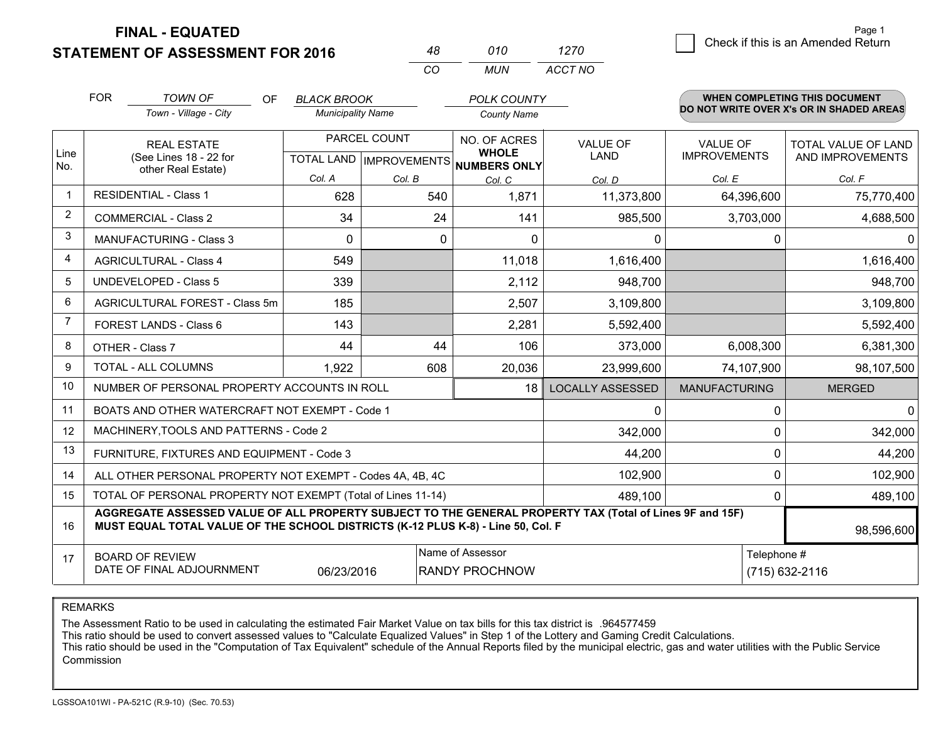**STATEMENT OF ASSESSMENT FOR 2016** 

**FINAL - EQUATED**

|   |                                    | Page 1 |
|---|------------------------------------|--------|
| 0 | Check if this is an Amended Return |        |

|                | <b>FOR</b>                                                                                                                                                                                                 | <b>TOWN OF</b><br>OF                                         | <b>BLACK BROOK</b>       |              | <b>POLK COUNTY</b>                                   |                         |                      | <b>WHEN COMPLETING THIS DOCUMENT</b>     |
|----------------|------------------------------------------------------------------------------------------------------------------------------------------------------------------------------------------------------------|--------------------------------------------------------------|--------------------------|--------------|------------------------------------------------------|-------------------------|----------------------|------------------------------------------|
|                |                                                                                                                                                                                                            | Town - Village - City                                        | <b>Municipality Name</b> |              | <b>County Name</b>                                   |                         |                      | DO NOT WRITE OVER X's OR IN SHADED AREAS |
|                |                                                                                                                                                                                                            | <b>REAL ESTATE</b>                                           |                          | PARCEL COUNT | NO. OF ACRES                                         | <b>VALUE OF</b>         | <b>VALUE OF</b>      | TOTAL VALUE OF LAND                      |
| Line<br>No.    |                                                                                                                                                                                                            | (See Lines 18 - 22 for<br>other Real Estate)                 |                          |              | <b>WHOLE</b><br>TOTAL LAND IMPROVEMENTS NUMBERS ONLY | <b>LAND</b>             | <b>IMPROVEMENTS</b>  | AND IMPROVEMENTS                         |
|                |                                                                                                                                                                                                            |                                                              | Col. A                   | Col. B       | Col. C                                               | Col. D                  | Col. E               | Col. F                                   |
| $\mathbf{1}$   |                                                                                                                                                                                                            | <b>RESIDENTIAL - Class 1</b>                                 | 628                      | 540          | 1,871                                                | 11,373,800              | 64,396,600           | 75,770,400                               |
| $\overline{2}$ |                                                                                                                                                                                                            | <b>COMMERCIAL - Class 2</b>                                  | 34                       | 24           | 141                                                  | 985,500                 | 3,703,000            | 4,688,500                                |
| 3              |                                                                                                                                                                                                            | <b>MANUFACTURING - Class 3</b>                               | $\Omega$                 | $\Omega$     | $\Omega$                                             | $\Omega$                | $\Omega$             | $\Omega$                                 |
| $\overline{4}$ |                                                                                                                                                                                                            | <b>AGRICULTURAL - Class 4</b>                                | 549                      |              | 11,018                                               | 1,616,400               |                      | 1,616,400                                |
| 5              |                                                                                                                                                                                                            | <b>UNDEVELOPED - Class 5</b>                                 | 339                      |              | 2,112                                                | 948,700                 |                      | 948,700                                  |
| 6              |                                                                                                                                                                                                            | AGRICULTURAL FOREST - Class 5m                               | 185                      |              | 2,507                                                | 3,109,800               |                      | 3,109,800                                |
| $\overline{7}$ |                                                                                                                                                                                                            | <b>FOREST LANDS - Class 6</b>                                | 143                      |              | 2,281                                                | 5,592,400               |                      | 5,592,400                                |
| 8              |                                                                                                                                                                                                            | OTHER - Class 7                                              | 44                       | 44           | 106                                                  | 373,000                 | 6,008,300            | 6,381,300                                |
| 9              |                                                                                                                                                                                                            | TOTAL - ALL COLUMNS                                          | 1,922                    | 608          | 20,036                                               | 23,999,600              | 74,107,900           | 98,107,500                               |
| 10             |                                                                                                                                                                                                            | NUMBER OF PERSONAL PROPERTY ACCOUNTS IN ROLL                 |                          |              | 18                                                   | <b>LOCALLY ASSESSED</b> | <b>MANUFACTURING</b> | <b>MERGED</b>                            |
| 11             |                                                                                                                                                                                                            | BOATS AND OTHER WATERCRAFT NOT EXEMPT - Code 1               |                          |              |                                                      | 0                       | $\mathbf 0$          | $\Omega$                                 |
| 12             |                                                                                                                                                                                                            | MACHINERY, TOOLS AND PATTERNS - Code 2                       |                          |              |                                                      | 342,000                 | $\mathbf 0$          | 342,000                                  |
| 13             |                                                                                                                                                                                                            | FURNITURE, FIXTURES AND EQUIPMENT - Code 3                   |                          |              |                                                      | 44,200                  | $\mathbf 0$          | 44,200                                   |
| 14             |                                                                                                                                                                                                            | ALL OTHER PERSONAL PROPERTY NOT EXEMPT - Codes 4A, 4B, 4C    |                          |              |                                                      | 102,900                 | $\mathbf{0}$         | 102,900                                  |
| 15             |                                                                                                                                                                                                            | TOTAL OF PERSONAL PROPERTY NOT EXEMPT (Total of Lines 11-14) |                          |              | 489,100                                              | 0                       | 489,100              |                                          |
| 16             | AGGREGATE ASSESSED VALUE OF ALL PROPERTY SUBJECT TO THE GENERAL PROPERTY TAX (Total of Lines 9F and 15F)<br>MUST EQUAL TOTAL VALUE OF THE SCHOOL DISTRICTS (K-12 PLUS K-8) - Line 50, Col. F<br>98,596,600 |                                                              |                          |              |                                                      |                         |                      |                                          |
| 17             |                                                                                                                                                                                                            | <b>BOARD OF REVIEW</b>                                       |                          |              | Name of Assessor                                     |                         | Telephone #          |                                          |
|                |                                                                                                                                                                                                            | DATE OF FINAL ADJOURNMENT                                    | 06/23/2016               |              | <b>RANDY PROCHNOW</b>                                |                         |                      | (715) 632-2116                           |

*CO*

*MUN*

*ACCT NO1270*

*<sup>48</sup> <sup>010</sup>*

REMARKS

The Assessment Ratio to be used in calculating the estimated Fair Market Value on tax bills for this tax district is .964577459<br>This ratio should be used to convert assessed values to "Calculate Equalized Values" in Step 1 Commission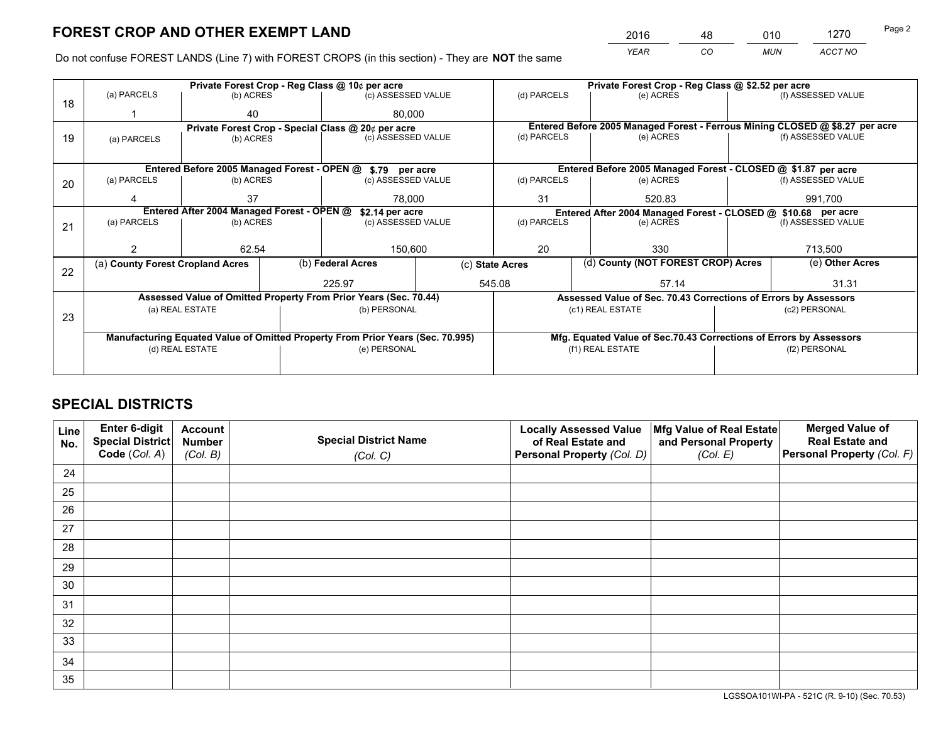*YEAR CO MUN ACCT NO* <sup>2016</sup> <sup>48</sup> <sup>010</sup> <sup>1270</sup>

Do not confuse FOREST LANDS (Line 7) with FOREST CROPS (in this section) - They are **NOT** the same

|    |                                                               |                 |                    | Private Forest Crop - Reg Class @ 10¢ per acre                                 |             |                                                               | Private Forest Crop - Reg Class @ \$2.52 per acre                            |                    |                    |  |
|----|---------------------------------------------------------------|-----------------|--------------------|--------------------------------------------------------------------------------|-------------|---------------------------------------------------------------|------------------------------------------------------------------------------|--------------------|--------------------|--|
| 18 | (a) PARCELS                                                   | (b) ACRES       |                    | (c) ASSESSED VALUE                                                             |             | (d) PARCELS                                                   | (e) ACRES                                                                    |                    | (f) ASSESSED VALUE |  |
|    |                                                               | 40              |                    | 80.000                                                                         |             |                                                               |                                                                              |                    |                    |  |
|    | Private Forest Crop - Special Class @ 20¢ per acre            |                 |                    |                                                                                |             |                                                               | Entered Before 2005 Managed Forest - Ferrous Mining CLOSED @ \$8.27 per acre |                    |                    |  |
| 19 | (a) PARCELS                                                   | (b) ACRES       |                    | (c) ASSESSED VALUE                                                             |             | (d) PARCELS                                                   | (e) ACRES                                                                    |                    | (f) ASSESSED VALUE |  |
|    |                                                               |                 |                    |                                                                                |             |                                                               |                                                                              |                    |                    |  |
|    |                                                               |                 |                    | Entered Before 2005 Managed Forest - OPEN @ \$.79 per acre                     |             |                                                               | Entered Before 2005 Managed Forest - CLOSED @ \$1.87 per acre                |                    |                    |  |
| 20 | (a) PARCELS<br>(b) ACRES                                      |                 | (c) ASSESSED VALUE |                                                                                | (d) PARCELS | (e) ACRES                                                     |                                                                              | (f) ASSESSED VALUE |                    |  |
|    |                                                               | 37              |                    | 78.000                                                                         |             | 31                                                            | 520.83                                                                       |                    | 991.700            |  |
|    | Entered After 2004 Managed Forest - OPEN @<br>\$2.14 per acre |                 |                    |                                                                                |             | Entered After 2004 Managed Forest - CLOSED @ \$10.68 per acre |                                                                              |                    |                    |  |
| 21 | (a) PARCELS                                                   | (b) ACRES       |                    | (c) ASSESSED VALUE                                                             |             | (d) PARCELS                                                   | (e) ACRES                                                                    |                    | (f) ASSESSED VALUE |  |
|    |                                                               |                 |                    |                                                                                |             |                                                               |                                                                              |                    |                    |  |
|    |                                                               | 62.54           |                    | 150,600                                                                        |             | 20                                                            | 330                                                                          |                    | 713,500            |  |
| 22 | (a) County Forest Cropland Acres                              |                 |                    | (b) Federal Acres                                                              |             | (d) County (NOT FOREST CROP) Acres<br>(c) State Acres         |                                                                              |                    | (e) Other Acres    |  |
|    |                                                               |                 |                    | 225.97                                                                         |             | 545.08<br>57.14                                               |                                                                              |                    | 31.31              |  |
|    |                                                               |                 |                    | Assessed Value of Omitted Property From Prior Years (Sec. 70.44)               |             |                                                               | Assessed Value of Sec. 70.43 Corrections of Errors by Assessors              |                    |                    |  |
|    |                                                               | (a) REAL ESTATE |                    | (b) PERSONAL                                                                   |             |                                                               | (c1) REAL ESTATE                                                             |                    | (c2) PERSONAL      |  |
| 23 |                                                               |                 |                    |                                                                                |             |                                                               |                                                                              |                    |                    |  |
|    |                                                               |                 |                    | Manufacturing Equated Value of Omitted Property From Prior Years (Sec. 70.995) |             |                                                               | Mfg. Equated Value of Sec.70.43 Corrections of Errors by Assessors           |                    |                    |  |
|    |                                                               | (d) REAL ESTATE |                    | (e) PERSONAL                                                                   |             |                                                               | (f1) REAL ESTATE                                                             |                    | (f2) PERSONAL      |  |
|    |                                                               |                 |                    |                                                                                |             |                                                               |                                                                              |                    |                    |  |

# **SPECIAL DISTRICTS**

| Line<br>No. | Enter 6-digit<br>Special District<br>Code (Col. A) | <b>Account</b><br><b>Number</b><br>(Col. B) | <b>Special District Name</b><br>(Col. C) | <b>Locally Assessed Value</b><br>of Real Estate and<br>Personal Property (Col. D) | Mfg Value of Real Estate<br>and Personal Property<br>(Col. E) | <b>Merged Value of</b><br><b>Real Estate and</b><br>Personal Property (Col. F) |
|-------------|----------------------------------------------------|---------------------------------------------|------------------------------------------|-----------------------------------------------------------------------------------|---------------------------------------------------------------|--------------------------------------------------------------------------------|
| 24          |                                                    |                                             |                                          |                                                                                   |                                                               |                                                                                |
| 25          |                                                    |                                             |                                          |                                                                                   |                                                               |                                                                                |
| 26          |                                                    |                                             |                                          |                                                                                   |                                                               |                                                                                |
| 27          |                                                    |                                             |                                          |                                                                                   |                                                               |                                                                                |
| 28          |                                                    |                                             |                                          |                                                                                   |                                                               |                                                                                |
| 29          |                                                    |                                             |                                          |                                                                                   |                                                               |                                                                                |
| 30          |                                                    |                                             |                                          |                                                                                   |                                                               |                                                                                |
| 31          |                                                    |                                             |                                          |                                                                                   |                                                               |                                                                                |
| 32          |                                                    |                                             |                                          |                                                                                   |                                                               |                                                                                |
| 33          |                                                    |                                             |                                          |                                                                                   |                                                               |                                                                                |
| 34          |                                                    |                                             |                                          |                                                                                   |                                                               |                                                                                |
| 35          |                                                    |                                             |                                          |                                                                                   |                                                               |                                                                                |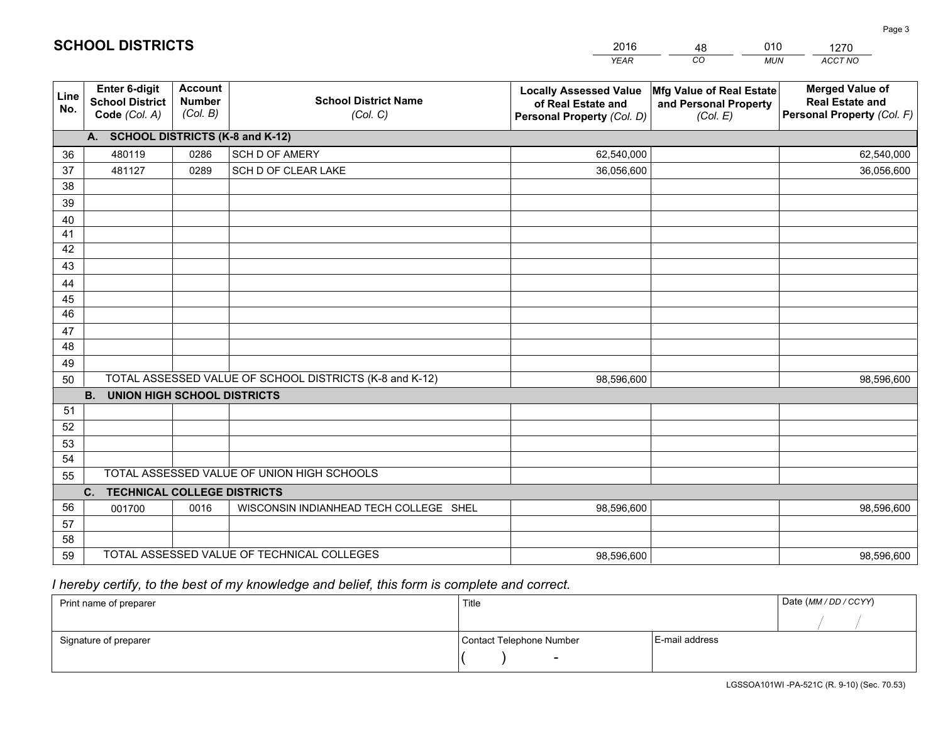|             |                                                          |                                             |                                                         | <b>YEAR</b>                                                                       | CO<br><b>MUN</b>                                              | ACCT NO                                                                        |
|-------------|----------------------------------------------------------|---------------------------------------------|---------------------------------------------------------|-----------------------------------------------------------------------------------|---------------------------------------------------------------|--------------------------------------------------------------------------------|
| Line<br>No. | Enter 6-digit<br><b>School District</b><br>Code (Col. A) | <b>Account</b><br><b>Number</b><br>(Col. B) | <b>School District Name</b><br>(Col. C)                 | <b>Locally Assessed Value</b><br>of Real Estate and<br>Personal Property (Col. D) | Mfg Value of Real Estate<br>and Personal Property<br>(Col. E) | <b>Merged Value of</b><br><b>Real Estate and</b><br>Personal Property (Col. F) |
|             | A. SCHOOL DISTRICTS (K-8 and K-12)                       |                                             |                                                         |                                                                                   |                                                               |                                                                                |
| 36          | 480119                                                   | 0286                                        | SCH D OF AMERY                                          | 62,540,000                                                                        |                                                               | 62,540,000                                                                     |
| 37          | 481127                                                   | 0289                                        | SCH D OF CLEAR LAKE                                     | 36,056,600                                                                        |                                                               | 36,056,600                                                                     |
| 38          |                                                          |                                             |                                                         |                                                                                   |                                                               |                                                                                |
| 39          |                                                          |                                             |                                                         |                                                                                   |                                                               |                                                                                |
| 40          |                                                          |                                             |                                                         |                                                                                   |                                                               |                                                                                |
| 41          |                                                          |                                             |                                                         |                                                                                   |                                                               |                                                                                |
| 42          |                                                          |                                             |                                                         |                                                                                   |                                                               |                                                                                |
| 43          |                                                          |                                             |                                                         |                                                                                   |                                                               |                                                                                |
| 44          |                                                          |                                             |                                                         |                                                                                   |                                                               |                                                                                |
| 45          |                                                          |                                             |                                                         |                                                                                   |                                                               |                                                                                |
| 46          |                                                          |                                             |                                                         |                                                                                   |                                                               |                                                                                |
| 47          |                                                          |                                             |                                                         |                                                                                   |                                                               |                                                                                |
| 48          |                                                          |                                             |                                                         |                                                                                   |                                                               |                                                                                |
| 49          |                                                          |                                             | TOTAL ASSESSED VALUE OF SCHOOL DISTRICTS (K-8 and K-12) |                                                                                   |                                                               |                                                                                |
| 50          | <b>B.</b><br><b>UNION HIGH SCHOOL DISTRICTS</b>          |                                             |                                                         | 98,596,600                                                                        |                                                               | 98,596,600                                                                     |
| 51          |                                                          |                                             |                                                         |                                                                                   |                                                               |                                                                                |
| 52          |                                                          |                                             |                                                         |                                                                                   |                                                               |                                                                                |
| 53          |                                                          |                                             |                                                         |                                                                                   |                                                               |                                                                                |
| 54          |                                                          |                                             |                                                         |                                                                                   |                                                               |                                                                                |
| 55          |                                                          |                                             | TOTAL ASSESSED VALUE OF UNION HIGH SCHOOLS              |                                                                                   |                                                               |                                                                                |
|             | C. TECHNICAL COLLEGE DISTRICTS                           |                                             |                                                         |                                                                                   |                                                               |                                                                                |
| 56          | 001700                                                   | 0016                                        | WISCONSIN INDIANHEAD TECH COLLEGE SHEL                  | 98,596,600                                                                        |                                                               | 98,596,600                                                                     |
| 57          |                                                          |                                             |                                                         |                                                                                   |                                                               |                                                                                |
| 58          |                                                          |                                             |                                                         |                                                                                   |                                                               |                                                                                |
| 59          |                                                          |                                             | TOTAL ASSESSED VALUE OF TECHNICAL COLLEGES              | 98,596,600                                                                        |                                                               | 98,596,600                                                                     |

48

010

 *I hereby certify, to the best of my knowledge and belief, this form is complete and correct.*

**SCHOOL DISTRICTS**

| Print name of preparer | Title                    |                | Date (MM / DD / CCYY) |
|------------------------|--------------------------|----------------|-----------------------|
|                        |                          |                |                       |
| Signature of preparer  | Contact Telephone Number | E-mail address |                       |
|                        | $\sim$                   |                |                       |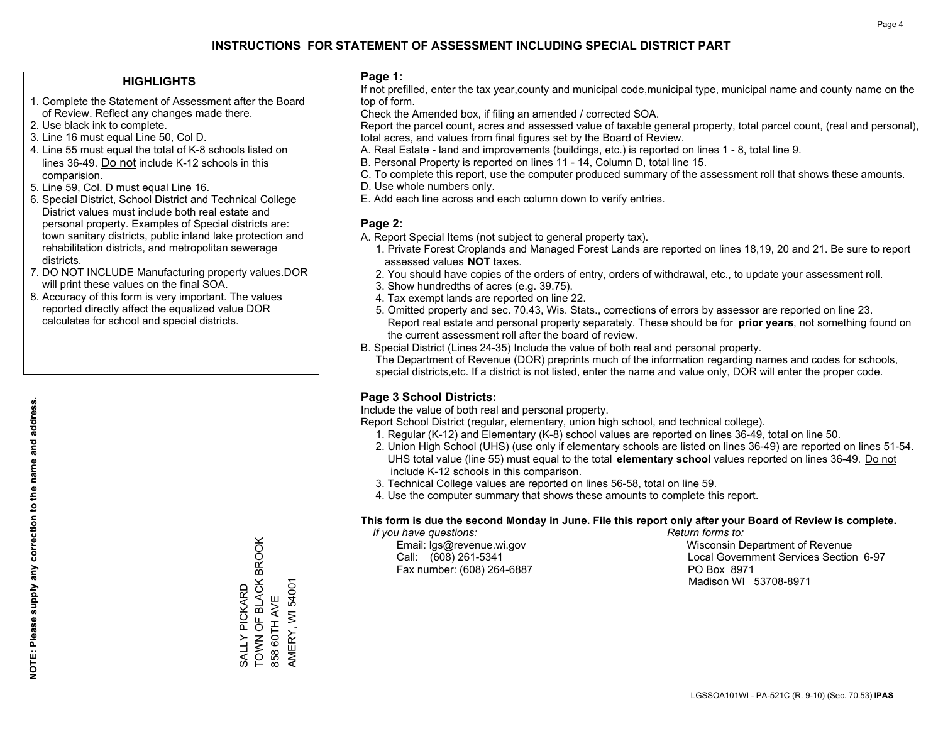### **HIGHLIGHTS**

- 1. Complete the Statement of Assessment after the Board of Review. Reflect any changes made there.
- 2. Use black ink to complete.
- 3. Line 16 must equal Line 50, Col D.
- 4. Line 55 must equal the total of K-8 schools listed on lines 36-49. Do not include K-12 schools in this comparision.
- 5. Line 59, Col. D must equal Line 16.
- 6. Special District, School District and Technical College District values must include both real estate and personal property. Examples of Special districts are: town sanitary districts, public inland lake protection and rehabilitation districts, and metropolitan sewerage districts.
- 7. DO NOT INCLUDE Manufacturing property values.DOR will print these values on the final SOA.
- 8. Accuracy of this form is very important. The values reported directly affect the equalized value DOR calculates for school and special districts.

### **Page 1:**

 If not prefilled, enter the tax year,county and municipal code,municipal type, municipal name and county name on the top of form.

Check the Amended box, if filing an amended / corrected SOA.

 Report the parcel count, acres and assessed value of taxable general property, total parcel count, (real and personal), total acres, and values from final figures set by the Board of Review.

- A. Real Estate land and improvements (buildings, etc.) is reported on lines 1 8, total line 9.
- B. Personal Property is reported on lines 11 14, Column D, total line 15.
- C. To complete this report, use the computer produced summary of the assessment roll that shows these amounts.
- D. Use whole numbers only.
- E. Add each line across and each column down to verify entries.

### **Page 2:**

- A. Report Special Items (not subject to general property tax).
- 1. Private Forest Croplands and Managed Forest Lands are reported on lines 18,19, 20 and 21. Be sure to report assessed values **NOT** taxes.
- 2. You should have copies of the orders of entry, orders of withdrawal, etc., to update your assessment roll.
	- 3. Show hundredths of acres (e.g. 39.75).
- 4. Tax exempt lands are reported on line 22.
- 5. Omitted property and sec. 70.43, Wis. Stats., corrections of errors by assessor are reported on line 23. Report real estate and personal property separately. These should be for **prior years**, not something found on the current assessment roll after the board of review.
- B. Special District (Lines 24-35) Include the value of both real and personal property.
- The Department of Revenue (DOR) preprints much of the information regarding names and codes for schools, special districts,etc. If a district is not listed, enter the name and value only, DOR will enter the proper code.

### **Page 3 School Districts:**

Include the value of both real and personal property.

Report School District (regular, elementary, union high school, and technical college).

- 1. Regular (K-12) and Elementary (K-8) school values are reported on lines 36-49, total on line 50.
- 2. Union High School (UHS) (use only if elementary schools are listed on lines 36-49) are reported on lines 51-54. UHS total value (line 55) must equal to the total **elementary school** values reported on lines 36-49. Do notinclude K-12 schools in this comparison.
- 3. Technical College values are reported on lines 56-58, total on line 59.
- 4. Use the computer summary that shows these amounts to complete this report.

#### **This form is due the second Monday in June. File this report only after your Board of Review is complete.**

 *If you have questions: Return forms to:*

Fax number: (608) 264-6887 PO Box 8971

 Email: lgs@revenue.wi.gov Wisconsin Department of Revenue Call: (608) 261-5341 Local Government Services Section 6-97Madison WI 53708-8971

**NOTE: Please supply any correction to the name and address.** NOTE: Please supply any correction to the name and address.

TOWN OF BLACK BROOK SALLY PICKARD<br>TOWN OF BLACK BROOK AMERY, WI 54001 AMERY, WI 54001 SALLY PICKARD 858 60TH AVE 858 60TH AVE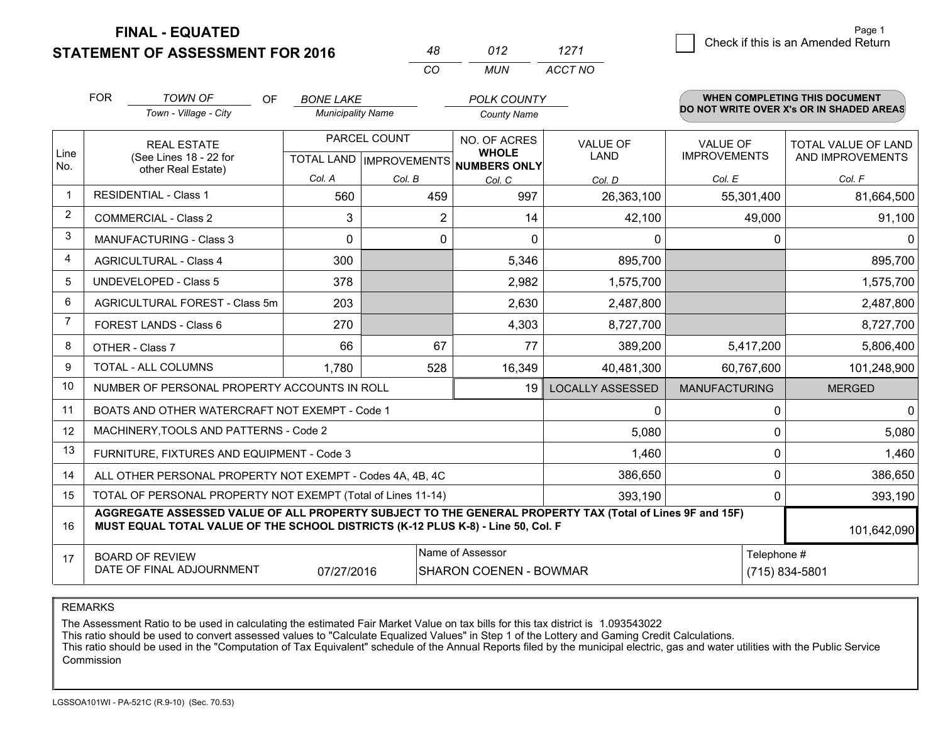**STATEMENT OF ASSESSMENT FOR 2016 FINAL - EQUATED**

 $\overline{a}$  Check if this is an Amended Return Page 1

#### *CO MUN TOWN OF ACCT NO*FOR *BONE LAKE Town - Village - City Municipality Name County Name POLK COUNTY*OF**WHEN COMPLETING THIS DOCUMENT DO NOT WRITE OVER X's OR IN SHADED AREAS**Line No. 12345678910AGRICULTURAL FOREST - Class 5mNO. OF ACRES **WHOLE NUMBERS ONLY**TOTAL VALUE OF LAND AND IMPROVEMENTSLOCALLY ASSESSEDD MANUFACTURING MERGED REAL ESTATE (See Lines 18 - 22 forother Real Estate)PARCEL COUNTTOTAL LAND | IMPROVEMENTS RESIDENTIAL - Class 1COMMERCIAL - Class 2MANUFACTURING - Class 3AGRICULTURAL - Class 4UNDEVELOPED - Class 5FOREST LANDS - Class 6OTHER - Class 7TOTAL - ALL COLUMNSNUMBER OF PERSONAL PROPERTY ACCOUNTS IN ROLL*Col. ACol. B Col. C*VALUE OFLAND*Col. D*26.363.100 VALUE OF IMPROVEMENTS*Col. E Col. F* <sup>560</sup> <sup>459</sup> <sup>997</sup> 26,363,100 55,301,400 81,664,500 3 2 14 42,100 49,000 91,100 300 5,346 5,346 895,700 895,700 895,700 378 2,982 1,575,700 1,575,700 1,575,700 <sup>203</sup> 2,630 2,487,800 2,487,800 270 4,303 8,727,700 8,727,700 8,727,700 66 67 77 389,200 5,417,200 5,806,400 1,780 528 528 56,349 40,481,300 60,767,600 101,248,900 19 $\begin{array}{ccccccc} 0 & & & 0 & & & 0 \end{array}$

*<sup>48</sup> <sup>012</sup>*

*1271*

| 10 | NUMBER OF PERSONAL PROPERTY ACCOUNTS IN ROLL                                                                                                                                                                | 19                                                | LOCALLY ASSESSED | <b>MANUFACTURING</b>          | <b>MERGED</b> |  |  |  |
|----|-------------------------------------------------------------------------------------------------------------------------------------------------------------------------------------------------------------|---------------------------------------------------|------------------|-------------------------------|---------------|--|--|--|
| 11 | BOATS AND OTHER WATERCRAFT NOT EXEMPT - Code 1                                                                                                                                                              |                                                   |                  |                               |               |  |  |  |
| 12 | MACHINERY, TOOLS AND PATTERNS - Code 2                                                                                                                                                                      | 5,080                                             |                  | 5,080                         |               |  |  |  |
| 13 | FURNITURE, FIXTURES AND EQUIPMENT - Code 3                                                                                                                                                                  | 1,460                                             |                  | 1,460                         |               |  |  |  |
| 14 | ALL OTHER PERSONAL PROPERTY NOT EXEMPT - Codes 4A, 4B, 4C                                                                                                                                                   | 386,650                                           |                  | 386,650                       |               |  |  |  |
| 15 | TOTAL OF PERSONAL PROPERTY NOT EXEMPT (Total of Lines 11-14)                                                                                                                                                |                                                   | 393,190          |                               | 393,190       |  |  |  |
| 16 | AGGREGATE ASSESSED VALUE OF ALL PROPERTY SUBJECT TO THE GENERAL PROPERTY TAX (Total of Lines 9F and 15F)<br>MUST EQUAL TOTAL VALUE OF THE SCHOOL DISTRICTS (K-12 PLUS K-8) - Line 50, Col. F<br>101,642,090 |                                                   |                  |                               |               |  |  |  |
| 17 | <b>BOARD OF REVIEW</b><br>DATE OF FINAL ADJOURNMENT<br>07/27/2016                                                                                                                                           | Name of Assessor<br><b>SHARON COENEN - BOWMAR</b> |                  | Telephone #<br>(715) 834-5801 |               |  |  |  |

REMARKS

The Assessment Ratio to be used in calculating the estimated Fair Market Value on tax bills for this tax district is 1.093543022

This ratio should be used to convert assessed values to "Calculate Equalized Values" in Step 1 of the Lottery and Gaming Credit Calculations.

 This ratio should be used in the "Computation of Tax Equivalent" schedule of the Annual Reports filed by the municipal electric, gas and water utilities with the Public Service Commission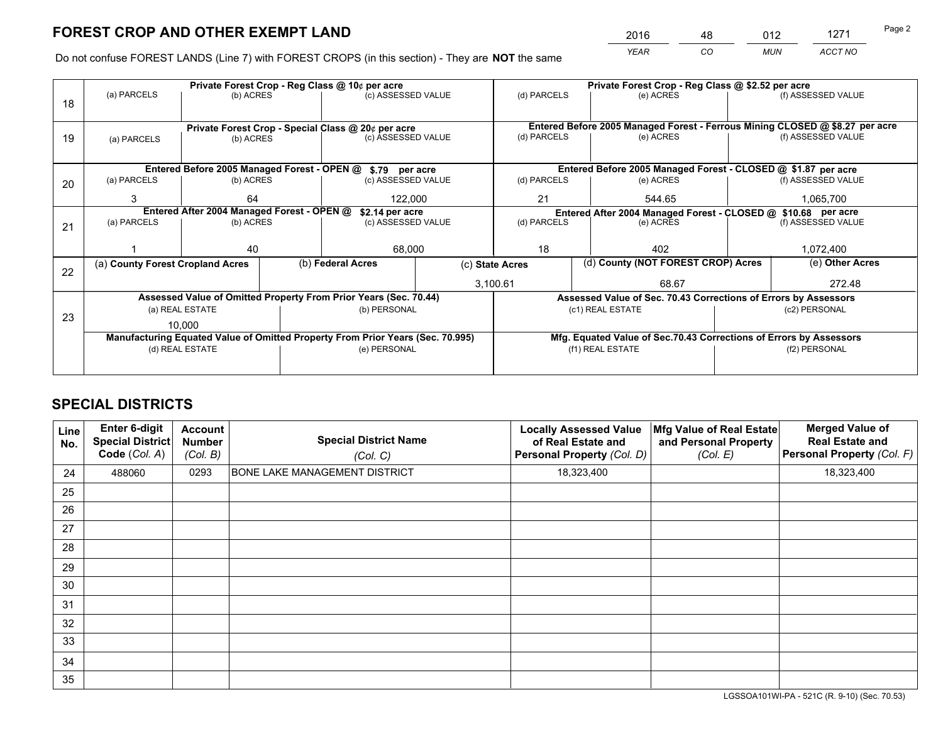*YEAR CO MUN ACCT NO* 2016 <u>48 012 1271</u>

Do not confuse FOREST LANDS (Line 7) with FOREST CROPS (in this section) - They are **NOT** the same

|    |                                                               |                                             |  | Private Forest Crop - Reg Class @ 10¢ per acre                                 |             |                 | Private Forest Crop - Reg Class @ \$2.52 per acre                            |           |                    |
|----|---------------------------------------------------------------|---------------------------------------------|--|--------------------------------------------------------------------------------|-------------|-----------------|------------------------------------------------------------------------------|-----------|--------------------|
| 18 | (a) PARCELS                                                   | (b) ACRES                                   |  | (c) ASSESSED VALUE                                                             |             | (d) PARCELS     | (e) ACRES                                                                    |           | (f) ASSESSED VALUE |
|    |                                                               |                                             |  |                                                                                |             |                 | Entered Before 2005 Managed Forest - Ferrous Mining CLOSED @ \$8.27 per acre |           |                    |
| 19 | (a) PARCELS                                                   | (b) ACRES                                   |  | Private Forest Crop - Special Class @ 20¢ per acre<br>(c) ASSESSED VALUE       |             | (d) PARCELS     | (e) ACRES                                                                    |           | (f) ASSESSED VALUE |
|    |                                                               |                                             |  |                                                                                |             |                 |                                                                              |           |                    |
|    |                                                               |                                             |  |                                                                                |             |                 |                                                                              |           |                    |
|    |                                                               | Entered Before 2005 Managed Forest - OPEN @ |  | \$.79 per acre                                                                 |             |                 | Entered Before 2005 Managed Forest - CLOSED @ \$1.87 per acre                |           |                    |
| 20 | (a) PARCELS                                                   | (b) ACRES                                   |  | (c) ASSESSED VALUE                                                             |             | (d) PARCELS     | (e) ACRES                                                                    |           | (f) ASSESSED VALUE |
|    | 3                                                             | 64                                          |  | 122.000                                                                        |             | 21              | 544.65                                                                       |           |                    |
|    | Entered After 2004 Managed Forest - OPEN @<br>\$2.14 per acre |                                             |  |                                                                                |             |                 | Entered After 2004 Managed Forest - CLOSED @ \$10.68 per acre                |           |                    |
| 21 | (a) PARCELS                                                   | (b) ACRES                                   |  | (c) ASSESSED VALUE                                                             | (d) PARCELS |                 | (e) ACRES                                                                    |           | (f) ASSESSED VALUE |
|    |                                                               |                                             |  |                                                                                |             |                 |                                                                              |           |                    |
|    |                                                               | 40                                          |  | 68,000                                                                         |             | 18<br>402       |                                                                              | 1,072,400 |                    |
| 22 | (a) County Forest Cropland Acres                              |                                             |  | (b) Federal Acres                                                              |             | (c) State Acres | (d) County (NOT FOREST CROP) Acres                                           |           | (e) Other Acres    |
|    |                                                               |                                             |  |                                                                                |             | 3,100.61        | 68.67                                                                        |           | 272.48             |
|    |                                                               |                                             |  | Assessed Value of Omitted Property From Prior Years (Sec. 70.44)               |             |                 | Assessed Value of Sec. 70.43 Corrections of Errors by Assessors              |           |                    |
|    |                                                               | (a) REAL ESTATE                             |  | (b) PERSONAL                                                                   |             |                 | (c1) REAL ESTATE                                                             |           | (c2) PERSONAL      |
| 23 |                                                               | 10.000                                      |  |                                                                                |             |                 |                                                                              |           |                    |
|    |                                                               |                                             |  | Manufacturing Equated Value of Omitted Property From Prior Years (Sec. 70.995) |             |                 | Mfg. Equated Value of Sec.70.43 Corrections of Errors by Assessors           |           |                    |
|    |                                                               | (d) REAL ESTATE                             |  | (e) PERSONAL                                                                   |             |                 | (f1) REAL ESTATE                                                             |           | (f2) PERSONAL      |
|    |                                                               |                                             |  |                                                                                |             |                 |                                                                              |           |                    |

# **SPECIAL DISTRICTS**

| <b>Line</b><br>No. | Enter 6-digit<br><b>Special District</b><br>Code (Col. A) | <b>Account</b><br><b>Number</b><br>(Col. B) | <b>Special District Name</b><br>(Col. C) | <b>Locally Assessed Value</b><br>of Real Estate and<br>Personal Property (Col. D) | Mfg Value of Real Estate<br>and Personal Property<br>(Col. E) | <b>Merged Value of</b><br><b>Real Estate and</b><br>Personal Property (Col. F) |
|--------------------|-----------------------------------------------------------|---------------------------------------------|------------------------------------------|-----------------------------------------------------------------------------------|---------------------------------------------------------------|--------------------------------------------------------------------------------|
| 24                 | 488060                                                    | 0293                                        | <b>BONE LAKE MANAGEMENT DISTRICT</b>     | 18,323,400                                                                        |                                                               | 18,323,400                                                                     |
| 25                 |                                                           |                                             |                                          |                                                                                   |                                                               |                                                                                |
| 26                 |                                                           |                                             |                                          |                                                                                   |                                                               |                                                                                |
| 27                 |                                                           |                                             |                                          |                                                                                   |                                                               |                                                                                |
| 28                 |                                                           |                                             |                                          |                                                                                   |                                                               |                                                                                |
| 29                 |                                                           |                                             |                                          |                                                                                   |                                                               |                                                                                |
| 30                 |                                                           |                                             |                                          |                                                                                   |                                                               |                                                                                |
| 31                 |                                                           |                                             |                                          |                                                                                   |                                                               |                                                                                |
| 32                 |                                                           |                                             |                                          |                                                                                   |                                                               |                                                                                |
| 33                 |                                                           |                                             |                                          |                                                                                   |                                                               |                                                                                |
| 34                 |                                                           |                                             |                                          |                                                                                   |                                                               |                                                                                |
| 35                 |                                                           |                                             |                                          |                                                                                   |                                                               |                                                                                |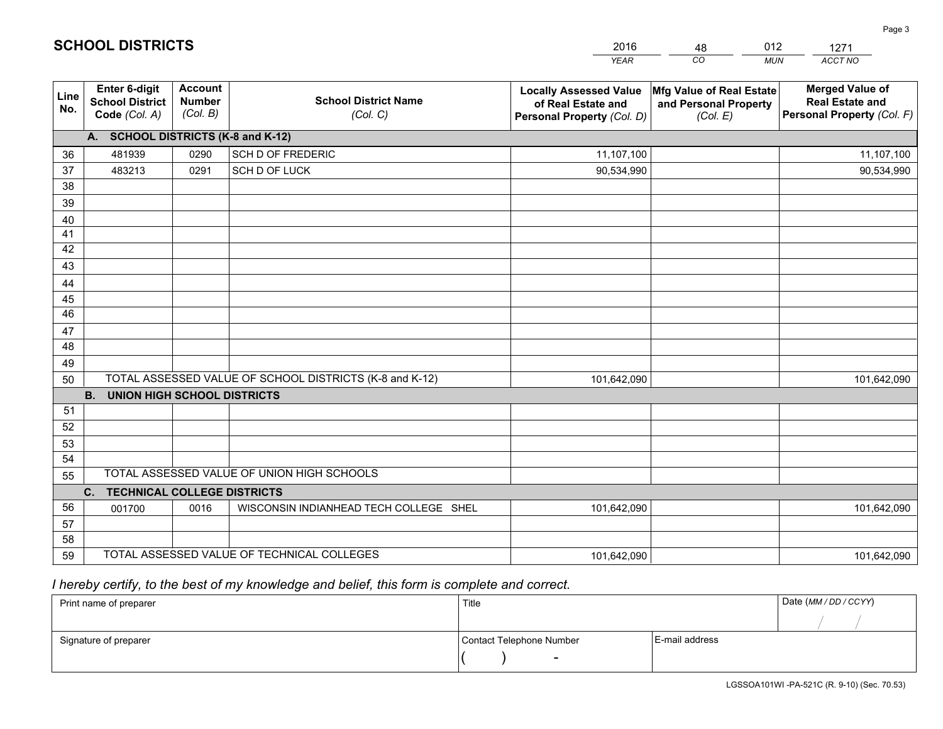|             |                                                                 |                                                                                        |                                                         | <b>YEAR</b>                                                                       | CO<br><b>MUN</b>                                              | ACCT NO                                                                        |
|-------------|-----------------------------------------------------------------|----------------------------------------------------------------------------------------|---------------------------------------------------------|-----------------------------------------------------------------------------------|---------------------------------------------------------------|--------------------------------------------------------------------------------|
| Line<br>No. | <b>Enter 6-digit</b><br><b>School District</b><br>Code (Col. A) | <b>Account</b><br><b>School District Name</b><br><b>Number</b><br>(Col. B)<br>(Col. C) |                                                         | <b>Locally Assessed Value</b><br>of Real Estate and<br>Personal Property (Col. D) | Mfg Value of Real Estate<br>and Personal Property<br>(Col. E) | <b>Merged Value of</b><br><b>Real Estate and</b><br>Personal Property (Col. F) |
|             | A. SCHOOL DISTRICTS (K-8 and K-12)                              |                                                                                        |                                                         |                                                                                   |                                                               |                                                                                |
| 36          | 481939                                                          | 0290                                                                                   | SCH D OF FREDERIC                                       | 11,107,100                                                                        |                                                               | 11,107,100                                                                     |
| 37          | 483213                                                          | 0291                                                                                   | SCH D OF LUCK                                           | 90,534,990                                                                        |                                                               | 90,534,990                                                                     |
| 38          |                                                                 |                                                                                        |                                                         |                                                                                   |                                                               |                                                                                |
| 39          |                                                                 |                                                                                        |                                                         |                                                                                   |                                                               |                                                                                |
| 40          |                                                                 |                                                                                        |                                                         |                                                                                   |                                                               |                                                                                |
| 41          |                                                                 |                                                                                        |                                                         |                                                                                   |                                                               |                                                                                |
| 42          |                                                                 |                                                                                        |                                                         |                                                                                   |                                                               |                                                                                |
| 43          |                                                                 |                                                                                        |                                                         |                                                                                   |                                                               |                                                                                |
| 44          |                                                                 |                                                                                        |                                                         |                                                                                   |                                                               |                                                                                |
| 45<br>46    |                                                                 |                                                                                        |                                                         |                                                                                   |                                                               |                                                                                |
|             |                                                                 |                                                                                        |                                                         |                                                                                   |                                                               |                                                                                |
| 47<br>48    |                                                                 |                                                                                        |                                                         |                                                                                   |                                                               |                                                                                |
| 49          |                                                                 |                                                                                        |                                                         |                                                                                   |                                                               |                                                                                |
| 50          |                                                                 |                                                                                        | TOTAL ASSESSED VALUE OF SCHOOL DISTRICTS (K-8 and K-12) | 101,642,090                                                                       |                                                               | 101,642,090                                                                    |
|             | <b>B.</b><br><b>UNION HIGH SCHOOL DISTRICTS</b>                 |                                                                                        |                                                         |                                                                                   |                                                               |                                                                                |
| 51          |                                                                 |                                                                                        |                                                         |                                                                                   |                                                               |                                                                                |
| 52          |                                                                 |                                                                                        |                                                         |                                                                                   |                                                               |                                                                                |
| 53          |                                                                 |                                                                                        |                                                         |                                                                                   |                                                               |                                                                                |
| 54          |                                                                 |                                                                                        |                                                         |                                                                                   |                                                               |                                                                                |
| 55          |                                                                 |                                                                                        | TOTAL ASSESSED VALUE OF UNION HIGH SCHOOLS              |                                                                                   |                                                               |                                                                                |
|             | <b>TECHNICAL COLLEGE DISTRICTS</b><br>C.                        |                                                                                        |                                                         |                                                                                   |                                                               |                                                                                |
| 56          | 001700                                                          | 0016                                                                                   | WISCONSIN INDIANHEAD TECH COLLEGE SHEL                  | 101,642,090                                                                       |                                                               | 101,642,090                                                                    |
| 57          |                                                                 |                                                                                        |                                                         |                                                                                   |                                                               |                                                                                |
| 58          |                                                                 |                                                                                        |                                                         |                                                                                   |                                                               |                                                                                |
| 59          |                                                                 |                                                                                        | TOTAL ASSESSED VALUE OF TECHNICAL COLLEGES              | 101,642,090                                                                       |                                                               | 101,642,090                                                                    |

48

012

# *I hereby certify, to the best of my knowledge and belief, this form is complete and correct.*

**SCHOOL DISTRICTS**

| Print name of preparer | Title                    |                | Date (MM / DD / CCYY) |
|------------------------|--------------------------|----------------|-----------------------|
|                        |                          |                |                       |
| Signature of preparer  | Contact Telephone Number | E-mail address |                       |
|                        | $\sim$                   |                |                       |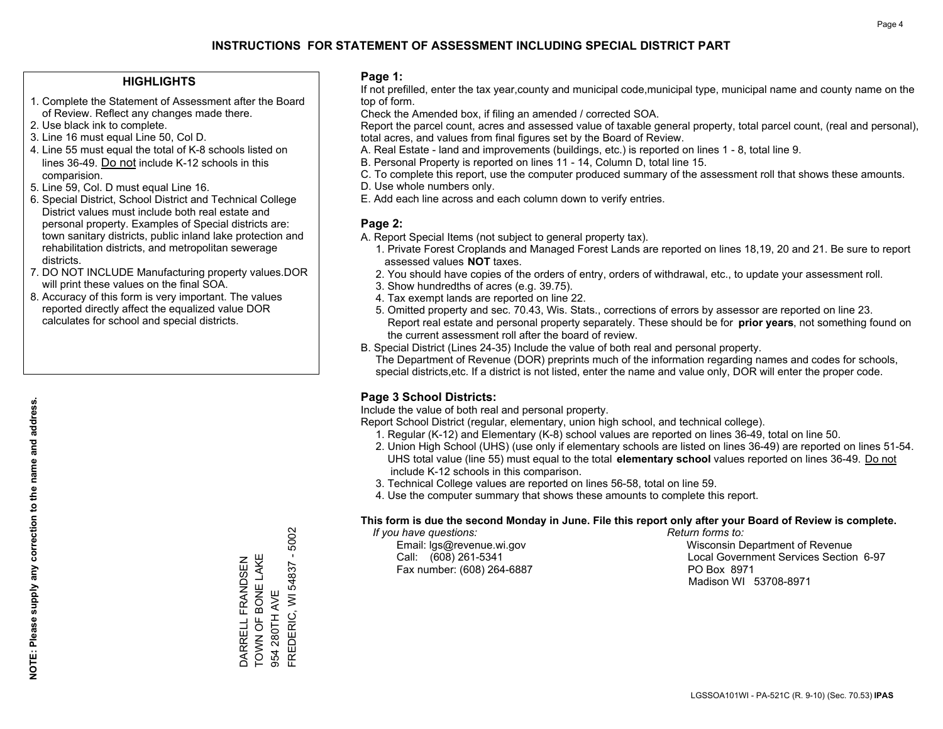### **HIGHLIGHTS**

- 1. Complete the Statement of Assessment after the Board of Review. Reflect any changes made there.
- 2. Use black ink to complete.
- 3. Line 16 must equal Line 50, Col D.
- 4. Line 55 must equal the total of K-8 schools listed on lines 36-49. Do not include K-12 schools in this comparision.
- 5. Line 59, Col. D must equal Line 16.
- 6. Special District, School District and Technical College District values must include both real estate and personal property. Examples of Special districts are: town sanitary districts, public inland lake protection and rehabilitation districts, and metropolitan sewerage districts.
- 7. DO NOT INCLUDE Manufacturing property values.DOR will print these values on the final SOA.

DARRELL FRANDSEN TOWN OF BONE LAKE

TOWN OF BONE LAKE DARRELL FRANDSEN

954 280TH AVE

FREDERIC, WI 54837 - 5002

FREDERIC, WI 54837 954 280TH AVE

5002  $\mathbf{I}$ 

 8. Accuracy of this form is very important. The values reported directly affect the equalized value DOR calculates for school and special districts.

#### **Page 1:**

 If not prefilled, enter the tax year,county and municipal code,municipal type, municipal name and county name on the top of form.

Check the Amended box, if filing an amended / corrected SOA.

 Report the parcel count, acres and assessed value of taxable general property, total parcel count, (real and personal), total acres, and values from final figures set by the Board of Review.

- A. Real Estate land and improvements (buildings, etc.) is reported on lines 1 8, total line 9.
- B. Personal Property is reported on lines 11 14, Column D, total line 15.
- C. To complete this report, use the computer produced summary of the assessment roll that shows these amounts.
- D. Use whole numbers only.
- E. Add each line across and each column down to verify entries.

### **Page 2:**

- A. Report Special Items (not subject to general property tax).
- 1. Private Forest Croplands and Managed Forest Lands are reported on lines 18,19, 20 and 21. Be sure to report assessed values **NOT** taxes.
- 2. You should have copies of the orders of entry, orders of withdrawal, etc., to update your assessment roll.
	- 3. Show hundredths of acres (e.g. 39.75).
- 4. Tax exempt lands are reported on line 22.
- 5. Omitted property and sec. 70.43, Wis. Stats., corrections of errors by assessor are reported on line 23. Report real estate and personal property separately. These should be for **prior years**, not something found on the current assessment roll after the board of review.
- B. Special District (Lines 24-35) Include the value of both real and personal property.
- The Department of Revenue (DOR) preprints much of the information regarding names and codes for schools, special districts,etc. If a district is not listed, enter the name and value only, DOR will enter the proper code.

## **Page 3 School Districts:**

Include the value of both real and personal property.

Report School District (regular, elementary, union high school, and technical college).

- 1. Regular (K-12) and Elementary (K-8) school values are reported on lines 36-49, total on line 50.
- 2. Union High School (UHS) (use only if elementary schools are listed on lines 36-49) are reported on lines 51-54. UHS total value (line 55) must equal to the total **elementary school** values reported on lines 36-49. Do notinclude K-12 schools in this comparison.
- 3. Technical College values are reported on lines 56-58, total on line 59.
- 4. Use the computer summary that shows these amounts to complete this report.

#### **This form is due the second Monday in June. File this report only after your Board of Review is complete.**

 *If you have questions: Return forms to:*

Fax number: (608) 264-6887 PO Box 8971

 Email: lgs@revenue.wi.gov Wisconsin Department of Revenue Call: (608) 261-5341 Local Government Services Section 6-97Madison WI 53708-8971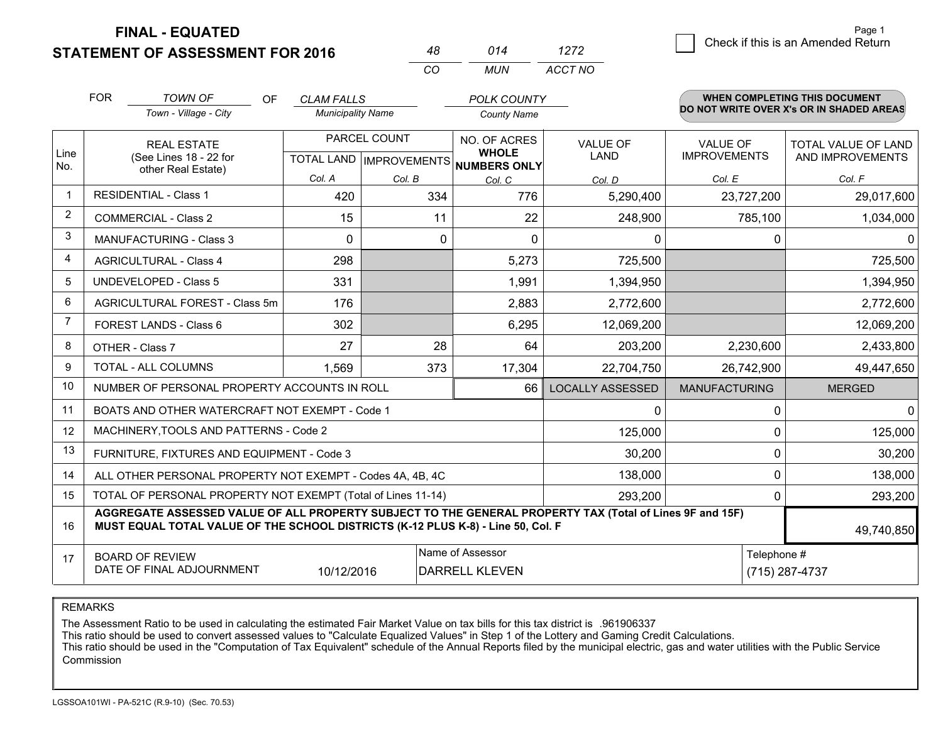**FINAL - EQUATED**

**STATEMENT OF ASSESSMENT FOR 2016** 

| 48 | 014 | 1272        | .<br>$\vert$ $\vert$ Check if this is an Amended Return |
|----|-----|-------------|---------------------------------------------------------|
| CO |     | MUN ACCT NO |                                                         |

|             | <b>FOR</b><br><b>TOWN OF</b><br>OF.<br>Town - Village - City                                                           |                                                                                                                                                                                              | <b>CLAM FALLS</b><br><b>Municipality Name</b>       |          | <b>POLK COUNTY</b><br><b>County Name</b> |                                |                                        | <b>WHEN COMPLETING THIS DOCUMENT</b><br>DO NOT WRITE OVER X's OR IN SHADED AREAS |
|-------------|------------------------------------------------------------------------------------------------------------------------|----------------------------------------------------------------------------------------------------------------------------------------------------------------------------------------------|-----------------------------------------------------|----------|------------------------------------------|--------------------------------|----------------------------------------|----------------------------------------------------------------------------------|
| Line<br>No. |                                                                                                                        | <b>REAL ESTATE</b><br>(See Lines 18 - 22 for<br>other Real Estate)                                                                                                                           | PARCEL COUNT<br>TOTAL LAND MPROVEMENTS NUMBERS ONLY |          | NO. OF ACRES<br><b>WHOLE</b>             | <b>VALUE OF</b><br><b>LAND</b> | <b>VALUE OF</b><br><b>IMPROVEMENTS</b> | <b>TOTAL VALUE OF LAND</b><br>AND IMPROVEMENTS                                   |
|             |                                                                                                                        |                                                                                                                                                                                              | Col. A                                              | Col. B   | Col. C                                   | Col. D                         | Col. E                                 | Col. F                                                                           |
|             |                                                                                                                        | <b>RESIDENTIAL - Class 1</b>                                                                                                                                                                 | 420                                                 | 334      | 776                                      | 5,290,400                      | 23,727,200                             | 29,017,600                                                                       |
| 2           |                                                                                                                        | <b>COMMERCIAL - Class 2</b>                                                                                                                                                                  | 15                                                  | 11       | 22                                       | 248,900                        | 785,100                                | 1,034,000                                                                        |
| 3           |                                                                                                                        | <b>MANUFACTURING - Class 3</b>                                                                                                                                                               | $\Omega$                                            | $\Omega$ | $\Omega$                                 | 0                              | $\Omega$                               | $\Omega$                                                                         |
| 4           |                                                                                                                        | <b>AGRICULTURAL - Class 4</b>                                                                                                                                                                | 298                                                 |          | 5,273                                    | 725,500                        |                                        | 725,500                                                                          |
| 5           |                                                                                                                        | <b>UNDEVELOPED - Class 5</b>                                                                                                                                                                 | 331                                                 |          | 1,991                                    | 1,394,950                      |                                        | 1,394,950                                                                        |
| 6           |                                                                                                                        | AGRICULTURAL FOREST - Class 5m                                                                                                                                                               | 176                                                 |          | 2,883                                    | 2,772,600                      |                                        | 2,772,600                                                                        |
| 7           |                                                                                                                        | FOREST LANDS - Class 6                                                                                                                                                                       | 302                                                 |          | 6,295                                    | 12,069,200                     |                                        | 12,069,200                                                                       |
| 8           |                                                                                                                        | OTHER - Class 7                                                                                                                                                                              | 27                                                  | 28       | 64                                       | 203,200                        | 2,230,600                              | 2,433,800                                                                        |
| 9           |                                                                                                                        | TOTAL - ALL COLUMNS                                                                                                                                                                          | 1,569                                               | 373      | 17,304                                   | 22,704,750                     | 26,742,900                             | 49,447,650                                                                       |
| 10          |                                                                                                                        | NUMBER OF PERSONAL PROPERTY ACCOUNTS IN ROLL                                                                                                                                                 |                                                     |          | 66                                       | <b>LOCALLY ASSESSED</b>        | <b>MANUFACTURING</b>                   | <b>MERGED</b>                                                                    |
| 11          |                                                                                                                        | BOATS AND OTHER WATERCRAFT NOT EXEMPT - Code 1                                                                                                                                               |                                                     |          |                                          | $\Omega$                       | $\Omega$                               | $\mathbf{0}$                                                                     |
| 12          |                                                                                                                        | MACHINERY, TOOLS AND PATTERNS - Code 2                                                                                                                                                       |                                                     |          |                                          | 125,000                        | 0                                      | 125,000                                                                          |
| 13          |                                                                                                                        | FURNITURE, FIXTURES AND EQUIPMENT - Code 3                                                                                                                                                   |                                                     |          |                                          | 30,200                         | 0                                      | 30,200                                                                           |
| 14          |                                                                                                                        | ALL OTHER PERSONAL PROPERTY NOT EXEMPT - Codes 4A, 4B, 4C                                                                                                                                    |                                                     |          |                                          | 138,000                        | $\Omega$                               | 138,000                                                                          |
| 15          |                                                                                                                        | TOTAL OF PERSONAL PROPERTY NOT EXEMPT (Total of Lines 11-14)                                                                                                                                 |                                                     |          |                                          | 293,200                        | $\Omega$                               | 293,200                                                                          |
| 16          |                                                                                                                        | AGGREGATE ASSESSED VALUE OF ALL PROPERTY SUBJECT TO THE GENERAL PROPERTY TAX (Total of Lines 9F and 15F)<br>MUST EQUAL TOTAL VALUE OF THE SCHOOL DISTRICTS (K-12 PLUS K-8) - Line 50, Col. F |                                                     |          |                                          |                                |                                        | 49,740,850                                                                       |
| 17          | Name of Assessor<br>Telephone #<br><b>BOARD OF REVIEW</b><br>DATE OF FINAL ADJOURNMENT<br>DARRELL KLEVEN<br>10/12/2016 |                                                                                                                                                                                              |                                                     |          |                                          |                                |                                        | (715) 287-4737                                                                   |

*CO*

REMARKS

The Assessment Ratio to be used in calculating the estimated Fair Market Value on tax bills for this tax district is .961906337<br>This ratio should be used to convert assessed values to "Calculate Equalized Values" in Step 1 Commission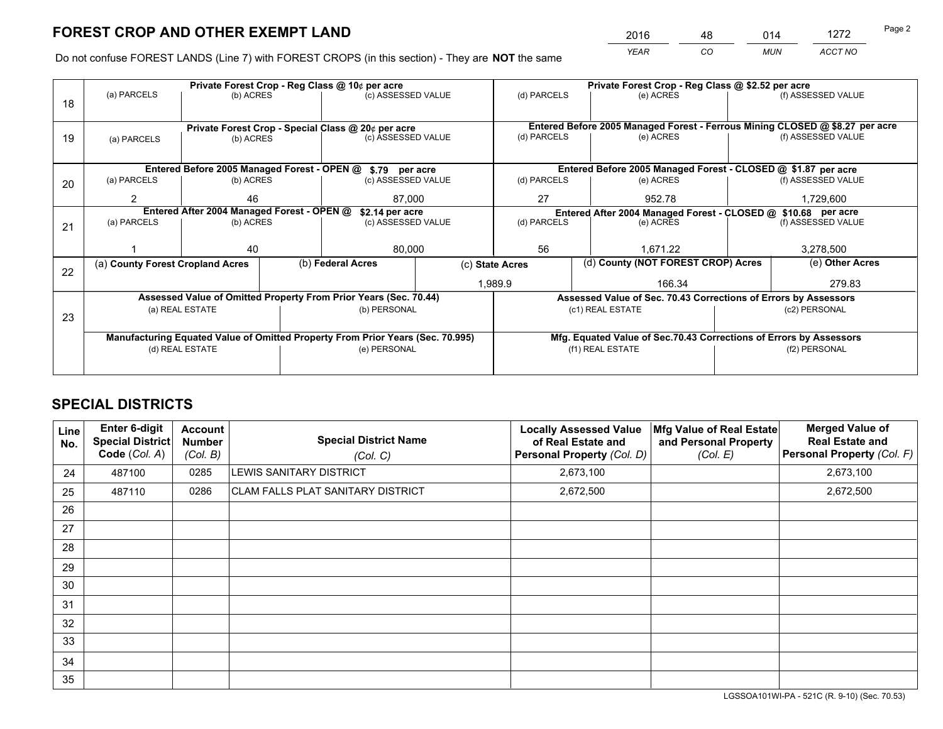*YEAR CO MUN ACCT NO* 2016 <u>48 014 1272</u>

Do not confuse FOREST LANDS (Line 7) with FOREST CROPS (in this section) - They are **NOT** the same

|    |                                                               |                                 |  | Private Forest Crop - Reg Class @ 10¢ per acre                                 |                 |                                                                              | Private Forest Crop - Reg Class @ \$2.52 per acre                  |                    |                    |
|----|---------------------------------------------------------------|---------------------------------|--|--------------------------------------------------------------------------------|-----------------|------------------------------------------------------------------------------|--------------------------------------------------------------------|--------------------|--------------------|
| 18 | (a) PARCELS                                                   | (b) ACRES                       |  | (c) ASSESSED VALUE                                                             |                 | (d) PARCELS                                                                  | (e) ACRES                                                          |                    | (f) ASSESSED VALUE |
|    |                                                               |                                 |  |                                                                                |                 |                                                                              |                                                                    |                    |                    |
|    |                                                               |                                 |  | Private Forest Crop - Special Class @ 20¢ per acre                             |                 | Entered Before 2005 Managed Forest - Ferrous Mining CLOSED @ \$8.27 per acre |                                                                    |                    |                    |
| 19 | (a) PARCELS                                                   | (c) ASSESSED VALUE<br>(b) ACRES |  |                                                                                | (d) PARCELS     | (e) ACRES                                                                    |                                                                    | (f) ASSESSED VALUE |                    |
|    |                                                               |                                 |  |                                                                                |                 |                                                                              |                                                                    |                    |                    |
|    |                                                               |                                 |  | Entered Before 2005 Managed Forest - OPEN @ \$.79 per acre                     |                 |                                                                              | Entered Before 2005 Managed Forest - CLOSED @ \$1.87 per acre      |                    |                    |
| 20 | (a) PARCELS                                                   | (b) ACRES                       |  | (c) ASSESSED VALUE                                                             |                 | (d) PARCELS                                                                  | (e) ACRES                                                          |                    | (f) ASSESSED VALUE |
|    | 2                                                             | 46                              |  | 87.000                                                                         |                 | 27<br>952.78                                                                 |                                                                    | 1,729,600          |                    |
|    | Entered After 2004 Managed Forest - OPEN @<br>\$2.14 per acre |                                 |  |                                                                                |                 |                                                                              | Entered After 2004 Managed Forest - CLOSED @ \$10.68 per acre      |                    | (f) ASSESSED VALUE |
| 21 | (a) PARCELS                                                   | (b) ACRES                       |  | (c) ASSESSED VALUE                                                             | (d) PARCELS     |                                                                              | (e) ACRES                                                          |                    |                    |
|    |                                                               |                                 |  |                                                                                |                 |                                                                              |                                                                    |                    |                    |
|    |                                                               | 40                              |  | 80,000                                                                         |                 | 56<br>1.671.22                                                               |                                                                    | 3,278,500          |                    |
| 22 | (a) County Forest Cropland Acres                              |                                 |  | (b) Federal Acres                                                              | (c) State Acres |                                                                              | (d) County (NOT FOREST CROP) Acres                                 |                    | (e) Other Acres    |
|    |                                                               |                                 |  |                                                                                |                 | 1,989.9<br>166.34                                                            |                                                                    |                    | 279.83             |
|    |                                                               |                                 |  | Assessed Value of Omitted Property From Prior Years (Sec. 70.44)               |                 |                                                                              | Assessed Value of Sec. 70.43 Corrections of Errors by Assessors    |                    |                    |
| 23 |                                                               | (a) REAL ESTATE                 |  | (b) PERSONAL                                                                   |                 |                                                                              | (c1) REAL ESTATE                                                   |                    | (c2) PERSONAL      |
|    |                                                               |                                 |  |                                                                                |                 |                                                                              |                                                                    |                    |                    |
|    |                                                               |                                 |  | Manufacturing Equated Value of Omitted Property From Prior Years (Sec. 70.995) |                 |                                                                              | Mfg. Equated Value of Sec.70.43 Corrections of Errors by Assessors |                    |                    |
|    | (d) REAL ESTATE                                               |                                 |  | (e) PERSONAL                                                                   |                 |                                                                              | (f1) REAL ESTATE                                                   |                    | (f2) PERSONAL      |
|    |                                                               |                                 |  |                                                                                |                 |                                                                              |                                                                    |                    |                    |

# **SPECIAL DISTRICTS**

| Line<br>No. | <b>Enter 6-digit</b><br>Special District<br>Code (Col. A) | Account<br><b>Number</b><br>(Col. B) | <b>Special District Name</b><br>(Col. C) | <b>Locally Assessed Value</b><br>of Real Estate and<br><b>Personal Property (Col. D)</b> | Mfg Value of Real Estate<br>and Personal Property<br>(Col. E) | <b>Merged Value of</b><br><b>Real Estate and</b><br>Personal Property (Col. F) |
|-------------|-----------------------------------------------------------|--------------------------------------|------------------------------------------|------------------------------------------------------------------------------------------|---------------------------------------------------------------|--------------------------------------------------------------------------------|
| 24          | 487100                                                    | 0285                                 | LEWIS SANITARY DISTRICT                  | 2,673,100                                                                                |                                                               | 2,673,100                                                                      |
| 25          | 487110                                                    | 0286                                 | <b>CLAM FALLS PLAT SANITARY DISTRICT</b> | 2,672,500                                                                                |                                                               | 2,672,500                                                                      |
| 26          |                                                           |                                      |                                          |                                                                                          |                                                               |                                                                                |
| 27          |                                                           |                                      |                                          |                                                                                          |                                                               |                                                                                |
| 28          |                                                           |                                      |                                          |                                                                                          |                                                               |                                                                                |
| 29          |                                                           |                                      |                                          |                                                                                          |                                                               |                                                                                |
| 30          |                                                           |                                      |                                          |                                                                                          |                                                               |                                                                                |
| 31          |                                                           |                                      |                                          |                                                                                          |                                                               |                                                                                |
| 32          |                                                           |                                      |                                          |                                                                                          |                                                               |                                                                                |
| 33          |                                                           |                                      |                                          |                                                                                          |                                                               |                                                                                |
| 34          |                                                           |                                      |                                          |                                                                                          |                                                               |                                                                                |
| 35          |                                                           |                                      |                                          |                                                                                          |                                                               |                                                                                |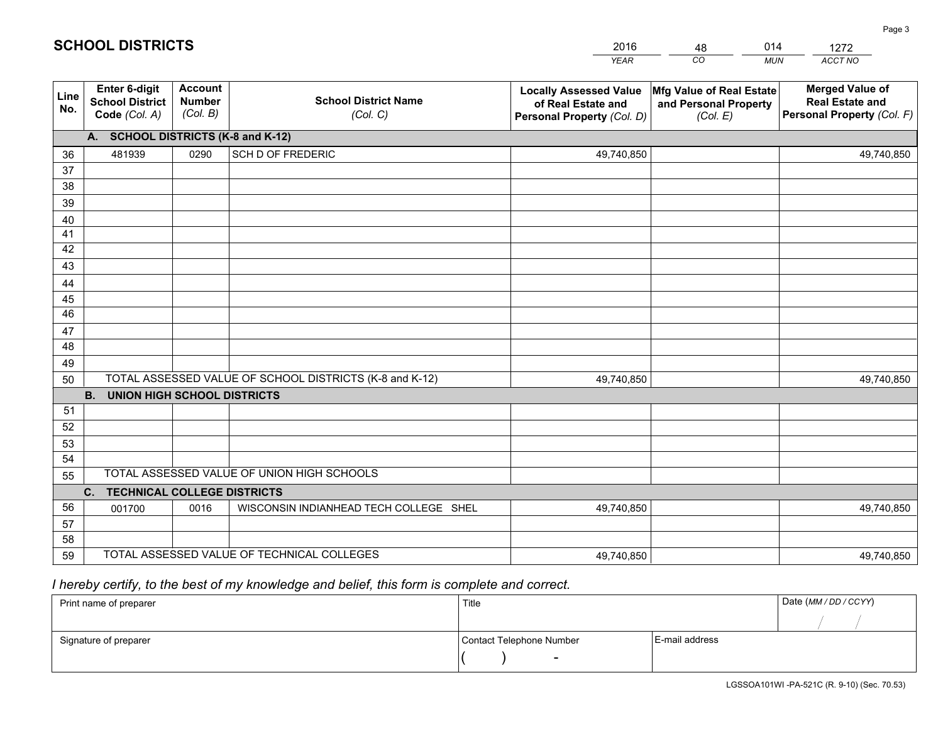|             |                                                                 |                                             |                                                         | <b>YEAR</b>                                                                       | CO<br><b>MUN</b>                                              | ACCT NO                                                                        |  |  |  |  |  |  |
|-------------|-----------------------------------------------------------------|---------------------------------------------|---------------------------------------------------------|-----------------------------------------------------------------------------------|---------------------------------------------------------------|--------------------------------------------------------------------------------|--|--|--|--|--|--|
| Line<br>No. | <b>Enter 6-digit</b><br><b>School District</b><br>Code (Col. A) | <b>Account</b><br><b>Number</b><br>(Col. B) | <b>School District Name</b><br>(Col. C)                 | <b>Locally Assessed Value</b><br>of Real Estate and<br>Personal Property (Col. D) | Mfg Value of Real Estate<br>and Personal Property<br>(Col. E) | <b>Merged Value of</b><br><b>Real Estate and</b><br>Personal Property (Col. F) |  |  |  |  |  |  |
|             | A. SCHOOL DISTRICTS (K-8 and K-12)                              |                                             |                                                         |                                                                                   |                                                               |                                                                                |  |  |  |  |  |  |
| 36          | 481939                                                          | 0290                                        | SCH D OF FREDERIC                                       | 49,740,850                                                                        |                                                               | 49,740,850                                                                     |  |  |  |  |  |  |
| 37          |                                                                 |                                             |                                                         |                                                                                   |                                                               |                                                                                |  |  |  |  |  |  |
| 38          |                                                                 |                                             |                                                         |                                                                                   |                                                               |                                                                                |  |  |  |  |  |  |
| 39          |                                                                 |                                             |                                                         |                                                                                   |                                                               |                                                                                |  |  |  |  |  |  |
| 40          |                                                                 |                                             |                                                         |                                                                                   |                                                               |                                                                                |  |  |  |  |  |  |
| 41          |                                                                 |                                             |                                                         |                                                                                   |                                                               |                                                                                |  |  |  |  |  |  |
| 42          |                                                                 |                                             |                                                         |                                                                                   |                                                               |                                                                                |  |  |  |  |  |  |
| 43          |                                                                 |                                             |                                                         |                                                                                   |                                                               |                                                                                |  |  |  |  |  |  |
| 44          |                                                                 |                                             |                                                         |                                                                                   |                                                               |                                                                                |  |  |  |  |  |  |
| 45<br>46    |                                                                 |                                             |                                                         |                                                                                   |                                                               |                                                                                |  |  |  |  |  |  |
|             |                                                                 |                                             |                                                         |                                                                                   |                                                               |                                                                                |  |  |  |  |  |  |
| 47<br>48    |                                                                 |                                             |                                                         |                                                                                   |                                                               |                                                                                |  |  |  |  |  |  |
| 49          |                                                                 |                                             |                                                         |                                                                                   |                                                               |                                                                                |  |  |  |  |  |  |
| 50          |                                                                 |                                             | TOTAL ASSESSED VALUE OF SCHOOL DISTRICTS (K-8 and K-12) | 49,740,850                                                                        |                                                               | 49,740,850                                                                     |  |  |  |  |  |  |
|             | <b>B.</b><br><b>UNION HIGH SCHOOL DISTRICTS</b>                 |                                             |                                                         |                                                                                   |                                                               |                                                                                |  |  |  |  |  |  |
| 51          |                                                                 |                                             |                                                         |                                                                                   |                                                               |                                                                                |  |  |  |  |  |  |
| 52          |                                                                 |                                             |                                                         |                                                                                   |                                                               |                                                                                |  |  |  |  |  |  |
| 53          |                                                                 |                                             |                                                         |                                                                                   |                                                               |                                                                                |  |  |  |  |  |  |
| 54          |                                                                 |                                             |                                                         |                                                                                   |                                                               |                                                                                |  |  |  |  |  |  |
| 55          |                                                                 |                                             | TOTAL ASSESSED VALUE OF UNION HIGH SCHOOLS              |                                                                                   |                                                               |                                                                                |  |  |  |  |  |  |
|             | C.<br><b>TECHNICAL COLLEGE DISTRICTS</b>                        |                                             |                                                         |                                                                                   |                                                               |                                                                                |  |  |  |  |  |  |
| 56          | 001700                                                          | 0016                                        | WISCONSIN INDIANHEAD TECH COLLEGE SHEL                  | 49,740,850                                                                        |                                                               | 49,740,850                                                                     |  |  |  |  |  |  |
| 57          |                                                                 |                                             |                                                         |                                                                                   |                                                               |                                                                                |  |  |  |  |  |  |
| 58          |                                                                 |                                             |                                                         |                                                                                   |                                                               |                                                                                |  |  |  |  |  |  |
| 59          |                                                                 |                                             | TOTAL ASSESSED VALUE OF TECHNICAL COLLEGES              | 49,740,850                                                                        |                                                               | 49,740,850                                                                     |  |  |  |  |  |  |

48

014

 *I hereby certify, to the best of my knowledge and belief, this form is complete and correct.*

**SCHOOL DISTRICTS**

| Print name of preparer | Title                    |                | Date (MM / DD / CCYY) |
|------------------------|--------------------------|----------------|-----------------------|
|                        |                          |                |                       |
| Signature of preparer  | Contact Telephone Number | E-mail address |                       |
|                        | $\sim$                   |                |                       |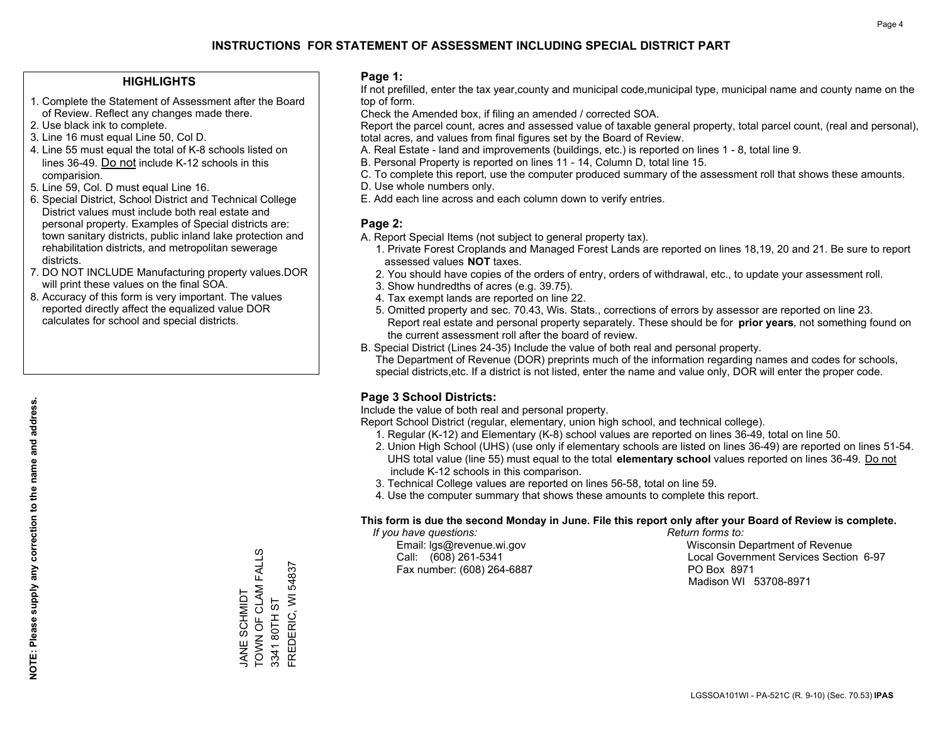### **HIGHLIGHTS**

- 1. Complete the Statement of Assessment after the Board of Review. Reflect any changes made there.
- 2. Use black ink to complete.
- 3. Line 16 must equal Line 50, Col D.
- 4. Line 55 must equal the total of K-8 schools listed on lines 36-49. Do not include K-12 schools in this comparision.
- 5. Line 59, Col. D must equal Line 16.
- 6. Special District, School District and Technical College District values must include both real estate and personal property. Examples of Special districts are: town sanitary districts, public inland lake protection and rehabilitation districts, and metropolitan sewerage districts.
- 7. DO NOT INCLUDE Manufacturing property values.DOR will print these values on the final SOA.
- 8. Accuracy of this form is very important. The values reported directly affect the equalized value DOR calculates for school and special districts.

### **Page 1:**

 If not prefilled, enter the tax year,county and municipal code,municipal type, municipal name and county name on the top of form.

Check the Amended box, if filing an amended / corrected SOA.

 Report the parcel count, acres and assessed value of taxable general property, total parcel count, (real and personal), total acres, and values from final figures set by the Board of Review.

- A. Real Estate land and improvements (buildings, etc.) is reported on lines 1 8, total line 9.
- B. Personal Property is reported on lines 11 14, Column D, total line 15.
- C. To complete this report, use the computer produced summary of the assessment roll that shows these amounts.
- D. Use whole numbers only.
- E. Add each line across and each column down to verify entries.

### **Page 2:**

- A. Report Special Items (not subject to general property tax).
- 1. Private Forest Croplands and Managed Forest Lands are reported on lines 18,19, 20 and 21. Be sure to report assessed values **NOT** taxes.
- 2. You should have copies of the orders of entry, orders of withdrawal, etc., to update your assessment roll.
	- 3. Show hundredths of acres (e.g. 39.75).
- 4. Tax exempt lands are reported on line 22.
- 5. Omitted property and sec. 70.43, Wis. Stats., corrections of errors by assessor are reported on line 23. Report real estate and personal property separately. These should be for **prior years**, not something found on the current assessment roll after the board of review.
- B. Special District (Lines 24-35) Include the value of both real and personal property.
- The Department of Revenue (DOR) preprints much of the information regarding names and codes for schools, special districts,etc. If a district is not listed, enter the name and value only, DOR will enter the proper code.

### **Page 3 School Districts:**

Include the value of both real and personal property.

Report School District (regular, elementary, union high school, and technical college).

- 1. Regular (K-12) and Elementary (K-8) school values are reported on lines 36-49, total on line 50.
- 2. Union High School (UHS) (use only if elementary schools are listed on lines 36-49) are reported on lines 51-54. UHS total value (line 55) must equal to the total **elementary school** values reported on lines 36-49. Do notinclude K-12 schools in this comparison.
- 3. Technical College values are reported on lines 56-58, total on line 59.
- 4. Use the computer summary that shows these amounts to complete this report.

#### **This form is due the second Monday in June. File this report only after your Board of Review is complete.**

 *If you have questions: Return forms to:*

Fax number: (608) 264-6887 PO Box 8971

 Email: lgs@revenue.wi.gov Wisconsin Department of Revenue Call: (608) 261-5341 Local Government Services Section 6-97Madison WI 53708-8971

TOWN OF CLAM FALLS TOWN OF CLAM FALLS JANE SCHMIDT JANE SCHMIDT

3341 80TH ST

FREDERIC, WI 54837

FREDERIC, WI 3341 80TH ST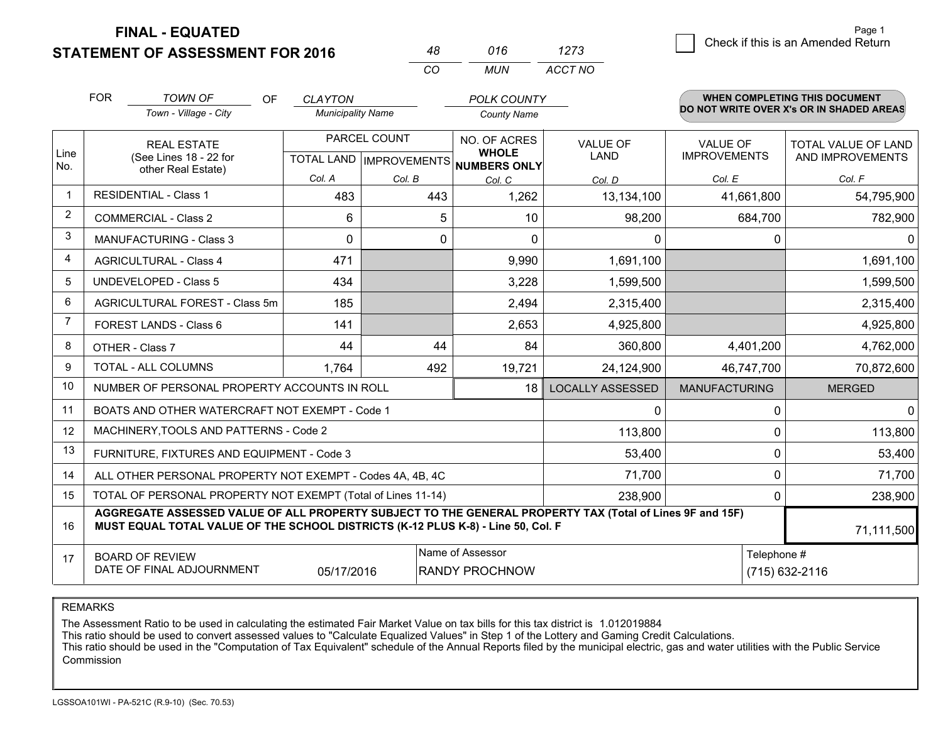**FINAL - EQUATED**

**STATEMENT OF ASSESSMENT FOR 2016** 

| 48   | 016  | 1273    |
|------|------|---------|
| €CO. | MUN. | ACCT NO |

|                | <b>FOR</b>                                                | <b>TOWN OF</b><br><b>OF</b>                                                                                                                                                                  | <b>CLAYTON</b>           |              | <b>POLK COUNTY</b>                   |                         |                      | WHEN COMPLETING THIS DOCUMENT            |
|----------------|-----------------------------------------------------------|----------------------------------------------------------------------------------------------------------------------------------------------------------------------------------------------|--------------------------|--------------|--------------------------------------|-------------------------|----------------------|------------------------------------------|
|                |                                                           | Town - Village - City                                                                                                                                                                        | <b>Municipality Name</b> |              | <b>County Name</b>                   |                         |                      | DO NOT WRITE OVER X's OR IN SHADED AREAS |
|                |                                                           | <b>REAL ESTATE</b>                                                                                                                                                                           |                          | PARCEL COUNT | NO. OF ACRES<br><b>WHOLE</b>         | <b>VALUE OF</b>         | <b>VALUE OF</b>      | TOTAL VALUE OF LAND                      |
| Line<br>No.    |                                                           | (See Lines 18 - 22 for<br>other Real Estate)                                                                                                                                                 |                          |              | TOTAL LAND IMPROVEMENTS NUMBERS ONLY | <b>LAND</b>             | <b>IMPROVEMENTS</b>  | AND IMPROVEMENTS                         |
|                |                                                           |                                                                                                                                                                                              | Col. A                   | Col. B       | Col. C                               | Col. D                  | Col. E               | Col. F                                   |
| -1             |                                                           | <b>RESIDENTIAL - Class 1</b>                                                                                                                                                                 | 483                      | 443          | 1,262                                | 13,134,100              | 41,661,800           | 54,795,900                               |
| 2              |                                                           | <b>COMMERCIAL - Class 2</b>                                                                                                                                                                  | 6                        | 5            | 10                                   | 98,200                  | 684,700              | 782,900                                  |
| 3              |                                                           | <b>MANUFACTURING - Class 3</b>                                                                                                                                                               | $\Omega$                 | $\Omega$     | $\Omega$                             | 0                       | $\Omega$             | $\Omega$                                 |
| 4              |                                                           | <b>AGRICULTURAL - Class 4</b>                                                                                                                                                                | 471                      |              | 9,990                                | 1,691,100               |                      | 1,691,100                                |
| 5              | <b>UNDEVELOPED - Class 5</b>                              |                                                                                                                                                                                              | 434                      |              | 3,228                                | 1,599,500               |                      | 1,599,500                                |
| 6              | AGRICULTURAL FOREST - Class 5m                            |                                                                                                                                                                                              | 185                      |              | 2,494                                | 2,315,400               |                      | 2,315,400                                |
| $\overline{7}$ |                                                           | FOREST LANDS - Class 6                                                                                                                                                                       | 141                      |              | 2,653                                | 4,925,800               |                      | 4,925,800                                |
| 8              |                                                           | OTHER - Class 7                                                                                                                                                                              | 44                       | 44           | 84                                   | 360,800                 | 4,401,200            | 4,762,000                                |
| 9              |                                                           | TOTAL - ALL COLUMNS                                                                                                                                                                          | 1,764                    | 492          | 19,721                               | 24,124,900              | 46,747,700           | 70,872,600                               |
| 10             |                                                           | NUMBER OF PERSONAL PROPERTY ACCOUNTS IN ROLL                                                                                                                                                 |                          |              | 18                                   | <b>LOCALLY ASSESSED</b> | <b>MANUFACTURING</b> | <b>MERGED</b>                            |
| 11             |                                                           | BOATS AND OTHER WATERCRAFT NOT EXEMPT - Code 1                                                                                                                                               |                          |              |                                      | 0                       | $\Omega$             | $\mathbf{0}$                             |
| 12             |                                                           | MACHINERY, TOOLS AND PATTERNS - Code 2                                                                                                                                                       |                          |              |                                      | 113,800                 | $\mathbf 0$          | 113,800                                  |
| 13             |                                                           | FURNITURE, FIXTURES AND EQUIPMENT - Code 3                                                                                                                                                   |                          |              |                                      | 53,400                  | $\mathbf{0}$         | 53,400                                   |
| 14             |                                                           | ALL OTHER PERSONAL PROPERTY NOT EXEMPT - Codes 4A, 4B, 4C                                                                                                                                    |                          |              |                                      | 71,700                  |                      | $\mathbf 0$<br>71,700                    |
| 15             |                                                           | TOTAL OF PERSONAL PROPERTY NOT EXEMPT (Total of Lines 11-14)                                                                                                                                 |                          |              |                                      | 238,900                 | $\mathbf{0}$         | 238,900                                  |
| 16             |                                                           | AGGREGATE ASSESSED VALUE OF ALL PROPERTY SUBJECT TO THE GENERAL PROPERTY TAX (Total of Lines 9F and 15F)<br>MUST EQUAL TOTAL VALUE OF THE SCHOOL DISTRICTS (K-12 PLUS K-8) - Line 50, Col. F |                          |              |                                      |                         |                      | 71,111,500                               |
| 17             | Name of Assessor<br>Telephone #<br><b>BOARD OF REVIEW</b> |                                                                                                                                                                                              |                          |              |                                      |                         |                      |                                          |
|                |                                                           | DATE OF FINAL ADJOURNMENT                                                                                                                                                                    | 05/17/2016               |              | RANDY PROCHNOW                       |                         |                      | (715) 632-2116                           |

REMARKS

The Assessment Ratio to be used in calculating the estimated Fair Market Value on tax bills for this tax district is 1.012019884

This ratio should be used to convert assessed values to "Calculate Equalized Values" in Step 1 of the Lottery and Gaming Credit Calculations.<br>This ratio should be used in the "Computation of Tax Equivalent" schedule of the Commission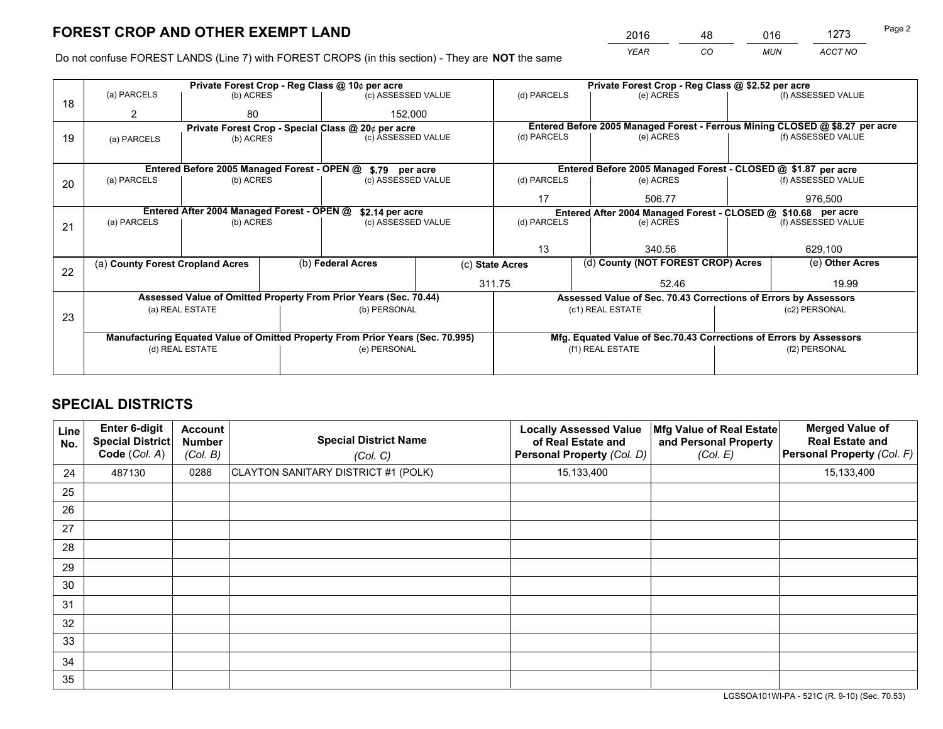*YEAR CO MUN ACCT NO* <sup>2016</sup> <sup>48</sup> <sup>016</sup> <sup>1273</sup>

Do not confuse FOREST LANDS (Line 7) with FOREST CROPS (in this section) - They are **NOT** the same

|    |                                  |                                             | Private Forest Crop - Reg Class @ 10¢ per acre                                 |                                                                                  |                                                       | Private Forest Crop - Reg Class @ \$2.52 per acre                            |               |                    |  |
|----|----------------------------------|---------------------------------------------|--------------------------------------------------------------------------------|----------------------------------------------------------------------------------|-------------------------------------------------------|------------------------------------------------------------------------------|---------------|--------------------|--|
| 18 | (a) PARCELS                      | (b) ACRES                                   | (c) ASSESSED VALUE                                                             |                                                                                  | (d) PARCELS                                           | (e) ACRES                                                                    |               | (f) ASSESSED VALUE |  |
|    | 2                                | 80                                          |                                                                                | 152,000                                                                          |                                                       |                                                                              |               |                    |  |
|    |                                  |                                             | Private Forest Crop - Special Class @ 20¢ per acre                             |                                                                                  |                                                       | Entered Before 2005 Managed Forest - Ferrous Mining CLOSED @ \$8.27 per acre |               |                    |  |
| 19 | (a) PARCELS                      | (b) ACRES                                   | (c) ASSESSED VALUE                                                             |                                                                                  | (d) PARCELS                                           | (e) ACRES                                                                    |               | (f) ASSESSED VALUE |  |
|    |                                  |                                             |                                                                                |                                                                                  |                                                       |                                                                              |               |                    |  |
|    |                                  | Entered Before 2005 Managed Forest - OPEN @ | \$.79 per acre                                                                 |                                                                                  |                                                       | Entered Before 2005 Managed Forest - CLOSED @ \$1.87 per acre                |               |                    |  |
| 20 | (a) PARCELS                      | (b) ACRES                                   | (c) ASSESSED VALUE                                                             |                                                                                  | (d) PARCELS                                           | (e) ACRES                                                                    |               | (f) ASSESSED VALUE |  |
|    |                                  |                                             |                                                                                |                                                                                  | 17                                                    | 506.77                                                                       |               | 976.500            |  |
|    |                                  | Entered After 2004 Managed Forest - OPEN @  |                                                                                | \$2.14 per acre<br>Entered After 2004 Managed Forest - CLOSED @ \$10.68 per acre |                                                       |                                                                              |               |                    |  |
| 21 | (a) PARCELS                      | (b) ACRES                                   | (c) ASSESSED VALUE                                                             |                                                                                  | (d) PARCELS<br>(e) ACRES                              |                                                                              |               | (f) ASSESSED VALUE |  |
|    |                                  |                                             |                                                                                |                                                                                  |                                                       |                                                                              |               |                    |  |
|    |                                  |                                             |                                                                                |                                                                                  | 13                                                    | 340.56                                                                       |               | 629,100            |  |
|    | (a) County Forest Cropland Acres |                                             | (b) Federal Acres                                                              |                                                                                  | (d) County (NOT FOREST CROP) Acres<br>(c) State Acres |                                                                              |               | (e) Other Acres    |  |
| 22 |                                  |                                             |                                                                                |                                                                                  | 311.75                                                | 52.46                                                                        |               | 19.99              |  |
|    |                                  |                                             | Assessed Value of Omitted Property From Prior Years (Sec. 70.44)               |                                                                                  |                                                       | Assessed Value of Sec. 70.43 Corrections of Errors by Assessors              |               |                    |  |
|    |                                  | (a) REAL ESTATE                             | (b) PERSONAL                                                                   |                                                                                  |                                                       | (c1) REAL ESTATE                                                             |               | (c2) PERSONAL      |  |
| 23 |                                  |                                             |                                                                                |                                                                                  |                                                       |                                                                              |               |                    |  |
|    |                                  |                                             | Manufacturing Equated Value of Omitted Property From Prior Years (Sec. 70.995) |                                                                                  |                                                       | Mfg. Equated Value of Sec.70.43 Corrections of Errors by Assessors           |               |                    |  |
|    |                                  | (d) REAL ESTATE                             | (e) PERSONAL                                                                   |                                                                                  |                                                       | (f1) REAL ESTATE                                                             | (f2) PERSONAL |                    |  |
|    |                                  |                                             |                                                                                |                                                                                  |                                                       |                                                                              |               |                    |  |

# **SPECIAL DISTRICTS**

| <b>Line</b><br>No. | Enter 6-digit<br><b>Special District</b><br>Code (Col. A) | <b>Account</b><br><b>Number</b><br>(Col. B) | <b>Special District Name</b><br>(Col. C) | <b>Locally Assessed Value</b><br>of Real Estate and<br>Personal Property (Col. D) | Mfg Value of Real Estate<br>and Personal Property<br>(Col. E) | <b>Merged Value of</b><br><b>Real Estate and</b><br>Personal Property (Col. F) |
|--------------------|-----------------------------------------------------------|---------------------------------------------|------------------------------------------|-----------------------------------------------------------------------------------|---------------------------------------------------------------|--------------------------------------------------------------------------------|
| 24                 | 487130                                                    | 0288                                        | CLAYTON SANITARY DISTRICT #1 (POLK)      | 15,133,400                                                                        |                                                               | 15,133,400                                                                     |
| 25                 |                                                           |                                             |                                          |                                                                                   |                                                               |                                                                                |
| 26                 |                                                           |                                             |                                          |                                                                                   |                                                               |                                                                                |
| 27                 |                                                           |                                             |                                          |                                                                                   |                                                               |                                                                                |
| 28                 |                                                           |                                             |                                          |                                                                                   |                                                               |                                                                                |
| 29                 |                                                           |                                             |                                          |                                                                                   |                                                               |                                                                                |
| 30                 |                                                           |                                             |                                          |                                                                                   |                                                               |                                                                                |
| 31                 |                                                           |                                             |                                          |                                                                                   |                                                               |                                                                                |
| 32                 |                                                           |                                             |                                          |                                                                                   |                                                               |                                                                                |
| 33                 |                                                           |                                             |                                          |                                                                                   |                                                               |                                                                                |
| 34                 |                                                           |                                             |                                          |                                                                                   |                                                               |                                                                                |
| 35                 |                                                           |                                             |                                          |                                                                                   |                                                               |                                                                                |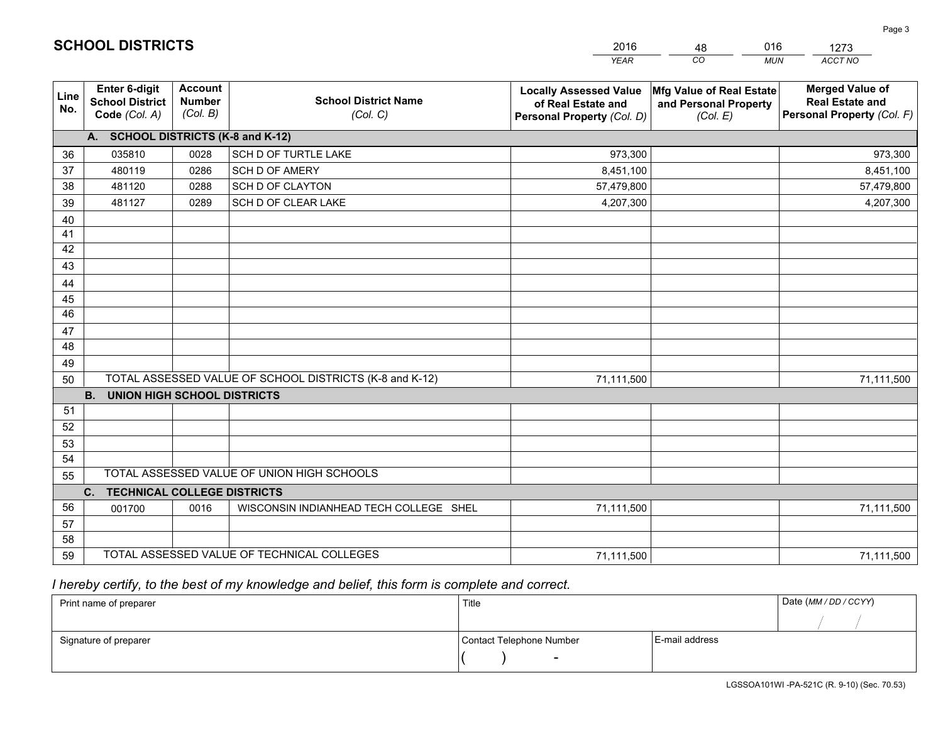|             |                                                          |                                             |                                                         | <b>YEAR</b>                                                                       | CO<br><b>MUN</b>                                              | ACCT NO                                                                        |
|-------------|----------------------------------------------------------|---------------------------------------------|---------------------------------------------------------|-----------------------------------------------------------------------------------|---------------------------------------------------------------|--------------------------------------------------------------------------------|
| Line<br>No. | Enter 6-digit<br><b>School District</b><br>Code (Col. A) | <b>Account</b><br><b>Number</b><br>(Col. B) | <b>School District Name</b><br>(Col. C)                 | <b>Locally Assessed Value</b><br>of Real Estate and<br>Personal Property (Col. D) | Mfg Value of Real Estate<br>and Personal Property<br>(Col. E) | <b>Merged Value of</b><br><b>Real Estate and</b><br>Personal Property (Col. F) |
|             | A. SCHOOL DISTRICTS (K-8 and K-12)                       |                                             |                                                         |                                                                                   |                                                               |                                                                                |
| 36          | 035810                                                   | 0028                                        | SCH D OF TURTLE LAKE                                    | 973,300                                                                           |                                                               | 973,300                                                                        |
| 37          | 480119                                                   | 0286                                        | SCH D OF AMERY                                          | 8,451,100                                                                         |                                                               | 8,451,100                                                                      |
| 38          | 481120                                                   | 0288                                        | <b>SCH D OF CLAYTON</b>                                 | 57,479,800                                                                        |                                                               | 57,479,800                                                                     |
| 39          | 481127                                                   | 0289                                        | SCH D OF CLEAR LAKE                                     | 4,207,300                                                                         |                                                               | 4,207,300                                                                      |
| 40          |                                                          |                                             |                                                         |                                                                                   |                                                               |                                                                                |
| 41          |                                                          |                                             |                                                         |                                                                                   |                                                               |                                                                                |
| 42          |                                                          |                                             |                                                         |                                                                                   |                                                               |                                                                                |
| 43          |                                                          |                                             |                                                         |                                                                                   |                                                               |                                                                                |
| 44          |                                                          |                                             |                                                         |                                                                                   |                                                               |                                                                                |
| 45          |                                                          |                                             |                                                         |                                                                                   |                                                               |                                                                                |
| 46          |                                                          |                                             |                                                         |                                                                                   |                                                               |                                                                                |
| 47          |                                                          |                                             |                                                         |                                                                                   |                                                               |                                                                                |
| 48          |                                                          |                                             |                                                         |                                                                                   |                                                               |                                                                                |
| 49          |                                                          |                                             |                                                         |                                                                                   |                                                               |                                                                                |
| 50          |                                                          |                                             | TOTAL ASSESSED VALUE OF SCHOOL DISTRICTS (K-8 and K-12) | 71,111,500                                                                        |                                                               | 71,111,500                                                                     |
|             | <b>B.</b><br><b>UNION HIGH SCHOOL DISTRICTS</b>          |                                             |                                                         |                                                                                   |                                                               |                                                                                |
| 51          |                                                          |                                             |                                                         |                                                                                   |                                                               |                                                                                |
| 52          |                                                          |                                             |                                                         |                                                                                   |                                                               |                                                                                |
| 53          |                                                          |                                             |                                                         |                                                                                   |                                                               |                                                                                |
| 54          |                                                          |                                             |                                                         |                                                                                   |                                                               |                                                                                |
| 55          |                                                          |                                             | TOTAL ASSESSED VALUE OF UNION HIGH SCHOOLS              |                                                                                   |                                                               |                                                                                |
|             | C. TECHNICAL COLLEGE DISTRICTS                           |                                             |                                                         |                                                                                   |                                                               |                                                                                |
| 56          | 001700                                                   | 0016                                        | WISCONSIN INDIANHEAD TECH COLLEGE SHEL                  | 71,111,500                                                                        |                                                               | 71,111,500                                                                     |
| 57          |                                                          |                                             |                                                         |                                                                                   |                                                               |                                                                                |
| 58          |                                                          |                                             |                                                         |                                                                                   |                                                               |                                                                                |
| 59          |                                                          |                                             | TOTAL ASSESSED VALUE OF TECHNICAL COLLEGES              | 71,111,500                                                                        |                                                               | 71,111,500                                                                     |

48

016

# *I hereby certify, to the best of my knowledge and belief, this form is complete and correct.*

**SCHOOL DISTRICTS**

| Print name of preparer | Title                    |                | Date (MM / DD / CCYY) |
|------------------------|--------------------------|----------------|-----------------------|
|                        |                          |                |                       |
| Signature of preparer  | Contact Telephone Number | E-mail address |                       |
|                        | $\overline{\phantom{0}}$ |                |                       |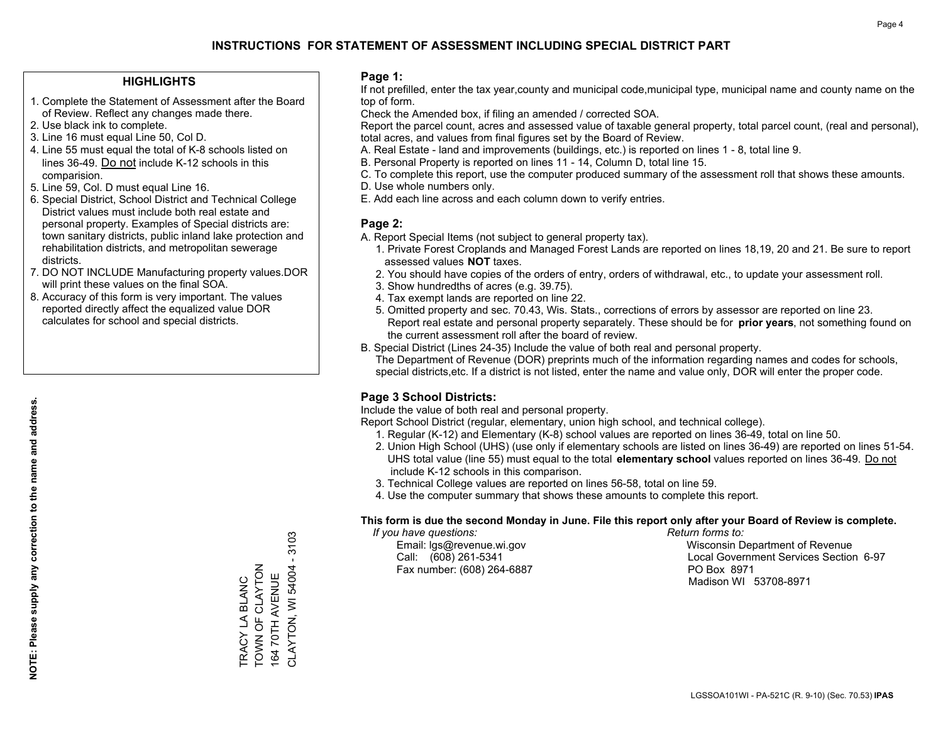### **HIGHLIGHTS**

- 1. Complete the Statement of Assessment after the Board of Review. Reflect any changes made there.
- 2. Use black ink to complete.
- 3. Line 16 must equal Line 50, Col D.
- 4. Line 55 must equal the total of K-8 schools listed on lines 36-49. Do not include K-12 schools in this comparision.
- 5. Line 59, Col. D must equal Line 16.
- 6. Special District, School District and Technical College District values must include both real estate and personal property. Examples of Special districts are: town sanitary districts, public inland lake protection and rehabilitation districts, and metropolitan sewerage districts.
- 7. DO NOT INCLUDE Manufacturing property values.DOR will print these values on the final SOA.
- 8. Accuracy of this form is very important. The values reported directly affect the equalized value DOR calculates for school and special districts.

#### **Page 1:**

 If not prefilled, enter the tax year,county and municipal code,municipal type, municipal name and county name on the top of form.

Check the Amended box, if filing an amended / corrected SOA.

 Report the parcel count, acres and assessed value of taxable general property, total parcel count, (real and personal), total acres, and values from final figures set by the Board of Review.

- A. Real Estate land and improvements (buildings, etc.) is reported on lines 1 8, total line 9.
- B. Personal Property is reported on lines 11 14, Column D, total line 15.
- C. To complete this report, use the computer produced summary of the assessment roll that shows these amounts.
- D. Use whole numbers only.
- E. Add each line across and each column down to verify entries.

### **Page 2:**

- A. Report Special Items (not subject to general property tax).
- 1. Private Forest Croplands and Managed Forest Lands are reported on lines 18,19, 20 and 21. Be sure to report assessed values **NOT** taxes.
- 2. You should have copies of the orders of entry, orders of withdrawal, etc., to update your assessment roll.
	- 3. Show hundredths of acres (e.g. 39.75).
- 4. Tax exempt lands are reported on line 22.
- 5. Omitted property and sec. 70.43, Wis. Stats., corrections of errors by assessor are reported on line 23. Report real estate and personal property separately. These should be for **prior years**, not something found on the current assessment roll after the board of review.
- B. Special District (Lines 24-35) Include the value of both real and personal property.
- The Department of Revenue (DOR) preprints much of the information regarding names and codes for schools, special districts,etc. If a district is not listed, enter the name and value only, DOR will enter the proper code.

### **Page 3 School Districts:**

Include the value of both real and personal property.

Report School District (regular, elementary, union high school, and technical college).

- 1. Regular (K-12) and Elementary (K-8) school values are reported on lines 36-49, total on line 50.
- 2. Union High School (UHS) (use only if elementary schools are listed on lines 36-49) are reported on lines 51-54. UHS total value (line 55) must equal to the total **elementary school** values reported on lines 36-49. Do notinclude K-12 schools in this comparison.
- 3. Technical College values are reported on lines 56-58, total on line 59.
- 4. Use the computer summary that shows these amounts to complete this report.

#### **This form is due the second Monday in June. File this report only after your Board of Review is complete.**

 *If you have questions: Return forms to:*

Fax number: (608) 264-6887 PO Box 8971

 Email: lgs@revenue.wi.gov Wisconsin Department of Revenue Call: (608) 261-5341 Local Government Services Section 6-97Madison WI 53708-8971

TRACY LA BLANC TOWN OF CLAYTON 164 70TH AVENUE

TRACY LA BLANC<br>TOWN OF CLAYTON

CLAYTON, WI 54004 - 3103

CLAYTON, WI 54004 16470TH AVENUE

3103

**NOTE: Please supply any correction to the name and address.**

NOTE: Please supply any correction to the name and address.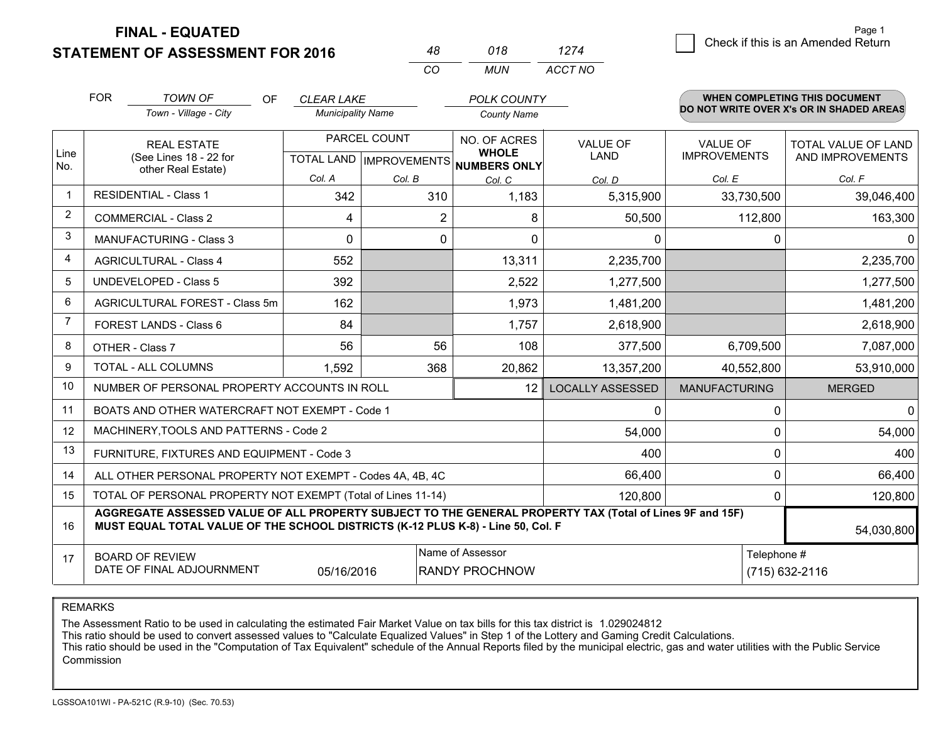**STATEMENT OF ASSESSMENT FOR 2016 FINAL - EQUATED**

|                | <b>FOR</b>                                                                                                                    | <b>TOWN OF</b><br><b>OF</b><br>Town - Village - City                                                                                                                                         | <b>CLEAR LAKE</b><br><b>Municipality Name</b> |                | <b>POLK COUNTY</b><br><b>County Name</b>     |                                |                                        | WHEN COMPLETING THIS DOCUMENT<br>DO NOT WRITE OVER X's OR IN SHADED AREAS |
|----------------|-------------------------------------------------------------------------------------------------------------------------------|----------------------------------------------------------------------------------------------------------------------------------------------------------------------------------------------|-----------------------------------------------|----------------|----------------------------------------------|--------------------------------|----------------------------------------|---------------------------------------------------------------------------|
| Line<br>No.    | <b>REAL ESTATE</b><br>(See Lines 18 - 22 for<br>other Real Estate)                                                            |                                                                                                                                                                                              | PARCEL COUNT<br>TOTAL LAND   IMPROVEMENTS     |                | NO. OF ACRES<br><b>WHOLE</b><br>NUMBERS ONLY | <b>VALUE OF</b><br><b>LAND</b> | <b>VALUE OF</b><br><b>IMPROVEMENTS</b> | <b>TOTAL VALUE OF LAND</b><br>AND IMPROVEMENTS                            |
|                |                                                                                                                               |                                                                                                                                                                                              | Col. A                                        | Col. B         | Col. C                                       | Col. D                         | Col. E                                 | Col. F                                                                    |
|                |                                                                                                                               | <b>RESIDENTIAL - Class 1</b>                                                                                                                                                                 | 342                                           | 310            | 1,183                                        | 5,315,900                      | 33,730,500                             | 39,046,400                                                                |
| 2              |                                                                                                                               | <b>COMMERCIAL - Class 2</b>                                                                                                                                                                  | 4                                             | $\overline{2}$ | 8                                            | 50,500                         | 112,800                                | 163,300                                                                   |
| 3              |                                                                                                                               | <b>MANUFACTURING - Class 3</b>                                                                                                                                                               | 0                                             | $\mathbf{0}$   | 0                                            | $\Omega$                       | 0                                      | 0                                                                         |
| 4              |                                                                                                                               | <b>AGRICULTURAL - Class 4</b>                                                                                                                                                                | 552                                           |                | 13,311                                       | 2,235,700                      |                                        | 2,235,700                                                                 |
| 5              |                                                                                                                               | <b>UNDEVELOPED - Class 5</b>                                                                                                                                                                 | 392                                           |                | 2,522                                        | 1,277,500                      |                                        | 1,277,500                                                                 |
| 6              |                                                                                                                               | AGRICULTURAL FOREST - Class 5m                                                                                                                                                               | 162                                           |                | 1,973                                        | 1,481,200                      |                                        | 1,481,200                                                                 |
| $\overline{7}$ |                                                                                                                               | FOREST LANDS - Class 6                                                                                                                                                                       | 84                                            |                | 1,757                                        | 2,618,900                      |                                        | 2,618,900                                                                 |
| 8              |                                                                                                                               | OTHER - Class 7                                                                                                                                                                              | 56                                            | 56             | 108                                          | 377,500                        | 6,709,500                              | 7,087,000                                                                 |
| 9              |                                                                                                                               | <b>TOTAL - ALL COLUMNS</b>                                                                                                                                                                   | 1,592                                         | 368            | 20,862                                       | 13,357,200                     | 40,552,800                             | 53,910,000                                                                |
| 10             |                                                                                                                               | NUMBER OF PERSONAL PROPERTY ACCOUNTS IN ROLL                                                                                                                                                 |                                               |                | 12                                           | <b>LOCALLY ASSESSED</b>        | <b>MANUFACTURING</b>                   | <b>MERGED</b>                                                             |
| 11             |                                                                                                                               | BOATS AND OTHER WATERCRAFT NOT EXEMPT - Code 1                                                                                                                                               |                                               |                |                                              | $\mathbf{0}$                   | 0                                      | $\mathbf 0$                                                               |
| 12             |                                                                                                                               | MACHINERY, TOOLS AND PATTERNS - Code 2                                                                                                                                                       |                                               |                |                                              | 54,000                         | 0                                      | 54,000                                                                    |
| 13             |                                                                                                                               | FURNITURE, FIXTURES AND EQUIPMENT - Code 3                                                                                                                                                   |                                               |                |                                              | 400                            | $\Omega$                               | 400                                                                       |
| 14             |                                                                                                                               | ALL OTHER PERSONAL PROPERTY NOT EXEMPT - Codes 4A, 4B, 4C                                                                                                                                    |                                               |                |                                              | 66,400                         | 0                                      | 66,400                                                                    |
| 15             |                                                                                                                               | TOTAL OF PERSONAL PROPERTY NOT EXEMPT (Total of Lines 11-14)                                                                                                                                 |                                               |                |                                              | 120,800                        | 0                                      | 120,800                                                                   |
| 16             |                                                                                                                               | AGGREGATE ASSESSED VALUE OF ALL PROPERTY SUBJECT TO THE GENERAL PROPERTY TAX (Total of Lines 9F and 15F)<br>MUST EQUAL TOTAL VALUE OF THE SCHOOL DISTRICTS (K-12 PLUS K-8) - Line 50, Col. F |                                               |                |                                              |                                |                                        | 54,030,800                                                                |
| 17             | Name of Assessor<br>Telephone #<br><b>BOARD OF REVIEW</b><br>DATE OF FINAL ADJOURNMENT<br><b>RANDY PROCHNOW</b><br>05/16/2016 |                                                                                                                                                                                              |                                               |                |                                              |                                |                                        | (715) 632-2116                                                            |

*CO*

*MUN*

*ACCT NO1274*

*<sup>48</sup> <sup>018</sup>*

REMARKS

The Assessment Ratio to be used in calculating the estimated Fair Market Value on tax bills for this tax district is 1.029024812<br>This ratio should be used to convert assessed values to "Calculate Equalized Values" in Step Commission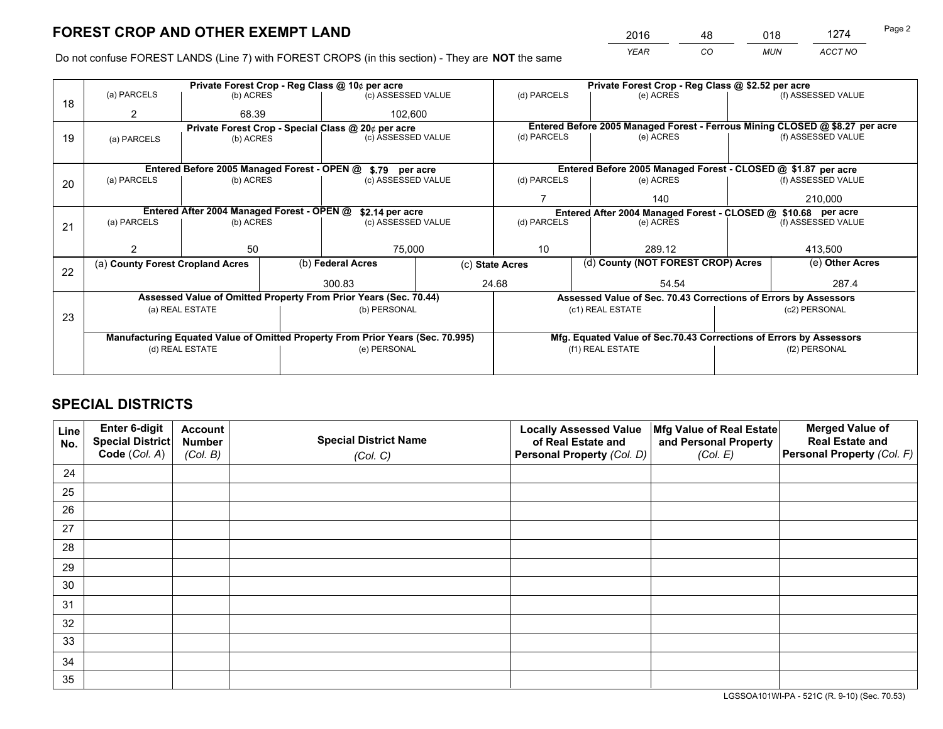*YEAR CO MUN ACCT NO* <sup>2016</sup> <sup>48</sup> <sup>018</sup> <sup>1274</sup>

Do not confuse FOREST LANDS (Line 7) with FOREST CROPS (in this section) - They are **NOT** the same

|    |                                                               |                 |  | Private Forest Crop - Reg Class @ 10¢ per acre                                 |             | Private Forest Crop - Reg Class @ \$2.52 per acre                            |                                                                    |               |                    |  |
|----|---------------------------------------------------------------|-----------------|--|--------------------------------------------------------------------------------|-------------|------------------------------------------------------------------------------|--------------------------------------------------------------------|---------------|--------------------|--|
| 18 | (a) PARCELS                                                   | (b) ACRES       |  | (c) ASSESSED VALUE                                                             |             | (d) PARCELS                                                                  | (e) ACRES                                                          |               | (f) ASSESSED VALUE |  |
|    | 2                                                             | 68.39           |  | 102,600                                                                        |             |                                                                              |                                                                    |               |                    |  |
|    |                                                               |                 |  | Private Forest Crop - Special Class @ 20¢ per acre                             |             | Entered Before 2005 Managed Forest - Ferrous Mining CLOSED @ \$8.27 per acre |                                                                    |               |                    |  |
| 19 | (a) PARCELS                                                   | (b) ACRES       |  | (c) ASSESSED VALUE                                                             |             | (d) PARCELS                                                                  | (e) ACRES                                                          |               | (f) ASSESSED VALUE |  |
|    |                                                               |                 |  |                                                                                |             |                                                                              |                                                                    |               |                    |  |
|    |                                                               |                 |  | Entered Before 2005 Managed Forest - OPEN @ \$.79 per acre                     |             |                                                                              | Entered Before 2005 Managed Forest - CLOSED @ \$1.87 per acre      |               |                    |  |
| 20 | (a) PARCELS<br>(b) ACRES                                      |                 |  | (c) ASSESSED VALUE                                                             |             | (d) PARCELS                                                                  | (e) ACRES                                                          |               | (f) ASSESSED VALUE |  |
|    |                                                               |                 |  |                                                                                |             |                                                                              | 140                                                                |               | 210.000            |  |
|    | Entered After 2004 Managed Forest - OPEN @<br>\$2.14 per acre |                 |  |                                                                                |             |                                                                              | Entered After 2004 Managed Forest - CLOSED @ \$10.68 per acre      |               |                    |  |
| 21 | (a) PARCELS                                                   | (b) ACRES       |  | (c) ASSESSED VALUE                                                             | (d) PARCELS |                                                                              | (e) ACRES                                                          |               | (f) ASSESSED VALUE |  |
|    |                                                               |                 |  |                                                                                |             |                                                                              |                                                                    |               |                    |  |
|    | 2                                                             | 50              |  | 75,000                                                                         |             | 10<br>289.12                                                                 |                                                                    |               | 413,500            |  |
|    | (a) County Forest Cropland Acres                              |                 |  | (b) Federal Acres                                                              |             | (c) State Acres                                                              | (d) County (NOT FOREST CROP) Acres                                 |               | (e) Other Acres    |  |
| 22 |                                                               |                 |  | 300.83                                                                         |             | 24.68                                                                        | 54.54                                                              |               | 287.4              |  |
|    |                                                               |                 |  | Assessed Value of Omitted Property From Prior Years (Sec. 70.44)               |             |                                                                              | Assessed Value of Sec. 70.43 Corrections of Errors by Assessors    |               |                    |  |
|    |                                                               | (a) REAL ESTATE |  | (b) PERSONAL                                                                   |             |                                                                              | (c1) REAL ESTATE                                                   |               | (c2) PERSONAL      |  |
| 23 |                                                               |                 |  |                                                                                |             |                                                                              |                                                                    |               |                    |  |
|    |                                                               |                 |  |                                                                                |             |                                                                              |                                                                    |               |                    |  |
|    |                                                               |                 |  | Manufacturing Equated Value of Omitted Property From Prior Years (Sec. 70.995) |             |                                                                              | Mfg. Equated Value of Sec.70.43 Corrections of Errors by Assessors |               |                    |  |
|    |                                                               | (d) REAL ESTATE |  | (e) PERSONAL                                                                   |             | (f1) REAL ESTATE                                                             |                                                                    | (f2) PERSONAL |                    |  |
|    |                                                               |                 |  |                                                                                |             |                                                                              |                                                                    |               |                    |  |

# **SPECIAL DISTRICTS**

| Line<br>No. | Enter 6-digit<br>Special District<br>Code (Col. A) | <b>Account</b><br><b>Number</b><br>(Col. B) | <b>Special District Name</b><br>(Col. C) | <b>Locally Assessed Value</b><br>of Real Estate and<br>Personal Property (Col. D) | Mfg Value of Real Estate<br>and Personal Property<br>(Col. E) | <b>Merged Value of</b><br><b>Real Estate and</b><br>Personal Property (Col. F) |
|-------------|----------------------------------------------------|---------------------------------------------|------------------------------------------|-----------------------------------------------------------------------------------|---------------------------------------------------------------|--------------------------------------------------------------------------------|
| 24          |                                                    |                                             |                                          |                                                                                   |                                                               |                                                                                |
| 25          |                                                    |                                             |                                          |                                                                                   |                                                               |                                                                                |
| 26          |                                                    |                                             |                                          |                                                                                   |                                                               |                                                                                |
| 27          |                                                    |                                             |                                          |                                                                                   |                                                               |                                                                                |
| 28          |                                                    |                                             |                                          |                                                                                   |                                                               |                                                                                |
| 29          |                                                    |                                             |                                          |                                                                                   |                                                               |                                                                                |
| 30          |                                                    |                                             |                                          |                                                                                   |                                                               |                                                                                |
| 31          |                                                    |                                             |                                          |                                                                                   |                                                               |                                                                                |
| 32          |                                                    |                                             |                                          |                                                                                   |                                                               |                                                                                |
| 33          |                                                    |                                             |                                          |                                                                                   |                                                               |                                                                                |
| 34          |                                                    |                                             |                                          |                                                                                   |                                                               |                                                                                |
| 35          |                                                    |                                             |                                          |                                                                                   |                                                               |                                                                                |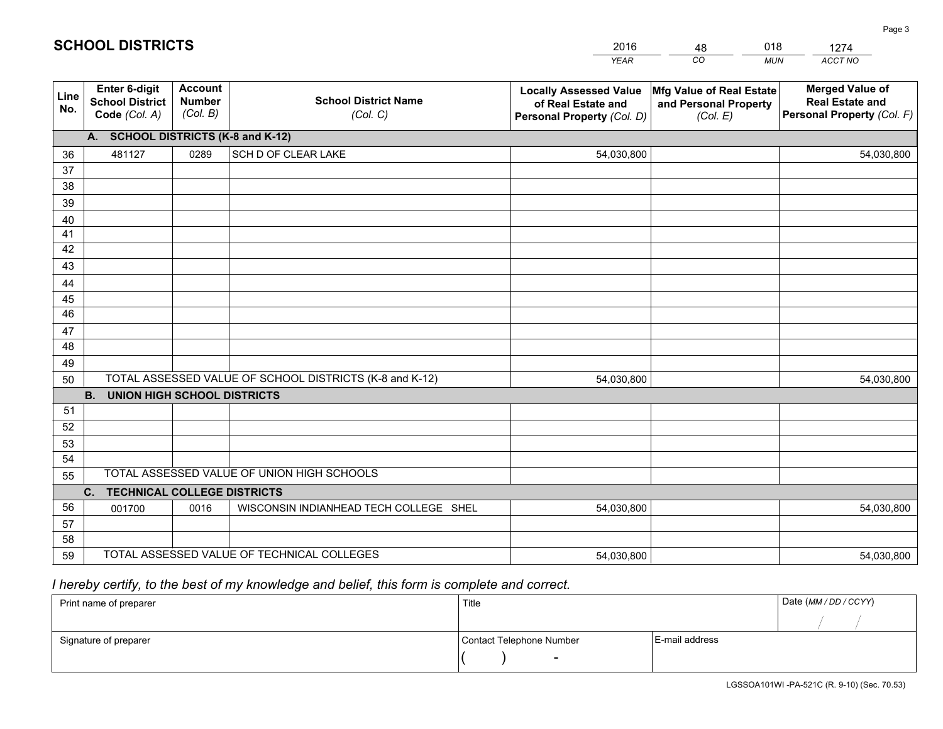|             |                                                          |                                             |                                                         | <b>YEAR</b>                                                                       | CO<br><b>MUN</b>                                              | ACCT NO                                                                        |
|-------------|----------------------------------------------------------|---------------------------------------------|---------------------------------------------------------|-----------------------------------------------------------------------------------|---------------------------------------------------------------|--------------------------------------------------------------------------------|
| Line<br>No. | Enter 6-digit<br><b>School District</b><br>Code (Col. A) | <b>Account</b><br><b>Number</b><br>(Col. B) | <b>School District Name</b><br>(Col. C)                 | <b>Locally Assessed Value</b><br>of Real Estate and<br>Personal Property (Col. D) | Mfg Value of Real Estate<br>and Personal Property<br>(Col. E) | <b>Merged Value of</b><br><b>Real Estate and</b><br>Personal Property (Col. F) |
|             | A. SCHOOL DISTRICTS (K-8 and K-12)                       |                                             |                                                         |                                                                                   |                                                               |                                                                                |
| 36          | 481127                                                   | 0289                                        | SCH D OF CLEAR LAKE                                     | 54,030,800                                                                        |                                                               | 54,030,800                                                                     |
| 37          |                                                          |                                             |                                                         |                                                                                   |                                                               |                                                                                |
| 38          |                                                          |                                             |                                                         |                                                                                   |                                                               |                                                                                |
| 39          |                                                          |                                             |                                                         |                                                                                   |                                                               |                                                                                |
| 40          |                                                          |                                             |                                                         |                                                                                   |                                                               |                                                                                |
| 41          |                                                          |                                             |                                                         |                                                                                   |                                                               |                                                                                |
| 42          |                                                          |                                             |                                                         |                                                                                   |                                                               |                                                                                |
| 43          |                                                          |                                             |                                                         |                                                                                   |                                                               |                                                                                |
| 44<br>45    |                                                          |                                             |                                                         |                                                                                   |                                                               |                                                                                |
| 46          |                                                          |                                             |                                                         |                                                                                   |                                                               |                                                                                |
| 47          |                                                          |                                             |                                                         |                                                                                   |                                                               |                                                                                |
| 48          |                                                          |                                             |                                                         |                                                                                   |                                                               |                                                                                |
| 49          |                                                          |                                             |                                                         |                                                                                   |                                                               |                                                                                |
| 50          |                                                          |                                             | TOTAL ASSESSED VALUE OF SCHOOL DISTRICTS (K-8 and K-12) | 54,030,800                                                                        |                                                               | 54,030,800                                                                     |
|             | <b>B.</b><br><b>UNION HIGH SCHOOL DISTRICTS</b>          |                                             |                                                         |                                                                                   |                                                               |                                                                                |
| 51          |                                                          |                                             |                                                         |                                                                                   |                                                               |                                                                                |
| 52          |                                                          |                                             |                                                         |                                                                                   |                                                               |                                                                                |
| 53          |                                                          |                                             |                                                         |                                                                                   |                                                               |                                                                                |
| 54          |                                                          |                                             |                                                         |                                                                                   |                                                               |                                                                                |
| 55          |                                                          |                                             | TOTAL ASSESSED VALUE OF UNION HIGH SCHOOLS              |                                                                                   |                                                               |                                                                                |
|             | C.<br><b>TECHNICAL COLLEGE DISTRICTS</b>                 |                                             |                                                         |                                                                                   |                                                               |                                                                                |
| 56          | 001700                                                   | 0016                                        | WISCONSIN INDIANHEAD TECH COLLEGE SHEL                  | 54,030,800                                                                        |                                                               | 54,030,800                                                                     |
| 57          |                                                          |                                             |                                                         |                                                                                   |                                                               |                                                                                |
| 58          |                                                          |                                             |                                                         |                                                                                   |                                                               |                                                                                |
| 59          |                                                          |                                             | TOTAL ASSESSED VALUE OF TECHNICAL COLLEGES              | 54,030,800                                                                        |                                                               | 54,030,800                                                                     |

48

018

 *I hereby certify, to the best of my knowledge and belief, this form is complete and correct.*

**SCHOOL DISTRICTS**

| Print name of preparer | Title                    |                | Date (MM / DD / CCYY) |
|------------------------|--------------------------|----------------|-----------------------|
|                        |                          |                |                       |
| Signature of preparer  | Contact Telephone Number | E-mail address |                       |
|                        | $\overline{\phantom{a}}$ |                |                       |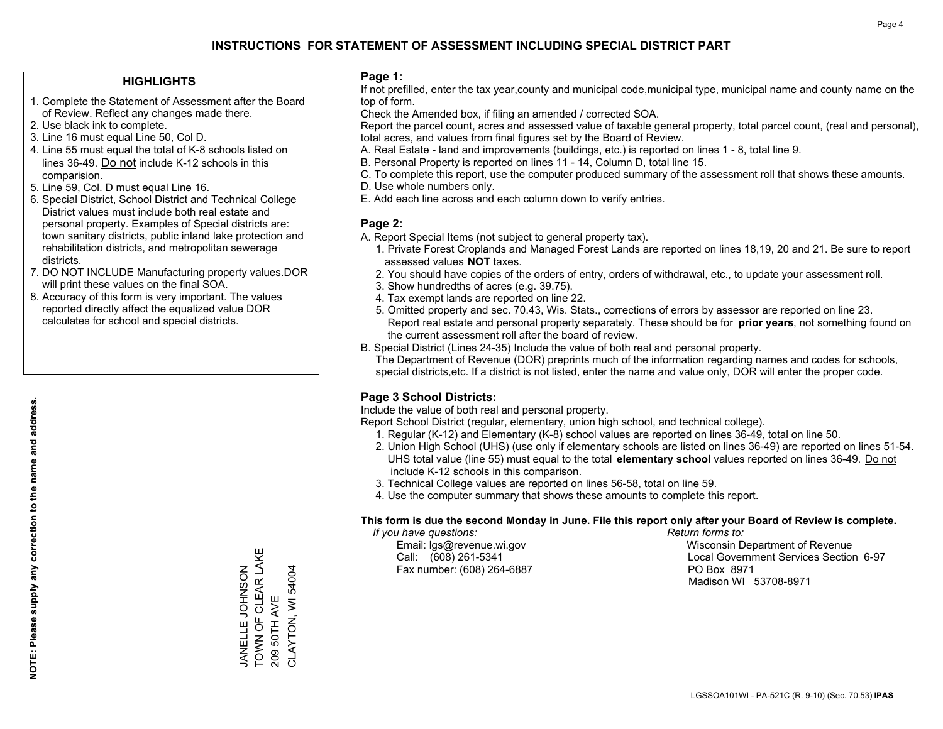### **HIGHLIGHTS**

- 1. Complete the Statement of Assessment after the Board of Review. Reflect any changes made there.
- 2. Use black ink to complete.
- 3. Line 16 must equal Line 50, Col D.
- 4. Line 55 must equal the total of K-8 schools listed on lines 36-49. Do not include K-12 schools in this comparision.
- 5. Line 59, Col. D must equal Line 16.
- 6. Special District, School District and Technical College District values must include both real estate and personal property. Examples of Special districts are: town sanitary districts, public inland lake protection and rehabilitation districts, and metropolitan sewerage districts.
- 7. DO NOT INCLUDE Manufacturing property values.DOR will print these values on the final SOA.
- 8. Accuracy of this form is very important. The values reported directly affect the equalized value DOR calculates for school and special districts.

### **Page 1:**

 If not prefilled, enter the tax year,county and municipal code,municipal type, municipal name and county name on the top of form.

Check the Amended box, if filing an amended / corrected SOA.

 Report the parcel count, acres and assessed value of taxable general property, total parcel count, (real and personal), total acres, and values from final figures set by the Board of Review.

- A. Real Estate land and improvements (buildings, etc.) is reported on lines 1 8, total line 9.
- B. Personal Property is reported on lines 11 14, Column D, total line 15.
- C. To complete this report, use the computer produced summary of the assessment roll that shows these amounts.
- D. Use whole numbers only.
- E. Add each line across and each column down to verify entries.

### **Page 2:**

- A. Report Special Items (not subject to general property tax).
- 1. Private Forest Croplands and Managed Forest Lands are reported on lines 18,19, 20 and 21. Be sure to report assessed values **NOT** taxes.
- 2. You should have copies of the orders of entry, orders of withdrawal, etc., to update your assessment roll.
	- 3. Show hundredths of acres (e.g. 39.75).
- 4. Tax exempt lands are reported on line 22.
- 5. Omitted property and sec. 70.43, Wis. Stats., corrections of errors by assessor are reported on line 23. Report real estate and personal property separately. These should be for **prior years**, not something found on the current assessment roll after the board of review.
- B. Special District (Lines 24-35) Include the value of both real and personal property.
- The Department of Revenue (DOR) preprints much of the information regarding names and codes for schools, special districts,etc. If a district is not listed, enter the name and value only, DOR will enter the proper code.

### **Page 3 School Districts:**

Include the value of both real and personal property.

Report School District (regular, elementary, union high school, and technical college).

- 1. Regular (K-12) and Elementary (K-8) school values are reported on lines 36-49, total on line 50.
- 2. Union High School (UHS) (use only if elementary schools are listed on lines 36-49) are reported on lines 51-54. UHS total value (line 55) must equal to the total **elementary school** values reported on lines 36-49. Do notinclude K-12 schools in this comparison.
- 3. Technical College values are reported on lines 56-58, total on line 59.
- 4. Use the computer summary that shows these amounts to complete this report.

#### **This form is due the second Monday in June. File this report only after your Board of Review is complete.**

 *If you have questions: Return forms to:*

Fax number: (608) 264-6887 PO Box 8971

 Email: lgs@revenue.wi.gov Wisconsin Department of Revenue Call: (608) 261-5341 Local Government Services Section 6-97Madison WI 53708-8971

TOWN OF CLEAR LAKE JANELLE JOHNSON<br>TOWN OF CLEAR LAKE CLAYTON, WI 54004 CLAYTON, WI 54004 JANELLE JOHNSON 209 50TH AVE 209 50TH AVE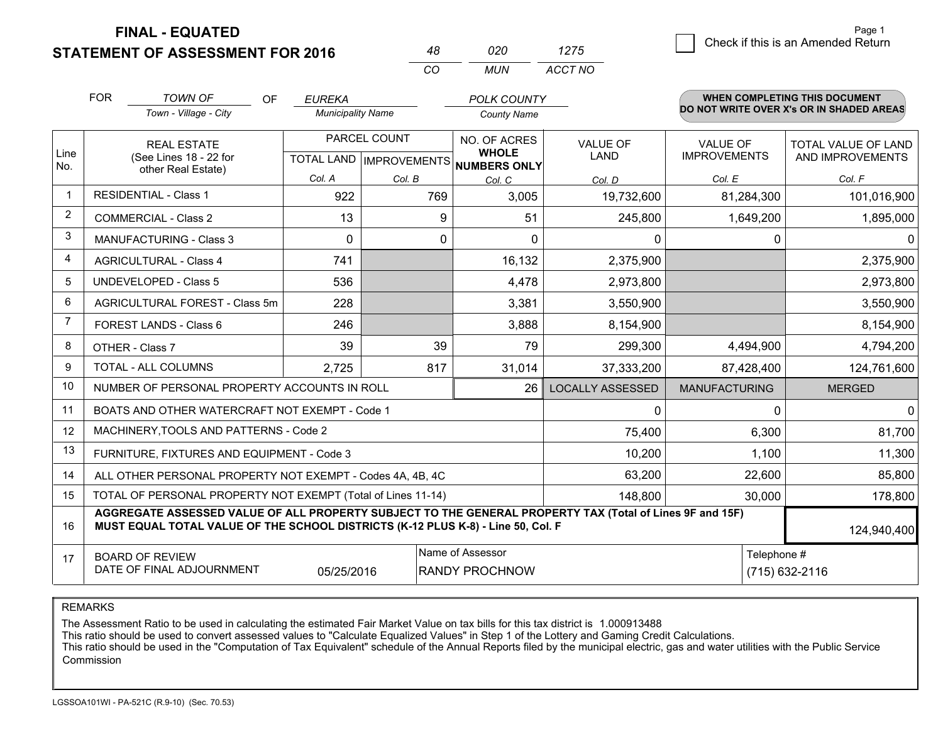**FINAL - EQUATED**

**STATEMENT OF ASSESSMENT FOR 2016** 

| 48 | 020 | 1275    |
|----|-----|---------|
| rη | MUN | ACCT NO |

|             | <b>FOR</b>                                                                                                                                                                                   | <b>TOWN OF</b><br><b>OF</b>                                  | <b>EUREKA</b>            |              | POLK COUNTY                                          |                         |                      | <b>WHEN COMPLETING THIS DOCUMENT</b><br>DO NOT WRITE OVER X's OR IN SHADED AREAS |
|-------------|----------------------------------------------------------------------------------------------------------------------------------------------------------------------------------------------|--------------------------------------------------------------|--------------------------|--------------|------------------------------------------------------|-------------------------|----------------------|----------------------------------------------------------------------------------|
|             |                                                                                                                                                                                              | Town - Village - City                                        | <b>Municipality Name</b> |              | <b>County Name</b>                                   |                         |                      |                                                                                  |
|             |                                                                                                                                                                                              | <b>REAL ESTATE</b>                                           |                          | PARCEL COUNT | NO. OF ACRES                                         | VALUE OF                | VALUE OF             | TOTAL VALUE OF LAND                                                              |
| Line<br>No. |                                                                                                                                                                                              | (See Lines 18 - 22 for<br>other Real Estate)                 |                          |              | <b>WHOLE</b><br>TOTAL LAND IMPROVEMENTS NUMBERS ONLY | <b>LAND</b>             | <b>IMPROVEMENTS</b>  | AND IMPROVEMENTS                                                                 |
|             |                                                                                                                                                                                              |                                                              | Col. A                   | Col. B       | Col. C                                               | Col. D                  | Col. E               | Col. F                                                                           |
| -1          |                                                                                                                                                                                              | <b>RESIDENTIAL - Class 1</b>                                 | 922                      | 769          | 3,005                                                | 19,732,600              | 81,284,300           | 101,016,900                                                                      |
| 2           |                                                                                                                                                                                              | <b>COMMERCIAL - Class 2</b>                                  | 13                       | 9            | 51                                                   | 245,800                 | 1,649,200            | 1,895,000                                                                        |
| 3           |                                                                                                                                                                                              | <b>MANUFACTURING - Class 3</b>                               | $\mathbf 0$              | 0            | $\Omega$                                             | 0                       | 0                    | $\Omega$                                                                         |
| 4           |                                                                                                                                                                                              | <b>AGRICULTURAL - Class 4</b>                                | 741                      |              | 16,132                                               | 2,375,900               |                      | 2,375,900                                                                        |
| 5           |                                                                                                                                                                                              | UNDEVELOPED - Class 5                                        | 536                      |              | 4,478                                                | 2,973,800               |                      | 2,973,800                                                                        |
| 6           |                                                                                                                                                                                              | AGRICULTURAL FOREST - Class 5m                               | 228                      |              | 3,381                                                | 3,550,900               |                      | 3,550,900                                                                        |
| 7           |                                                                                                                                                                                              | FOREST LANDS - Class 6                                       | 246                      |              | 3,888                                                | 8,154,900               |                      | 8,154,900                                                                        |
| 8           |                                                                                                                                                                                              | OTHER - Class 7                                              | 39                       | 39           | 79                                                   | 299,300                 | 4,494,900            | 4,794,200                                                                        |
| 9           |                                                                                                                                                                                              | TOTAL - ALL COLUMNS                                          | 2,725                    | 817          | 31,014                                               | 37,333,200              | 87,428,400           | 124,761,600                                                                      |
| 10          |                                                                                                                                                                                              | NUMBER OF PERSONAL PROPERTY ACCOUNTS IN ROLL                 |                          |              | 26                                                   | <b>LOCALLY ASSESSED</b> | <b>MANUFACTURING</b> | <b>MERGED</b>                                                                    |
| 11          |                                                                                                                                                                                              | BOATS AND OTHER WATERCRAFT NOT EXEMPT - Code 1               |                          |              |                                                      | 0                       | 0                    | $\Omega$                                                                         |
| 12          |                                                                                                                                                                                              | MACHINERY, TOOLS AND PATTERNS - Code 2                       |                          |              |                                                      | 75,400                  | 6,300                | 81,700                                                                           |
| 13          |                                                                                                                                                                                              | FURNITURE, FIXTURES AND EQUIPMENT - Code 3                   |                          |              |                                                      | 10,200                  | 1,100                | 11,300                                                                           |
| 14          |                                                                                                                                                                                              | ALL OTHER PERSONAL PROPERTY NOT EXEMPT - Codes 4A, 4B, 4C    |                          |              |                                                      | 63,200                  | 22,600               | 85,800                                                                           |
| 15          |                                                                                                                                                                                              | TOTAL OF PERSONAL PROPERTY NOT EXEMPT (Total of Lines 11-14) |                          | 148,800      | 30,000                                               | 178,800                 |                      |                                                                                  |
| 16          | AGGREGATE ASSESSED VALUE OF ALL PROPERTY SUBJECT TO THE GENERAL PROPERTY TAX (Total of Lines 9F and 15F)<br>MUST EQUAL TOTAL VALUE OF THE SCHOOL DISTRICTS (K-12 PLUS K-8) - Line 50, Col. F |                                                              |                          |              |                                                      |                         | 124,940,400          |                                                                                  |
| 17          | Name of Assessor<br><b>BOARD OF REVIEW</b><br>DATE OF FINAL ADJOURNMENT<br><b>RANDY PROCHNOW</b><br>05/25/2016                                                                               |                                                              |                          |              |                                                      |                         | Telephone #          | (715) 632-2116                                                                   |

REMARKS

The Assessment Ratio to be used in calculating the estimated Fair Market Value on tax bills for this tax district is 1.000913488<br>This ratio should be used to convert assessed values to "Calculate Equalized Values" in Step Commission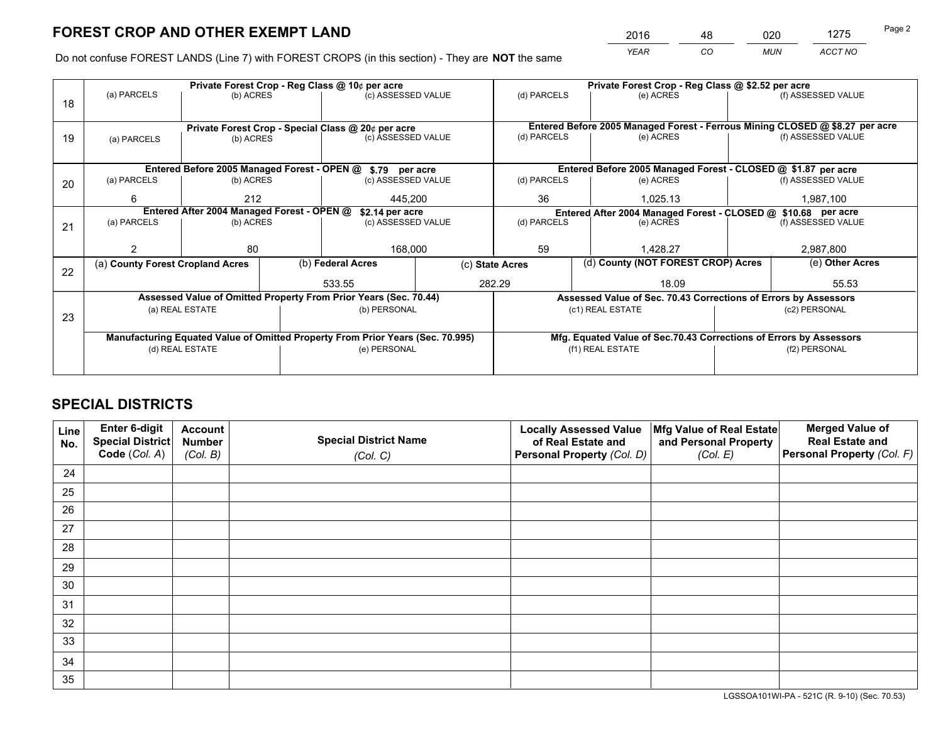*YEAR CO MUN ACCT NO* <sup>2016</sup> <sup>48</sup> <sup>020</sup> <sup>1275</sup>

Do not confuse FOREST LANDS (Line 7) with FOREST CROPS (in this section) - They are **NOT** the same

|                                                                                |             |                                                     |                                                  |                                                                               | Private Forest Crop - Reg Class @ \$2.52 per acre                                                                                                                                                                                                                                                                       |          |           |                    |                                                                                                                                                                        |
|--------------------------------------------------------------------------------|-------------|-----------------------------------------------------|--------------------------------------------------|-------------------------------------------------------------------------------|-------------------------------------------------------------------------------------------------------------------------------------------------------------------------------------------------------------------------------------------------------------------------------------------------------------------------|----------|-----------|--------------------|------------------------------------------------------------------------------------------------------------------------------------------------------------------------|
|                                                                                |             |                                                     |                                                  |                                                                               | (d) PARCELS                                                                                                                                                                                                                                                                                                             |          | (e) ACRES |                    | (f) ASSESSED VALUE                                                                                                                                                     |
|                                                                                |             |                                                     |                                                  |                                                                               |                                                                                                                                                                                                                                                                                                                         |          |           |                    |                                                                                                                                                                        |
|                                                                                |             |                                                     |                                                  |                                                                               | Entered Before 2005 Managed Forest - Ferrous Mining CLOSED @ \$8.27 per acre                                                                                                                                                                                                                                            |          |           |                    |                                                                                                                                                                        |
| (a) PARCELS                                                                    |             |                                                     |                                                  |                                                                               | (d) PARCELS                                                                                                                                                                                                                                                                                                             |          | (e) ACRES |                    | (f) ASSESSED VALUE                                                                                                                                                     |
|                                                                                |             |                                                     |                                                  |                                                                               |                                                                                                                                                                                                                                                                                                                         |          |           |                    |                                                                                                                                                                        |
|                                                                                |             |                                                     |                                                  |                                                                               |                                                                                                                                                                                                                                                                                                                         |          |           |                    |                                                                                                                                                                        |
| (a) PARCELS                                                                    |             |                                                     |                                                  |                                                                               | (d) PARCELS                                                                                                                                                                                                                                                                                                             |          | (e) ACRES |                    | (f) ASSESSED VALUE                                                                                                                                                     |
| 6                                                                              | 212         |                                                     | 445.200                                          |                                                                               | 36                                                                                                                                                                                                                                                                                                                      | 1.025.13 |           | 1,987,100          |                                                                                                                                                                        |
| Entered After 2004 Managed Forest - OPEN @<br>\$2.14 per acre                  |             |                                                     |                                                  | Entered After 2004 Managed Forest - CLOSED @ \$10.68 per acre                 |                                                                                                                                                                                                                                                                                                                         |          |           |                    |                                                                                                                                                                        |
| (a) PARCELS                                                                    |             |                                                     |                                                  |                                                                               | (d) PARCELS<br>(e) ACRES                                                                                                                                                                                                                                                                                                |          |           | (f) ASSESSED VALUE |                                                                                                                                                                        |
|                                                                                |             |                                                     |                                                  |                                                                               |                                                                                                                                                                                                                                                                                                                         |          |           |                    |                                                                                                                                                                        |
|                                                                                | 80          |                                                     |                                                  |                                                                               | 59<br>1.428.27                                                                                                                                                                                                                                                                                                          |          |           | 2,987,800          |                                                                                                                                                                        |
|                                                                                |             |                                                     |                                                  | (c) State Acres                                                               |                                                                                                                                                                                                                                                                                                                         |          |           |                    | (e) Other Acres                                                                                                                                                        |
|                                                                                |             |                                                     |                                                  |                                                                               | 18.09                                                                                                                                                                                                                                                                                                                   |          |           | 55.53              |                                                                                                                                                                        |
|                                                                                |             |                                                     |                                                  |                                                                               |                                                                                                                                                                                                                                                                                                                         |          |           |                    |                                                                                                                                                                        |
|                                                                                |             |                                                     |                                                  |                                                                               |                                                                                                                                                                                                                                                                                                                         |          |           |                    | (c2) PERSONAL                                                                                                                                                          |
|                                                                                |             |                                                     |                                                  |                                                                               |                                                                                                                                                                                                                                                                                                                         |          |           |                    |                                                                                                                                                                        |
| Manufacturing Equated Value of Omitted Property From Prior Years (Sec. 70.995) |             |                                                     |                                                  |                                                                               | Mfg. Equated Value of Sec.70.43 Corrections of Errors by Assessors                                                                                                                                                                                                                                                      |          |           |                    |                                                                                                                                                                        |
| (d) REAL ESTATE                                                                |             |                                                     |                                                  |                                                                               | (f1) REAL ESTATE                                                                                                                                                                                                                                                                                                        |          |           | (f2) PERSONAL      |                                                                                                                                                                        |
|                                                                                |             |                                                     |                                                  |                                                                               |                                                                                                                                                                                                                                                                                                                         |          |           |                    |                                                                                                                                                                        |
|                                                                                | (a) PARCELS | (a) County Forest Cropland Acres<br>(a) REAL ESTATE | (b) ACRES<br>(b) ACRES<br>(b) ACRES<br>(b) ACRES | Private Forest Crop - Reg Class @ 10¢ per acre<br>(b) Federal Acres<br>533.55 | (c) ASSESSED VALUE<br>Private Forest Crop - Special Class @ 20¢ per acre<br>(c) ASSESSED VALUE<br>Entered Before 2005 Managed Forest - OPEN @ \$.79 per acre<br>(c) ASSESSED VALUE<br>(c) ASSESSED VALUE<br>168,000<br>Assessed Value of Omitted Property From Prior Years (Sec. 70.44)<br>(b) PERSONAL<br>(e) PERSONAL | 282.29   |           | (c1) REAL ESTATE   | Entered Before 2005 Managed Forest - CLOSED @ \$1.87 per acre<br>(d) County (NOT FOREST CROP) Acres<br>Assessed Value of Sec. 70.43 Corrections of Errors by Assessors |

## **SPECIAL DISTRICTS**

| Line<br>No. | Enter 6-digit<br>Special District<br>Code (Col. A) | <b>Account</b><br><b>Number</b> | <b>Special District Name</b> | <b>Locally Assessed Value</b><br>of Real Estate and | Mfg Value of Real Estate<br>and Personal Property | <b>Merged Value of</b><br><b>Real Estate and</b><br>Personal Property (Col. F) |
|-------------|----------------------------------------------------|---------------------------------|------------------------------|-----------------------------------------------------|---------------------------------------------------|--------------------------------------------------------------------------------|
|             |                                                    | (Col. B)                        | (Col. C)                     | Personal Property (Col. D)                          | (Col. E)                                          |                                                                                |
| 24          |                                                    |                                 |                              |                                                     |                                                   |                                                                                |
| 25          |                                                    |                                 |                              |                                                     |                                                   |                                                                                |
| 26          |                                                    |                                 |                              |                                                     |                                                   |                                                                                |
| 27          |                                                    |                                 |                              |                                                     |                                                   |                                                                                |
| 28          |                                                    |                                 |                              |                                                     |                                                   |                                                                                |
| 29          |                                                    |                                 |                              |                                                     |                                                   |                                                                                |
| 30          |                                                    |                                 |                              |                                                     |                                                   |                                                                                |
| 31          |                                                    |                                 |                              |                                                     |                                                   |                                                                                |
| 32          |                                                    |                                 |                              |                                                     |                                                   |                                                                                |
| 33          |                                                    |                                 |                              |                                                     |                                                   |                                                                                |
| 34          |                                                    |                                 |                              |                                                     |                                                   |                                                                                |
| 35          |                                                    |                                 |                              |                                                     |                                                   |                                                                                |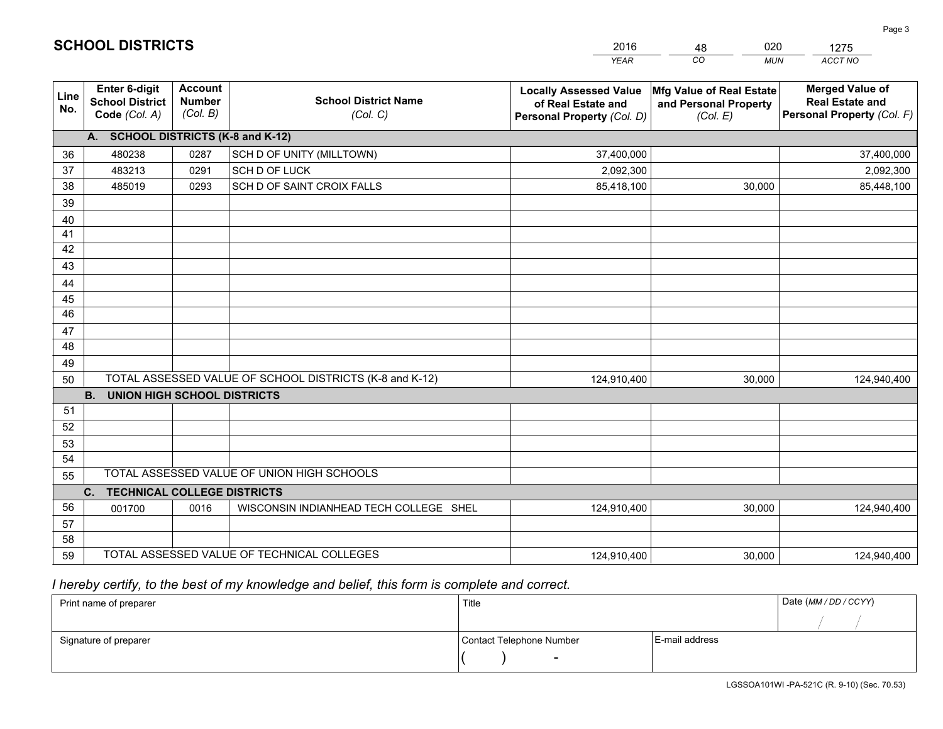|             |                                                                 |                                             |                                                         | <b>YEAR</b>                                                                       | CO<br><b>MUN</b>                                              | ACCT NO                                                                        |
|-------------|-----------------------------------------------------------------|---------------------------------------------|---------------------------------------------------------|-----------------------------------------------------------------------------------|---------------------------------------------------------------|--------------------------------------------------------------------------------|
| Line<br>No. | <b>Enter 6-digit</b><br><b>School District</b><br>Code (Col. A) | <b>Account</b><br><b>Number</b><br>(Col. B) | <b>School District Name</b><br>(Col. C)                 | <b>Locally Assessed Value</b><br>of Real Estate and<br>Personal Property (Col. D) | Mfg Value of Real Estate<br>and Personal Property<br>(Col. E) | <b>Merged Value of</b><br><b>Real Estate and</b><br>Personal Property (Col. F) |
|             | A. SCHOOL DISTRICTS (K-8 and K-12)                              |                                             |                                                         |                                                                                   |                                                               |                                                                                |
| 36          | 480238                                                          | 0287                                        | SCH D OF UNITY (MILLTOWN)                               | 37,400,000                                                                        |                                                               | 37,400,000                                                                     |
| 37          | 483213                                                          | 0291                                        | SCH D OF LUCK                                           | 2,092,300                                                                         |                                                               | 2,092,300                                                                      |
| 38          | 485019                                                          | 0293                                        | SCH D OF SAINT CROIX FALLS                              | 85,418,100                                                                        | 30,000                                                        | 85,448,100                                                                     |
| 39          |                                                                 |                                             |                                                         |                                                                                   |                                                               |                                                                                |
| 40          |                                                                 |                                             |                                                         |                                                                                   |                                                               |                                                                                |
| 41          |                                                                 |                                             |                                                         |                                                                                   |                                                               |                                                                                |
| 42          |                                                                 |                                             |                                                         |                                                                                   |                                                               |                                                                                |
| 43          |                                                                 |                                             |                                                         |                                                                                   |                                                               |                                                                                |
| 44          |                                                                 |                                             |                                                         |                                                                                   |                                                               |                                                                                |
| 45          |                                                                 |                                             |                                                         |                                                                                   |                                                               |                                                                                |
| 46          |                                                                 |                                             |                                                         |                                                                                   |                                                               |                                                                                |
| 47<br>48    |                                                                 |                                             |                                                         |                                                                                   |                                                               |                                                                                |
| 49          |                                                                 |                                             |                                                         |                                                                                   |                                                               |                                                                                |
| 50          |                                                                 |                                             | TOTAL ASSESSED VALUE OF SCHOOL DISTRICTS (K-8 and K-12) | 124,910,400                                                                       | 30,000                                                        | 124,940,400                                                                    |
|             | <b>B.</b><br><b>UNION HIGH SCHOOL DISTRICTS</b>                 |                                             |                                                         |                                                                                   |                                                               |                                                                                |
| 51          |                                                                 |                                             |                                                         |                                                                                   |                                                               |                                                                                |
| 52          |                                                                 |                                             |                                                         |                                                                                   |                                                               |                                                                                |
| 53          |                                                                 |                                             |                                                         |                                                                                   |                                                               |                                                                                |
| 54          |                                                                 |                                             |                                                         |                                                                                   |                                                               |                                                                                |
| 55          |                                                                 |                                             | TOTAL ASSESSED VALUE OF UNION HIGH SCHOOLS              |                                                                                   |                                                               |                                                                                |
|             | C.<br><b>TECHNICAL COLLEGE DISTRICTS</b>                        |                                             |                                                         |                                                                                   |                                                               |                                                                                |
| 56          | 001700                                                          | 0016                                        | WISCONSIN INDIANHEAD TECH COLLEGE SHEL                  | 124,910,400                                                                       | 30,000                                                        | 124,940,400                                                                    |
| 57          |                                                                 |                                             |                                                         |                                                                                   |                                                               |                                                                                |
| 58          |                                                                 |                                             |                                                         |                                                                                   |                                                               |                                                                                |
| 59          |                                                                 |                                             | TOTAL ASSESSED VALUE OF TECHNICAL COLLEGES              | 124,910,400                                                                       | 30,000                                                        | 124,940,400                                                                    |

48

020

 *I hereby certify, to the best of my knowledge and belief, this form is complete and correct.*

**SCHOOL DISTRICTS**

| Print name of preparer | Title                    |                | Date (MM / DD / CCYY) |
|------------------------|--------------------------|----------------|-----------------------|
|                        |                          |                |                       |
| Signature of preparer  | Contact Telephone Number | E-mail address |                       |
|                        | $\overline{\phantom{0}}$ |                |                       |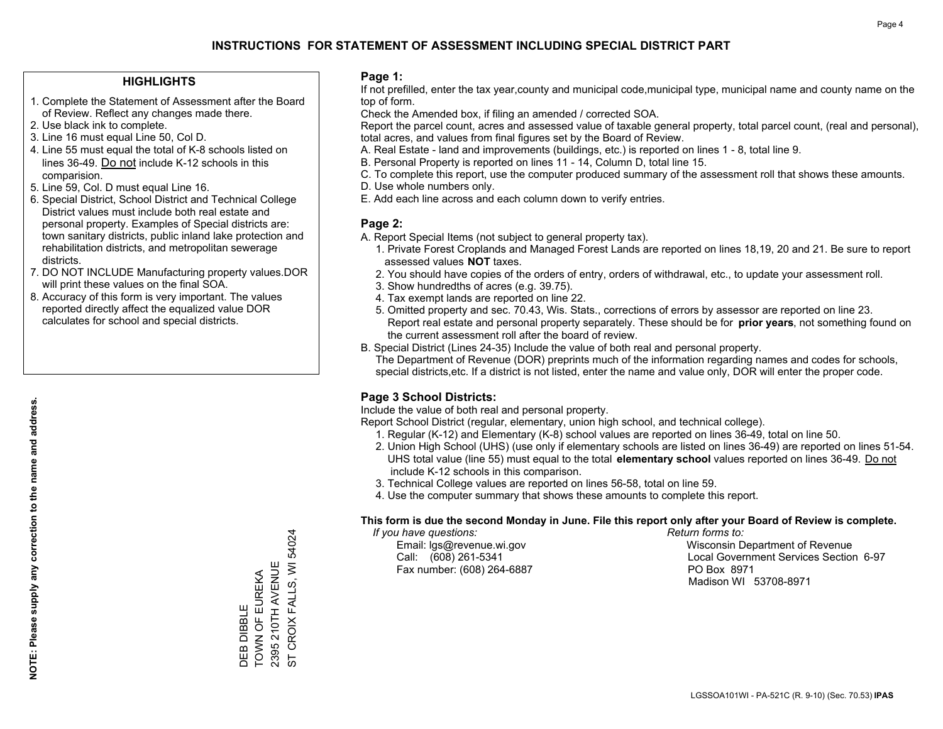#### **HIGHLIGHTS**

- 1. Complete the Statement of Assessment after the Board of Review. Reflect any changes made there.
- 2. Use black ink to complete.
- 3. Line 16 must equal Line 50, Col D.
- 4. Line 55 must equal the total of K-8 schools listed on lines 36-49. Do not include K-12 schools in this comparision.
- 5. Line 59, Col. D must equal Line 16.
- 6. Special District, School District and Technical College District values must include both real estate and personal property. Examples of Special districts are: town sanitary districts, public inland lake protection and rehabilitation districts, and metropolitan sewerage districts.
- 7. DO NOT INCLUDE Manufacturing property values.DOR will print these values on the final SOA.

DEB DIBBLE

TOWN OF EUREKA 2395 210TH AVENUE

DEB DIBBLE<br>TOWN OF EUREKA<br>2395 210TH AVENUE

ST CROIX FALLS, WI 54024

CROIX FALLS, WI 54024

 $\overline{5}$ 

 8. Accuracy of this form is very important. The values reported directly affect the equalized value DOR calculates for school and special districts.

#### **Page 1:**

 If not prefilled, enter the tax year,county and municipal code,municipal type, municipal name and county name on the top of form.

Check the Amended box, if filing an amended / corrected SOA.

 Report the parcel count, acres and assessed value of taxable general property, total parcel count, (real and personal), total acres, and values from final figures set by the Board of Review.

- A. Real Estate land and improvements (buildings, etc.) is reported on lines 1 8, total line 9.
- B. Personal Property is reported on lines 11 14, Column D, total line 15.
- C. To complete this report, use the computer produced summary of the assessment roll that shows these amounts.
- D. Use whole numbers only.
- E. Add each line across and each column down to verify entries.

#### **Page 2:**

- A. Report Special Items (not subject to general property tax).
- 1. Private Forest Croplands and Managed Forest Lands are reported on lines 18,19, 20 and 21. Be sure to report assessed values **NOT** taxes.
- 2. You should have copies of the orders of entry, orders of withdrawal, etc., to update your assessment roll.
	- 3. Show hundredths of acres (e.g. 39.75).
- 4. Tax exempt lands are reported on line 22.
- 5. Omitted property and sec. 70.43, Wis. Stats., corrections of errors by assessor are reported on line 23. Report real estate and personal property separately. These should be for **prior years**, not something found on the current assessment roll after the board of review.
- B. Special District (Lines 24-35) Include the value of both real and personal property.

 The Department of Revenue (DOR) preprints much of the information regarding names and codes for schools, special districts,etc. If a district is not listed, enter the name and value only, DOR will enter the proper code.

## **Page 3 School Districts:**

Include the value of both real and personal property.

Report School District (regular, elementary, union high school, and technical college).

- 1. Regular (K-12) and Elementary (K-8) school values are reported on lines 36-49, total on line 50.
- 2. Union High School (UHS) (use only if elementary schools are listed on lines 36-49) are reported on lines 51-54. UHS total value (line 55) must equal to the total **elementary school** values reported on lines 36-49. Do notinclude K-12 schools in this comparison.
- 3. Technical College values are reported on lines 56-58, total on line 59.
- 4. Use the computer summary that shows these amounts to complete this report.

#### **This form is due the second Monday in June. File this report only after your Board of Review is complete.**

 *If you have questions: Return forms to:*

Fax number: (608) 264-6887 PO Box 8971

 Email: lgs@revenue.wi.gov Wisconsin Department of Revenue Call: (608) 261-5341 Local Government Services Section 6-97Madison WI 53708-8971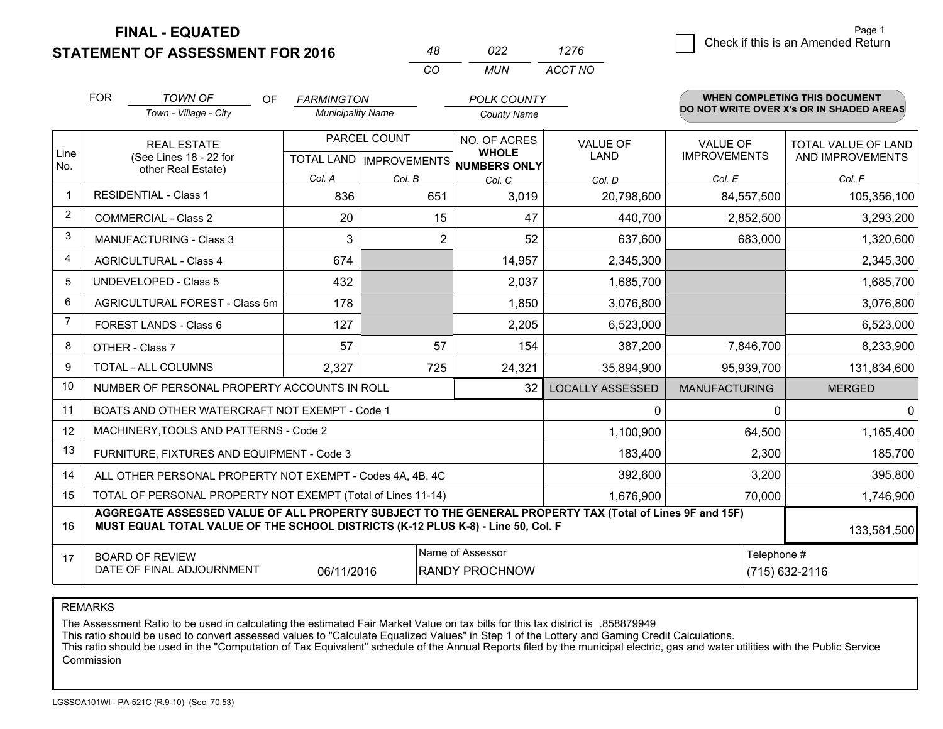**STATEMENT OF ASSESSMENT FOR 2016** 

**FINAL - EQUATED**

|                                                                  | <b>FOR</b>                                                                                                                                                                                   | <b>TOWN OF</b><br>OF                                         | <b>FARMINGTON</b>        |              | <b>POLK COUNTY</b>                                   |                         |                      | <b>WHEN COMPLETING THIS DOCUMENT</b><br>DO NOT WRITE OVER X's OR IN SHADED AREAS |
|------------------------------------------------------------------|----------------------------------------------------------------------------------------------------------------------------------------------------------------------------------------------|--------------------------------------------------------------|--------------------------|--------------|------------------------------------------------------|-------------------------|----------------------|----------------------------------------------------------------------------------|
|                                                                  |                                                                                                                                                                                              | Town - Village - City                                        | <b>Municipality Name</b> |              | <b>County Name</b>                                   |                         |                      |                                                                                  |
|                                                                  |                                                                                                                                                                                              | <b>REAL ESTATE</b>                                           |                          | PARCEL COUNT | NO. OF ACRES                                         | <b>VALUE OF</b>         | <b>VALUE OF</b>      | TOTAL VALUE OF LAND                                                              |
| Line<br>No.                                                      |                                                                                                                                                                                              | (See Lines 18 - 22 for<br>other Real Estate)                 |                          |              | <b>WHOLE</b><br>TOTAL LAND IMPROVEMENTS NUMBERS ONLY | <b>LAND</b>             | <b>IMPROVEMENTS</b>  | AND IMPROVEMENTS                                                                 |
|                                                                  |                                                                                                                                                                                              |                                                              | Col. A                   | Col. B       | Col. C                                               | Col. D                  | Col. E               | Col. F                                                                           |
| $\mathbf 1$                                                      | <b>RESIDENTIAL - Class 1</b>                                                                                                                                                                 |                                                              | 836                      | 651          | 3,019                                                | 20,798,600              | 84,557,500           | 105,356,100                                                                      |
| 2                                                                |                                                                                                                                                                                              | <b>COMMERCIAL - Class 2</b>                                  | 20                       | 15           | 47                                                   | 440,700                 | 2,852,500            | 3,293,200                                                                        |
| 3                                                                |                                                                                                                                                                                              | <b>MANUFACTURING - Class 3</b>                               | 3                        | 2            | 52                                                   | 637,600                 | 683,000              | 1,320,600                                                                        |
| 4                                                                |                                                                                                                                                                                              | <b>AGRICULTURAL - Class 4</b>                                | 674                      |              | 14,957                                               | 2,345,300               |                      | 2,345,300                                                                        |
| 5                                                                |                                                                                                                                                                                              | <b>UNDEVELOPED - Class 5</b>                                 | 432                      |              | 2,037                                                | 1,685,700               |                      | 1,685,700                                                                        |
| 6                                                                |                                                                                                                                                                                              | AGRICULTURAL FOREST - Class 5m                               | 178                      |              | 1,850                                                | 3,076,800               |                      | 3,076,800                                                                        |
| $\overline{7}$                                                   |                                                                                                                                                                                              | FOREST LANDS - Class 6                                       | 127                      |              | 2,205                                                | 6,523,000               |                      | 6,523,000                                                                        |
| 8                                                                |                                                                                                                                                                                              | OTHER - Class 7                                              | 57                       | 57           | 154                                                  | 387,200                 | 7,846,700            | 8,233,900                                                                        |
| 9                                                                |                                                                                                                                                                                              | TOTAL - ALL COLUMNS                                          | 2,327                    | 725          | 24,321                                               | 35,894,900              | 95,939,700           | 131,834,600                                                                      |
| 10                                                               |                                                                                                                                                                                              | NUMBER OF PERSONAL PROPERTY ACCOUNTS IN ROLL                 |                          |              | 32                                                   | <b>LOCALLY ASSESSED</b> | <b>MANUFACTURING</b> | <b>MERGED</b>                                                                    |
| 11                                                               |                                                                                                                                                                                              | BOATS AND OTHER WATERCRAFT NOT EXEMPT - Code 1               |                          |              |                                                      | $\mathbf{0}$            | $\Omega$             | $\Omega$                                                                         |
| 12                                                               |                                                                                                                                                                                              | MACHINERY, TOOLS AND PATTERNS - Code 2                       |                          |              |                                                      | 1,100,900               | 64,500               | 1,165,400                                                                        |
| 13                                                               |                                                                                                                                                                                              | FURNITURE, FIXTURES AND EQUIPMENT - Code 3                   |                          |              |                                                      | 183,400                 | 2,300                | 185,700                                                                          |
| 14                                                               |                                                                                                                                                                                              | ALL OTHER PERSONAL PROPERTY NOT EXEMPT - Codes 4A, 4B, 4C    |                          |              |                                                      | 392,600                 | 3,200                | 395,800                                                                          |
| 15                                                               |                                                                                                                                                                                              | TOTAL OF PERSONAL PROPERTY NOT EXEMPT (Total of Lines 11-14) |                          |              |                                                      | 1,676,900               | 70,000               | 1,746,900                                                                        |
| 16                                                               | AGGREGATE ASSESSED VALUE OF ALL PROPERTY SUBJECT TO THE GENERAL PROPERTY TAX (Total of Lines 9F and 15F)<br>MUST EQUAL TOTAL VALUE OF THE SCHOOL DISTRICTS (K-12 PLUS K-8) - Line 50, Col. F |                                                              |                          |              |                                                      |                         | 133,581,500          |                                                                                  |
| 17                                                               |                                                                                                                                                                                              | <b>BOARD OF REVIEW</b>                                       |                          |              | Name of Assessor                                     |                         | Telephone #          |                                                                                  |
| DATE OF FINAL ADJOURNMENT<br>06/11/2016<br><b>RANDY PROCHNOW</b> |                                                                                                                                                                                              |                                                              |                          |              |                                                      |                         |                      | (715) 632-2116                                                                   |

*CO*

*MUN*

*ACCT NO1276*

*<sup>48</sup> <sup>022</sup>*

REMARKS

The Assessment Ratio to be used in calculating the estimated Fair Market Value on tax bills for this tax district is .858879949<br>This ratio should be used to convert assessed values to "Calculate Equalized Values" in Step 1 Commission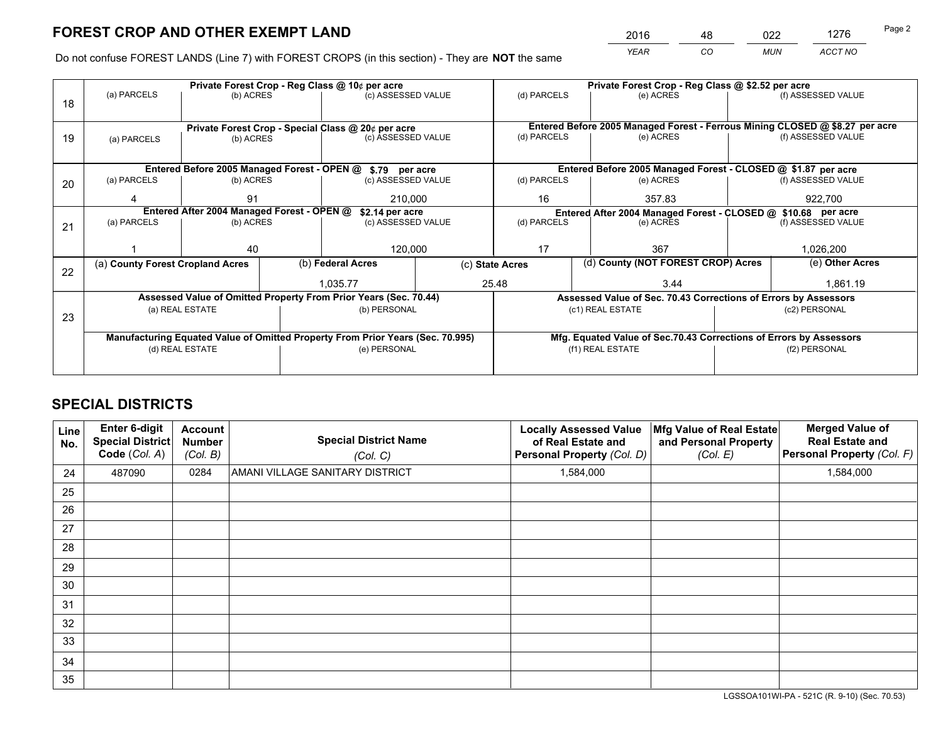*YEAR CO MUN ACCT NO* <sup>2016</sup> <sup>48</sup> <sup>022</sup> <sup>1276</sup>

Do not confuse FOREST LANDS (Line 7) with FOREST CROPS (in this section) - They are **NOT** the same

|    |                                                                                |                                                    |  | Private Forest Crop - Reg Class @ 10¢ per acre                   |                                                                              | Private Forest Crop - Reg Class @ \$2.52 per acre                  |                                                                 |                    |                    |  |
|----|--------------------------------------------------------------------------------|----------------------------------------------------|--|------------------------------------------------------------------|------------------------------------------------------------------------------|--------------------------------------------------------------------|-----------------------------------------------------------------|--------------------|--------------------|--|
| 18 | (a) PARCELS                                                                    | (b) ACRES                                          |  | (c) ASSESSED VALUE                                               |                                                                              | (d) PARCELS                                                        | (e) ACRES                                                       |                    | (f) ASSESSED VALUE |  |
|    |                                                                                |                                                    |  |                                                                  |                                                                              |                                                                    |                                                                 |                    |                    |  |
|    |                                                                                | Private Forest Crop - Special Class @ 20¢ per acre |  |                                                                  | Entered Before 2005 Managed Forest - Ferrous Mining CLOSED @ \$8.27 per acre |                                                                    |                                                                 |                    |                    |  |
| 19 | (a) PARCELS                                                                    | (b) ACRES                                          |  | (c) ASSESSED VALUE                                               |                                                                              | (d) PARCELS                                                        | (e) ACRES                                                       |                    | (f) ASSESSED VALUE |  |
|    |                                                                                |                                                    |  |                                                                  |                                                                              |                                                                    |                                                                 |                    |                    |  |
|    |                                                                                |                                                    |  | Entered Before 2005 Managed Forest - OPEN @ \$.79 per acre       |                                                                              |                                                                    | Entered Before 2005 Managed Forest - CLOSED @ \$1.87 per acre   |                    |                    |  |
| 20 | (a) PARCELS                                                                    | (b) ACRES                                          |  | (c) ASSESSED VALUE                                               |                                                                              | (d) PARCELS                                                        | (e) ACRES                                                       |                    | (f) ASSESSED VALUE |  |
|    |                                                                                | 91                                                 |  | 210,000                                                          |                                                                              | 16                                                                 | 357.83                                                          |                    | 922,700            |  |
|    | Entered After 2004 Managed Forest - OPEN @<br>\$2.14 per acre                  |                                                    |  | Entered After 2004 Managed Forest - CLOSED @ \$10.68 per acre    |                                                                              |                                                                    |                                                                 |                    |                    |  |
| 21 | (a) PARCELS                                                                    | (b) ACRES                                          |  | (c) ASSESSED VALUE                                               |                                                                              | (d) PARCELS<br>(e) ACRES                                           |                                                                 | (f) ASSESSED VALUE |                    |  |
|    |                                                                                |                                                    |  |                                                                  |                                                                              |                                                                    |                                                                 |                    |                    |  |
|    |                                                                                | 40                                                 |  | 120,000                                                          |                                                                              | 17<br>367                                                          |                                                                 |                    | 1,026,200          |  |
| 22 | (a) County Forest Cropland Acres                                               |                                                    |  | (b) Federal Acres                                                | (c) State Acres                                                              |                                                                    | (d) County (NOT FOREST CROP) Acres                              |                    | (e) Other Acres    |  |
|    |                                                                                |                                                    |  | 25.48<br>1.035.77                                                |                                                                              | 3.44                                                               |                                                                 |                    | 1,861.19           |  |
|    |                                                                                |                                                    |  | Assessed Value of Omitted Property From Prior Years (Sec. 70.44) |                                                                              |                                                                    | Assessed Value of Sec. 70.43 Corrections of Errors by Assessors |                    |                    |  |
| 23 |                                                                                | (a) REAL ESTATE                                    |  | (b) PERSONAL                                                     |                                                                              |                                                                    | (c1) REAL ESTATE                                                |                    | (c2) PERSONAL      |  |
|    |                                                                                |                                                    |  |                                                                  |                                                                              |                                                                    |                                                                 |                    |                    |  |
|    | Manufacturing Equated Value of Omitted Property From Prior Years (Sec. 70.995) |                                                    |  |                                                                  |                                                                              | Mfg. Equated Value of Sec.70.43 Corrections of Errors by Assessors |                                                                 |                    |                    |  |
|    | (d) REAL ESTATE                                                                |                                                    |  | (e) PERSONAL                                                     |                                                                              | (f1) REAL ESTATE                                                   |                                                                 |                    | (f2) PERSONAL      |  |
|    |                                                                                |                                                    |  |                                                                  |                                                                              |                                                                    |                                                                 |                    |                    |  |

## **SPECIAL DISTRICTS**

| Line<br>No. | <b>Enter 6-digit</b><br>Special District<br>Code (Col. A) | Account<br><b>Number</b><br>(Col. B) | <b>Special District Name</b><br>(Col. C) | <b>Locally Assessed Value</b><br>of Real Estate and<br>Personal Property (Col. D) | Mfg Value of Real Estate<br>and Personal Property<br>(Col. E) | <b>Merged Value of</b><br><b>Real Estate and</b><br>Personal Property (Col. F) |
|-------------|-----------------------------------------------------------|--------------------------------------|------------------------------------------|-----------------------------------------------------------------------------------|---------------------------------------------------------------|--------------------------------------------------------------------------------|
| 24          | 487090                                                    | 0284                                 | AMANI VILLAGE SANITARY DISTRICT          | 1,584,000                                                                         |                                                               | 1,584,000                                                                      |
| 25          |                                                           |                                      |                                          |                                                                                   |                                                               |                                                                                |
| 26          |                                                           |                                      |                                          |                                                                                   |                                                               |                                                                                |
| 27          |                                                           |                                      |                                          |                                                                                   |                                                               |                                                                                |
| 28          |                                                           |                                      |                                          |                                                                                   |                                                               |                                                                                |
| 29          |                                                           |                                      |                                          |                                                                                   |                                                               |                                                                                |
| 30          |                                                           |                                      |                                          |                                                                                   |                                                               |                                                                                |
| 31          |                                                           |                                      |                                          |                                                                                   |                                                               |                                                                                |
| 32          |                                                           |                                      |                                          |                                                                                   |                                                               |                                                                                |
| 33          |                                                           |                                      |                                          |                                                                                   |                                                               |                                                                                |
| 34          |                                                           |                                      |                                          |                                                                                   |                                                               |                                                                                |
| 35          |                                                           |                                      |                                          |                                                                                   |                                                               |                                                                                |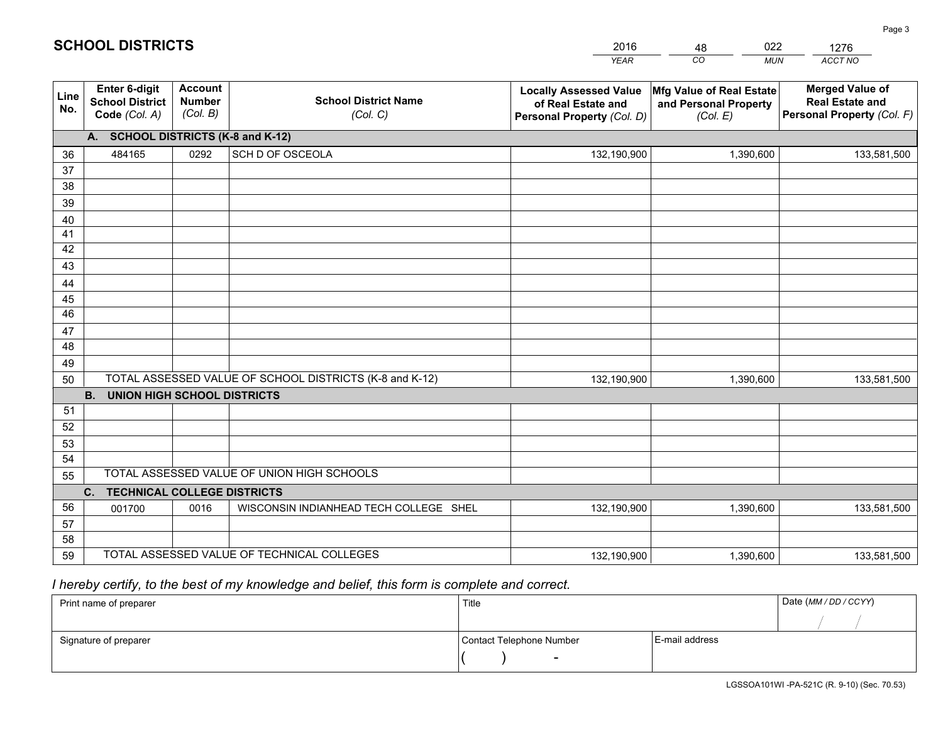|                                                                 |                                             |                                         | <b>YEAR</b>                                                                                                                                                                                                                                                                                                     | CO<br><b>MUN</b>                  | ACCT NO                                                                        |
|-----------------------------------------------------------------|---------------------------------------------|-----------------------------------------|-----------------------------------------------------------------------------------------------------------------------------------------------------------------------------------------------------------------------------------------------------------------------------------------------------------------|-----------------------------------|--------------------------------------------------------------------------------|
| <b>Enter 6-digit</b><br><b>School District</b><br>Code (Col. A) | <b>Account</b><br><b>Number</b><br>(Col. B) | <b>School District Name</b><br>(Col. C) | <b>Locally Assessed Value</b><br>of Real Estate and<br>Personal Property (Col. D)                                                                                                                                                                                                                               | and Personal Property<br>(Col. E) | <b>Merged Value of</b><br><b>Real Estate and</b><br>Personal Property (Col. F) |
|                                                                 |                                             |                                         |                                                                                                                                                                                                                                                                                                                 |                                   |                                                                                |
| 484165                                                          | 0292                                        | SCH D OF OSCEOLA                        | 132,190,900                                                                                                                                                                                                                                                                                                     | 1,390,600                         | 133,581,500                                                                    |
|                                                                 |                                             |                                         |                                                                                                                                                                                                                                                                                                                 |                                   |                                                                                |
|                                                                 |                                             |                                         |                                                                                                                                                                                                                                                                                                                 |                                   |                                                                                |
|                                                                 |                                             |                                         |                                                                                                                                                                                                                                                                                                                 |                                   |                                                                                |
|                                                                 |                                             |                                         |                                                                                                                                                                                                                                                                                                                 |                                   |                                                                                |
|                                                                 |                                             |                                         |                                                                                                                                                                                                                                                                                                                 |                                   |                                                                                |
|                                                                 |                                             |                                         |                                                                                                                                                                                                                                                                                                                 |                                   |                                                                                |
|                                                                 |                                             |                                         |                                                                                                                                                                                                                                                                                                                 |                                   |                                                                                |
|                                                                 |                                             |                                         |                                                                                                                                                                                                                                                                                                                 |                                   |                                                                                |
|                                                                 |                                             |                                         |                                                                                                                                                                                                                                                                                                                 |                                   |                                                                                |
|                                                                 |                                             |                                         |                                                                                                                                                                                                                                                                                                                 |                                   |                                                                                |
|                                                                 |                                             |                                         |                                                                                                                                                                                                                                                                                                                 |                                   |                                                                                |
|                                                                 |                                             |                                         |                                                                                                                                                                                                                                                                                                                 |                                   |                                                                                |
|                                                                 |                                             |                                         | 132,190,900                                                                                                                                                                                                                                                                                                     | 1,390,600                         | 133,581,500                                                                    |
|                                                                 |                                             |                                         |                                                                                                                                                                                                                                                                                                                 |                                   |                                                                                |
|                                                                 |                                             |                                         |                                                                                                                                                                                                                                                                                                                 |                                   |                                                                                |
|                                                                 |                                             |                                         |                                                                                                                                                                                                                                                                                                                 |                                   |                                                                                |
|                                                                 |                                             |                                         |                                                                                                                                                                                                                                                                                                                 |                                   |                                                                                |
|                                                                 |                                             |                                         |                                                                                                                                                                                                                                                                                                                 |                                   |                                                                                |
|                                                                 |                                             |                                         |                                                                                                                                                                                                                                                                                                                 |                                   |                                                                                |
|                                                                 |                                             |                                         |                                                                                                                                                                                                                                                                                                                 |                                   |                                                                                |
|                                                                 |                                             |                                         |                                                                                                                                                                                                                                                                                                                 |                                   | 133,581,500                                                                    |
|                                                                 |                                             |                                         |                                                                                                                                                                                                                                                                                                                 |                                   |                                                                                |
|                                                                 |                                             |                                         | 132,190,900                                                                                                                                                                                                                                                                                                     | 1,390,600                         | 133,581,500                                                                    |
|                                                                 | <b>B.</b><br>C.<br>001700                   | 0016                                    | A. SCHOOL DISTRICTS (K-8 and K-12)<br>TOTAL ASSESSED VALUE OF SCHOOL DISTRICTS (K-8 and K-12)<br><b>UNION HIGH SCHOOL DISTRICTS</b><br>TOTAL ASSESSED VALUE OF UNION HIGH SCHOOLS<br><b>TECHNICAL COLLEGE DISTRICTS</b><br>WISCONSIN INDIANHEAD TECH COLLEGE SHEL<br>TOTAL ASSESSED VALUE OF TECHNICAL COLLEGES | 132,190,900                       | Mfg Value of Real Estate<br>1,390,600                                          |

48

022

 *I hereby certify, to the best of my knowledge and belief, this form is complete and correct.*

**SCHOOL DISTRICTS**

| Print name of preparer | Title                    |                | Date (MM / DD / CCYY) |
|------------------------|--------------------------|----------------|-----------------------|
|                        |                          |                |                       |
| Signature of preparer  | Contact Telephone Number | E-mail address |                       |
|                        | $\sim$                   |                |                       |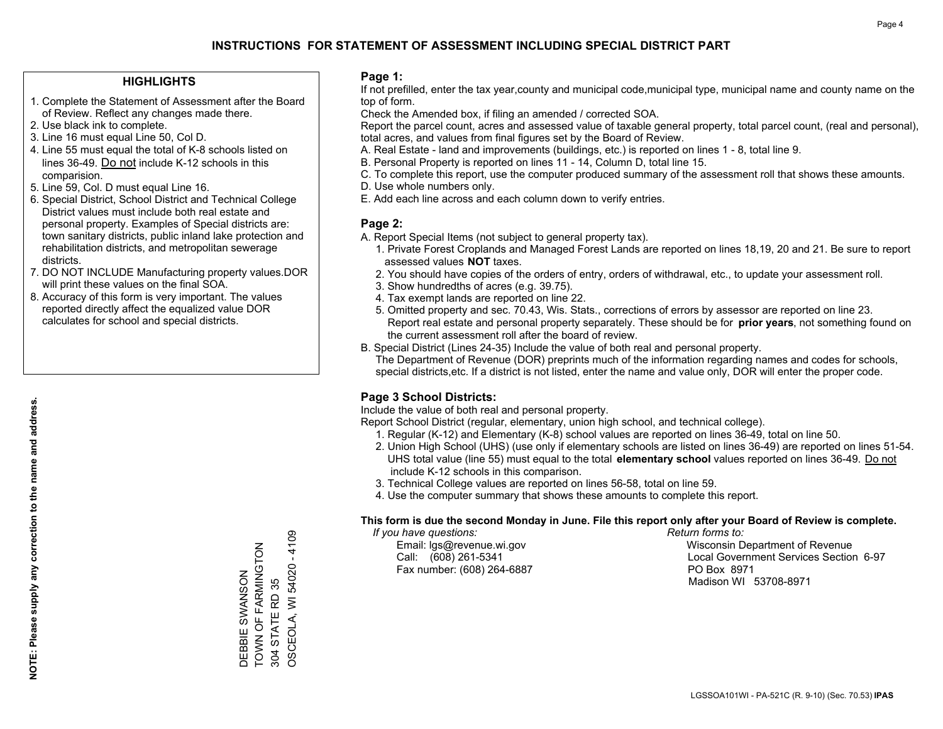#### **HIGHLIGHTS**

- 1. Complete the Statement of Assessment after the Board of Review. Reflect any changes made there.
- 2. Use black ink to complete.
- 3. Line 16 must equal Line 50, Col D.
- 4. Line 55 must equal the total of K-8 schools listed on lines 36-49. Do not include K-12 schools in this comparision.
- 5. Line 59, Col. D must equal Line 16.
- 6. Special District, School District and Technical College District values must include both real estate and personal property. Examples of Special districts are: town sanitary districts, public inland lake protection and rehabilitation districts, and metropolitan sewerage districts.
- 7. DO NOT INCLUDE Manufacturing property values.DOR will print these values on the final SOA.
- 8. Accuracy of this form is very important. The values reported directly affect the equalized value DOR calculates for school and special districts.

#### **Page 1:**

 If not prefilled, enter the tax year,county and municipal code,municipal type, municipal name and county name on the top of form.

Check the Amended box, if filing an amended / corrected SOA.

 Report the parcel count, acres and assessed value of taxable general property, total parcel count, (real and personal), total acres, and values from final figures set by the Board of Review.

- A. Real Estate land and improvements (buildings, etc.) is reported on lines 1 8, total line 9.
- B. Personal Property is reported on lines 11 14, Column D, total line 15.
- C. To complete this report, use the computer produced summary of the assessment roll that shows these amounts.
- D. Use whole numbers only.
- E. Add each line across and each column down to verify entries.

#### **Page 2:**

- A. Report Special Items (not subject to general property tax).
- 1. Private Forest Croplands and Managed Forest Lands are reported on lines 18,19, 20 and 21. Be sure to report assessed values **NOT** taxes.
- 2. You should have copies of the orders of entry, orders of withdrawal, etc., to update your assessment roll.
	- 3. Show hundredths of acres (e.g. 39.75).
- 4. Tax exempt lands are reported on line 22.
- 5. Omitted property and sec. 70.43, Wis. Stats., corrections of errors by assessor are reported on line 23. Report real estate and personal property separately. These should be for **prior years**, not something found on the current assessment roll after the board of review.
- B. Special District (Lines 24-35) Include the value of both real and personal property.

 The Department of Revenue (DOR) preprints much of the information regarding names and codes for schools, special districts,etc. If a district is not listed, enter the name and value only, DOR will enter the proper code.

## **Page 3 School Districts:**

Include the value of both real and personal property.

Report School District (regular, elementary, union high school, and technical college).

- 1. Regular (K-12) and Elementary (K-8) school values are reported on lines 36-49, total on line 50.
- 2. Union High School (UHS) (use only if elementary schools are listed on lines 36-49) are reported on lines 51-54. UHS total value (line 55) must equal to the total **elementary school** values reported on lines 36-49. Do notinclude K-12 schools in this comparison.
- 3. Technical College values are reported on lines 56-58, total on line 59.
- 4. Use the computer summary that shows these amounts to complete this report.

#### **This form is due the second Monday in June. File this report only after your Board of Review is complete.**

 *If you have questions: Return forms to:*

Fax number: (608) 264-6887 PO Box 8971

 Email: lgs@revenue.wi.gov Wisconsin Department of Revenue Call: (608) 261-5341 Local Government Services Section 6-97Madison WI 53708-8971

 $-4109$ OSCEOLA, WI 54020 - 4109 TOWN OF FARMINGTON TOWN OF FARMINGTON OSCEOLA, WI 54020 DEBBIE SWANSON DEBBIE SWANSON 304 STATE RD 35 304 STATE RD 35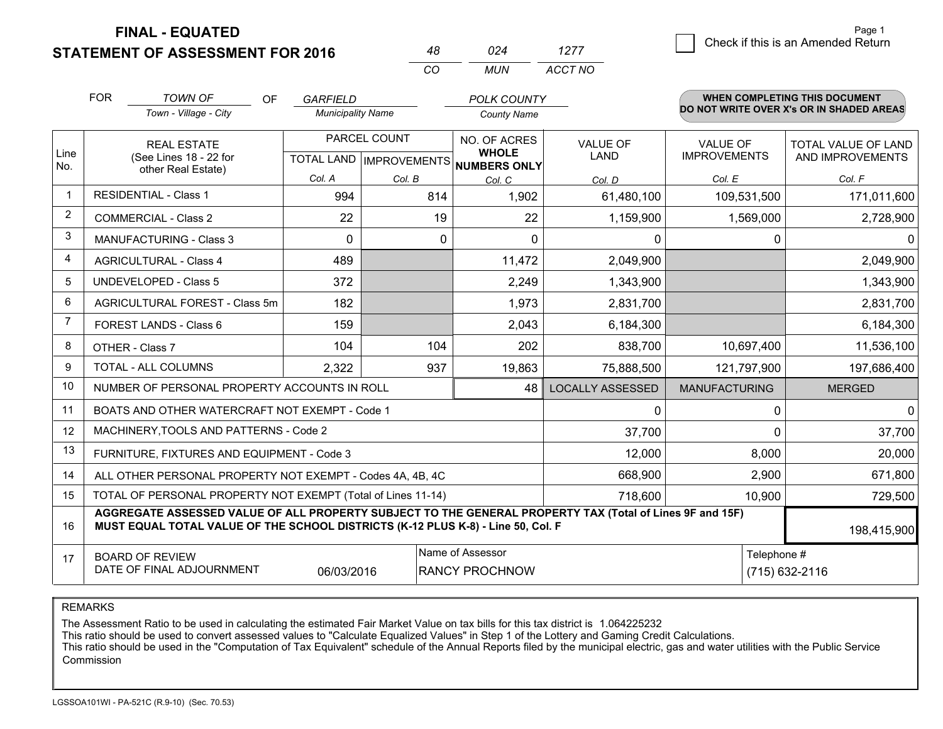**FINAL - EQUATED**

**STATEMENT OF ASSESSMENT FOR 2016** 

| 024 | 1277    | Check if this is an Amended Return |
|-----|---------|------------------------------------|
| MUN | ACCT NO |                                    |

|                | <b>FOR</b>                   | <b>TOWN OF</b><br><b>OF</b>                                                                                                                                                                  | <b>GARFIELD</b>          |              | <b>POLK COUNTY</b>                   |                         |                      | <b>WHEN COMPLETING THIS DOCUMENT</b><br>DO NOT WRITE OVER X's OR IN SHADED AREAS |  |  |
|----------------|------------------------------|----------------------------------------------------------------------------------------------------------------------------------------------------------------------------------------------|--------------------------|--------------|--------------------------------------|-------------------------|----------------------|----------------------------------------------------------------------------------|--|--|
|                |                              | Town - Village - City                                                                                                                                                                        | <b>Municipality Name</b> |              | <b>County Name</b>                   |                         |                      |                                                                                  |  |  |
| Line           |                              | <b>REAL ESTATE</b>                                                                                                                                                                           |                          | PARCEL COUNT | NO. OF ACRES<br><b>WHOLE</b>         | <b>VALUE OF</b>         | <b>VALUE OF</b>      | TOTAL VALUE OF LAND                                                              |  |  |
| No.            |                              | (See Lines 18 - 22 for<br>other Real Estate)                                                                                                                                                 |                          |              | TOTAL LAND IMPROVEMENTS NUMBERS ONLY | LAND                    | <b>IMPROVEMENTS</b>  | AND IMPROVEMENTS                                                                 |  |  |
|                |                              |                                                                                                                                                                                              | Col. A                   | Col. B       | Col. C                               | Col. D                  | Col. E               | Col. F                                                                           |  |  |
| $\overline{1}$ | <b>RESIDENTIAL - Class 1</b> |                                                                                                                                                                                              | 994                      | 814          | 1,902                                | 61,480,100              | 109,531,500          | 171,011,600                                                                      |  |  |
| 2              |                              | <b>COMMERCIAL - Class 2</b>                                                                                                                                                                  | 22                       | 19           | 22                                   | 1,159,900               | 1,569,000            | 2,728,900                                                                        |  |  |
| 3              |                              | <b>MANUFACTURING - Class 3</b>                                                                                                                                                               | 0                        | 0            | $\Omega$                             | 0                       | 0                    |                                                                                  |  |  |
| 4              |                              | <b>AGRICULTURAL - Class 4</b>                                                                                                                                                                | 489                      |              | 11,472                               | 2,049,900               |                      | 2,049,900                                                                        |  |  |
| 5              |                              | UNDEVELOPED - Class 5                                                                                                                                                                        | 372                      |              | 2,249                                | 1,343,900               |                      | 1,343,900                                                                        |  |  |
| 6              |                              | AGRICULTURAL FOREST - Class 5m                                                                                                                                                               | 182                      |              | 1,973                                | 2,831,700               |                      | 2,831,700                                                                        |  |  |
| 7              |                              | FOREST LANDS - Class 6                                                                                                                                                                       | 159                      |              | 2,043                                | 6,184,300               |                      | 6,184,300                                                                        |  |  |
| 8              |                              | OTHER - Class 7                                                                                                                                                                              | 104                      | 104          | 202                                  | 838,700                 | 10,697,400           | 11,536,100                                                                       |  |  |
| 9              |                              | TOTAL - ALL COLUMNS                                                                                                                                                                          | 2,322                    | 937          | 19,863                               | 75,888,500              | 121,797,900          | 197,686,400                                                                      |  |  |
| 10             |                              | NUMBER OF PERSONAL PROPERTY ACCOUNTS IN ROLL                                                                                                                                                 |                          |              | 48                                   | <b>LOCALLY ASSESSED</b> | <b>MANUFACTURING</b> | <b>MERGED</b>                                                                    |  |  |
| 11             |                              | BOATS AND OTHER WATERCRAFT NOT EXEMPT - Code 1                                                                                                                                               |                          |              |                                      | 0                       | 0                    | 0                                                                                |  |  |
| 12             |                              | MACHINERY, TOOLS AND PATTERNS - Code 2                                                                                                                                                       |                          |              |                                      | 37,700                  | $\mathbf{0}$         | 37,700                                                                           |  |  |
| 13             |                              | FURNITURE, FIXTURES AND EQUIPMENT - Code 3                                                                                                                                                   |                          |              |                                      | 12,000                  | 8,000                | 20,000                                                                           |  |  |
| 14             |                              | ALL OTHER PERSONAL PROPERTY NOT EXEMPT - Codes 4A, 4B, 4C                                                                                                                                    |                          |              |                                      | 668,900                 | 2,900                | 671,800                                                                          |  |  |
| 15             |                              | TOTAL OF PERSONAL PROPERTY NOT EXEMPT (Total of Lines 11-14)                                                                                                                                 |                          |              |                                      | 718,600                 | 10,900               | 729,500                                                                          |  |  |
| 16             |                              | AGGREGATE ASSESSED VALUE OF ALL PROPERTY SUBJECT TO THE GENERAL PROPERTY TAX (Total of Lines 9F and 15F)<br>MUST EQUAL TOTAL VALUE OF THE SCHOOL DISTRICTS (K-12 PLUS K-8) - Line 50, Col. F |                          |              |                                      |                         |                      | 198,415,900                                                                      |  |  |
| 17             |                              | <b>BOARD OF REVIEW</b>                                                                                                                                                                       |                          |              | Name of Assessor                     |                         | Telephone #          |                                                                                  |  |  |
|                |                              | DATE OF FINAL ADJOURNMENT                                                                                                                                                                    | 06/03/2016               |              | <b>RANCY PROCHNOW</b>                |                         |                      | (715) 632-2116                                                                   |  |  |

*CO*

*<sup>48</sup> <sup>024</sup>*

REMARKS

The Assessment Ratio to be used in calculating the estimated Fair Market Value on tax bills for this tax district is 1.064225232

This ratio should be used to convert assessed values to "Calculate Equalized Values" in Step 1 of the Lottery and Gaming Credit Calculations.

 This ratio should be used in the "Computation of Tax Equivalent" schedule of the Annual Reports filed by the municipal electric, gas and water utilities with the Public Service **Commission**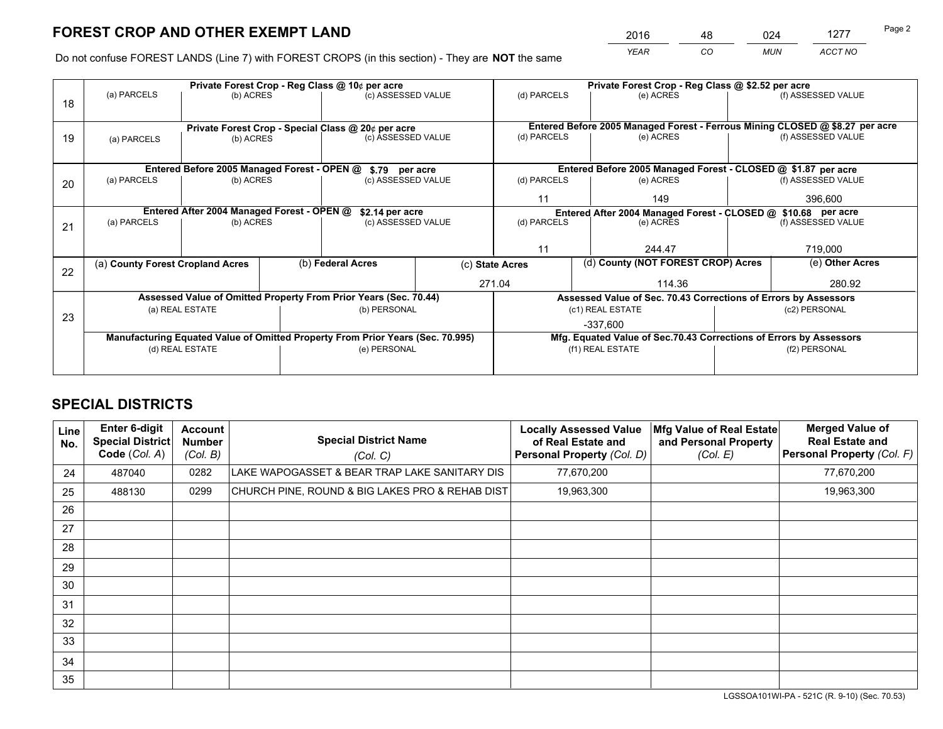*YEAR CO MUN ACCT NO* 2016 <u>48 024 1277</u>

Do not confuse FOREST LANDS (Line 7) with FOREST CROPS (in this section) - They are **NOT** the same

|    |                                                    |                                            |  | Private Forest Crop - Reg Class @ 10¢ per acre                                 |                 |                                                                              | Private Forest Crop - Reg Class @ \$2.52 per acre                  |                                    |                    |  |
|----|----------------------------------------------------|--------------------------------------------|--|--------------------------------------------------------------------------------|-----------------|------------------------------------------------------------------------------|--------------------------------------------------------------------|------------------------------------|--------------------|--|
| 18 | (a) PARCELS                                        | (b) ACRES                                  |  | (c) ASSESSED VALUE                                                             |                 | (d) PARCELS                                                                  | (e) ACRES                                                          |                                    | (f) ASSESSED VALUE |  |
|    |                                                    |                                            |  |                                                                                |                 |                                                                              |                                                                    |                                    |                    |  |
|    | Private Forest Crop - Special Class @ 20¢ per acre |                                            |  |                                                                                |                 | Entered Before 2005 Managed Forest - Ferrous Mining CLOSED @ \$8.27 per acre |                                                                    |                                    |                    |  |
| 19 | (a) PARCELS                                        | (b) ACRES                                  |  | (c) ASSESSED VALUE                                                             |                 | (d) PARCELS                                                                  | (e) ACRES                                                          |                                    | (f) ASSESSED VALUE |  |
|    |                                                    |                                            |  |                                                                                |                 |                                                                              |                                                                    |                                    |                    |  |
|    |                                                    |                                            |  | Entered Before 2005 Managed Forest - OPEN @ \$.79 per acre                     |                 |                                                                              | Entered Before 2005 Managed Forest - CLOSED @ \$1.87 per acre      |                                    |                    |  |
| 20 | (a) PARCELS                                        | (b) ACRES                                  |  | (c) ASSESSED VALUE                                                             |                 | (d) PARCELS                                                                  | (e) ACRES                                                          |                                    | (f) ASSESSED VALUE |  |
|    |                                                    |                                            |  |                                                                                |                 | 11                                                                           | 149                                                                |                                    |                    |  |
|    |                                                    | Entered After 2004 Managed Forest - OPEN @ |  | \$2.14 per acre                                                                |                 |                                                                              | Entered After 2004 Managed Forest - CLOSED @ \$10.68 per acre      |                                    |                    |  |
| 21 | (a) PARCELS                                        | (b) ACRES                                  |  | (c) ASSESSED VALUE                                                             |                 | (d) PARCELS<br>(e) ACRES                                                     |                                                                    |                                    | (f) ASSESSED VALUE |  |
|    |                                                    |                                            |  |                                                                                |                 |                                                                              |                                                                    |                                    |                    |  |
|    |                                                    |                                            |  |                                                                                |                 | 11<br>244.47                                                                 |                                                                    |                                    | 719,000            |  |
| 22 | (a) County Forest Cropland Acres                   |                                            |  | (b) Federal Acres                                                              | (c) State Acres |                                                                              |                                                                    | (d) County (NOT FOREST CROP) Acres |                    |  |
|    |                                                    |                                            |  |                                                                                |                 | 271.04                                                                       | 114.36                                                             |                                    | 280.92             |  |
|    |                                                    |                                            |  | Assessed Value of Omitted Property From Prior Years (Sec. 70.44)               |                 |                                                                              | Assessed Value of Sec. 70.43 Corrections of Errors by Assessors    |                                    |                    |  |
| 23 |                                                    | (a) REAL ESTATE                            |  | (b) PERSONAL                                                                   |                 |                                                                              | (c1) REAL ESTATE                                                   |                                    | (c2) PERSONAL      |  |
|    |                                                    |                                            |  |                                                                                |                 |                                                                              | $-337,600$                                                         |                                    |                    |  |
|    |                                                    |                                            |  | Manufacturing Equated Value of Omitted Property From Prior Years (Sec. 70.995) |                 |                                                                              | Mfg. Equated Value of Sec.70.43 Corrections of Errors by Assessors |                                    |                    |  |
|    | (d) REAL ESTATE                                    |                                            |  | (e) PERSONAL                                                                   |                 | (f1) REAL ESTATE                                                             |                                                                    | (f2) PERSONAL                      |                    |  |
|    |                                                    |                                            |  |                                                                                |                 |                                                                              |                                                                    |                                    |                    |  |

## **SPECIAL DISTRICTS**

| Line<br>No. | <b>Enter 6-digit</b><br>Special District<br>Code (Col. A) | <b>Account</b><br><b>Number</b><br>(Col. B) | <b>Special District Name</b><br>(Col. C)        | <b>Locally Assessed Value</b><br>of Real Estate and<br><b>Personal Property (Col. D)</b> | Mfg Value of Real Estate<br>and Personal Property<br>(Col. E) | <b>Merged Value of</b><br><b>Real Estate and</b><br>Personal Property (Col. F) |
|-------------|-----------------------------------------------------------|---------------------------------------------|-------------------------------------------------|------------------------------------------------------------------------------------------|---------------------------------------------------------------|--------------------------------------------------------------------------------|
| 24          | 487040                                                    | 0282                                        | LAKE WAPOGASSET & BEAR TRAP LAKE SANITARY DIS   | 77,670,200                                                                               |                                                               | 77,670,200                                                                     |
| 25          | 488130                                                    | 0299                                        | CHURCH PINE, ROUND & BIG LAKES PRO & REHAB DIST | 19,963,300                                                                               |                                                               | 19,963,300                                                                     |
| 26          |                                                           |                                             |                                                 |                                                                                          |                                                               |                                                                                |
| 27          |                                                           |                                             |                                                 |                                                                                          |                                                               |                                                                                |
| 28          |                                                           |                                             |                                                 |                                                                                          |                                                               |                                                                                |
| 29          |                                                           |                                             |                                                 |                                                                                          |                                                               |                                                                                |
| 30          |                                                           |                                             |                                                 |                                                                                          |                                                               |                                                                                |
| 31          |                                                           |                                             |                                                 |                                                                                          |                                                               |                                                                                |
| 32          |                                                           |                                             |                                                 |                                                                                          |                                                               |                                                                                |
| 33          |                                                           |                                             |                                                 |                                                                                          |                                                               |                                                                                |
| 34          |                                                           |                                             |                                                 |                                                                                          |                                                               |                                                                                |
| 35          |                                                           |                                             |                                                 |                                                                                          |                                                               |                                                                                |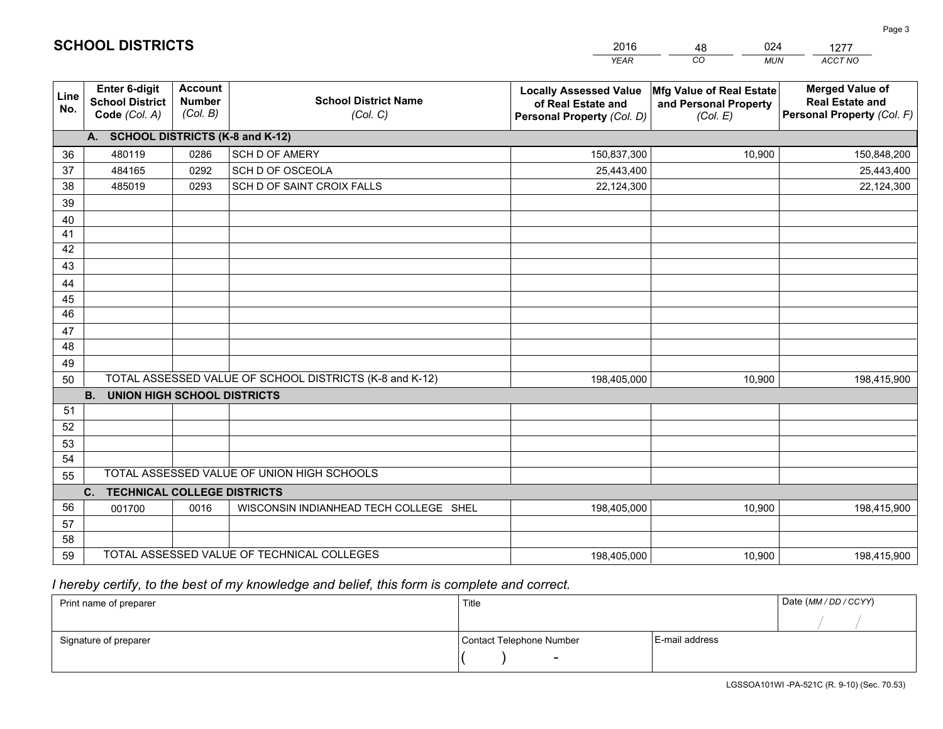|             |                                                                 |                                             |                                                         | <b>YEAR</b>                                                                       | CO<br><b>MUN</b>                                              | ACCT NO                                                                        |
|-------------|-----------------------------------------------------------------|---------------------------------------------|---------------------------------------------------------|-----------------------------------------------------------------------------------|---------------------------------------------------------------|--------------------------------------------------------------------------------|
| Line<br>No. | <b>Enter 6-digit</b><br><b>School District</b><br>Code (Col. A) | <b>Account</b><br><b>Number</b><br>(Col. B) | <b>School District Name</b><br>(Col. C)                 | <b>Locally Assessed Value</b><br>of Real Estate and<br>Personal Property (Col. D) | Mfg Value of Real Estate<br>and Personal Property<br>(Col. E) | <b>Merged Value of</b><br><b>Real Estate and</b><br>Personal Property (Col. F) |
|             | A. SCHOOL DISTRICTS (K-8 and K-12)                              |                                             |                                                         |                                                                                   |                                                               |                                                                                |
| 36          | 480119                                                          | 0286                                        | <b>SCH D OF AMERY</b>                                   | 150,837,300                                                                       | 10,900                                                        | 150,848,200                                                                    |
| 37          | 484165                                                          | 0292                                        | SCH D OF OSCEOLA                                        | 25,443,400                                                                        |                                                               | 25,443,400                                                                     |
| 38          | 485019                                                          | 0293                                        | SCH D OF SAINT CROIX FALLS                              | 22,124,300                                                                        |                                                               | 22,124,300                                                                     |
| 39          |                                                                 |                                             |                                                         |                                                                                   |                                                               |                                                                                |
| 40          |                                                                 |                                             |                                                         |                                                                                   |                                                               |                                                                                |
| 41          |                                                                 |                                             |                                                         |                                                                                   |                                                               |                                                                                |
| 42          |                                                                 |                                             |                                                         |                                                                                   |                                                               |                                                                                |
| 43          |                                                                 |                                             |                                                         |                                                                                   |                                                               |                                                                                |
| 44          |                                                                 |                                             |                                                         |                                                                                   |                                                               |                                                                                |
| 45          |                                                                 |                                             |                                                         |                                                                                   |                                                               |                                                                                |
| 46          |                                                                 |                                             |                                                         |                                                                                   |                                                               |                                                                                |
| 47          |                                                                 |                                             |                                                         |                                                                                   |                                                               |                                                                                |
| 48          |                                                                 |                                             |                                                         |                                                                                   |                                                               |                                                                                |
| 49          |                                                                 |                                             |                                                         |                                                                                   |                                                               |                                                                                |
| 50          |                                                                 |                                             | TOTAL ASSESSED VALUE OF SCHOOL DISTRICTS (K-8 and K-12) | 198,405,000                                                                       | 10,900                                                        | 198,415,900                                                                    |
| 51          | <b>B.</b><br><b>UNION HIGH SCHOOL DISTRICTS</b>                 |                                             |                                                         |                                                                                   |                                                               |                                                                                |
| 52          |                                                                 |                                             |                                                         |                                                                                   |                                                               |                                                                                |
| 53          |                                                                 |                                             |                                                         |                                                                                   |                                                               |                                                                                |
| 54          |                                                                 |                                             |                                                         |                                                                                   |                                                               |                                                                                |
| 55          |                                                                 |                                             | TOTAL ASSESSED VALUE OF UNION HIGH SCHOOLS              |                                                                                   |                                                               |                                                                                |
|             | C.<br><b>TECHNICAL COLLEGE DISTRICTS</b>                        |                                             |                                                         |                                                                                   |                                                               |                                                                                |
| 56          | 001700                                                          | 0016                                        | WISCONSIN INDIANHEAD TECH COLLEGE SHEL                  | 198,405,000                                                                       | 10,900                                                        | 198,415,900                                                                    |
| 57          |                                                                 |                                             |                                                         |                                                                                   |                                                               |                                                                                |
| 58          |                                                                 |                                             |                                                         |                                                                                   |                                                               |                                                                                |
| 59          |                                                                 |                                             | TOTAL ASSESSED VALUE OF TECHNICAL COLLEGES              | 198,405,000                                                                       | 10,900                                                        | 198,415,900                                                                    |

48

024

 *I hereby certify, to the best of my knowledge and belief, this form is complete and correct.*

**SCHOOL DISTRICTS**

| Print name of preparer | Title                    | Date (MM/DD/CCYY) |  |
|------------------------|--------------------------|-------------------|--|
|                        |                          |                   |  |
| Signature of preparer  | Contact Telephone Number | E-mail address    |  |
|                        | $\overline{\phantom{0}}$ |                   |  |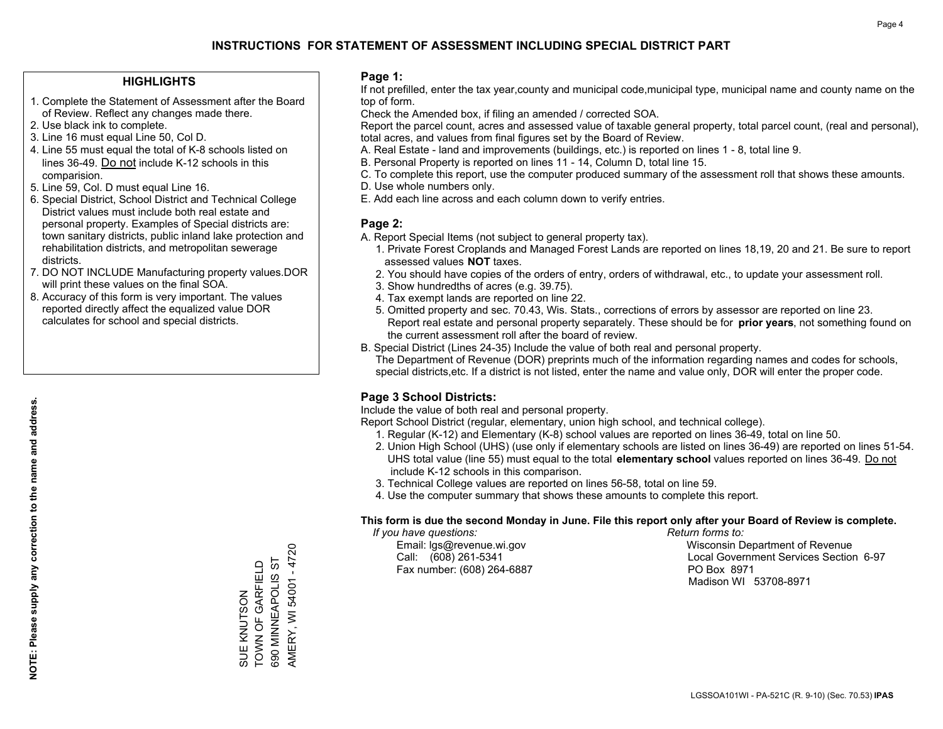#### **HIGHLIGHTS**

- 1. Complete the Statement of Assessment after the Board of Review. Reflect any changes made there.
- 2. Use black ink to complete.
- 3. Line 16 must equal Line 50, Col D.
- 4. Line 55 must equal the total of K-8 schools listed on lines 36-49. Do not include K-12 schools in this comparision.
- 5. Line 59, Col. D must equal Line 16.
- 6. Special District, School District and Technical College District values must include both real estate and personal property. Examples of Special districts are: town sanitary districts, public inland lake protection and rehabilitation districts, and metropolitan sewerage districts.
- 7. DO NOT INCLUDE Manufacturing property values.DOR will print these values on the final SOA.

SUE KNUTSON TOWN OF GARFIELD 690 MINNEAPOLIS ST AMERY, WI 54001 - 4720

SUE KNUTSON<br>TOWN OF GARFIELD 690 MINNEAPOLIS AMERY, WI 54001 - 4720

 $5\overline{1}$ 

 8. Accuracy of this form is very important. The values reported directly affect the equalized value DOR calculates for school and special districts.

#### **Page 1:**

 If not prefilled, enter the tax year,county and municipal code,municipal type, municipal name and county name on the top of form.

Check the Amended box, if filing an amended / corrected SOA.

 Report the parcel count, acres and assessed value of taxable general property, total parcel count, (real and personal), total acres, and values from final figures set by the Board of Review.

- A. Real Estate land and improvements (buildings, etc.) is reported on lines 1 8, total line 9.
- B. Personal Property is reported on lines 11 14, Column D, total line 15.
- C. To complete this report, use the computer produced summary of the assessment roll that shows these amounts.
- D. Use whole numbers only.
- E. Add each line across and each column down to verify entries.

#### **Page 2:**

- A. Report Special Items (not subject to general property tax).
- 1. Private Forest Croplands and Managed Forest Lands are reported on lines 18,19, 20 and 21. Be sure to report assessed values **NOT** taxes.
- 2. You should have copies of the orders of entry, orders of withdrawal, etc., to update your assessment roll.
	- 3. Show hundredths of acres (e.g. 39.75).
- 4. Tax exempt lands are reported on line 22.
- 5. Omitted property and sec. 70.43, Wis. Stats., corrections of errors by assessor are reported on line 23. Report real estate and personal property separately. These should be for **prior years**, not something found on the current assessment roll after the board of review.
- B. Special District (Lines 24-35) Include the value of both real and personal property.
- The Department of Revenue (DOR) preprints much of the information regarding names and codes for schools, special districts,etc. If a district is not listed, enter the name and value only, DOR will enter the proper code.

## **Page 3 School Districts:**

Include the value of both real and personal property.

Report School District (regular, elementary, union high school, and technical college).

- 1. Regular (K-12) and Elementary (K-8) school values are reported on lines 36-49, total on line 50.
- 2. Union High School (UHS) (use only if elementary schools are listed on lines 36-49) are reported on lines 51-54. UHS total value (line 55) must equal to the total **elementary school** values reported on lines 36-49. Do notinclude K-12 schools in this comparison.
- 3. Technical College values are reported on lines 56-58, total on line 59.
- 4. Use the computer summary that shows these amounts to complete this report.

#### **This form is due the second Monday in June. File this report only after your Board of Review is complete.**

 *If you have questions: Return forms to:*

Fax number: (608) 264-6887 PO Box 8971

 Email: lgs@revenue.wi.gov Wisconsin Department of Revenue Call: (608) 261-5341 Local Government Services Section 6-97Madison WI 53708-8971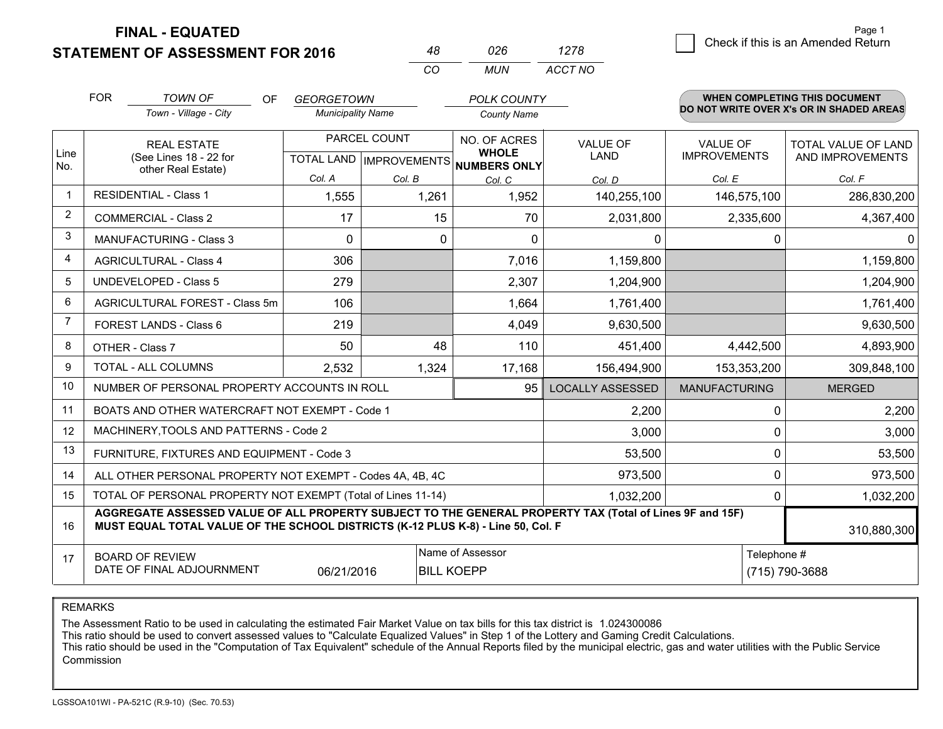**STATEMENT OF ASSESSMENT FOR 2016** 

**FINAL - EQUATED**

|                | <b>FOR</b>                     | <b>TOWN OF</b><br>0F                                                                                                                                                                         | <b>GEORGETOWN</b>        |                           | <b>POLK COUNTY</b>           |                         |                                          |              | <b>WHEN COMPLETING THIS DOCUMENT</b> |
|----------------|--------------------------------|----------------------------------------------------------------------------------------------------------------------------------------------------------------------------------------------|--------------------------|---------------------------|------------------------------|-------------------------|------------------------------------------|--------------|--------------------------------------|
|                |                                | Town - Village - City                                                                                                                                                                        | <b>Municipality Name</b> |                           | <b>County Name</b>           |                         | DO NOT WRITE OVER X's OR IN SHADED AREAS |              |                                      |
|                |                                | <b>REAL ESTATE</b>                                                                                                                                                                           |                          | PARCEL COUNT              |                              | <b>VALUE OF</b>         | <b>VALUE OF</b>                          |              | TOTAL VALUE OF LAND                  |
| Line<br>No.    |                                | (See Lines 18 - 22 for<br>other Real Estate)                                                                                                                                                 |                          | TOTAL LAND   IMPROVEMENTS | <b>WHOLE</b><br>NUMBERS ONLY | <b>LAND</b>             | <b>IMPROVEMENTS</b>                      |              | AND IMPROVEMENTS                     |
|                |                                |                                                                                                                                                                                              | Col. A                   | Col. B                    | Col. C                       | Col. D                  | Col. E                                   |              | Col. F                               |
| $\mathbf 1$    |                                | <b>RESIDENTIAL - Class 1</b>                                                                                                                                                                 | 1,555                    | 1,261                     | 1,952                        | 140,255,100             | 146,575,100                              |              | 286,830,200                          |
| 2              |                                | <b>COMMERCIAL - Class 2</b>                                                                                                                                                                  | 17                       | 15                        | 70                           | 2,031,800               | 2,335,600                                |              | 4,367,400                            |
| 3              |                                | <b>MANUFACTURING - Class 3</b>                                                                                                                                                               | 0                        |                           | 0<br>$\mathbf 0$             | $\mathbf{0}$            |                                          | 0            | 0                                    |
| $\overline{4}$ |                                | <b>AGRICULTURAL - Class 4</b>                                                                                                                                                                | 306                      |                           | 7,016                        | 1,159,800               |                                          |              | 1,159,800                            |
| 5              |                                | <b>UNDEVELOPED - Class 5</b>                                                                                                                                                                 | 279                      |                           | 2,307                        | 1,204,900               |                                          |              | 1,204,900                            |
| 6              | AGRICULTURAL FOREST - Class 5m |                                                                                                                                                                                              | 106                      |                           | 1,664                        | 1,761,400               |                                          |              | 1,761,400                            |
| $\overline{7}$ | FOREST LANDS - Class 6         |                                                                                                                                                                                              | 219                      |                           | 4,049                        | 9,630,500               |                                          |              | 9,630,500                            |
| 8              |                                | OTHER - Class 7                                                                                                                                                                              | 50                       | 48                        | 110                          | 451,400                 | 4,442,500                                |              | 4,893,900                            |
| 9              |                                | <b>TOTAL - ALL COLUMNS</b>                                                                                                                                                                   | 2,532                    | 1,324                     | 17,168                       | 156,494,900             | 153,353,200                              |              | 309,848,100                          |
| 10             |                                | NUMBER OF PERSONAL PROPERTY ACCOUNTS IN ROLL                                                                                                                                                 |                          |                           | 95                           | <b>LOCALLY ASSESSED</b> | <b>MANUFACTURING</b>                     |              | <b>MERGED</b>                        |
| 11             |                                | BOATS AND OTHER WATERCRAFT NOT EXEMPT - Code 1                                                                                                                                               |                          |                           |                              | 2,200                   |                                          | $\mathbf{0}$ | 2,200                                |
| 12             |                                | MACHINERY, TOOLS AND PATTERNS - Code 2                                                                                                                                                       |                          |                           |                              | 3,000                   |                                          | $\Omega$     | 3,000                                |
| 13             |                                | FURNITURE, FIXTURES AND EQUIPMENT - Code 3                                                                                                                                                   |                          |                           |                              | 53,500                  |                                          | 0            | 53,500                               |
| 14             |                                | ALL OTHER PERSONAL PROPERTY NOT EXEMPT - Codes 4A, 4B, 4C                                                                                                                                    |                          |                           |                              | 973,500                 |                                          | $\Omega$     | 973,500                              |
| 15             |                                | TOTAL OF PERSONAL PROPERTY NOT EXEMPT (Total of Lines 11-14)                                                                                                                                 |                          |                           |                              | 1,032,200               |                                          | 0            | 1,032,200                            |
| 16             |                                | AGGREGATE ASSESSED VALUE OF ALL PROPERTY SUBJECT TO THE GENERAL PROPERTY TAX (Total of Lines 9F and 15F)<br>MUST EQUAL TOTAL VALUE OF THE SCHOOL DISTRICTS (K-12 PLUS K-8) - Line 50, Col. F |                          |                           |                              |                         |                                          |              | 310,880,300                          |
| 17             |                                | <b>BOARD OF REVIEW</b>                                                                                                                                                                       |                          |                           | Name of Assessor             |                         |                                          | Telephone #  |                                      |
|                |                                | DATE OF FINAL ADJOURNMENT                                                                                                                                                                    | 06/21/2016               |                           | <b>BILL KOEPP</b>            |                         |                                          |              | (715) 790-3688                       |

*CO*

*MUN*

*ACCT NO1278*

*<sup>48</sup> <sup>026</sup>*

REMARKS

The Assessment Ratio to be used in calculating the estimated Fair Market Value on tax bills for this tax district is 1.024300086<br>This ratio should be used to convert assessed values to "Calculate Equalized Values" in Step **Commission**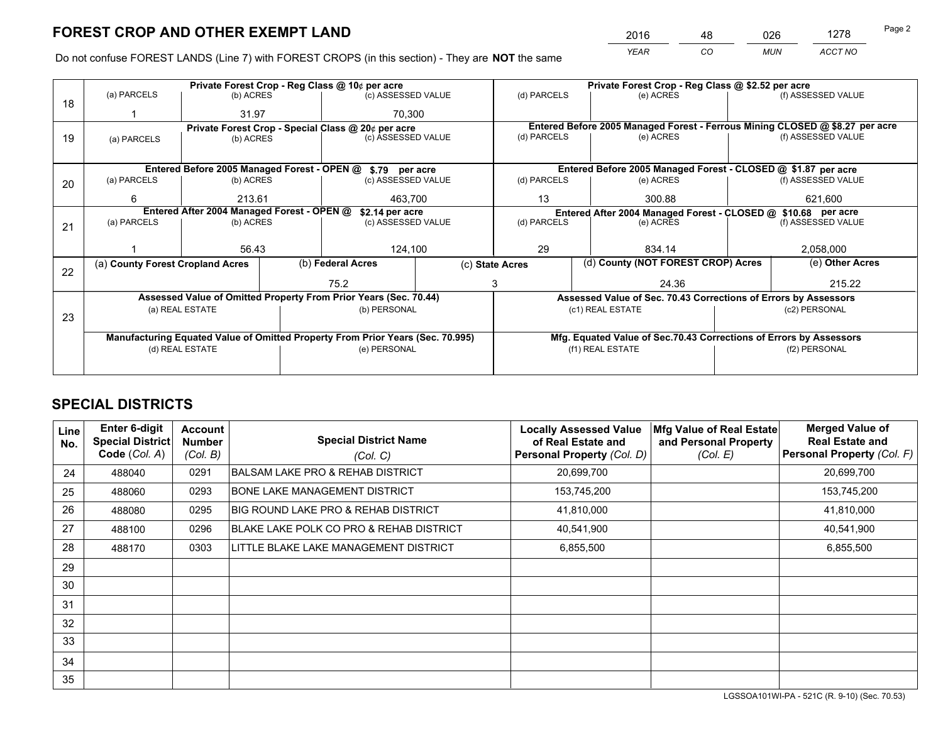*YEAR CO MUN ACCT NO* <sup>2016</sup> <sup>48</sup> <sup>026</sup> <sup>1278</sup>

Do not confuse FOREST LANDS (Line 7) with FOREST CROPS (in this section) - They are **NOT** the same

|    |                                                               |                                             |                                                                                | Private Forest Crop - Reg Class @ 10¢ per acre                   |                    |                                                       |                                                                    | Private Forest Crop - Reg Class @ \$2.52 per acre               |               |                                                                              |
|----|---------------------------------------------------------------|---------------------------------------------|--------------------------------------------------------------------------------|------------------------------------------------------------------|--------------------|-------------------------------------------------------|--------------------------------------------------------------------|-----------------------------------------------------------------|---------------|------------------------------------------------------------------------------|
| 18 | (a) PARCELS                                                   | (b) ACRES                                   |                                                                                | (c) ASSESSED VALUE                                               |                    | (d) PARCELS                                           |                                                                    | (e) ACRES                                                       |               | (f) ASSESSED VALUE                                                           |
|    |                                                               | 31.97                                       |                                                                                | 70.300                                                           |                    |                                                       |                                                                    |                                                                 |               |                                                                              |
|    | Private Forest Crop - Special Class @ 20¢ per acre            |                                             |                                                                                |                                                                  |                    |                                                       |                                                                    |                                                                 |               | Entered Before 2005 Managed Forest - Ferrous Mining CLOSED @ \$8.27 per acre |
| 19 | (a) PARCELS                                                   | (b) ACRES                                   |                                                                                | (c) ASSESSED VALUE                                               |                    | (d) PARCELS                                           |                                                                    | (e) ACRES                                                       |               | (f) ASSESSED VALUE                                                           |
|    |                                                               |                                             |                                                                                |                                                                  |                    |                                                       |                                                                    |                                                                 |               |                                                                              |
|    |                                                               | Entered Before 2005 Managed Forest - OPEN @ |                                                                                | \$.79 per acre                                                   |                    |                                                       |                                                                    | Entered Before 2005 Managed Forest - CLOSED @ \$1.87 per acre   |               |                                                                              |
| 20 | (a) PARCELS                                                   | (b) ACRES                                   |                                                                                | (c) ASSESSED VALUE                                               |                    | (d) PARCELS                                           |                                                                    | (e) ACRES                                                       |               | (f) ASSESSED VALUE                                                           |
|    | 6<br>213.61                                                   |                                             |                                                                                | 463,700                                                          | 13                 |                                                       | 300.88                                                             |                                                                 | 621,600       |                                                                              |
|    | Entered After 2004 Managed Forest - OPEN @<br>\$2.14 per acre |                                             |                                                                                |                                                                  |                    |                                                       |                                                                    | Entered After 2004 Managed Forest - CLOSED @ \$10.68 per acre   |               |                                                                              |
| 21 | (a) PARCELS                                                   | (b) ACRES                                   |                                                                                |                                                                  | (c) ASSESSED VALUE |                                                       | (d) PARCELS<br>(e) ACRES                                           |                                                                 |               | (f) ASSESSED VALUE                                                           |
|    |                                                               |                                             |                                                                                |                                                                  |                    |                                                       |                                                                    |                                                                 |               |                                                                              |
|    |                                                               | 56.43                                       |                                                                                | 124,100                                                          |                    | 29<br>834.14                                          |                                                                    |                                                                 | 2,058,000     |                                                                              |
|    | (a) County Forest Cropland Acres                              |                                             |                                                                                | (b) Federal Acres                                                |                    | (d) County (NOT FOREST CROP) Acres<br>(c) State Acres |                                                                    |                                                                 |               | (e) Other Acres                                                              |
| 22 |                                                               |                                             |                                                                                | 75.2                                                             | 3                  |                                                       |                                                                    | 24.36                                                           |               | 215.22                                                                       |
|    |                                                               |                                             |                                                                                | Assessed Value of Omitted Property From Prior Years (Sec. 70.44) |                    |                                                       |                                                                    | Assessed Value of Sec. 70.43 Corrections of Errors by Assessors |               |                                                                              |
|    |                                                               | (a) REAL ESTATE                             |                                                                                | (b) PERSONAL                                                     |                    |                                                       |                                                                    | (c1) REAL ESTATE                                                |               | (c2) PERSONAL                                                                |
| 23 |                                                               |                                             |                                                                                |                                                                  |                    |                                                       |                                                                    |                                                                 |               |                                                                              |
|    |                                                               |                                             | Manufacturing Equated Value of Omitted Property From Prior Years (Sec. 70.995) |                                                                  |                    |                                                       | Mfg. Equated Value of Sec.70.43 Corrections of Errors by Assessors |                                                                 |               |                                                                              |
|    | (d) REAL ESTATE                                               |                                             |                                                                                | (e) PERSONAL                                                     |                    | (f1) REAL ESTATE                                      |                                                                    |                                                                 | (f2) PERSONAL |                                                                              |
|    |                                                               |                                             |                                                                                |                                                                  |                    |                                                       |                                                                    |                                                                 |               |                                                                              |

## **SPECIAL DISTRICTS**

| Line<br>No. | <b>Enter 6-digit</b><br>Special District<br>Code (Col. A) | <b>Account</b><br><b>Number</b><br>(Col. B) | <b>Special District Name</b><br>(Col. C)    | <b>Locally Assessed Value</b><br>of Real Estate and<br>Personal Property (Col. D) | Mfg Value of Real Estate<br>and Personal Property<br>(Col. E) | <b>Merged Value of</b><br><b>Real Estate and</b><br>Personal Property (Col. F) |
|-------------|-----------------------------------------------------------|---------------------------------------------|---------------------------------------------|-----------------------------------------------------------------------------------|---------------------------------------------------------------|--------------------------------------------------------------------------------|
| 24          | 488040                                                    | 0291                                        | <b>BALSAM LAKE PRO &amp; REHAB DISTRICT</b> | 20,699,700                                                                        |                                                               | 20,699,700                                                                     |
| 25          | 488060                                                    | 0293                                        | <b>BONE LAKE MANAGEMENT DISTRICT</b>        | 153,745,200                                                                       |                                                               | 153,745,200                                                                    |
| 26          | 488080                                                    | 0295                                        | BIG ROUND LAKE PRO & REHAB DISTRICT         | 41,810,000                                                                        |                                                               | 41,810,000                                                                     |
| 27          | 488100                                                    | 0296                                        | BLAKE LAKE POLK CO PRO & REHAB DISTRICT     | 40,541,900                                                                        |                                                               | 40,541,900                                                                     |
| 28          | 488170                                                    | 0303                                        | LITTLE BLAKE LAKE MANAGEMENT DISTRICT       | 6,855,500                                                                         |                                                               | 6,855,500                                                                      |
| 29          |                                                           |                                             |                                             |                                                                                   |                                                               |                                                                                |
| 30          |                                                           |                                             |                                             |                                                                                   |                                                               |                                                                                |
| 31          |                                                           |                                             |                                             |                                                                                   |                                                               |                                                                                |
| 32          |                                                           |                                             |                                             |                                                                                   |                                                               |                                                                                |
| 33          |                                                           |                                             |                                             |                                                                                   |                                                               |                                                                                |
| 34          |                                                           |                                             |                                             |                                                                                   |                                                               |                                                                                |
| 35          |                                                           |                                             |                                             |                                                                                   |                                                               |                                                                                |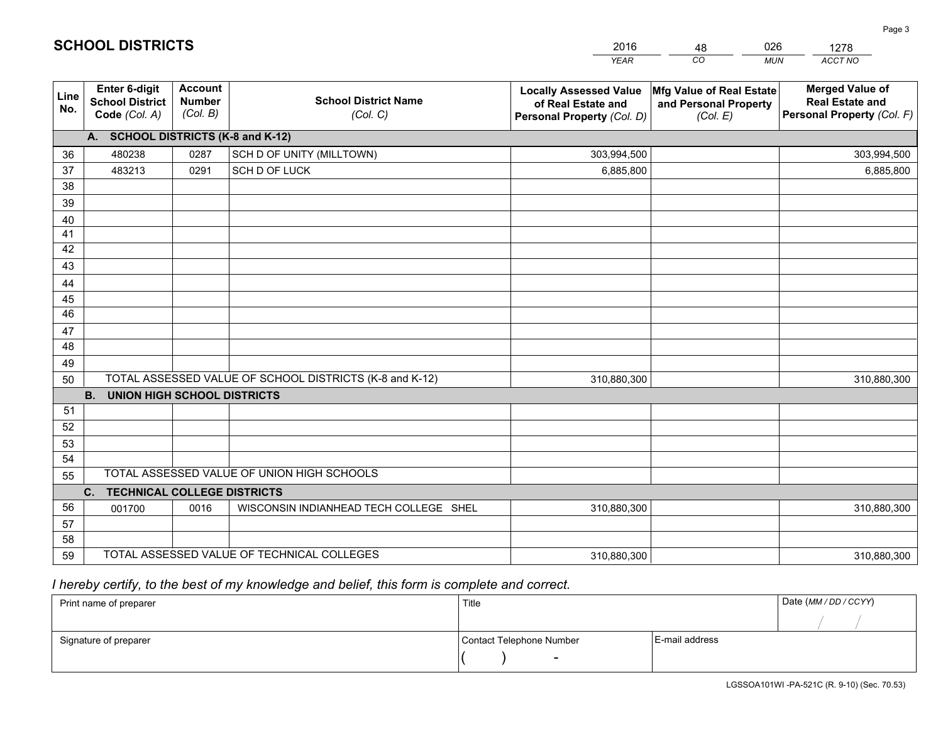|             |                                                          |                                             |                                                         | <b>YEAR</b>                                                                       | CO<br><b>MUN</b>                                              | ACCT NO                                                                        |
|-------------|----------------------------------------------------------|---------------------------------------------|---------------------------------------------------------|-----------------------------------------------------------------------------------|---------------------------------------------------------------|--------------------------------------------------------------------------------|
| Line<br>No. | Enter 6-digit<br><b>School District</b><br>Code (Col. A) | <b>Account</b><br><b>Number</b><br>(Col. B) | <b>School District Name</b><br>(Col. C)                 | <b>Locally Assessed Value</b><br>of Real Estate and<br>Personal Property (Col. D) | Mfg Value of Real Estate<br>and Personal Property<br>(Col. E) | <b>Merged Value of</b><br><b>Real Estate and</b><br>Personal Property (Col. F) |
|             | A. SCHOOL DISTRICTS (K-8 and K-12)                       |                                             |                                                         |                                                                                   |                                                               |                                                                                |
| 36          | 480238                                                   | 0287                                        | SCH D OF UNITY (MILLTOWN)                               | 303,994,500                                                                       |                                                               | 303,994,500                                                                    |
| 37          | 483213                                                   | 0291                                        | SCH D OF LUCK                                           | 6,885,800                                                                         |                                                               | 6,885,800                                                                      |
| 38          |                                                          |                                             |                                                         |                                                                                   |                                                               |                                                                                |
| 39          |                                                          |                                             |                                                         |                                                                                   |                                                               |                                                                                |
| 40          |                                                          |                                             |                                                         |                                                                                   |                                                               |                                                                                |
| 41          |                                                          |                                             |                                                         |                                                                                   |                                                               |                                                                                |
| 42          |                                                          |                                             |                                                         |                                                                                   |                                                               |                                                                                |
| 43          |                                                          |                                             |                                                         |                                                                                   |                                                               |                                                                                |
| 44          |                                                          |                                             |                                                         |                                                                                   |                                                               |                                                                                |
| 45          |                                                          |                                             |                                                         |                                                                                   |                                                               |                                                                                |
| 46          |                                                          |                                             |                                                         |                                                                                   |                                                               |                                                                                |
| 47          |                                                          |                                             |                                                         |                                                                                   |                                                               |                                                                                |
| 48          |                                                          |                                             |                                                         |                                                                                   |                                                               |                                                                                |
| 49          |                                                          |                                             | TOTAL ASSESSED VALUE OF SCHOOL DISTRICTS (K-8 and K-12) |                                                                                   |                                                               |                                                                                |
| 50          | <b>B.</b><br><b>UNION HIGH SCHOOL DISTRICTS</b>          |                                             |                                                         | 310,880,300                                                                       |                                                               | 310,880,300                                                                    |
| 51          |                                                          |                                             |                                                         |                                                                                   |                                                               |                                                                                |
| 52          |                                                          |                                             |                                                         |                                                                                   |                                                               |                                                                                |
| 53          |                                                          |                                             |                                                         |                                                                                   |                                                               |                                                                                |
| 54          |                                                          |                                             |                                                         |                                                                                   |                                                               |                                                                                |
| 55          |                                                          |                                             | TOTAL ASSESSED VALUE OF UNION HIGH SCHOOLS              |                                                                                   |                                                               |                                                                                |
|             | C. TECHNICAL COLLEGE DISTRICTS                           |                                             |                                                         |                                                                                   |                                                               |                                                                                |
| 56          | 001700                                                   | 0016                                        | WISCONSIN INDIANHEAD TECH COLLEGE SHEL                  | 310,880,300                                                                       |                                                               | 310,880,300                                                                    |
| 57          |                                                          |                                             |                                                         |                                                                                   |                                                               |                                                                                |
| 58          |                                                          |                                             |                                                         |                                                                                   |                                                               |                                                                                |
| 59          |                                                          |                                             | TOTAL ASSESSED VALUE OF TECHNICAL COLLEGES              | 310,880,300                                                                       |                                                               | 310,880,300                                                                    |

48

026

## *I hereby certify, to the best of my knowledge and belief, this form is complete and correct.*

**SCHOOL DISTRICTS**

| Print name of preparer | Title                    |                | Date (MM / DD / CCYY) |
|------------------------|--------------------------|----------------|-----------------------|
|                        |                          |                |                       |
| Signature of preparer  | Contact Telephone Number | E-mail address |                       |
|                        | $\overline{\phantom{0}}$ |                |                       |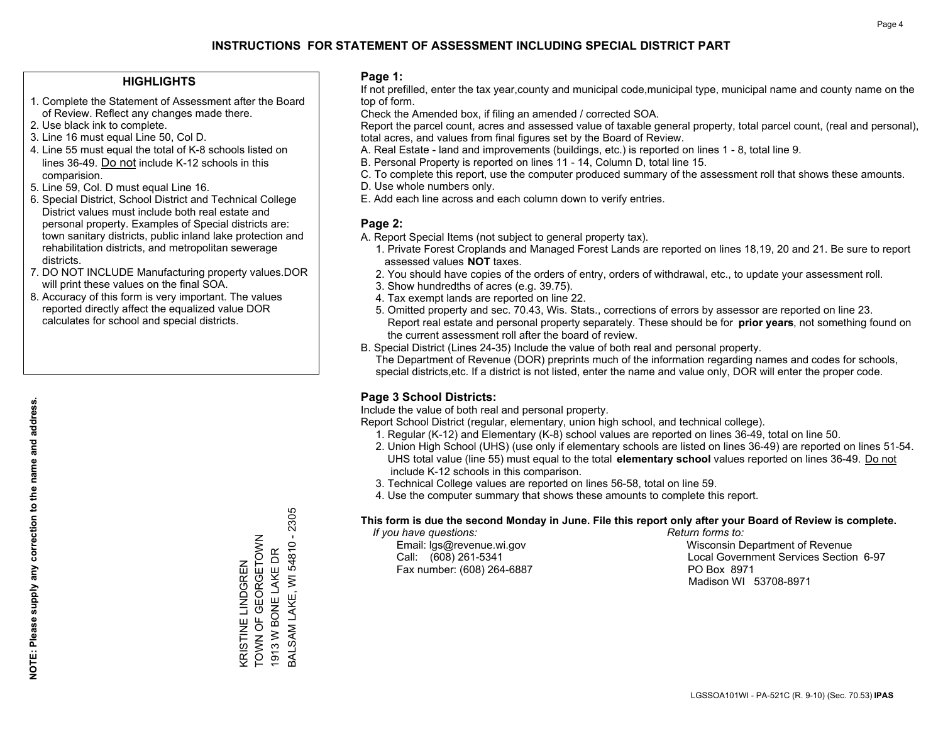#### **HIGHLIGHTS**

- 1. Complete the Statement of Assessment after the Board of Review. Reflect any changes made there.
- 2. Use black ink to complete.
- 3. Line 16 must equal Line 50, Col D.
- 4. Line 55 must equal the total of K-8 schools listed on lines 36-49. Do not include K-12 schools in this comparision.
- 5. Line 59, Col. D must equal Line 16.
- 6. Special District, School District and Technical College District values must include both real estate and personal property. Examples of Special districts are: town sanitary districts, public inland lake protection and rehabilitation districts, and metropolitan sewerage districts.
- 7. DO NOT INCLUDE Manufacturing property values.DOR will print these values on the final SOA.

KRISTINE LINDGREN TOWN OF GEORGETOWN 1913 W BONE LAKE DR

KRISTINE LINDGREN<br>TOWN OF GEORGETOWN 1913 W BONE LAKE DR BALSAM LAKE, WI 54810 - 2305

3ALSAM LAKE, WI 54810 - 2305

 8. Accuracy of this form is very important. The values reported directly affect the equalized value DOR calculates for school and special districts.

#### **Page 1:**

 If not prefilled, enter the tax year,county and municipal code,municipal type, municipal name and county name on the top of form.

Check the Amended box, if filing an amended / corrected SOA.

 Report the parcel count, acres and assessed value of taxable general property, total parcel count, (real and personal), total acres, and values from final figures set by the Board of Review.

- A. Real Estate land and improvements (buildings, etc.) is reported on lines 1 8, total line 9.
- B. Personal Property is reported on lines 11 14, Column D, total line 15.
- C. To complete this report, use the computer produced summary of the assessment roll that shows these amounts.
- D. Use whole numbers only.
- E. Add each line across and each column down to verify entries.

### **Page 2:**

- A. Report Special Items (not subject to general property tax).
- 1. Private Forest Croplands and Managed Forest Lands are reported on lines 18,19, 20 and 21. Be sure to report assessed values **NOT** taxes.
- 2. You should have copies of the orders of entry, orders of withdrawal, etc., to update your assessment roll.
	- 3. Show hundredths of acres (e.g. 39.75).
- 4. Tax exempt lands are reported on line 22.
- 5. Omitted property and sec. 70.43, Wis. Stats., corrections of errors by assessor are reported on line 23. Report real estate and personal property separately. These should be for **prior years**, not something found on the current assessment roll after the board of review.
- B. Special District (Lines 24-35) Include the value of both real and personal property.

 The Department of Revenue (DOR) preprints much of the information regarding names and codes for schools, special districts,etc. If a district is not listed, enter the name and value only, DOR will enter the proper code.

## **Page 3 School Districts:**

Include the value of both real and personal property.

Report School District (regular, elementary, union high school, and technical college).

- 1. Regular (K-12) and Elementary (K-8) school values are reported on lines 36-49, total on line 50.
- 2. Union High School (UHS) (use only if elementary schools are listed on lines 36-49) are reported on lines 51-54. UHS total value (line 55) must equal to the total **elementary school** values reported on lines 36-49. Do notinclude K-12 schools in this comparison.
- 3. Technical College values are reported on lines 56-58, total on line 59.
- 4. Use the computer summary that shows these amounts to complete this report.

#### **This form is due the second Monday in June. File this report only after your Board of Review is complete.**

 *If you have questions: Return forms to:*

Fax number: (608) 264-6887 PO Box 8971

 Email: lgs@revenue.wi.gov Wisconsin Department of Revenue Call: (608) 261-5341 Local Government Services Section 6-97Madison WI 53708-8971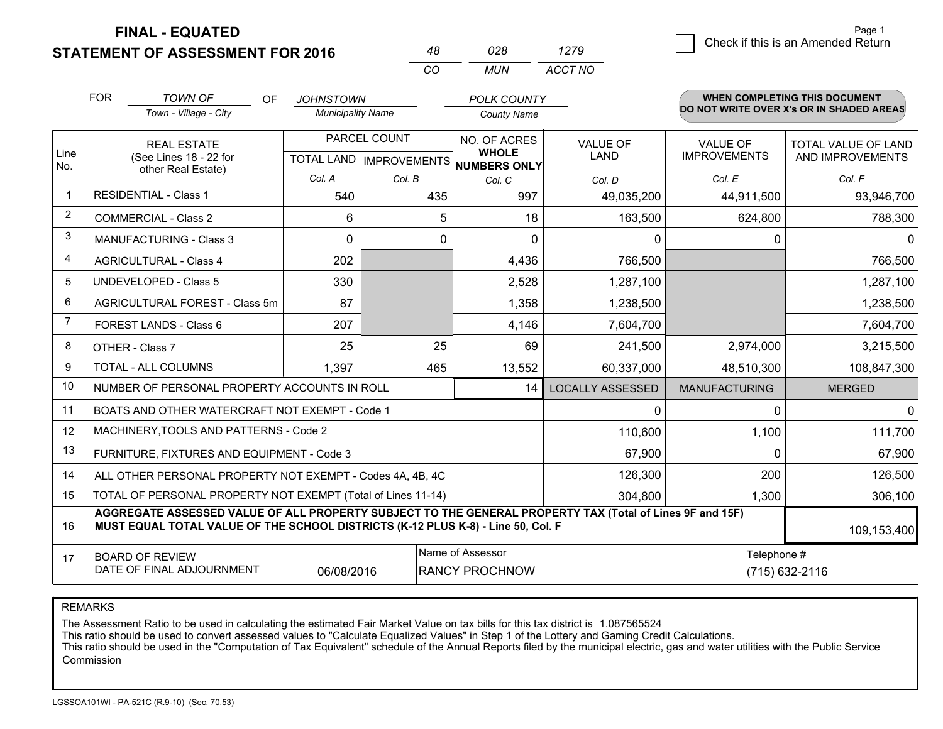**STATEMENT OF ASSESSMENT FOR 2016** 

**FINAL - EQUATED**

|   | Page 1                             |
|---|------------------------------------|
| 9 | Check if this is an Amended Return |
|   |                                    |

|                | <b>FOR</b>                                                                                                     | <b>TOWN OF</b><br>OF<br>Town - Village - City                                                                                                                                                | <b>JOHNSTOWN</b><br><b>Municipality Name</b> |                                                | <b>POLK COUNTY</b><br><b>County Name</b>            |                         |                                        | WHEN COMPLETING THIS DOCUMENT<br>DO NOT WRITE OVER X's OR IN SHADED AREAS |
|----------------|----------------------------------------------------------------------------------------------------------------|----------------------------------------------------------------------------------------------------------------------------------------------------------------------------------------------|----------------------------------------------|------------------------------------------------|-----------------------------------------------------|-------------------------|----------------------------------------|---------------------------------------------------------------------------|
| Line<br>No.    |                                                                                                                | <b>REAL ESTATE</b><br>(See Lines 18 - 22 for<br>other Real Estate)                                                                                                                           |                                              | PARCEL COUNT<br><b>TOTAL LAND IMPROVEMENTS</b> | NO. OF ACRES<br><b>WHOLE</b><br><b>NUMBERS ONLY</b> | <b>VALUE OF</b><br>LAND | <b>VALUE OF</b><br><b>IMPROVEMENTS</b> | TOTAL VALUE OF LAND<br>AND IMPROVEMENTS                                   |
|                |                                                                                                                |                                                                                                                                                                                              | Col. A                                       | Col. B                                         | Col. C                                              | Col. D                  | Col. E                                 | Col. F                                                                    |
|                |                                                                                                                | <b>RESIDENTIAL - Class 1</b>                                                                                                                                                                 | 540                                          | 435                                            | 997                                                 | 49,035,200              | 44,911,500                             | 93,946,700                                                                |
| $\overline{2}$ |                                                                                                                | <b>COMMERCIAL - Class 2</b>                                                                                                                                                                  | 6                                            | 5                                              | 18                                                  | 163,500                 | 624,800                                | 788,300                                                                   |
| 3              |                                                                                                                | <b>MANUFACTURING - Class 3</b>                                                                                                                                                               | $\Omega$                                     | $\mathbf 0$                                    | $\Omega$                                            | 0                       | 0                                      | $\overline{0}$                                                            |
| 4              |                                                                                                                | <b>AGRICULTURAL - Class 4</b>                                                                                                                                                                | 202                                          |                                                | 4,436                                               | 766,500                 |                                        | 766,500                                                                   |
| 5              |                                                                                                                | UNDEVELOPED - Class 5                                                                                                                                                                        | 330                                          |                                                | 2,528                                               | 1,287,100               |                                        | 1,287,100                                                                 |
| 6              |                                                                                                                | AGRICULTURAL FOREST - Class 5m                                                                                                                                                               | 87                                           |                                                | 1,358                                               | 1,238,500               |                                        | 1,238,500                                                                 |
| 7              | FOREST LANDS - Class 6                                                                                         |                                                                                                                                                                                              | 207                                          |                                                | 4,146                                               | 7,604,700               |                                        | 7,604,700                                                                 |
| 8              |                                                                                                                | OTHER - Class 7                                                                                                                                                                              | 25                                           | 25                                             | 69                                                  | 241,500                 | 2,974,000                              | 3,215,500                                                                 |
| 9              |                                                                                                                | <b>TOTAL - ALL COLUMNS</b>                                                                                                                                                                   | 1,397                                        | 465                                            | 13,552                                              | 60,337,000              | 48,510,300                             | 108,847,300                                                               |
| 10             |                                                                                                                | NUMBER OF PERSONAL PROPERTY ACCOUNTS IN ROLL                                                                                                                                                 |                                              |                                                | 14                                                  | <b>LOCALLY ASSESSED</b> | <b>MANUFACTURING</b>                   | <b>MERGED</b>                                                             |
| 11             |                                                                                                                | BOATS AND OTHER WATERCRAFT NOT EXEMPT - Code 1                                                                                                                                               |                                              |                                                |                                                     | 0                       | $\Omega$                               | $\overline{0}$                                                            |
| 12             |                                                                                                                | MACHINERY, TOOLS AND PATTERNS - Code 2                                                                                                                                                       |                                              |                                                |                                                     | 110,600                 | 1,100                                  | 111,700                                                                   |
| 13             |                                                                                                                | FURNITURE, FIXTURES AND EQUIPMENT - Code 3                                                                                                                                                   |                                              |                                                |                                                     | 67,900                  | $\Omega$                               | 67,900                                                                    |
| 14             |                                                                                                                | ALL OTHER PERSONAL PROPERTY NOT EXEMPT - Codes 4A, 4B, 4C                                                                                                                                    |                                              |                                                |                                                     | 126,300                 | 200                                    | 126,500                                                                   |
| 15             |                                                                                                                | TOTAL OF PERSONAL PROPERTY NOT EXEMPT (Total of Lines 11-14)                                                                                                                                 |                                              |                                                |                                                     | 304,800                 | 1,300                                  | 306,100                                                                   |
| 16             |                                                                                                                | AGGREGATE ASSESSED VALUE OF ALL PROPERTY SUBJECT TO THE GENERAL PROPERTY TAX (Total of Lines 9F and 15F)<br>MUST EQUAL TOTAL VALUE OF THE SCHOOL DISTRICTS (K-12 PLUS K-8) - Line 50, Col. F |                                              |                                                |                                                     |                         |                                        | 109,153,400                                                               |
| 17             | Name of Assessor<br><b>BOARD OF REVIEW</b><br>DATE OF FINAL ADJOURNMENT<br><b>RANCY PROCHNOW</b><br>06/08/2016 |                                                                                                                                                                                              |                                              |                                                |                                                     |                         | Telephone #                            | (715) 632-2116                                                            |

*CO*

*MUN*

*ACCT NO1279*

*<sup>48</sup> <sup>028</sup>*

REMARKS

The Assessment Ratio to be used in calculating the estimated Fair Market Value on tax bills for this tax district is 1.087565524<br>This ratio should be used to convert assessed values to "Calculate Equalized Values" in Step Commission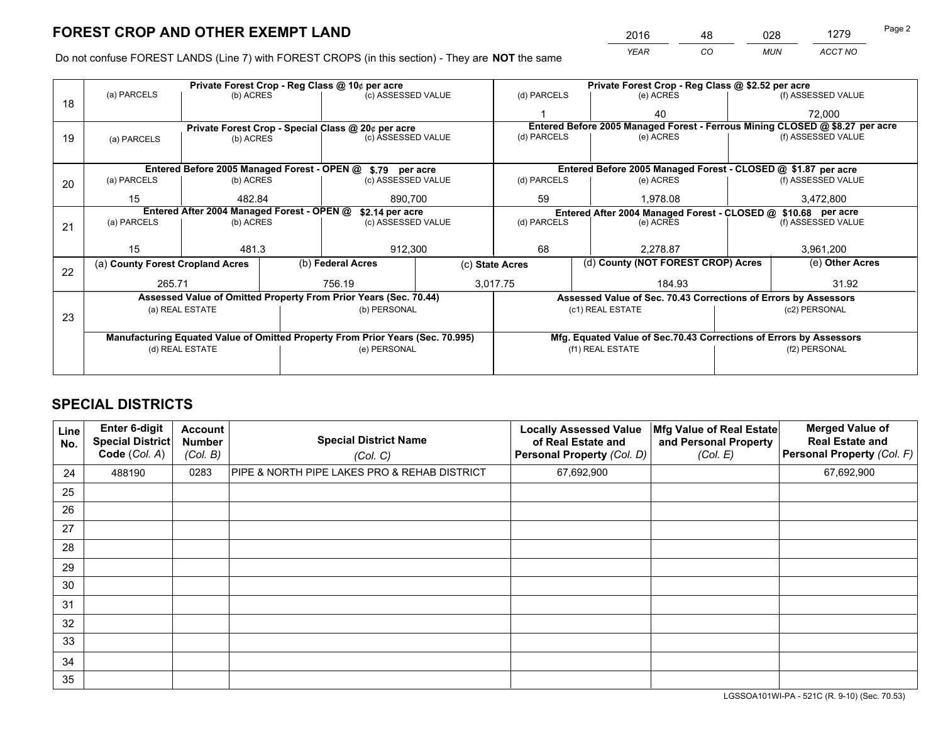*YEAR CO MUN ACCT NO* <sup>2016</sup> <sup>48</sup> <sup>028</sup> <sup>1279</sup> Page 2

Do not confuse FOREST LANDS (Line 7) with FOREST CROPS (in this section) - They are **NOT** the same

|    | Private Forest Crop - Reg Class @ 10¢ per acre                                 |                                                               |                                                    |                                                                  |                                                                    |                                                                 | Private Forest Crop - Reg Class @ \$2.52 per acre                            |                 |                    |  |
|----|--------------------------------------------------------------------------------|---------------------------------------------------------------|----------------------------------------------------|------------------------------------------------------------------|--------------------------------------------------------------------|-----------------------------------------------------------------|------------------------------------------------------------------------------|-----------------|--------------------|--|
| 18 | (a) PARCELS                                                                    | (b) ACRES                                                     |                                                    | (c) ASSESSED VALUE                                               |                                                                    | (d) PARCELS                                                     | (e) ACRES                                                                    |                 | (f) ASSESSED VALUE |  |
|    |                                                                                |                                                               |                                                    |                                                                  |                                                                    |                                                                 | 40                                                                           |                 | 72,000             |  |
|    |                                                                                |                                                               | Private Forest Crop - Special Class @ 20¢ per acre |                                                                  |                                                                    |                                                                 | Entered Before 2005 Managed Forest - Ferrous Mining CLOSED @ \$8.27 per acre |                 |                    |  |
| 19 | (a) PARCELS                                                                    | (b) ACRES                                                     |                                                    | (c) ASSESSED VALUE                                               |                                                                    | (d) PARCELS                                                     | (e) ACRES                                                                    |                 | (f) ASSESSED VALUE |  |
|    |                                                                                |                                                               |                                                    |                                                                  |                                                                    |                                                                 |                                                                              |                 |                    |  |
|    |                                                                                |                                                               |                                                    | Entered Before 2005 Managed Forest - OPEN @ \$.79 per acre       |                                                                    |                                                                 | Entered Before 2005 Managed Forest - CLOSED @ \$1.87 per acre                |                 |                    |  |
| 20 | (a) PARCELS                                                                    | (b) ACRES                                                     |                                                    | (c) ASSESSED VALUE                                               |                                                                    | (d) PARCELS                                                     | (e) ACRES                                                                    |                 | (f) ASSESSED VALUE |  |
|    | 15                                                                             | 482.84                                                        |                                                    | 890,700                                                          |                                                                    | 59                                                              | 1,978.08                                                                     |                 | 3,472,800          |  |
|    |                                                                                | Entered After 2004 Managed Forest - OPEN @<br>\$2.14 per acre |                                                    |                                                                  |                                                                    | Entered After 2004 Managed Forest - CLOSED @ \$10.68 per acre   |                                                                              |                 |                    |  |
| 21 | (a) PARCELS                                                                    | (b) ACRES                                                     |                                                    | (c) ASSESSED VALUE                                               |                                                                    | (d) PARCELS<br>(e) ACRES                                        |                                                                              |                 | (f) ASSESSED VALUE |  |
|    |                                                                                |                                                               |                                                    |                                                                  |                                                                    |                                                                 |                                                                              |                 |                    |  |
|    | 15                                                                             | 481.3                                                         |                                                    | 912,300                                                          |                                                                    | 68                                                              | 2.278.87                                                                     |                 | 3,961,200          |  |
| 22 | (a) County Forest Cropland Acres                                               |                                                               |                                                    | (b) Federal Acres                                                |                                                                    | (d) County (NOT FOREST CROP) Acres<br>(c) State Acres           |                                                                              | (e) Other Acres |                    |  |
|    | 265.71                                                                         |                                                               |                                                    | 756.19                                                           |                                                                    | 3,017.75<br>184.93                                              |                                                                              |                 | 31.92              |  |
|    |                                                                                |                                                               |                                                    | Assessed Value of Omitted Property From Prior Years (Sec. 70.44) |                                                                    | Assessed Value of Sec. 70.43 Corrections of Errors by Assessors |                                                                              |                 |                    |  |
|    | (a) REAL ESTATE<br>(b) PERSONAL                                                |                                                               | (c1) REAL ESTATE<br>(c2) PERSONAL                  |                                                                  |                                                                    |                                                                 |                                                                              |                 |                    |  |
| 23 |                                                                                |                                                               |                                                    |                                                                  |                                                                    |                                                                 |                                                                              |                 |                    |  |
|    | Manufacturing Equated Value of Omitted Property From Prior Years (Sec. 70.995) |                                                               |                                                    |                                                                  | Mfg. Equated Value of Sec.70.43 Corrections of Errors by Assessors |                                                                 |                                                                              |                 |                    |  |
|    |                                                                                | (d) REAL ESTATE                                               |                                                    | (e) PERSONAL                                                     |                                                                    | (f1) REAL ESTATE                                                |                                                                              | (f2) PERSONAL   |                    |  |
|    |                                                                                |                                                               |                                                    |                                                                  |                                                                    |                                                                 |                                                                              |                 |                    |  |

## **SPECIAL DISTRICTS**

| Line<br>No. | Enter 6-digit<br><b>Special District</b><br>Code (Col. A) | <b>Account</b><br><b>Number</b><br>(Col. B) | <b>Special District Name</b><br>(Col. C)     | <b>Locally Assessed Value</b><br>of Real Estate and<br>Personal Property (Col. D) | Mfg Value of Real Estate<br>and Personal Property<br>(Col. E) | <b>Merged Value of</b><br><b>Real Estate and</b><br>Personal Property (Col. F) |
|-------------|-----------------------------------------------------------|---------------------------------------------|----------------------------------------------|-----------------------------------------------------------------------------------|---------------------------------------------------------------|--------------------------------------------------------------------------------|
| 24          | 488190                                                    | 0283                                        | PIPE & NORTH PIPE LAKES PRO & REHAB DISTRICT | 67,692,900                                                                        |                                                               | 67,692,900                                                                     |
| 25          |                                                           |                                             |                                              |                                                                                   |                                                               |                                                                                |
| 26          |                                                           |                                             |                                              |                                                                                   |                                                               |                                                                                |
| 27          |                                                           |                                             |                                              |                                                                                   |                                                               |                                                                                |
| 28          |                                                           |                                             |                                              |                                                                                   |                                                               |                                                                                |
| 29          |                                                           |                                             |                                              |                                                                                   |                                                               |                                                                                |
| 30          |                                                           |                                             |                                              |                                                                                   |                                                               |                                                                                |
| 31          |                                                           |                                             |                                              |                                                                                   |                                                               |                                                                                |
| 32          |                                                           |                                             |                                              |                                                                                   |                                                               |                                                                                |
| 33          |                                                           |                                             |                                              |                                                                                   |                                                               |                                                                                |
| 34          |                                                           |                                             |                                              |                                                                                   |                                                               |                                                                                |
| 35          |                                                           |                                             |                                              |                                                                                   |                                                               |                                                                                |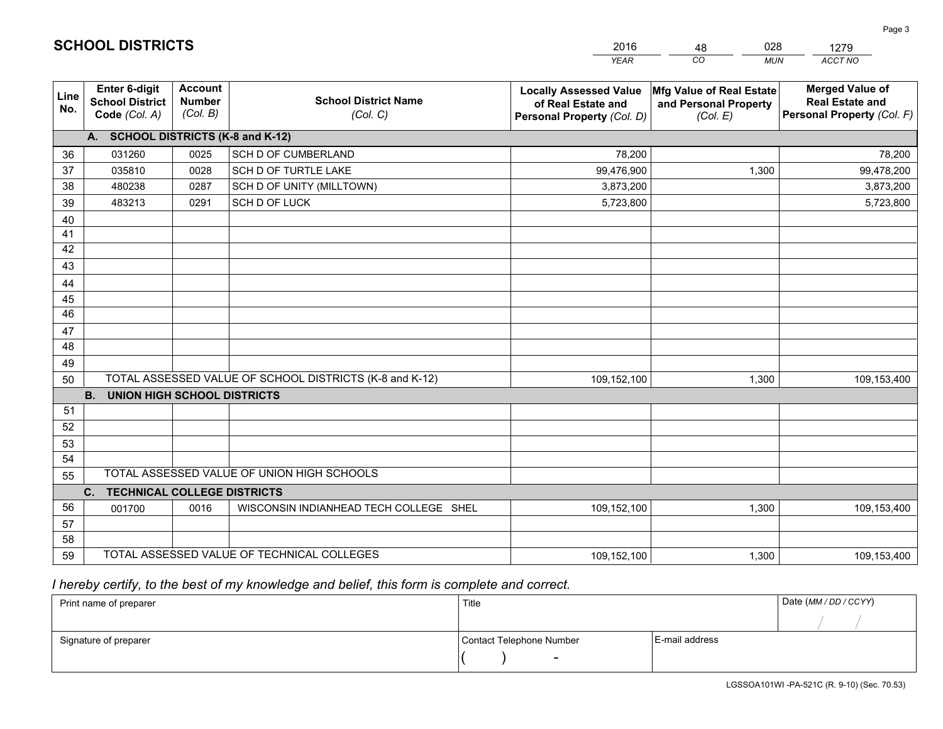|             |                                                                 |                                             |                                                         | <b>YEAR</b>                                                                       | CO<br><b>MUN</b>                                              | <b>ACCT NO</b>                                                                 |
|-------------|-----------------------------------------------------------------|---------------------------------------------|---------------------------------------------------------|-----------------------------------------------------------------------------------|---------------------------------------------------------------|--------------------------------------------------------------------------------|
| Line<br>No. | <b>Enter 6-digit</b><br><b>School District</b><br>Code (Col. A) | <b>Account</b><br><b>Number</b><br>(Col. B) | <b>School District Name</b><br>(Col. C)                 | <b>Locally Assessed Value</b><br>of Real Estate and<br>Personal Property (Col. D) | Mfg Value of Real Estate<br>and Personal Property<br>(Col. E) | <b>Merged Value of</b><br><b>Real Estate and</b><br>Personal Property (Col. F) |
|             | A. SCHOOL DISTRICTS (K-8 and K-12)                              |                                             |                                                         |                                                                                   |                                                               |                                                                                |
| 36          | 031260                                                          | 0025                                        | <b>SCH D OF CUMBERLAND</b>                              | 78,200                                                                            |                                                               | 78,200                                                                         |
| 37          | 035810                                                          | 0028                                        | SCH D OF TURTLE LAKE                                    | 99,476,900                                                                        | 1,300                                                         | 99,478,200                                                                     |
| 38          | 480238                                                          | 0287                                        | SCH D OF UNITY (MILLTOWN)                               | 3,873,200                                                                         |                                                               | 3,873,200                                                                      |
| 39          | 483213                                                          | 0291                                        | SCH D OF LUCK                                           | 5,723,800                                                                         |                                                               | 5,723,800                                                                      |
| 40          |                                                                 |                                             |                                                         |                                                                                   |                                                               |                                                                                |
| 41          |                                                                 |                                             |                                                         |                                                                                   |                                                               |                                                                                |
| 42          |                                                                 |                                             |                                                         |                                                                                   |                                                               |                                                                                |
| 43          |                                                                 |                                             |                                                         |                                                                                   |                                                               |                                                                                |
| 44          |                                                                 |                                             |                                                         |                                                                                   |                                                               |                                                                                |
| 45          |                                                                 |                                             |                                                         |                                                                                   |                                                               |                                                                                |
| 46          |                                                                 |                                             |                                                         |                                                                                   |                                                               |                                                                                |
| 47          |                                                                 |                                             |                                                         |                                                                                   |                                                               |                                                                                |
| 48          |                                                                 |                                             |                                                         |                                                                                   |                                                               |                                                                                |
| 49          |                                                                 |                                             |                                                         |                                                                                   |                                                               |                                                                                |
| 50          |                                                                 |                                             | TOTAL ASSESSED VALUE OF SCHOOL DISTRICTS (K-8 and K-12) | 109,152,100                                                                       | 1,300                                                         | 109,153,400                                                                    |
|             | <b>B.</b><br><b>UNION HIGH SCHOOL DISTRICTS</b>                 |                                             |                                                         |                                                                                   |                                                               |                                                                                |
| 51          |                                                                 |                                             |                                                         |                                                                                   |                                                               |                                                                                |
| 52          |                                                                 |                                             |                                                         |                                                                                   |                                                               |                                                                                |
| 53          |                                                                 |                                             |                                                         |                                                                                   |                                                               |                                                                                |
| 54          |                                                                 |                                             |                                                         |                                                                                   |                                                               |                                                                                |
| 55          |                                                                 |                                             | TOTAL ASSESSED VALUE OF UNION HIGH SCHOOLS              |                                                                                   |                                                               |                                                                                |
|             | C.<br><b>TECHNICAL COLLEGE DISTRICTS</b>                        |                                             |                                                         |                                                                                   |                                                               |                                                                                |
| 56          | 001700                                                          | 0016                                        | WISCONSIN INDIANHEAD TECH COLLEGE SHEL                  | 109,152,100                                                                       | 1,300                                                         | 109,153,400                                                                    |
| 57          |                                                                 |                                             |                                                         |                                                                                   |                                                               |                                                                                |
| 58          |                                                                 |                                             |                                                         |                                                                                   |                                                               |                                                                                |
|             | TOTAL ASSESSED VALUE OF TECHNICAL COLLEGES<br>59                |                                             |                                                         | 109,152,100                                                                       | 1,300                                                         | 109,153,400                                                                    |

 *I hereby certify, to the best of my knowledge and belief, this form is complete and correct.*

| Print name of preparer | Title                    |                | Date (MM / DD / CCYY) |
|------------------------|--------------------------|----------------|-----------------------|
|                        |                          |                |                       |
| Signature of preparer  | Contact Telephone Number | E-mail address |                       |
|                        | $\sim$                   |                |                       |

|  | <b>SCHOOL DISTRICTS</b> |
|--|-------------------------|
|--|-------------------------|

48

2016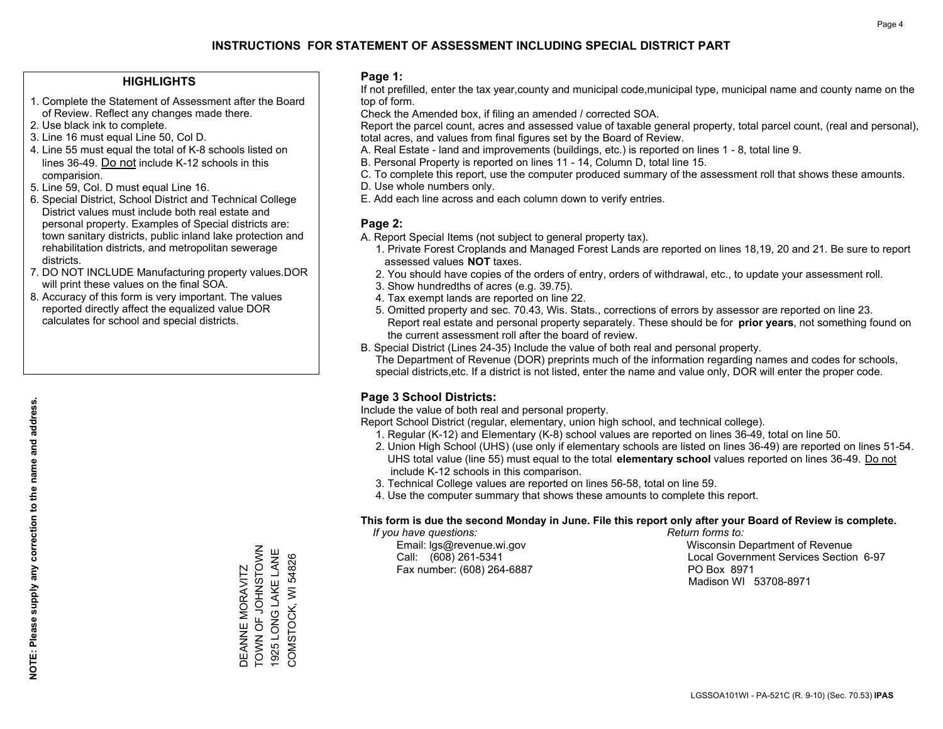#### **HIGHLIGHTS**

- 1. Complete the Statement of Assessment after the Board of Review. Reflect any changes made there.
- 2. Use black ink to complete.
- 3. Line 16 must equal Line 50, Col D.
- 4. Line 55 must equal the total of K-8 schools listed on lines 36-49. Do not include K-12 schools in this comparision.
- 5. Line 59, Col. D must equal Line 16.
- 6. Special District, School District and Technical College District values must include both real estate and personal property. Examples of Special districts are: town sanitary districts, public inland lake protection and rehabilitation districts, and metropolitan sewerage districts.
- 7. DO NOT INCLUDE Manufacturing property values.DOR will print these values on the final SOA.
- 8. Accuracy of this form is very important. The values reported directly affect the equalized value DOR calculates for school and special districts.

#### **Page 1:**

 If not prefilled, enter the tax year,county and municipal code,municipal type, municipal name and county name on the top of form.

Check the Amended box, if filing an amended / corrected SOA.

 Report the parcel count, acres and assessed value of taxable general property, total parcel count, (real and personal), total acres, and values from final figures set by the Board of Review.

- A. Real Estate land and improvements (buildings, etc.) is reported on lines 1 8, total line 9.
- B. Personal Property is reported on lines 11 14, Column D, total line 15.
- C. To complete this report, use the computer produced summary of the assessment roll that shows these amounts.
- D. Use whole numbers only.
- E. Add each line across and each column down to verify entries.

#### **Page 2:**

- A. Report Special Items (not subject to general property tax).
- 1. Private Forest Croplands and Managed Forest Lands are reported on lines 18,19, 20 and 21. Be sure to report assessed values **NOT** taxes.
- 2. You should have copies of the orders of entry, orders of withdrawal, etc., to update your assessment roll.
	- 3. Show hundredths of acres (e.g. 39.75).
- 4. Tax exempt lands are reported on line 22.
- 5. Omitted property and sec. 70.43, Wis. Stats., corrections of errors by assessor are reported on line 23. Report real estate and personal property separately. These should be for **prior years**, not something found on the current assessment roll after the board of review.
- B. Special District (Lines 24-35) Include the value of both real and personal property.

 The Department of Revenue (DOR) preprints much of the information regarding names and codes for schools, special districts,etc. If a district is not listed, enter the name and value only, DOR will enter the proper code.

## **Page 3 School Districts:**

Include the value of both real and personal property.

Report School District (regular, elementary, union high school, and technical college).

- 1. Regular (K-12) and Elementary (K-8) school values are reported on lines 36-49, total on line 50.
- 2. Union High School (UHS) (use only if elementary schools are listed on lines 36-49) are reported on lines 51-54. UHS total value (line 55) must equal to the total **elementary school** values reported on lines 36-49. Do notinclude K-12 schools in this comparison.
- 3. Technical College values are reported on lines 56-58, total on line 59.
- 4. Use the computer summary that shows these amounts to complete this report.

#### **This form is due the second Monday in June. File this report only after your Board of Review is complete.**

 *If you have questions: Return forms to:*

Fax number: (608) 264-6887 PO Box 8971

 Email: lgs@revenue.wi.gov Wisconsin Department of Revenue Call: (608) 261-5341 Local Government Services Section 6-97Madison WI 53708-8971

TOWN OF JOHNSTOWN DEANNE MORAVITZ<br>TOWN OF JOHNSTOWN 1925 LONG LAKE LANE 1925 LONG LAKE LANE COMSTOCK, WI 54826 COMSTOCK, WI 54826 DEANNE MORAVITZ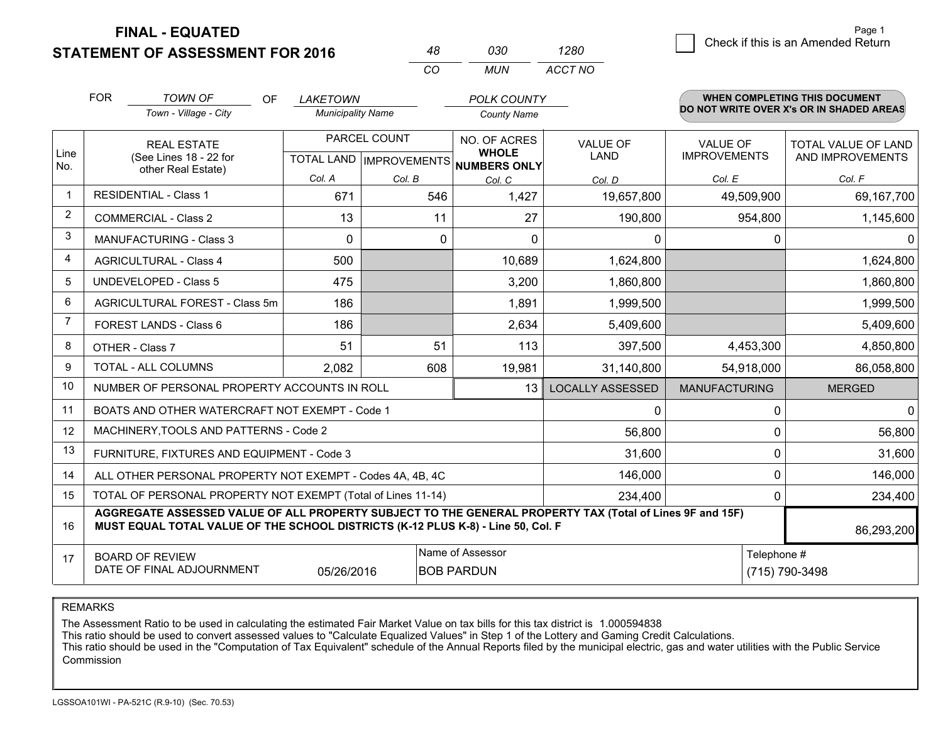**STATEMENT OF ASSESSMENT FOR 2016 FINAL - EQUATED**

|   | Page 1                             |
|---|------------------------------------|
| 0 | Check if this is an Amended Return |
|   |                                    |

|                | <b>FOR</b><br><b>TOWN OF</b><br><b>OF</b><br>Town - Village - City                                                                                                                                         | <b>LAKETOWN</b><br><b>Municipality Name</b> |                                           | <b>POLK COUNTY</b><br><b>County Name</b>            |                                |                                        | <b>WHEN COMPLETING THIS DOCUMENT</b><br>DO NOT WRITE OVER X's OR IN SHADED AREAS |
|----------------|------------------------------------------------------------------------------------------------------------------------------------------------------------------------------------------------------------|---------------------------------------------|-------------------------------------------|-----------------------------------------------------|--------------------------------|----------------------------------------|----------------------------------------------------------------------------------|
| Line<br>No.    | <b>REAL ESTATE</b><br>(See Lines 18 - 22 for<br>other Real Estate)                                                                                                                                         |                                             | PARCEL COUNT<br>TOTAL LAND   IMPROVEMENTS | NO. OF ACRES<br><b>WHOLE</b><br><b>NUMBERS ONLY</b> | <b>VALUE OF</b><br><b>LAND</b> | <b>VALUE OF</b><br><b>IMPROVEMENTS</b> | <b>TOTAL VALUE OF LAND</b><br>AND IMPROVEMENTS                                   |
|                |                                                                                                                                                                                                            | Col. A                                      | Col. B                                    | Col. C                                              | Col. D                         | Col. E                                 | Col. F                                                                           |
| $\mathbf{1}$   | <b>RESIDENTIAL - Class 1</b>                                                                                                                                                                               | 671                                         | 546                                       | 1,427                                               | 19,657,800                     | 49,509,900                             | 69,167,700                                                                       |
| $\overline{2}$ | <b>COMMERCIAL - Class 2</b>                                                                                                                                                                                | 13                                          | 11                                        | 27                                                  | 190,800                        | 954,800                                | 1,145,600                                                                        |
| 3              | <b>MANUFACTURING - Class 3</b>                                                                                                                                                                             | $\mathbf{0}$                                | 0                                         | $\mathbf{0}$                                        | 0                              | 0                                      | 0                                                                                |
| 4              | <b>AGRICULTURAL - Class 4</b>                                                                                                                                                                              | 500                                         |                                           | 10,689                                              | 1,624,800                      |                                        | 1,624,800                                                                        |
| 5              | <b>UNDEVELOPED - Class 5</b>                                                                                                                                                                               | 475                                         |                                           | 3,200                                               | 1,860,800                      |                                        | 1,860,800                                                                        |
| 6              | AGRICULTURAL FOREST - Class 5m                                                                                                                                                                             | 186                                         |                                           | 1,891                                               | 1,999,500                      |                                        | 1,999,500                                                                        |
| $\overline{7}$ | FOREST LANDS - Class 6                                                                                                                                                                                     | 186                                         |                                           | 2,634                                               | 5,409,600                      |                                        | 5,409,600                                                                        |
| 8              | OTHER - Class 7                                                                                                                                                                                            | 51                                          | 51                                        | 113                                                 | 397,500                        | 4,453,300                              | 4,850,800                                                                        |
| 9              | <b>TOTAL - ALL COLUMNS</b>                                                                                                                                                                                 | 2,082                                       | 608                                       | 19,981                                              | 31,140,800                     | 54,918,000                             | 86,058,800                                                                       |
| 10             | NUMBER OF PERSONAL PROPERTY ACCOUNTS IN ROLL                                                                                                                                                               |                                             |                                           | 13                                                  | <b>LOCALLY ASSESSED</b>        | <b>MANUFACTURING</b>                   | <b>MERGED</b>                                                                    |
| 11             | BOATS AND OTHER WATERCRAFT NOT EXEMPT - Code 1                                                                                                                                                             |                                             |                                           |                                                     | 0                              | 0                                      | $\mathbf{0}$                                                                     |
| 12             | MACHINERY, TOOLS AND PATTERNS - Code 2                                                                                                                                                                     |                                             |                                           |                                                     | 56,800                         | 0                                      | 56,800                                                                           |
| 13             | FURNITURE, FIXTURES AND EQUIPMENT - Code 3                                                                                                                                                                 |                                             |                                           | 31,600                                              | 0                              | 31,600                                 |                                                                                  |
| 14             | ALL OTHER PERSONAL PROPERTY NOT EXEMPT - Codes 4A, 4B, 4C                                                                                                                                                  |                                             |                                           |                                                     | 146,000                        | 0                                      | 146,000                                                                          |
| 15             | TOTAL OF PERSONAL PROPERTY NOT EXEMPT (Total of Lines 11-14)                                                                                                                                               |                                             | 234,400                                   | 0                                                   | 234,400                        |                                        |                                                                                  |
| 16             | AGGREGATE ASSESSED VALUE OF ALL PROPERTY SUBJECT TO THE GENERAL PROPERTY TAX (Total of Lines 9F and 15F)<br>MUST EQUAL TOTAL VALUE OF THE SCHOOL DISTRICTS (K-12 PLUS K-8) - Line 50, Col. F<br>86,293,200 |                                             |                                           |                                                     |                                |                                        |                                                                                  |
| 17             | <b>BOARD OF REVIEW</b><br>DATE OF FINAL ADJOURNMENT                                                                                                                                                        | Name of Assessor<br><b>BOB PARDUN</b>       |                                           | Telephone #<br>(715) 790-3498                       |                                |                                        |                                                                                  |

*CO*

*MUN*

*ACCT NO1280*

*<sup>48</sup> <sup>030</sup>*

REMARKS

The Assessment Ratio to be used in calculating the estimated Fair Market Value on tax bills for this tax district is 1.000594838<br>This ratio should be used to convert assessed values to "Calculate Equalized Values" in Step Commission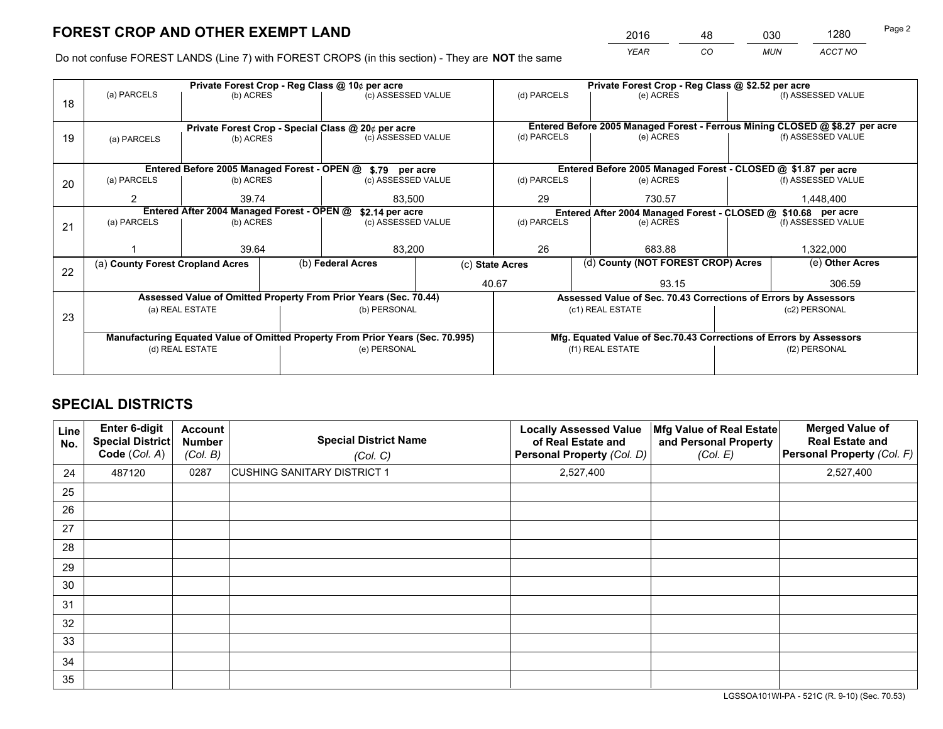*YEAR CO MUN ACCT NO* <sup>2016</sup> <sup>48</sup> <sup>030</sup> <sup>1280</sup>

Do not confuse FOREST LANDS (Line 7) with FOREST CROPS (in this section) - They are **NOT** the same

|    |                                                                                |                                            | Private Forest Crop - Reg Class @ 10¢ per acre                   |                    |                                                                    | Private Forest Crop - Reg Class @ \$2.52 per acre                            |               |                    |  |
|----|--------------------------------------------------------------------------------|--------------------------------------------|------------------------------------------------------------------|--------------------|--------------------------------------------------------------------|------------------------------------------------------------------------------|---------------|--------------------|--|
| 18 | (a) PARCELS                                                                    | (b) ACRES                                  |                                                                  | (c) ASSESSED VALUE | (d) PARCELS                                                        | (e) ACRES                                                                    |               | (f) ASSESSED VALUE |  |
|    |                                                                                |                                            |                                                                  |                    |                                                                    |                                                                              |               |                    |  |
|    |                                                                                |                                            | Private Forest Crop - Special Class @ 20¢ per acre               |                    |                                                                    | Entered Before 2005 Managed Forest - Ferrous Mining CLOSED @ \$8.27 per acre |               |                    |  |
| 19 | (a) PARCELS                                                                    | (b) ACRES                                  |                                                                  | (c) ASSESSED VALUE | (d) PARCELS                                                        | (e) ACRES                                                                    |               | (f) ASSESSED VALUE |  |
|    |                                                                                |                                            |                                                                  |                    |                                                                    |                                                                              |               |                    |  |
|    |                                                                                |                                            | Entered Before 2005 Managed Forest - OPEN @ \$.79 per acre       |                    |                                                                    | Entered Before 2005 Managed Forest - CLOSED @ \$1.87 per acre                |               |                    |  |
| 20 | (a) PARCELS                                                                    | (b) ACRES                                  |                                                                  | (c) ASSESSED VALUE | (d) PARCELS                                                        | (e) ACRES                                                                    |               | (f) ASSESSED VALUE |  |
|    | 2                                                                              | 39.74                                      |                                                                  | 83.500             | 29<br>730.57                                                       |                                                                              | 1,448,400     |                    |  |
|    |                                                                                | Entered After 2004 Managed Forest - OPEN @ |                                                                  | \$2.14 per acre    | Entered After 2004 Managed Forest - CLOSED @ \$10.68 per acre      |                                                                              |               |                    |  |
| 21 | (a) PARCELS                                                                    | (b) ACRES                                  |                                                                  | (c) ASSESSED VALUE | (d) PARCELS                                                        | (e) ACRES                                                                    |               |                    |  |
|    |                                                                                |                                            |                                                                  |                    |                                                                    |                                                                              |               |                    |  |
|    |                                                                                | 39.64                                      |                                                                  | 83,200             | 26<br>683.88                                                       |                                                                              | 1,322,000     |                    |  |
| 22 | (a) County Forest Cropland Acres                                               |                                            | (b) Federal Acres                                                |                    | (d) County (NOT FOREST CROP) Acres<br>(c) State Acres              |                                                                              |               | (e) Other Acres    |  |
|    |                                                                                |                                            |                                                                  |                    | 40.67                                                              | 93.15                                                                        |               | 306.59             |  |
|    |                                                                                |                                            | Assessed Value of Omitted Property From Prior Years (Sec. 70.44) |                    | Assessed Value of Sec. 70.43 Corrections of Errors by Assessors    |                                                                              |               |                    |  |
| 23 | (a) REAL ESTATE<br>(b) PERSONAL                                                |                                            |                                                                  |                    |                                                                    | (c1) REAL ESTATE                                                             |               | (c2) PERSONAL      |  |
|    |                                                                                |                                            |                                                                  |                    |                                                                    |                                                                              |               |                    |  |
|    | Manufacturing Equated Value of Omitted Property From Prior Years (Sec. 70.995) |                                            |                                                                  |                    | Mfg. Equated Value of Sec.70.43 Corrections of Errors by Assessors |                                                                              |               |                    |  |
|    |                                                                                | (d) REAL ESTATE                            | (e) PERSONAL                                                     |                    |                                                                    | (f1) REAL ESTATE                                                             | (f2) PERSONAL |                    |  |
|    |                                                                                |                                            |                                                                  |                    |                                                                    |                                                                              |               |                    |  |

## **SPECIAL DISTRICTS**

| <b>Line</b><br>No. | Enter 6-digit<br><b>Special District</b><br>Code (Col. A) | <b>Account</b><br><b>Number</b><br>(Col. B) | <b>Special District Name</b><br>(Col. C) | <b>Locally Assessed Value</b><br>of Real Estate and<br>Personal Property (Col. D) | Mfg Value of Real Estate<br>and Personal Property<br>(Col. E) | <b>Merged Value of</b><br><b>Real Estate and</b><br>Personal Property (Col. F) |
|--------------------|-----------------------------------------------------------|---------------------------------------------|------------------------------------------|-----------------------------------------------------------------------------------|---------------------------------------------------------------|--------------------------------------------------------------------------------|
| 24                 | 487120                                                    | 0287                                        | CUSHING SANITARY DISTRICT 1              | 2,527,400                                                                         |                                                               | 2,527,400                                                                      |
| 25                 |                                                           |                                             |                                          |                                                                                   |                                                               |                                                                                |
| 26                 |                                                           |                                             |                                          |                                                                                   |                                                               |                                                                                |
| 27                 |                                                           |                                             |                                          |                                                                                   |                                                               |                                                                                |
| 28                 |                                                           |                                             |                                          |                                                                                   |                                                               |                                                                                |
| 29                 |                                                           |                                             |                                          |                                                                                   |                                                               |                                                                                |
| 30                 |                                                           |                                             |                                          |                                                                                   |                                                               |                                                                                |
| 31                 |                                                           |                                             |                                          |                                                                                   |                                                               |                                                                                |
| 32                 |                                                           |                                             |                                          |                                                                                   |                                                               |                                                                                |
| 33                 |                                                           |                                             |                                          |                                                                                   |                                                               |                                                                                |
| 34                 |                                                           |                                             |                                          |                                                                                   |                                                               |                                                                                |
| 35                 |                                                           |                                             |                                          |                                                                                   |                                                               |                                                                                |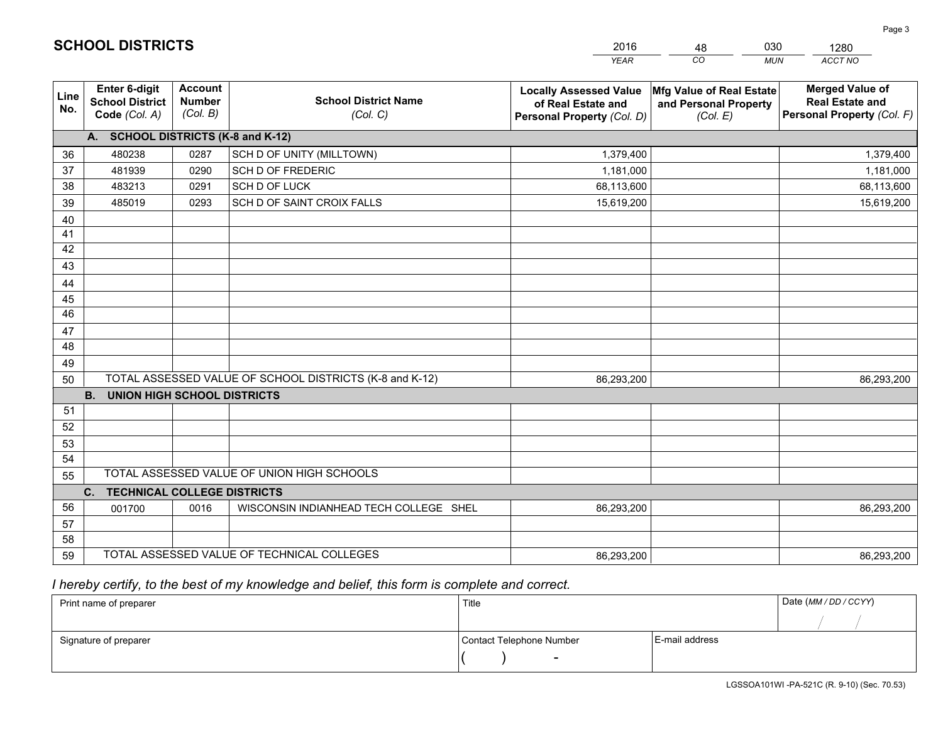|             |                                                          |                                             |                                                         | <b>YEAR</b>                                                                       | CO<br><b>MUN</b>                                              | ACCT NO                                                                        |
|-------------|----------------------------------------------------------|---------------------------------------------|---------------------------------------------------------|-----------------------------------------------------------------------------------|---------------------------------------------------------------|--------------------------------------------------------------------------------|
| Line<br>No. | Enter 6-digit<br><b>School District</b><br>Code (Col. A) | <b>Account</b><br><b>Number</b><br>(Col. B) | <b>School District Name</b><br>(Col. C)                 | <b>Locally Assessed Value</b><br>of Real Estate and<br>Personal Property (Col. D) | Mfg Value of Real Estate<br>and Personal Property<br>(Col. E) | <b>Merged Value of</b><br><b>Real Estate and</b><br>Personal Property (Col. F) |
|             | A. SCHOOL DISTRICTS (K-8 and K-12)                       |                                             |                                                         |                                                                                   |                                                               |                                                                                |
| 36          | 480238                                                   | 0287                                        | SCH D OF UNITY (MILLTOWN)                               | 1,379,400                                                                         |                                                               | 1,379,400                                                                      |
| 37          | 481939                                                   | 0290                                        | SCH D OF FREDERIC                                       | 1,181,000                                                                         |                                                               | 1,181,000                                                                      |
| 38          | 483213                                                   | 0291                                        | SCH D OF LUCK                                           | 68,113,600                                                                        |                                                               | 68,113,600                                                                     |
| 39          | 485019                                                   | 0293                                        | SCH D OF SAINT CROIX FALLS                              | 15,619,200                                                                        |                                                               | 15,619,200                                                                     |
| 40          |                                                          |                                             |                                                         |                                                                                   |                                                               |                                                                                |
| 41          |                                                          |                                             |                                                         |                                                                                   |                                                               |                                                                                |
| 42          |                                                          |                                             |                                                         |                                                                                   |                                                               |                                                                                |
| 43          |                                                          |                                             |                                                         |                                                                                   |                                                               |                                                                                |
| 44          |                                                          |                                             |                                                         |                                                                                   |                                                               |                                                                                |
| 45          |                                                          |                                             |                                                         |                                                                                   |                                                               |                                                                                |
| 46          |                                                          |                                             |                                                         |                                                                                   |                                                               |                                                                                |
| 47          |                                                          |                                             |                                                         |                                                                                   |                                                               |                                                                                |
| 48          |                                                          |                                             |                                                         |                                                                                   |                                                               |                                                                                |
| 49          |                                                          |                                             |                                                         |                                                                                   |                                                               |                                                                                |
| 50          |                                                          |                                             | TOTAL ASSESSED VALUE OF SCHOOL DISTRICTS (K-8 and K-12) | 86,293,200                                                                        |                                                               | 86,293,200                                                                     |
|             | <b>B.</b><br><b>UNION HIGH SCHOOL DISTRICTS</b>          |                                             |                                                         |                                                                                   |                                                               |                                                                                |
| 51          |                                                          |                                             |                                                         |                                                                                   |                                                               |                                                                                |
| 52          |                                                          |                                             |                                                         |                                                                                   |                                                               |                                                                                |
| 53          |                                                          |                                             |                                                         |                                                                                   |                                                               |                                                                                |
| 54          |                                                          |                                             |                                                         |                                                                                   |                                                               |                                                                                |
| 55          |                                                          |                                             | TOTAL ASSESSED VALUE OF UNION HIGH SCHOOLS              |                                                                                   |                                                               |                                                                                |
|             | C. TECHNICAL COLLEGE DISTRICTS                           |                                             |                                                         |                                                                                   |                                                               |                                                                                |
| 56          | 001700                                                   | 0016                                        | WISCONSIN INDIANHEAD TECH COLLEGE SHEL                  | 86,293,200                                                                        |                                                               | 86,293,200                                                                     |
| 57          |                                                          |                                             |                                                         |                                                                                   |                                                               |                                                                                |
| 58          |                                                          |                                             |                                                         |                                                                                   |                                                               |                                                                                |
| 59          |                                                          |                                             | TOTAL ASSESSED VALUE OF TECHNICAL COLLEGES              | 86,293,200                                                                        |                                                               | 86,293,200                                                                     |

48

030

 *I hereby certify, to the best of my knowledge and belief, this form is complete and correct.*

**SCHOOL DISTRICTS**

| Print name of preparer | Title                    |                | Date (MM / DD / CCYY) |
|------------------------|--------------------------|----------------|-----------------------|
|                        |                          |                |                       |
| Signature of preparer  | Contact Telephone Number | E-mail address |                       |
|                        | -                        |                |                       |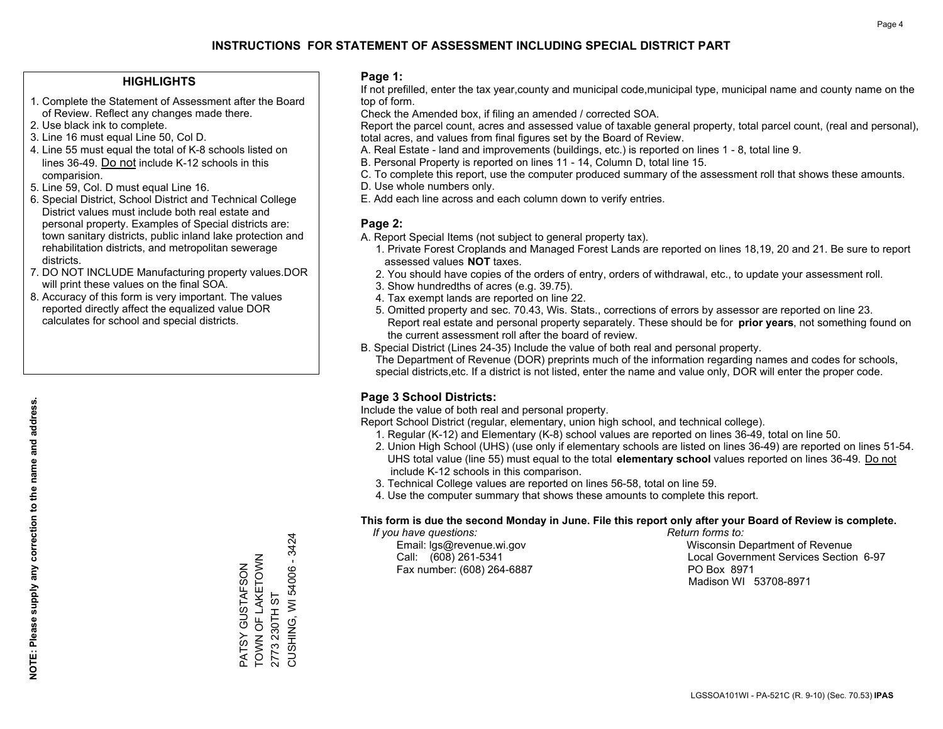#### **HIGHLIGHTS**

- 1. Complete the Statement of Assessment after the Board of Review. Reflect any changes made there.
- 2. Use black ink to complete.
- 3. Line 16 must equal Line 50, Col D.
- 4. Line 55 must equal the total of K-8 schools listed on lines 36-49. Do not include K-12 schools in this comparision.
- 5. Line 59, Col. D must equal Line 16.
- 6. Special District, School District and Technical College District values must include both real estate and personal property. Examples of Special districts are: town sanitary districts, public inland lake protection and rehabilitation districts, and metropolitan sewerage districts.
- 7. DO NOT INCLUDE Manufacturing property values.DOR will print these values on the final SOA.
- 8. Accuracy of this form is very important. The values reported directly affect the equalized value DOR calculates for school and special districts.

#### **Page 1:**

 If not prefilled, enter the tax year,county and municipal code,municipal type, municipal name and county name on the top of form.

Check the Amended box, if filing an amended / corrected SOA.

 Report the parcel count, acres and assessed value of taxable general property, total parcel count, (real and personal), total acres, and values from final figures set by the Board of Review.

- A. Real Estate land and improvements (buildings, etc.) is reported on lines 1 8, total line 9.
- B. Personal Property is reported on lines 11 14, Column D, total line 15.
- C. To complete this report, use the computer produced summary of the assessment roll that shows these amounts.
- D. Use whole numbers only.
- E. Add each line across and each column down to verify entries.

#### **Page 2:**

- A. Report Special Items (not subject to general property tax).
- 1. Private Forest Croplands and Managed Forest Lands are reported on lines 18,19, 20 and 21. Be sure to report assessed values **NOT** taxes.
- 2. You should have copies of the orders of entry, orders of withdrawal, etc., to update your assessment roll.
	- 3. Show hundredths of acres (e.g. 39.75).
- 4. Tax exempt lands are reported on line 22.
- 5. Omitted property and sec. 70.43, Wis. Stats., corrections of errors by assessor are reported on line 23. Report real estate and personal property separately. These should be for **prior years**, not something found on the current assessment roll after the board of review.
- B. Special District (Lines 24-35) Include the value of both real and personal property.
- The Department of Revenue (DOR) preprints much of the information regarding names and codes for schools, special districts,etc. If a district is not listed, enter the name and value only, DOR will enter the proper code.

## **Page 3 School Districts:**

Include the value of both real and personal property.

Report School District (regular, elementary, union high school, and technical college).

- 1. Regular (K-12) and Elementary (K-8) school values are reported on lines 36-49, total on line 50.
- 2. Union High School (UHS) (use only if elementary schools are listed on lines 36-49) are reported on lines 51-54. UHS total value (line 55) must equal to the total **elementary school** values reported on lines 36-49. Do notinclude K-12 schools in this comparison.
- 3. Technical College values are reported on lines 56-58, total on line 59.
- 4. Use the computer summary that shows these amounts to complete this report.

#### **This form is due the second Monday in June. File this report only after your Board of Review is complete.**

 *If you have questions: Return forms to:*

Fax number: (608) 264-6887 PO Box 8971

 Email: lgs@revenue.wi.gov Wisconsin Department of Revenue Call: (608) 261-5341 Local Government Services Section 6-97Madison WI 53708-8971

PATSY GUSTAFSON TOWN OF LAKETOWN

PATSY GUSTAFSON<br>TOWN OF LAKETOWN

2773 230TH ST

2773 230TH ST

CUSHING, WI 54006 - 3424

CUSHING, WI 54006 - 3424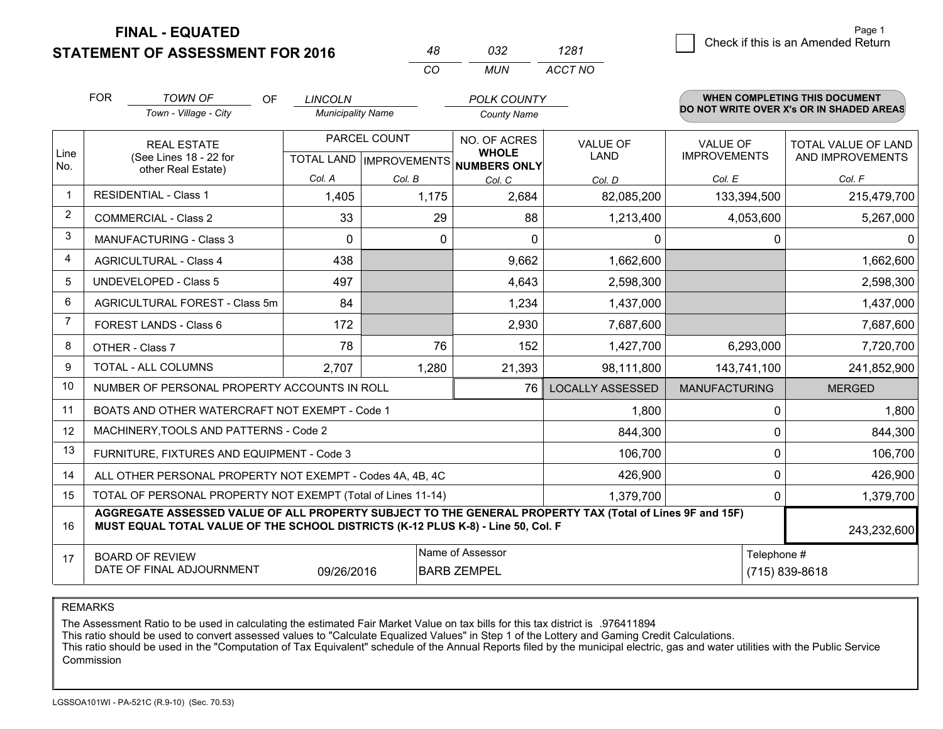**FINAL - EQUATED**

**STATEMENT OF ASSESSMENT FOR 2016** 

| 1281    | Page 1<br>    Check if this is an Amended Return |
|---------|--------------------------------------------------|
| ACCT NO |                                                  |

Page 1

|                | <b>FOR</b>                                                                                                                                                                                   | <b>TOWN OF</b><br><b>OF</b>                                  | <b>LINCOLN</b>           |                                                  | <b>POLK COUNTY</b>                                  |                                |                                        | <b>WHEN COMPLETING THIS DOCUMENT</b>     |
|----------------|----------------------------------------------------------------------------------------------------------------------------------------------------------------------------------------------|--------------------------------------------------------------|--------------------------|--------------------------------------------------|-----------------------------------------------------|--------------------------------|----------------------------------------|------------------------------------------|
|                |                                                                                                                                                                                              | Town - Village - City                                        | <b>Municipality Name</b> |                                                  | <b>County Name</b>                                  |                                |                                        | DO NOT WRITE OVER X's OR IN SHADED AREAS |
| Line<br>No.    | <b>REAL ESTATE</b><br>(See Lines 18 - 22 for<br>other Real Estate)                                                                                                                           |                                                              |                          | PARCEL COUNT<br><b>TOTAL LAND   IMPROVEMENTS</b> | NO. OF ACRES<br><b>WHOLE</b><br><b>NUMBERS ONLY</b> | <b>VALUE OF</b><br><b>LAND</b> | <b>VALUE OF</b><br><b>IMPROVEMENTS</b> | TOTAL VALUE OF LAND<br>AND IMPROVEMENTS  |
|                |                                                                                                                                                                                              |                                                              | Col. A                   | Col. B                                           | Col. C                                              | Col. D                         | Col. E                                 | Col. F                                   |
| $\mathbf{1}$   |                                                                                                                                                                                              | <b>RESIDENTIAL - Class 1</b>                                 | 1,405                    | 1,175                                            | 2,684                                               | 82,085,200                     | 133,394,500                            | 215,479,700                              |
| $\overline{2}$ |                                                                                                                                                                                              | <b>COMMERCIAL - Class 2</b>                                  | 33                       | 29                                               | 88                                                  | 1,213,400                      | 4,053,600                              | 5,267,000                                |
| 3              |                                                                                                                                                                                              | <b>MANUFACTURING - Class 3</b>                               | $\mathbf{0}$             | $\Omega$                                         | 0                                                   | 0                              | 0                                      | 0                                        |
| 4              |                                                                                                                                                                                              | <b>AGRICULTURAL - Class 4</b>                                | 438                      |                                                  | 9,662                                               | 1,662,600                      |                                        | 1,662,600                                |
| 5              |                                                                                                                                                                                              | <b>UNDEVELOPED - Class 5</b>                                 | 497                      |                                                  | 4,643                                               | 2,598,300                      |                                        | 2,598,300                                |
| 6              |                                                                                                                                                                                              | AGRICULTURAL FOREST - Class 5m                               | 84                       |                                                  | 1,234                                               | 1,437,000                      |                                        | 1,437,000                                |
| $\overline{7}$ |                                                                                                                                                                                              | FOREST LANDS - Class 6                                       | 172                      |                                                  | 2,930                                               | 7,687,600                      |                                        | 7,687,600                                |
| 8              |                                                                                                                                                                                              | OTHER - Class 7                                              | 78                       | 76                                               | 152                                                 | 1,427,700                      | 6,293,000                              | 7,720,700                                |
| 9              |                                                                                                                                                                                              | TOTAL - ALL COLUMNS                                          | 2,707                    | 1,280                                            | 21,393                                              | 98,111,800                     | 143,741,100                            | 241,852,900                              |
| 10             |                                                                                                                                                                                              | NUMBER OF PERSONAL PROPERTY ACCOUNTS IN ROLL                 |                          |                                                  | 76                                                  | <b>LOCALLY ASSESSED</b>        | <b>MANUFACTURING</b>                   | <b>MERGED</b>                            |
| 11             |                                                                                                                                                                                              | BOATS AND OTHER WATERCRAFT NOT EXEMPT - Code 1               |                          |                                                  |                                                     | 1,800                          | 0                                      | 1,800                                    |
| 12             |                                                                                                                                                                                              | MACHINERY, TOOLS AND PATTERNS - Code 2                       |                          |                                                  |                                                     | 844,300                        | 0                                      | 844,300                                  |
| 13             |                                                                                                                                                                                              | FURNITURE, FIXTURES AND EQUIPMENT - Code 3                   |                          |                                                  |                                                     | 106,700                        | 0                                      | 106,700                                  |
| 14             |                                                                                                                                                                                              | ALL OTHER PERSONAL PROPERTY NOT EXEMPT - Codes 4A, 4B, 4C    |                          |                                                  |                                                     | 426,900                        | 0                                      | 426,900                                  |
| 15             |                                                                                                                                                                                              | TOTAL OF PERSONAL PROPERTY NOT EXEMPT (Total of Lines 11-14) |                          |                                                  |                                                     | 1,379,700                      | 0                                      | 1,379,700                                |
| 16             | AGGREGATE ASSESSED VALUE OF ALL PROPERTY SUBJECT TO THE GENERAL PROPERTY TAX (Total of Lines 9F and 15F)<br>MUST EQUAL TOTAL VALUE OF THE SCHOOL DISTRICTS (K-12 PLUS K-8) - Line 50, Col. F |                                                              |                          |                                                  |                                                     |                                | 243,232,600                            |                                          |
| 17             | Name of Assessor<br>Telephone #<br><b>BOARD OF REVIEW</b><br>DATE OF FINAL ADJOURNMENT<br>09/26/2016<br>(715) 839-8618<br><b>BARB ZEMPEL</b>                                                 |                                                              |                          |                                                  |                                                     |                                |                                        |                                          |

*CO*

*MUN*

*<sup>48</sup> <sup>032</sup>*

REMARKS

The Assessment Ratio to be used in calculating the estimated Fair Market Value on tax bills for this tax district is .976411894<br>This ratio should be used to convert assessed values to "Calculate Equalized Values" in Step 1 Commission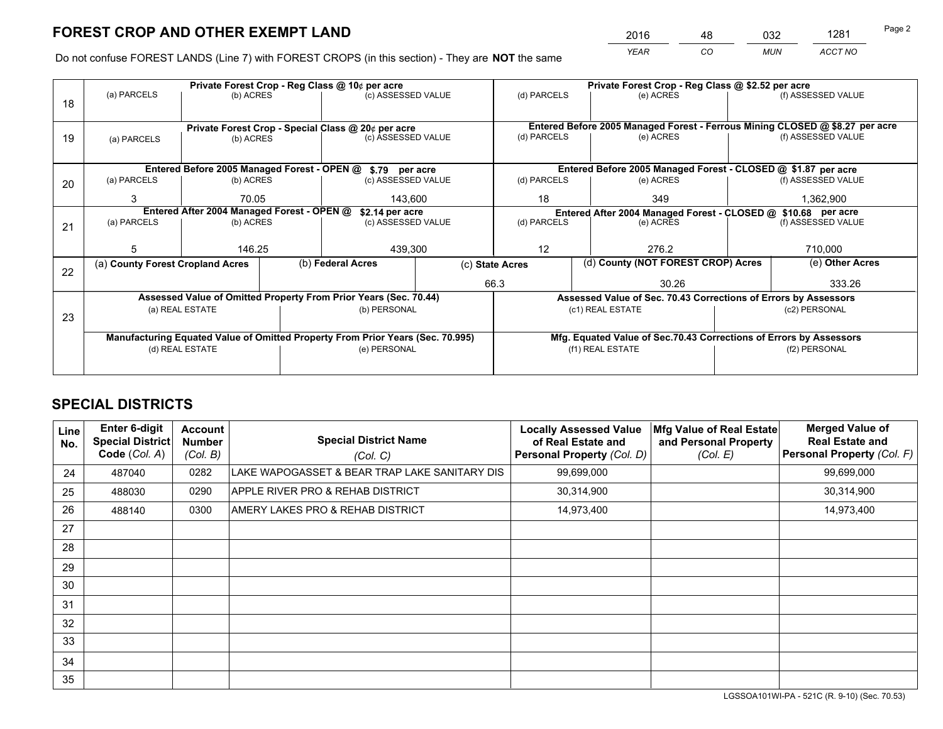*YEAR CO MUN ACCT NO* <sup>2016</sup> <sup>48</sup> <sup>032</sup> <sup>1281</sup>

Do not confuse FOREST LANDS (Line 7) with FOREST CROPS (in this section) - They are **NOT** the same

|    |                                                                                |                 |  | Private Forest Crop - Reg Class @ 10¢ per acre                   |                  | Private Forest Crop - Reg Class @ \$2.52 per acre                  |               |                                    |                    |                                                                              |
|----|--------------------------------------------------------------------------------|-----------------|--|------------------------------------------------------------------|------------------|--------------------------------------------------------------------|---------------|------------------------------------|--------------------|------------------------------------------------------------------------------|
| 18 | (a) PARCELS                                                                    | (b) ACRES       |  | (c) ASSESSED VALUE                                               |                  | (d) PARCELS                                                        |               | (e) ACRES                          |                    | (f) ASSESSED VALUE                                                           |
|    |                                                                                |                 |  |                                                                  |                  |                                                                    |               |                                    |                    |                                                                              |
|    |                                                                                |                 |  | Private Forest Crop - Special Class @ 20¢ per acre               |                  |                                                                    |               |                                    |                    | Entered Before 2005 Managed Forest - Ferrous Mining CLOSED @ \$8.27 per acre |
| 19 | (a) PARCELS                                                                    | (b) ACRES       |  | (c) ASSESSED VALUE                                               |                  | (d) PARCELS                                                        |               | (e) ACRES                          |                    | (f) ASSESSED VALUE                                                           |
|    |                                                                                |                 |  |                                                                  |                  |                                                                    |               |                                    |                    |                                                                              |
|    |                                                                                |                 |  | Entered Before 2005 Managed Forest - OPEN @ \$.79 per acre       |                  |                                                                    |               |                                    |                    | Entered Before 2005 Managed Forest - CLOSED @ \$1.87 per acre                |
| 20 | (a) PARCELS                                                                    | (b) ACRES       |  | (c) ASSESSED VALUE                                               |                  | (d) PARCELS                                                        |               | (e) ACRES                          |                    | (f) ASSESSED VALUE                                                           |
|    | 3                                                                              | 70.05           |  | 143,600                                                          |                  | 18<br>349                                                          |               |                                    | 1,362,900          |                                                                              |
|    | Entered After 2004 Managed Forest - OPEN @<br>\$2.14 per acre                  |                 |  |                                                                  |                  | Entered After 2004 Managed Forest - CLOSED @ \$10.68 per acre      |               |                                    |                    |                                                                              |
| 21 | (a) PARCELS                                                                    | (b) ACRES       |  | (c) ASSESSED VALUE                                               |                  | (d) PARCELS<br>(e) ACRES                                           |               |                                    | (f) ASSESSED VALUE |                                                                              |
|    |                                                                                |                 |  |                                                                  |                  |                                                                    |               |                                    |                    |                                                                              |
|    | 5                                                                              | 146.25          |  | 439,300                                                          |                  | 12                                                                 |               | 276.2                              |                    | 710,000                                                                      |
|    | (a) County Forest Cropland Acres                                               |                 |  | (b) Federal Acres                                                | (c) State Acres  |                                                                    |               | (d) County (NOT FOREST CROP) Acres |                    | (e) Other Acres                                                              |
| 22 |                                                                                |                 |  |                                                                  |                  | 66.3                                                               |               | 30.26                              |                    | 333.26                                                                       |
|    |                                                                                |                 |  | Assessed Value of Omitted Property From Prior Years (Sec. 70.44) |                  |                                                                    |               |                                    |                    | Assessed Value of Sec. 70.43 Corrections of Errors by Assessors              |
|    |                                                                                | (a) REAL ESTATE |  | (b) PERSONAL                                                     | (c1) REAL ESTATE |                                                                    | (c2) PERSONAL |                                    |                    |                                                                              |
| 23 |                                                                                |                 |  |                                                                  |                  |                                                                    |               |                                    |                    |                                                                              |
|    | Manufacturing Equated Value of Omitted Property From Prior Years (Sec. 70.995) |                 |  |                                                                  |                  | Mfg. Equated Value of Sec.70.43 Corrections of Errors by Assessors |               |                                    |                    |                                                                              |
|    | (d) REAL ESTATE                                                                |                 |  | (e) PERSONAL                                                     |                  | (f1) REAL ESTATE                                                   |               |                                    | (f2) PERSONAL      |                                                                              |
|    |                                                                                |                 |  |                                                                  |                  |                                                                    |               |                                    |                    |                                                                              |

## **SPECIAL DISTRICTS**

| Line<br>No. | <b>Enter 6-digit</b><br>Special District<br>Code (Col. A) | <b>Account</b><br><b>Number</b><br>(Col. B) | <b>Special District Name</b><br>(Col. C)      | <b>Locally Assessed Value</b><br>of Real Estate and<br><b>Personal Property (Col. D)</b> | Mfg Value of Real Estate<br>and Personal Property<br>(Col. E) | <b>Merged Value of</b><br><b>Real Estate and</b><br>Personal Property (Col. F) |
|-------------|-----------------------------------------------------------|---------------------------------------------|-----------------------------------------------|------------------------------------------------------------------------------------------|---------------------------------------------------------------|--------------------------------------------------------------------------------|
| 24          | 487040                                                    | 0282                                        | LAKE WAPOGASSET & BEAR TRAP LAKE SANITARY DIS | 99,699,000                                                                               |                                                               | 99,699,000                                                                     |
| 25          | 488030                                                    | 0290                                        | APPLE RIVER PRO & REHAB DISTRICT              | 30,314,900                                                                               |                                                               | 30,314,900                                                                     |
| 26          | 488140                                                    | 0300                                        | AMERY LAKES PRO & REHAB DISTRICT              | 14,973,400                                                                               |                                                               | 14,973,400                                                                     |
| 27          |                                                           |                                             |                                               |                                                                                          |                                                               |                                                                                |
| 28          |                                                           |                                             |                                               |                                                                                          |                                                               |                                                                                |
| 29          |                                                           |                                             |                                               |                                                                                          |                                                               |                                                                                |
| 30          |                                                           |                                             |                                               |                                                                                          |                                                               |                                                                                |
| 31          |                                                           |                                             |                                               |                                                                                          |                                                               |                                                                                |
| 32          |                                                           |                                             |                                               |                                                                                          |                                                               |                                                                                |
| 33          |                                                           |                                             |                                               |                                                                                          |                                                               |                                                                                |
| 34          |                                                           |                                             |                                               |                                                                                          |                                                               |                                                                                |
| 35          |                                                           |                                             |                                               |                                                                                          |                                                               |                                                                                |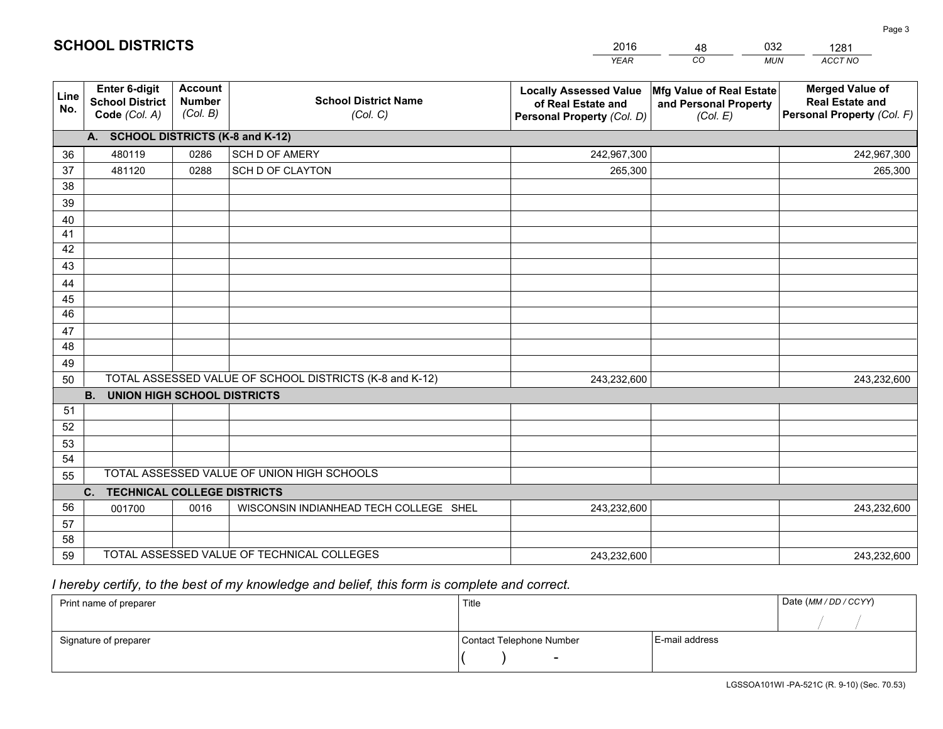|             |                                                          |                                             |                                                         | <b>YEAR</b>                                                                       | CO<br><b>MUN</b>                                              | <b>ACCT NO</b>                                                                 |
|-------------|----------------------------------------------------------|---------------------------------------------|---------------------------------------------------------|-----------------------------------------------------------------------------------|---------------------------------------------------------------|--------------------------------------------------------------------------------|
| Line<br>No. | Enter 6-digit<br><b>School District</b><br>Code (Col. A) | <b>Account</b><br><b>Number</b><br>(Col. B) | <b>School District Name</b><br>(Col. C)                 | <b>Locally Assessed Value</b><br>of Real Estate and<br>Personal Property (Col. D) | Mfg Value of Real Estate<br>and Personal Property<br>(Col. E) | <b>Merged Value of</b><br><b>Real Estate and</b><br>Personal Property (Col. F) |
|             | A. SCHOOL DISTRICTS (K-8 and K-12)                       |                                             |                                                         |                                                                                   |                                                               |                                                                                |
| 36          | 480119                                                   | 0286                                        | SCH D OF AMERY                                          | 242,967,300                                                                       |                                                               | 242,967,300                                                                    |
| 37          | 481120                                                   | 0288                                        | SCH D OF CLAYTON                                        | 265,300                                                                           |                                                               | 265,300                                                                        |
| 38          |                                                          |                                             |                                                         |                                                                                   |                                                               |                                                                                |
| 39          |                                                          |                                             |                                                         |                                                                                   |                                                               |                                                                                |
| 40          |                                                          |                                             |                                                         |                                                                                   |                                                               |                                                                                |
| 41          |                                                          |                                             |                                                         |                                                                                   |                                                               |                                                                                |
| 42          |                                                          |                                             |                                                         |                                                                                   |                                                               |                                                                                |
| 43          |                                                          |                                             |                                                         |                                                                                   |                                                               |                                                                                |
| 44          |                                                          |                                             |                                                         |                                                                                   |                                                               |                                                                                |
| 45<br>46    |                                                          |                                             |                                                         |                                                                                   |                                                               |                                                                                |
|             |                                                          |                                             |                                                         |                                                                                   |                                                               |                                                                                |
| 47<br>48    |                                                          |                                             |                                                         |                                                                                   |                                                               |                                                                                |
| 49          |                                                          |                                             |                                                         |                                                                                   |                                                               |                                                                                |
| 50          |                                                          |                                             | TOTAL ASSESSED VALUE OF SCHOOL DISTRICTS (K-8 and K-12) | 243,232,600                                                                       |                                                               | 243,232,600                                                                    |
|             | <b>B.</b><br><b>UNION HIGH SCHOOL DISTRICTS</b>          |                                             |                                                         |                                                                                   |                                                               |                                                                                |
| 51          |                                                          |                                             |                                                         |                                                                                   |                                                               |                                                                                |
| 52          |                                                          |                                             |                                                         |                                                                                   |                                                               |                                                                                |
| 53          |                                                          |                                             |                                                         |                                                                                   |                                                               |                                                                                |
| 54          |                                                          |                                             |                                                         |                                                                                   |                                                               |                                                                                |
| 55          |                                                          |                                             | TOTAL ASSESSED VALUE OF UNION HIGH SCHOOLS              |                                                                                   |                                                               |                                                                                |
|             | C. TECHNICAL COLLEGE DISTRICTS                           |                                             |                                                         |                                                                                   |                                                               |                                                                                |
| 56          | 001700                                                   | 0016                                        | WISCONSIN INDIANHEAD TECH COLLEGE SHEL                  | 243,232,600                                                                       |                                                               | 243,232,600                                                                    |
| 57          |                                                          |                                             |                                                         |                                                                                   |                                                               |                                                                                |
| 58          |                                                          |                                             |                                                         |                                                                                   |                                                               |                                                                                |
| 59          |                                                          |                                             | TOTAL ASSESSED VALUE OF TECHNICAL COLLEGES              | 243,232,600                                                                       |                                                               | 243,232,600                                                                    |

48

032

 *I hereby certify, to the best of my knowledge and belief, this form is complete and correct.*

**SCHOOL DISTRICTS**

| Print name of preparer | Title                    |                | Date (MM/DD/CCYY) |
|------------------------|--------------------------|----------------|-------------------|
|                        |                          |                |                   |
| Signature of preparer  | Contact Telephone Number | E-mail address |                   |
|                        | $\overline{\phantom{0}}$ |                |                   |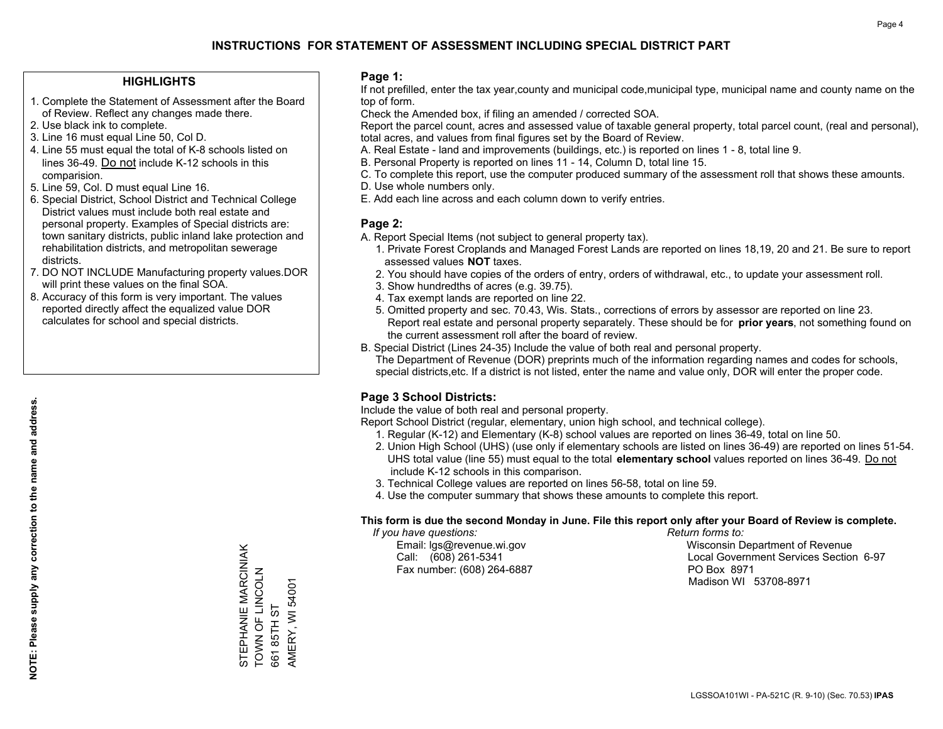#### **HIGHLIGHTS**

- 1. Complete the Statement of Assessment after the Board of Review. Reflect any changes made there.
- 2. Use black ink to complete.
- 3. Line 16 must equal Line 50, Col D.
- 4. Line 55 must equal the total of K-8 schools listed on lines 36-49. Do not include K-12 schools in this comparision.
- 5. Line 59, Col. D must equal Line 16.
- 6. Special District, School District and Technical College District values must include both real estate and personal property. Examples of Special districts are: town sanitary districts, public inland lake protection and rehabilitation districts, and metropolitan sewerage districts.
- 7. DO NOT INCLUDE Manufacturing property values.DOR will print these values on the final SOA.
- 8. Accuracy of this form is very important. The values reported directly affect the equalized value DOR calculates for school and special districts.

#### **Page 1:**

 If not prefilled, enter the tax year,county and municipal code,municipal type, municipal name and county name on the top of form.

Check the Amended box, if filing an amended / corrected SOA.

 Report the parcel count, acres and assessed value of taxable general property, total parcel count, (real and personal), total acres, and values from final figures set by the Board of Review.

- A. Real Estate land and improvements (buildings, etc.) is reported on lines 1 8, total line 9.
- B. Personal Property is reported on lines 11 14, Column D, total line 15.
- C. To complete this report, use the computer produced summary of the assessment roll that shows these amounts.
- D. Use whole numbers only.
- E. Add each line across and each column down to verify entries.

#### **Page 2:**

- A. Report Special Items (not subject to general property tax).
- 1. Private Forest Croplands and Managed Forest Lands are reported on lines 18,19, 20 and 21. Be sure to report assessed values **NOT** taxes.
- 2. You should have copies of the orders of entry, orders of withdrawal, etc., to update your assessment roll.
	- 3. Show hundredths of acres (e.g. 39.75).
- 4. Tax exempt lands are reported on line 22.
- 5. Omitted property and sec. 70.43, Wis. Stats., corrections of errors by assessor are reported on line 23. Report real estate and personal property separately. These should be for **prior years**, not something found on the current assessment roll after the board of review.
- B. Special District (Lines 24-35) Include the value of both real and personal property.
- The Department of Revenue (DOR) preprints much of the information regarding names and codes for schools, special districts,etc. If a district is not listed, enter the name and value only, DOR will enter the proper code.

## **Page 3 School Districts:**

Include the value of both real and personal property.

Report School District (regular, elementary, union high school, and technical college).

- 1. Regular (K-12) and Elementary (K-8) school values are reported on lines 36-49, total on line 50.
- 2. Union High School (UHS) (use only if elementary schools are listed on lines 36-49) are reported on lines 51-54. UHS total value (line 55) must equal to the total **elementary school** values reported on lines 36-49. Do notinclude K-12 schools in this comparison.
- 3. Technical College values are reported on lines 56-58, total on line 59.
- 4. Use the computer summary that shows these amounts to complete this report.

#### **This form is due the second Monday in June. File this report only after your Board of Review is complete.**

 *If you have questions: Return forms to:*

Fax number: (608) 264-6887 PO Box 8971

 Email: lgs@revenue.wi.gov Wisconsin Department of Revenue Call: (608) 261-5341 Local Government Services Section 6-97Madison WI 53708-8971

STEPHANIE MARCINIAK<br>TOWN OF LINCOLN STEPHANIE MARCINIAK TOWN OF LINCOLN AMERY, WI 54001 661 85TH ST 661 85TH ST

AMERY, WI 54001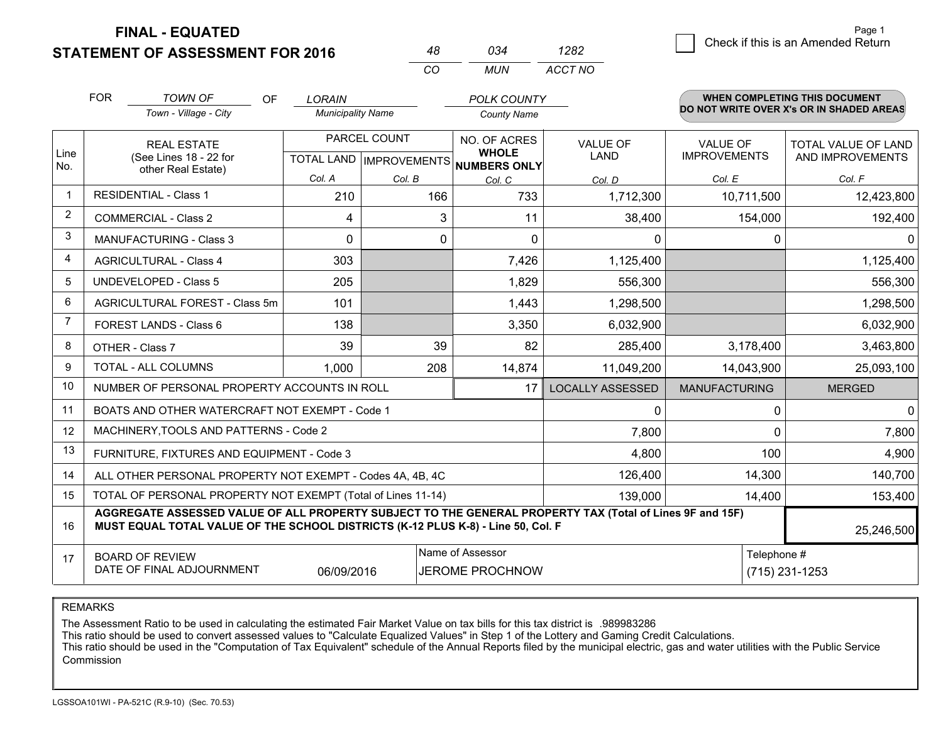**FINAL - EQUATED**

**STATEMENT OF ASSESSMENT FOR 2016** 

| Page 1                             |  |
|------------------------------------|--|
| Check if this is an Amended Return |  |
|                                    |  |

|                |            |                                                                                                                                                                                              |                          | CO                               | <b>MUN</b>                          | ACCT NO                 |                      |                                          |
|----------------|------------|----------------------------------------------------------------------------------------------------------------------------------------------------------------------------------------------|--------------------------|----------------------------------|-------------------------------------|-------------------------|----------------------|------------------------------------------|
|                | <b>FOR</b> | <b>TOWN OF</b><br>OF                                                                                                                                                                         | <b>LORAIN</b>            |                                  | <b>POLK COUNTY</b>                  |                         |                      | WHEN COMPLETING THIS DOCUMENT            |
|                |            | Town - Village - City                                                                                                                                                                        | <b>Municipality Name</b> |                                  | <b>County Name</b>                  |                         |                      | DO NOT WRITE OVER X's OR IN SHADED AREAS |
|                |            | <b>REAL ESTATE</b>                                                                                                                                                                           |                          | PARCEL COUNT                     | NO. OF ACRES                        | <b>VALUE OF</b>         | <b>VALUE OF</b>      | TOTAL VALUE OF LAND                      |
| Line<br>No.    |            | (See Lines 18 - 22 for<br>other Real Estate)                                                                                                                                                 |                          | <b>TOTAL LAND   IMPROVEMENTS</b> | <b>WHOLE</b><br><b>NUMBERS ONLY</b> | LAND                    | <b>IMPROVEMENTS</b>  | AND IMPROVEMENTS                         |
|                |            |                                                                                                                                                                                              | Col. A                   | Col. B                           | Col. C                              | Col. D                  | Col. E               | Col. F                                   |
| $\mathbf{1}$   |            | <b>RESIDENTIAL - Class 1</b>                                                                                                                                                                 | 210                      | 166                              | 733                                 | 1,712,300               | 10,711,500           | 12,423,800                               |
| $\overline{2}$ |            | <b>COMMERCIAL - Class 2</b>                                                                                                                                                                  | 4                        | 3                                | 11                                  | 38,400                  | 154,000              | 192,400                                  |
| 3              |            | <b>MANUFACTURING - Class 3</b>                                                                                                                                                               | 0                        | 0                                | $\Omega$                            | 0                       | 0                    | $\Omega$                                 |
| $\overline{4}$ |            | <b>AGRICULTURAL - Class 4</b>                                                                                                                                                                | 303                      |                                  | 7,426                               | 1,125,400               |                      | 1,125,400                                |
| 5              |            | <b>UNDEVELOPED - Class 5</b>                                                                                                                                                                 | 205                      |                                  | 1,829                               | 556,300                 |                      | 556,300                                  |
| 6              |            | AGRICULTURAL FOREST - Class 5m                                                                                                                                                               | 101                      |                                  | 1,443                               | 1,298,500               |                      | 1,298,500                                |
| $\overline{7}$ |            | FOREST LANDS - Class 6                                                                                                                                                                       | 138                      |                                  | 3,350                               | 6,032,900               |                      | 6,032,900                                |
| 8              |            | OTHER - Class 7                                                                                                                                                                              | 39                       | 39                               | 82                                  | 285,400                 | 3,178,400            | 3,463,800                                |
| 9              |            | TOTAL - ALL COLUMNS                                                                                                                                                                          | 1,000                    | 208                              | 14,874                              | 11,049,200              | 14,043,900           | 25,093,100                               |
| 10             |            | NUMBER OF PERSONAL PROPERTY ACCOUNTS IN ROLL                                                                                                                                                 |                          |                                  | 17                                  | <b>LOCALLY ASSESSED</b> | <b>MANUFACTURING</b> | <b>MERGED</b>                            |
| 11             |            | BOATS AND OTHER WATERCRAFT NOT EXEMPT - Code 1                                                                                                                                               |                          |                                  |                                     | $\Omega$                | 0                    | $\Omega$                                 |
| 12             |            | MACHINERY, TOOLS AND PATTERNS - Code 2                                                                                                                                                       |                          |                                  |                                     | 7,800                   | 0                    | 7,800                                    |
| 13             |            | FURNITURE, FIXTURES AND EQUIPMENT - Code 3                                                                                                                                                   |                          |                                  |                                     | 4,800                   | 100                  | 4,900                                    |
| 14             |            | ALL OTHER PERSONAL PROPERTY NOT EXEMPT - Codes 4A, 4B, 4C                                                                                                                                    |                          |                                  |                                     | 126,400                 | 14,300               | 140,700                                  |
| 15             |            | TOTAL OF PERSONAL PROPERTY NOT EXEMPT (Total of Lines 11-14)                                                                                                                                 |                          |                                  |                                     | 139.000                 | 14,400               | 153,400                                  |
| 16             |            | AGGREGATE ASSESSED VALUE OF ALL PROPERTY SUBJECT TO THE GENERAL PROPERTY TAX (Total of Lines 9F and 15F)<br>MUST EQUAL TOTAL VALUE OF THE SCHOOL DISTRICTS (K-12 PLUS K-8) - Line 50, Col. F |                          |                                  |                                     |                         |                      | 25,246,500                               |
| 17             |            | <b>BOARD OF REVIEW</b>                                                                                                                                                                       |                          |                                  | Name of Assessor                    |                         | Telephone #          |                                          |
|                |            | DATE OF FINAL ADJOURNMENT                                                                                                                                                                    | 06/09/2016               |                                  | <b>JEROME PROCHNOW</b>              |                         |                      | (715) 231-1253                           |

*<sup>48</sup> <sup>034</sup>*

*1282*

REMARKS

The Assessment Ratio to be used in calculating the estimated Fair Market Value on tax bills for this tax district is .989983286<br>This ratio should be used to convert assessed values to "Calculate Equalized Values" in Step 1 Commission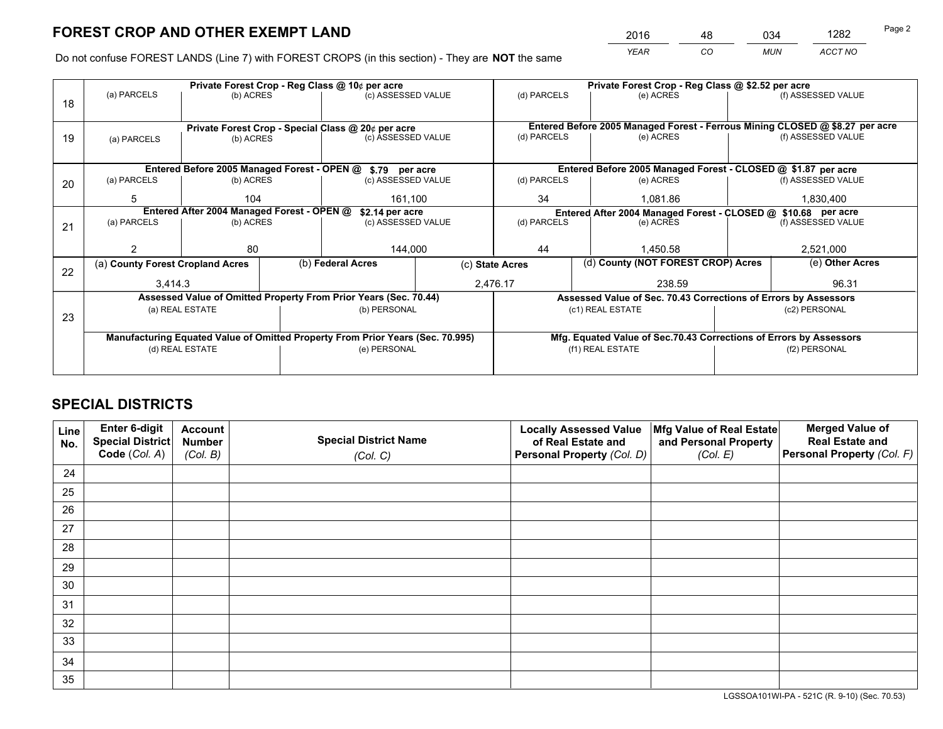*YEAR CO MUN ACCT NO* 2016 <u>48 034 1282</u>

Do not confuse FOREST LANDS (Line 7) with FOREST CROPS (in this section) - They are **NOT** the same

|    |                                                                                |                 |  | Private Forest Crop - Reg Class @ 10¢ per acre                   |  | Private Forest Crop - Reg Class @ \$2.52 per acre |                                                                              |           |                                                               |  |  |
|----|--------------------------------------------------------------------------------|-----------------|--|------------------------------------------------------------------|--|---------------------------------------------------|------------------------------------------------------------------------------|-----------|---------------------------------------------------------------|--|--|
| 18 | (a) PARCELS                                                                    | (b) ACRES       |  | (c) ASSESSED VALUE                                               |  | (d) PARCELS                                       | (e) ACRES                                                                    |           | (f) ASSESSED VALUE                                            |  |  |
|    |                                                                                |                 |  |                                                                  |  |                                                   |                                                                              |           |                                                               |  |  |
|    |                                                                                |                 |  | Private Forest Crop - Special Class @ 20¢ per acre               |  |                                                   | Entered Before 2005 Managed Forest - Ferrous Mining CLOSED @ \$8.27 per acre |           |                                                               |  |  |
| 19 | (a) PARCELS                                                                    | (b) ACRES       |  | (c) ASSESSED VALUE                                               |  | (d) PARCELS                                       | (e) ACRES                                                                    |           | (f) ASSESSED VALUE                                            |  |  |
|    |                                                                                |                 |  |                                                                  |  |                                                   |                                                                              |           |                                                               |  |  |
|    |                                                                                |                 |  | Entered Before 2005 Managed Forest - OPEN @ \$.79 per acre       |  |                                                   |                                                                              |           | Entered Before 2005 Managed Forest - CLOSED @ \$1.87 per acre |  |  |
| 20 | (a) PARCELS                                                                    | (b) ACRES       |  | (c) ASSESSED VALUE                                               |  | (d) PARCELS                                       | (e) ACRES                                                                    |           | (f) ASSESSED VALUE                                            |  |  |
|    | 5                                                                              | 104             |  | 161,100                                                          |  | 34                                                | 1.081.86                                                                     |           | 1,830,400                                                     |  |  |
|    | Entered After 2004 Managed Forest - OPEN @<br>\$2.14 per acre                  |                 |  |                                                                  |  |                                                   | Entered After 2004 Managed Forest - CLOSED @ \$10.68 per acre                |           |                                                               |  |  |
| 21 | (a) PARCELS                                                                    | (b) ACRES       |  | (c) ASSESSED VALUE                                               |  | (d) PARCELS                                       | (e) ACRES                                                                    |           |                                                               |  |  |
|    |                                                                                |                 |  |                                                                  |  |                                                   |                                                                              |           |                                                               |  |  |
|    |                                                                                | 80              |  | 144,000                                                          |  | 44<br>1.450.58                                    |                                                                              | 2,521,000 |                                                               |  |  |
| 22 | (a) County Forest Cropland Acres                                               |                 |  | (b) Federal Acres                                                |  | (c) State Acres                                   | (d) County (NOT FOREST CROP) Acres                                           |           | (e) Other Acres                                               |  |  |
|    | 3,414.3                                                                        |                 |  |                                                                  |  | 2,476.17<br>238.59                                |                                                                              |           | 96.31                                                         |  |  |
|    |                                                                                |                 |  | Assessed Value of Omitted Property From Prior Years (Sec. 70.44) |  |                                                   | Assessed Value of Sec. 70.43 Corrections of Errors by Assessors              |           |                                                               |  |  |
| 23 |                                                                                | (a) REAL ESTATE |  | (b) PERSONAL                                                     |  |                                                   | (c1) REAL ESTATE                                                             |           | (c2) PERSONAL                                                 |  |  |
|    |                                                                                |                 |  |                                                                  |  |                                                   |                                                                              |           |                                                               |  |  |
|    | Manufacturing Equated Value of Omitted Property From Prior Years (Sec. 70.995) |                 |  |                                                                  |  |                                                   | Mfg. Equated Value of Sec.70.43 Corrections of Errors by Assessors           |           |                                                               |  |  |
|    | (d) REAL ESTATE                                                                |                 |  | (e) PERSONAL                                                     |  | (f1) REAL ESTATE                                  |                                                                              |           | (f2) PERSONAL                                                 |  |  |
|    |                                                                                |                 |  |                                                                  |  |                                                   |                                                                              |           |                                                               |  |  |

## **SPECIAL DISTRICTS**

| Line<br>No. | Enter 6-digit<br><b>Special District</b> | <b>Account</b><br><b>Number</b> | <b>Special District Name</b> | <b>Locally Assessed Value</b><br>of Real Estate and | Mfg Value of Real Estate<br>and Personal Property | <b>Merged Value of</b><br><b>Real Estate and</b> |
|-------------|------------------------------------------|---------------------------------|------------------------------|-----------------------------------------------------|---------------------------------------------------|--------------------------------------------------|
|             | Code (Col. A)                            | (Col. B)                        | (Col. C)                     | Personal Property (Col. D)                          | (Col. E)                                          | Personal Property (Col. F)                       |
| 24          |                                          |                                 |                              |                                                     |                                                   |                                                  |
| 25          |                                          |                                 |                              |                                                     |                                                   |                                                  |
| 26          |                                          |                                 |                              |                                                     |                                                   |                                                  |
| 27          |                                          |                                 |                              |                                                     |                                                   |                                                  |
| 28          |                                          |                                 |                              |                                                     |                                                   |                                                  |
| 29          |                                          |                                 |                              |                                                     |                                                   |                                                  |
| 30          |                                          |                                 |                              |                                                     |                                                   |                                                  |
| 31          |                                          |                                 |                              |                                                     |                                                   |                                                  |
| 32          |                                          |                                 |                              |                                                     |                                                   |                                                  |
| 33          |                                          |                                 |                              |                                                     |                                                   |                                                  |
| 34          |                                          |                                 |                              |                                                     |                                                   |                                                  |
| 35          |                                          |                                 |                              |                                                     |                                                   |                                                  |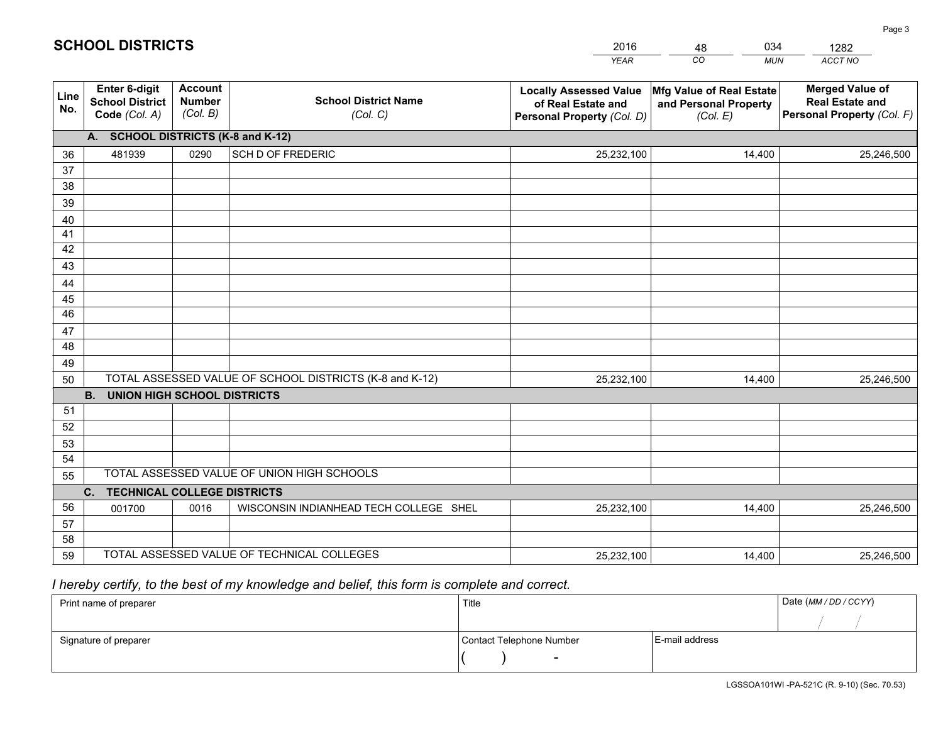|             |                                                                 |                                             |                                                         | <b>YEAR</b>                                                                       | CO<br><b>MUN</b>                                              | ACCT NO                                                                        |
|-------------|-----------------------------------------------------------------|---------------------------------------------|---------------------------------------------------------|-----------------------------------------------------------------------------------|---------------------------------------------------------------|--------------------------------------------------------------------------------|
| Line<br>No. | <b>Enter 6-digit</b><br><b>School District</b><br>Code (Col. A) | <b>Account</b><br><b>Number</b><br>(Col. B) | <b>School District Name</b><br>(Col. C)                 | <b>Locally Assessed Value</b><br>of Real Estate and<br>Personal Property (Col. D) | Mfg Value of Real Estate<br>and Personal Property<br>(Col. E) | <b>Merged Value of</b><br><b>Real Estate and</b><br>Personal Property (Col. F) |
|             | A. SCHOOL DISTRICTS (K-8 and K-12)                              |                                             |                                                         |                                                                                   |                                                               |                                                                                |
| 36          | 481939                                                          | 0290                                        | <b>SCH D OF FREDERIC</b>                                | 25,232,100                                                                        | 14,400                                                        | 25,246,500                                                                     |
| 37          |                                                                 |                                             |                                                         |                                                                                   |                                                               |                                                                                |
| 38          |                                                                 |                                             |                                                         |                                                                                   |                                                               |                                                                                |
| 39          |                                                                 |                                             |                                                         |                                                                                   |                                                               |                                                                                |
| 40          |                                                                 |                                             |                                                         |                                                                                   |                                                               |                                                                                |
| 41<br>42    |                                                                 |                                             |                                                         |                                                                                   |                                                               |                                                                                |
| 43          |                                                                 |                                             |                                                         |                                                                                   |                                                               |                                                                                |
|             |                                                                 |                                             |                                                         |                                                                                   |                                                               |                                                                                |
| 44<br>45    |                                                                 |                                             |                                                         |                                                                                   |                                                               |                                                                                |
| 46          |                                                                 |                                             |                                                         |                                                                                   |                                                               |                                                                                |
| 47          |                                                                 |                                             |                                                         |                                                                                   |                                                               |                                                                                |
| 48          |                                                                 |                                             |                                                         |                                                                                   |                                                               |                                                                                |
| 49          |                                                                 |                                             |                                                         |                                                                                   |                                                               |                                                                                |
| 50          |                                                                 |                                             | TOTAL ASSESSED VALUE OF SCHOOL DISTRICTS (K-8 and K-12) | 25,232,100                                                                        | 14,400                                                        | 25,246,500                                                                     |
|             | <b>B.</b><br>UNION HIGH SCHOOL DISTRICTS                        |                                             |                                                         |                                                                                   |                                                               |                                                                                |
| 51          |                                                                 |                                             |                                                         |                                                                                   |                                                               |                                                                                |
| 52          |                                                                 |                                             |                                                         |                                                                                   |                                                               |                                                                                |
| 53          |                                                                 |                                             |                                                         |                                                                                   |                                                               |                                                                                |
| 54          |                                                                 |                                             |                                                         |                                                                                   |                                                               |                                                                                |
| 55          |                                                                 |                                             | TOTAL ASSESSED VALUE OF UNION HIGH SCHOOLS              |                                                                                   |                                                               |                                                                                |
|             | C.<br><b>TECHNICAL COLLEGE DISTRICTS</b>                        |                                             |                                                         |                                                                                   |                                                               |                                                                                |
| 56          | 001700                                                          | 0016                                        | WISCONSIN INDIANHEAD TECH COLLEGE SHEL                  | 25,232,100                                                                        | 14,400                                                        | 25,246,500                                                                     |
| 57<br>58    |                                                                 |                                             |                                                         |                                                                                   |                                                               |                                                                                |
| 59          |                                                                 |                                             | TOTAL ASSESSED VALUE OF TECHNICAL COLLEGES              | 25,232,100                                                                        | 14,400                                                        | 25,246,500                                                                     |
|             |                                                                 |                                             |                                                         |                                                                                   |                                                               |                                                                                |

48

034

 *I hereby certify, to the best of my knowledge and belief, this form is complete and correct.*

**SCHOOL DISTRICTS**

| Print name of preparer | Title                    |                | Date (MM / DD / CCYY) |
|------------------------|--------------------------|----------------|-----------------------|
|                        |                          |                |                       |
| Signature of preparer  | Contact Telephone Number | E-mail address |                       |
|                        | $\sim$                   |                |                       |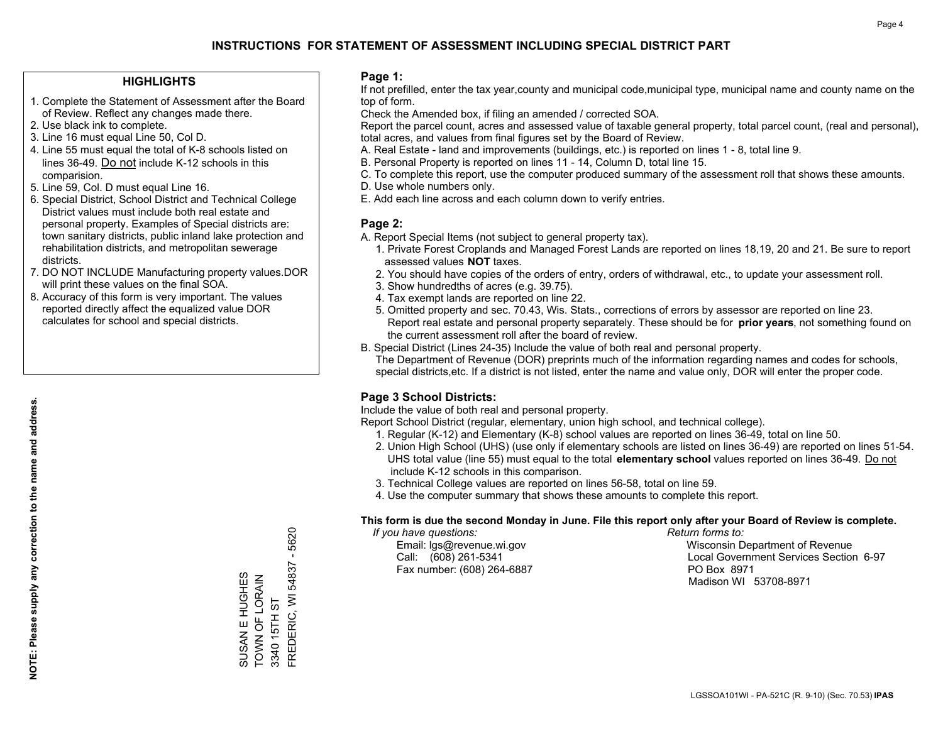#### **HIGHLIGHTS**

- 1. Complete the Statement of Assessment after the Board of Review. Reflect any changes made there.
- 2. Use black ink to complete.
- 3. Line 16 must equal Line 50, Col D.
- 4. Line 55 must equal the total of K-8 schools listed on lines 36-49. Do not include K-12 schools in this comparision.
- 5. Line 59, Col. D must equal Line 16.
- 6. Special District, School District and Technical College District values must include both real estate and personal property. Examples of Special districts are: town sanitary districts, public inland lake protection and rehabilitation districts, and metropolitan sewerage districts.
- 7. DO NOT INCLUDE Manufacturing property values.DOR will print these values on the final SOA.

SUSAN E HUGHES TOWN OF LORAIN 3340 15TH ST

SUSAN E HUGHES<br>TOWN OF LORAIN

FREDERIC, WI 54837 - 5620

FREDERIC, WI 54837

3340 15TH ST

5620  $\mathbf{I}$ 

 8. Accuracy of this form is very important. The values reported directly affect the equalized value DOR calculates for school and special districts.

#### **Page 1:**

 If not prefilled, enter the tax year,county and municipal code,municipal type, municipal name and county name on the top of form.

Check the Amended box, if filing an amended / corrected SOA.

 Report the parcel count, acres and assessed value of taxable general property, total parcel count, (real and personal), total acres, and values from final figures set by the Board of Review.

- A. Real Estate land and improvements (buildings, etc.) is reported on lines 1 8, total line 9.
- B. Personal Property is reported on lines 11 14, Column D, total line 15.
- C. To complete this report, use the computer produced summary of the assessment roll that shows these amounts.
- D. Use whole numbers only.
- E. Add each line across and each column down to verify entries.

### **Page 2:**

- A. Report Special Items (not subject to general property tax).
- 1. Private Forest Croplands and Managed Forest Lands are reported on lines 18,19, 20 and 21. Be sure to report assessed values **NOT** taxes.
- 2. You should have copies of the orders of entry, orders of withdrawal, etc., to update your assessment roll.
	- 3. Show hundredths of acres (e.g. 39.75).
- 4. Tax exempt lands are reported on line 22.
- 5. Omitted property and sec. 70.43, Wis. Stats., corrections of errors by assessor are reported on line 23. Report real estate and personal property separately. These should be for **prior years**, not something found on the current assessment roll after the board of review.
- B. Special District (Lines 24-35) Include the value of both real and personal property.
- The Department of Revenue (DOR) preprints much of the information regarding names and codes for schools, special districts,etc. If a district is not listed, enter the name and value only, DOR will enter the proper code.

## **Page 3 School Districts:**

Include the value of both real and personal property.

Report School District (regular, elementary, union high school, and technical college).

- 1. Regular (K-12) and Elementary (K-8) school values are reported on lines 36-49, total on line 50.
- 2. Union High School (UHS) (use only if elementary schools are listed on lines 36-49) are reported on lines 51-54. UHS total value (line 55) must equal to the total **elementary school** values reported on lines 36-49. Do notinclude K-12 schools in this comparison.
- 3. Technical College values are reported on lines 56-58, total on line 59.
- 4. Use the computer summary that shows these amounts to complete this report.

#### **This form is due the second Monday in June. File this report only after your Board of Review is complete.**

 *If you have questions: Return forms to:*

Fax number: (608) 264-6887 PO Box 8971

 Email: lgs@revenue.wi.gov Wisconsin Department of Revenue Call: (608) 261-5341 Local Government Services Section 6-97Madison WI 53708-8971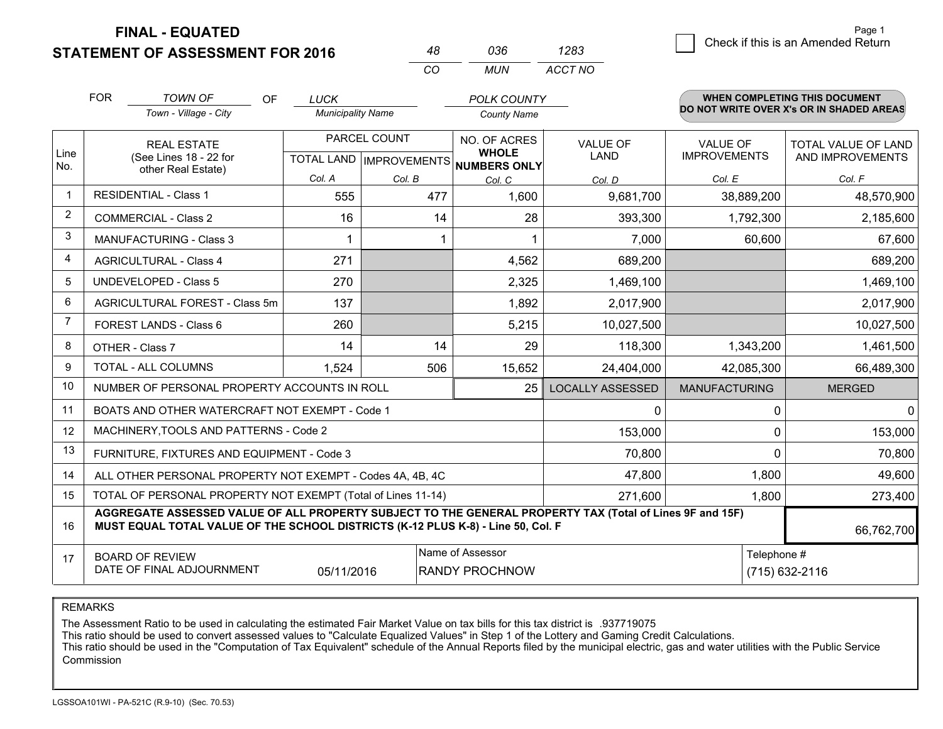**FINAL - EQUATED**

FOR

3 Check if this is an Amended Return<br>3 Page 1

**WHEN COMPLETING THIS DOCUMENT**

| <b>STATEMENT OF ASSESSMENT FOR 2016</b> | 036      |
|-----------------------------------------|----------|
|                                         | 11 I I I |

OF

| 48 | 036. | 1283    |  |  |
|----|------|---------|--|--|
| CO | MUN  | ACCT NO |  |  |

*POLK COUNTY*

|                | <b>FOR</b>                                                                                                                                                                                   | TOWN OF<br>OF.                               | <b>LUCK</b>                                         |                         | <b>POLK COUNTY</b>           |                         |                                        | WHEN COMPLETING THIS DOCUMENT                  |  |
|----------------|----------------------------------------------------------------------------------------------------------------------------------------------------------------------------------------------|----------------------------------------------|-----------------------------------------------------|-------------------------|------------------------------|-------------------------|----------------------------------------|------------------------------------------------|--|
|                |                                                                                                                                                                                              | Town - Village - City                        | <b>Municipality Name</b>                            |                         | <b>County Name</b>           |                         |                                        | DO NOT WRITE OVER X's OR IN SHADED AREAS       |  |
| Line           | <b>REAL ESTATE</b><br>(See Lines 18 - 22 for                                                                                                                                                 |                                              | PARCEL COUNT<br>TOTAL LAND MPROVEMENTS NUMBERS ONLY |                         | NO. OF ACRES<br><b>WHOLE</b> | <b>VALUE OF</b><br>LAND | <b>VALUE OF</b><br><b>IMPROVEMENTS</b> | <b>TOTAL VALUE OF LAND</b><br>AND IMPROVEMENTS |  |
| No.            |                                                                                                                                                                                              | other Real Estate)                           | Col. A                                              | Col. B                  | Col. C                       | Col. D                  | Col. E                                 | Col. F                                         |  |
| $\mathbf 1$    |                                                                                                                                                                                              | <b>RESIDENTIAL - Class 1</b>                 | 555                                                 | 477                     | 1,600                        | 9,681,700               | 38,889,200                             | 48,570,900                                     |  |
| $\overline{2}$ |                                                                                                                                                                                              | <b>COMMERCIAL - Class 2</b>                  | 16                                                  | 14                      | 28                           | 393,300                 | 1,792,300                              | 2,185,600                                      |  |
| 3              |                                                                                                                                                                                              | MANUFACTURING - Class 3                      |                                                     |                         |                              | 7,000                   | 60,600                                 | 67,600                                         |  |
| 4              |                                                                                                                                                                                              | <b>AGRICULTURAL - Class 4</b>                | 271                                                 |                         | 4,562                        | 689,200                 |                                        | 689,200                                        |  |
| 5              |                                                                                                                                                                                              | <b>UNDEVELOPED - Class 5</b>                 | 270                                                 |                         | 2,325                        | 1,469,100               |                                        | 1,469,100                                      |  |
| 6              |                                                                                                                                                                                              | AGRICULTURAL FOREST - Class 5m               | 137                                                 |                         | 1,892                        | 2,017,900               |                                        | 2,017,900                                      |  |
| $\overline{7}$ |                                                                                                                                                                                              | FOREST LANDS - Class 6                       | 260                                                 |                         | 5,215                        | 10,027,500              |                                        | 10,027,500                                     |  |
| 8              |                                                                                                                                                                                              | OTHER - Class 7                              | 14                                                  | 14                      | 29                           | 118,300                 | 1,343,200                              | 1,461,500                                      |  |
| 9              |                                                                                                                                                                                              | TOTAL - ALL COLUMNS                          | 1,524                                               | 506                     | 15,652                       | 24,404,000              | 42,085,300                             | 66,489,300                                     |  |
| 10             |                                                                                                                                                                                              | NUMBER OF PERSONAL PROPERTY ACCOUNTS IN ROLL |                                                     | <b>LOCALLY ASSESSED</b> | <b>MANUFACTURING</b>         | <b>MERGED</b>           |                                        |                                                |  |
| 11             | BOATS AND OTHER WATERCRAFT NOT EXEMPT - Code 1<br>0                                                                                                                                          |                                              |                                                     |                         |                              |                         |                                        | $\mathbf 0$<br>$\mathbf{0}$                    |  |
| 12             | MACHINERY, TOOLS AND PATTERNS - Code 2<br>153,000                                                                                                                                            |                                              |                                                     |                         |                              |                         |                                        | 153,000<br>0                                   |  |
| 13             | 70,800<br>FURNITURE, FIXTURES AND EQUIPMENT - Code 3                                                                                                                                         |                                              |                                                     |                         |                              |                         |                                        | 70,800<br>$\Omega$                             |  |
| 14             | ALL OTHER PERSONAL PROPERTY NOT EXEMPT - Codes 4A, 4B, 4C                                                                                                                                    | 1,800                                        | 49,600                                              |                         |                              |                         |                                        |                                                |  |
| 15             | TOTAL OF PERSONAL PROPERTY NOT EXEMPT (Total of Lines 11-14)                                                                                                                                 | 1,800                                        | 273,400                                             |                         |                              |                         |                                        |                                                |  |
| 16             | AGGREGATE ASSESSED VALUE OF ALL PROPERTY SUBJECT TO THE GENERAL PROPERTY TAX (Total of Lines 9F and 15F)<br>MUST EQUAL TOTAL VALUE OF THE SCHOOL DISTRICTS (K-12 PLUS K-8) - Line 50, Col. F |                                              |                                                     |                         |                              |                         |                                        | 66,762,700                                     |  |
| 17             | Name of Assessor<br>Telephone #<br><b>BOARD OF REVIEW</b><br>DATE OF FINAL ADJOURNMENT<br>05/11/2016<br><b>RANDY PROCHNOW</b>                                                                |                                              |                                                     |                         |                              | (715) 632-2116          |                                        |                                                |  |
|                |                                                                                                                                                                                              |                                              |                                                     |                         |                              |                         |                                        |                                                |  |

REMARKS

The Assessment Ratio to be used in calculating the estimated Fair Market Value on tax bills for this tax district is .937719075

This ratio should be used to convert assessed values to "Calculate Equalized Values" in Step 1 of the Lottery and Gaming Credit Calculations.

 This ratio should be used in the "Computation of Tax Equivalent" schedule of the Annual Reports filed by the municipal electric, gas and water utilities with the Public Service Commission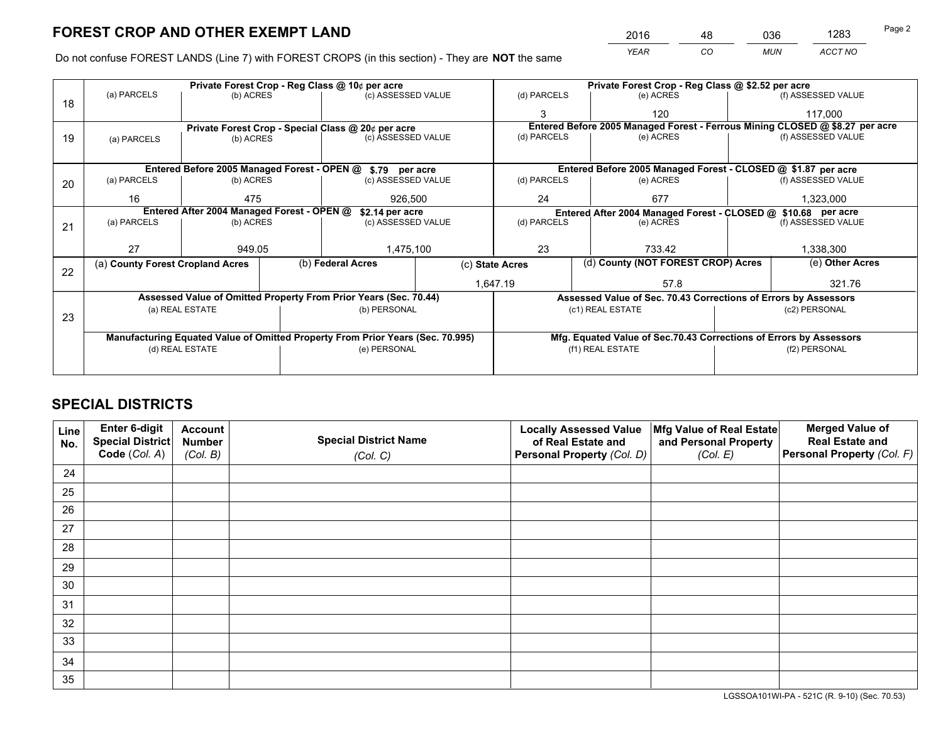*YEAR CO MUN ACCT NO* <sup>2016</sup> <sup>48</sup> <sup>036</sup> <sup>1283</sup>

Do not confuse FOREST LANDS (Line 7) with FOREST CROPS (in this section) - They are **NOT** the same

| Private Forest Crop - Reg Class @ 10¢ per acre |                                                                                                                   |                                 |                                                                  |                                                            | Private Forest Crop - Reg Class @ \$2.52 per acre                                      |                                                                              |                                                                 |                                                               |                    |                    |
|------------------------------------------------|-------------------------------------------------------------------------------------------------------------------|---------------------------------|------------------------------------------------------------------|------------------------------------------------------------|----------------------------------------------------------------------------------------|------------------------------------------------------------------------------|-----------------------------------------------------------------|---------------------------------------------------------------|--------------------|--------------------|
| 18                                             | (a) PARCELS<br>(b) ACRES                                                                                          |                                 |                                                                  | (c) ASSESSED VALUE                                         |                                                                                        | (d) PARCELS                                                                  |                                                                 | (e) ACRES                                                     |                    | (f) ASSESSED VALUE |
|                                                |                                                                                                                   |                                 |                                                                  |                                                            |                                                                                        |                                                                              |                                                                 | 120                                                           |                    | 117,000            |
|                                                |                                                                                                                   |                                 |                                                                  | Private Forest Crop - Special Class @ 20¢ per acre         |                                                                                        | Entered Before 2005 Managed Forest - Ferrous Mining CLOSED @ \$8.27 per acre |                                                                 |                                                               |                    |                    |
| 19                                             | (a) PARCELS                                                                                                       | (b) ACRES                       |                                                                  | (c) ASSESSED VALUE                                         |                                                                                        | (d) PARCELS                                                                  |                                                                 | (e) ACRES                                                     |                    | (f) ASSESSED VALUE |
|                                                |                                                                                                                   |                                 |                                                                  |                                                            |                                                                                        |                                                                              |                                                                 |                                                               |                    |                    |
|                                                |                                                                                                                   |                                 |                                                                  | Entered Before 2005 Managed Forest - OPEN @ \$.79 per acre |                                                                                        |                                                                              |                                                                 | Entered Before 2005 Managed Forest - CLOSED @ \$1.87 per acre |                    |                    |
| 20                                             | (a) PARCELS<br>(b) ACRES                                                                                          |                                 |                                                                  | (c) ASSESSED VALUE                                         |                                                                                        | (d) PARCELS                                                                  |                                                                 | (e) ACRES                                                     |                    | (f) ASSESSED VALUE |
|                                                | 16                                                                                                                | 475                             |                                                                  | 926,500                                                    |                                                                                        | 677<br>24                                                                    |                                                                 | 1,323,000                                                     |                    |                    |
|                                                | Entered After 2004 Managed Forest - OPEN @<br>\$2.14 per acre                                                     |                                 |                                                                  |                                                            |                                                                                        | Entered After 2004 Managed Forest - CLOSED @ \$10.68 per acre                |                                                                 |                                                               |                    |                    |
| 21                                             | (a) PARCELS                                                                                                       | (c) ASSESSED VALUE<br>(b) ACRES |                                                                  |                                                            | (d) PARCELS                                                                            |                                                                              | (e) ACRES                                                       |                                                               | (f) ASSESSED VALUE |                    |
|                                                |                                                                                                                   |                                 |                                                                  |                                                            |                                                                                        |                                                                              |                                                                 |                                                               |                    |                    |
|                                                | 27                                                                                                                | 949.05                          |                                                                  | 1,475,100                                                  |                                                                                        | 23<br>733.42                                                                 |                                                                 |                                                               | 1,338,300          |                    |
|                                                | (a) County Forest Cropland Acres                                                                                  |                                 |                                                                  | (b) Federal Acres                                          |                                                                                        | (c) State Acres                                                              |                                                                 | (d) County (NOT FOREST CROP) Acres                            |                    | (e) Other Acres    |
| 22                                             |                                                                                                                   |                                 |                                                                  |                                                            | 1,647.19                                                                               |                                                                              |                                                                 | 57.8                                                          |                    | 321.76             |
|                                                |                                                                                                                   |                                 | Assessed Value of Omitted Property From Prior Years (Sec. 70.44) |                                                            |                                                                                        |                                                                              | Assessed Value of Sec. 70.43 Corrections of Errors by Assessors |                                                               |                    |                    |
|                                                | (a) REAL ESTATE                                                                                                   |                                 |                                                                  | (b) PERSONAL                                               |                                                                                        | (c1) REAL ESTATE                                                             |                                                                 |                                                               | (c2) PERSONAL      |                    |
| 23                                             |                                                                                                                   |                                 |                                                                  |                                                            |                                                                                        |                                                                              |                                                                 |                                                               |                    |                    |
|                                                |                                                                                                                   |                                 |                                                                  |                                                            |                                                                                        |                                                                              |                                                                 |                                                               |                    |                    |
|                                                | Manufacturing Equated Value of Omitted Property From Prior Years (Sec. 70.995)<br>(e) PERSONAL<br>(d) REAL ESTATE |                                 |                                                                  |                                                            | Mfg. Equated Value of Sec.70.43 Corrections of Errors by Assessors<br>(f1) REAL ESTATE |                                                                              |                                                                 | (f2) PERSONAL                                                 |                    |                    |
|                                                |                                                                                                                   |                                 |                                                                  |                                                            |                                                                                        |                                                                              |                                                                 |                                                               |                    |                    |
|                                                |                                                                                                                   |                                 |                                                                  |                                                            |                                                                                        |                                                                              |                                                                 |                                                               |                    |                    |

## **SPECIAL DISTRICTS**

| Line<br>No. | Enter 6-digit<br>Special District<br>Code (Col. A) | <b>Account</b><br><b>Number</b> | <b>Special District Name</b> | <b>Locally Assessed Value</b><br>of Real Estate and | Mfg Value of Real Estate<br>and Personal Property | <b>Merged Value of</b><br><b>Real Estate and</b><br>Personal Property (Col. F) |
|-------------|----------------------------------------------------|---------------------------------|------------------------------|-----------------------------------------------------|---------------------------------------------------|--------------------------------------------------------------------------------|
|             |                                                    | (Col. B)                        | (Col. C)                     | Personal Property (Col. D)                          | (Col. E)                                          |                                                                                |
| 24          |                                                    |                                 |                              |                                                     |                                                   |                                                                                |
| 25          |                                                    |                                 |                              |                                                     |                                                   |                                                                                |
| 26          |                                                    |                                 |                              |                                                     |                                                   |                                                                                |
| 27          |                                                    |                                 |                              |                                                     |                                                   |                                                                                |
| 28          |                                                    |                                 |                              |                                                     |                                                   |                                                                                |
| 29          |                                                    |                                 |                              |                                                     |                                                   |                                                                                |
| 30          |                                                    |                                 |                              |                                                     |                                                   |                                                                                |
| 31          |                                                    |                                 |                              |                                                     |                                                   |                                                                                |
| 32          |                                                    |                                 |                              |                                                     |                                                   |                                                                                |
| 33          |                                                    |                                 |                              |                                                     |                                                   |                                                                                |
| 34          |                                                    |                                 |                              |                                                     |                                                   |                                                                                |
| 35          |                                                    |                                 |                              |                                                     |                                                   |                                                                                |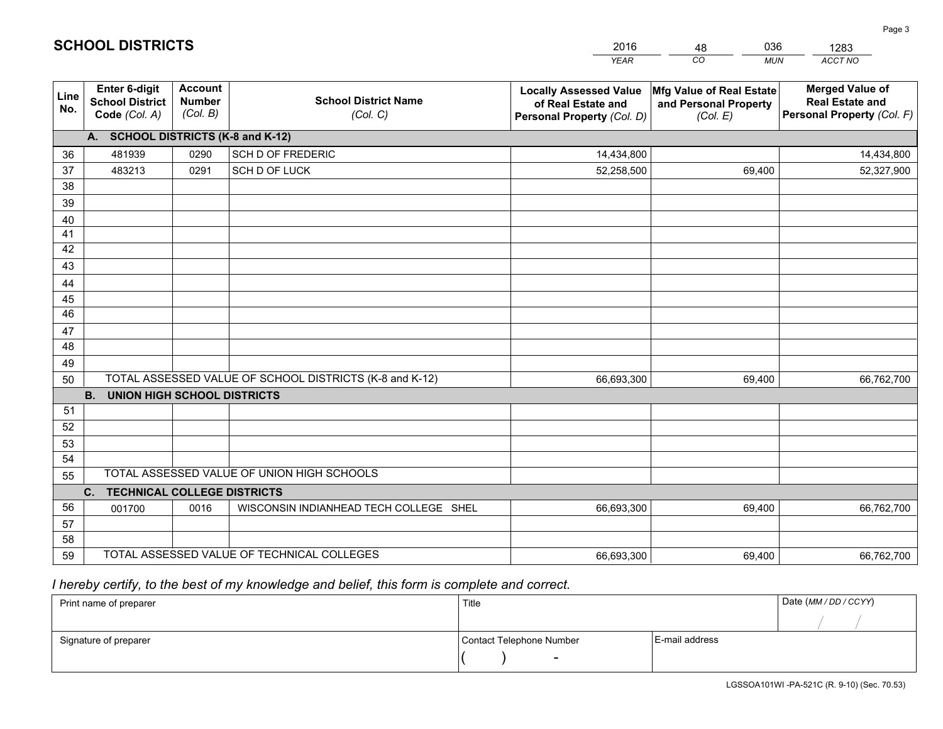|                       |                                                                 |                                             |                                                         | <b>YEAR</b>                                                                       | CO<br><b>MUN</b>                                              | ACCT NO                                                                        |
|-----------------------|-----------------------------------------------------------------|---------------------------------------------|---------------------------------------------------------|-----------------------------------------------------------------------------------|---------------------------------------------------------------|--------------------------------------------------------------------------------|
| Line<br>No.           | <b>Enter 6-digit</b><br><b>School District</b><br>Code (Col. A) | <b>Account</b><br><b>Number</b><br>(Col. B) | <b>School District Name</b><br>(Col. C)                 | <b>Locally Assessed Value</b><br>of Real Estate and<br>Personal Property (Col. D) | Mfg Value of Real Estate<br>and Personal Property<br>(Col. E) | <b>Merged Value of</b><br><b>Real Estate and</b><br>Personal Property (Col. F) |
|                       | A. SCHOOL DISTRICTS (K-8 and K-12)                              |                                             |                                                         |                                                                                   |                                                               |                                                                                |
| 36                    | 481939                                                          | 0290                                        | SCH D OF FREDERIC                                       | 14,434,800                                                                        |                                                               | 14,434,800                                                                     |
| 37                    | 483213                                                          | 0291                                        | SCH D OF LUCK                                           | 52,258,500                                                                        | 69,400                                                        | 52,327,900                                                                     |
| 38                    |                                                                 |                                             |                                                         |                                                                                   |                                                               |                                                                                |
| 39                    |                                                                 |                                             |                                                         |                                                                                   |                                                               |                                                                                |
| 40                    |                                                                 |                                             |                                                         |                                                                                   |                                                               |                                                                                |
| 41                    |                                                                 |                                             |                                                         |                                                                                   |                                                               |                                                                                |
| 42                    |                                                                 |                                             |                                                         |                                                                                   |                                                               |                                                                                |
| 43                    |                                                                 |                                             |                                                         |                                                                                   |                                                               |                                                                                |
| 44                    |                                                                 |                                             |                                                         |                                                                                   |                                                               |                                                                                |
| 45<br>$\overline{46}$ |                                                                 |                                             |                                                         |                                                                                   |                                                               |                                                                                |
| 47                    |                                                                 |                                             |                                                         |                                                                                   |                                                               |                                                                                |
| 48                    |                                                                 |                                             |                                                         |                                                                                   |                                                               |                                                                                |
| 49                    |                                                                 |                                             |                                                         |                                                                                   |                                                               |                                                                                |
| 50                    |                                                                 |                                             | TOTAL ASSESSED VALUE OF SCHOOL DISTRICTS (K-8 and K-12) | 66,693,300                                                                        | 69,400                                                        | 66,762,700                                                                     |
|                       | <b>B.</b><br><b>UNION HIGH SCHOOL DISTRICTS</b>                 |                                             |                                                         |                                                                                   |                                                               |                                                                                |
| 51                    |                                                                 |                                             |                                                         |                                                                                   |                                                               |                                                                                |
| 52                    |                                                                 |                                             |                                                         |                                                                                   |                                                               |                                                                                |
| 53                    |                                                                 |                                             |                                                         |                                                                                   |                                                               |                                                                                |
| 54                    |                                                                 |                                             |                                                         |                                                                                   |                                                               |                                                                                |
| 55                    |                                                                 |                                             | TOTAL ASSESSED VALUE OF UNION HIGH SCHOOLS              |                                                                                   |                                                               |                                                                                |
|                       | C.<br><b>TECHNICAL COLLEGE DISTRICTS</b>                        |                                             |                                                         |                                                                                   |                                                               |                                                                                |
| 56                    | 001700                                                          | 0016                                        | WISCONSIN INDIANHEAD TECH COLLEGE SHEL                  | 66,693,300                                                                        | 69,400                                                        | 66,762,700                                                                     |
| 57                    |                                                                 |                                             |                                                         |                                                                                   |                                                               |                                                                                |
| 58                    |                                                                 |                                             |                                                         |                                                                                   |                                                               |                                                                                |
| 59                    |                                                                 |                                             | TOTAL ASSESSED VALUE OF TECHNICAL COLLEGES              | 66,693,300                                                                        | 69,400                                                        | 66,762,700                                                                     |

48

036

 *I hereby certify, to the best of my knowledge and belief, this form is complete and correct.*

**SCHOOL DISTRICTS**

| Print name of preparer | Title                    | Date (MM / DD / CCYY) |  |
|------------------------|--------------------------|-----------------------|--|
|                        |                          |                       |  |
| Signature of preparer  | Contact Telephone Number | E-mail address        |  |
|                        | $\overline{\phantom{0}}$ |                       |  |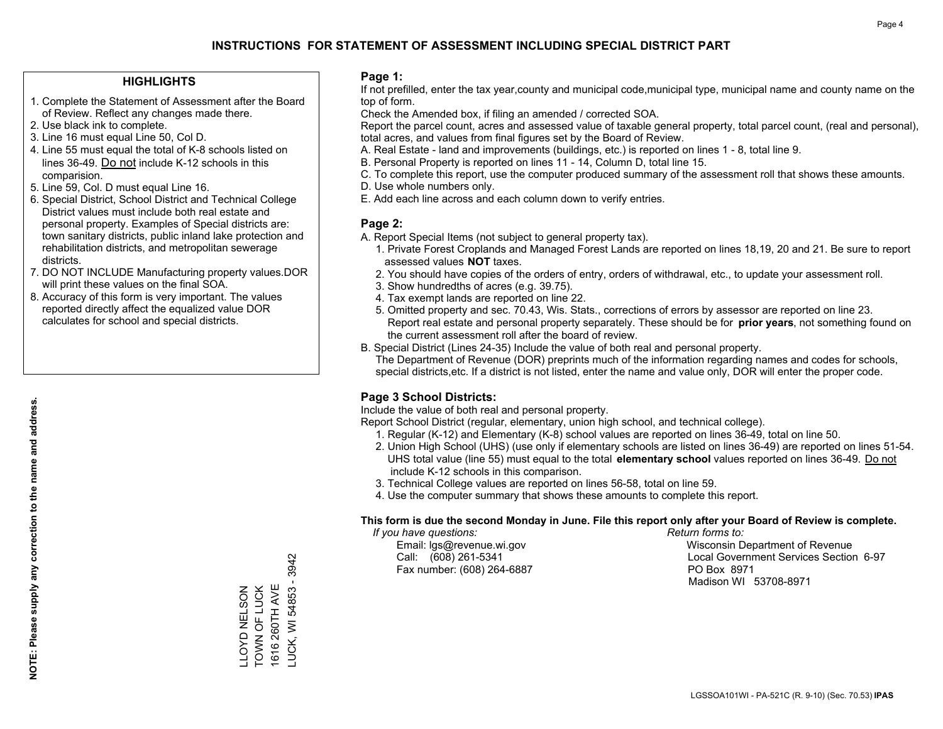#### **HIGHLIGHTS**

- 1. Complete the Statement of Assessment after the Board of Review. Reflect any changes made there.
- 2. Use black ink to complete.
- 3. Line 16 must equal Line 50, Col D.
- 4. Line 55 must equal the total of K-8 schools listed on lines 36-49. Do not include K-12 schools in this comparision.
- 5. Line 59, Col. D must equal Line 16.
- 6. Special District, School District and Technical College District values must include both real estate and personal property. Examples of Special districts are: town sanitary districts, public inland lake protection and rehabilitation districts, and metropolitan sewerage districts.
- 7. DO NOT INCLUDE Manufacturing property values.DOR will print these values on the final SOA.

LLOYD NELSON TOWN OF LUCK 1616 260TH AVE LUCK, WI 54853 - 3942

LLOYD NELSON<br>TOWN OF LUCK 1616 260TH AVE 3942

LUCK, WI 54853 -

 8. Accuracy of this form is very important. The values reported directly affect the equalized value DOR calculates for school and special districts.

#### **Page 1:**

 If not prefilled, enter the tax year,county and municipal code,municipal type, municipal name and county name on the top of form.

Check the Amended box, if filing an amended / corrected SOA.

 Report the parcel count, acres and assessed value of taxable general property, total parcel count, (real and personal), total acres, and values from final figures set by the Board of Review.

- A. Real Estate land and improvements (buildings, etc.) is reported on lines 1 8, total line 9.
- B. Personal Property is reported on lines 11 14, Column D, total line 15.
- C. To complete this report, use the computer produced summary of the assessment roll that shows these amounts.
- D. Use whole numbers only.
- E. Add each line across and each column down to verify entries.

#### **Page 2:**

- A. Report Special Items (not subject to general property tax).
- 1. Private Forest Croplands and Managed Forest Lands are reported on lines 18,19, 20 and 21. Be sure to report assessed values **NOT** taxes.
- 2. You should have copies of the orders of entry, orders of withdrawal, etc., to update your assessment roll.
	- 3. Show hundredths of acres (e.g. 39.75).
- 4. Tax exempt lands are reported on line 22.
- 5. Omitted property and sec. 70.43, Wis. Stats., corrections of errors by assessor are reported on line 23. Report real estate and personal property separately. These should be for **prior years**, not something found on the current assessment roll after the board of review.
- B. Special District (Lines 24-35) Include the value of both real and personal property.
- The Department of Revenue (DOR) preprints much of the information regarding names and codes for schools, special districts,etc. If a district is not listed, enter the name and value only, DOR will enter the proper code.

## **Page 3 School Districts:**

Include the value of both real and personal property.

Report School District (regular, elementary, union high school, and technical college).

- 1. Regular (K-12) and Elementary (K-8) school values are reported on lines 36-49, total on line 50.
- 2. Union High School (UHS) (use only if elementary schools are listed on lines 36-49) are reported on lines 51-54. UHS total value (line 55) must equal to the total **elementary school** values reported on lines 36-49. Do notinclude K-12 schools in this comparison.
- 3. Technical College values are reported on lines 56-58, total on line 59.
- 4. Use the computer summary that shows these amounts to complete this report.

#### **This form is due the second Monday in June. File this report only after your Board of Review is complete.**

 *If you have questions: Return forms to:*

Fax number: (608) 264-6887 PO Box 8971

 Email: lgs@revenue.wi.gov Wisconsin Department of Revenue Call: (608) 261-5341 Local Government Services Section 6-97Madison WI 53708-8971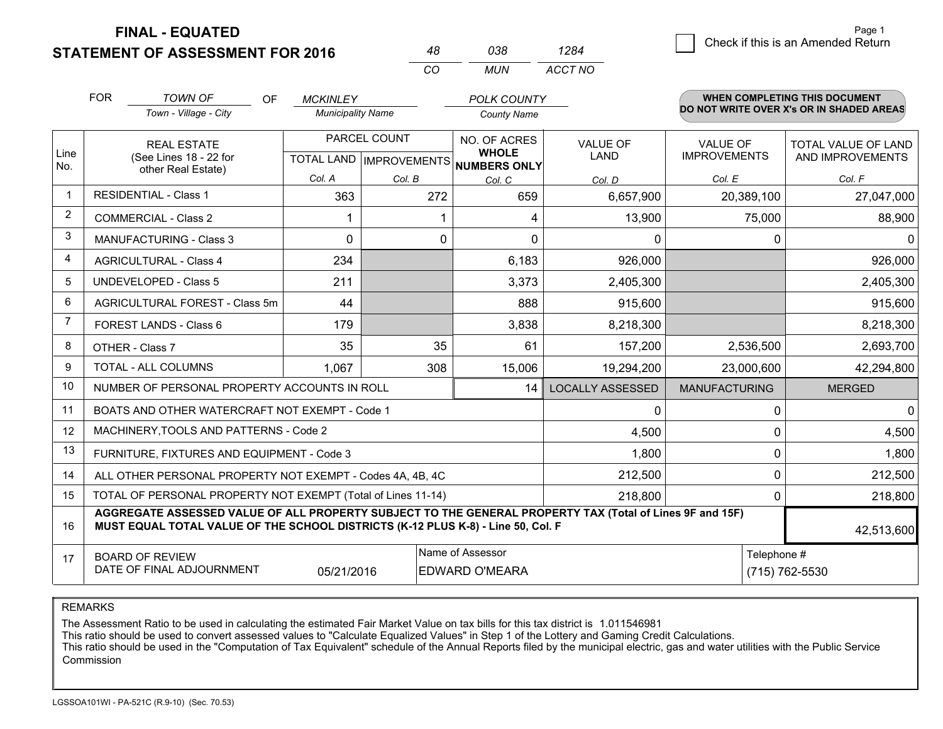**FINAL - EQUATED**

**STATEMENT OF ASSESSMENT FOR 2016** 

|                | <b>FOR</b>                                                                                                                                                                                   | <b>TOWN OF</b><br><b>OF</b>                                  | <b>MCKINLEY</b>           |              | <b>POLK COUNTY</b>                  |                         |                      | <b>WHEN COMPLETING THIS DOCUMENT</b><br>DO NOT WRITE OVER X's OR IN SHADED AREAS |  |  |
|----------------|----------------------------------------------------------------------------------------------------------------------------------------------------------------------------------------------|--------------------------------------------------------------|---------------------------|--------------|-------------------------------------|-------------------------|----------------------|----------------------------------------------------------------------------------|--|--|
|                |                                                                                                                                                                                              | Town - Village - City                                        | <b>Municipality Name</b>  |              | <b>County Name</b>                  |                         |                      |                                                                                  |  |  |
|                |                                                                                                                                                                                              | <b>REAL ESTATE</b>                                           |                           | PARCEL COUNT | NO. OF ACRES                        | <b>VALUE OF</b>         | <b>VALUE OF</b>      | TOTAL VALUE OF LAND                                                              |  |  |
| Line<br>No.    |                                                                                                                                                                                              | (See Lines 18 - 22 for<br>other Real Estate)                 | TOTAL LAND   IMPROVEMENTS |              | <b>WHOLE</b><br><b>NUMBERS ONLY</b> | <b>LAND</b>             | <b>IMPROVEMENTS</b>  | AND IMPROVEMENTS                                                                 |  |  |
|                |                                                                                                                                                                                              |                                                              | Col. A                    | Col. B       | Col. C                              | Col. D                  | Col. E               | Col. F                                                                           |  |  |
| 1              |                                                                                                                                                                                              | <b>RESIDENTIAL - Class 1</b>                                 | 363                       | 272          | 659                                 | 6,657,900               | 20,389,100           | 27,047,000                                                                       |  |  |
| 2              |                                                                                                                                                                                              | <b>COMMERCIAL - Class 2</b>                                  |                           |              | 1<br>4                              | 13,900                  | 75,000               | 88,900                                                                           |  |  |
| 3              |                                                                                                                                                                                              | <b>MANUFACTURING - Class 3</b>                               | 0                         |              | 0<br>0                              | 0                       | 0                    | $\Omega$                                                                         |  |  |
| 4              |                                                                                                                                                                                              | <b>AGRICULTURAL - Class 4</b>                                | 234                       |              | 6,183                               | 926,000                 |                      | 926,000                                                                          |  |  |
| 5              |                                                                                                                                                                                              | <b>UNDEVELOPED - Class 5</b>                                 | 211                       |              | 3,373                               | 2,405,300               |                      | 2,405,300                                                                        |  |  |
| 6              |                                                                                                                                                                                              | AGRICULTURAL FOREST - Class 5m                               | 44                        |              | 888                                 | 915,600                 |                      | 915,600                                                                          |  |  |
| $\overline{7}$ |                                                                                                                                                                                              | FOREST LANDS - Class 6                                       | 179                       |              | 3,838                               | 8,218,300               |                      | 8,218,300                                                                        |  |  |
| 8              |                                                                                                                                                                                              | OTHER - Class 7                                              | 35                        |              | 35<br>61                            | 157,200                 | 2,536,500            | 2,693,700                                                                        |  |  |
| 9              |                                                                                                                                                                                              | TOTAL - ALL COLUMNS                                          | 1,067                     | 308          | 15,006                              | 19,294,200              | 23,000,600           | 42,294,800                                                                       |  |  |
| 10             |                                                                                                                                                                                              | NUMBER OF PERSONAL PROPERTY ACCOUNTS IN ROLL                 |                           |              | 14                                  | <b>LOCALLY ASSESSED</b> | <b>MANUFACTURING</b> | <b>MERGED</b>                                                                    |  |  |
| 11             |                                                                                                                                                                                              | BOATS AND OTHER WATERCRAFT NOT EXEMPT - Code 1               |                           |              |                                     | 0                       | 0                    | $\Omega$                                                                         |  |  |
| 12             |                                                                                                                                                                                              | MACHINERY, TOOLS AND PATTERNS - Code 2                       |                           |              |                                     | 4,500                   | 0                    | 4,500                                                                            |  |  |
| 13             |                                                                                                                                                                                              | FURNITURE, FIXTURES AND EQUIPMENT - Code 3                   |                           |              |                                     | 1,800                   | 0                    | 1,800                                                                            |  |  |
| 14             |                                                                                                                                                                                              | ALL OTHER PERSONAL PROPERTY NOT EXEMPT - Codes 4A, 4B, 4C    |                           |              |                                     | 212,500                 | 0                    | 212,500                                                                          |  |  |
| 15             |                                                                                                                                                                                              | TOTAL OF PERSONAL PROPERTY NOT EXEMPT (Total of Lines 11-14) |                           |              |                                     | 218,800                 | 0                    | 218,800                                                                          |  |  |
| 16             | AGGREGATE ASSESSED VALUE OF ALL PROPERTY SUBJECT TO THE GENERAL PROPERTY TAX (Total of Lines 9F and 15F)<br>MUST EQUAL TOTAL VALUE OF THE SCHOOL DISTRICTS (K-12 PLUS K-8) - Line 50, Col. F |                                                              |                           |              |                                     |                         |                      | 42,513,600                                                                       |  |  |
| 17             | <b>BOARD OF REVIEW</b>                                                                                                                                                                       |                                                              |                           |              | Name of Assessor                    |                         | Telephone #          |                                                                                  |  |  |
|                | DATE OF FINAL ADJOURNMENT<br>05/21/2016<br><b>EDWARD O'MEARA</b>                                                                                                                             |                                                              |                           |              |                                     | (715) 762-5530          |                      |                                                                                  |  |  |

*CO*

*MUN*

*ACCT NO1284*

*<sup>48</sup> <sup>038</sup>*

REMARKS

The Assessment Ratio to be used in calculating the estimated Fair Market Value on tax bills for this tax district is 1.011546981<br>This ratio should be used to convert assessed values to "Calculate Equalized Values" in Step Commission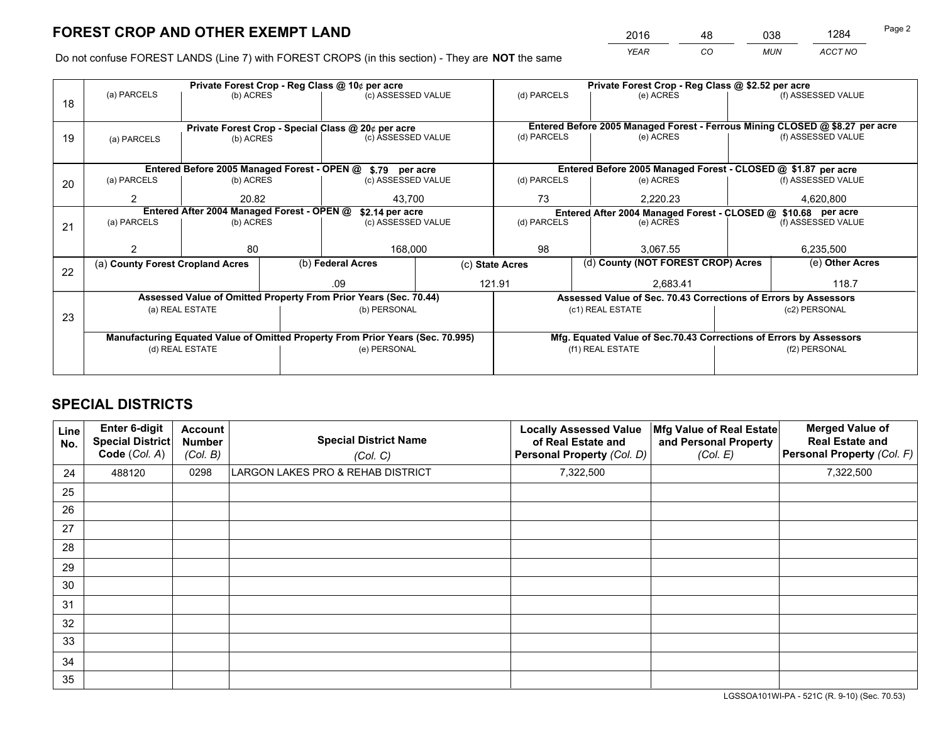*YEAR CO MUN ACCT NO* <sup>2016</sup> <sup>48</sup> <sup>038</sup> <sup>1284</sup>

Do not confuse FOREST LANDS (Line 7) with FOREST CROPS (in this section) - They are **NOT** the same

|    |                                                               |                 |             | Private Forest Crop - Reg Class @ 10¢ per acre                                 |                                   | Private Forest Crop - Reg Class @ \$2.52 per acre |                                    |                                                                    |               |                                                                              |
|----|---------------------------------------------------------------|-----------------|-------------|--------------------------------------------------------------------------------|-----------------------------------|---------------------------------------------------|------------------------------------|--------------------------------------------------------------------|---------------|------------------------------------------------------------------------------|
| 18 | (a) PARCELS                                                   | (b) ACRES       |             | (c) ASSESSED VALUE                                                             |                                   | (d) PARCELS                                       |                                    | (e) ACRES                                                          |               | (f) ASSESSED VALUE                                                           |
|    |                                                               |                 |             |                                                                                |                                   |                                                   |                                    |                                                                    |               |                                                                              |
|    | Private Forest Crop - Special Class @ 20¢ per acre            |                 |             |                                                                                |                                   |                                                   |                                    |                                                                    |               | Entered Before 2005 Managed Forest - Ferrous Mining CLOSED @ \$8.27 per acre |
| 19 | (c) ASSESSED VALUE<br>(b) ACRES<br>(a) PARCELS                |                 | (d) PARCELS |                                                                                | (e) ACRES                         |                                                   | (f) ASSESSED VALUE                 |                                                                    |               |                                                                              |
|    |                                                               |                 |             |                                                                                |                                   |                                                   |                                    |                                                                    |               |                                                                              |
|    |                                                               |                 |             | Entered Before 2005 Managed Forest - OPEN @ \$.79 per acre                     |                                   |                                                   |                                    | Entered Before 2005 Managed Forest - CLOSED @ \$1.87 per acre      |               |                                                                              |
| 20 | (a) PARCELS                                                   | (b) ACRES       |             | (c) ASSESSED VALUE                                                             |                                   | (d) PARCELS                                       |                                    | (e) ACRES                                                          |               | (f) ASSESSED VALUE                                                           |
|    | 2                                                             | 20.82           |             | 43.700                                                                         |                                   | 73<br>2.220.23                                    |                                    | 4,620,800                                                          |               |                                                                              |
|    | Entered After 2004 Managed Forest - OPEN @<br>\$2.14 per acre |                 |             |                                                                                |                                   |                                                   |                                    | Entered After 2004 Managed Forest - CLOSED @ \$10.68 per acre      |               |                                                                              |
| 21 | (a) PARCELS                                                   | (b) ACRES       |             |                                                                                | (d) PARCELS<br>(c) ASSESSED VALUE |                                                   |                                    | (e) ACRES                                                          |               | (f) ASSESSED VALUE                                                           |
|    |                                                               |                 |             |                                                                                |                                   |                                                   |                                    |                                                                    |               |                                                                              |
|    |                                                               | 80              |             | 168,000                                                                        |                                   | 98                                                |                                    | 3.067.55                                                           |               | 6,235,500                                                                    |
|    | (a) County Forest Cropland Acres                              |                 |             | (b) Federal Acres                                                              |                                   | (c) State Acres                                   | (d) County (NOT FOREST CROP) Acres |                                                                    |               | (e) Other Acres                                                              |
| 22 |                                                               |                 |             |                                                                                |                                   |                                                   |                                    |                                                                    |               |                                                                              |
|    |                                                               |                 |             | .09                                                                            |                                   | 121.91                                            |                                    | 2,683.41                                                           |               | 118.7                                                                        |
|    |                                                               |                 |             | Assessed Value of Omitted Property From Prior Years (Sec. 70.44)               |                                   |                                                   |                                    | Assessed Value of Sec. 70.43 Corrections of Errors by Assessors    |               |                                                                              |
| 23 |                                                               | (a) REAL ESTATE |             | (b) PERSONAL                                                                   |                                   |                                                   |                                    | (c1) REAL ESTATE                                                   |               | (c2) PERSONAL                                                                |
|    |                                                               |                 |             |                                                                                |                                   |                                                   |                                    |                                                                    |               |                                                                              |
|    |                                                               |                 |             | Manufacturing Equated Value of Omitted Property From Prior Years (Sec. 70.995) |                                   |                                                   |                                    | Mfg. Equated Value of Sec.70.43 Corrections of Errors by Assessors |               |                                                                              |
|    | (d) REAL ESTATE                                               |                 |             | (e) PERSONAL                                                                   |                                   | (f1) REAL ESTATE                                  |                                    |                                                                    | (f2) PERSONAL |                                                                              |
|    |                                                               |                 |             |                                                                                |                                   |                                                   |                                    |                                                                    |               |                                                                              |
|    |                                                               |                 |             |                                                                                |                                   |                                                   |                                    |                                                                    |               |                                                                              |

# **SPECIAL DISTRICTS**

| Line<br>No. | Enter 6-digit<br><b>Special District</b><br>Code (Col. A) | <b>Account</b><br><b>Number</b><br>(Col. B) | <b>Special District Name</b><br>(Col. C) | <b>Locally Assessed Value</b><br>of Real Estate and<br>Personal Property (Col. D) | Mfg Value of Real Estate<br>and Personal Property<br>(Col. E) | <b>Merged Value of</b><br><b>Real Estate and</b><br>Personal Property (Col. F) |
|-------------|-----------------------------------------------------------|---------------------------------------------|------------------------------------------|-----------------------------------------------------------------------------------|---------------------------------------------------------------|--------------------------------------------------------------------------------|
| 24          | 488120                                                    | 0298                                        | LARGON LAKES PRO & REHAB DISTRICT        | 7,322,500                                                                         |                                                               | 7,322,500                                                                      |
| 25          |                                                           |                                             |                                          |                                                                                   |                                                               |                                                                                |
| 26          |                                                           |                                             |                                          |                                                                                   |                                                               |                                                                                |
| 27          |                                                           |                                             |                                          |                                                                                   |                                                               |                                                                                |
| 28          |                                                           |                                             |                                          |                                                                                   |                                                               |                                                                                |
| 29          |                                                           |                                             |                                          |                                                                                   |                                                               |                                                                                |
| 30          |                                                           |                                             |                                          |                                                                                   |                                                               |                                                                                |
| 31          |                                                           |                                             |                                          |                                                                                   |                                                               |                                                                                |
| 32          |                                                           |                                             |                                          |                                                                                   |                                                               |                                                                                |
| 33          |                                                           |                                             |                                          |                                                                                   |                                                               |                                                                                |
| 34          |                                                           |                                             |                                          |                                                                                   |                                                               |                                                                                |
| 35          |                                                           |                                             |                                          |                                                                                   |                                                               |                                                                                |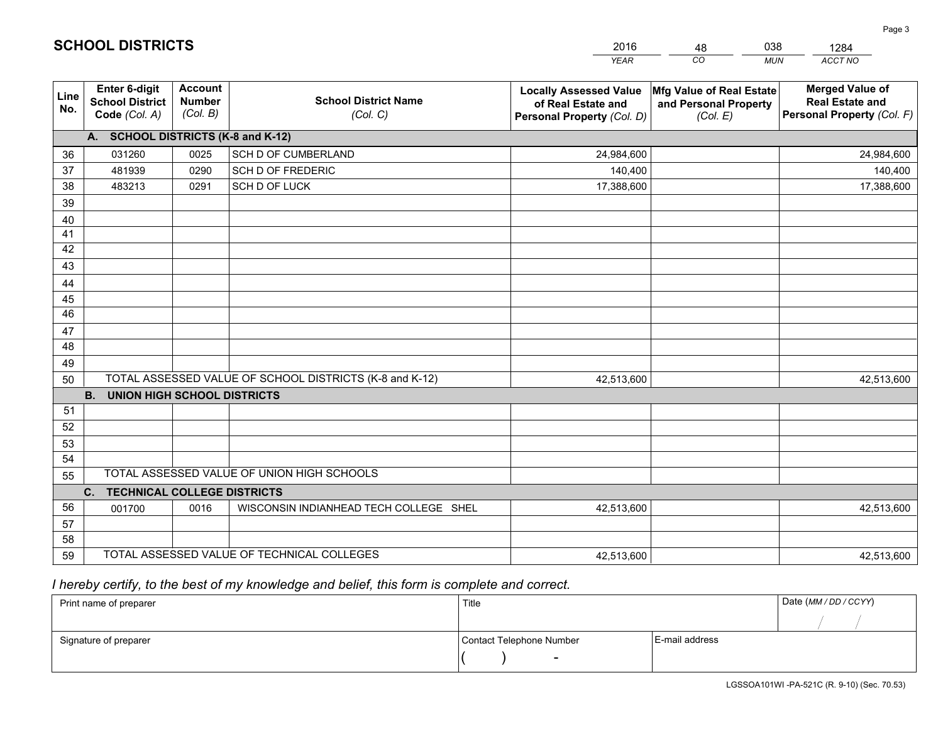|             |                                                          |                                             |                                                         | <b>YEAR</b>                                                                       | CO<br><b>MUN</b>                                              | ACCT NO                                                                        |
|-------------|----------------------------------------------------------|---------------------------------------------|---------------------------------------------------------|-----------------------------------------------------------------------------------|---------------------------------------------------------------|--------------------------------------------------------------------------------|
| Line<br>No. | Enter 6-digit<br><b>School District</b><br>Code (Col. A) | <b>Account</b><br><b>Number</b><br>(Col. B) | <b>School District Name</b><br>(Col. C)                 | <b>Locally Assessed Value</b><br>of Real Estate and<br>Personal Property (Col. D) | Mfg Value of Real Estate<br>and Personal Property<br>(Col. E) | <b>Merged Value of</b><br><b>Real Estate and</b><br>Personal Property (Col. F) |
|             | A. SCHOOL DISTRICTS (K-8 and K-12)                       |                                             |                                                         |                                                                                   |                                                               |                                                                                |
| 36          | 031260                                                   | 0025                                        | <b>SCH D OF CUMBERLAND</b>                              | 24,984,600                                                                        |                                                               | 24,984,600                                                                     |
| 37          | 481939                                                   | 0290                                        | SCH D OF FREDERIC                                       | 140,400                                                                           |                                                               | 140,400                                                                        |
| 38          | 483213                                                   | 0291                                        | SCH D OF LUCK                                           | 17,388,600                                                                        |                                                               | 17,388,600                                                                     |
| 39          |                                                          |                                             |                                                         |                                                                                   |                                                               |                                                                                |
| 40          |                                                          |                                             |                                                         |                                                                                   |                                                               |                                                                                |
| 41          |                                                          |                                             |                                                         |                                                                                   |                                                               |                                                                                |
| 42          |                                                          |                                             |                                                         |                                                                                   |                                                               |                                                                                |
| 43          |                                                          |                                             |                                                         |                                                                                   |                                                               |                                                                                |
| 44          |                                                          |                                             |                                                         |                                                                                   |                                                               |                                                                                |
| 45          |                                                          |                                             |                                                         |                                                                                   |                                                               |                                                                                |
| 46          |                                                          |                                             |                                                         |                                                                                   |                                                               |                                                                                |
| 47          |                                                          |                                             |                                                         |                                                                                   |                                                               |                                                                                |
| 48          |                                                          |                                             |                                                         |                                                                                   |                                                               |                                                                                |
| 49          |                                                          |                                             |                                                         |                                                                                   |                                                               |                                                                                |
| 50          |                                                          |                                             | TOTAL ASSESSED VALUE OF SCHOOL DISTRICTS (K-8 and K-12) | 42,513,600                                                                        |                                                               | 42,513,600                                                                     |
|             | <b>B. UNION HIGH SCHOOL DISTRICTS</b>                    |                                             |                                                         |                                                                                   |                                                               |                                                                                |
| 51          |                                                          |                                             |                                                         |                                                                                   |                                                               |                                                                                |
| 52          |                                                          |                                             |                                                         |                                                                                   |                                                               |                                                                                |
| 53          |                                                          |                                             |                                                         |                                                                                   |                                                               |                                                                                |
| 54          |                                                          |                                             | TOTAL ASSESSED VALUE OF UNION HIGH SCHOOLS              |                                                                                   |                                                               |                                                                                |
| 55          |                                                          |                                             |                                                         |                                                                                   |                                                               |                                                                                |
|             | <b>TECHNICAL COLLEGE DISTRICTS</b><br>$C_{1}$            |                                             |                                                         |                                                                                   |                                                               |                                                                                |
| 56          | 001700                                                   | 0016                                        | WISCONSIN INDIANHEAD TECH COLLEGE SHEL                  | 42,513,600                                                                        |                                                               | 42,513,600                                                                     |
| 57<br>58    |                                                          |                                             |                                                         |                                                                                   |                                                               |                                                                                |
| 59          |                                                          |                                             | TOTAL ASSESSED VALUE OF TECHNICAL COLLEGES              | 42,513,600                                                                        |                                                               | 42,513,600                                                                     |
|             |                                                          |                                             |                                                         |                                                                                   |                                                               |                                                                                |

48

038

 *I hereby certify, to the best of my knowledge and belief, this form is complete and correct.*

**SCHOOL DISTRICTS**

| Print name of preparer | Title                    |                | Date (MM / DD / CCYY) |
|------------------------|--------------------------|----------------|-----------------------|
|                        |                          |                |                       |
| Signature of preparer  | Contact Telephone Number | E-mail address |                       |
|                        | -                        |                |                       |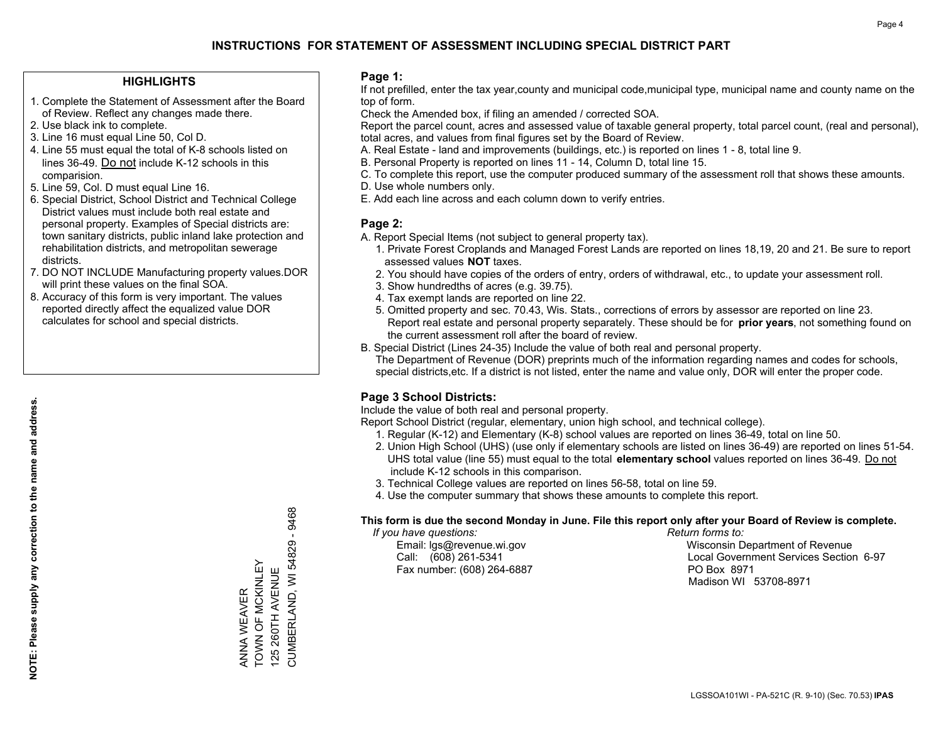### **HIGHLIGHTS**

- 1. Complete the Statement of Assessment after the Board of Review. Reflect any changes made there.
- 2. Use black ink to complete.
- 3. Line 16 must equal Line 50, Col D.
- 4. Line 55 must equal the total of K-8 schools listed on lines 36-49. Do not include K-12 schools in this comparision.
- 5. Line 59, Col. D must equal Line 16.
- 6. Special District, School District and Technical College District values must include both real estate and personal property. Examples of Special districts are: town sanitary districts, public inland lake protection and rehabilitation districts, and metropolitan sewerage districts.
- 7. DO NOT INCLUDE Manufacturing property values.DOR will print these values on the final SOA.

ANNA WEAVER TOWN OF MCKINLEY 125 260TH AVENUE

ANNA WEAVER<br>TOWN OF MCKINLEY 125 260TH AVENUE CUMBERLAND, WI 54829 - 9468

CUMBERLAND, WI 54829 - 9468

 8. Accuracy of this form is very important. The values reported directly affect the equalized value DOR calculates for school and special districts.

### **Page 1:**

 If not prefilled, enter the tax year,county and municipal code,municipal type, municipal name and county name on the top of form.

Check the Amended box, if filing an amended / corrected SOA.

 Report the parcel count, acres and assessed value of taxable general property, total parcel count, (real and personal), total acres, and values from final figures set by the Board of Review.

- A. Real Estate land and improvements (buildings, etc.) is reported on lines 1 8, total line 9.
- B. Personal Property is reported on lines 11 14, Column D, total line 15.
- C. To complete this report, use the computer produced summary of the assessment roll that shows these amounts.
- D. Use whole numbers only.
- E. Add each line across and each column down to verify entries.

### **Page 2:**

- A. Report Special Items (not subject to general property tax).
- 1. Private Forest Croplands and Managed Forest Lands are reported on lines 18,19, 20 and 21. Be sure to report assessed values **NOT** taxes.
- 2. You should have copies of the orders of entry, orders of withdrawal, etc., to update your assessment roll.
	- 3. Show hundredths of acres (e.g. 39.75).
- 4. Tax exempt lands are reported on line 22.
- 5. Omitted property and sec. 70.43, Wis. Stats., corrections of errors by assessor are reported on line 23. Report real estate and personal property separately. These should be for **prior years**, not something found on the current assessment roll after the board of review.
- B. Special District (Lines 24-35) Include the value of both real and personal property.

 The Department of Revenue (DOR) preprints much of the information regarding names and codes for schools, special districts,etc. If a district is not listed, enter the name and value only, DOR will enter the proper code.

## **Page 3 School Districts:**

Include the value of both real and personal property.

Report School District (regular, elementary, union high school, and technical college).

- 1. Regular (K-12) and Elementary (K-8) school values are reported on lines 36-49, total on line 50.
- 2. Union High School (UHS) (use only if elementary schools are listed on lines 36-49) are reported on lines 51-54. UHS total value (line 55) must equal to the total **elementary school** values reported on lines 36-49. Do notinclude K-12 schools in this comparison.
- 3. Technical College values are reported on lines 56-58, total on line 59.
- 4. Use the computer summary that shows these amounts to complete this report.

### **This form is due the second Monday in June. File this report only after your Board of Review is complete.**

 *If you have questions: Return forms to:*

Fax number: (608) 264-6887 PO Box 8971

 Email: lgs@revenue.wi.gov Wisconsin Department of Revenue Call: (608) 261-5341 Local Government Services Section 6-97Madison WI 53708-8971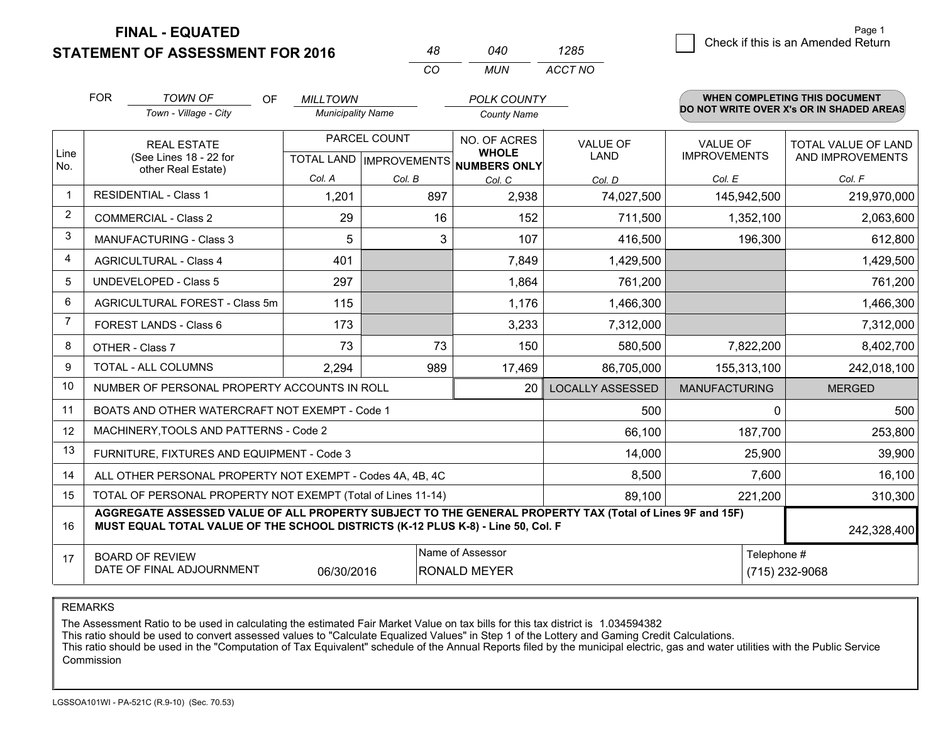**STATEMENT OF ASSESSMENT FOR 2016 FINAL - EQUATED**

 $\overline{5}$  Check if this is an Amended Return Page 1

|                | <b>FOR</b>                                                                                                   | <b>TOWN OF</b><br>OF<br>Town - Village - City                                                                                                                                                | <b>MILLTOWN</b><br><b>Municipality Name</b> |                                                | <b>POLK COUNTY</b><br><b>County Name</b>            |                                |                                        | <b>WHEN COMPLETING THIS DOCUMENT</b><br>DO NOT WRITE OVER X's OR IN SHADED AREAS |
|----------------|--------------------------------------------------------------------------------------------------------------|----------------------------------------------------------------------------------------------------------------------------------------------------------------------------------------------|---------------------------------------------|------------------------------------------------|-----------------------------------------------------|--------------------------------|----------------------------------------|----------------------------------------------------------------------------------|
| Line<br>No.    |                                                                                                              | <b>REAL ESTATE</b><br>(See Lines 18 - 22 for                                                                                                                                                 |                                             | PARCEL COUNT<br><b>TOTAL LAND IMPROVEMENTS</b> | NO. OF ACRES<br><b>WHOLE</b><br><b>NUMBERS ONLY</b> | <b>VALUE OF</b><br><b>LAND</b> | <b>VALUE OF</b><br><b>IMPROVEMENTS</b> | TOTAL VALUE OF LAND<br>AND IMPROVEMENTS                                          |
|                |                                                                                                              | other Real Estate)                                                                                                                                                                           | Col. A                                      | Col. B                                         | Col. C                                              | Col. D                         | Col. E                                 | Col. F                                                                           |
| 1              |                                                                                                              | <b>RESIDENTIAL - Class 1</b>                                                                                                                                                                 | 1,201                                       | 897                                            | 2,938                                               | 74,027,500                     | 145,942,500                            | 219,970,000                                                                      |
| 2              |                                                                                                              | <b>COMMERCIAL - Class 2</b>                                                                                                                                                                  | 29                                          | 16                                             | 152                                                 | 711,500                        | 1,352,100                              | 2,063,600                                                                        |
| 3              |                                                                                                              | <b>MANUFACTURING - Class 3</b>                                                                                                                                                               | 5                                           | 3                                              | 107                                                 | 416,500                        | 196,300                                | 612,800                                                                          |
| 4              |                                                                                                              | <b>AGRICULTURAL - Class 4</b>                                                                                                                                                                | 401                                         |                                                | 7,849                                               | 1,429,500                      |                                        | 1,429,500                                                                        |
| 5              | UNDEVELOPED - Class 5                                                                                        |                                                                                                                                                                                              | 297                                         |                                                | 1,864                                               | 761,200                        |                                        | 761,200                                                                          |
| 6              |                                                                                                              | AGRICULTURAL FOREST - Class 5m                                                                                                                                                               | 115                                         |                                                | 1,176                                               | 1,466,300                      |                                        | 1,466,300                                                                        |
| $\overline{7}$ |                                                                                                              | FOREST LANDS - Class 6                                                                                                                                                                       | 173                                         |                                                | 3,233                                               | 7,312,000                      |                                        | 7,312,000                                                                        |
| 8              |                                                                                                              | OTHER - Class 7                                                                                                                                                                              | 73                                          | 73                                             | 150                                                 | 580,500                        | 7,822,200                              | 8,402,700                                                                        |
| 9              |                                                                                                              | TOTAL - ALL COLUMNS                                                                                                                                                                          | 2,294                                       | 989                                            | 17,469                                              | 86,705,000                     | 155,313,100                            | 242,018,100                                                                      |
| 10             |                                                                                                              | NUMBER OF PERSONAL PROPERTY ACCOUNTS IN ROLL                                                                                                                                                 |                                             |                                                | 20                                                  | <b>LOCALLY ASSESSED</b>        | <b>MANUFACTURING</b>                   | <b>MERGED</b>                                                                    |
| 11             |                                                                                                              | BOATS AND OTHER WATERCRAFT NOT EXEMPT - Code 1                                                                                                                                               |                                             |                                                |                                                     | 500                            | $\Omega$                               | 500                                                                              |
| 12             |                                                                                                              | MACHINERY, TOOLS AND PATTERNS - Code 2                                                                                                                                                       |                                             |                                                |                                                     | 66,100                         | 187,700                                | 253,800                                                                          |
| 13             |                                                                                                              | FURNITURE, FIXTURES AND EQUIPMENT - Code 3                                                                                                                                                   |                                             |                                                |                                                     | 14,000                         | 25,900                                 | 39,900                                                                           |
| 14             |                                                                                                              | ALL OTHER PERSONAL PROPERTY NOT EXEMPT - Codes 4A, 4B, 4C                                                                                                                                    |                                             |                                                |                                                     | 8,500                          | 7,600                                  | 16,100                                                                           |
| 15             |                                                                                                              | TOTAL OF PERSONAL PROPERTY NOT EXEMPT (Total of Lines 11-14)                                                                                                                                 |                                             |                                                |                                                     | 89,100                         | 221,200                                | 310,300                                                                          |
| 16             |                                                                                                              | AGGREGATE ASSESSED VALUE OF ALL PROPERTY SUBJECT TO THE GENERAL PROPERTY TAX (Total of Lines 9F and 15F)<br>MUST EQUAL TOTAL VALUE OF THE SCHOOL DISTRICTS (K-12 PLUS K-8) - Line 50, Col. F |                                             |                                                |                                                     |                                |                                        | 242,328,400                                                                      |
| 17             | Name of Assessor<br><b>BOARD OF REVIEW</b><br>DATE OF FINAL ADJOURNMENT<br>06/30/2016<br><b>RONALD MEYER</b> |                                                                                                                                                                                              |                                             |                                                |                                                     |                                | Telephone #                            | (715) 232-9068                                                                   |

*CO*

*MUN*

*ACCT NO1285*

*<sup>48</sup> <sup>040</sup>*

REMARKS

The Assessment Ratio to be used in calculating the estimated Fair Market Value on tax bills for this tax district is 1.034594382<br>This ratio should be used to convert assessed values to "Calculate Equalized Values" in Step Commission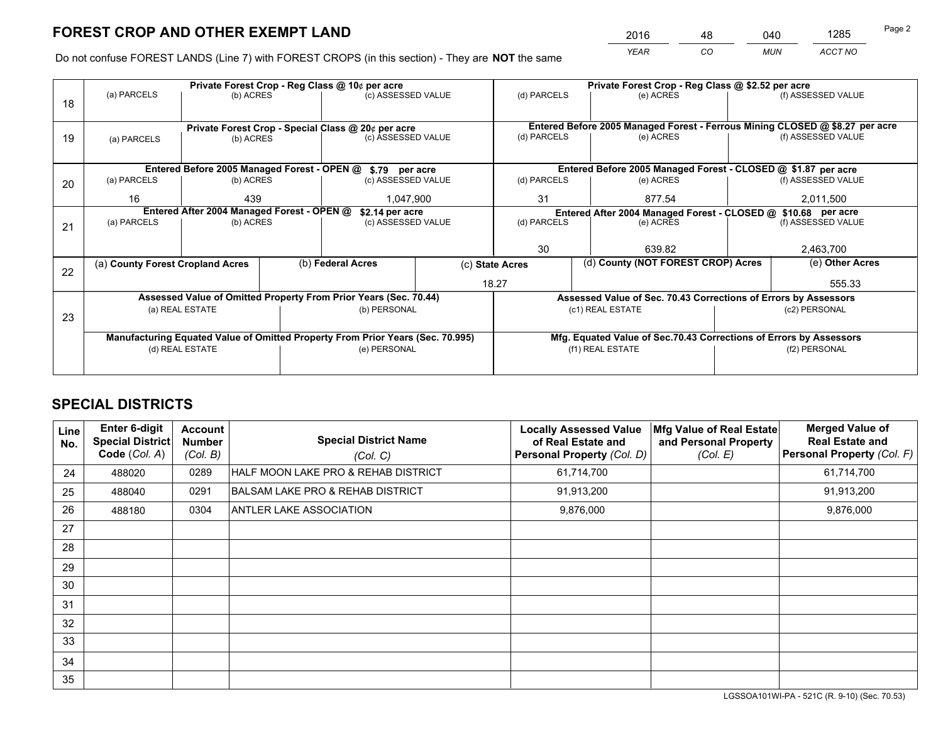*YEAR CO MUN ACCT NO* <sup>2016</sup> <sup>48</sup> <sup>040</sup> <sup>1285</sup>

Do not confuse FOREST LANDS (Line 7) with FOREST CROPS (in this section) - They are **NOT** the same

|    |                                                               |                 |  | Private Forest Crop - Reg Class @ 10¢ per acre                                 |                 |                                                                              | Private Forest Crop - Reg Class @ \$2.52 per acre                  |                                    |                    |  |
|----|---------------------------------------------------------------|-----------------|--|--------------------------------------------------------------------------------|-----------------|------------------------------------------------------------------------------|--------------------------------------------------------------------|------------------------------------|--------------------|--|
| 18 | (a) PARCELS                                                   | (b) ACRES       |  | (c) ASSESSED VALUE                                                             |                 | (d) PARCELS                                                                  | (e) ACRES                                                          |                                    | (f) ASSESSED VALUE |  |
|    |                                                               |                 |  |                                                                                |                 |                                                                              |                                                                    |                                    |                    |  |
|    |                                                               |                 |  | Private Forest Crop - Special Class @ 20¢ per acre                             |                 | Entered Before 2005 Managed Forest - Ferrous Mining CLOSED @ \$8.27 per acre |                                                                    |                                    |                    |  |
| 19 | (a) PARCELS                                                   | (b) ACRES       |  | (c) ASSESSED VALUE                                                             |                 | (d) PARCELS                                                                  | (e) ACRES                                                          |                                    | (f) ASSESSED VALUE |  |
|    |                                                               |                 |  |                                                                                |                 |                                                                              |                                                                    |                                    |                    |  |
|    | Entered Before 2005 Managed Forest - OPEN @ \$.79 per acre    |                 |  |                                                                                |                 |                                                                              | Entered Before 2005 Managed Forest - CLOSED @ \$1.87 per acre      |                                    |                    |  |
| 20 | (a) PARCELS                                                   | (b) ACRES       |  | (c) ASSESSED VALUE                                                             |                 | (d) PARCELS                                                                  | (e) ACRES                                                          |                                    | (f) ASSESSED VALUE |  |
|    | 16                                                            | 439             |  | 1,047,900                                                                      |                 | 31<br>877.54                                                                 |                                                                    |                                    | 2,011,500          |  |
|    | Entered After 2004 Managed Forest - OPEN @<br>\$2.14 per acre |                 |  |                                                                                |                 |                                                                              | Entered After 2004 Managed Forest - CLOSED @ \$10.68 per acre      |                                    |                    |  |
| 21 | (a) PARCELS                                                   | (b) ACRES       |  | (c) ASSESSED VALUE                                                             |                 | (d) PARCELS<br>(e) ACRES                                                     |                                                                    |                                    | (f) ASSESSED VALUE |  |
|    |                                                               |                 |  |                                                                                |                 |                                                                              |                                                                    |                                    |                    |  |
|    |                                                               |                 |  |                                                                                |                 | 30<br>639.82                                                                 |                                                                    |                                    | 2,463,700          |  |
| 22 | (a) County Forest Cropland Acres                              |                 |  | (b) Federal Acres                                                              | (c) State Acres |                                                                              |                                                                    | (d) County (NOT FOREST CROP) Acres |                    |  |
|    |                                                               |                 |  |                                                                                |                 | 18.27                                                                        |                                                                    |                                    | 555.33             |  |
|    |                                                               |                 |  | Assessed Value of Omitted Property From Prior Years (Sec. 70.44)               |                 |                                                                              | Assessed Value of Sec. 70.43 Corrections of Errors by Assessors    |                                    |                    |  |
| 23 |                                                               | (a) REAL ESTATE |  | (b) PERSONAL                                                                   |                 |                                                                              | (c1) REAL ESTATE                                                   |                                    | (c2) PERSONAL      |  |
|    |                                                               |                 |  |                                                                                |                 |                                                                              |                                                                    |                                    |                    |  |
|    |                                                               |                 |  | Manufacturing Equated Value of Omitted Property From Prior Years (Sec. 70.995) |                 |                                                                              | Mfg. Equated Value of Sec.70.43 Corrections of Errors by Assessors |                                    |                    |  |
|    | (d) REAL ESTATE                                               |                 |  | (e) PERSONAL                                                                   |                 |                                                                              | (f1) REAL ESTATE                                                   | (f2) PERSONAL                      |                    |  |
|    |                                                               |                 |  |                                                                                |                 |                                                                              |                                                                    |                                    |                    |  |

# **SPECIAL DISTRICTS**

| Line<br>No. | <b>Enter 6-digit</b><br>Special District<br>Code (Col. A) | <b>Account</b><br><b>Number</b><br>(Col. B) | <b>Special District Name</b><br>(Col. C)    | <b>Locally Assessed Value</b><br>of Real Estate and<br><b>Personal Property (Col. D)</b> | Mfg Value of Real Estate<br>and Personal Property<br>(Col. E) | <b>Merged Value of</b><br><b>Real Estate and</b><br>Personal Property (Col. F) |
|-------------|-----------------------------------------------------------|---------------------------------------------|---------------------------------------------|------------------------------------------------------------------------------------------|---------------------------------------------------------------|--------------------------------------------------------------------------------|
| 24          | 488020                                                    | 0289                                        | HALF MOON LAKE PRO & REHAB DISTRICT         | 61,714,700                                                                               |                                                               | 61,714,700                                                                     |
| 25          | 488040                                                    | 0291                                        | <b>BALSAM LAKE PRO &amp; REHAB DISTRICT</b> | 91,913,200                                                                               |                                                               | 91,913,200                                                                     |
| 26          | 488180                                                    | 0304                                        | ANTLER LAKE ASSOCIATION                     | 9,876,000                                                                                |                                                               | 9,876,000                                                                      |
| 27          |                                                           |                                             |                                             |                                                                                          |                                                               |                                                                                |
| 28          |                                                           |                                             |                                             |                                                                                          |                                                               |                                                                                |
| 29          |                                                           |                                             |                                             |                                                                                          |                                                               |                                                                                |
| 30          |                                                           |                                             |                                             |                                                                                          |                                                               |                                                                                |
| 31          |                                                           |                                             |                                             |                                                                                          |                                                               |                                                                                |
| 32          |                                                           |                                             |                                             |                                                                                          |                                                               |                                                                                |
| 33          |                                                           |                                             |                                             |                                                                                          |                                                               |                                                                                |
| 34          |                                                           |                                             |                                             |                                                                                          |                                                               |                                                                                |
| 35          |                                                           |                                             |                                             |                                                                                          |                                                               |                                                                                |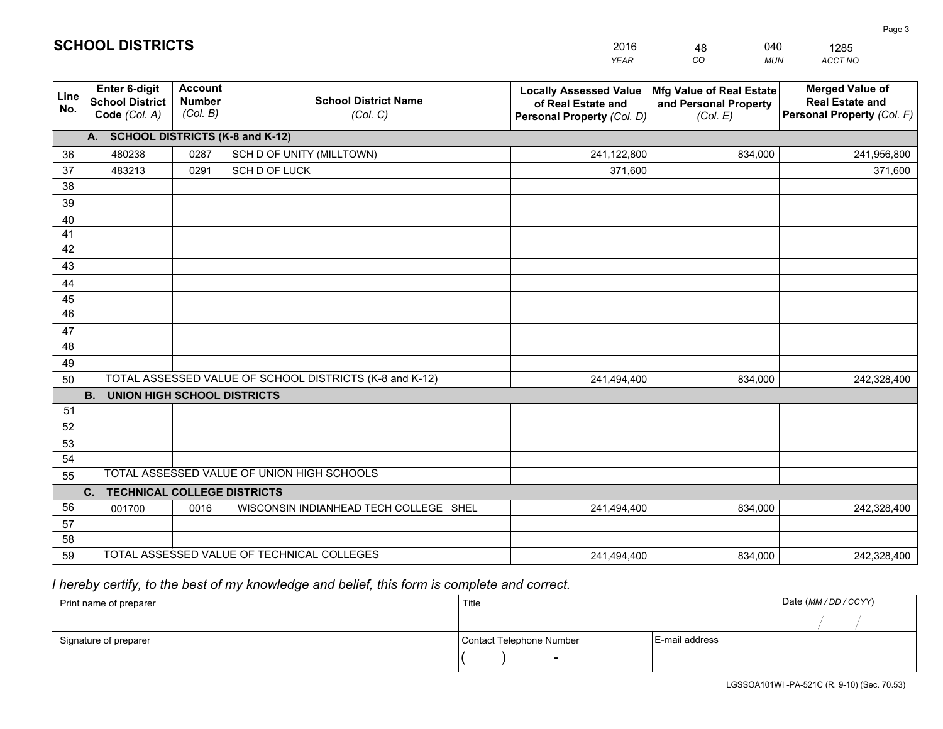|             |                                                                 |                                             |                                                         | <b>YEAR</b>                                                                       | CO<br><b>MUN</b>                                              | ACCT NO                                                                        |
|-------------|-----------------------------------------------------------------|---------------------------------------------|---------------------------------------------------------|-----------------------------------------------------------------------------------|---------------------------------------------------------------|--------------------------------------------------------------------------------|
| Line<br>No. | <b>Enter 6-digit</b><br><b>School District</b><br>Code (Col. A) | <b>Account</b><br><b>Number</b><br>(Col. B) | <b>School District Name</b><br>(Col. C)                 | <b>Locally Assessed Value</b><br>of Real Estate and<br>Personal Property (Col. D) | Mfg Value of Real Estate<br>and Personal Property<br>(Col. E) | <b>Merged Value of</b><br><b>Real Estate and</b><br>Personal Property (Col. F) |
|             | A. SCHOOL DISTRICTS (K-8 and K-12)                              |                                             |                                                         |                                                                                   |                                                               |                                                                                |
| 36          | 480238                                                          | 0287                                        | SCH D OF UNITY (MILLTOWN)                               | 241,122,800                                                                       | 834,000                                                       | 241,956,800                                                                    |
| 37          | 483213                                                          | 0291                                        | SCH D OF LUCK                                           | 371,600                                                                           |                                                               | 371,600                                                                        |
| 38          |                                                                 |                                             |                                                         |                                                                                   |                                                               |                                                                                |
| 39          |                                                                 |                                             |                                                         |                                                                                   |                                                               |                                                                                |
| 40          |                                                                 |                                             |                                                         |                                                                                   |                                                               |                                                                                |
| 41          |                                                                 |                                             |                                                         |                                                                                   |                                                               |                                                                                |
| 42          |                                                                 |                                             |                                                         |                                                                                   |                                                               |                                                                                |
| 43          |                                                                 |                                             |                                                         |                                                                                   |                                                               |                                                                                |
| 44          |                                                                 |                                             |                                                         |                                                                                   |                                                               |                                                                                |
| 45<br>46    |                                                                 |                                             |                                                         |                                                                                   |                                                               |                                                                                |
| 47          |                                                                 |                                             |                                                         |                                                                                   |                                                               |                                                                                |
| 48          |                                                                 |                                             |                                                         |                                                                                   |                                                               |                                                                                |
| 49          |                                                                 |                                             |                                                         |                                                                                   |                                                               |                                                                                |
| 50          |                                                                 |                                             | TOTAL ASSESSED VALUE OF SCHOOL DISTRICTS (K-8 and K-12) | 241,494,400                                                                       | 834,000                                                       | 242,328,400                                                                    |
|             | <b>B.</b><br><b>UNION HIGH SCHOOL DISTRICTS</b>                 |                                             |                                                         |                                                                                   |                                                               |                                                                                |
| 51          |                                                                 |                                             |                                                         |                                                                                   |                                                               |                                                                                |
| 52          |                                                                 |                                             |                                                         |                                                                                   |                                                               |                                                                                |
| 53          |                                                                 |                                             |                                                         |                                                                                   |                                                               |                                                                                |
| 54          |                                                                 |                                             |                                                         |                                                                                   |                                                               |                                                                                |
| 55          |                                                                 |                                             | TOTAL ASSESSED VALUE OF UNION HIGH SCHOOLS              |                                                                                   |                                                               |                                                                                |
|             | C.<br><b>TECHNICAL COLLEGE DISTRICTS</b>                        |                                             |                                                         |                                                                                   |                                                               |                                                                                |
| 56          | 001700                                                          | 0016                                        | WISCONSIN INDIANHEAD TECH COLLEGE SHEL                  | 241,494,400                                                                       | 834,000                                                       | 242,328,400                                                                    |
| 57          |                                                                 |                                             |                                                         |                                                                                   |                                                               |                                                                                |
| 58          |                                                                 |                                             |                                                         |                                                                                   |                                                               |                                                                                |
| 59          |                                                                 |                                             | TOTAL ASSESSED VALUE OF TECHNICAL COLLEGES              | 241,494,400                                                                       | 834,000                                                       | 242,328,400                                                                    |

48

040

 *I hereby certify, to the best of my knowledge and belief, this form is complete and correct.*

**SCHOOL DISTRICTS**

| Print name of preparer | Title                    | Date (MM/DD/CCYY) |  |
|------------------------|--------------------------|-------------------|--|
|                        |                          |                   |  |
| Signature of preparer  | Contact Telephone Number | E-mail address    |  |
|                        | $\overline{\phantom{0}}$ |                   |  |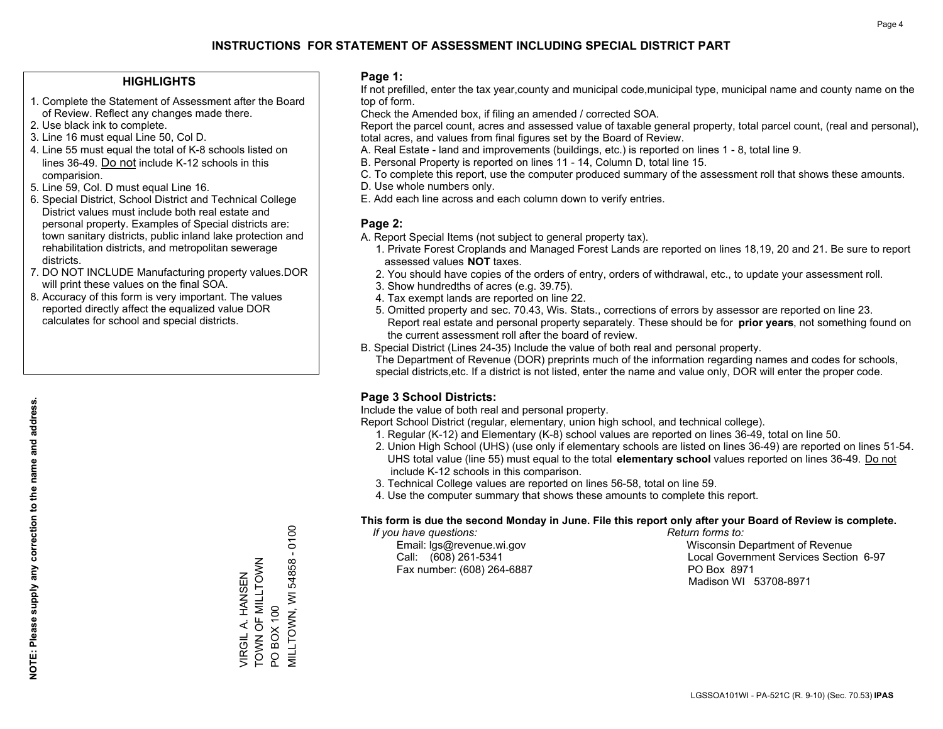### **HIGHLIGHTS**

- 1. Complete the Statement of Assessment after the Board of Review. Reflect any changes made there.
- 2. Use black ink to complete.
- 3. Line 16 must equal Line 50, Col D.
- 4. Line 55 must equal the total of K-8 schools listed on lines 36-49. Do not include K-12 schools in this comparision.
- 5. Line 59, Col. D must equal Line 16.
- 6. Special District, School District and Technical College District values must include both real estate and personal property. Examples of Special districts are: town sanitary districts, public inland lake protection and rehabilitation districts, and metropolitan sewerage districts.
- 7. DO NOT INCLUDE Manufacturing property values.DOR will print these values on the final SOA.
- 8. Accuracy of this form is very important. The values reported directly affect the equalized value DOR calculates for school and special districts.

### **Page 1:**

 If not prefilled, enter the tax year,county and municipal code,municipal type, municipal name and county name on the top of form.

Check the Amended box, if filing an amended / corrected SOA.

 Report the parcel count, acres and assessed value of taxable general property, total parcel count, (real and personal), total acres, and values from final figures set by the Board of Review.

- A. Real Estate land and improvements (buildings, etc.) is reported on lines 1 8, total line 9.
- B. Personal Property is reported on lines 11 14, Column D, total line 15.
- C. To complete this report, use the computer produced summary of the assessment roll that shows these amounts.
- D. Use whole numbers only.
- E. Add each line across and each column down to verify entries.

### **Page 2:**

- A. Report Special Items (not subject to general property tax).
- 1. Private Forest Croplands and Managed Forest Lands are reported on lines 18,19, 20 and 21. Be sure to report assessed values **NOT** taxes.
- 2. You should have copies of the orders of entry, orders of withdrawal, etc., to update your assessment roll.
	- 3. Show hundredths of acres (e.g. 39.75).
- 4. Tax exempt lands are reported on line 22.
- 5. Omitted property and sec. 70.43, Wis. Stats., corrections of errors by assessor are reported on line 23. Report real estate and personal property separately. These should be for **prior years**, not something found on the current assessment roll after the board of review.
- B. Special District (Lines 24-35) Include the value of both real and personal property.
- The Department of Revenue (DOR) preprints much of the information regarding names and codes for schools, special districts,etc. If a district is not listed, enter the name and value only, DOR will enter the proper code.

## **Page 3 School Districts:**

Include the value of both real and personal property.

Report School District (regular, elementary, union high school, and technical college).

- 1. Regular (K-12) and Elementary (K-8) school values are reported on lines 36-49, total on line 50.
- 2. Union High School (UHS) (use only if elementary schools are listed on lines 36-49) are reported on lines 51-54. UHS total value (line 55) must equal to the total **elementary school** values reported on lines 36-49. Do notinclude K-12 schools in this comparison.
- 3. Technical College values are reported on lines 56-58, total on line 59.
- 4. Use the computer summary that shows these amounts to complete this report.

### **This form is due the second Monday in June. File this report only after your Board of Review is complete.**

 *If you have questions: Return forms to:*

Fax number: (608) 264-6887 PO Box 8971

 Email: lgs@revenue.wi.gov Wisconsin Department of Revenue Call: (608) 261-5341 Local Government Services Section 6-97Madison WI 53708-8971

**MILLTOWN, WI 54858 - 0100** MILLTOWN, WI 54858 - 0100 TOWN OF MILLTOWN VIRGIL A. HANSEN<br>TOWN OF MILLTOWN VIRGIL A. HANSEN PO BOX 100 PO BOX 100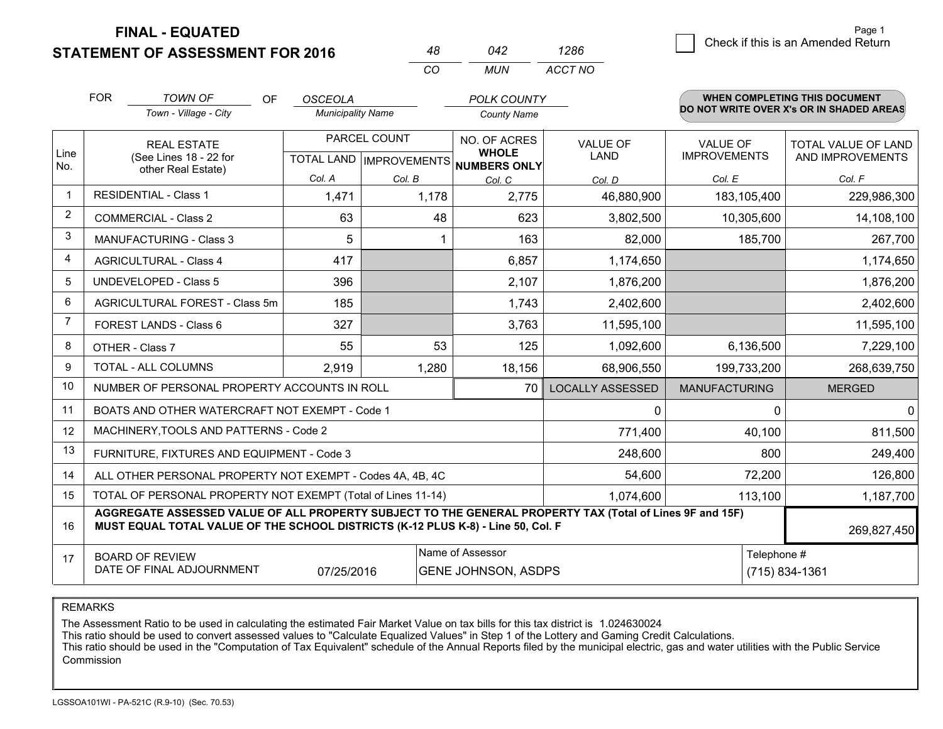**FINAL - EQUATED**

**STATEMENT OF ASSESSMENT FOR 2016** 

|         |                                    | Page 1 |
|---------|------------------------------------|--------|
| 1286    | Check if this is an Amended Return |        |
| ACCT NO |                                    |        |

|                         | <b>FOR</b>                                                                                                        | <b>TOWN OF</b><br><b>OF</b>                                                                                                                                                                  | <b>OSCEOLA</b>           |                           | <b>POLK COUNTY</b>                  |                         |                      | <b>WHEN COMPLETING THIS DOCUMENT</b>     |
|-------------------------|-------------------------------------------------------------------------------------------------------------------|----------------------------------------------------------------------------------------------------------------------------------------------------------------------------------------------|--------------------------|---------------------------|-------------------------------------|-------------------------|----------------------|------------------------------------------|
|                         |                                                                                                                   | Town - Village - City                                                                                                                                                                        | <b>Municipality Name</b> |                           | <b>County Name</b>                  |                         |                      | DO NOT WRITE OVER X's OR IN SHADED AREAS |
|                         |                                                                                                                   | <b>REAL ESTATE</b>                                                                                                                                                                           |                          | PARCEL COUNT              | NO. OF ACRES                        | <b>VALUE OF</b>         | <b>VALUE OF</b>      | <b>TOTAL VALUE OF LAND</b>               |
| Line<br>No.             |                                                                                                                   | (See Lines 18 - 22 for<br>other Real Estate)                                                                                                                                                 |                          | TOTAL LAND   IMPROVEMENTS | <b>WHOLE</b><br><b>NUMBERS ONLY</b> | <b>LAND</b>             | <b>IMPROVEMENTS</b>  | AND IMPROVEMENTS                         |
|                         |                                                                                                                   |                                                                                                                                                                                              | Col. A                   | Col. B                    | Col. C                              | Col. D                  | Col. E               | Col. F                                   |
| $\overline{\mathbf{1}}$ |                                                                                                                   | <b>RESIDENTIAL - Class 1</b>                                                                                                                                                                 | 1,471                    | 1,178                     | 2,775                               | 46,880,900              | 183,105,400          | 229,986,300                              |
| 2                       |                                                                                                                   | <b>COMMERCIAL - Class 2</b>                                                                                                                                                                  | 63                       | 48                        | 623                                 | 3,802,500               | 10,305,600           | 14,108,100                               |
| 3                       |                                                                                                                   | <b>MANUFACTURING - Class 3</b>                                                                                                                                                               | 5                        | 1                         | 163                                 | 82,000                  | 185,700              | 267,700                                  |
| 4                       |                                                                                                                   | <b>AGRICULTURAL - Class 4</b>                                                                                                                                                                | 417                      |                           | 6,857                               | 1,174,650               |                      | 1,174,650                                |
| 5                       |                                                                                                                   | <b>UNDEVELOPED - Class 5</b>                                                                                                                                                                 | 396                      |                           | 2,107                               | 1,876,200               |                      | 1,876,200                                |
| 6                       |                                                                                                                   | AGRICULTURAL FOREST - Class 5m                                                                                                                                                               | 185                      |                           | 1,743                               | 2,402,600               |                      | 2,402,600                                |
| $\overline{7}$          |                                                                                                                   | FOREST LANDS - Class 6                                                                                                                                                                       | 327                      |                           | 3,763                               | 11,595,100              |                      | 11,595,100                               |
| 8                       |                                                                                                                   | OTHER - Class 7                                                                                                                                                                              | 55                       | 53                        | 125                                 | 1,092,600               | 6,136,500            | 7,229,100                                |
| 9                       |                                                                                                                   | TOTAL - ALL COLUMNS                                                                                                                                                                          | 2,919                    | 1,280                     | 18,156                              | 68,906,550              | 199,733,200          | 268,639,750                              |
| 10                      |                                                                                                                   | NUMBER OF PERSONAL PROPERTY ACCOUNTS IN ROLL                                                                                                                                                 |                          |                           | 70                                  | <b>LOCALLY ASSESSED</b> | <b>MANUFACTURING</b> | <b>MERGED</b>                            |
| 11                      |                                                                                                                   | BOATS AND OTHER WATERCRAFT NOT EXEMPT - Code 1                                                                                                                                               |                          |                           |                                     | 0                       | $\Omega$             | $\mathbf 0$                              |
| 12                      |                                                                                                                   | MACHINERY, TOOLS AND PATTERNS - Code 2                                                                                                                                                       |                          |                           |                                     | 771,400                 | 40,100               | 811,500                                  |
| 13                      |                                                                                                                   | FURNITURE, FIXTURES AND EQUIPMENT - Code 3                                                                                                                                                   |                          |                           |                                     | 248,600                 | 800                  | 249,400                                  |
| 14                      |                                                                                                                   | ALL OTHER PERSONAL PROPERTY NOT EXEMPT - Codes 4A, 4B, 4C                                                                                                                                    |                          |                           |                                     | 54,600                  | 72,200               | 126,800                                  |
| 15                      |                                                                                                                   | TOTAL OF PERSONAL PROPERTY NOT EXEMPT (Total of Lines 11-14)                                                                                                                                 |                          |                           |                                     | 1,074,600               | 113,100              | 1,187,700                                |
| 16                      |                                                                                                                   | AGGREGATE ASSESSED VALUE OF ALL PROPERTY SUBJECT TO THE GENERAL PROPERTY TAX (Total of Lines 9F and 15F)<br>MUST EQUAL TOTAL VALUE OF THE SCHOOL DISTRICTS (K-12 PLUS K-8) - Line 50, Col. F |                          |                           |                                     |                         |                      | 269,827,450                              |
| 17                      |                                                                                                                   |                                                                                                                                                                                              |                          |                           | Name of Assessor                    |                         | Telephone #          |                                          |
|                         | <b>BOARD OF REVIEW</b><br>DATE OF FINAL ADJOURNMENT<br>07/25/2016<br>(715) 834-1361<br><b>GENE JOHNSON, ASDPS</b> |                                                                                                                                                                                              |                          |                           |                                     |                         |                      |                                          |

*CO*

*MUN*

*<sup>48</sup> <sup>042</sup>*

REMARKS

The Assessment Ratio to be used in calculating the estimated Fair Market Value on tax bills for this tax district is 1.024630024<br>This ratio should be used to convert assessed values to "Calculate Equalized Values" in Step Commission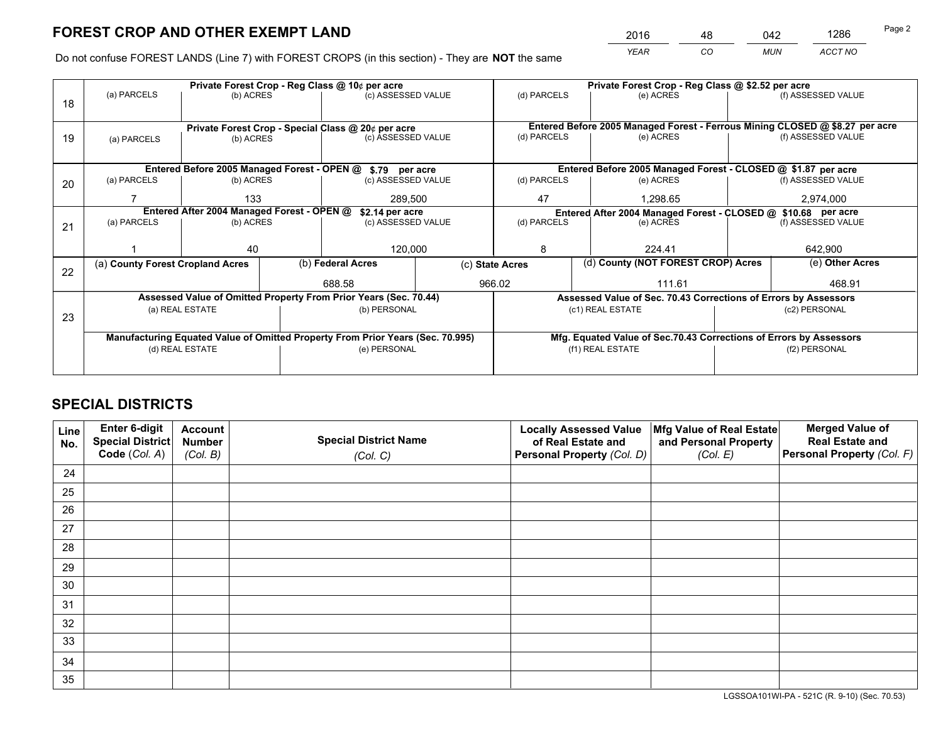*YEAR CO MUN ACCT NO* <sup>2016</sup> <sup>48</sup> <sup>042</sup> <sup>1286</sup>

Do not confuse FOREST LANDS (Line 7) with FOREST CROPS (in this section) - They are **NOT** the same

| (f) ASSESSED VALUE<br>Entered Before 2005 Managed Forest - Ferrous Mining CLOSED @ \$8.27 per acre<br>(f) ASSESSED VALUE |  |  |  |  |
|--------------------------------------------------------------------------------------------------------------------------|--|--|--|--|
|                                                                                                                          |  |  |  |  |
|                                                                                                                          |  |  |  |  |
|                                                                                                                          |  |  |  |  |
| Entered Before 2005 Managed Forest - CLOSED @ \$1.87 per acre                                                            |  |  |  |  |
| (f) ASSESSED VALUE                                                                                                       |  |  |  |  |
|                                                                                                                          |  |  |  |  |
| 2,974,000                                                                                                                |  |  |  |  |
| Entered After 2004 Managed Forest - CLOSED @ \$10.68 per acre<br>(d) PARCELS<br>(e) ACRES                                |  |  |  |  |
| (f) ASSESSED VALUE                                                                                                       |  |  |  |  |
|                                                                                                                          |  |  |  |  |
| 642,900                                                                                                                  |  |  |  |  |
| (e) Other Acres                                                                                                          |  |  |  |  |
|                                                                                                                          |  |  |  |  |
| 468.91                                                                                                                   |  |  |  |  |
| Assessed Value of Sec. 70.43 Corrections of Errors by Assessors                                                          |  |  |  |  |
| (c2) PERSONAL                                                                                                            |  |  |  |  |
|                                                                                                                          |  |  |  |  |
| Mfg. Equated Value of Sec.70.43 Corrections of Errors by Assessors                                                       |  |  |  |  |
| (f2) PERSONAL                                                                                                            |  |  |  |  |
|                                                                                                                          |  |  |  |  |
|                                                                                                                          |  |  |  |  |

# **SPECIAL DISTRICTS**

| Line<br>No. | Enter 6-digit<br><b>Special District</b> | <b>Account</b><br><b>Number</b> | <b>Special District Name</b> | <b>Locally Assessed Value</b><br>of Real Estate and | Mfg Value of Real Estate<br>and Personal Property | <b>Merged Value of</b><br><b>Real Estate and</b> |
|-------------|------------------------------------------|---------------------------------|------------------------------|-----------------------------------------------------|---------------------------------------------------|--------------------------------------------------|
|             | Code (Col. A)                            | (Col. B)                        | (Col. C)                     | Personal Property (Col. D)                          | (Col. E)                                          | Personal Property (Col. F)                       |
| 24          |                                          |                                 |                              |                                                     |                                                   |                                                  |
| 25          |                                          |                                 |                              |                                                     |                                                   |                                                  |
| 26          |                                          |                                 |                              |                                                     |                                                   |                                                  |
| 27          |                                          |                                 |                              |                                                     |                                                   |                                                  |
| 28          |                                          |                                 |                              |                                                     |                                                   |                                                  |
| 29          |                                          |                                 |                              |                                                     |                                                   |                                                  |
| 30          |                                          |                                 |                              |                                                     |                                                   |                                                  |
| 31          |                                          |                                 |                              |                                                     |                                                   |                                                  |
| 32          |                                          |                                 |                              |                                                     |                                                   |                                                  |
| 33          |                                          |                                 |                              |                                                     |                                                   |                                                  |
| 34          |                                          |                                 |                              |                                                     |                                                   |                                                  |
| 35          |                                          |                                 |                              |                                                     |                                                   |                                                  |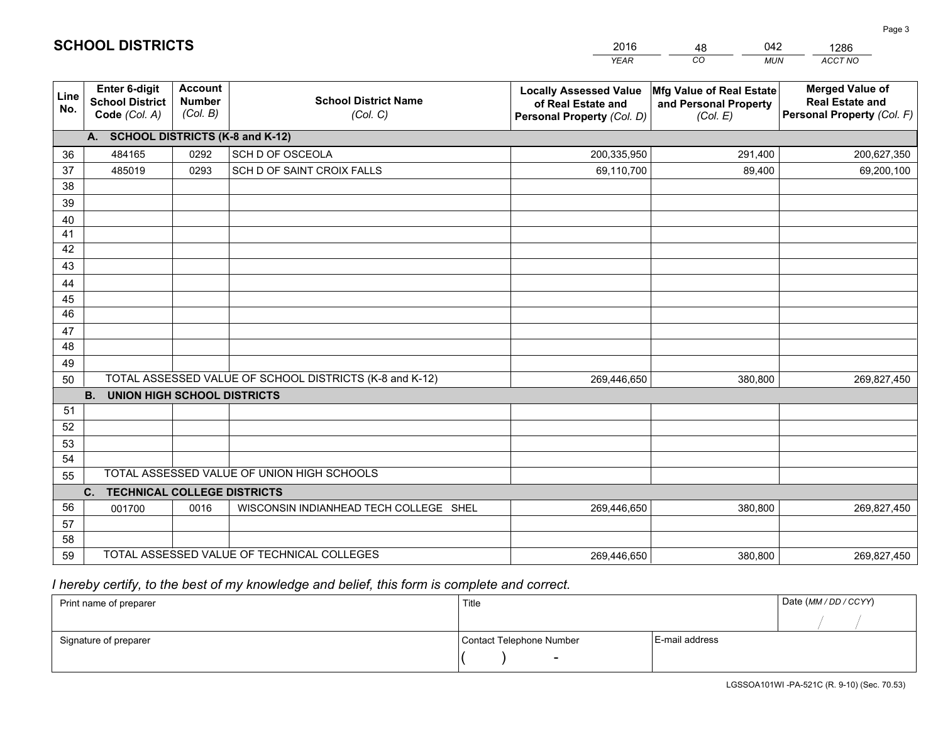|                       |                                                                 |                                             |                                                         | <b>YEAR</b>                                                                       | CO<br><b>MUN</b>                                              | ACCT NO                                                                        |
|-----------------------|-----------------------------------------------------------------|---------------------------------------------|---------------------------------------------------------|-----------------------------------------------------------------------------------|---------------------------------------------------------------|--------------------------------------------------------------------------------|
| Line<br>No.           | <b>Enter 6-digit</b><br><b>School District</b><br>Code (Col. A) | <b>Account</b><br><b>Number</b><br>(Col. B) | <b>School District Name</b><br>(Col. C)                 | <b>Locally Assessed Value</b><br>of Real Estate and<br>Personal Property (Col. D) | Mfg Value of Real Estate<br>and Personal Property<br>(Col. E) | <b>Merged Value of</b><br><b>Real Estate and</b><br>Personal Property (Col. F) |
|                       | A. SCHOOL DISTRICTS (K-8 and K-12)                              |                                             |                                                         |                                                                                   |                                                               |                                                                                |
| 36                    | 484165                                                          | 0292                                        | SCH D OF OSCEOLA                                        | 200,335,950                                                                       | 291,400                                                       | 200,627,350                                                                    |
| 37                    | 485019                                                          | 0293                                        | SCH D OF SAINT CROIX FALLS                              | 69,110,700                                                                        | 89,400                                                        | 69,200,100                                                                     |
| 38                    |                                                                 |                                             |                                                         |                                                                                   |                                                               |                                                                                |
| 39                    |                                                                 |                                             |                                                         |                                                                                   |                                                               |                                                                                |
| 40                    |                                                                 |                                             |                                                         |                                                                                   |                                                               |                                                                                |
| 41                    |                                                                 |                                             |                                                         |                                                                                   |                                                               |                                                                                |
| 42                    |                                                                 |                                             |                                                         |                                                                                   |                                                               |                                                                                |
| 43                    |                                                                 |                                             |                                                         |                                                                                   |                                                               |                                                                                |
| 44                    |                                                                 |                                             |                                                         |                                                                                   |                                                               |                                                                                |
| 45<br>$\overline{46}$ |                                                                 |                                             |                                                         |                                                                                   |                                                               |                                                                                |
| 47                    |                                                                 |                                             |                                                         |                                                                                   |                                                               |                                                                                |
| 48                    |                                                                 |                                             |                                                         |                                                                                   |                                                               |                                                                                |
| 49                    |                                                                 |                                             |                                                         |                                                                                   |                                                               |                                                                                |
| 50                    |                                                                 |                                             | TOTAL ASSESSED VALUE OF SCHOOL DISTRICTS (K-8 and K-12) | 269,446,650                                                                       | 380,800                                                       | 269,827,450                                                                    |
|                       | <b>B.</b><br><b>UNION HIGH SCHOOL DISTRICTS</b>                 |                                             |                                                         |                                                                                   |                                                               |                                                                                |
| 51                    |                                                                 |                                             |                                                         |                                                                                   |                                                               |                                                                                |
| 52                    |                                                                 |                                             |                                                         |                                                                                   |                                                               |                                                                                |
| 53                    |                                                                 |                                             |                                                         |                                                                                   |                                                               |                                                                                |
| 54                    |                                                                 |                                             |                                                         |                                                                                   |                                                               |                                                                                |
| 55                    |                                                                 |                                             | TOTAL ASSESSED VALUE OF UNION HIGH SCHOOLS              |                                                                                   |                                                               |                                                                                |
|                       | C.<br><b>TECHNICAL COLLEGE DISTRICTS</b>                        |                                             |                                                         |                                                                                   |                                                               |                                                                                |
| 56                    | 001700                                                          | 0016                                        | WISCONSIN INDIANHEAD TECH COLLEGE SHEL                  | 269,446,650                                                                       | 380,800                                                       | 269,827,450                                                                    |
| 57                    |                                                                 |                                             |                                                         |                                                                                   |                                                               |                                                                                |
| 58                    |                                                                 |                                             |                                                         |                                                                                   |                                                               |                                                                                |
| 59                    |                                                                 |                                             | TOTAL ASSESSED VALUE OF TECHNICAL COLLEGES              | 269,446,650                                                                       | 380,800                                                       | 269,827,450                                                                    |

48

042

 *I hereby certify, to the best of my knowledge and belief, this form is complete and correct.*

**SCHOOL DISTRICTS**

| Print name of preparer | Title                    |                | Date (MM / DD / CCYY) |
|------------------------|--------------------------|----------------|-----------------------|
|                        |                          |                |                       |
| Signature of preparer  | Contact Telephone Number | E-mail address |                       |
|                        | $\overline{\phantom{0}}$ |                |                       |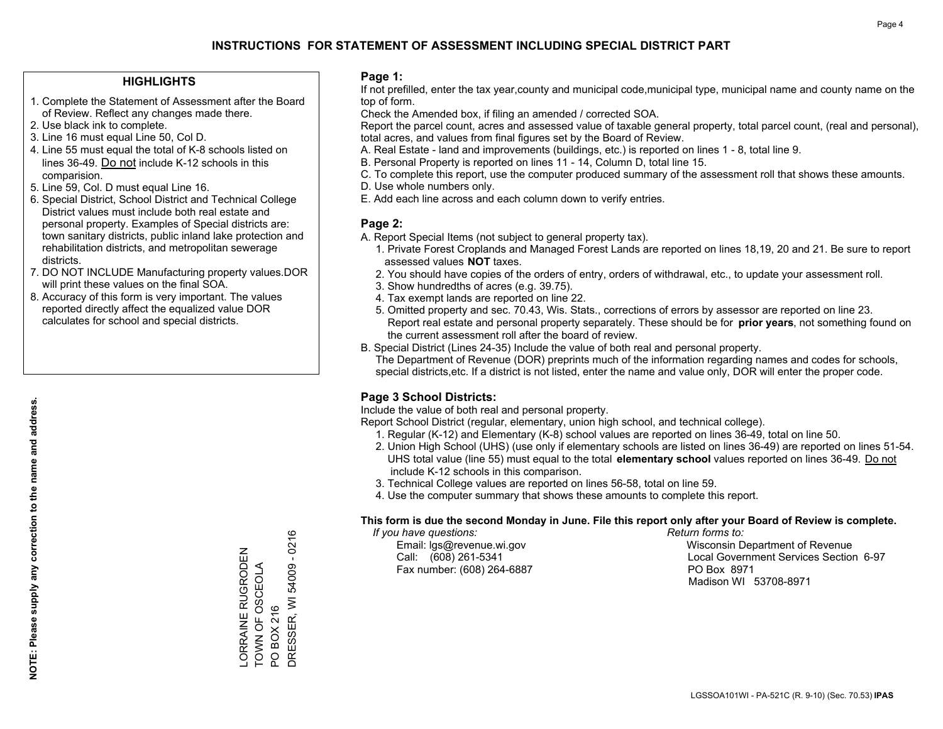### **HIGHLIGHTS**

- 1. Complete the Statement of Assessment after the Board of Review. Reflect any changes made there.
- 2. Use black ink to complete.
- 3. Line 16 must equal Line 50, Col D.
- 4. Line 55 must equal the total of K-8 schools listed on lines 36-49. Do not include K-12 schools in this comparision.
- 5. Line 59, Col. D must equal Line 16.
- 6. Special District, School District and Technical College District values must include both real estate and personal property. Examples of Special districts are: town sanitary districts, public inland lake protection and rehabilitation districts, and metropolitan sewerage districts.
- 7. DO NOT INCLUDE Manufacturing property values.DOR will print these values on the final SOA.

LORRAINE RUGRODEN TOWN OF OSCEOLA

ORRAINE RUGRODEN TOWN OF OSCEOLA

PO BOX 216

PO BOX 216

DRESSER, WI 54009 - 0216

DRESSER, WI 54009 - 0216

 8. Accuracy of this form is very important. The values reported directly affect the equalized value DOR calculates for school and special districts.

### **Page 1:**

 If not prefilled, enter the tax year,county and municipal code,municipal type, municipal name and county name on the top of form.

Check the Amended box, if filing an amended / corrected SOA.

 Report the parcel count, acres and assessed value of taxable general property, total parcel count, (real and personal), total acres, and values from final figures set by the Board of Review.

- A. Real Estate land and improvements (buildings, etc.) is reported on lines 1 8, total line 9.
- B. Personal Property is reported on lines 11 14, Column D, total line 15.
- C. To complete this report, use the computer produced summary of the assessment roll that shows these amounts.
- D. Use whole numbers only.
- E. Add each line across and each column down to verify entries.

### **Page 2:**

- A. Report Special Items (not subject to general property tax).
- 1. Private Forest Croplands and Managed Forest Lands are reported on lines 18,19, 20 and 21. Be sure to report assessed values **NOT** taxes.
- 2. You should have copies of the orders of entry, orders of withdrawal, etc., to update your assessment roll.
	- 3. Show hundredths of acres (e.g. 39.75).
- 4. Tax exempt lands are reported on line 22.
- 5. Omitted property and sec. 70.43, Wis. Stats., corrections of errors by assessor are reported on line 23. Report real estate and personal property separately. These should be for **prior years**, not something found on the current assessment roll after the board of review.
- B. Special District (Lines 24-35) Include the value of both real and personal property.
- The Department of Revenue (DOR) preprints much of the information regarding names and codes for schools, special districts,etc. If a district is not listed, enter the name and value only, DOR will enter the proper code.

## **Page 3 School Districts:**

Include the value of both real and personal property.

Report School District (regular, elementary, union high school, and technical college).

- 1. Regular (K-12) and Elementary (K-8) school values are reported on lines 36-49, total on line 50.
- 2. Union High School (UHS) (use only if elementary schools are listed on lines 36-49) are reported on lines 51-54. UHS total value (line 55) must equal to the total **elementary school** values reported on lines 36-49. Do notinclude K-12 schools in this comparison.
- 3. Technical College values are reported on lines 56-58, total on line 59.
- 4. Use the computer summary that shows these amounts to complete this report.

### **This form is due the second Monday in June. File this report only after your Board of Review is complete.**

 *If you have questions: Return forms to:*

Fax number: (608) 264-6887 PO Box 8971

 Email: lgs@revenue.wi.gov Wisconsin Department of Revenue Call: (608) 261-5341 Local Government Services Section 6-97Madison WI 53708-8971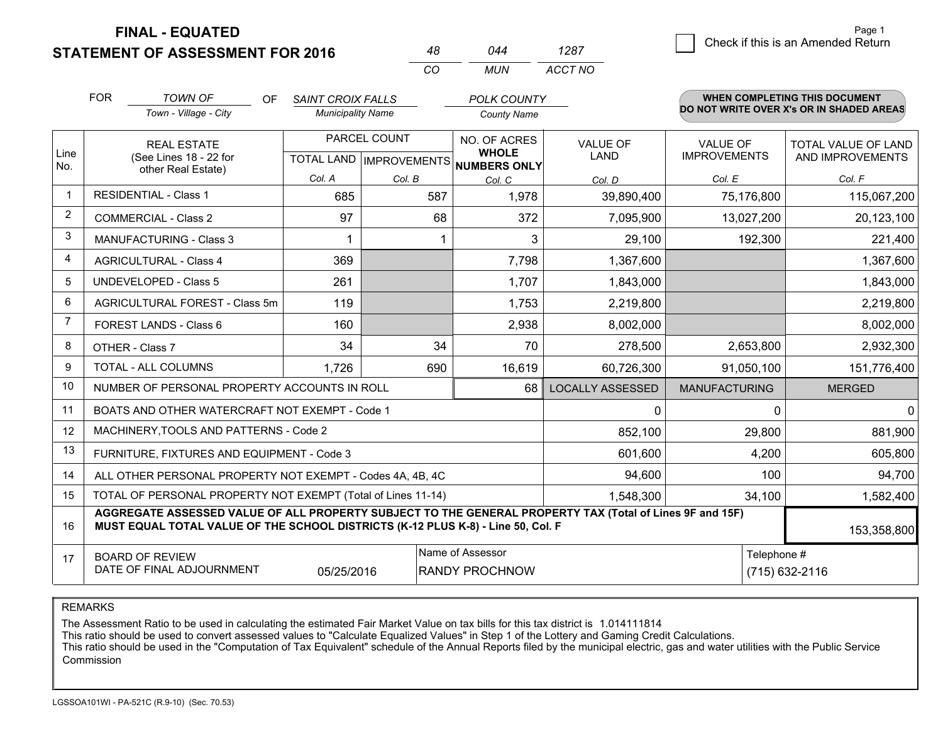| <b>STATEMENT OF ASSESSMENT FOR 2016</b> |  |  |
|-----------------------------------------|--|--|

**FINAL - EQUATED**

|                | <b>FOR</b>                                                                          | <b>TOWN OF</b><br>OF                                                                                                                                                                         | <b>SAINT CROIX FALLS</b> |              | <b>POLK COUNTY</b>                                   |                         |                                          | <b>WHEN COMPLETING THIS DOCUMENT</b> |  |
|----------------|-------------------------------------------------------------------------------------|----------------------------------------------------------------------------------------------------------------------------------------------------------------------------------------------|--------------------------|--------------|------------------------------------------------------|-------------------------|------------------------------------------|--------------------------------------|--|
|                |                                                                                     | Town - Village - City                                                                                                                                                                        | <b>Municipality Name</b> |              | <b>County Name</b>                                   |                         | DO NOT WRITE OVER X's OR IN SHADED AREAS |                                      |  |
|                |                                                                                     | <b>REAL ESTATE</b>                                                                                                                                                                           |                          | PARCEL COUNT | NO. OF ACRES                                         | <b>VALUE OF</b>         | <b>VALUE OF</b>                          | TOTAL VALUE OF LAND                  |  |
| Line<br>No.    |                                                                                     | (See Lines 18 - 22 for<br>other Real Estate)                                                                                                                                                 |                          |              | <b>WHOLE</b><br>TOTAL LAND IMPROVEMENTS NUMBERS ONLY | LAND                    | <b>IMPROVEMENTS</b>                      | AND IMPROVEMENTS                     |  |
|                |                                                                                     |                                                                                                                                                                                              | Col. A                   | Col. B       | Col. C                                               | Col. D                  | Col. E                                   | Col. F                               |  |
| $\mathbf 1$    | <b>RESIDENTIAL - Class 1</b>                                                        |                                                                                                                                                                                              | 685                      | 587          | 1,978                                                | 39,890,400              | 75,176,800                               | 115,067,200                          |  |
| 2              |                                                                                     | <b>COMMERCIAL - Class 2</b>                                                                                                                                                                  | 97                       | 68           | 372                                                  | 7,095,900               | 13,027,200                               | 20,123,100                           |  |
| 3              |                                                                                     | <b>MANUFACTURING - Class 3</b>                                                                                                                                                               |                          |              | 3                                                    | 29,100                  | 192,300                                  | 221,400                              |  |
| $\overline{4}$ |                                                                                     | <b>AGRICULTURAL - Class 4</b>                                                                                                                                                                | 369                      |              | 7,798                                                | 1,367,600               |                                          | 1,367,600                            |  |
| 5              |                                                                                     | <b>UNDEVELOPED - Class 5</b>                                                                                                                                                                 | 261                      |              | 1,707                                                | 1,843,000               |                                          | 1,843,000                            |  |
| 6              | AGRICULTURAL FOREST - Class 5m                                                      |                                                                                                                                                                                              | 119                      |              | 1,753                                                | 2,219,800               |                                          | 2,219,800                            |  |
| $\overline{7}$ | FOREST LANDS - Class 6                                                              |                                                                                                                                                                                              | 160                      |              | 2,938                                                | 8,002,000               |                                          | 8,002,000                            |  |
| 8              |                                                                                     | OTHER - Class 7                                                                                                                                                                              | 34                       | 34           | 70                                                   | 278,500                 | 2,653,800                                | 2,932,300                            |  |
| 9              |                                                                                     | <b>TOTAL - ALL COLUMNS</b>                                                                                                                                                                   | 1,726                    | 690          | 16,619                                               | 60,726,300              | 91,050,100                               | 151,776,400                          |  |
| 10             |                                                                                     | NUMBER OF PERSONAL PROPERTY ACCOUNTS IN ROLL                                                                                                                                                 |                          |              | 68                                                   | <b>LOCALLY ASSESSED</b> | <b>MANUFACTURING</b>                     | <b>MERGED</b>                        |  |
| 11             |                                                                                     | BOATS AND OTHER WATERCRAFT NOT EXEMPT - Code 1                                                                                                                                               |                          |              |                                                      | 0                       | $\Omega$                                 | $\mathbf{0}$                         |  |
| 12             |                                                                                     | MACHINERY, TOOLS AND PATTERNS - Code 2                                                                                                                                                       |                          |              |                                                      | 852,100                 | 29,800                                   | 881,900                              |  |
| 13             |                                                                                     | FURNITURE, FIXTURES AND EQUIPMENT - Code 3                                                                                                                                                   |                          |              |                                                      | 601,600                 | 4,200                                    | 605,800                              |  |
| 14             |                                                                                     | ALL OTHER PERSONAL PROPERTY NOT EXEMPT - Codes 4A, 4B, 4C                                                                                                                                    |                          |              |                                                      | 94,600                  | 100                                      | 94,700                               |  |
| 15             | TOTAL OF PERSONAL PROPERTY NOT EXEMPT (Total of Lines 11-14)<br>1,548,300<br>34,100 |                                                                                                                                                                                              |                          |              |                                                      |                         |                                          | 1,582,400                            |  |
| 16             |                                                                                     | AGGREGATE ASSESSED VALUE OF ALL PROPERTY SUBJECT TO THE GENERAL PROPERTY TAX (Total of Lines 9F and 15F)<br>MUST EQUAL TOTAL VALUE OF THE SCHOOL DISTRICTS (K-12 PLUS K-8) - Line 50, Col. F |                          |              |                                                      |                         |                                          | 153,358,800                          |  |
| 17             |                                                                                     | <b>BOARD OF REVIEW</b><br>DATE OF FINAL ADJOURNMENT                                                                                                                                          | 05/25/2016               |              | Name of Assessor<br><b>RANDY PROCHNOW</b>            |                         | Telephone #                              | (715) 632-2116                       |  |

*CO*

*MUN*

*ACCT NO1287*

*<sup>48</sup> <sup>044</sup>*

REMARKS

The Assessment Ratio to be used in calculating the estimated Fair Market Value on tax bills for this tax district is 1.014111814<br>This ratio should be used to convert assessed values to "Calculate Equalized Values" in Step Commission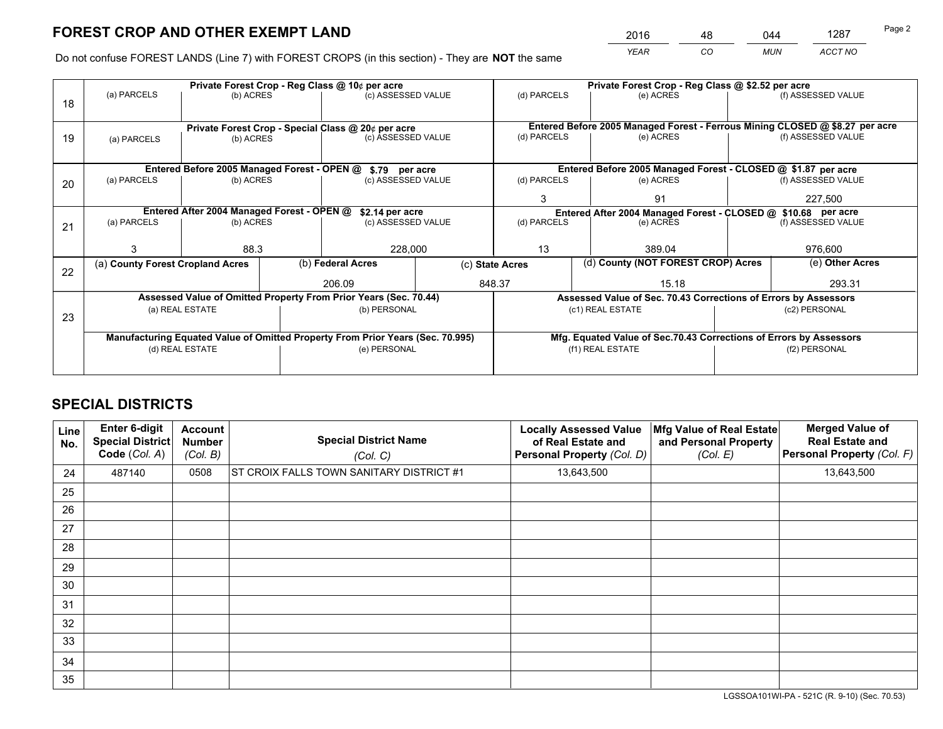*YEAR CO MUN ACCT NO* 2016 <u>48 044 1287 48</u>

Do not confuse FOREST LANDS (Line 7) with FOREST CROPS (in this section) - They are **NOT** the same

|    |                                                                 |                                             |  | Private Forest Crop - Reg Class @ 10¢ per acre                                 |           | Private Forest Crop - Reg Class @ \$2.52 per acre                            |                                                                    |  |                    |  |
|----|-----------------------------------------------------------------|---------------------------------------------|--|--------------------------------------------------------------------------------|-----------|------------------------------------------------------------------------------|--------------------------------------------------------------------|--|--------------------|--|
| 18 | (a) PARCELS                                                     | (b) ACRES                                   |  | (c) ASSESSED VALUE                                                             |           | (d) PARCELS                                                                  | (e) ACRES                                                          |  | (f) ASSESSED VALUE |  |
|    |                                                                 |                                             |  |                                                                                |           | Entered Before 2005 Managed Forest - Ferrous Mining CLOSED @ \$8.27 per acre |                                                                    |  |                    |  |
| 19 | Private Forest Crop - Special Class @ 20¢ per acre<br>(b) ACRES |                                             |  |                                                                                |           | (d) PARCELS                                                                  | (e) ACRES                                                          |  | (f) ASSESSED VALUE |  |
|    | (c) ASSESSED VALUE<br>(a) PARCELS                               |                                             |  |                                                                                |           |                                                                              |                                                                    |  |                    |  |
|    |                                                                 |                                             |  |                                                                                |           |                                                                              |                                                                    |  |                    |  |
|    |                                                                 | Entered Before 2005 Managed Forest - OPEN @ |  | \$.79 per acre                                                                 |           |                                                                              | Entered Before 2005 Managed Forest - CLOSED @ \$1.87 per acre      |  |                    |  |
| 20 | (a) PARCELS<br>(c) ASSESSED VALUE<br>(b) ACRES                  |                                             |  | (d) PARCELS                                                                    | (e) ACRES |                                                                              | (f) ASSESSED VALUE                                                 |  |                    |  |
|    |                                                                 |                                             |  | 3                                                                              | 91        |                                                                              | 227,500                                                            |  |                    |  |
|    |                                                                 |                                             |  |                                                                                |           |                                                                              |                                                                    |  |                    |  |
|    | Entered After 2004 Managed Forest - OPEN @                      |                                             |  | \$2.14 per acre                                                                |           |                                                                              | Entered After 2004 Managed Forest - CLOSED @ \$10.68 per acre      |  |                    |  |
| 21 | (a) PARCELS                                                     | (b) ACRES                                   |  | (c) ASSESSED VALUE                                                             |           | (d) PARCELS<br>(e) ACRES                                                     |                                                                    |  | (f) ASSESSED VALUE |  |
|    |                                                                 |                                             |  |                                                                                |           |                                                                              |                                                                    |  |                    |  |
|    |                                                                 | 88.3                                        |  | 228,000                                                                        |           | 13                                                                           | 389.04                                                             |  | 976,600            |  |
|    | (a) County Forest Cropland Acres                                |                                             |  | (b) Federal Acres                                                              |           | (d) County (NOT FOREST CROP) Acres<br>(c) State Acres                        |                                                                    |  | (e) Other Acres    |  |
| 22 |                                                                 |                                             |  |                                                                                |           |                                                                              |                                                                    |  |                    |  |
|    |                                                                 |                                             |  | 206.09                                                                         |           | 848.37                                                                       | 15.18                                                              |  | 293.31             |  |
|    |                                                                 |                                             |  | Assessed Value of Omitted Property From Prior Years (Sec. 70.44)               |           |                                                                              | Assessed Value of Sec. 70.43 Corrections of Errors by Assessors    |  |                    |  |
|    |                                                                 | (a) REAL ESTATE                             |  | (b) PERSONAL                                                                   |           |                                                                              | (c1) REAL ESTATE                                                   |  | (c2) PERSONAL      |  |
| 23 |                                                                 |                                             |  |                                                                                |           |                                                                              |                                                                    |  |                    |  |
|    |                                                                 |                                             |  | Manufacturing Equated Value of Omitted Property From Prior Years (Sec. 70.995) |           |                                                                              | Mfg. Equated Value of Sec.70.43 Corrections of Errors by Assessors |  |                    |  |
|    |                                                                 | (d) REAL ESTATE                             |  | (e) PERSONAL                                                                   |           |                                                                              | (f1) REAL ESTATE                                                   |  | (f2) PERSONAL      |  |
|    |                                                                 |                                             |  |                                                                                |           |                                                                              |                                                                    |  |                    |  |
|    |                                                                 |                                             |  |                                                                                |           |                                                                              |                                                                    |  |                    |  |

# **SPECIAL DISTRICTS**

| Line<br>No. | Enter 6-digit<br><b>Special District</b><br>Code (Col. A) | <b>Account</b><br><b>Number</b><br>(Col. B) | <b>Special District Name</b><br>(Col. C) | <b>Locally Assessed Value</b><br>of Real Estate and<br>Personal Property (Col. D) | Mfg Value of Real Estate<br>and Personal Property<br>(Col. E) | <b>Merged Value of</b><br><b>Real Estate and</b><br>Personal Property (Col. F) |
|-------------|-----------------------------------------------------------|---------------------------------------------|------------------------------------------|-----------------------------------------------------------------------------------|---------------------------------------------------------------|--------------------------------------------------------------------------------|
| 24          | 487140                                                    | 0508                                        | ST CROIX FALLS TOWN SANITARY DISTRICT #1 | 13,643,500                                                                        |                                                               | 13,643,500                                                                     |
| 25          |                                                           |                                             |                                          |                                                                                   |                                                               |                                                                                |
| 26          |                                                           |                                             |                                          |                                                                                   |                                                               |                                                                                |
| 27          |                                                           |                                             |                                          |                                                                                   |                                                               |                                                                                |
| 28          |                                                           |                                             |                                          |                                                                                   |                                                               |                                                                                |
| 29          |                                                           |                                             |                                          |                                                                                   |                                                               |                                                                                |
| 30          |                                                           |                                             |                                          |                                                                                   |                                                               |                                                                                |
| 31          |                                                           |                                             |                                          |                                                                                   |                                                               |                                                                                |
| 32          |                                                           |                                             |                                          |                                                                                   |                                                               |                                                                                |
| 33          |                                                           |                                             |                                          |                                                                                   |                                                               |                                                                                |
| 34          |                                                           |                                             |                                          |                                                                                   |                                                               |                                                                                |
| 35          |                                                           |                                             |                                          |                                                                                   |                                                               |                                                                                |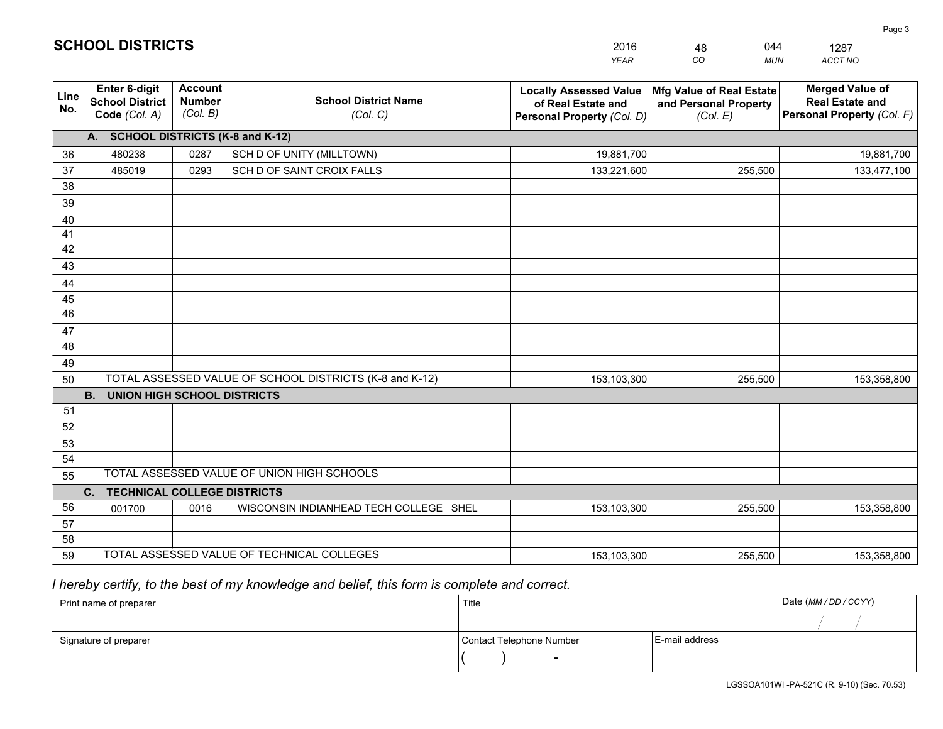|                 |                                                                                     |                                             |                                                         | <b>YEAR</b>                                                                       | CO<br><b>MUN</b>                                              | ACCT NO                                                                        |  |  |  |
|-----------------|-------------------------------------------------------------------------------------|---------------------------------------------|---------------------------------------------------------|-----------------------------------------------------------------------------------|---------------------------------------------------------------|--------------------------------------------------------------------------------|--|--|--|
| Line<br>No.     | <b>Enter 6-digit</b><br><b>School District</b><br>Code (Col. A)                     | <b>Account</b><br><b>Number</b><br>(Col. B) | <b>School District Name</b><br>(Col. C)                 | <b>Locally Assessed Value</b><br>of Real Estate and<br>Personal Property (Col. D) | Mfg Value of Real Estate<br>and Personal Property<br>(Col. E) | <b>Merged Value of</b><br><b>Real Estate and</b><br>Personal Property (Col. F) |  |  |  |
|                 | A. SCHOOL DISTRICTS (K-8 and K-12)                                                  |                                             |                                                         |                                                                                   |                                                               |                                                                                |  |  |  |
| 36              | 480238                                                                              | 0287                                        | SCH D OF UNITY (MILLTOWN)                               | 19,881,700                                                                        |                                                               | 19,881,700                                                                     |  |  |  |
| 37              | 485019                                                                              | 0293                                        | SCH D OF SAINT CROIX FALLS                              | 133,221,600                                                                       | 255,500                                                       | 133,477,100                                                                    |  |  |  |
| 38              |                                                                                     |                                             |                                                         |                                                                                   |                                                               |                                                                                |  |  |  |
| 39              |                                                                                     |                                             |                                                         |                                                                                   |                                                               |                                                                                |  |  |  |
| 40              |                                                                                     |                                             |                                                         |                                                                                   |                                                               |                                                                                |  |  |  |
| 41              |                                                                                     |                                             |                                                         |                                                                                   |                                                               |                                                                                |  |  |  |
| 42              |                                                                                     |                                             |                                                         |                                                                                   |                                                               |                                                                                |  |  |  |
| 43              |                                                                                     |                                             |                                                         |                                                                                   |                                                               |                                                                                |  |  |  |
| 44<br>45        |                                                                                     |                                             |                                                         |                                                                                   |                                                               |                                                                                |  |  |  |
| $\overline{46}$ |                                                                                     |                                             |                                                         |                                                                                   |                                                               |                                                                                |  |  |  |
| 47              |                                                                                     |                                             |                                                         |                                                                                   |                                                               |                                                                                |  |  |  |
| 48              |                                                                                     |                                             |                                                         |                                                                                   |                                                               |                                                                                |  |  |  |
| 49              |                                                                                     |                                             |                                                         |                                                                                   |                                                               |                                                                                |  |  |  |
| 50              |                                                                                     |                                             | TOTAL ASSESSED VALUE OF SCHOOL DISTRICTS (K-8 and K-12) | 153,103,300                                                                       | 255,500                                                       | 153,358,800                                                                    |  |  |  |
|                 | <b>B.</b><br><b>UNION HIGH SCHOOL DISTRICTS</b>                                     |                                             |                                                         |                                                                                   |                                                               |                                                                                |  |  |  |
| 51              |                                                                                     |                                             |                                                         |                                                                                   |                                                               |                                                                                |  |  |  |
| 52              |                                                                                     |                                             |                                                         |                                                                                   |                                                               |                                                                                |  |  |  |
| 53              |                                                                                     |                                             |                                                         |                                                                                   |                                                               |                                                                                |  |  |  |
| 54              |                                                                                     |                                             |                                                         |                                                                                   |                                                               |                                                                                |  |  |  |
| 55              |                                                                                     |                                             | TOTAL ASSESSED VALUE OF UNION HIGH SCHOOLS              |                                                                                   |                                                               |                                                                                |  |  |  |
|                 | C.<br><b>TECHNICAL COLLEGE DISTRICTS</b>                                            |                                             |                                                         |                                                                                   |                                                               |                                                                                |  |  |  |
| 56              | 001700                                                                              | 0016                                        | WISCONSIN INDIANHEAD TECH COLLEGE SHEL                  | 153,103,300                                                                       | 255,500                                                       | 153,358,800                                                                    |  |  |  |
| 57              |                                                                                     |                                             |                                                         |                                                                                   |                                                               |                                                                                |  |  |  |
| 58<br>59        |                                                                                     |                                             |                                                         |                                                                                   |                                                               |                                                                                |  |  |  |
|                 | TOTAL ASSESSED VALUE OF TECHNICAL COLLEGES<br>255,500<br>153,358,800<br>153,103,300 |                                             |                                                         |                                                                                   |                                                               |                                                                                |  |  |  |

48

044

 *I hereby certify, to the best of my knowledge and belief, this form is complete and correct.*

**SCHOOL DISTRICTS**

| Print name of preparer | Title                    |                | Date (MM / DD / CCYY) |
|------------------------|--------------------------|----------------|-----------------------|
|                        |                          |                |                       |
| Signature of preparer  | Contact Telephone Number | E-mail address |                       |
|                        | $\overline{\phantom{0}}$ |                |                       |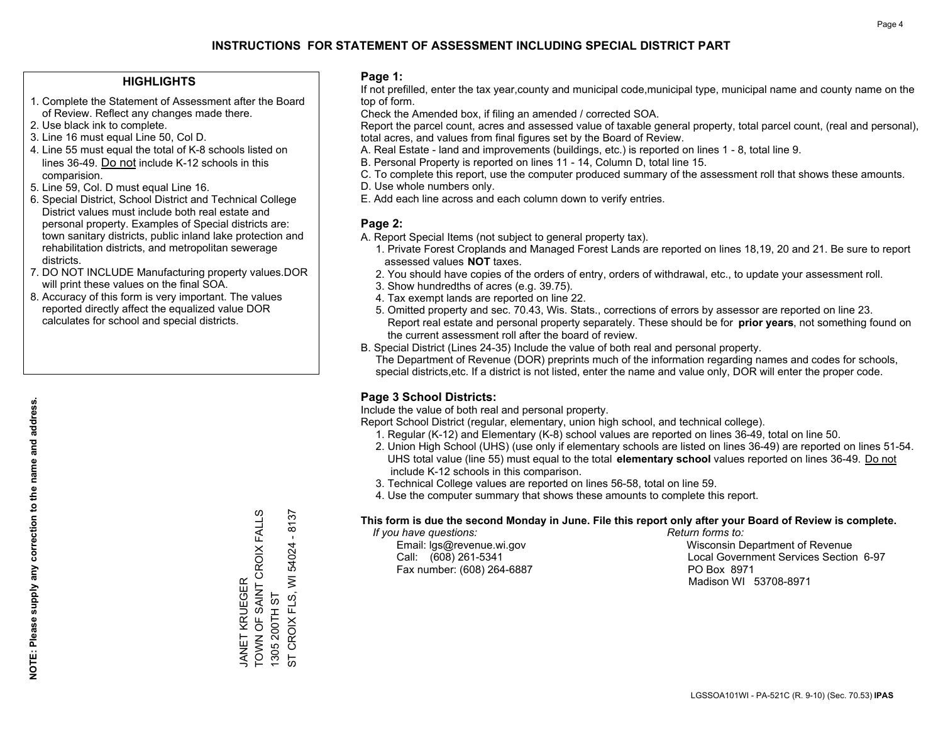### **HIGHLIGHTS**

- 1. Complete the Statement of Assessment after the Board of Review. Reflect any changes made there.
- 2. Use black ink to complete.
- 3. Line 16 must equal Line 50, Col D.
- 4. Line 55 must equal the total of K-8 schools listed on lines 36-49. Do not include K-12 schools in this comparision.
- 5. Line 59, Col. D must equal Line 16.
- 6. Special District, School District and Technical College District values must include both real estate and personal property. Examples of Special districts are: town sanitary districts, public inland lake protection and rehabilitation districts, and metropolitan sewerage districts.
- 7. DO NOT INCLUDE Manufacturing property values.DOR will print these values on the final SOA.
- 8. Accuracy of this form is very important. The values reported directly affect the equalized value DOR calculates for school and special districts.

### **Page 1:**

 If not prefilled, enter the tax year,county and municipal code,municipal type, municipal name and county name on the top of form.

Check the Amended box, if filing an amended / corrected SOA.

 Report the parcel count, acres and assessed value of taxable general property, total parcel count, (real and personal), total acres, and values from final figures set by the Board of Review.

- A. Real Estate land and improvements (buildings, etc.) is reported on lines 1 8, total line 9.
- B. Personal Property is reported on lines 11 14, Column D, total line 15.
- C. To complete this report, use the computer produced summary of the assessment roll that shows these amounts.
- D. Use whole numbers only.
- E. Add each line across and each column down to verify entries.

### **Page 2:**

- A. Report Special Items (not subject to general property tax).
- 1. Private Forest Croplands and Managed Forest Lands are reported on lines 18,19, 20 and 21. Be sure to report assessed values **NOT** taxes.
- 2. You should have copies of the orders of entry, orders of withdrawal, etc., to update your assessment roll.
	- 3. Show hundredths of acres (e.g. 39.75).
- 4. Tax exempt lands are reported on line 22.
- 5. Omitted property and sec. 70.43, Wis. Stats., corrections of errors by assessor are reported on line 23. Report real estate and personal property separately. These should be for **prior years**, not something found on the current assessment roll after the board of review.
- B. Special District (Lines 24-35) Include the value of both real and personal property.
- The Department of Revenue (DOR) preprints much of the information regarding names and codes for schools, special districts,etc. If a district is not listed, enter the name and value only, DOR will enter the proper code.

## **Page 3 School Districts:**

Include the value of both real and personal property.

Report School District (regular, elementary, union high school, and technical college).

- 1. Regular (K-12) and Elementary (K-8) school values are reported on lines 36-49, total on line 50.
- 2. Union High School (UHS) (use only if elementary schools are listed on lines 36-49) are reported on lines 51-54. UHS total value (line 55) must equal to the total **elementary school** values reported on lines 36-49. Do notinclude K-12 schools in this comparison.
- 3. Technical College values are reported on lines 56-58, total on line 59.
- 4. Use the computer summary that shows these amounts to complete this report.

### **This form is due the second Monday in June. File this report only after your Board of Review is complete.**

 *If you have questions: Return forms to:*

Fax number: (608) 264-6887 PO Box 8971

 Email: lgs@revenue.wi.gov Wisconsin Department of Revenue Call: (608) 261-5341 Local Government Services Section 6-97Madison WI 53708-8971

TOWN OF SAINT CROIX FALLS  $-8137$ JANET KRUEGER<br>TOWN OF SAINT CROIX FALLS ST CROIX FLS, WI 54024 - 8137 54024 CROIX FLS, WI JANET KRUEGER 1305 200TH ST 1305 200TH ST  $\overline{5}$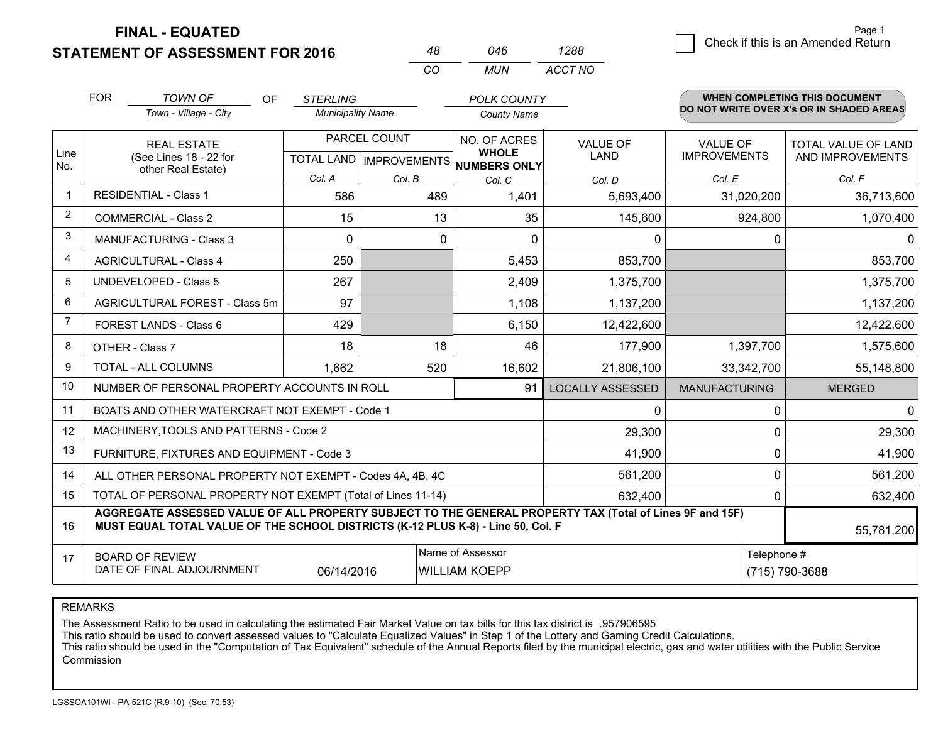**FINAL - EQUATED**

**STATEMENT OF ASSESSMENT FOR 2016** 

|                | <b>FOR</b>                     | <b>TOWN OF</b><br><b>OF</b>                                                                                                                                                                  | <b>STERLING</b> |                          | <b>POLK COUNTY</b>                                       |                         |                                          | <b>WHEN COMPLETING THIS DOCUMENT</b> |  |
|----------------|--------------------------------|----------------------------------------------------------------------------------------------------------------------------------------------------------------------------------------------|-----------------|--------------------------|----------------------------------------------------------|-------------------------|------------------------------------------|--------------------------------------|--|
|                |                                | Town - Village - City                                                                                                                                                                        |                 | <b>Municipality Name</b> |                                                          |                         | DO NOT WRITE OVER X's OR IN SHADED AREAS |                                      |  |
|                |                                | <b>REAL ESTATE</b>                                                                                                                                                                           |                 | PARCEL COUNT             | NO. OF ACRES                                             | <b>VALUE OF</b>         | <b>VALUE OF</b>                          | TOTAL VALUE OF LAND                  |  |
| Line<br>No.    |                                | (See Lines 18 - 22 for                                                                                                                                                                       |                 |                          | <b>WHOLE</b><br>TOTAL LAND   IMPROVEMENTS   NUMBERS ONLY | LAND                    | <b>IMPROVEMENTS</b>                      | AND IMPROVEMENTS                     |  |
|                | other Real Estate)             |                                                                                                                                                                                              | Col. A          | Col. B                   | Col. C                                                   | Col. D                  | Col. E                                   | Col. F                               |  |
| 1              |                                | <b>RESIDENTIAL - Class 1</b>                                                                                                                                                                 | 586             | 489                      | 1,401                                                    | 5,693,400               | 31,020,200                               | 36,713,600                           |  |
| $\overline{2}$ | <b>COMMERCIAL - Class 2</b>    |                                                                                                                                                                                              | 15              | 13                       | 35                                                       | 145,600                 | 924,800                                  | 1,070,400                            |  |
| 3              | <b>MANUFACTURING - Class 3</b> |                                                                                                                                                                                              | 0               | $\Omega$                 | $\Omega$                                                 | 0                       | 0                                        | 0                                    |  |
| 4              |                                | <b>AGRICULTURAL - Class 4</b>                                                                                                                                                                | 250             |                          | 5,453                                                    | 853,700                 |                                          | 853,700                              |  |
| 5              |                                | <b>UNDEVELOPED - Class 5</b>                                                                                                                                                                 | 267             |                          | 2,409                                                    | 1,375,700               |                                          | 1,375,700                            |  |
| 6              | AGRICULTURAL FOREST - Class 5m |                                                                                                                                                                                              | 97              |                          | 1,108                                                    | 1,137,200               |                                          | 1,137,200                            |  |
| $\overline{7}$ | FOREST LANDS - Class 6         |                                                                                                                                                                                              | 429             |                          | 6,150                                                    | 12,422,600              |                                          | 12,422,600                           |  |
| 8              |                                | OTHER - Class 7                                                                                                                                                                              | 18              | 18                       | 46                                                       | 177,900                 | 1,397,700                                | 1,575,600                            |  |
| 9              |                                | TOTAL - ALL COLUMNS                                                                                                                                                                          | 1,662           | 520                      | 16,602                                                   | 21,806,100              | 33,342,700                               | 55,148,800                           |  |
| 10             |                                | NUMBER OF PERSONAL PROPERTY ACCOUNTS IN ROLL                                                                                                                                                 |                 |                          | 91                                                       | <b>LOCALLY ASSESSED</b> | <b>MANUFACTURING</b>                     | <b>MERGED</b>                        |  |
| 11             |                                | BOATS AND OTHER WATERCRAFT NOT EXEMPT - Code 1                                                                                                                                               |                 |                          |                                                          | $\Omega$                | 0                                        | $\mathbf 0$                          |  |
| 12             |                                | MACHINERY, TOOLS AND PATTERNS - Code 2                                                                                                                                                       |                 |                          |                                                          | 29,300                  | 0                                        | 29,300                               |  |
| 13             |                                | FURNITURE, FIXTURES AND EQUIPMENT - Code 3                                                                                                                                                   |                 |                          |                                                          | 41,900                  | $\pmb{0}$                                | 41,900                               |  |
| 14             |                                | ALL OTHER PERSONAL PROPERTY NOT EXEMPT - Codes 4A, 4B, 4C                                                                                                                                    |                 |                          |                                                          | 561,200                 | 0                                        | 561,200                              |  |
| 15             |                                | TOTAL OF PERSONAL PROPERTY NOT EXEMPT (Total of Lines 11-14)                                                                                                                                 |                 |                          |                                                          | 632,400                 | 0                                        | 632,400                              |  |
| 16             |                                | AGGREGATE ASSESSED VALUE OF ALL PROPERTY SUBJECT TO THE GENERAL PROPERTY TAX (Total of Lines 9F and 15F)<br>MUST EQUAL TOTAL VALUE OF THE SCHOOL DISTRICTS (K-12 PLUS K-8) - Line 50, Col. F |                 |                          |                                                          |                         |                                          | 55,781,200                           |  |
| 17             |                                | <b>BOARD OF REVIEW</b>                                                                                                                                                                       |                 |                          | Name of Assessor                                         |                         | Telephone #                              |                                      |  |
|                |                                | DATE OF FINAL ADJOURNMENT                                                                                                                                                                    | 06/14/2016      |                          | <b>WILLIAM KOEPP</b>                                     |                         |                                          | (715) 790-3688                       |  |

*MUN*

*ACCT NO1288*

*<sup>48</sup> <sup>046</sup>*

*CO*

REMARKS

The Assessment Ratio to be used in calculating the estimated Fair Market Value on tax bills for this tax district is .957906595<br>This ratio should be used to convert assessed values to "Calculate Equalized Values" in Step 1 Commission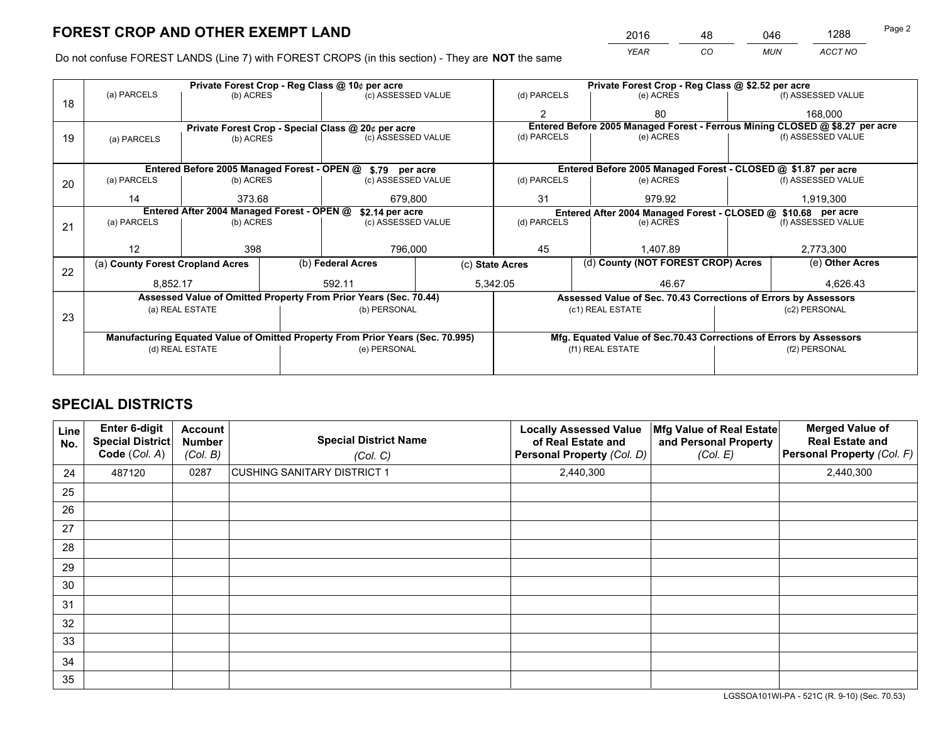*YEAR CO MUN ACCT NO* <sup>2016</sup> <sup>48</sup> <sup>046</sup> <sup>1288</sup>

Do not confuse FOREST LANDS (Line 7) with FOREST CROPS (in this section) - They are **NOT** the same

|    |                                                                                |                                 |  | Private Forest Crop - Reg Class @ 10¢ per acre                   | Private Forest Crop - Reg Class @ \$2.52 per acre |                                                                              |  |                                                                 |               |                                                                    |
|----|--------------------------------------------------------------------------------|---------------------------------|--|------------------------------------------------------------------|---------------------------------------------------|------------------------------------------------------------------------------|--|-----------------------------------------------------------------|---------------|--------------------------------------------------------------------|
| 18 | (a) PARCELS                                                                    | (b) ACRES                       |  | (c) ASSESSED VALUE                                               |                                                   | (d) PARCELS                                                                  |  | (e) ACRES                                                       |               | (f) ASSESSED VALUE                                                 |
|    |                                                                                |                                 |  |                                                                  |                                                   | $\mathfrak{p}$                                                               |  | 80                                                              |               | 168,000                                                            |
|    | Private Forest Crop - Special Class @ 20¢ per acre                             |                                 |  |                                                                  |                                                   | Entered Before 2005 Managed Forest - Ferrous Mining CLOSED @ \$8.27 per acre |  |                                                                 |               |                                                                    |
| 19 | (a) PARCELS                                                                    | (b) ACRES                       |  | (c) ASSESSED VALUE                                               |                                                   | (d) PARCELS                                                                  |  | (e) ACRES                                                       |               | (f) ASSESSED VALUE                                                 |
|    |                                                                                |                                 |  |                                                                  |                                                   |                                                                              |  |                                                                 |               |                                                                    |
|    |                                                                                |                                 |  | Entered Before 2005 Managed Forest - OPEN @ \$.79 per acre       |                                                   |                                                                              |  | Entered Before 2005 Managed Forest - CLOSED @ \$1.87 per acre   |               |                                                                    |
| 20 | (a) PARCELS                                                                    | (b) ACRES                       |  | (c) ASSESSED VALUE                                               |                                                   | (d) PARCELS                                                                  |  | (e) ACRES                                                       |               | (f) ASSESSED VALUE                                                 |
|    | 14                                                                             | 373.68                          |  | 679.800                                                          | 31                                                |                                                                              |  | 979.92                                                          |               | 1,919,300                                                          |
|    | Entered After 2004 Managed Forest - OPEN @<br>\$2.14 per acre                  |                                 |  |                                                                  |                                                   | Entered After 2004 Managed Forest - CLOSED @ \$10.68 per acre                |  |                                                                 |               |                                                                    |
| 21 | (a) PARCELS                                                                    | (b) ACRES                       |  | (c) ASSESSED VALUE                                               |                                                   | (d) PARCELS                                                                  |  | (e) ACRES                                                       |               | (f) ASSESSED VALUE                                                 |
|    |                                                                                |                                 |  |                                                                  |                                                   |                                                                              |  |                                                                 |               |                                                                    |
|    | 12                                                                             | 398                             |  | 796,000                                                          |                                                   | 45                                                                           |  | 1.407.89                                                        |               | 2,773,300                                                          |
| 22 | (a) County Forest Cropland Acres                                               |                                 |  | (b) Federal Acres                                                |                                                   | (c) State Acres                                                              |  | (d) County (NOT FOREST CROP) Acres                              |               | (e) Other Acres                                                    |
|    | 8,852.17                                                                       |                                 |  | 592.11                                                           |                                                   | 5,342.05<br>46.67                                                            |  |                                                                 | 4,626.43      |                                                                    |
|    |                                                                                |                                 |  | Assessed Value of Omitted Property From Prior Years (Sec. 70.44) |                                                   |                                                                              |  | Assessed Value of Sec. 70.43 Corrections of Errors by Assessors |               |                                                                    |
|    |                                                                                | (a) REAL ESTATE                 |  | (b) PERSONAL                                                     |                                                   | (c1) REAL ESTATE                                                             |  | (c2) PERSONAL                                                   |               |                                                                    |
| 23 |                                                                                |                                 |  |                                                                  |                                                   |                                                                              |  |                                                                 |               |                                                                    |
|    | Manufacturing Equated Value of Omitted Property From Prior Years (Sec. 70.995) |                                 |  |                                                                  |                                                   |                                                                              |  |                                                                 |               | Mfg. Equated Value of Sec.70.43 Corrections of Errors by Assessors |
|    |                                                                                | (e) PERSONAL<br>(d) REAL ESTATE |  |                                                                  | (f1) REAL ESTATE                                  |                                                                              |  |                                                                 | (f2) PERSONAL |                                                                    |
|    |                                                                                |                                 |  |                                                                  |                                                   |                                                                              |  |                                                                 |               |                                                                    |

## **SPECIAL DISTRICTS**

| <b>Line</b><br>No. | Enter 6-digit<br><b>Special District</b><br>Code (Col. A) | <b>Account</b><br><b>Number</b><br>(Col. B) | <b>Special District Name</b><br>(Col. C) | <b>Locally Assessed Value</b><br>of Real Estate and<br>Personal Property (Col. D) | Mfg Value of Real Estate<br>and Personal Property<br>(Col. E) | <b>Merged Value of</b><br><b>Real Estate and</b><br>Personal Property (Col. F) |
|--------------------|-----------------------------------------------------------|---------------------------------------------|------------------------------------------|-----------------------------------------------------------------------------------|---------------------------------------------------------------|--------------------------------------------------------------------------------|
| 24                 | 487120                                                    | 0287                                        | CUSHING SANITARY DISTRICT 1              | 2,440,300                                                                         |                                                               | 2,440,300                                                                      |
| 25                 |                                                           |                                             |                                          |                                                                                   |                                                               |                                                                                |
| 26                 |                                                           |                                             |                                          |                                                                                   |                                                               |                                                                                |
| 27                 |                                                           |                                             |                                          |                                                                                   |                                                               |                                                                                |
| 28                 |                                                           |                                             |                                          |                                                                                   |                                                               |                                                                                |
| 29                 |                                                           |                                             |                                          |                                                                                   |                                                               |                                                                                |
| 30                 |                                                           |                                             |                                          |                                                                                   |                                                               |                                                                                |
| 31                 |                                                           |                                             |                                          |                                                                                   |                                                               |                                                                                |
| 32                 |                                                           |                                             |                                          |                                                                                   |                                                               |                                                                                |
| 33                 |                                                           |                                             |                                          |                                                                                   |                                                               |                                                                                |
| 34                 |                                                           |                                             |                                          |                                                                                   |                                                               |                                                                                |
| 35                 |                                                           |                                             |                                          |                                                                                   |                                                               |                                                                                |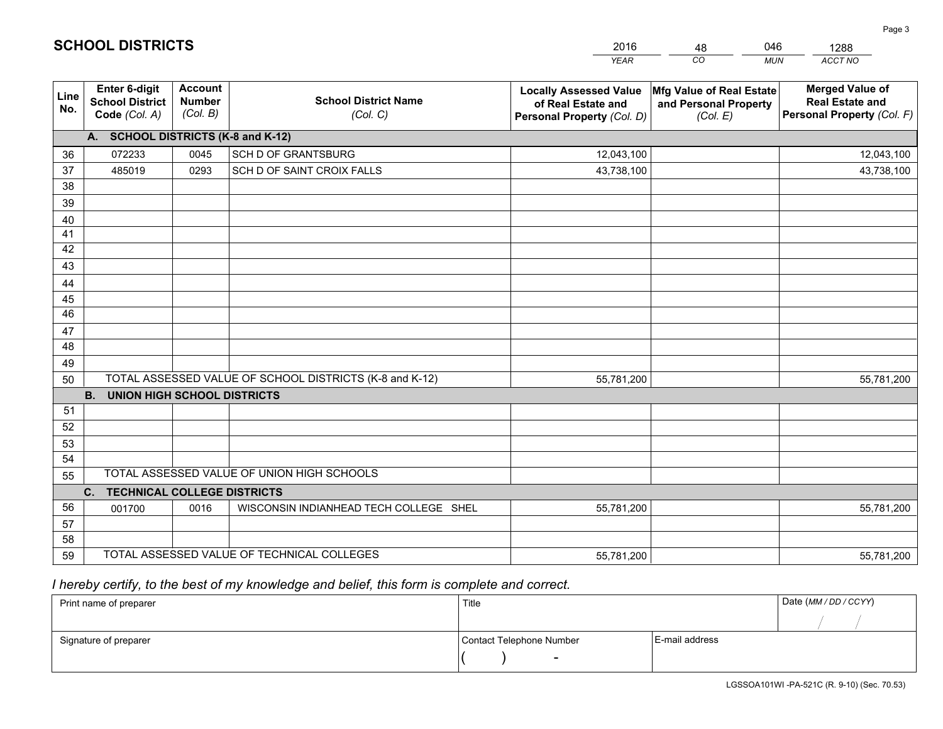|             |                                                          |                                                                                        |                                                         | <b>YEAR</b>                                                                       | CO<br><b>MUN</b>                                              | ACCT NO                                                                        |
|-------------|----------------------------------------------------------|----------------------------------------------------------------------------------------|---------------------------------------------------------|-----------------------------------------------------------------------------------|---------------------------------------------------------------|--------------------------------------------------------------------------------|
| Line<br>No. | Enter 6-digit<br><b>School District</b><br>Code (Col. A) | <b>Account</b><br><b>School District Name</b><br><b>Number</b><br>(Col. B)<br>(Col. C) |                                                         | <b>Locally Assessed Value</b><br>of Real Estate and<br>Personal Property (Col. D) | Mfg Value of Real Estate<br>and Personal Property<br>(Col. E) | <b>Merged Value of</b><br><b>Real Estate and</b><br>Personal Property (Col. F) |
|             | A. SCHOOL DISTRICTS (K-8 and K-12)                       |                                                                                        |                                                         |                                                                                   |                                                               |                                                                                |
| 36          | 072233                                                   | 0045                                                                                   | SCH D OF GRANTSBURG                                     | 12,043,100                                                                        |                                                               | 12,043,100                                                                     |
| 37          | 485019                                                   | 0293                                                                                   | SCH D OF SAINT CROIX FALLS                              | 43,738,100                                                                        |                                                               | 43,738,100                                                                     |
| 38          |                                                          |                                                                                        |                                                         |                                                                                   |                                                               |                                                                                |
| 39          |                                                          |                                                                                        |                                                         |                                                                                   |                                                               |                                                                                |
| 40          |                                                          |                                                                                        |                                                         |                                                                                   |                                                               |                                                                                |
| 41          |                                                          |                                                                                        |                                                         |                                                                                   |                                                               |                                                                                |
| 42          |                                                          |                                                                                        |                                                         |                                                                                   |                                                               |                                                                                |
| 43          |                                                          |                                                                                        |                                                         |                                                                                   |                                                               |                                                                                |
| 44          |                                                          |                                                                                        |                                                         |                                                                                   |                                                               |                                                                                |
| 45<br>46    |                                                          |                                                                                        |                                                         |                                                                                   |                                                               |                                                                                |
|             |                                                          |                                                                                        |                                                         |                                                                                   |                                                               |                                                                                |
| 47<br>48    |                                                          |                                                                                        |                                                         |                                                                                   |                                                               |                                                                                |
| 49          |                                                          |                                                                                        |                                                         |                                                                                   |                                                               |                                                                                |
| 50          |                                                          |                                                                                        | TOTAL ASSESSED VALUE OF SCHOOL DISTRICTS (K-8 and K-12) | 55,781,200                                                                        |                                                               | 55,781,200                                                                     |
|             | <b>B.</b><br><b>UNION HIGH SCHOOL DISTRICTS</b>          |                                                                                        |                                                         |                                                                                   |                                                               |                                                                                |
| 51          |                                                          |                                                                                        |                                                         |                                                                                   |                                                               |                                                                                |
| 52          |                                                          |                                                                                        |                                                         |                                                                                   |                                                               |                                                                                |
| 53          |                                                          |                                                                                        |                                                         |                                                                                   |                                                               |                                                                                |
| 54          |                                                          |                                                                                        |                                                         |                                                                                   |                                                               |                                                                                |
| 55          |                                                          |                                                                                        | TOTAL ASSESSED VALUE OF UNION HIGH SCHOOLS              |                                                                                   |                                                               |                                                                                |
|             | <b>TECHNICAL COLLEGE DISTRICTS</b><br>C.                 |                                                                                        |                                                         |                                                                                   |                                                               |                                                                                |
| 56          | 001700                                                   | 0016                                                                                   | WISCONSIN INDIANHEAD TECH COLLEGE SHEL                  | 55,781,200                                                                        |                                                               | 55,781,200                                                                     |
| 57          |                                                          |                                                                                        |                                                         |                                                                                   |                                                               |                                                                                |
| 58          |                                                          |                                                                                        |                                                         |                                                                                   |                                                               |                                                                                |
| 59          |                                                          |                                                                                        | TOTAL ASSESSED VALUE OF TECHNICAL COLLEGES              | 55,781,200                                                                        |                                                               | 55,781,200                                                                     |

48

046

# *I hereby certify, to the best of my knowledge and belief, this form is complete and correct.*

**SCHOOL DISTRICTS**

| Print name of preparer | Title                    |                | Date (MM / DD / CCYY) |
|------------------------|--------------------------|----------------|-----------------------|
|                        |                          |                |                       |
| Signature of preparer  | Contact Telephone Number | E-mail address |                       |
|                        | $\overline{\phantom{0}}$ |                |                       |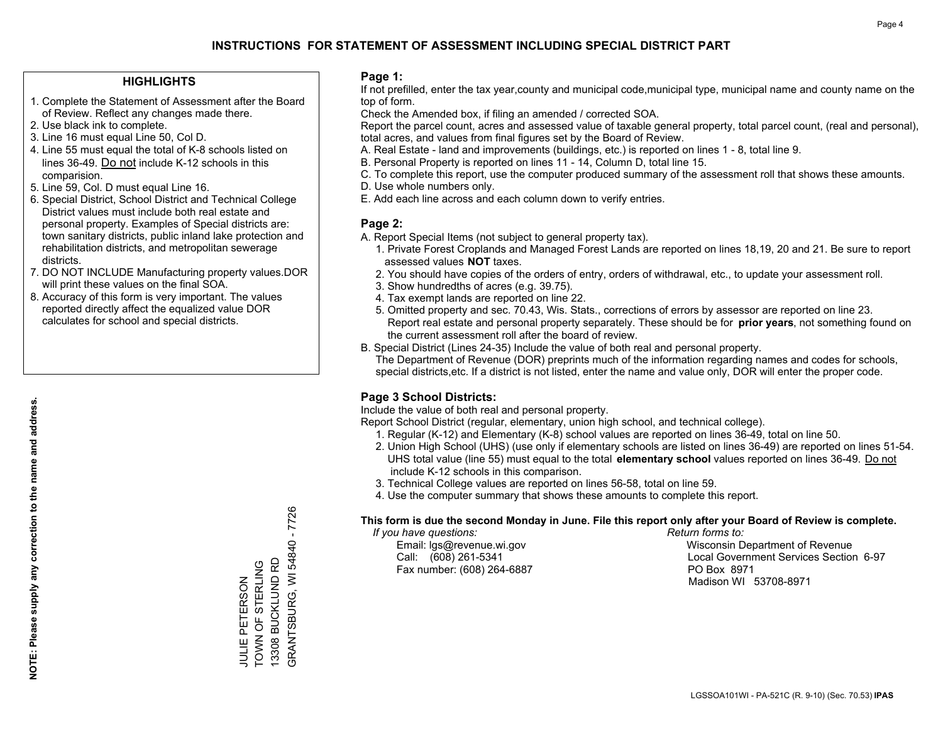### **HIGHLIGHTS**

- 1. Complete the Statement of Assessment after the Board of Review. Reflect any changes made there.
- 2. Use black ink to complete.
- 3. Line 16 must equal Line 50, Col D.
- 4. Line 55 must equal the total of K-8 schools listed on lines 36-49. Do not include K-12 schools in this comparision.
- 5. Line 59, Col. D must equal Line 16.
- 6. Special District, School District and Technical College District values must include both real estate and personal property. Examples of Special districts are: town sanitary districts, public inland lake protection and rehabilitation districts, and metropolitan sewerage districts.
- 7. DO NOT INCLUDE Manufacturing property values.DOR will print these values on the final SOA.

JULIE PETERSON TOWN OF STERLING 13308 BUCKLUND RD GRANTSBURG, WI 54840 - 7726

GRANTSBURG, WI 54840 - 7726

13308 BUCKLUND RD JULIE PETERSON<br>TOWN OF STERLING

 8. Accuracy of this form is very important. The values reported directly affect the equalized value DOR calculates for school and special districts.

### **Page 1:**

 If not prefilled, enter the tax year,county and municipal code,municipal type, municipal name and county name on the top of form.

Check the Amended box, if filing an amended / corrected SOA.

 Report the parcel count, acres and assessed value of taxable general property, total parcel count, (real and personal), total acres, and values from final figures set by the Board of Review.

- A. Real Estate land and improvements (buildings, etc.) is reported on lines 1 8, total line 9.
- B. Personal Property is reported on lines 11 14, Column D, total line 15.
- C. To complete this report, use the computer produced summary of the assessment roll that shows these amounts.
- D. Use whole numbers only.
- E. Add each line across and each column down to verify entries.

### **Page 2:**

- A. Report Special Items (not subject to general property tax).
- 1. Private Forest Croplands and Managed Forest Lands are reported on lines 18,19, 20 and 21. Be sure to report assessed values **NOT** taxes.
- 2. You should have copies of the orders of entry, orders of withdrawal, etc., to update your assessment roll.
	- 3. Show hundredths of acres (e.g. 39.75).
- 4. Tax exempt lands are reported on line 22.
- 5. Omitted property and sec. 70.43, Wis. Stats., corrections of errors by assessor are reported on line 23. Report real estate and personal property separately. These should be for **prior years**, not something found on the current assessment roll after the board of review.
- B. Special District (Lines 24-35) Include the value of both real and personal property.
- The Department of Revenue (DOR) preprints much of the information regarding names and codes for schools, special districts,etc. If a district is not listed, enter the name and value only, DOR will enter the proper code.

## **Page 3 School Districts:**

Include the value of both real and personal property.

Report School District (regular, elementary, union high school, and technical college).

- 1. Regular (K-12) and Elementary (K-8) school values are reported on lines 36-49, total on line 50.
- 2. Union High School (UHS) (use only if elementary schools are listed on lines 36-49) are reported on lines 51-54. UHS total value (line 55) must equal to the total **elementary school** values reported on lines 36-49. Do notinclude K-12 schools in this comparison.
- 3. Technical College values are reported on lines 56-58, total on line 59.
- 4. Use the computer summary that shows these amounts to complete this report.

### **This form is due the second Monday in June. File this report only after your Board of Review is complete.**

 *If you have questions: Return forms to:*

Fax number: (608) 264-6887 PO Box 8971

 Email: lgs@revenue.wi.gov Wisconsin Department of Revenue Call: (608) 261-5341 Local Government Services Section 6-97Madison WI 53708-8971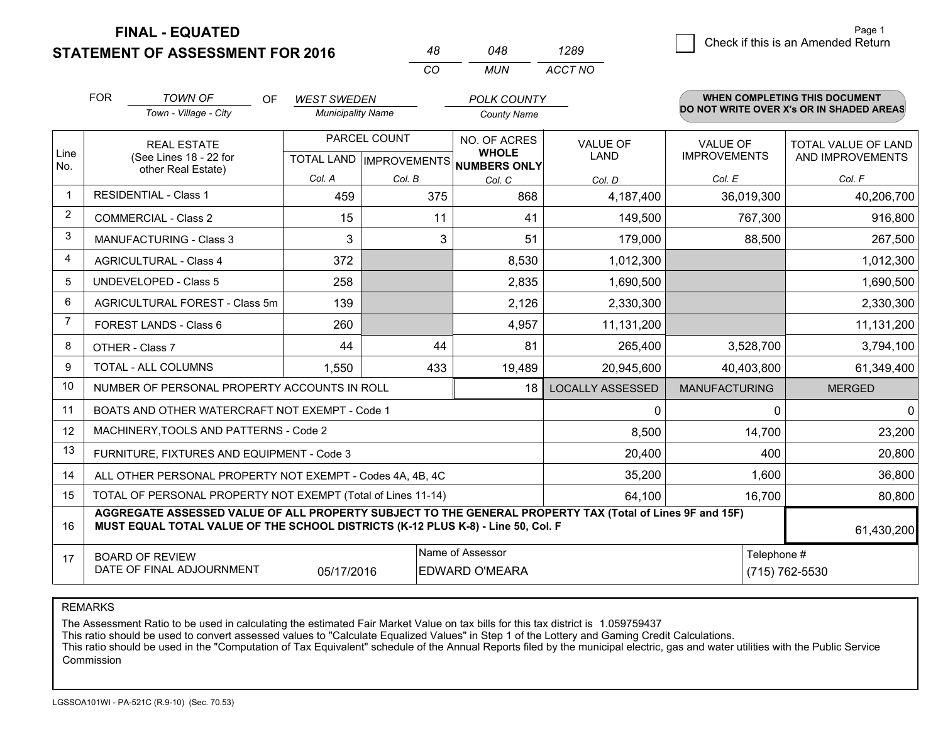**STATEMENT OF ASSESSMENT FOR 2016** 

**FINAL - EQUATED**

|                |                                                                                                                                                                                              |                          | CO           | <b>MUN</b>                                           | ACCT NO                 |                      |                                          |
|----------------|----------------------------------------------------------------------------------------------------------------------------------------------------------------------------------------------|--------------------------|--------------|------------------------------------------------------|-------------------------|----------------------|------------------------------------------|
|                | <b>FOR</b><br><b>TOWN OF</b><br>OF.                                                                                                                                                          | <b>WEST SWEDEN</b>       |              | POLK COUNTY                                          |                         |                      | <b>WHEN COMPLETING THIS DOCUMENT</b>     |
|                | Town - Village - City                                                                                                                                                                        | <b>Municipality Name</b> |              | <b>County Name</b>                                   |                         |                      | DO NOT WRITE OVER X's OR IN SHADED AREAS |
|                | <b>REAL ESTATE</b>                                                                                                                                                                           |                          | PARCEL COUNT | NO. OF ACRES                                         | <b>VALUE OF</b>         | VALUE OF             | TOTAL VALUE OF LAND                      |
| Line<br>No.    | (See Lines 18 - 22 for                                                                                                                                                                       |                          |              | <b>WHOLE</b><br>TOTAL LAND IMPROVEMENTS NUMBERS ONLY | LAND                    | <b>IMPROVEMENTS</b>  | AND IMPROVEMENTS                         |
|                | other Real Estate)                                                                                                                                                                           | Col. A                   | Col. B       | Col. C                                               | Col. D                  | Col. E               | Col. F                                   |
| $\mathbf{1}$   | <b>RESIDENTIAL - Class 1</b>                                                                                                                                                                 | 459                      | 375          | 868                                                  | 4,187,400               | 36,019,300           | 40,206,700                               |
| $\overline{2}$ | <b>COMMERCIAL - Class 2</b>                                                                                                                                                                  | 15                       | 11           | 41                                                   | 149,500                 | 767,300              | 916,800                                  |
| 3              | <b>MANUFACTURING - Class 3</b>                                                                                                                                                               | 3                        | 3            | 51                                                   | 179,000                 | 88,500               | 267,500                                  |
| 4              | <b>AGRICULTURAL - Class 4</b>                                                                                                                                                                | 372                      |              | 8,530                                                | 1,012,300               |                      | 1,012,300                                |
| 5              | <b>UNDEVELOPED - Class 5</b>                                                                                                                                                                 | 258                      |              | 2,835                                                | 1,690,500               |                      | 1,690,500                                |
| 6              | AGRICULTURAL FOREST - Class 5m                                                                                                                                                               | 139                      |              | 2,126                                                | 2,330,300               |                      | 2,330,300                                |
| $\overline{7}$ | FOREST LANDS - Class 6                                                                                                                                                                       | 260                      |              | 4,957                                                | 11,131,200              |                      | 11,131,200                               |
| 8              | OTHER - Class 7                                                                                                                                                                              | 44                       | 44           | 81                                                   | 265,400                 | 3,528,700            | 3,794,100                                |
| 9              | TOTAL - ALL COLUMNS                                                                                                                                                                          | 1,550                    | 433          | 19,489                                               | 20,945,600              | 40,403,800           | 61,349,400                               |
| 10             | NUMBER OF PERSONAL PROPERTY ACCOUNTS IN ROLL                                                                                                                                                 |                          |              | 18                                                   | <b>LOCALLY ASSESSED</b> | <b>MANUFACTURING</b> | <b>MERGED</b>                            |
| 11             | BOATS AND OTHER WATERCRAFT NOT EXEMPT - Code 1                                                                                                                                               |                          |              |                                                      | 0                       | 0                    | 0                                        |
| 12             | MACHINERY, TOOLS AND PATTERNS - Code 2                                                                                                                                                       |                          |              |                                                      | 8,500                   | 14,700               | 23,200                                   |
| 13             | FURNITURE, FIXTURES AND EQUIPMENT - Code 3                                                                                                                                                   |                          |              |                                                      | 20,400                  | 400                  | 20,800                                   |
| 14             | ALL OTHER PERSONAL PROPERTY NOT EXEMPT - Codes 4A, 4B, 4C                                                                                                                                    |                          |              |                                                      | 35,200                  | 1,600                | 36,800                                   |
| 15             | TOTAL OF PERSONAL PROPERTY NOT EXEMPT (Total of Lines 11-14)                                                                                                                                 |                          |              |                                                      | 64,100                  | 16,700               | 80,800                                   |
| 16             | AGGREGATE ASSESSED VALUE OF ALL PROPERTY SUBJECT TO THE GENERAL PROPERTY TAX (Total of Lines 9F and 15F)<br>MUST EQUAL TOTAL VALUE OF THE SCHOOL DISTRICTS (K-12 PLUS K-8) - Line 50, Col. F |                          |              |                                                      |                         |                      | 61,430,200                               |
| 17             | Name of Assessor<br><b>BOARD OF REVIEW</b>                                                                                                                                                   |                          |              |                                                      |                         | Telephone #          |                                          |
|                | DATE OF FINAL ADJOURNMENT                                                                                                                                                                    | 05/17/2016               |              | EDWARD O'MEARA                                       |                         |                      | (715) 762-5530                           |

*<sup>48</sup> <sup>048</sup>*

*1289*

REMARKS

The Assessment Ratio to be used in calculating the estimated Fair Market Value on tax bills for this tax district is 1.059759437<br>This ratio should be used to convert assessed values to "Calculate Equalized Values" in Step Commission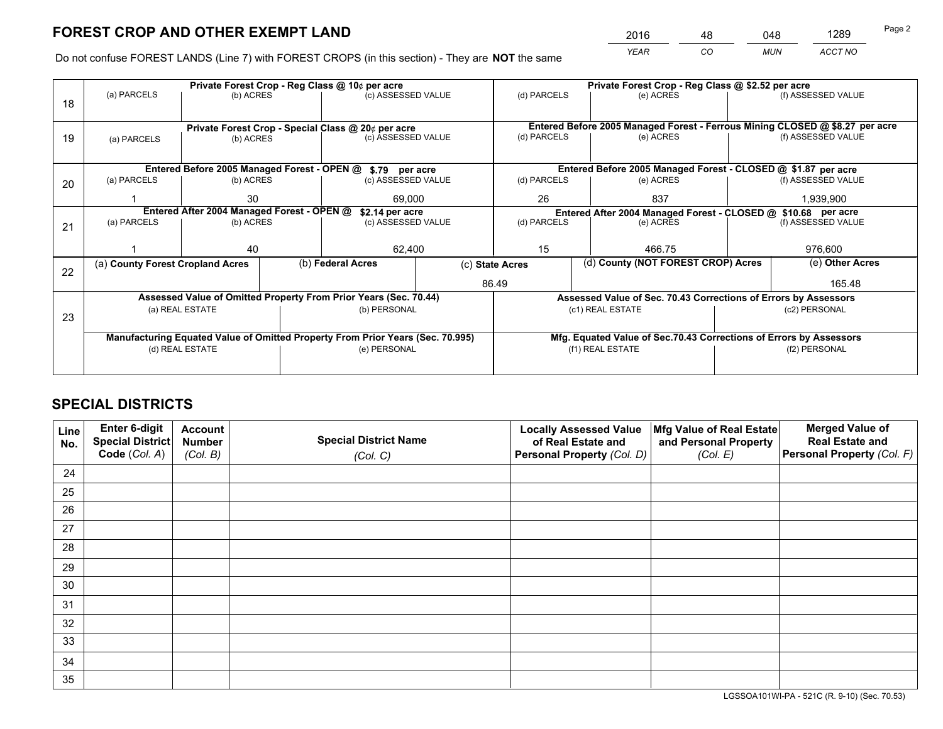*YEAR CO MUN ACCT NO* <sup>2016</sup> <sup>48</sup> <sup>048</sup> <sup>1289</sup>

Do not confuse FOREST LANDS (Line 7) with FOREST CROPS (in this section) - They are **NOT** the same

|    |                                  |                                             |  | Private Forest Crop - Reg Class @ 10¢ per acre                                 |                    |                                                                              | Private Forest Crop - Reg Class @ \$2.52 per acre                  |               |                    |
|----|----------------------------------|---------------------------------------------|--|--------------------------------------------------------------------------------|--------------------|------------------------------------------------------------------------------|--------------------------------------------------------------------|---------------|--------------------|
| 18 | (a) PARCELS                      | (b) ACRES                                   |  | (c) ASSESSED VALUE                                                             |                    | (d) PARCELS                                                                  | (e) ACRES                                                          |               | (f) ASSESSED VALUE |
|    |                                  |                                             |  |                                                                                |                    |                                                                              |                                                                    |               |                    |
|    |                                  |                                             |  | Private Forest Crop - Special Class @ 20¢ per acre                             |                    | Entered Before 2005 Managed Forest - Ferrous Mining CLOSED @ \$8.27 per acre |                                                                    |               |                    |
| 19 | (a) PARCELS                      | (b) ACRES                                   |  | (c) ASSESSED VALUE                                                             |                    | (d) PARCELS                                                                  | (e) ACRES                                                          |               | (f) ASSESSED VALUE |
|    |                                  |                                             |  |                                                                                |                    |                                                                              |                                                                    |               |                    |
|    |                                  | Entered Before 2005 Managed Forest - OPEN @ |  | \$.79 per acre                                                                 |                    |                                                                              | Entered Before 2005 Managed Forest - CLOSED @ \$1.87 per acre      |               |                    |
| 20 | (a) PARCELS                      | (b) ACRES                                   |  | (c) ASSESSED VALUE                                                             |                    | (d) PARCELS                                                                  | (e) ACRES                                                          |               | (f) ASSESSED VALUE |
|    |                                  | 30                                          |  | 69,000                                                                         |                    | 26                                                                           | 837                                                                |               | 1,939,900          |
|    |                                  | Entered After 2004 Managed Forest - OPEN @  |  | \$2.14 per acre                                                                |                    | (d) PARCELS                                                                  | Entered After 2004 Managed Forest - CLOSED @ \$10.68 per acre      |               |                    |
| 21 | (a) PARCELS                      | (b) ACRES                                   |  |                                                                                | (c) ASSESSED VALUE |                                                                              | (e) ACRES                                                          |               | (f) ASSESSED VALUE |
|    |                                  |                                             |  |                                                                                |                    |                                                                              |                                                                    |               |                    |
|    |                                  | 40                                          |  | 62,400                                                                         |                    | 15                                                                           | 466.75                                                             |               | 976,600            |
| 22 | (a) County Forest Cropland Acres |                                             |  | (b) Federal Acres                                                              |                    | (c) State Acres                                                              | (d) County (NOT FOREST CROP) Acres                                 |               | (e) Other Acres    |
|    |                                  |                                             |  |                                                                                |                    | 86.49                                                                        |                                                                    |               | 165.48             |
|    |                                  |                                             |  | Assessed Value of Omitted Property From Prior Years (Sec. 70.44)               |                    |                                                                              | Assessed Value of Sec. 70.43 Corrections of Errors by Assessors    |               |                    |
| 23 |                                  | (a) REAL ESTATE                             |  | (b) PERSONAL                                                                   |                    |                                                                              | (c1) REAL ESTATE                                                   |               | (c2) PERSONAL      |
|    |                                  |                                             |  |                                                                                |                    |                                                                              |                                                                    |               |                    |
|    |                                  |                                             |  | Manufacturing Equated Value of Omitted Property From Prior Years (Sec. 70.995) |                    |                                                                              | Mfg. Equated Value of Sec.70.43 Corrections of Errors by Assessors |               |                    |
|    |                                  | (d) REAL ESTATE                             |  | (e) PERSONAL                                                                   |                    |                                                                              | (f1) REAL ESTATE                                                   | (f2) PERSONAL |                    |
|    |                                  |                                             |  |                                                                                |                    |                                                                              |                                                                    |               |                    |

# **SPECIAL DISTRICTS**

| Line<br>No. | Enter 6-digit<br><b>Special District</b> | <b>Account</b><br><b>Number</b> | <b>Special District Name</b> | <b>Locally Assessed Value</b><br>of Real Estate and | Mfg Value of Real Estate<br>and Personal Property | <b>Merged Value of</b><br><b>Real Estate and</b> |
|-------------|------------------------------------------|---------------------------------|------------------------------|-----------------------------------------------------|---------------------------------------------------|--------------------------------------------------|
|             | Code (Col. A)                            | (Col. B)                        | (Col. C)                     | Personal Property (Col. D)                          | (Col. E)                                          | Personal Property (Col. F)                       |
| 24          |                                          |                                 |                              |                                                     |                                                   |                                                  |
| 25          |                                          |                                 |                              |                                                     |                                                   |                                                  |
| 26          |                                          |                                 |                              |                                                     |                                                   |                                                  |
| 27          |                                          |                                 |                              |                                                     |                                                   |                                                  |
| 28          |                                          |                                 |                              |                                                     |                                                   |                                                  |
| 29          |                                          |                                 |                              |                                                     |                                                   |                                                  |
| 30          |                                          |                                 |                              |                                                     |                                                   |                                                  |
| 31          |                                          |                                 |                              |                                                     |                                                   |                                                  |
| 32          |                                          |                                 |                              |                                                     |                                                   |                                                  |
| 33          |                                          |                                 |                              |                                                     |                                                   |                                                  |
| 34          |                                          |                                 |                              |                                                     |                                                   |                                                  |
| 35          |                                          |                                 |                              |                                                     |                                                   |                                                  |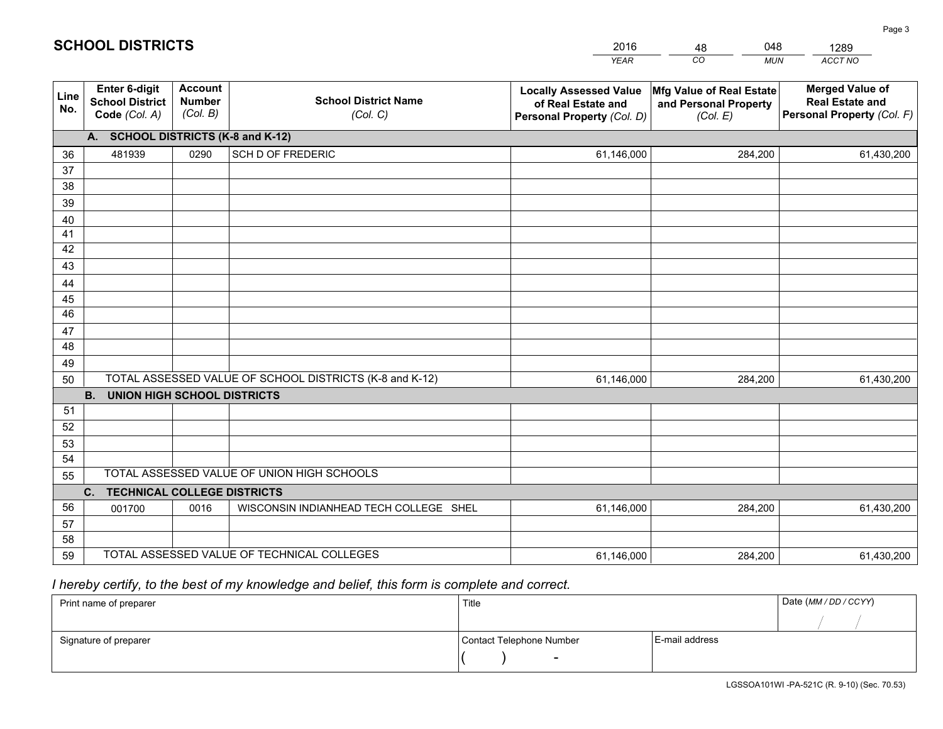|             |                                                                 |                                             |                                                         | <b>YEAR</b>                                                                       | CO<br><b>MUN</b>                                              | <b>ACCT NO</b>                                                                 |  |  |  |  |
|-------------|-----------------------------------------------------------------|---------------------------------------------|---------------------------------------------------------|-----------------------------------------------------------------------------------|---------------------------------------------------------------|--------------------------------------------------------------------------------|--|--|--|--|
| Line<br>No. | <b>Enter 6-digit</b><br><b>School District</b><br>Code (Col. A) | <b>Account</b><br><b>Number</b><br>(Col. B) | <b>School District Name</b><br>(Col. C)                 | <b>Locally Assessed Value</b><br>of Real Estate and<br>Personal Property (Col. D) | Mfg Value of Real Estate<br>and Personal Property<br>(Col. E) | <b>Merged Value of</b><br><b>Real Estate and</b><br>Personal Property (Col. F) |  |  |  |  |
|             | A. SCHOOL DISTRICTS (K-8 and K-12)                              |                                             |                                                         |                                                                                   |                                                               |                                                                                |  |  |  |  |
| 36          | 481939                                                          | 0290                                        | SCH D OF FREDERIC                                       | 61,146,000                                                                        | 284,200                                                       | 61,430,200                                                                     |  |  |  |  |
| 37          |                                                                 |                                             |                                                         |                                                                                   |                                                               |                                                                                |  |  |  |  |
| 38          |                                                                 |                                             |                                                         |                                                                                   |                                                               |                                                                                |  |  |  |  |
| 39          |                                                                 |                                             |                                                         |                                                                                   |                                                               |                                                                                |  |  |  |  |
| 40          |                                                                 |                                             |                                                         |                                                                                   |                                                               |                                                                                |  |  |  |  |
| 41<br>42    |                                                                 |                                             |                                                         |                                                                                   |                                                               |                                                                                |  |  |  |  |
| 43          |                                                                 |                                             |                                                         |                                                                                   |                                                               |                                                                                |  |  |  |  |
| 44          |                                                                 |                                             |                                                         |                                                                                   |                                                               |                                                                                |  |  |  |  |
| 45          |                                                                 |                                             |                                                         |                                                                                   |                                                               |                                                                                |  |  |  |  |
| 46          |                                                                 |                                             |                                                         |                                                                                   |                                                               |                                                                                |  |  |  |  |
| 47          |                                                                 |                                             |                                                         |                                                                                   |                                                               |                                                                                |  |  |  |  |
| 48          |                                                                 |                                             |                                                         |                                                                                   |                                                               |                                                                                |  |  |  |  |
| 49          |                                                                 |                                             |                                                         |                                                                                   |                                                               |                                                                                |  |  |  |  |
| 50          |                                                                 |                                             | TOTAL ASSESSED VALUE OF SCHOOL DISTRICTS (K-8 and K-12) | 61,146,000                                                                        | 284,200                                                       | 61,430,200                                                                     |  |  |  |  |
|             | <b>B.</b><br><b>UNION HIGH SCHOOL DISTRICTS</b>                 |                                             |                                                         |                                                                                   |                                                               |                                                                                |  |  |  |  |
| 51          |                                                                 |                                             |                                                         |                                                                                   |                                                               |                                                                                |  |  |  |  |
| 52          |                                                                 |                                             |                                                         |                                                                                   |                                                               |                                                                                |  |  |  |  |
| 53          |                                                                 |                                             |                                                         |                                                                                   |                                                               |                                                                                |  |  |  |  |
| 54          |                                                                 |                                             | TOTAL ASSESSED VALUE OF UNION HIGH SCHOOLS              |                                                                                   |                                                               |                                                                                |  |  |  |  |
| 55          |                                                                 |                                             |                                                         |                                                                                   |                                                               |                                                                                |  |  |  |  |
| 56          | C.<br><b>TECHNICAL COLLEGE DISTRICTS</b>                        |                                             |                                                         |                                                                                   |                                                               |                                                                                |  |  |  |  |
| 57          | 001700                                                          | 0016                                        | WISCONSIN INDIANHEAD TECH COLLEGE SHEL                  | 61,146,000                                                                        | 284,200                                                       | 61,430,200                                                                     |  |  |  |  |
| 58          |                                                                 |                                             |                                                         |                                                                                   |                                                               |                                                                                |  |  |  |  |
| 59          |                                                                 |                                             | TOTAL ASSESSED VALUE OF TECHNICAL COLLEGES              | 61,146,000                                                                        | 284,200                                                       | 61,430,200                                                                     |  |  |  |  |

48

048

# *I hereby certify, to the best of my knowledge and belief, this form is complete and correct.*

**SCHOOL DISTRICTS**

| Print name of preparer | Title                    |                | Date (MM / DD / CCYY) |
|------------------------|--------------------------|----------------|-----------------------|
|                        |                          |                |                       |
| Signature of preparer  | Contact Telephone Number | E-mail address |                       |
|                        | $\sim$                   |                |                       |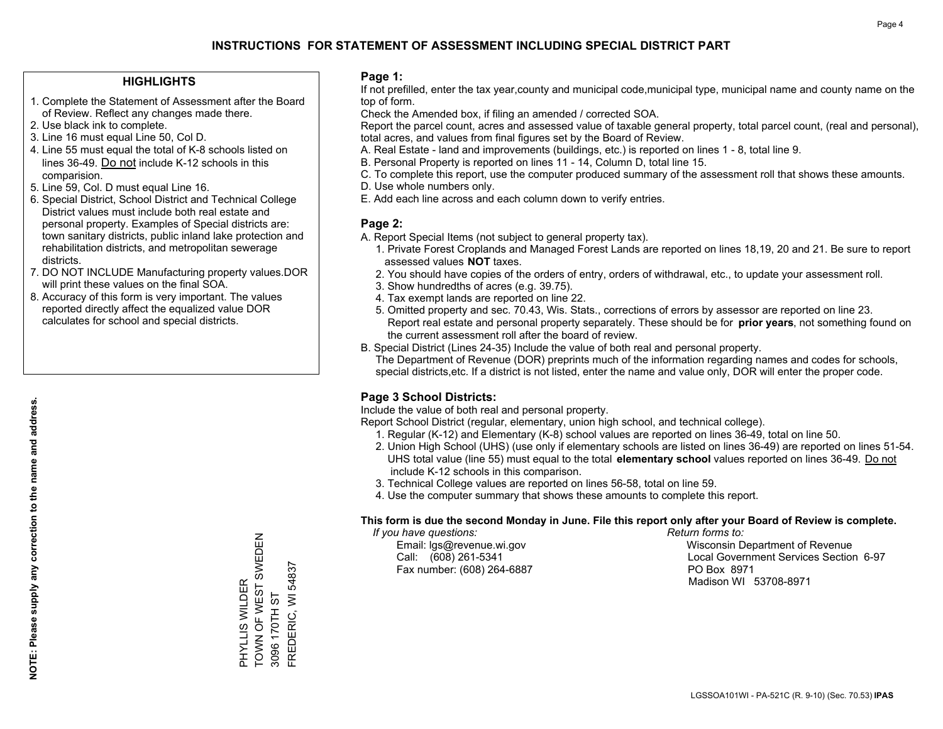### **HIGHLIGHTS**

- 1. Complete the Statement of Assessment after the Board of Review. Reflect any changes made there.
- 2. Use black ink to complete.
- 3. Line 16 must equal Line 50, Col D.
- 4. Line 55 must equal the total of K-8 schools listed on lines 36-49. Do not include K-12 schools in this comparision.
- 5. Line 59, Col. D must equal Line 16.
- 6. Special District, School District and Technical College District values must include both real estate and personal property. Examples of Special districts are: town sanitary districts, public inland lake protection and rehabilitation districts, and metropolitan sewerage districts.
- 7. DO NOT INCLUDE Manufacturing property values.DOR will print these values on the final SOA.

PHYLLIS WILDER

TOWN OF WEST SWEDEN

PHYLLIS WILDER<br>TOWN OF WEST SWEDEN

3096 170TH ST FREDERIC, WI 54837

3096 170TH ST

FREDERIC, WI 54837

 8. Accuracy of this form is very important. The values reported directly affect the equalized value DOR calculates for school and special districts.

### **Page 1:**

 If not prefilled, enter the tax year,county and municipal code,municipal type, municipal name and county name on the top of form.

Check the Amended box, if filing an amended / corrected SOA.

 Report the parcel count, acres and assessed value of taxable general property, total parcel count, (real and personal), total acres, and values from final figures set by the Board of Review.

- A. Real Estate land and improvements (buildings, etc.) is reported on lines 1 8, total line 9.
- B. Personal Property is reported on lines 11 14, Column D, total line 15.
- C. To complete this report, use the computer produced summary of the assessment roll that shows these amounts.
- D. Use whole numbers only.
- E. Add each line across and each column down to verify entries.

### **Page 2:**

- A. Report Special Items (not subject to general property tax).
- 1. Private Forest Croplands and Managed Forest Lands are reported on lines 18,19, 20 and 21. Be sure to report assessed values **NOT** taxes.
- 2. You should have copies of the orders of entry, orders of withdrawal, etc., to update your assessment roll.
	- 3. Show hundredths of acres (e.g. 39.75).
- 4. Tax exempt lands are reported on line 22.
- 5. Omitted property and sec. 70.43, Wis. Stats., corrections of errors by assessor are reported on line 23. Report real estate and personal property separately. These should be for **prior years**, not something found on the current assessment roll after the board of review.
- B. Special District (Lines 24-35) Include the value of both real and personal property.
- The Department of Revenue (DOR) preprints much of the information regarding names and codes for schools, special districts,etc. If a district is not listed, enter the name and value only, DOR will enter the proper code.

## **Page 3 School Districts:**

Include the value of both real and personal property.

Report School District (regular, elementary, union high school, and technical college).

- 1. Regular (K-12) and Elementary (K-8) school values are reported on lines 36-49, total on line 50.
- 2. Union High School (UHS) (use only if elementary schools are listed on lines 36-49) are reported on lines 51-54. UHS total value (line 55) must equal to the total **elementary school** values reported on lines 36-49. Do notinclude K-12 schools in this comparison.
- 3. Technical College values are reported on lines 56-58, total on line 59.
- 4. Use the computer summary that shows these amounts to complete this report.

### **This form is due the second Monday in June. File this report only after your Board of Review is complete.**

 *If you have questions: Return forms to:*

Fax number: (608) 264-6887 PO Box 8971

 Email: lgs@revenue.wi.gov Wisconsin Department of Revenue Call: (608) 261-5341 Local Government Services Section 6-97Madison WI 53708-8971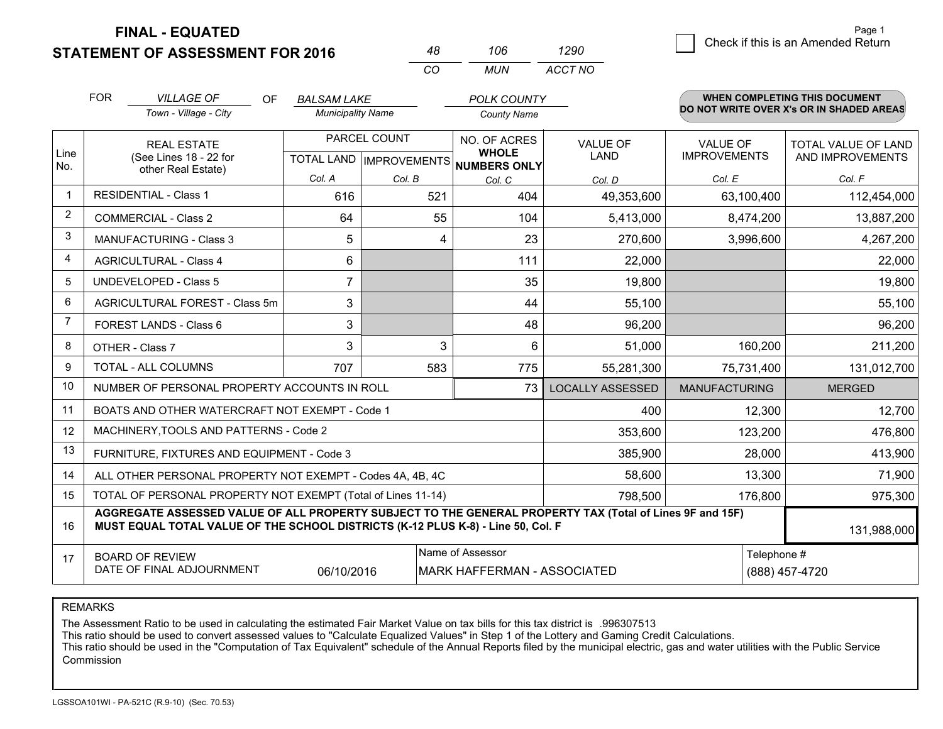**STATEMENT OF ASSESSMENT FOR 2016** 

**FINAL - EQUATED**

|                | <b>FOR</b>                                                                                                                                                                                   | <b>VILLAGE OF</b><br>0F<br>Town - Village - City                   | <b>BALSAM LAKE</b><br><b>Municipality Name</b> |                  | <b>POLK COUNTY</b><br><b>County Name</b>                             |                                |                                        | <b>WHEN COMPLETING THIS DOCUMENT</b><br>DO NOT WRITE OVER X's OR IN SHADED AREAS |
|----------------|----------------------------------------------------------------------------------------------------------------------------------------------------------------------------------------------|--------------------------------------------------------------------|------------------------------------------------|------------------|----------------------------------------------------------------------|--------------------------------|----------------------------------------|----------------------------------------------------------------------------------|
| Line<br>No.    |                                                                                                                                                                                              | <b>REAL ESTATE</b><br>(See Lines 18 - 22 for<br>other Real Estate) |                                                | PARCEL COUNT     | NO. OF ACRES<br><b>WHOLE</b><br>TOTAL LAND IMPROVEMENTS NUMBERS ONLY | <b>VALUE OF</b><br><b>LAND</b> | <b>VALUE OF</b><br><b>IMPROVEMENTS</b> | <b>TOTAL VALUE OF LAND</b><br>AND IMPROVEMENTS                                   |
|                |                                                                                                                                                                                              |                                                                    | Col. A                                         | Col. B           | Col. C                                                               | Col. D                         | Col. E                                 | Col. F                                                                           |
|                |                                                                                                                                                                                              | <b>RESIDENTIAL - Class 1</b>                                       | 616                                            | 521              | 404                                                                  | 49,353,600                     | 63,100,400                             | 112,454,000                                                                      |
| $\overline{2}$ | <b>COMMERCIAL - Class 2</b>                                                                                                                                                                  |                                                                    | 64                                             | 55               | 104                                                                  | 5,413,000                      | 8,474,200                              | 13,887,200                                                                       |
| 3              | <b>MANUFACTURING - Class 3</b>                                                                                                                                                               |                                                                    | 5                                              |                  | 23<br>4                                                              | 270,600                        | 3,996,600                              | 4,267,200                                                                        |
| 4              | <b>AGRICULTURAL - Class 4</b>                                                                                                                                                                |                                                                    | 6                                              |                  | 111                                                                  | 22,000                         |                                        | 22,000                                                                           |
| 5              | <b>UNDEVELOPED - Class 5</b>                                                                                                                                                                 |                                                                    | $\overline{7}$                                 |                  | 35                                                                   | 19,800                         |                                        | 19,800                                                                           |
| 6              | AGRICULTURAL FOREST - Class 5m                                                                                                                                                               |                                                                    | 3                                              |                  | 44                                                                   | 55,100                         |                                        | 55,100                                                                           |
| $\overline{7}$ |                                                                                                                                                                                              | FOREST LANDS - Class 6                                             | 3                                              |                  | 48                                                                   | 96,200                         |                                        | 96,200                                                                           |
| 8              |                                                                                                                                                                                              | OTHER - Class 7                                                    | 3                                              |                  | 3<br>6                                                               | 51,000                         | 160,200                                | 211,200                                                                          |
| 9              |                                                                                                                                                                                              | TOTAL - ALL COLUMNS                                                | 707                                            | 583              | 775                                                                  | 55,281,300                     | 75,731,400                             | 131,012,700                                                                      |
| 10             |                                                                                                                                                                                              | NUMBER OF PERSONAL PROPERTY ACCOUNTS IN ROLL                       |                                                |                  | 73                                                                   | <b>LOCALLY ASSESSED</b>        | <b>MANUFACTURING</b>                   | <b>MERGED</b>                                                                    |
| 11             |                                                                                                                                                                                              | BOATS AND OTHER WATERCRAFT NOT EXEMPT - Code 1                     |                                                |                  |                                                                      | 400                            | 12,300                                 | 12,700                                                                           |
| 12             |                                                                                                                                                                                              | MACHINERY, TOOLS AND PATTERNS - Code 2                             |                                                |                  |                                                                      | 353,600                        | 123,200                                | 476,800                                                                          |
| 13             |                                                                                                                                                                                              | FURNITURE, FIXTURES AND EQUIPMENT - Code 3                         |                                                |                  |                                                                      | 385,900                        | 28,000                                 | 413,900                                                                          |
| 14             |                                                                                                                                                                                              | ALL OTHER PERSONAL PROPERTY NOT EXEMPT - Codes 4A, 4B, 4C          |                                                |                  |                                                                      | 58,600                         | 13,300                                 | 71,900                                                                           |
| 15             |                                                                                                                                                                                              | TOTAL OF PERSONAL PROPERTY NOT EXEMPT (Total of Lines 11-14)       |                                                |                  |                                                                      | 798,500                        | 176,800                                | 975,300                                                                          |
| 16             | AGGREGATE ASSESSED VALUE OF ALL PROPERTY SUBJECT TO THE GENERAL PROPERTY TAX (Total of Lines 9F and 15F)<br>MUST EQUAL TOTAL VALUE OF THE SCHOOL DISTRICTS (K-12 PLUS K-8) - Line 50, Col. F |                                                                    |                                                |                  |                                                                      |                                |                                        | 131,988,000                                                                      |
| 17             |                                                                                                                                                                                              | <b>BOARD OF REVIEW</b><br>DATE OF FINAL ADJOURNMENT                | 06/10/2016                                     | Name of Assessor | <b>MARK HAFFERMAN - ASSOCIATED</b>                                   | Telephone #<br>(888) 457-4720  |                                        |                                                                                  |

*CO*

*MUN*

*ACCT NO1290*

*<sup>48</sup> <sup>106</sup>*

REMARKS

The Assessment Ratio to be used in calculating the estimated Fair Market Value on tax bills for this tax district is .996307513<br>This ratio should be used to convert assessed values to "Calculate Equalized Values" in Step 1 Commission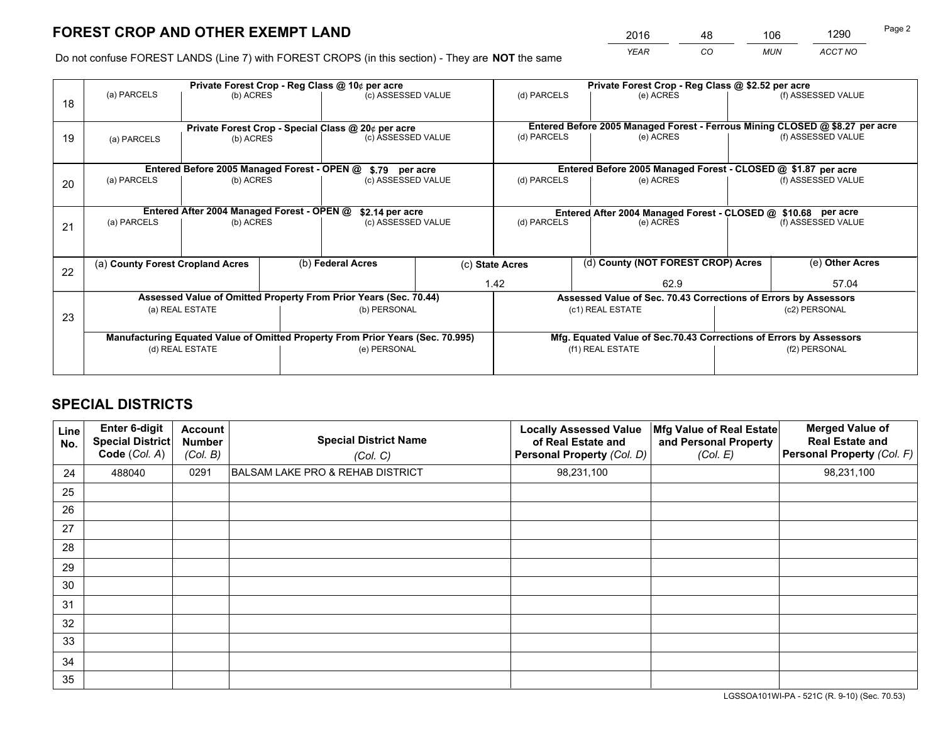*YEAR CO MUN ACCT NO* <sup>2016</sup> <sup>48</sup> <sup>106</sup> <sup>1290</sup>

Do not confuse FOREST LANDS (Line 7) with FOREST CROPS (in this section) - They are **NOT** the same

|    |                                            | Private Forest Crop - Reg Class @ 10¢ per acre                                 |                                                               |                                                                          |                                                       |                          |                                                                              | Private Forest Crop - Reg Class @ \$2.52 per acre |                    |                                                                    |
|----|--------------------------------------------|--------------------------------------------------------------------------------|---------------------------------------------------------------|--------------------------------------------------------------------------|-------------------------------------------------------|--------------------------|------------------------------------------------------------------------------|---------------------------------------------------|--------------------|--------------------------------------------------------------------|
| 18 | (a) PARCELS                                | (b) ACRES                                                                      |                                                               | (c) ASSESSED VALUE                                                       |                                                       | (d) PARCELS              |                                                                              | (e) ACRES                                         |                    | (f) ASSESSED VALUE                                                 |
|    |                                            |                                                                                |                                                               |                                                                          |                                                       |                          |                                                                              |                                                   |                    |                                                                    |
|    |                                            |                                                                                |                                                               | Private Forest Crop - Special Class @ 20¢ per acre<br>(c) ASSESSED VALUE |                                                       | (d) PARCELS              | Entered Before 2005 Managed Forest - Ferrous Mining CLOSED @ \$8.27 per acre |                                                   |                    | (f) ASSESSED VALUE                                                 |
| 19 | (a) PARCELS                                | (b) ACRES                                                                      |                                                               |                                                                          |                                                       |                          |                                                                              | (e) ACRES                                         |                    |                                                                    |
|    |                                            |                                                                                |                                                               |                                                                          |                                                       |                          |                                                                              |                                                   |                    |                                                                    |
|    |                                            | Entered Before 2005 Managed Forest - OPEN @                                    |                                                               | \$.79 per acre                                                           |                                                       |                          |                                                                              |                                                   |                    | Entered Before 2005 Managed Forest - CLOSED @ \$1.87 per acre      |
| 20 | (a) PARCELS                                | (b) ACRES                                                                      |                                                               | (c) ASSESSED VALUE                                                       |                                                       | (d) PARCELS              |                                                                              | (e) ACRES                                         |                    | (f) ASSESSED VALUE                                                 |
|    |                                            |                                                                                |                                                               |                                                                          |                                                       |                          |                                                                              |                                                   |                    |                                                                    |
|    | Entered After 2004 Managed Forest - OPEN @ |                                                                                | Entered After 2004 Managed Forest - CLOSED @ \$10.68 per acre |                                                                          |                                                       |                          |                                                                              |                                                   |                    |                                                                    |
|    | (a) PARCELS                                | (b) ACRES                                                                      |                                                               | \$2.14 per acre<br>(c) ASSESSED VALUE                                    |                                                       | (d) PARCELS<br>(e) ACRES |                                                                              |                                                   | (f) ASSESSED VALUE |                                                                    |
| 21 |                                            |                                                                                |                                                               |                                                                          |                                                       |                          |                                                                              |                                                   |                    |                                                                    |
|    |                                            |                                                                                |                                                               |                                                                          |                                                       |                          |                                                                              |                                                   |                    |                                                                    |
|    | (a) County Forest Cropland Acres           |                                                                                | (b) Federal Acres                                             |                                                                          | (d) County (NOT FOREST CROP) Acres<br>(c) State Acres |                          |                                                                              |                                                   | (e) Other Acres    |                                                                    |
| 22 |                                            |                                                                                |                                                               |                                                                          |                                                       |                          |                                                                              |                                                   |                    |                                                                    |
|    |                                            |                                                                                |                                                               |                                                                          |                                                       | 1.42                     |                                                                              | 62.9                                              |                    | 57.04                                                              |
|    |                                            | Assessed Value of Omitted Property From Prior Years (Sec. 70.44)               |                                                               |                                                                          |                                                       |                          |                                                                              |                                                   |                    | Assessed Value of Sec. 70.43 Corrections of Errors by Assessors    |
| 23 |                                            | (a) REAL ESTATE                                                                |                                                               | (b) PERSONAL                                                             |                                                       |                          | (c1) REAL ESTATE                                                             |                                                   |                    | (c2) PERSONAL                                                      |
|    |                                            |                                                                                |                                                               |                                                                          |                                                       |                          |                                                                              |                                                   |                    |                                                                    |
|    |                                            | Manufacturing Equated Value of Omitted Property From Prior Years (Sec. 70.995) |                                                               |                                                                          |                                                       |                          |                                                                              |                                                   |                    | Mfg. Equated Value of Sec.70.43 Corrections of Errors by Assessors |
|    |                                            | (d) REAL ESTATE                                                                |                                                               | (e) PERSONAL                                                             |                                                       |                          | (f1) REAL ESTATE                                                             |                                                   | (f2) PERSONAL      |                                                                    |
|    |                                            |                                                                                |                                                               |                                                                          |                                                       |                          |                                                                              |                                                   |                    |                                                                    |
|    |                                            |                                                                                |                                                               |                                                                          |                                                       |                          |                                                                              |                                                   |                    |                                                                    |

# **SPECIAL DISTRICTS**

| Line<br>No. | Enter 6-digit<br><b>Special District</b><br>Code (Col. A) | <b>Account</b><br><b>Number</b><br>(Col. B) | <b>Special District Name</b><br>(Col. C)    | <b>Locally Assessed Value</b><br>of Real Estate and<br>Personal Property (Col. D) | Mfg Value of Real Estate<br>and Personal Property<br>(Col. E) | <b>Merged Value of</b><br><b>Real Estate and</b><br>Personal Property (Col. F) |
|-------------|-----------------------------------------------------------|---------------------------------------------|---------------------------------------------|-----------------------------------------------------------------------------------|---------------------------------------------------------------|--------------------------------------------------------------------------------|
| 24          | 488040                                                    | 0291                                        | <b>BALSAM LAKE PRO &amp; REHAB DISTRICT</b> | 98,231,100                                                                        |                                                               | 98,231,100                                                                     |
| 25          |                                                           |                                             |                                             |                                                                                   |                                                               |                                                                                |
| 26          |                                                           |                                             |                                             |                                                                                   |                                                               |                                                                                |
| 27          |                                                           |                                             |                                             |                                                                                   |                                                               |                                                                                |
| 28          |                                                           |                                             |                                             |                                                                                   |                                                               |                                                                                |
| 29          |                                                           |                                             |                                             |                                                                                   |                                                               |                                                                                |
| 30          |                                                           |                                             |                                             |                                                                                   |                                                               |                                                                                |
| 31          |                                                           |                                             |                                             |                                                                                   |                                                               |                                                                                |
| 32          |                                                           |                                             |                                             |                                                                                   |                                                               |                                                                                |
| 33          |                                                           |                                             |                                             |                                                                                   |                                                               |                                                                                |
| 34          |                                                           |                                             |                                             |                                                                                   |                                                               |                                                                                |
| 35          |                                                           |                                             |                                             |                                                                                   |                                                               |                                                                                |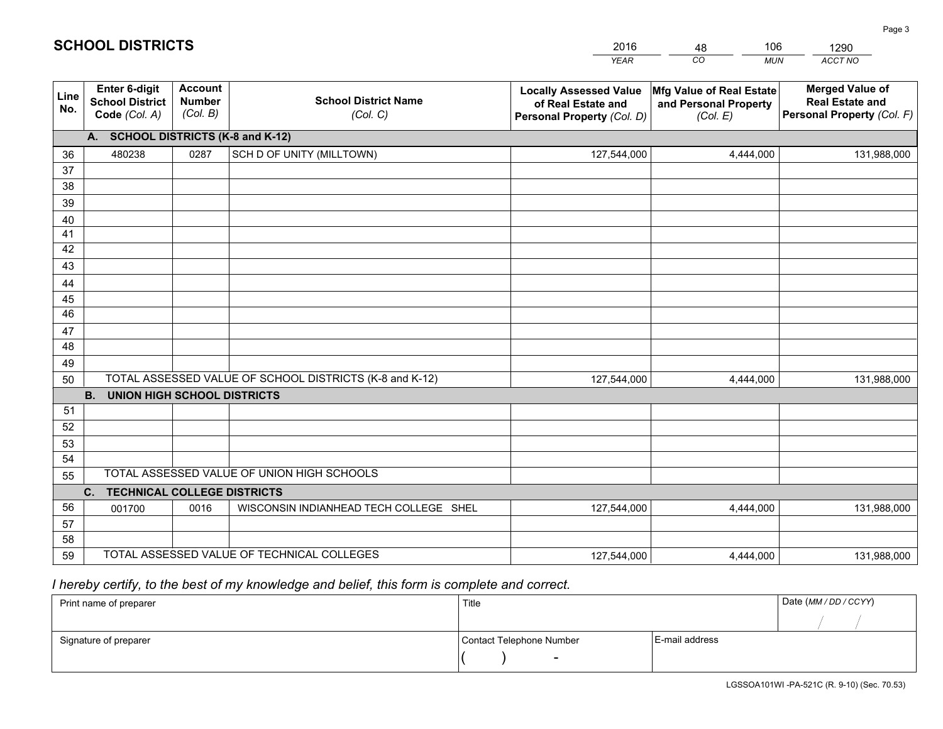|                       |                                                          |                                                                                        |                                                         | <b>YEAR</b>                                                                       | CO<br><b>MUN</b>                                              | ACCT NO                                                                        |
|-----------------------|----------------------------------------------------------|----------------------------------------------------------------------------------------|---------------------------------------------------------|-----------------------------------------------------------------------------------|---------------------------------------------------------------|--------------------------------------------------------------------------------|
| Line<br>No.           | Enter 6-digit<br><b>School District</b><br>Code (Col. A) | <b>Account</b><br><b>School District Name</b><br><b>Number</b><br>(Col. B)<br>(Col. C) |                                                         | <b>Locally Assessed Value</b><br>of Real Estate and<br>Personal Property (Col. D) | Mfg Value of Real Estate<br>and Personal Property<br>(Col. E) | <b>Merged Value of</b><br><b>Real Estate and</b><br>Personal Property (Col. F) |
|                       | A. SCHOOL DISTRICTS (K-8 and K-12)                       |                                                                                        |                                                         |                                                                                   |                                                               |                                                                                |
| 36                    | 480238                                                   | 0287                                                                                   | SCH D OF UNITY (MILLTOWN)                               | 127,544,000                                                                       | 4,444,000                                                     | 131,988,000                                                                    |
| 37                    |                                                          |                                                                                        |                                                         |                                                                                   |                                                               |                                                                                |
| 38                    |                                                          |                                                                                        |                                                         |                                                                                   |                                                               |                                                                                |
| 39                    |                                                          |                                                                                        |                                                         |                                                                                   |                                                               |                                                                                |
| 40                    |                                                          |                                                                                        |                                                         |                                                                                   |                                                               |                                                                                |
| 41                    |                                                          |                                                                                        |                                                         |                                                                                   |                                                               |                                                                                |
| 42                    |                                                          |                                                                                        |                                                         |                                                                                   |                                                               |                                                                                |
| 43                    |                                                          |                                                                                        |                                                         |                                                                                   |                                                               |                                                                                |
| 44                    |                                                          |                                                                                        |                                                         |                                                                                   |                                                               |                                                                                |
| 45<br>$\overline{46}$ |                                                          |                                                                                        |                                                         |                                                                                   |                                                               |                                                                                |
| 47                    |                                                          |                                                                                        |                                                         |                                                                                   |                                                               |                                                                                |
| 48                    |                                                          |                                                                                        |                                                         |                                                                                   |                                                               |                                                                                |
| 49                    |                                                          |                                                                                        |                                                         |                                                                                   |                                                               |                                                                                |
| 50                    |                                                          |                                                                                        | TOTAL ASSESSED VALUE OF SCHOOL DISTRICTS (K-8 and K-12) | 127,544,000                                                                       | 4,444,000                                                     | 131,988,000                                                                    |
|                       | <b>B.</b><br><b>UNION HIGH SCHOOL DISTRICTS</b>          |                                                                                        |                                                         |                                                                                   |                                                               |                                                                                |
| 51                    |                                                          |                                                                                        |                                                         |                                                                                   |                                                               |                                                                                |
| 52                    |                                                          |                                                                                        |                                                         |                                                                                   |                                                               |                                                                                |
| 53                    |                                                          |                                                                                        |                                                         |                                                                                   |                                                               |                                                                                |
| 54                    |                                                          |                                                                                        |                                                         |                                                                                   |                                                               |                                                                                |
| 55                    |                                                          |                                                                                        | TOTAL ASSESSED VALUE OF UNION HIGH SCHOOLS              |                                                                                   |                                                               |                                                                                |
|                       | C.<br><b>TECHNICAL COLLEGE DISTRICTS</b>                 |                                                                                        |                                                         |                                                                                   |                                                               |                                                                                |
| 56                    | 001700                                                   | 0016                                                                                   | WISCONSIN INDIANHEAD TECH COLLEGE SHEL                  | 127,544,000                                                                       | 4,444,000                                                     | 131,988,000                                                                    |
| 57                    |                                                          |                                                                                        |                                                         |                                                                                   |                                                               |                                                                                |
| 58                    |                                                          |                                                                                        |                                                         |                                                                                   |                                                               |                                                                                |
| 59                    |                                                          |                                                                                        | TOTAL ASSESSED VALUE OF TECHNICAL COLLEGES              | 127,544,000                                                                       | 4,444,000                                                     | 131,988,000                                                                    |

48

106

# *I hereby certify, to the best of my knowledge and belief, this form is complete and correct.*

**SCHOOL DISTRICTS**

| Print name of preparer | Title                    | Date (MM / DD / CCYY) |  |
|------------------------|--------------------------|-----------------------|--|
|                        |                          |                       |  |
| Signature of preparer  | Contact Telephone Number | E-mail address        |  |
|                        | $\sim$                   |                       |  |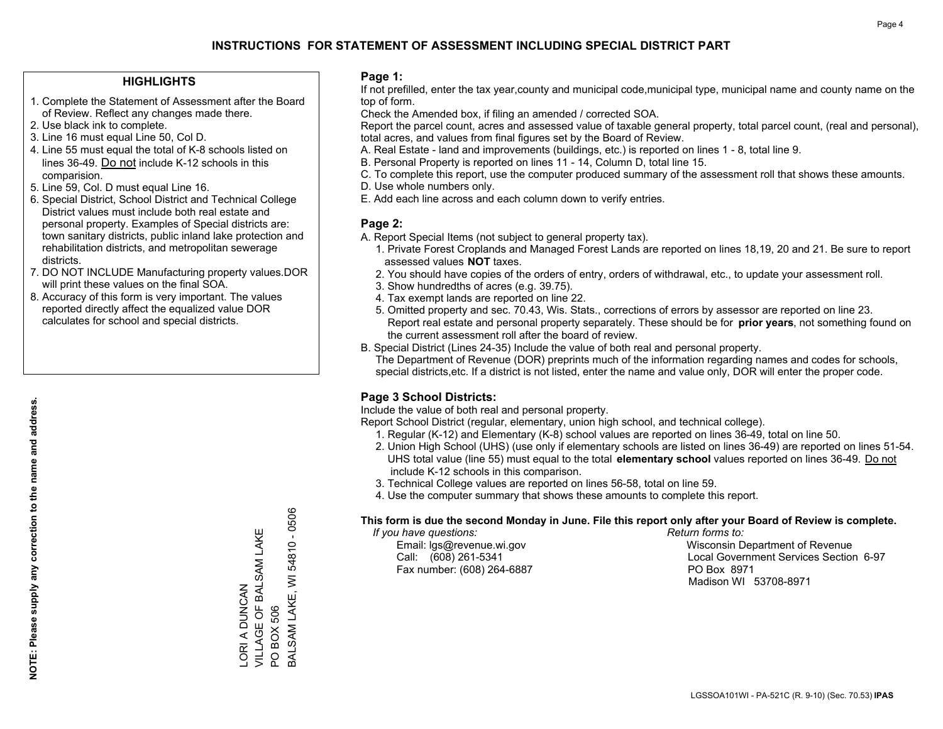### **HIGHLIGHTS**

- 1. Complete the Statement of Assessment after the Board of Review. Reflect any changes made there.
- 2. Use black ink to complete.
- 3. Line 16 must equal Line 50, Col D.
- 4. Line 55 must equal the total of K-8 schools listed on lines 36-49. Do not include K-12 schools in this comparision.
- 5. Line 59, Col. D must equal Line 16.
- 6. Special District, School District and Technical College District values must include both real estate and personal property. Examples of Special districts are: town sanitary districts, public inland lake protection and rehabilitation districts, and metropolitan sewerage districts.
- 7. DO NOT INCLUDE Manufacturing property values.DOR will print these values on the final SOA.

LORI A DUNCAN

VILLAGE OF BALSAM LAKE

LORI A DUNCAN<br>VILLAGE OF BALSAM LAKE

PO BOX 506

PO BOX 506

BALSAM LAKE, WI 54810 - 0506

**BALSAM LAKE, WI** 

54810 - 0506

 8. Accuracy of this form is very important. The values reported directly affect the equalized value DOR calculates for school and special districts.

### **Page 1:**

 If not prefilled, enter the tax year,county and municipal code,municipal type, municipal name and county name on the top of form.

Check the Amended box, if filing an amended / corrected SOA.

 Report the parcel count, acres and assessed value of taxable general property, total parcel count, (real and personal), total acres, and values from final figures set by the Board of Review.

- A. Real Estate land and improvements (buildings, etc.) is reported on lines 1 8, total line 9.
- B. Personal Property is reported on lines 11 14, Column D, total line 15.
- C. To complete this report, use the computer produced summary of the assessment roll that shows these amounts.
- D. Use whole numbers only.
- E. Add each line across and each column down to verify entries.

### **Page 2:**

- A. Report Special Items (not subject to general property tax).
- 1. Private Forest Croplands and Managed Forest Lands are reported on lines 18,19, 20 and 21. Be sure to report assessed values **NOT** taxes.
- 2. You should have copies of the orders of entry, orders of withdrawal, etc., to update your assessment roll.
	- 3. Show hundredths of acres (e.g. 39.75).
- 4. Tax exempt lands are reported on line 22.
- 5. Omitted property and sec. 70.43, Wis. Stats., corrections of errors by assessor are reported on line 23. Report real estate and personal property separately. These should be for **prior years**, not something found on the current assessment roll after the board of review.
- B. Special District (Lines 24-35) Include the value of both real and personal property.
- The Department of Revenue (DOR) preprints much of the information regarding names and codes for schools, special districts,etc. If a district is not listed, enter the name and value only, DOR will enter the proper code.

## **Page 3 School Districts:**

Include the value of both real and personal property.

Report School District (regular, elementary, union high school, and technical college).

- 1. Regular (K-12) and Elementary (K-8) school values are reported on lines 36-49, total on line 50.
- 2. Union High School (UHS) (use only if elementary schools are listed on lines 36-49) are reported on lines 51-54. UHS total value (line 55) must equal to the total **elementary school** values reported on lines 36-49. Do notinclude K-12 schools in this comparison.
- 3. Technical College values are reported on lines 56-58, total on line 59.
- 4. Use the computer summary that shows these amounts to complete this report.

### **This form is due the second Monday in June. File this report only after your Board of Review is complete.**

 *If you have questions: Return forms to:*

Fax number: (608) 264-6887 PO Box 8971

 Email: lgs@revenue.wi.gov Wisconsin Department of Revenue Call: (608) 261-5341 Local Government Services Section 6-97Madison WI 53708-8971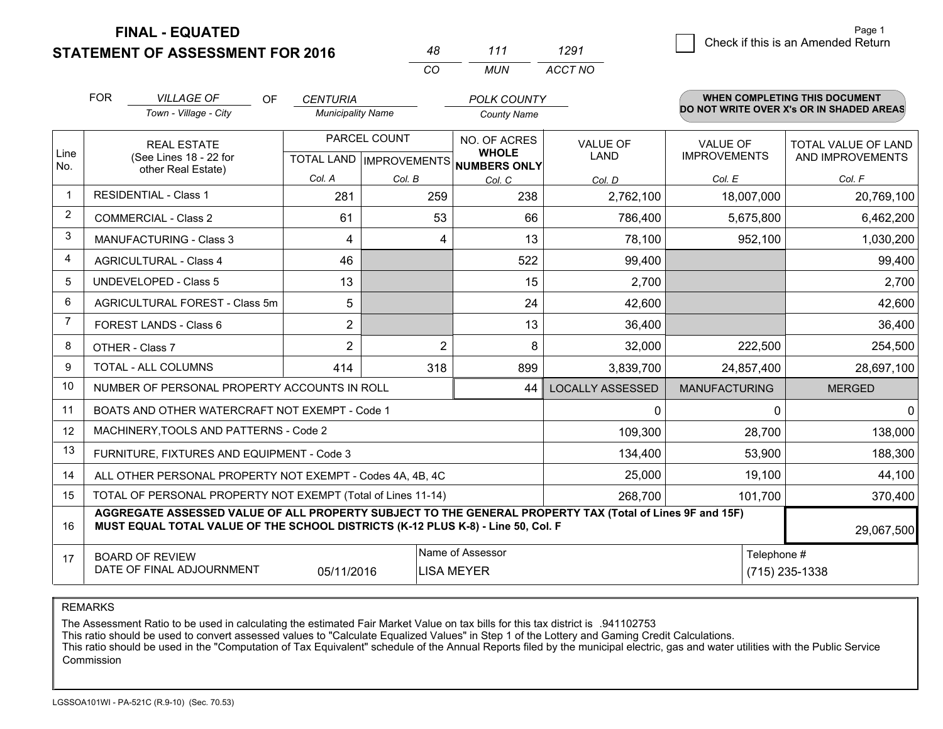**FINAL - EQUATED**

**STATEMENT OF ASSESSMENT FOR 2016** 

|    | 111 | 1291    |
|----|-----|---------|
| rη | MUN | ACCT NO |

|                | <b>FOR</b>                                                                                                                                                                                   | <b>VILLAGE OF</b><br><b>OF</b>                                     | <b>CENTURIA</b>                           |                | <b>POLK COUNTY</b>                                  |                         |                                        | <b>WHEN COMPLETING THIS DOCUMENT</b>     |
|----------------|----------------------------------------------------------------------------------------------------------------------------------------------------------------------------------------------|--------------------------------------------------------------------|-------------------------------------------|----------------|-----------------------------------------------------|-------------------------|----------------------------------------|------------------------------------------|
|                |                                                                                                                                                                                              | Town - Village - City                                              | <b>Municipality Name</b>                  |                | <b>County Name</b>                                  |                         |                                        | DO NOT WRITE OVER X's OR IN SHADED AREAS |
| Line<br>No.    |                                                                                                                                                                                              | <b>REAL ESTATE</b><br>(See Lines 18 - 22 for<br>other Real Estate) | PARCEL COUNT<br>TOTAL LAND   IMPROVEMENTS |                | NO. OF ACRES<br><b>WHOLE</b><br><b>NUMBERS ONLY</b> | <b>VALUE OF</b><br>LAND | <b>VALUE OF</b><br><b>IMPROVEMENTS</b> | TOTAL VALUE OF LAND<br>AND IMPROVEMENTS  |
|                |                                                                                                                                                                                              |                                                                    | Col. A                                    | Col. B         | Col. C                                              | Col. D                  | Col. E                                 | Col. F                                   |
| 1              |                                                                                                                                                                                              | <b>RESIDENTIAL - Class 1</b>                                       | 281                                       | 259            | 238                                                 | 2,762,100               | 18,007,000                             | 20,769,100                               |
| $\overline{2}$ |                                                                                                                                                                                              | <b>COMMERCIAL - Class 2</b>                                        | 61                                        | 53             | 66                                                  | 786,400                 | 5,675,800                              | 6,462,200                                |
| 3              |                                                                                                                                                                                              | <b>MANUFACTURING - Class 3</b>                                     | 4                                         | 4              | 13                                                  | 78,100                  | 952,100                                | 1,030,200                                |
| 4              |                                                                                                                                                                                              | <b>AGRICULTURAL - Class 4</b>                                      | 46                                        |                | 522                                                 | 99,400                  |                                        | 99,400                                   |
| 5              |                                                                                                                                                                                              | <b>UNDEVELOPED - Class 5</b>                                       | 13                                        |                | 15                                                  | 2,700                   |                                        | 2,700                                    |
| 6              | AGRICULTURAL FOREST - Class 5m                                                                                                                                                               |                                                                    | 5                                         |                | 24                                                  | 42,600                  |                                        | 42,600                                   |
| 7              |                                                                                                                                                                                              | FOREST LANDS - Class 6                                             | $\overline{2}$                            |                | 13                                                  | 36,400                  |                                        | 36,400                                   |
| 8              |                                                                                                                                                                                              | OTHER - Class 7                                                    | $\overline{2}$                            | $\overline{2}$ | 8                                                   | 32,000                  | 222,500                                | 254,500                                  |
| 9              |                                                                                                                                                                                              | TOTAL - ALL COLUMNS                                                | 414                                       | 318            | 899                                                 | 3,839,700               | 24,857,400                             | 28,697,100                               |
| 10             |                                                                                                                                                                                              | NUMBER OF PERSONAL PROPERTY ACCOUNTS IN ROLL                       |                                           |                | 44                                                  | <b>LOCALLY ASSESSED</b> | <b>MANUFACTURING</b>                   | <b>MERGED</b>                            |
| 11             |                                                                                                                                                                                              | BOATS AND OTHER WATERCRAFT NOT EXEMPT - Code 1                     |                                           |                |                                                     | $\mathbf{0}$            | $\Omega$                               | $\Omega$                                 |
| 12             |                                                                                                                                                                                              | MACHINERY, TOOLS AND PATTERNS - Code 2                             |                                           |                |                                                     | 109,300                 | 28,700                                 | 138,000                                  |
| 13             |                                                                                                                                                                                              | FURNITURE, FIXTURES AND EQUIPMENT - Code 3                         |                                           |                |                                                     | 134,400                 | 53,900                                 | 188,300                                  |
| 14             |                                                                                                                                                                                              | ALL OTHER PERSONAL PROPERTY NOT EXEMPT - Codes 4A, 4B, 4C          |                                           |                |                                                     | 25,000                  | 19,100                                 | 44,100                                   |
| 15             |                                                                                                                                                                                              | TOTAL OF PERSONAL PROPERTY NOT EXEMPT (Total of Lines 11-14)       |                                           |                |                                                     | 268,700                 | 101,700                                | 370,400                                  |
| 16             | AGGREGATE ASSESSED VALUE OF ALL PROPERTY SUBJECT TO THE GENERAL PROPERTY TAX (Total of Lines 9F and 15F)<br>MUST EQUAL TOTAL VALUE OF THE SCHOOL DISTRICTS (K-12 PLUS K-8) - Line 50, Col. F |                                                                    |                                           |                |                                                     |                         |                                        | 29,067,500                               |
| 17             | Name of Assessor<br>Telephone #<br><b>BOARD OF REVIEW</b><br>DATE OF FINAL ADJOURNMENT<br>(715) 235-1338<br>05/11/2016<br><b>LISA MEYER</b>                                                  |                                                                    |                                           |                |                                                     |                         |                                        |                                          |

REMARKS

The Assessment Ratio to be used in calculating the estimated Fair Market Value on tax bills for this tax district is .941102753<br>This ratio should be used to convert assessed values to "Calculate Equalized Values" in Step 1 Commission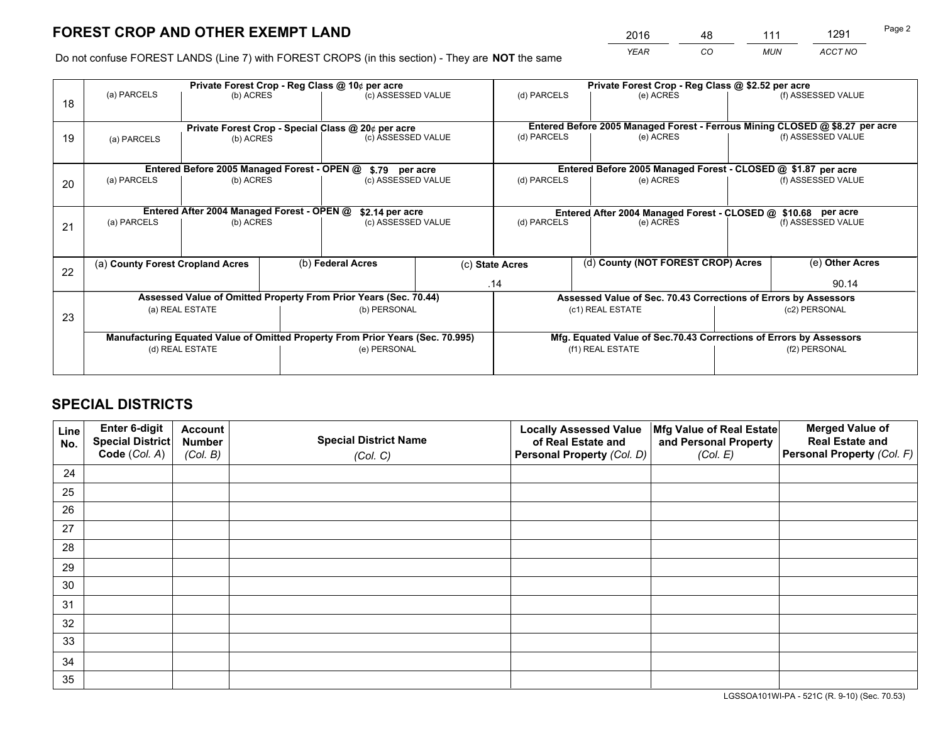*YEAR CO MUN ACCT NO* <sup>2016</sup> <sup>48</sup> <sup>111</sup> <sup>1291</sup>

Do not confuse FOREST LANDS (Line 7) with FOREST CROPS (in this section) - They are **NOT** the same

|    |                                                                         |                                            |  | Private Forest Crop - Reg Class @ 10¢ per acre                                 |  | Private Forest Crop - Reg Class @ \$2.52 per acre                                         |                                                                              |               |                    |  |
|----|-------------------------------------------------------------------------|--------------------------------------------|--|--------------------------------------------------------------------------------|--|-------------------------------------------------------------------------------------------|------------------------------------------------------------------------------|---------------|--------------------|--|
| 18 | (a) PARCELS                                                             | (b) ACRES                                  |  | (c) ASSESSED VALUE                                                             |  | (d) PARCELS                                                                               | (e) ACRES                                                                    |               | (f) ASSESSED VALUE |  |
|    |                                                                         |                                            |  | Private Forest Crop - Special Class @ 20¢ per acre                             |  |                                                                                           | Entered Before 2005 Managed Forest - Ferrous Mining CLOSED @ \$8.27 per acre |               |                    |  |
| 19 | (a) PARCELS                                                             | (b) ACRES                                  |  | (c) ASSESSED VALUE                                                             |  | (d) PARCELS                                                                               | (e) ACRES                                                                    |               | (f) ASSESSED VALUE |  |
|    |                                                                         |                                            |  | \$.79 per acre                                                                 |  |                                                                                           | Entered Before 2005 Managed Forest - CLOSED @ \$1.87 per acre                |               |                    |  |
| 20 | Entered Before 2005 Managed Forest - OPEN @<br>(a) PARCELS<br>(b) ACRES |                                            |  | (c) ASSESSED VALUE                                                             |  | (d) PARCELS                                                                               | (e) ACRES                                                                    |               | (f) ASSESSED VALUE |  |
|    |                                                                         | Entered After 2004 Managed Forest - OPEN @ |  |                                                                                |  |                                                                                           |                                                                              |               |                    |  |
| 21 | (a) PARCELS                                                             | (b) ACRES                                  |  | \$2.14 per acre<br>(c) ASSESSED VALUE                                          |  | Entered After 2004 Managed Forest - CLOSED @ \$10.68 per acre<br>(d) PARCELS<br>(e) ACRES |                                                                              |               | (f) ASSESSED VALUE |  |
|    |                                                                         |                                            |  |                                                                                |  |                                                                                           |                                                                              |               |                    |  |
| 22 | (a) County Forest Cropland Acres                                        |                                            |  | (b) Federal Acres                                                              |  | (c) State Acres                                                                           | (d) County (NOT FOREST CROP) Acres                                           |               | (e) Other Acres    |  |
|    |                                                                         |                                            |  |                                                                                |  | .14                                                                                       |                                                                              |               | 90.14              |  |
|    |                                                                         |                                            |  | Assessed Value of Omitted Property From Prior Years (Sec. 70.44)               |  |                                                                                           | Assessed Value of Sec. 70.43 Corrections of Errors by Assessors              |               |                    |  |
| 23 |                                                                         | (a) REAL ESTATE                            |  | (b) PERSONAL                                                                   |  | (c1) REAL ESTATE                                                                          |                                                                              | (c2) PERSONAL |                    |  |
|    |                                                                         |                                            |  | Manufacturing Equated Value of Omitted Property From Prior Years (Sec. 70.995) |  |                                                                                           | Mfg. Equated Value of Sec.70.43 Corrections of Errors by Assessors           |               |                    |  |
|    |                                                                         | (d) REAL ESTATE                            |  | (e) PERSONAL                                                                   |  | (f1) REAL ESTATE                                                                          |                                                                              |               | (f2) PERSONAL      |  |
|    |                                                                         |                                            |  |                                                                                |  |                                                                                           |                                                                              |               |                    |  |

# **SPECIAL DISTRICTS**

| Line<br>No. | Enter 6-digit<br>Special District<br>Code (Col. A) | <b>Account</b><br><b>Number</b> | <b>Special District Name</b> | <b>Locally Assessed Value</b><br>of Real Estate and | Mfg Value of Real Estate<br>and Personal Property | <b>Merged Value of</b><br><b>Real Estate and</b><br>Personal Property (Col. F) |
|-------------|----------------------------------------------------|---------------------------------|------------------------------|-----------------------------------------------------|---------------------------------------------------|--------------------------------------------------------------------------------|
|             |                                                    | (Col. B)                        | (Col. C)                     | Personal Property (Col. D)                          | (Col. E)                                          |                                                                                |
| 24          |                                                    |                                 |                              |                                                     |                                                   |                                                                                |
| 25          |                                                    |                                 |                              |                                                     |                                                   |                                                                                |
| 26          |                                                    |                                 |                              |                                                     |                                                   |                                                                                |
| 27          |                                                    |                                 |                              |                                                     |                                                   |                                                                                |
| 28          |                                                    |                                 |                              |                                                     |                                                   |                                                                                |
| 29          |                                                    |                                 |                              |                                                     |                                                   |                                                                                |
| 30          |                                                    |                                 |                              |                                                     |                                                   |                                                                                |
| 31          |                                                    |                                 |                              |                                                     |                                                   |                                                                                |
| 32          |                                                    |                                 |                              |                                                     |                                                   |                                                                                |
| 33          |                                                    |                                 |                              |                                                     |                                                   |                                                                                |
| 34          |                                                    |                                 |                              |                                                     |                                                   |                                                                                |
| 35          |                                                    |                                 |                              |                                                     |                                                   |                                                                                |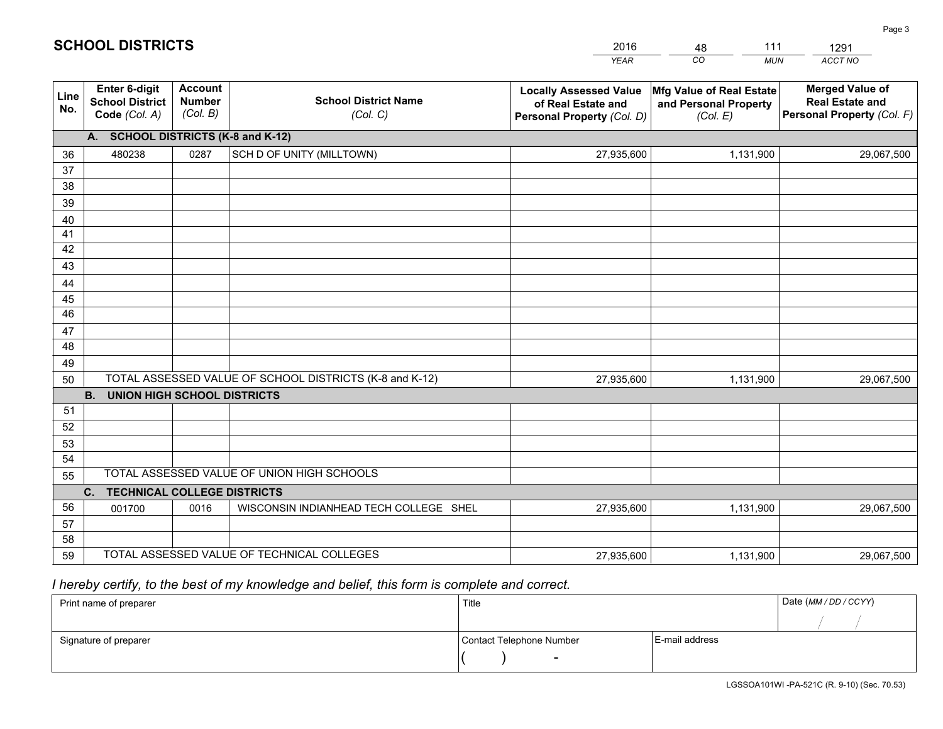|             |                                                                 |                                             |                                                         | <b>YEAR</b>                                                                       | CO<br><b>MUN</b>                                              | ACCT NO                                                                        |
|-------------|-----------------------------------------------------------------|---------------------------------------------|---------------------------------------------------------|-----------------------------------------------------------------------------------|---------------------------------------------------------------|--------------------------------------------------------------------------------|
| Line<br>No. | <b>Enter 6-digit</b><br><b>School District</b><br>Code (Col. A) | <b>Account</b><br><b>Number</b><br>(Col. B) | <b>School District Name</b><br>(Col. C)                 | <b>Locally Assessed Value</b><br>of Real Estate and<br>Personal Property (Col. D) | Mfg Value of Real Estate<br>and Personal Property<br>(Col. E) | <b>Merged Value of</b><br><b>Real Estate and</b><br>Personal Property (Col. F) |
|             | A. SCHOOL DISTRICTS (K-8 and K-12)                              |                                             |                                                         |                                                                                   |                                                               |                                                                                |
| 36          | 480238                                                          | 0287                                        | SCH D OF UNITY (MILLTOWN)                               | 27,935,600                                                                        | 1,131,900                                                     | 29,067,500                                                                     |
| 37          |                                                                 |                                             |                                                         |                                                                                   |                                                               |                                                                                |
| 38          |                                                                 |                                             |                                                         |                                                                                   |                                                               |                                                                                |
| 39          |                                                                 |                                             |                                                         |                                                                                   |                                                               |                                                                                |
| 40          |                                                                 |                                             |                                                         |                                                                                   |                                                               |                                                                                |
| 41          |                                                                 |                                             |                                                         |                                                                                   |                                                               |                                                                                |
| 42          |                                                                 |                                             |                                                         |                                                                                   |                                                               |                                                                                |
| 43          |                                                                 |                                             |                                                         |                                                                                   |                                                               |                                                                                |
| 44<br>45    |                                                                 |                                             |                                                         |                                                                                   |                                                               |                                                                                |
| 46          |                                                                 |                                             |                                                         |                                                                                   |                                                               |                                                                                |
| 47          |                                                                 |                                             |                                                         |                                                                                   |                                                               |                                                                                |
| 48          |                                                                 |                                             |                                                         |                                                                                   |                                                               |                                                                                |
| 49          |                                                                 |                                             |                                                         |                                                                                   |                                                               |                                                                                |
| 50          |                                                                 |                                             | TOTAL ASSESSED VALUE OF SCHOOL DISTRICTS (K-8 and K-12) | 27,935,600                                                                        | 1,131,900                                                     | 29,067,500                                                                     |
|             | <b>B. UNION HIGH SCHOOL DISTRICTS</b>                           |                                             |                                                         |                                                                                   |                                                               |                                                                                |
| 51          |                                                                 |                                             |                                                         |                                                                                   |                                                               |                                                                                |
| 52          |                                                                 |                                             |                                                         |                                                                                   |                                                               |                                                                                |
| 53          |                                                                 |                                             |                                                         |                                                                                   |                                                               |                                                                                |
| 54          |                                                                 |                                             | TOTAL ASSESSED VALUE OF UNION HIGH SCHOOLS              |                                                                                   |                                                               |                                                                                |
| 55          |                                                                 |                                             |                                                         |                                                                                   |                                                               |                                                                                |
|             | C.<br><b>TECHNICAL COLLEGE DISTRICTS</b>                        |                                             |                                                         |                                                                                   |                                                               |                                                                                |
| 56<br>57    | 001700                                                          | 0016                                        | WISCONSIN INDIANHEAD TECH COLLEGE SHEL                  | 27,935,600                                                                        | 1,131,900                                                     | 29,067,500                                                                     |
| 58          |                                                                 |                                             |                                                         |                                                                                   |                                                               |                                                                                |
| 59          |                                                                 |                                             | TOTAL ASSESSED VALUE OF TECHNICAL COLLEGES              | 27,935,600                                                                        | 1,131,900                                                     | 29,067,500                                                                     |
|             |                                                                 |                                             |                                                         |                                                                                   |                                                               |                                                                                |

48

111

 *I hereby certify, to the best of my knowledge and belief, this form is complete and correct.*

**SCHOOL DISTRICTS**

| Print name of preparer | Title                    | Date (MM / DD / CCYY) |  |
|------------------------|--------------------------|-----------------------|--|
|                        |                          |                       |  |
| Signature of preparer  | Contact Telephone Number | E-mail address        |  |
|                        | $\overline{\phantom{0}}$ |                       |  |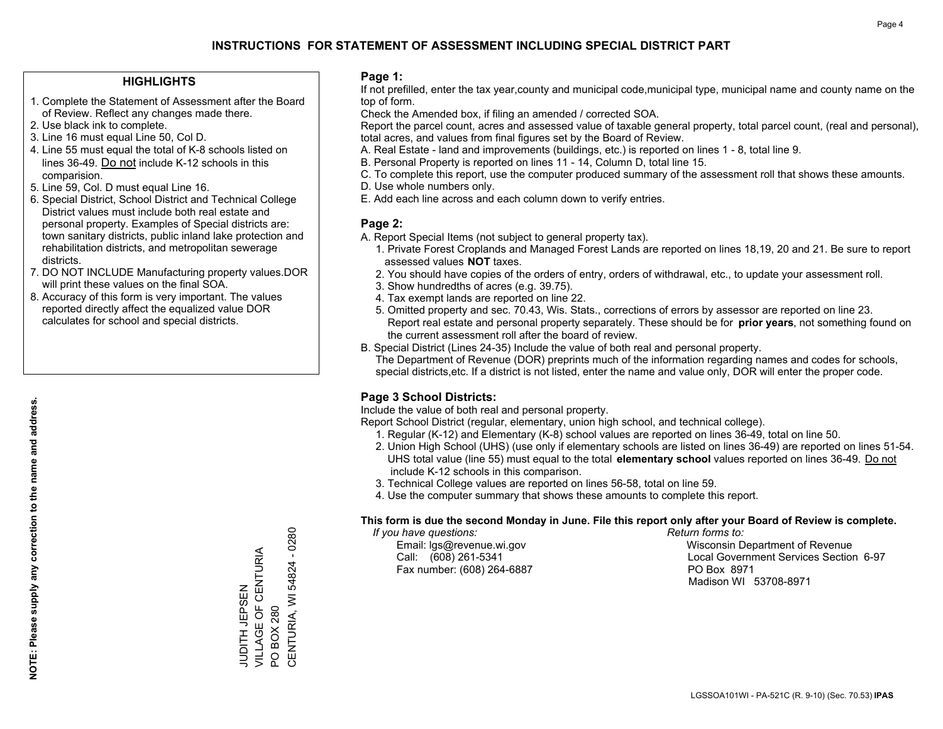### **HIGHLIGHTS**

- 1. Complete the Statement of Assessment after the Board of Review. Reflect any changes made there.
- 2. Use black ink to complete.
- 3. Line 16 must equal Line 50, Col D.
- 4. Line 55 must equal the total of K-8 schools listed on lines 36-49. Do not include K-12 schools in this comparision.
- 5. Line 59, Col. D must equal Line 16.
- 6. Special District, School District and Technical College District values must include both real estate and personal property. Examples of Special districts are: town sanitary districts, public inland lake protection and rehabilitation districts, and metropolitan sewerage districts.
- 7. DO NOT INCLUDE Manufacturing property values.DOR will print these values on the final SOA.

ZWSLHT HLIODT

VILLAGE OF CENTURIA

JUDITH JEPSEN<br>VILLAGE OF CENTURIA

PO BOX 280

 $\overline{S}$ 

CENTURIA, WI 54824 - 0280

CENTURIA, WI 54824 **BOX 280** 

 $-0280$ 

 8. Accuracy of this form is very important. The values reported directly affect the equalized value DOR calculates for school and special districts.

### **Page 1:**

 If not prefilled, enter the tax year,county and municipal code,municipal type, municipal name and county name on the top of form.

Check the Amended box, if filing an amended / corrected SOA.

 Report the parcel count, acres and assessed value of taxable general property, total parcel count, (real and personal), total acres, and values from final figures set by the Board of Review.

- A. Real Estate land and improvements (buildings, etc.) is reported on lines 1 8, total line 9.
- B. Personal Property is reported on lines 11 14, Column D, total line 15.
- C. To complete this report, use the computer produced summary of the assessment roll that shows these amounts.
- D. Use whole numbers only.
- E. Add each line across and each column down to verify entries.

### **Page 2:**

- A. Report Special Items (not subject to general property tax).
- 1. Private Forest Croplands and Managed Forest Lands are reported on lines 18,19, 20 and 21. Be sure to report assessed values **NOT** taxes.
- 2. You should have copies of the orders of entry, orders of withdrawal, etc., to update your assessment roll.
	- 3. Show hundredths of acres (e.g. 39.75).
- 4. Tax exempt lands are reported on line 22.
- 5. Omitted property and sec. 70.43, Wis. Stats., corrections of errors by assessor are reported on line 23. Report real estate and personal property separately. These should be for **prior years**, not something found on the current assessment roll after the board of review.
- B. Special District (Lines 24-35) Include the value of both real and personal property.
- The Department of Revenue (DOR) preprints much of the information regarding names and codes for schools, special districts,etc. If a district is not listed, enter the name and value only, DOR will enter the proper code.

## **Page 3 School Districts:**

Include the value of both real and personal property.

Report School District (regular, elementary, union high school, and technical college).

- 1. Regular (K-12) and Elementary (K-8) school values are reported on lines 36-49, total on line 50.
- 2. Union High School (UHS) (use only if elementary schools are listed on lines 36-49) are reported on lines 51-54. UHS total value (line 55) must equal to the total **elementary school** values reported on lines 36-49. Do notinclude K-12 schools in this comparison.
- 3. Technical College values are reported on lines 56-58, total on line 59.
- 4. Use the computer summary that shows these amounts to complete this report.

### **This form is due the second Monday in June. File this report only after your Board of Review is complete.**

 *If you have questions: Return forms to:*

Fax number: (608) 264-6887 PO Box 8971

 Email: lgs@revenue.wi.gov Wisconsin Department of Revenue Call: (608) 261-5341 Local Government Services Section 6-97Madison WI 53708-8971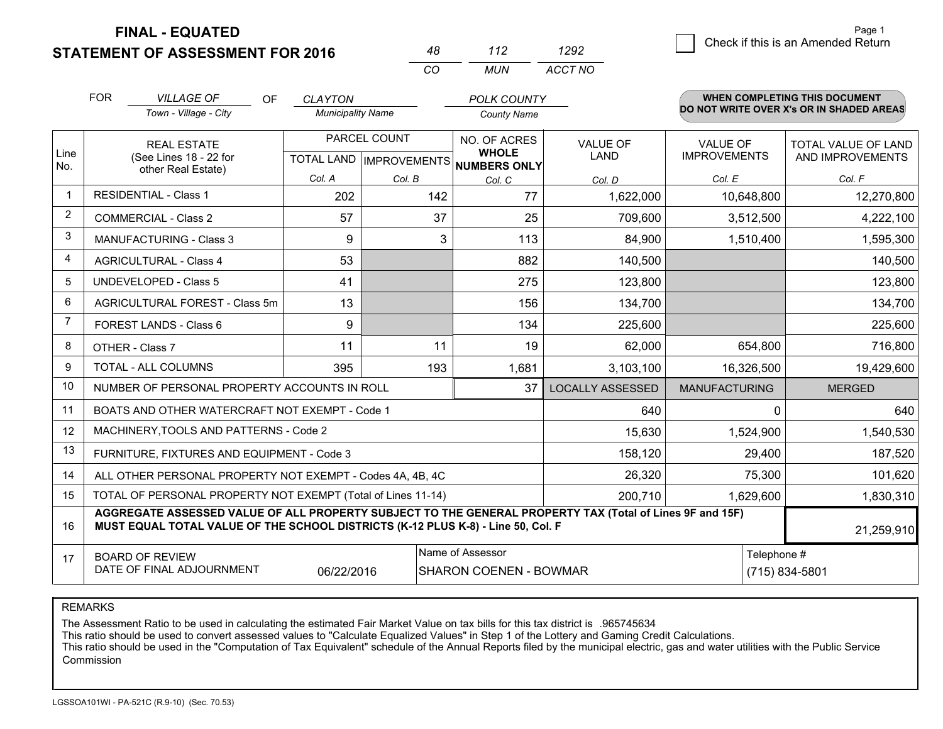**FINAL - EQUATED**

 $-$ 

**STATEMENT OF ASSESSMENT FOR 2016** 

|          | 112   | ツロワ     |
|----------|-------|---------|
| $\cdots$ | MI IN | ACCT NO |

|                | <b>FOR</b><br><i>VILLAGE OF</i><br>OF.<br><b>CLAYTON</b><br><b>POLK COUNTY</b>                                         |                                                                                                                                                                                              |                                                      | WHEN COMPLETING THIS DOCUMENT<br>DO NOT WRITE OVER X's OR IN SHADED AREAS |                              |                                |                                        |                                         |
|----------------|------------------------------------------------------------------------------------------------------------------------|----------------------------------------------------------------------------------------------------------------------------------------------------------------------------------------------|------------------------------------------------------|---------------------------------------------------------------------------|------------------------------|--------------------------------|----------------------------------------|-----------------------------------------|
|                |                                                                                                                        | Town - Village - City                                                                                                                                                                        | <b>Municipality Name</b>                             |                                                                           | <b>County Name</b>           |                                |                                        |                                         |
| Line           |                                                                                                                        | <b>REAL ESTATE</b><br>(See Lines 18 - 22 for                                                                                                                                                 | PARCEL COUNT<br>TOTAL LAND IMPROVEMENTS NUMBERS ONLY |                                                                           | NO. OF ACRES<br><b>WHOLE</b> | <b>VALUE OF</b><br><b>LAND</b> | <b>VALUE OF</b><br><b>IMPROVEMENTS</b> | TOTAL VALUE OF LAND<br>AND IMPROVEMENTS |
| No.            |                                                                                                                        | other Real Estate)                                                                                                                                                                           | Col. A                                               | Col. B                                                                    | Col. C                       | Col. D                         | Col. E                                 | Col. F                                  |
|                |                                                                                                                        | <b>RESIDENTIAL - Class 1</b>                                                                                                                                                                 | 202                                                  | 142                                                                       | 77                           | 1,622,000                      | 10,648,800                             | 12,270,800                              |
| $\overline{2}$ |                                                                                                                        | <b>COMMERCIAL - Class 2</b>                                                                                                                                                                  | 57                                                   | 37                                                                        | 25                           | 709,600                        | 3,512,500                              | 4,222,100                               |
| 3              |                                                                                                                        | <b>MANUFACTURING - Class 3</b>                                                                                                                                                               | 9                                                    | 3                                                                         | 113                          | 84,900                         | 1,510,400                              | 1,595,300                               |
| 4              |                                                                                                                        | <b>AGRICULTURAL - Class 4</b>                                                                                                                                                                | 53                                                   |                                                                           | 882                          | 140,500                        |                                        | 140,500                                 |
| 5              |                                                                                                                        | <b>UNDEVELOPED - Class 5</b>                                                                                                                                                                 | 41                                                   |                                                                           | 275                          | 123,800                        |                                        | 123,800                                 |
| 6              |                                                                                                                        | AGRICULTURAL FOREST - Class 5m                                                                                                                                                               | 13                                                   |                                                                           | 156                          | 134,700                        |                                        | 134,700                                 |
| $\overline{7}$ |                                                                                                                        | FOREST LANDS - Class 6                                                                                                                                                                       | 9                                                    |                                                                           | 134                          | 225,600                        |                                        | 225,600                                 |
| 8              |                                                                                                                        | OTHER - Class 7                                                                                                                                                                              | 11                                                   | 11                                                                        | 19                           | 62,000                         | 654,800                                | 716,800                                 |
| 9              |                                                                                                                        | <b>TOTAL - ALL COLUMNS</b>                                                                                                                                                                   | 395                                                  | 193                                                                       | 1,681                        | 3,103,100                      | 16,326,500                             | 19,429,600                              |
| 10             |                                                                                                                        | NUMBER OF PERSONAL PROPERTY ACCOUNTS IN ROLL                                                                                                                                                 |                                                      |                                                                           | 37                           | <b>LOCALLY ASSESSED</b>        | <b>MANUFACTURING</b>                   | <b>MERGED</b>                           |
| 11             |                                                                                                                        | BOATS AND OTHER WATERCRAFT NOT EXEMPT - Code 1                                                                                                                                               |                                                      |                                                                           |                              | 640                            |                                        | 640<br>$\Omega$                         |
| 12             |                                                                                                                        | MACHINERY, TOOLS AND PATTERNS - Code 2                                                                                                                                                       |                                                      |                                                                           |                              | 15,630                         | 1,524,900                              | 1,540,530                               |
| 13             |                                                                                                                        | FURNITURE, FIXTURES AND EQUIPMENT - Code 3                                                                                                                                                   |                                                      |                                                                           |                              | 158,120                        | 29,400                                 | 187,520                                 |
| 14             |                                                                                                                        | ALL OTHER PERSONAL PROPERTY NOT EXEMPT - Codes 4A, 4B, 4C                                                                                                                                    |                                                      |                                                                           |                              | 26,320                         | 75,300                                 | 101,620                                 |
| 15             |                                                                                                                        | TOTAL OF PERSONAL PROPERTY NOT EXEMPT (Total of Lines 11-14)                                                                                                                                 |                                                      |                                                                           | 200,710                      | 1,629,600                      | 1,830,310                              |                                         |
| 16             |                                                                                                                        | AGGREGATE ASSESSED VALUE OF ALL PROPERTY SUBJECT TO THE GENERAL PROPERTY TAX (Total of Lines 9F and 15F)<br>MUST EQUAL TOTAL VALUE OF THE SCHOOL DISTRICTS (K-12 PLUS K-8) - Line 50, Col. F |                                                      |                                                                           |                              |                                |                                        | 21,259,910                              |
| 17             | Name of Assessor<br><b>BOARD OF REVIEW</b><br>DATE OF FINAL ADJOURNMENT<br>06/22/2016<br><b>SHARON COENEN - BOWMAR</b> |                                                                                                                                                                                              |                                                      |                                                                           |                              |                                | Telephone #<br>(715) 834-5801          |                                         |

#### REMARKS

The Assessment Ratio to be used in calculating the estimated Fair Market Value on tax bills for this tax district is .965745634<br>This ratio should be used to convert assessed values to "Calculate Equalized Values" in Step 1 Commission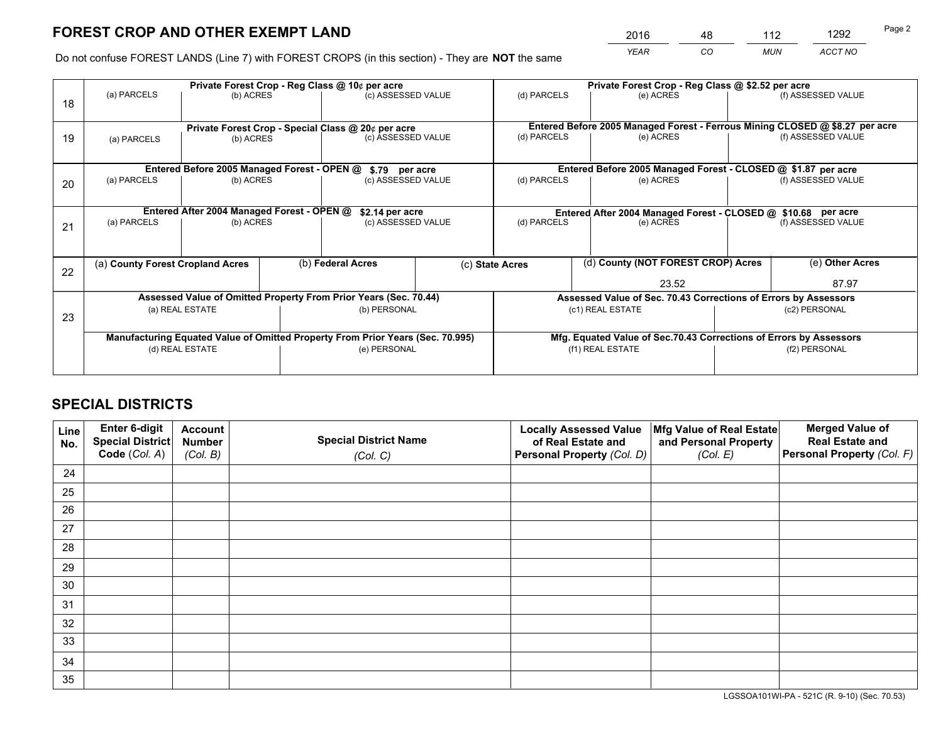*YEAR CO MUN ACCT NO* <sup>2016</sup> <sup>48</sup> <sup>112</sup> <sup>1292</sup>

Do not confuse FOREST LANDS (Line 7) with FOREST CROPS (in this section) - They are **NOT** the same

|    |                                  |                                             |  | Private Forest Crop - Reg Class @ 10¢ per acre                                 |  | Private Forest Crop - Reg Class @ \$2.52 per acre               |                                                                              |  |                    |  |
|----|----------------------------------|---------------------------------------------|--|--------------------------------------------------------------------------------|--|-----------------------------------------------------------------|------------------------------------------------------------------------------|--|--------------------|--|
| 18 | (a) PARCELS                      | (b) ACRES                                   |  | (c) ASSESSED VALUE                                                             |  | (d) PARCELS                                                     | (e) ACRES                                                                    |  | (f) ASSESSED VALUE |  |
|    |                                  |                                             |  | Private Forest Crop - Special Class @ 20¢ per acre                             |  |                                                                 | Entered Before 2005 Managed Forest - Ferrous Mining CLOSED @ \$8.27 per acre |  |                    |  |
| 19 | (b) ACRES<br>(a) PARCELS         |                                             |  | (c) ASSESSED VALUE                                                             |  | (d) PARCELS                                                     | (e) ACRES                                                                    |  | (f) ASSESSED VALUE |  |
|    |                                  | Entered Before 2005 Managed Forest - OPEN @ |  | \$.79 per acre                                                                 |  |                                                                 | Entered Before 2005 Managed Forest - CLOSED @ \$1.87 per acre                |  |                    |  |
| 20 | (a) PARCELS<br>(b) ACRES         |                                             |  | (c) ASSESSED VALUE                                                             |  | (d) PARCELS                                                     | (e) ACRES                                                                    |  | (f) ASSESSED VALUE |  |
|    |                                  | Entered After 2004 Managed Forest - OPEN @  |  | \$2.14 per acre                                                                |  |                                                                 | Entered After 2004 Managed Forest - CLOSED @ \$10.68 per acre                |  |                    |  |
| 21 | (a) PARCELS<br>(b) ACRES         |                                             |  | (c) ASSESSED VALUE                                                             |  | (d) PARCELS                                                     | (e) ACRES                                                                    |  | (f) ASSESSED VALUE |  |
|    |                                  |                                             |  |                                                                                |  |                                                                 |                                                                              |  |                    |  |
| 22 | (a) County Forest Cropland Acres |                                             |  | (b) Federal Acres                                                              |  | (c) State Acres                                                 | (d) County (NOT FOREST CROP) Acres                                           |  | (e) Other Acres    |  |
|    |                                  |                                             |  |                                                                                |  |                                                                 | 23.52                                                                        |  | 87.97              |  |
|    |                                  |                                             |  | Assessed Value of Omitted Property From Prior Years (Sec. 70.44)               |  | Assessed Value of Sec. 70.43 Corrections of Errors by Assessors |                                                                              |  |                    |  |
| 23 |                                  | (a) REAL ESTATE                             |  | (b) PERSONAL                                                                   |  |                                                                 | (c1) REAL ESTATE                                                             |  | (c2) PERSONAL      |  |
|    |                                  |                                             |  |                                                                                |  |                                                                 |                                                                              |  |                    |  |
|    |                                  |                                             |  | Manufacturing Equated Value of Omitted Property From Prior Years (Sec. 70.995) |  |                                                                 | Mfg. Equated Value of Sec.70.43 Corrections of Errors by Assessors           |  |                    |  |
|    |                                  | (d) REAL ESTATE                             |  | (e) PERSONAL                                                                   |  |                                                                 | (f1) REAL ESTATE                                                             |  | (f2) PERSONAL      |  |
|    |                                  |                                             |  |                                                                                |  |                                                                 |                                                                              |  |                    |  |

# **SPECIAL DISTRICTS**

| Line<br>No. | Enter 6-digit<br><b>Special District</b> | <b>Account</b><br><b>Number</b> | <b>Special District Name</b> | <b>Locally Assessed Value</b><br>of Real Estate and | Mfg Value of Real Estate<br>and Personal Property | <b>Merged Value of</b><br><b>Real Estate and</b> |
|-------------|------------------------------------------|---------------------------------|------------------------------|-----------------------------------------------------|---------------------------------------------------|--------------------------------------------------|
|             | Code (Col. A)                            | (Col. B)                        | (Col. C)                     | Personal Property (Col. D)                          | (Col. E)                                          | Personal Property (Col. F)                       |
| 24          |                                          |                                 |                              |                                                     |                                                   |                                                  |
| 25          |                                          |                                 |                              |                                                     |                                                   |                                                  |
| 26          |                                          |                                 |                              |                                                     |                                                   |                                                  |
| 27          |                                          |                                 |                              |                                                     |                                                   |                                                  |
| 28          |                                          |                                 |                              |                                                     |                                                   |                                                  |
| 29          |                                          |                                 |                              |                                                     |                                                   |                                                  |
| 30          |                                          |                                 |                              |                                                     |                                                   |                                                  |
| 31          |                                          |                                 |                              |                                                     |                                                   |                                                  |
| 32          |                                          |                                 |                              |                                                     |                                                   |                                                  |
| 33          |                                          |                                 |                              |                                                     |                                                   |                                                  |
| 34          |                                          |                                 |                              |                                                     |                                                   |                                                  |
| 35          |                                          |                                 |                              |                                                     |                                                   |                                                  |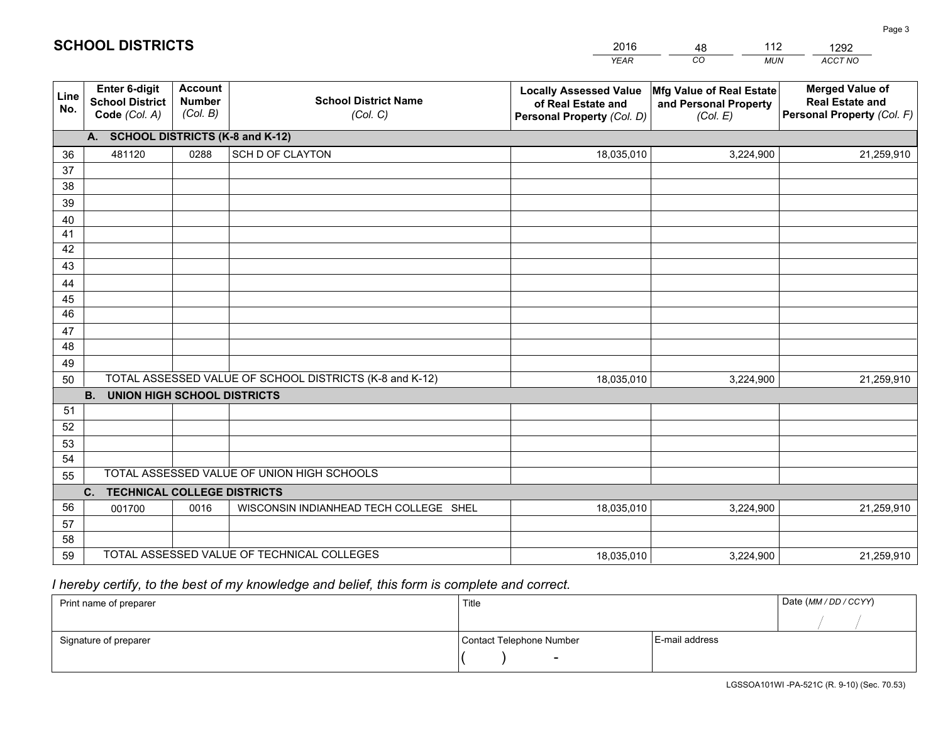|             |                                                                 |                                             |                                                         | YEAR                                                                              | CO<br><b>MUN</b>                                              | ACCT NO                                                                        |
|-------------|-----------------------------------------------------------------|---------------------------------------------|---------------------------------------------------------|-----------------------------------------------------------------------------------|---------------------------------------------------------------|--------------------------------------------------------------------------------|
| Line<br>No. | <b>Enter 6-digit</b><br><b>School District</b><br>Code (Col. A) | <b>Account</b><br><b>Number</b><br>(Col. B) | <b>School District Name</b><br>(Col. C)                 | <b>Locally Assessed Value</b><br>of Real Estate and<br>Personal Property (Col. D) | Mfg Value of Real Estate<br>and Personal Property<br>(Col. E) | <b>Merged Value of</b><br><b>Real Estate and</b><br>Personal Property (Col. F) |
|             | A. SCHOOL DISTRICTS (K-8 and K-12)                              |                                             |                                                         |                                                                                   |                                                               |                                                                                |
| 36          | 481120                                                          | 0288                                        | <b>SCH D OF CLAYTON</b>                                 | 18,035,010                                                                        | 3,224,900                                                     | 21,259,910                                                                     |
| 37          |                                                                 |                                             |                                                         |                                                                                   |                                                               |                                                                                |
| 38          |                                                                 |                                             |                                                         |                                                                                   |                                                               |                                                                                |
| 39          |                                                                 |                                             |                                                         |                                                                                   |                                                               |                                                                                |
| 40          |                                                                 |                                             |                                                         |                                                                                   |                                                               |                                                                                |
| 41<br>42    |                                                                 |                                             |                                                         |                                                                                   |                                                               |                                                                                |
| 43          |                                                                 |                                             |                                                         |                                                                                   |                                                               |                                                                                |
| 44          |                                                                 |                                             |                                                         |                                                                                   |                                                               |                                                                                |
| 45          |                                                                 |                                             |                                                         |                                                                                   |                                                               |                                                                                |
| 46          |                                                                 |                                             |                                                         |                                                                                   |                                                               |                                                                                |
| 47          |                                                                 |                                             |                                                         |                                                                                   |                                                               |                                                                                |
| 48          |                                                                 |                                             |                                                         |                                                                                   |                                                               |                                                                                |
| 49          |                                                                 |                                             |                                                         |                                                                                   |                                                               |                                                                                |
| 50          |                                                                 |                                             | TOTAL ASSESSED VALUE OF SCHOOL DISTRICTS (K-8 and K-12) | 18,035,010                                                                        | 3,224,900                                                     | 21,259,910                                                                     |
|             | <b>B.</b><br><b>UNION HIGH SCHOOL DISTRICTS</b>                 |                                             |                                                         |                                                                                   |                                                               |                                                                                |
| 51          |                                                                 |                                             |                                                         |                                                                                   |                                                               |                                                                                |
| 52          |                                                                 |                                             |                                                         |                                                                                   |                                                               |                                                                                |
| 53<br>54    |                                                                 |                                             |                                                         |                                                                                   |                                                               |                                                                                |
| 55          |                                                                 |                                             | TOTAL ASSESSED VALUE OF UNION HIGH SCHOOLS              |                                                                                   |                                                               |                                                                                |
|             | C.<br><b>TECHNICAL COLLEGE DISTRICTS</b>                        |                                             |                                                         |                                                                                   |                                                               |                                                                                |
| 56          | 001700                                                          | 0016                                        | WISCONSIN INDIANHEAD TECH COLLEGE SHEL                  | 18,035,010                                                                        | 3,224,900                                                     | 21,259,910                                                                     |
| 57          |                                                                 |                                             |                                                         |                                                                                   |                                                               |                                                                                |
| 58          |                                                                 |                                             |                                                         |                                                                                   |                                                               |                                                                                |
| 59          |                                                                 |                                             | TOTAL ASSESSED VALUE OF TECHNICAL COLLEGES              | 18,035,010                                                                        | 3,224,900                                                     | 21,259,910                                                                     |

48

112

 *I hereby certify, to the best of my knowledge and belief, this form is complete and correct.*

**SCHOOL DISTRICTS**

| Print name of preparer | Title                    |                | Date (MM / DD / CCYY) |
|------------------------|--------------------------|----------------|-----------------------|
|                        |                          |                |                       |
| Signature of preparer  | Contact Telephone Number | E-mail address |                       |
|                        | $\sim$                   |                |                       |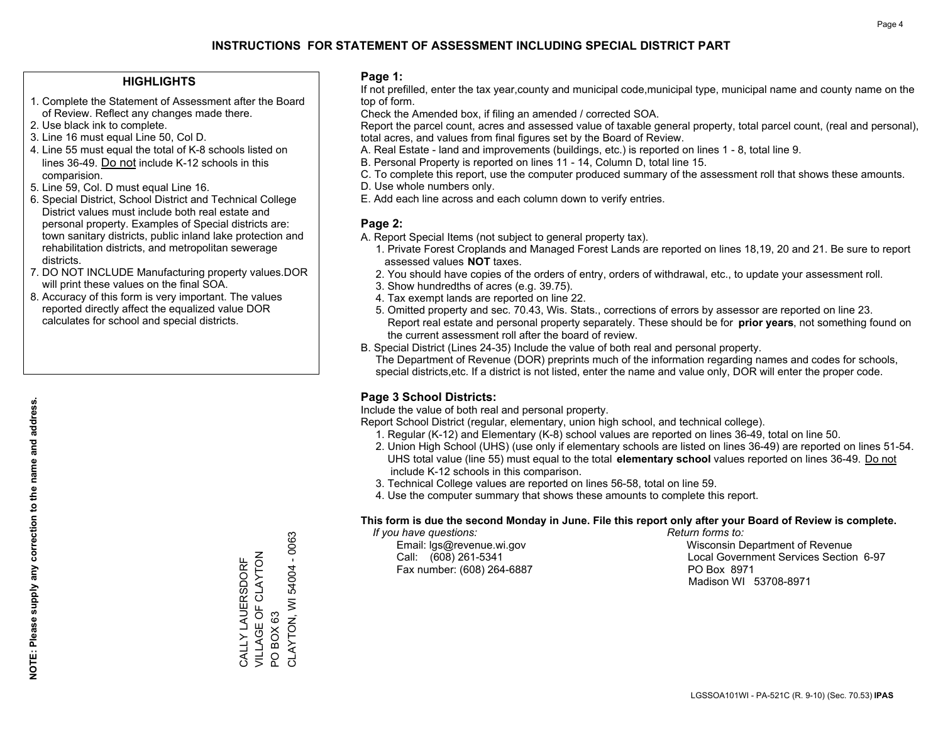### **HIGHLIGHTS**

- 1. Complete the Statement of Assessment after the Board of Review. Reflect any changes made there.
- 2. Use black ink to complete.
- 3. Line 16 must equal Line 50, Col D.
- 4. Line 55 must equal the total of K-8 schools listed on lines 36-49. Do not include K-12 schools in this comparision.
- 5. Line 59, Col. D must equal Line 16.
- 6. Special District, School District and Technical College District values must include both real estate and personal property. Examples of Special districts are: town sanitary districts, public inland lake protection and rehabilitation districts, and metropolitan sewerage districts.
- 7. DO NOT INCLUDE Manufacturing property values.DOR will print these values on the final SOA.

CALLY LAUERSDORF VILLAGE OF CLAYTON

VILLAGE OF CLAYTON CALLY LAUERSDORF

PO BOX 63

 $\overline{S}$ 

**BOX 63** 

CLAYTON, WI 54004 - 0063

CLAYTON, WI 54004 - 0063

 8. Accuracy of this form is very important. The values reported directly affect the equalized value DOR calculates for school and special districts.

### **Page 1:**

 If not prefilled, enter the tax year,county and municipal code,municipal type, municipal name and county name on the top of form.

Check the Amended box, if filing an amended / corrected SOA.

 Report the parcel count, acres and assessed value of taxable general property, total parcel count, (real and personal), total acres, and values from final figures set by the Board of Review.

- A. Real Estate land and improvements (buildings, etc.) is reported on lines 1 8, total line 9.
- B. Personal Property is reported on lines 11 14, Column D, total line 15.
- C. To complete this report, use the computer produced summary of the assessment roll that shows these amounts.
- D. Use whole numbers only.
- E. Add each line across and each column down to verify entries.

### **Page 2:**

- A. Report Special Items (not subject to general property tax).
- 1. Private Forest Croplands and Managed Forest Lands are reported on lines 18,19, 20 and 21. Be sure to report assessed values **NOT** taxes.
- 2. You should have copies of the orders of entry, orders of withdrawal, etc., to update your assessment roll.
	- 3. Show hundredths of acres (e.g. 39.75).
- 4. Tax exempt lands are reported on line 22.
- 5. Omitted property and sec. 70.43, Wis. Stats., corrections of errors by assessor are reported on line 23. Report real estate and personal property separately. These should be for **prior years**, not something found on the current assessment roll after the board of review.
- B. Special District (Lines 24-35) Include the value of both real and personal property.

 The Department of Revenue (DOR) preprints much of the information regarding names and codes for schools, special districts,etc. If a district is not listed, enter the name and value only, DOR will enter the proper code.

## **Page 3 School Districts:**

Include the value of both real and personal property.

Report School District (regular, elementary, union high school, and technical college).

- 1. Regular (K-12) and Elementary (K-8) school values are reported on lines 36-49, total on line 50.
- 2. Union High School (UHS) (use only if elementary schools are listed on lines 36-49) are reported on lines 51-54. UHS total value (line 55) must equal to the total **elementary school** values reported on lines 36-49. Do notinclude K-12 schools in this comparison.
- 3. Technical College values are reported on lines 56-58, total on line 59.
- 4. Use the computer summary that shows these amounts to complete this report.

### **This form is due the second Monday in June. File this report only after your Board of Review is complete.**

 *If you have questions: Return forms to:*

Fax number: (608) 264-6887 PO Box 8971

 Email: lgs@revenue.wi.gov Wisconsin Department of Revenue Call: (608) 261-5341 Local Government Services Section 6-97Madison WI 53708-8971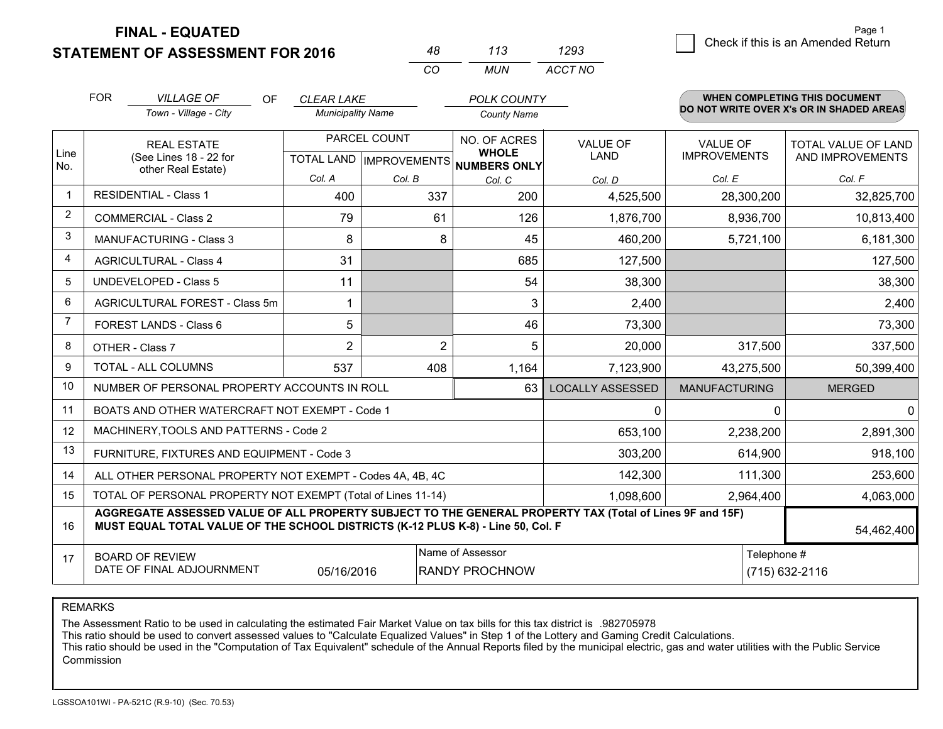**STATEMENT OF ASSESSMENT FOR 2016** 

**FINAL - EQUATED**

|                | <b>FOR</b><br><b>VILLAGE OF</b><br>OF<br>Town - Village - City                                                                                                                                             | <b>CLEAR LAKE</b><br><b>Municipality Name</b> |                                                  | <b>POLK COUNTY</b><br><b>County Name</b>            |                                |                                        | WHEN COMPLETING THIS DOCUMENT<br>DO NOT WRITE OVER X's OR IN SHADED AREAS |  |  |
|----------------|------------------------------------------------------------------------------------------------------------------------------------------------------------------------------------------------------------|-----------------------------------------------|--------------------------------------------------|-----------------------------------------------------|--------------------------------|----------------------------------------|---------------------------------------------------------------------------|--|--|
| Line<br>No.    | <b>REAL ESTATE</b><br>(See Lines 18 - 22 for<br>other Real Estate)                                                                                                                                         |                                               | PARCEL COUNT<br><b>TOTAL LAND   IMPROVEMENTS</b> | NO. OF ACRES<br><b>WHOLE</b><br><b>NUMBERS ONLY</b> | <b>VALUE OF</b><br><b>LAND</b> | <b>VALUE OF</b><br><b>IMPROVEMENTS</b> | TOTAL VALUE OF LAND<br>AND IMPROVEMENTS                                   |  |  |
|                |                                                                                                                                                                                                            | Col. A                                        | Col. B                                           | Col. C                                              | Col. D                         | Col. E                                 | Col. F                                                                    |  |  |
| $\mathbf 1$    | <b>RESIDENTIAL - Class 1</b>                                                                                                                                                                               | 400                                           | 337                                              | 200                                                 | 4,525,500                      | 28,300,200                             | 32,825,700                                                                |  |  |
| $\overline{2}$ | <b>COMMERCIAL - Class 2</b>                                                                                                                                                                                | 79                                            | 61                                               | 126                                                 | 1,876,700                      | 8,936,700                              | 10,813,400                                                                |  |  |
| 3              | MANUFACTURING - Class 3                                                                                                                                                                                    | 8                                             | 8                                                | 45                                                  | 460,200                        | 5,721,100                              | 6,181,300                                                                 |  |  |
| $\overline{4}$ | <b>AGRICULTURAL - Class 4</b>                                                                                                                                                                              | 31                                            |                                                  | 685                                                 | 127,500                        |                                        | 127,500                                                                   |  |  |
| 5              | <b>UNDEVELOPED - Class 5</b>                                                                                                                                                                               | 11                                            |                                                  | 54                                                  | 38,300                         |                                        | 38,300                                                                    |  |  |
| 6              | AGRICULTURAL FOREST - Class 5m                                                                                                                                                                             | 1                                             |                                                  | 3                                                   | 2,400                          |                                        | 2,400                                                                     |  |  |
| $\overline{7}$ | FOREST LANDS - Class 6                                                                                                                                                                                     | 5                                             |                                                  | 46                                                  | 73,300                         |                                        | 73,300                                                                    |  |  |
| 8              | OTHER - Class 7                                                                                                                                                                                            | $\overline{2}$                                | $\overline{2}$                                   | 5                                                   | 20,000                         | 317,500                                | 337,500                                                                   |  |  |
| 9              | TOTAL - ALL COLUMNS                                                                                                                                                                                        | 537                                           | 408                                              | 1,164                                               | 7,123,900                      | 43,275,500                             | 50,399,400                                                                |  |  |
| 10             | NUMBER OF PERSONAL PROPERTY ACCOUNTS IN ROLL                                                                                                                                                               |                                               |                                                  | 63                                                  | <b>LOCALLY ASSESSED</b>        | <b>MANUFACTURING</b>                   | <b>MERGED</b>                                                             |  |  |
| 11             | BOATS AND OTHER WATERCRAFT NOT EXEMPT - Code 1                                                                                                                                                             |                                               |                                                  |                                                     | 0                              | 0                                      | $\mathbf 0$                                                               |  |  |
| 12             | MACHINERY, TOOLS AND PATTERNS - Code 2                                                                                                                                                                     |                                               |                                                  |                                                     | 653,100                        | 2,238,200                              | 2,891,300                                                                 |  |  |
| 13             | FURNITURE, FIXTURES AND EQUIPMENT - Code 3                                                                                                                                                                 |                                               |                                                  |                                                     | 303,200                        | 614,900                                | 918,100                                                                   |  |  |
| 14             | ALL OTHER PERSONAL PROPERTY NOT EXEMPT - Codes 4A, 4B, 4C                                                                                                                                                  |                                               |                                                  |                                                     | 142,300                        | 111,300                                | 253,600                                                                   |  |  |
| 15             | TOTAL OF PERSONAL PROPERTY NOT EXEMPT (Total of Lines 11-14)                                                                                                                                               |                                               |                                                  |                                                     | 1,098,600                      | 2,964,400                              | 4,063,000                                                                 |  |  |
| 16             | AGGREGATE ASSESSED VALUE OF ALL PROPERTY SUBJECT TO THE GENERAL PROPERTY TAX (Total of Lines 9F and 15F)<br>MUST EQUAL TOTAL VALUE OF THE SCHOOL DISTRICTS (K-12 PLUS K-8) - Line 50, Col. F<br>54,462,400 |                                               |                                                  |                                                     |                                |                                        |                                                                           |  |  |
| 17             | <b>BOARD OF REVIEW</b><br>DATE OF FINAL ADJOURNMENT                                                                                                                                                        | 05/16/2016                                    |                                                  | Name of Assessor<br><b>RANDY PROCHNOW</b>           |                                |                                        | Telephone #<br>(715) 632-2116                                             |  |  |

*MUN*

*ACCT NO1293*

*<sup>48</sup> <sup>113</sup>*

*CO*

REMARKS

The Assessment Ratio to be used in calculating the estimated Fair Market Value on tax bills for this tax district is .982705978<br>This ratio should be used to convert assessed values to "Calculate Equalized Values" in Step 1 Commission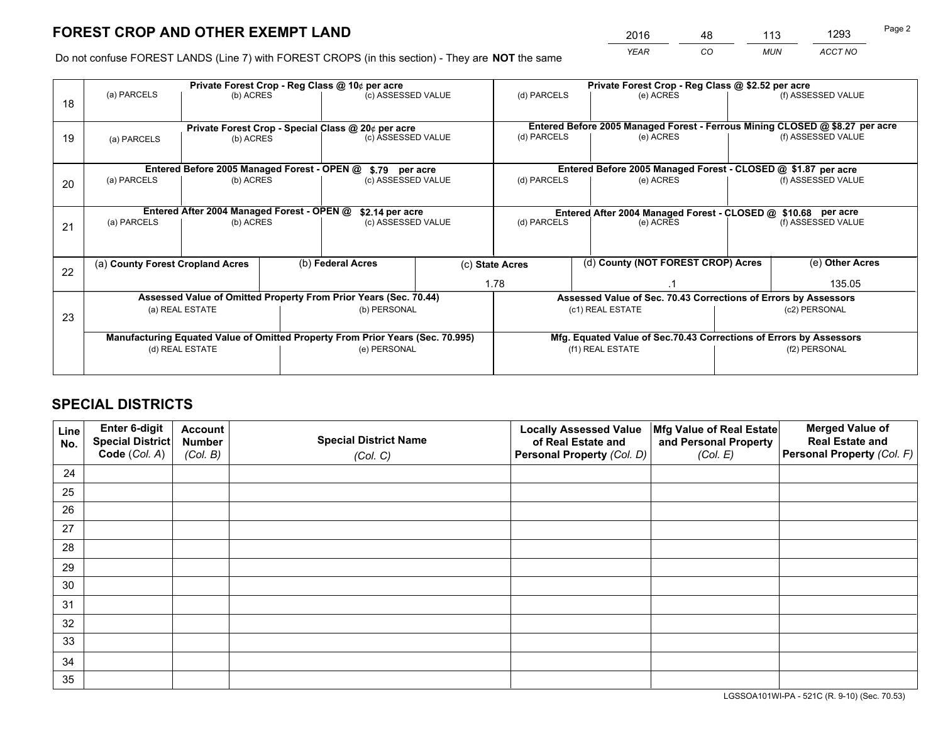*YEAR CO MUN ACCT NO* <sup>2016</sup> <sup>48</sup> <sup>113</sup> <sup>1293</sup>

Do not confuse FOREST LANDS (Line 7) with FOREST CROPS (in this section) - They are **NOT** the same

|    |                                                                                |                                             |  | Private Forest Crop - Reg Class @ 10¢ per acre                   |  |                 | Private Forest Crop - Reg Class @ \$2.52 per acre                  |                                                                              |                                                                 |  |
|----|--------------------------------------------------------------------------------|---------------------------------------------|--|------------------------------------------------------------------|--|-----------------|--------------------------------------------------------------------|------------------------------------------------------------------------------|-----------------------------------------------------------------|--|
| 18 | (a) PARCELS                                                                    | (b) ACRES                                   |  | (c) ASSESSED VALUE                                               |  | (d) PARCELS     | (e) ACRES                                                          |                                                                              | (f) ASSESSED VALUE                                              |  |
|    |                                                                                |                                             |  |                                                                  |  |                 |                                                                    |                                                                              |                                                                 |  |
|    |                                                                                |                                             |  | Private Forest Crop - Special Class @ 20¢ per acre               |  |                 |                                                                    | Entered Before 2005 Managed Forest - Ferrous Mining CLOSED @ \$8.27 per acre |                                                                 |  |
| 19 | (a) PARCELS                                                                    | (b) ACRES                                   |  | (c) ASSESSED VALUE                                               |  | (d) PARCELS     | (e) ACRES                                                          |                                                                              | (f) ASSESSED VALUE                                              |  |
|    |                                                                                |                                             |  |                                                                  |  |                 |                                                                    |                                                                              |                                                                 |  |
|    |                                                                                | Entered Before 2005 Managed Forest - OPEN @ |  | \$.79 per acre                                                   |  |                 | Entered Before 2005 Managed Forest - CLOSED @ \$1.87 per acre      |                                                                              |                                                                 |  |
| 20 | (a) PARCELS<br>(b) ACRES                                                       |                                             |  | (c) ASSESSED VALUE                                               |  | (d) PARCELS     | (e) ACRES                                                          |                                                                              | (f) ASSESSED VALUE                                              |  |
|    |                                                                                |                                             |  |                                                                  |  |                 |                                                                    |                                                                              |                                                                 |  |
|    | Entered After 2004 Managed Forest - OPEN @                                     |                                             |  | \$2.14 per acre                                                  |  |                 | Entered After 2004 Managed Forest - CLOSED @ \$10.68 per acre      |                                                                              |                                                                 |  |
| 21 | (a) PARCELS                                                                    | (b) ACRES                                   |  | (c) ASSESSED VALUE                                               |  | (d) PARCELS     | (e) ACRES                                                          |                                                                              | (f) ASSESSED VALUE                                              |  |
|    |                                                                                |                                             |  |                                                                  |  |                 |                                                                    |                                                                              |                                                                 |  |
|    |                                                                                |                                             |  |                                                                  |  |                 | (d) County (NOT FOREST CROP) Acres                                 |                                                                              | (e) Other Acres                                                 |  |
| 22 | (a) County Forest Cropland Acres                                               |                                             |  | (b) Federal Acres                                                |  | (c) State Acres |                                                                    |                                                                              |                                                                 |  |
|    |                                                                                |                                             |  |                                                                  |  | 1.78            |                                                                    |                                                                              | 135.05                                                          |  |
|    |                                                                                |                                             |  | Assessed Value of Omitted Property From Prior Years (Sec. 70.44) |  |                 |                                                                    |                                                                              | Assessed Value of Sec. 70.43 Corrections of Errors by Assessors |  |
| 23 |                                                                                | (a) REAL ESTATE                             |  | (b) PERSONAL                                                     |  |                 | (c1) REAL ESTATE                                                   |                                                                              | (c2) PERSONAL                                                   |  |
|    |                                                                                |                                             |  |                                                                  |  |                 |                                                                    |                                                                              |                                                                 |  |
|    | Manufacturing Equated Value of Omitted Property From Prior Years (Sec. 70.995) |                                             |  |                                                                  |  |                 | Mfg. Equated Value of Sec.70.43 Corrections of Errors by Assessors |                                                                              |                                                                 |  |
|    | (d) REAL ESTATE                                                                |                                             |  | (e) PERSONAL                                                     |  |                 | (f1) REAL ESTATE                                                   |                                                                              | (f2) PERSONAL                                                   |  |
|    |                                                                                |                                             |  |                                                                  |  |                 |                                                                    |                                                                              |                                                                 |  |

## **SPECIAL DISTRICTS**

| Line<br>No. | Enter 6-digit<br>Special District<br>Code (Col. A) | <b>Account</b><br><b>Number</b> | <b>Special District Name</b> | <b>Locally Assessed Value</b><br>of Real Estate and | Mfg Value of Real Estate<br>and Personal Property | <b>Merged Value of</b><br><b>Real Estate and</b><br>Personal Property (Col. F) |
|-------------|----------------------------------------------------|---------------------------------|------------------------------|-----------------------------------------------------|---------------------------------------------------|--------------------------------------------------------------------------------|
|             |                                                    | (Col. B)                        | (Col. C)                     | Personal Property (Col. D)                          | (Col. E)                                          |                                                                                |
| 24          |                                                    |                                 |                              |                                                     |                                                   |                                                                                |
| 25          |                                                    |                                 |                              |                                                     |                                                   |                                                                                |
| 26          |                                                    |                                 |                              |                                                     |                                                   |                                                                                |
| 27          |                                                    |                                 |                              |                                                     |                                                   |                                                                                |
| 28          |                                                    |                                 |                              |                                                     |                                                   |                                                                                |
| 29          |                                                    |                                 |                              |                                                     |                                                   |                                                                                |
| 30          |                                                    |                                 |                              |                                                     |                                                   |                                                                                |
| 31          |                                                    |                                 |                              |                                                     |                                                   |                                                                                |
| 32          |                                                    |                                 |                              |                                                     |                                                   |                                                                                |
| 33          |                                                    |                                 |                              |                                                     |                                                   |                                                                                |
| 34          |                                                    |                                 |                              |                                                     |                                                   |                                                                                |
| 35          |                                                    |                                 |                              |                                                     |                                                   |                                                                                |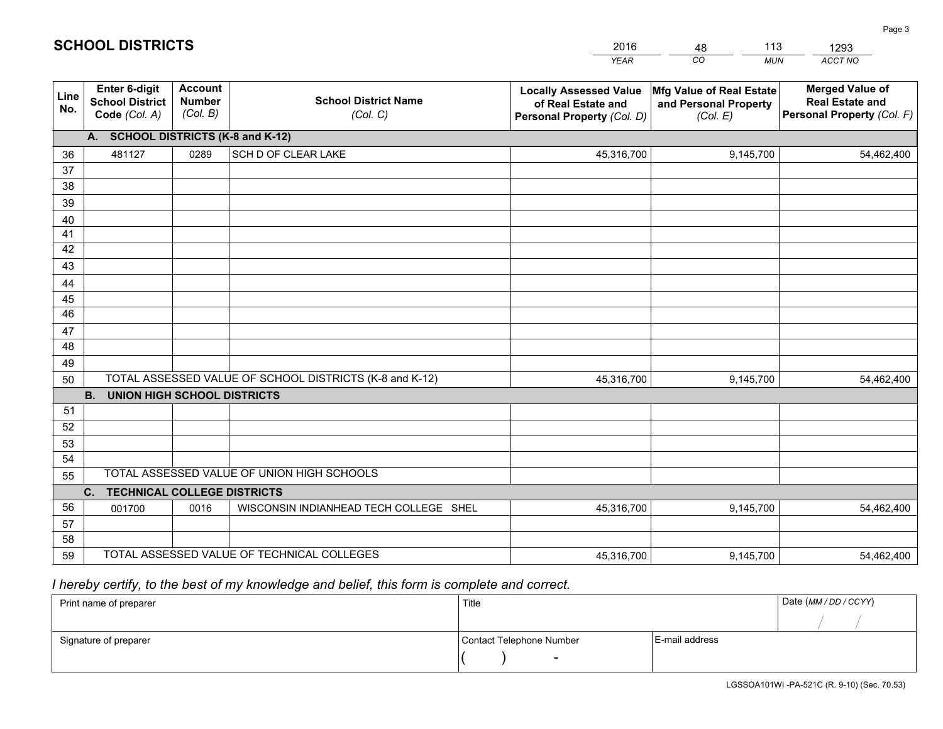|             |                                                                 |                                             |                                                         | <b>YEAR</b>                                                                       | CO<br><b>MUN</b>                                              | ACCT NO                                                                        |
|-------------|-----------------------------------------------------------------|---------------------------------------------|---------------------------------------------------------|-----------------------------------------------------------------------------------|---------------------------------------------------------------|--------------------------------------------------------------------------------|
| Line<br>No. | <b>Enter 6-digit</b><br><b>School District</b><br>Code (Col. A) | <b>Account</b><br><b>Number</b><br>(Col. B) | <b>School District Name</b><br>(Col. C)                 | <b>Locally Assessed Value</b><br>of Real Estate and<br>Personal Property (Col. D) | Mfg Value of Real Estate<br>and Personal Property<br>(Col. E) | <b>Merged Value of</b><br><b>Real Estate and</b><br>Personal Property (Col. F) |
|             | A. SCHOOL DISTRICTS (K-8 and K-12)                              |                                             |                                                         |                                                                                   |                                                               |                                                                                |
| 36          | 481127                                                          | 0289                                        | SCH D OF CLEAR LAKE                                     | 45,316,700                                                                        | 9,145,700                                                     | 54,462,400                                                                     |
| 37          |                                                                 |                                             |                                                         |                                                                                   |                                                               |                                                                                |
| 38          |                                                                 |                                             |                                                         |                                                                                   |                                                               |                                                                                |
| 39          |                                                                 |                                             |                                                         |                                                                                   |                                                               |                                                                                |
| 40          |                                                                 |                                             |                                                         |                                                                                   |                                                               |                                                                                |
| 41          |                                                                 |                                             |                                                         |                                                                                   |                                                               |                                                                                |
| 42          |                                                                 |                                             |                                                         |                                                                                   |                                                               |                                                                                |
| 43          |                                                                 |                                             |                                                         |                                                                                   |                                                               |                                                                                |
| 44<br>45    |                                                                 |                                             |                                                         |                                                                                   |                                                               |                                                                                |
| 46          |                                                                 |                                             |                                                         |                                                                                   |                                                               |                                                                                |
| 47          |                                                                 |                                             |                                                         |                                                                                   |                                                               |                                                                                |
| 48          |                                                                 |                                             |                                                         |                                                                                   |                                                               |                                                                                |
| 49          |                                                                 |                                             |                                                         |                                                                                   |                                                               |                                                                                |
| 50          |                                                                 |                                             | TOTAL ASSESSED VALUE OF SCHOOL DISTRICTS (K-8 and K-12) | 45,316,700                                                                        | 9,145,700                                                     | 54,462,400                                                                     |
|             | <b>B. UNION HIGH SCHOOL DISTRICTS</b>                           |                                             |                                                         |                                                                                   |                                                               |                                                                                |
| 51          |                                                                 |                                             |                                                         |                                                                                   |                                                               |                                                                                |
| 52          |                                                                 |                                             |                                                         |                                                                                   |                                                               |                                                                                |
| 53          |                                                                 |                                             |                                                         |                                                                                   |                                                               |                                                                                |
| 54          |                                                                 |                                             |                                                         |                                                                                   |                                                               |                                                                                |
| 55          |                                                                 |                                             | TOTAL ASSESSED VALUE OF UNION HIGH SCHOOLS              |                                                                                   |                                                               |                                                                                |
|             | C.<br><b>TECHNICAL COLLEGE DISTRICTS</b>                        |                                             |                                                         |                                                                                   |                                                               |                                                                                |
| 56          | 001700                                                          | 0016                                        | WISCONSIN INDIANHEAD TECH COLLEGE SHEL                  | 45,316,700                                                                        | 9,145,700                                                     | 54,462,400                                                                     |
| 57<br>58    |                                                                 |                                             |                                                         |                                                                                   |                                                               |                                                                                |
| 59          |                                                                 |                                             | TOTAL ASSESSED VALUE OF TECHNICAL COLLEGES              | 45,316,700                                                                        | 9,145,700                                                     | 54,462,400                                                                     |
|             |                                                                 |                                             |                                                         |                                                                                   |                                                               |                                                                                |

48

113

 *I hereby certify, to the best of my knowledge and belief, this form is complete and correct.*

**SCHOOL DISTRICTS**

| Print name of preparer | Title                    |                | Date (MM/DD/CCYY) |
|------------------------|--------------------------|----------------|-------------------|
|                        |                          |                |                   |
| Signature of preparer  | Contact Telephone Number | E-mail address |                   |
|                        | $\overline{\phantom{a}}$ |                |                   |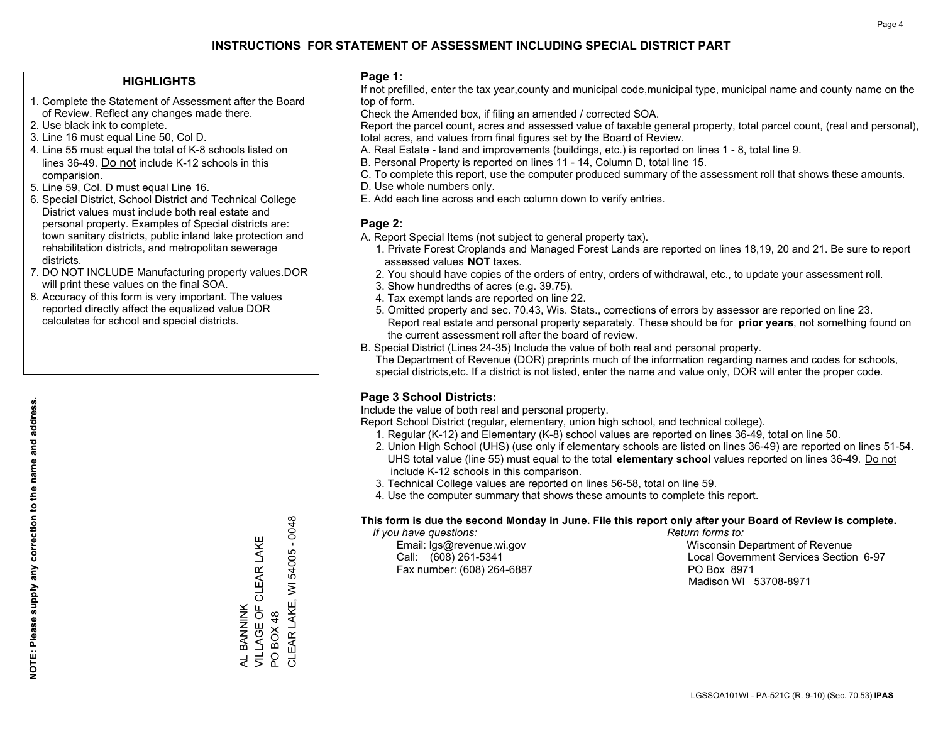#### **HIGHLIGHTS**

- 1. Complete the Statement of Assessment after the Board of Review. Reflect any changes made there.
- 2. Use black ink to complete.
- 3. Line 16 must equal Line 50, Col D.
- 4. Line 55 must equal the total of K-8 schools listed on lines 36-49. Do not include K-12 schools in this comparision.
- 5. Line 59, Col. D must equal Line 16.
- 6. Special District, School District and Technical College District values must include both real estate and personal property. Examples of Special districts are: town sanitary districts, public inland lake protection and rehabilitation districts, and metropolitan sewerage districts.
- 7. DO NOT INCLUDE Manufacturing property values.DOR will print these values on the final SOA.
- 8. Accuracy of this form is very important. The values reported directly affect the equalized value DOR calculates for school and special districts.

#### **Page 1:**

 If not prefilled, enter the tax year,county and municipal code,municipal type, municipal name and county name on the top of form.

Check the Amended box, if filing an amended / corrected SOA.

 Report the parcel count, acres and assessed value of taxable general property, total parcel count, (real and personal), total acres, and values from final figures set by the Board of Review.

- A. Real Estate land and improvements (buildings, etc.) is reported on lines 1 8, total line 9.
- B. Personal Property is reported on lines 11 14, Column D, total line 15.
- C. To complete this report, use the computer produced summary of the assessment roll that shows these amounts.
- D. Use whole numbers only.
- E. Add each line across and each column down to verify entries.

#### **Page 2:**

- A. Report Special Items (not subject to general property tax).
- 1. Private Forest Croplands and Managed Forest Lands are reported on lines 18,19, 20 and 21. Be sure to report assessed values **NOT** taxes.
- 2. You should have copies of the orders of entry, orders of withdrawal, etc., to update your assessment roll.
	- 3. Show hundredths of acres (e.g. 39.75).
- 4. Tax exempt lands are reported on line 22.
- 5. Omitted property and sec. 70.43, Wis. Stats., corrections of errors by assessor are reported on line 23. Report real estate and personal property separately. These should be for **prior years**, not something found on the current assessment roll after the board of review.
- B. Special District (Lines 24-35) Include the value of both real and personal property.

 The Department of Revenue (DOR) preprints much of the information regarding names and codes for schools, special districts,etc. If a district is not listed, enter the name and value only, DOR will enter the proper code.

### **Page 3 School Districts:**

Include the value of both real and personal property.

Report School District (regular, elementary, union high school, and technical college).

- 1. Regular (K-12) and Elementary (K-8) school values are reported on lines 36-49, total on line 50.
- 2. Union High School (UHS) (use only if elementary schools are listed on lines 36-49) are reported on lines 51-54. UHS total value (line 55) must equal to the total **elementary school** values reported on lines 36-49. Do notinclude K-12 schools in this comparison.
- 3. Technical College values are reported on lines 56-58, total on line 59.
- 4. Use the computer summary that shows these amounts to complete this report.

#### **This form is due the second Monday in June. File this report only after your Board of Review is complete.**

 *If you have questions: Return forms to:*

Fax number: (608) 264-6887 PO Box 8971

 Email: lgs@revenue.wi.gov Wisconsin Department of Revenue Call: (608) 261-5341 Local Government Services Section 6-97Madison WI 53708-8971

CLEAR LAKE, WI 54005 - 0048 CLEAR LAKE, WI 54005 - 0048 VILLAGE OF CLEAR LAKE AL BANNINK<br>VILLAGE OF CLEAR LAKE AL BANNINK PO BOX 48 PO BOX 48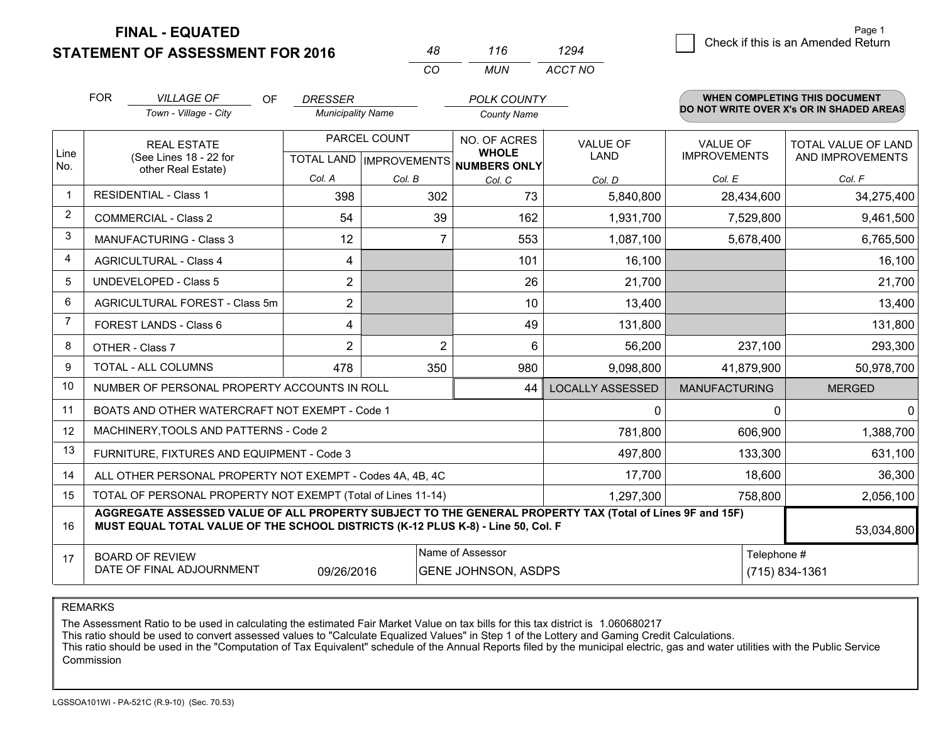**STATEMENT OF ASSESSMENT FOR 2016** 

**FINAL - EQUATED**

|                | <b>FOR</b>                     | <b>VILLAGE OF</b><br><b>OF</b>                                                                                                                                                               | <b>DRESSER</b>           |                           | <b>POLK COUNTY</b>           |                         |                      | <b>WHEN COMPLETING THIS DOCUMENT</b>     |  |  |
|----------------|--------------------------------|----------------------------------------------------------------------------------------------------------------------------------------------------------------------------------------------|--------------------------|---------------------------|------------------------------|-------------------------|----------------------|------------------------------------------|--|--|
|                |                                | Town - Village - City                                                                                                                                                                        | <b>Municipality Name</b> |                           | <b>County Name</b>           |                         |                      | DO NOT WRITE OVER X's OR IN SHADED AREAS |  |  |
|                |                                | <b>REAL ESTATE</b>                                                                                                                                                                           |                          | PARCEL COUNT              | NO. OF ACRES                 | <b>VALUE OF</b>         | <b>VALUE OF</b>      | TOTAL VALUE OF LAND                      |  |  |
| Line<br>No.    |                                | (See Lines 18 - 22 for<br>other Real Estate)                                                                                                                                                 |                          | TOTAL LAND   IMPROVEMENTS | <b>WHOLE</b><br>NUMBERS ONLY | LAND                    | <b>IMPROVEMENTS</b>  | AND IMPROVEMENTS                         |  |  |
|                |                                |                                                                                                                                                                                              | Col. A                   | Col. B                    | Col. C                       | Col. D                  | Col. E               | Col. F                                   |  |  |
|                |                                | <b>RESIDENTIAL - Class 1</b>                                                                                                                                                                 | 398                      | 302                       | 73                           | 5,840,800               | 28,434,600           | 34,275,400                               |  |  |
| $\overline{2}$ |                                | <b>COMMERCIAL - Class 2</b>                                                                                                                                                                  | 54                       | 39                        | 162                          | 1,931,700               | 7,529,800            | 9,461,500                                |  |  |
| 3              |                                | MANUFACTURING - Class 3                                                                                                                                                                      | 12                       | 7                         | 553                          | 1,087,100               | 5,678,400            | 6,765,500                                |  |  |
| 4              |                                | <b>AGRICULTURAL - Class 4</b>                                                                                                                                                                | 4                        |                           | 101                          | 16,100                  |                      | 16,100                                   |  |  |
| 5              |                                | <b>UNDEVELOPED - Class 5</b>                                                                                                                                                                 | $\overline{2}$           |                           | 26                           | 21,700                  |                      | 21,700                                   |  |  |
| 6              | AGRICULTURAL FOREST - Class 5m |                                                                                                                                                                                              | $\overline{2}$           |                           | 10                           | 13,400                  |                      | 13,400                                   |  |  |
| 7              | FOREST LANDS - Class 6         |                                                                                                                                                                                              | 4                        |                           | 49                           | 131,800                 |                      | 131,800                                  |  |  |
| 8              |                                | OTHER - Class 7                                                                                                                                                                              | $\overline{2}$           | $\overline{2}$            | 6                            | 56,200                  | 237,100              | 293,300                                  |  |  |
| 9              |                                | TOTAL - ALL COLUMNS                                                                                                                                                                          | 478                      | 350                       | 980                          | 9,098,800               | 41,879,900           | 50,978,700                               |  |  |
| 10             |                                | NUMBER OF PERSONAL PROPERTY ACCOUNTS IN ROLL                                                                                                                                                 |                          |                           | 44                           | <b>LOCALLY ASSESSED</b> | <b>MANUFACTURING</b> | <b>MERGED</b>                            |  |  |
| 11             |                                | BOATS AND OTHER WATERCRAFT NOT EXEMPT - Code 1                                                                                                                                               |                          |                           |                              | $\Omega$                | $\Omega$             |                                          |  |  |
| 12             |                                | MACHINERY, TOOLS AND PATTERNS - Code 2                                                                                                                                                       |                          |                           |                              | 781,800                 | 606,900              | 1,388,700                                |  |  |
| 13             |                                | FURNITURE, FIXTURES AND EQUIPMENT - Code 3                                                                                                                                                   |                          |                           |                              | 497,800                 | 133,300              | 631,100                                  |  |  |
| 14             |                                | ALL OTHER PERSONAL PROPERTY NOT EXEMPT - Codes 4A, 4B, 4C                                                                                                                                    |                          |                           |                              | 17,700                  | 18,600               | 36,300                                   |  |  |
| 15             |                                | TOTAL OF PERSONAL PROPERTY NOT EXEMPT (Total of Lines 11-14)                                                                                                                                 |                          |                           |                              | 1,297,300               | 758,800              | 2,056,100                                |  |  |
| 16             |                                | AGGREGATE ASSESSED VALUE OF ALL PROPERTY SUBJECT TO THE GENERAL PROPERTY TAX (Total of Lines 9F and 15F)<br>MUST EQUAL TOTAL VALUE OF THE SCHOOL DISTRICTS (K-12 PLUS K-8) - Line 50, Col. F |                          |                           |                              |                         |                      | 53,034,800                               |  |  |
| 17             |                                | <b>BOARD OF REVIEW</b>                                                                                                                                                                       |                          |                           | Name of Assessor             |                         | Telephone #          |                                          |  |  |
|                |                                | DATE OF FINAL ADJOURNMENT                                                                                                                                                                    | 09/26/2016               |                           | <b>GENE JOHNSON, ASDPS</b>   |                         |                      | (715) 834-1361                           |  |  |

*CO*

*MUN*

*ACCT NO1294*

*<sup>48</sup> <sup>116</sup>*

REMARKS

The Assessment Ratio to be used in calculating the estimated Fair Market Value on tax bills for this tax district is 1.060680217<br>This ratio should be used to convert assessed values to "Calculate Equalized Values" in Step Commission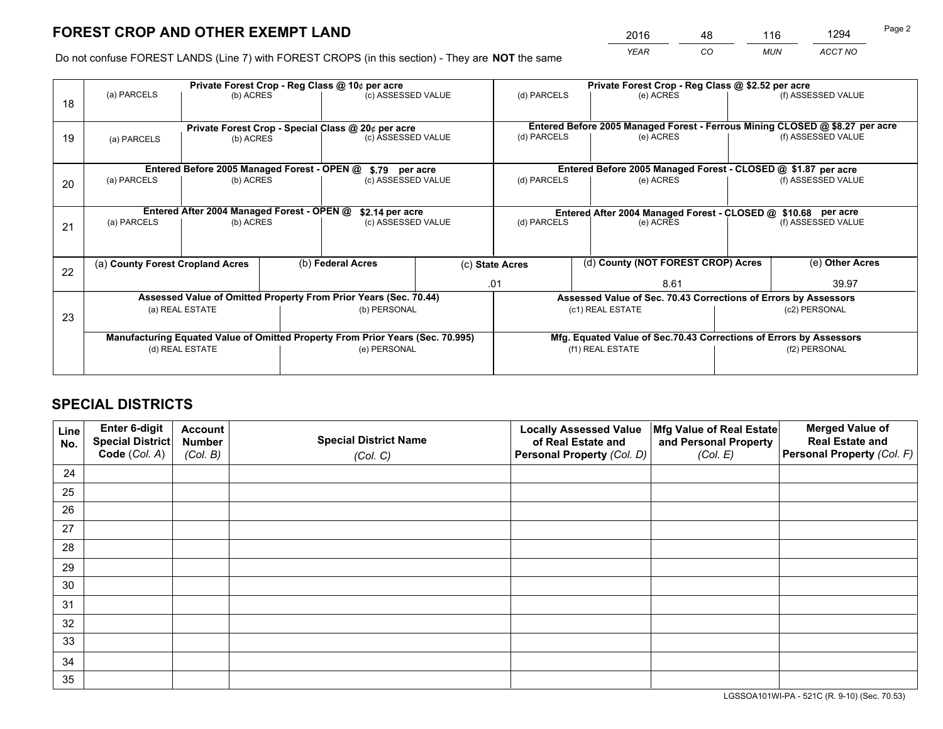*YEAR CO MUN ACCT NO* <sup>2016</sup> <sup>48</sup> <sup>116</sup> <sup>1294</sup>

Do not confuse FOREST LANDS (Line 7) with FOREST CROPS (in this section) - They are **NOT** the same

|    |                                            |                                             |  | Private Forest Crop - Reg Class @ 10¢ per acre                                 |  |                                                                              | Private Forest Crop - Reg Class @ \$2.52 per acre               |  |                    |  |  |
|----|--------------------------------------------|---------------------------------------------|--|--------------------------------------------------------------------------------|--|------------------------------------------------------------------------------|-----------------------------------------------------------------|--|--------------------|--|--|
| 18 | (a) PARCELS                                | (b) ACRES                                   |  | (c) ASSESSED VALUE                                                             |  | (d) PARCELS                                                                  | (e) ACRES                                                       |  | (f) ASSESSED VALUE |  |  |
|    |                                            |                                             |  | Private Forest Crop - Special Class @ 20¢ per acre                             |  | Entered Before 2005 Managed Forest - Ferrous Mining CLOSED @ \$8.27 per acre |                                                                 |  |                    |  |  |
| 19 | (b) ACRES<br>(a) PARCELS                   |                                             |  | (c) ASSESSED VALUE                                                             |  | (d) PARCELS                                                                  | (e) ACRES                                                       |  | (f) ASSESSED VALUE |  |  |
|    |                                            | Entered Before 2005 Managed Forest - OPEN @ |  |                                                                                |  |                                                                              | Entered Before 2005 Managed Forest - CLOSED @ \$1.87 per acre   |  |                    |  |  |
| 20 | (a) PARCELS<br>(b) ACRES                   |                                             |  | \$.79 per acre<br>(c) ASSESSED VALUE                                           |  | (d) PARCELS<br>(e) ACRES                                                     |                                                                 |  | (f) ASSESSED VALUE |  |  |
|    | Entered After 2004 Managed Forest - OPEN @ |                                             |  | \$2.14 per acre                                                                |  | Entered After 2004 Managed Forest - CLOSED @ \$10.68 per acre                |                                                                 |  |                    |  |  |
| 21 | (a) PARCELS                                | (b) ACRES                                   |  | (c) ASSESSED VALUE                                                             |  | (d) PARCELS                                                                  | (e) ACRES                                                       |  | (f) ASSESSED VALUE |  |  |
|    | (a) County Forest Cropland Acres           |                                             |  | (b) Federal Acres                                                              |  | (c) State Acres                                                              | (d) County (NOT FOREST CROP) Acres                              |  | (e) Other Acres    |  |  |
| 22 |                                            |                                             |  |                                                                                |  | .01                                                                          | 8.61                                                            |  | 39.97              |  |  |
|    |                                            |                                             |  | Assessed Value of Omitted Property From Prior Years (Sec. 70.44)               |  |                                                                              | Assessed Value of Sec. 70.43 Corrections of Errors by Assessors |  |                    |  |  |
| 23 | (a) REAL ESTATE                            |                                             |  | (b) PERSONAL                                                                   |  |                                                                              | (c1) REAL ESTATE                                                |  | (c2) PERSONAL      |  |  |
|    |                                            |                                             |  | Manufacturing Equated Value of Omitted Property From Prior Years (Sec. 70.995) |  | Mfg. Equated Value of Sec.70.43 Corrections of Errors by Assessors           |                                                                 |  |                    |  |  |
|    |                                            | (d) REAL ESTATE                             |  | (e) PERSONAL                                                                   |  | (f1) REAL ESTATE                                                             |                                                                 |  | (f2) PERSONAL      |  |  |
|    |                                            |                                             |  |                                                                                |  |                                                                              |                                                                 |  |                    |  |  |

## **SPECIAL DISTRICTS**

| Line<br>No. | Enter 6-digit<br>Special District<br>Code (Col. A) | <b>Account</b><br><b>Number</b> | <b>Special District Name</b> | <b>Locally Assessed Value</b><br>of Real Estate and | Mfg Value of Real Estate<br>and Personal Property | <b>Merged Value of</b><br><b>Real Estate and</b><br>Personal Property (Col. F) |
|-------------|----------------------------------------------------|---------------------------------|------------------------------|-----------------------------------------------------|---------------------------------------------------|--------------------------------------------------------------------------------|
|             |                                                    | (Col. B)                        | (Col. C)                     | Personal Property (Col. D)                          | (Col. E)                                          |                                                                                |
| 24          |                                                    |                                 |                              |                                                     |                                                   |                                                                                |
| 25          |                                                    |                                 |                              |                                                     |                                                   |                                                                                |
| 26          |                                                    |                                 |                              |                                                     |                                                   |                                                                                |
| 27          |                                                    |                                 |                              |                                                     |                                                   |                                                                                |
| 28          |                                                    |                                 |                              |                                                     |                                                   |                                                                                |
| 29          |                                                    |                                 |                              |                                                     |                                                   |                                                                                |
| 30          |                                                    |                                 |                              |                                                     |                                                   |                                                                                |
| 31          |                                                    |                                 |                              |                                                     |                                                   |                                                                                |
| 32          |                                                    |                                 |                              |                                                     |                                                   |                                                                                |
| 33          |                                                    |                                 |                              |                                                     |                                                   |                                                                                |
| 34          |                                                    |                                 |                              |                                                     |                                                   |                                                                                |
| 35          |                                                    |                                 |                              |                                                     |                                                   |                                                                                |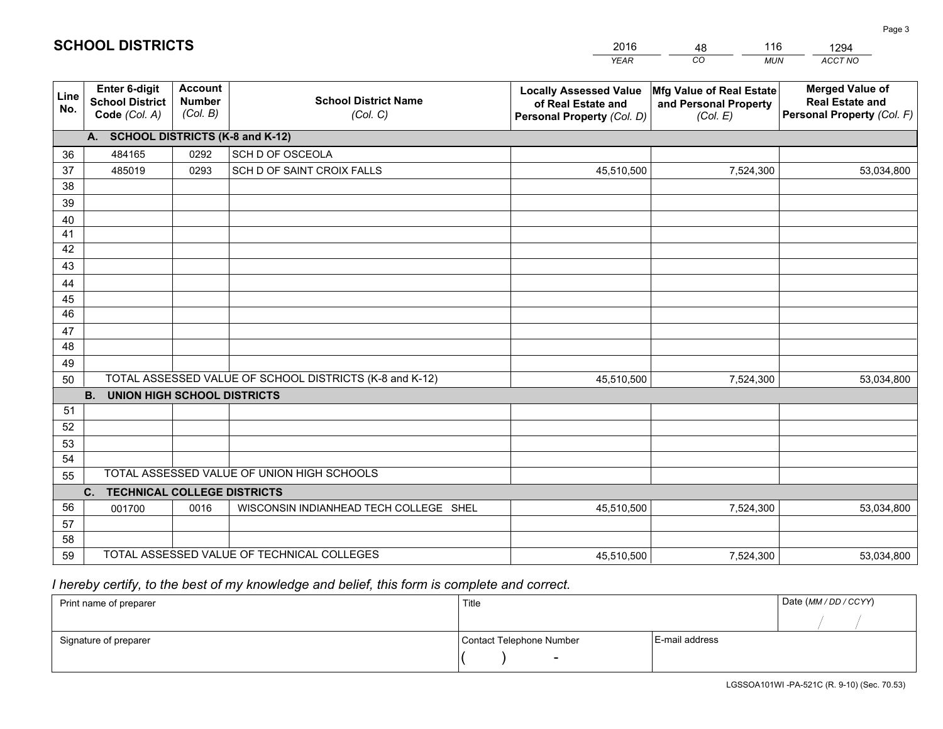|             |                                                                 |                                             |                                                         | <b>YEAR</b>                                                                       | CO<br><b>MUN</b>                                              | ACCT NO                                                                        |
|-------------|-----------------------------------------------------------------|---------------------------------------------|---------------------------------------------------------|-----------------------------------------------------------------------------------|---------------------------------------------------------------|--------------------------------------------------------------------------------|
| Line<br>No. | <b>Enter 6-digit</b><br><b>School District</b><br>Code (Col. A) | <b>Account</b><br><b>Number</b><br>(Col. B) | <b>School District Name</b><br>(Col. C)                 | <b>Locally Assessed Value</b><br>of Real Estate and<br>Personal Property (Col. D) | Mfg Value of Real Estate<br>and Personal Property<br>(Col. E) | <b>Merged Value of</b><br><b>Real Estate and</b><br>Personal Property (Col. F) |
|             | A. SCHOOL DISTRICTS (K-8 and K-12)                              |                                             |                                                         |                                                                                   |                                                               |                                                                                |
| 36          | 484165                                                          | 0292                                        | SCH D OF OSCEOLA                                        |                                                                                   |                                                               |                                                                                |
| 37          | 485019                                                          | 0293                                        | SCH D OF SAINT CROIX FALLS                              | 45,510,500                                                                        | 7,524,300                                                     | 53,034,800                                                                     |
| 38          |                                                                 |                                             |                                                         |                                                                                   |                                                               |                                                                                |
| 39          |                                                                 |                                             |                                                         |                                                                                   |                                                               |                                                                                |
| 40          |                                                                 |                                             |                                                         |                                                                                   |                                                               |                                                                                |
| 41          |                                                                 |                                             |                                                         |                                                                                   |                                                               |                                                                                |
| 42          |                                                                 |                                             |                                                         |                                                                                   |                                                               |                                                                                |
| 43          |                                                                 |                                             |                                                         |                                                                                   |                                                               |                                                                                |
| 44<br>45    |                                                                 |                                             |                                                         |                                                                                   |                                                               |                                                                                |
| 46          |                                                                 |                                             |                                                         |                                                                                   |                                                               |                                                                                |
| 47          |                                                                 |                                             |                                                         |                                                                                   |                                                               |                                                                                |
| 48          |                                                                 |                                             |                                                         |                                                                                   |                                                               |                                                                                |
| 49          |                                                                 |                                             |                                                         |                                                                                   |                                                               |                                                                                |
| 50          |                                                                 |                                             | TOTAL ASSESSED VALUE OF SCHOOL DISTRICTS (K-8 and K-12) | 45,510,500                                                                        | 7,524,300                                                     | 53,034,800                                                                     |
|             | <b>B.</b><br><b>UNION HIGH SCHOOL DISTRICTS</b>                 |                                             |                                                         |                                                                                   |                                                               |                                                                                |
| 51          |                                                                 |                                             |                                                         |                                                                                   |                                                               |                                                                                |
| 52          |                                                                 |                                             |                                                         |                                                                                   |                                                               |                                                                                |
| 53          |                                                                 |                                             |                                                         |                                                                                   |                                                               |                                                                                |
| 54          |                                                                 |                                             |                                                         |                                                                                   |                                                               |                                                                                |
| 55          |                                                                 |                                             | TOTAL ASSESSED VALUE OF UNION HIGH SCHOOLS              |                                                                                   |                                                               |                                                                                |
|             | C.<br><b>TECHNICAL COLLEGE DISTRICTS</b>                        |                                             |                                                         |                                                                                   |                                                               |                                                                                |
| 56          | 001700                                                          | 0016                                        | WISCONSIN INDIANHEAD TECH COLLEGE SHEL                  | 45,510,500                                                                        | 7,524,300                                                     | 53,034,800                                                                     |
| 57          |                                                                 |                                             |                                                         |                                                                                   |                                                               |                                                                                |
| 58          |                                                                 |                                             |                                                         |                                                                                   |                                                               |                                                                                |
| 59          |                                                                 |                                             | TOTAL ASSESSED VALUE OF TECHNICAL COLLEGES              | 45,510,500                                                                        | 7,524,300                                                     | 53,034,800                                                                     |

48

116

 *I hereby certify, to the best of my knowledge and belief, this form is complete and correct.*

**SCHOOL DISTRICTS**

| Print name of preparer | Title                    |                | Date (MM / DD / CCYY) |
|------------------------|--------------------------|----------------|-----------------------|
|                        |                          |                |                       |
| Signature of preparer  | Contact Telephone Number | E-mail address |                       |
|                        | $\overline{\phantom{0}}$ |                |                       |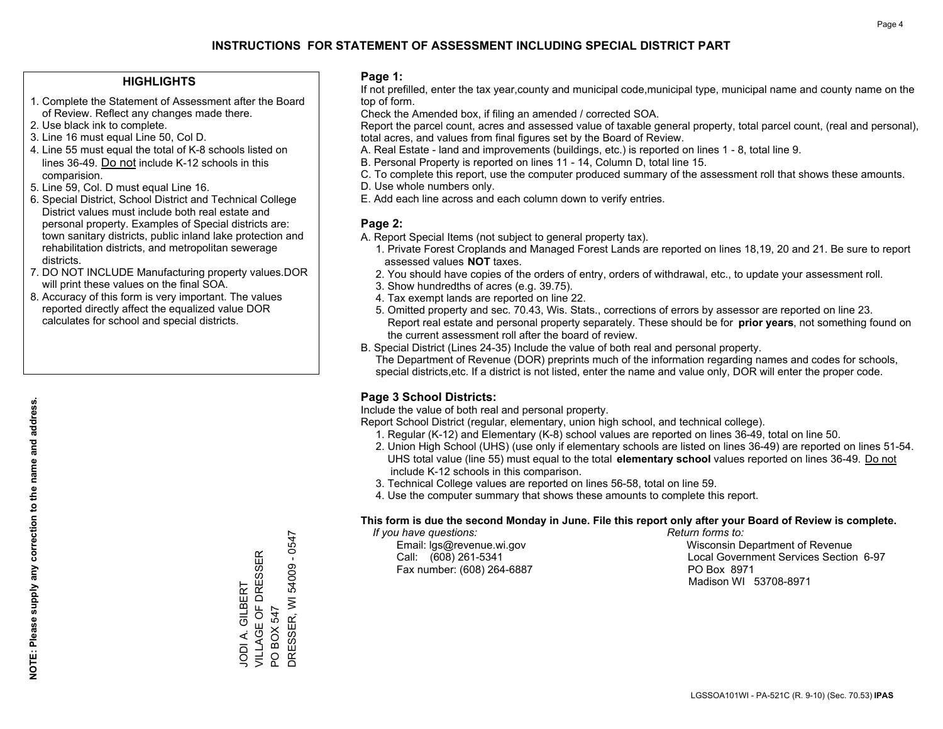#### **HIGHLIGHTS**

- 1. Complete the Statement of Assessment after the Board of Review. Reflect any changes made there.
- 2. Use black ink to complete.
- 3. Line 16 must equal Line 50, Col D.
- 4. Line 55 must equal the total of K-8 schools listed on lines 36-49. Do not include K-12 schools in this comparision.
- 5. Line 59, Col. D must equal Line 16.
- 6. Special District, School District and Technical College District values must include both real estate and personal property. Examples of Special districts are: town sanitary districts, public inland lake protection and rehabilitation districts, and metropolitan sewerage districts.
- 7. DO NOT INCLUDE Manufacturing property values.DOR will print these values on the final SOA.

JODI A. GILBERT VILLAGE OF DRESSER

JODI A. GILBERT<br>VILLAGE OF DRESSER

PO BOX 547

 $\overline{S}$ 

DRESSER, WI 54009 - 0547

DRESSER, WI 54009 BOX 547

 $-0547$ 

 8. Accuracy of this form is very important. The values reported directly affect the equalized value DOR calculates for school and special districts.

#### **Page 1:**

 If not prefilled, enter the tax year,county and municipal code,municipal type, municipal name and county name on the top of form.

Check the Amended box, if filing an amended / corrected SOA.

 Report the parcel count, acres and assessed value of taxable general property, total parcel count, (real and personal), total acres, and values from final figures set by the Board of Review.

- A. Real Estate land and improvements (buildings, etc.) is reported on lines 1 8, total line 9.
- B. Personal Property is reported on lines 11 14, Column D, total line 15.
- C. To complete this report, use the computer produced summary of the assessment roll that shows these amounts.
- D. Use whole numbers only.
- E. Add each line across and each column down to verify entries.

#### **Page 2:**

- A. Report Special Items (not subject to general property tax).
- 1. Private Forest Croplands and Managed Forest Lands are reported on lines 18,19, 20 and 21. Be sure to report assessed values **NOT** taxes.
- 2. You should have copies of the orders of entry, orders of withdrawal, etc., to update your assessment roll.
	- 3. Show hundredths of acres (e.g. 39.75).
- 4. Tax exempt lands are reported on line 22.
- 5. Omitted property and sec. 70.43, Wis. Stats., corrections of errors by assessor are reported on line 23. Report real estate and personal property separately. These should be for **prior years**, not something found on the current assessment roll after the board of review.
- B. Special District (Lines 24-35) Include the value of both real and personal property.
- The Department of Revenue (DOR) preprints much of the information regarding names and codes for schools, special districts,etc. If a district is not listed, enter the name and value only, DOR will enter the proper code.

### **Page 3 School Districts:**

Include the value of both real and personal property.

Report School District (regular, elementary, union high school, and technical college).

- 1. Regular (K-12) and Elementary (K-8) school values are reported on lines 36-49, total on line 50.
- 2. Union High School (UHS) (use only if elementary schools are listed on lines 36-49) are reported on lines 51-54. UHS total value (line 55) must equal to the total **elementary school** values reported on lines 36-49. Do notinclude K-12 schools in this comparison.
- 3. Technical College values are reported on lines 56-58, total on line 59.
- 4. Use the computer summary that shows these amounts to complete this report.

#### **This form is due the second Monday in June. File this report only after your Board of Review is complete.**

 *If you have questions: Return forms to:*

Fax number: (608) 264-6887 PO Box 8971

 Email: lgs@revenue.wi.gov Wisconsin Department of Revenue Call: (608) 261-5341 Local Government Services Section 6-97Madison WI 53708-8971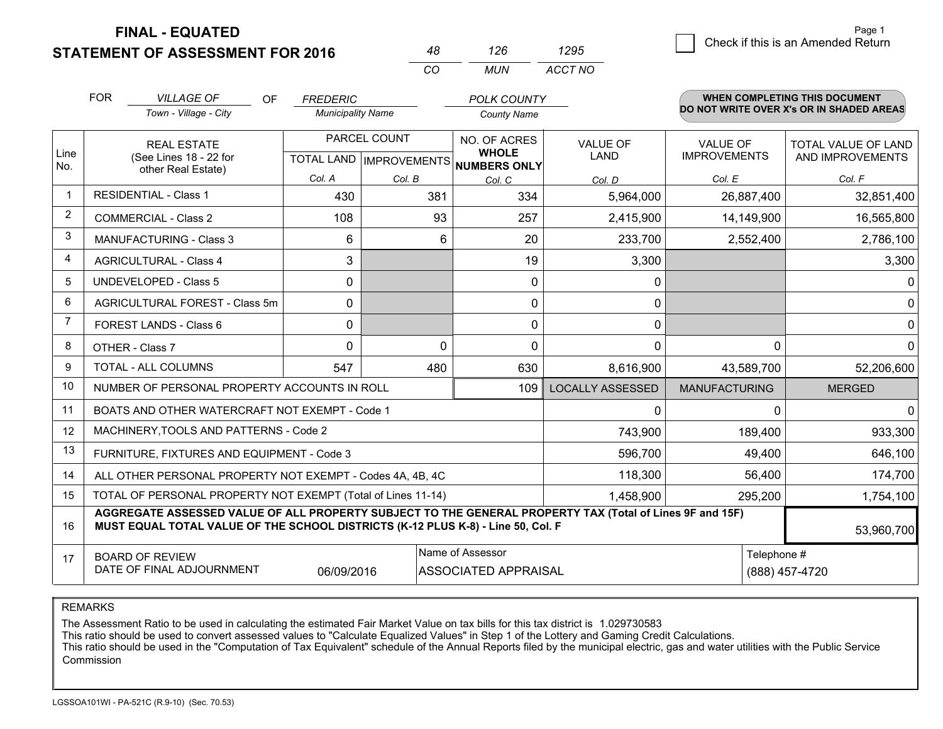**STATEMENT OF ASSESSMENT FOR 2016** 

**FINAL - EQUATED**

|                | <b>FOR</b>             | <b>VILLAGE OF</b><br>OF.                                                                                                                                                                     | <b>FREDERIC</b>          |                           | <b>POLK COUNTY</b>                  |                         |                      | <b>WHEN COMPLETING THIS DOCUMENT</b>     |  |  |
|----------------|------------------------|----------------------------------------------------------------------------------------------------------------------------------------------------------------------------------------------|--------------------------|---------------------------|-------------------------------------|-------------------------|----------------------|------------------------------------------|--|--|
|                |                        | Town - Village - City                                                                                                                                                                        | <b>Municipality Name</b> |                           | <b>County Name</b>                  |                         |                      | DO NOT WRITE OVER X's OR IN SHADED AREAS |  |  |
|                |                        | <b>REAL ESTATE</b>                                                                                                                                                                           |                          | PARCEL COUNT              | NO. OF ACRES                        | <b>VALUE OF</b>         | <b>VALUE OF</b>      | TOTAL VALUE OF LAND                      |  |  |
| Line<br>No.    |                        | (See Lines 18 - 22 for<br>other Real Estate)                                                                                                                                                 |                          | TOTAL LAND   IMPROVEMENTS | <b>WHOLE</b><br><b>NUMBERS ONLY</b> | <b>LAND</b>             | <b>IMPROVEMENTS</b>  | AND IMPROVEMENTS                         |  |  |
|                |                        |                                                                                                                                                                                              | Col. A                   | Col. B                    | Col. C                              | Col. D                  | Col. E               | Col. F                                   |  |  |
| 1              |                        | <b>RESIDENTIAL - Class 1</b>                                                                                                                                                                 | 430                      |                           | 334<br>381                          | 5,964,000               | 26,887,400           | 32,851,400                               |  |  |
| $\overline{2}$ |                        | <b>COMMERCIAL - Class 2</b>                                                                                                                                                                  | 108                      |                           | 93<br>257                           | 2,415,900               | 14,149,900           | 16,565,800                               |  |  |
| 3              |                        | <b>MANUFACTURING - Class 3</b>                                                                                                                                                               | 6                        |                           | 6                                   | 20<br>233,700           | 2,552,400            | 2,786,100                                |  |  |
| 4              |                        | <b>AGRICULTURAL - Class 4</b>                                                                                                                                                                | 3                        |                           |                                     | 19                      | 3,300                | 3,300                                    |  |  |
| 5              |                        | <b>UNDEVELOPED - Class 5</b>                                                                                                                                                                 | $\mathbf 0$              |                           |                                     | 0                       | 0                    | 0                                        |  |  |
| 6              |                        | AGRICULTURAL FOREST - Class 5m                                                                                                                                                               | 0                        |                           |                                     | 0                       | $\mathbf 0$          | 0                                        |  |  |
| $\overline{7}$ | FOREST LANDS - Class 6 |                                                                                                                                                                                              | $\mathbf{0}$             |                           |                                     | 0                       | 0                    | 0                                        |  |  |
| 8              |                        | OTHER - Class 7                                                                                                                                                                              | $\Omega$                 |                           | 0                                   | 0                       | $\Omega$             | $\Omega$<br>$\Omega$                     |  |  |
| 9              |                        | TOTAL - ALL COLUMNS                                                                                                                                                                          | 547                      |                           | 480<br>630                          | 8,616,900               | 43,589,700           | 52,206,600                               |  |  |
| 10             |                        | NUMBER OF PERSONAL PROPERTY ACCOUNTS IN ROLL                                                                                                                                                 |                          |                           | 109                                 | <b>LOCALLY ASSESSED</b> | <b>MANUFACTURING</b> | <b>MERGED</b>                            |  |  |
| 11             |                        | BOATS AND OTHER WATERCRAFT NOT EXEMPT - Code 1                                                                                                                                               |                          |                           |                                     |                         | 0                    | $\Omega$<br>0                            |  |  |
| 12             |                        | MACHINERY, TOOLS AND PATTERNS - Code 2                                                                                                                                                       |                          |                           |                                     | 743,900                 | 189,400              | 933,300                                  |  |  |
| 13             |                        | FURNITURE, FIXTURES AND EQUIPMENT - Code 3                                                                                                                                                   |                          |                           |                                     | 596,700                 |                      | 49,400<br>646,100                        |  |  |
| 14             |                        | ALL OTHER PERSONAL PROPERTY NOT EXEMPT - Codes 4A, 4B, 4C                                                                                                                                    |                          |                           |                                     | 118,300                 |                      | 56,400<br>174,700                        |  |  |
| 15             |                        | TOTAL OF PERSONAL PROPERTY NOT EXEMPT (Total of Lines 11-14)                                                                                                                                 |                          |                           | 1,458,900                           | 295,200                 | 1,754,100            |                                          |  |  |
| 16             |                        | AGGREGATE ASSESSED VALUE OF ALL PROPERTY SUBJECT TO THE GENERAL PROPERTY TAX (Total of Lines 9F and 15F)<br>MUST EQUAL TOTAL VALUE OF THE SCHOOL DISTRICTS (K-12 PLUS K-8) - Line 50, Col. F |                          |                           |                                     |                         |                      | 53,960,700                               |  |  |
| 17             |                        | <b>BOARD OF REVIEW</b>                                                                                                                                                                       |                          |                           | Name of Assessor                    |                         |                      | Telephone #                              |  |  |
|                |                        | DATE OF FINAL ADJOURNMENT                                                                                                                                                                    | 06/09/2016               |                           | ASSOCIATED APPRAISAL                |                         |                      | (888) 457-4720                           |  |  |

*CO*

*MUN*

*ACCT NO1295*

*<sup>48</sup> <sup>126</sup>*

REMARKS

The Assessment Ratio to be used in calculating the estimated Fair Market Value on tax bills for this tax district is 1.029730583<br>This ratio should be used to convert assessed values to "Calculate Equalized Values" in Step Commission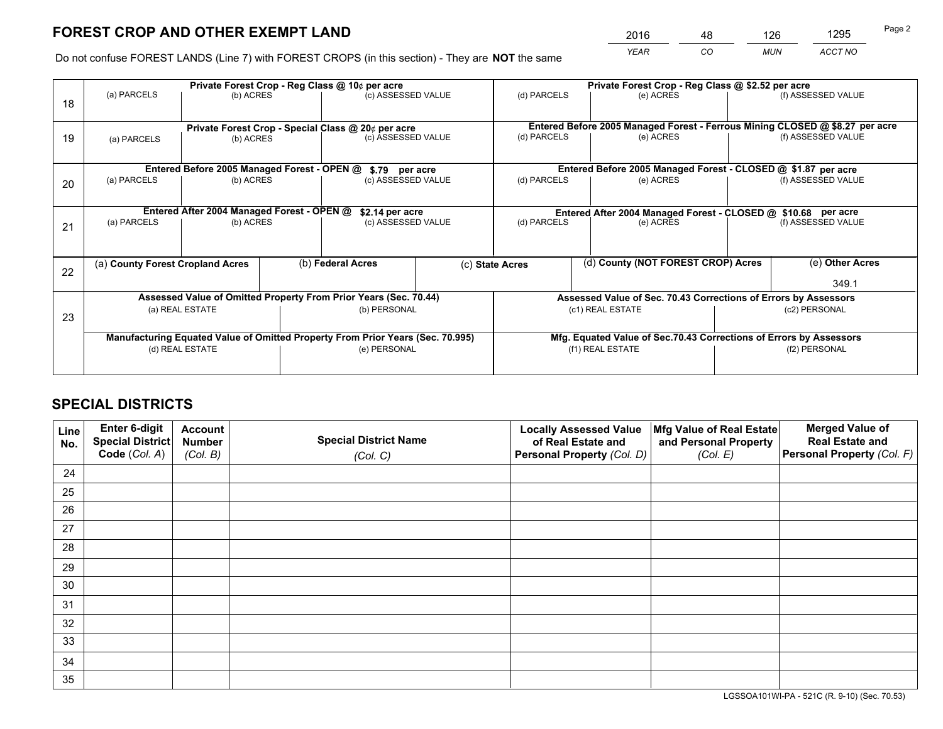*YEAR CO MUN ACCT NO* <sup>2016</sup> <sup>48</sup> <sup>126</sup> <sup>1295</sup>

Do not confuse FOREST LANDS (Line 7) with FOREST CROPS (in this section) - They are **NOT** the same

|    |                                                                                |                                             |  | Private Forest Crop - Reg Class @ 10¢ per acre                   |  |                                                                                                          | Private Forest Crop - Reg Class @ \$2.52 per acre                  |                    |
|----|--------------------------------------------------------------------------------|---------------------------------------------|--|------------------------------------------------------------------|--|----------------------------------------------------------------------------------------------------------|--------------------------------------------------------------------|--------------------|
| 18 | (a) PARCELS                                                                    | (b) ACRES                                   |  | (c) ASSESSED VALUE                                               |  | (d) PARCELS                                                                                              | (e) ACRES                                                          | (f) ASSESSED VALUE |
|    |                                                                                |                                             |  |                                                                  |  |                                                                                                          |                                                                    |                    |
| 19 |                                                                                |                                             |  | Private Forest Crop - Special Class @ 20¢ per acre               |  | Entered Before 2005 Managed Forest - Ferrous Mining CLOSED @ \$8.27 per acre<br>(d) PARCELS<br>(e) ACRES |                                                                    | (f) ASSESSED VALUE |
|    | (b) ACRES<br>(a) PARCELS                                                       |                                             |  | (c) ASSESSED VALUE                                               |  |                                                                                                          |                                                                    |                    |
|    |                                                                                |                                             |  |                                                                  |  |                                                                                                          |                                                                    |                    |
|    |                                                                                | Entered Before 2005 Managed Forest - OPEN @ |  | \$.79 per acre                                                   |  |                                                                                                          | Entered Before 2005 Managed Forest - CLOSED @ \$1.87 per acre      |                    |
| 20 | (a) PARCELS                                                                    | (b) ACRES                                   |  | (c) ASSESSED VALUE                                               |  | (d) PARCELS                                                                                              | (e) ACRES                                                          | (f) ASSESSED VALUE |
|    |                                                                                |                                             |  |                                                                  |  |                                                                                                          |                                                                    |                    |
|    | Entered After 2004 Managed Forest - OPEN @                                     |                                             |  | \$2.14 per acre                                                  |  |                                                                                                          | Entered After 2004 Managed Forest - CLOSED @ \$10.68 per acre      |                    |
| 21 | (a) PARCELS                                                                    | (b) ACRES                                   |  | (c) ASSESSED VALUE<br>(b) Federal Acres                          |  | (d) PARCELS                                                                                              | (e) ACRES                                                          | (f) ASSESSED VALUE |
|    |                                                                                |                                             |  |                                                                  |  |                                                                                                          |                                                                    |                    |
|    |                                                                                |                                             |  |                                                                  |  |                                                                                                          |                                                                    |                    |
|    | (a) County Forest Cropland Acres                                               |                                             |  |                                                                  |  | (c) State Acres                                                                                          | (d) County (NOT FOREST CROP) Acres                                 | (e) Other Acres    |
| 22 |                                                                                |                                             |  |                                                                  |  |                                                                                                          |                                                                    |                    |
|    |                                                                                |                                             |  |                                                                  |  |                                                                                                          |                                                                    | 349.1              |
|    |                                                                                |                                             |  | Assessed Value of Omitted Property From Prior Years (Sec. 70.44) |  |                                                                                                          | Assessed Value of Sec. 70.43 Corrections of Errors by Assessors    |                    |
| 23 |                                                                                | (a) REAL ESTATE                             |  | (b) PERSONAL                                                     |  |                                                                                                          | (c1) REAL ESTATE                                                   | (c2) PERSONAL      |
|    |                                                                                |                                             |  |                                                                  |  |                                                                                                          |                                                                    |                    |
|    | Manufacturing Equated Value of Omitted Property From Prior Years (Sec. 70.995) |                                             |  |                                                                  |  |                                                                                                          | Mfg. Equated Value of Sec.70.43 Corrections of Errors by Assessors |                    |
|    | (d) REAL ESTATE                                                                |                                             |  | (e) PERSONAL                                                     |  |                                                                                                          | (f1) REAL ESTATE                                                   | (f2) PERSONAL      |
|    |                                                                                |                                             |  |                                                                  |  |                                                                                                          |                                                                    |                    |
|    |                                                                                |                                             |  |                                                                  |  |                                                                                                          |                                                                    |                    |

## **SPECIAL DISTRICTS**

| Line<br>No. | Enter 6-digit<br><b>Special District</b> | <b>Account</b><br><b>Number</b> | <b>Special District Name</b> | <b>Locally Assessed Value</b><br>of Real Estate and | Mfg Value of Real Estate<br>and Personal Property | <b>Merged Value of</b><br><b>Real Estate and</b> |
|-------------|------------------------------------------|---------------------------------|------------------------------|-----------------------------------------------------|---------------------------------------------------|--------------------------------------------------|
|             | Code (Col. A)                            | (Col. B)                        | (Col. C)                     | Personal Property (Col. D)                          | (Col. E)                                          | Personal Property (Col. F)                       |
| 24          |                                          |                                 |                              |                                                     |                                                   |                                                  |
| 25          |                                          |                                 |                              |                                                     |                                                   |                                                  |
| 26          |                                          |                                 |                              |                                                     |                                                   |                                                  |
| 27          |                                          |                                 |                              |                                                     |                                                   |                                                  |
| 28          |                                          |                                 |                              |                                                     |                                                   |                                                  |
| 29          |                                          |                                 |                              |                                                     |                                                   |                                                  |
| 30          |                                          |                                 |                              |                                                     |                                                   |                                                  |
| 31          |                                          |                                 |                              |                                                     |                                                   |                                                  |
| 32          |                                          |                                 |                              |                                                     |                                                   |                                                  |
| 33          |                                          |                                 |                              |                                                     |                                                   |                                                  |
| 34          |                                          |                                 |                              |                                                     |                                                   |                                                  |
| 35          |                                          |                                 |                              |                                                     |                                                   |                                                  |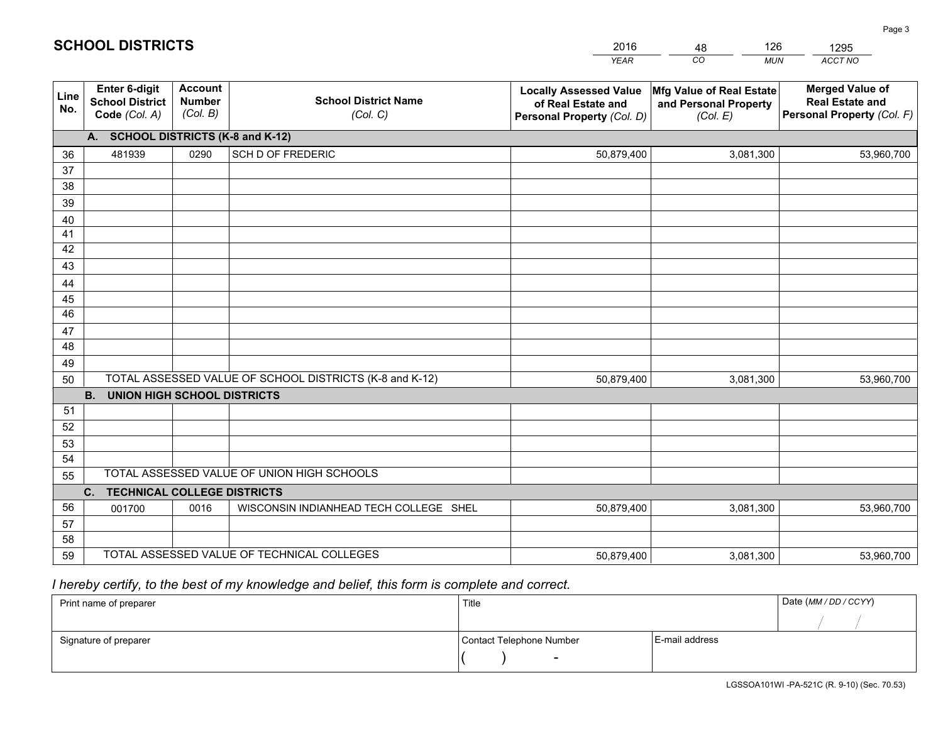|                 |                                                                 |                                             |                                                         | <b>YEAR</b>                                                                       | CO<br><b>MUN</b>                                              | ACCT NO                                                                        |
|-----------------|-----------------------------------------------------------------|---------------------------------------------|---------------------------------------------------------|-----------------------------------------------------------------------------------|---------------------------------------------------------------|--------------------------------------------------------------------------------|
| Line<br>No.     | <b>Enter 6-digit</b><br><b>School District</b><br>Code (Col. A) | <b>Account</b><br><b>Number</b><br>(Col. B) | <b>School District Name</b><br>(Col. C)                 | <b>Locally Assessed Value</b><br>of Real Estate and<br>Personal Property (Col. D) | Mfg Value of Real Estate<br>and Personal Property<br>(Col. E) | <b>Merged Value of</b><br><b>Real Estate and</b><br>Personal Property (Col. F) |
|                 | A. SCHOOL DISTRICTS (K-8 and K-12)                              |                                             |                                                         |                                                                                   |                                                               |                                                                                |
| 36              | 481939                                                          | 0290                                        | <b>SCH D OF FREDERIC</b>                                | 50,879,400                                                                        | 3,081,300                                                     | 53,960,700                                                                     |
| 37              |                                                                 |                                             |                                                         |                                                                                   |                                                               |                                                                                |
| 38              |                                                                 |                                             |                                                         |                                                                                   |                                                               |                                                                                |
| 39              |                                                                 |                                             |                                                         |                                                                                   |                                                               |                                                                                |
| 40              |                                                                 |                                             |                                                         |                                                                                   |                                                               |                                                                                |
| 41<br>42        |                                                                 |                                             |                                                         |                                                                                   |                                                               |                                                                                |
| 43              |                                                                 |                                             |                                                         |                                                                                   |                                                               |                                                                                |
|                 |                                                                 |                                             |                                                         |                                                                                   |                                                               |                                                                                |
| 44<br>45        |                                                                 |                                             |                                                         |                                                                                   |                                                               |                                                                                |
| $\overline{46}$ |                                                                 |                                             |                                                         |                                                                                   |                                                               |                                                                                |
| 47              |                                                                 |                                             |                                                         |                                                                                   |                                                               |                                                                                |
| 48              |                                                                 |                                             |                                                         |                                                                                   |                                                               |                                                                                |
| 49              |                                                                 |                                             |                                                         |                                                                                   |                                                               |                                                                                |
| 50              |                                                                 |                                             | TOTAL ASSESSED VALUE OF SCHOOL DISTRICTS (K-8 and K-12) | 50,879,400                                                                        | 3,081,300                                                     | 53,960,700                                                                     |
|                 | <b>B.</b><br><b>UNION HIGH SCHOOL DISTRICTS</b>                 |                                             |                                                         |                                                                                   |                                                               |                                                                                |
| 51              |                                                                 |                                             |                                                         |                                                                                   |                                                               |                                                                                |
| 52              |                                                                 |                                             |                                                         |                                                                                   |                                                               |                                                                                |
| 53              |                                                                 |                                             |                                                         |                                                                                   |                                                               |                                                                                |
| 54              |                                                                 |                                             |                                                         |                                                                                   |                                                               |                                                                                |
| 55              |                                                                 |                                             | TOTAL ASSESSED VALUE OF UNION HIGH SCHOOLS              |                                                                                   |                                                               |                                                                                |
|                 | C.<br><b>TECHNICAL COLLEGE DISTRICTS</b>                        |                                             |                                                         |                                                                                   |                                                               |                                                                                |
| 56              | 001700                                                          | 0016                                        | WISCONSIN INDIANHEAD TECH COLLEGE SHEL                  | 50,879,400                                                                        | 3,081,300                                                     | 53,960,700                                                                     |
| 57<br>58        |                                                                 |                                             |                                                         |                                                                                   |                                                               |                                                                                |
| 59              |                                                                 |                                             | TOTAL ASSESSED VALUE OF TECHNICAL COLLEGES              | 50,879,400                                                                        | 3,081,300                                                     | 53,960,700                                                                     |
|                 |                                                                 |                                             |                                                         |                                                                                   |                                                               |                                                                                |

 *I hereby certify, to the best of my knowledge and belief, this form is complete and correct.*

| Print name of preparer | Title                    |                | Date (MM / DD / CCYY) |
|------------------------|--------------------------|----------------|-----------------------|
|                        |                          |                |                       |
| Signature of preparer  | Contact Telephone Number | E-mail address |                       |
|                        | $\sim$                   |                |                       |

| <b>SCHOOL DISTRICTS</b> |  |
|-------------------------|--|
|-------------------------|--|

201648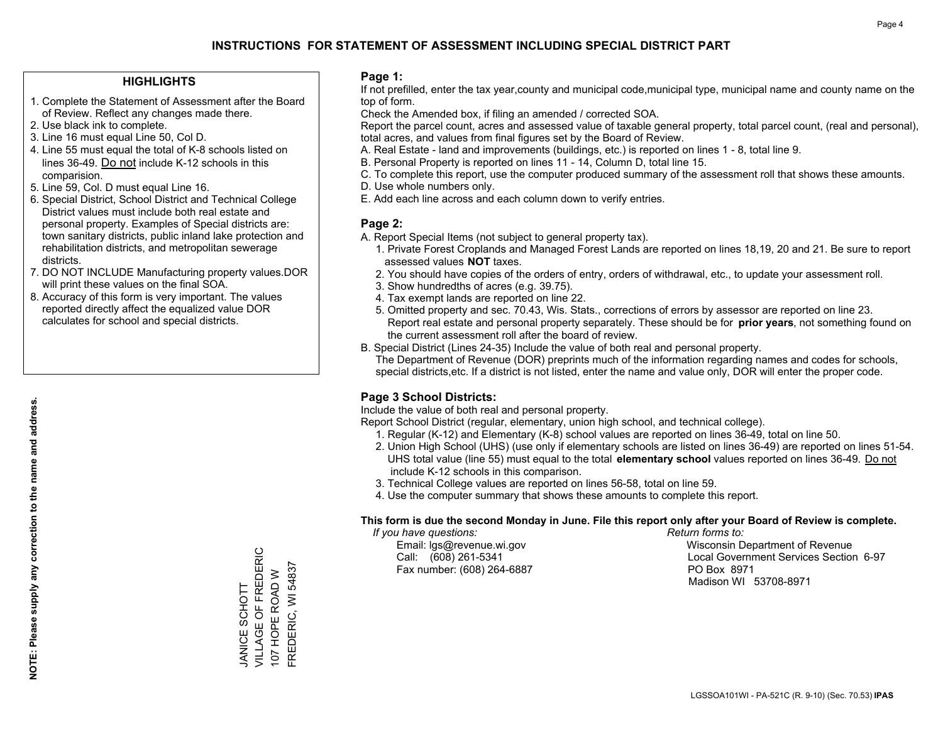#### **HIGHLIGHTS**

- 1. Complete the Statement of Assessment after the Board of Review. Reflect any changes made there.
- 2. Use black ink to complete.
- 3. Line 16 must equal Line 50, Col D.
- 4. Line 55 must equal the total of K-8 schools listed on lines 36-49. Do not include K-12 schools in this comparision.
- 5. Line 59, Col. D must equal Line 16.
- 6. Special District, School District and Technical College District values must include both real estate and personal property. Examples of Special districts are: town sanitary districts, public inland lake protection and rehabilitation districts, and metropolitan sewerage districts.
- 7. DO NOT INCLUDE Manufacturing property values.DOR will print these values on the final SOA.
- 8. Accuracy of this form is very important. The values reported directly affect the equalized value DOR calculates for school and special districts.

#### **Page 1:**

 If not prefilled, enter the tax year,county and municipal code,municipal type, municipal name and county name on the top of form.

Check the Amended box, if filing an amended / corrected SOA.

 Report the parcel count, acres and assessed value of taxable general property, total parcel count, (real and personal), total acres, and values from final figures set by the Board of Review.

- A. Real Estate land and improvements (buildings, etc.) is reported on lines 1 8, total line 9.
- B. Personal Property is reported on lines 11 14, Column D, total line 15.
- C. To complete this report, use the computer produced summary of the assessment roll that shows these amounts.
- D. Use whole numbers only.
- E. Add each line across and each column down to verify entries.

#### **Page 2:**

- A. Report Special Items (not subject to general property tax).
- 1. Private Forest Croplands and Managed Forest Lands are reported on lines 18,19, 20 and 21. Be sure to report assessed values **NOT** taxes.
- 2. You should have copies of the orders of entry, orders of withdrawal, etc., to update your assessment roll.
	- 3. Show hundredths of acres (e.g. 39.75).
- 4. Tax exempt lands are reported on line 22.
- 5. Omitted property and sec. 70.43, Wis. Stats., corrections of errors by assessor are reported on line 23. Report real estate and personal property separately. These should be for **prior years**, not something found on the current assessment roll after the board of review.
- B. Special District (Lines 24-35) Include the value of both real and personal property.

 The Department of Revenue (DOR) preprints much of the information regarding names and codes for schools, special districts,etc. If a district is not listed, enter the name and value only, DOR will enter the proper code.

### **Page 3 School Districts:**

Include the value of both real and personal property.

Report School District (regular, elementary, union high school, and technical college).

- 1. Regular (K-12) and Elementary (K-8) school values are reported on lines 36-49, total on line 50.
- 2. Union High School (UHS) (use only if elementary schools are listed on lines 36-49) are reported on lines 51-54. UHS total value (line 55) must equal to the total **elementary school** values reported on lines 36-49. Do notinclude K-12 schools in this comparison.
- 3. Technical College values are reported on lines 56-58, total on line 59.
- 4. Use the computer summary that shows these amounts to complete this report.

#### **This form is due the second Monday in June. File this report only after your Board of Review is complete.**

 *If you have questions: Return forms to:*

Fax number: (608) 264-6887 PO Box 8971

 Email: lgs@revenue.wi.gov Wisconsin Department of Revenue Call: (608) 261-5341 Local Government Services Section 6-97Madison WI 53708-8971

VILLAGE OF FREDERIC JANICE SCHOTT<br>VILLAGE OF FREDERIC FREDERIC, WI 54837 107 HOPE ROAD W 107 HOPE ROAD W JANICE SCHOTT

FREDERIC, WI 54837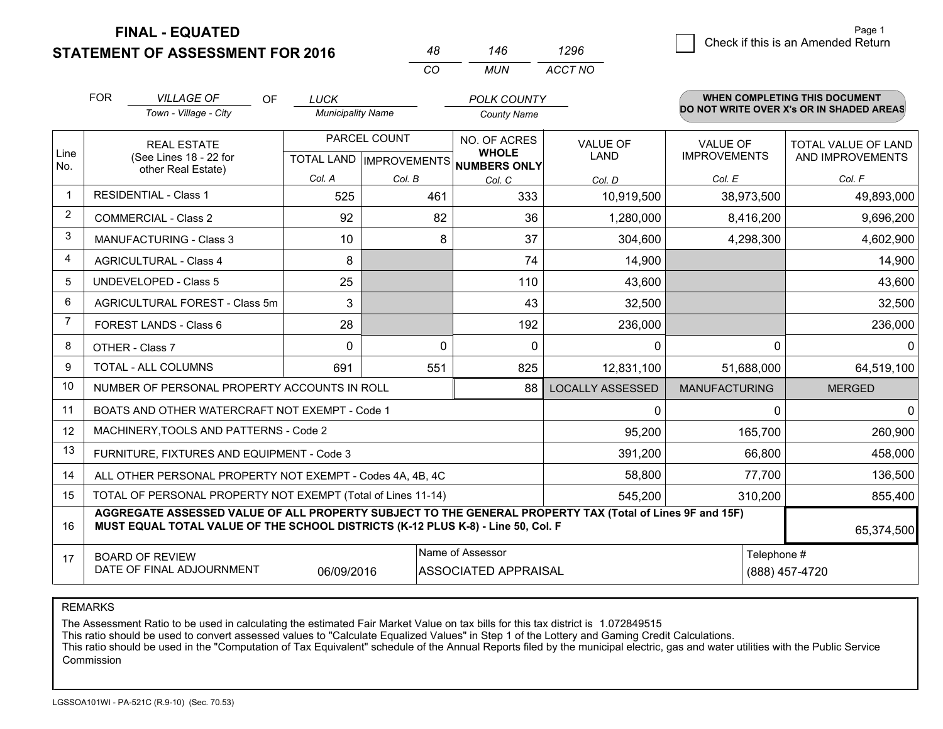**STATEMENT OF ASSESSMENT FOR 2016** 

**FINAL - EQUATED**

|                | <b>FOR</b>                                                         | <b>VILLAGE OF</b><br><b>OF</b><br>Town - Village - City                                                                                                                                      | <b>LUCK</b><br><b>Municipality Name</b> |              | <b>POLK COUNTY</b><br><b>County Name</b>                             |                                |                                        | <b>WHEN COMPLETING THIS DOCUMENT</b><br>DO NOT WRITE OVER X's OR IN SHADED AREAS |
|----------------|--------------------------------------------------------------------|----------------------------------------------------------------------------------------------------------------------------------------------------------------------------------------------|-----------------------------------------|--------------|----------------------------------------------------------------------|--------------------------------|----------------------------------------|----------------------------------------------------------------------------------|
| Line<br>No.    | <b>REAL ESTATE</b><br>(See Lines 18 - 22 for<br>other Real Estate) |                                                                                                                                                                                              |                                         | PARCEL COUNT | NO. OF ACRES<br><b>WHOLE</b><br>TOTAL LAND IMPROVEMENTS NUMBERS ONLY | <b>VALUE OF</b><br><b>LAND</b> | <b>VALUE OF</b><br><b>IMPROVEMENTS</b> | <b>TOTAL VALUE OF LAND</b><br>AND IMPROVEMENTS                                   |
|                |                                                                    |                                                                                                                                                                                              | Col. A                                  | Col. B       | Col. C                                                               | Col. D                         | Col. E                                 | Col. F                                                                           |
|                |                                                                    | <b>RESIDENTIAL - Class 1</b>                                                                                                                                                                 | 525                                     | 461          | 333                                                                  | 10,919,500                     | 38,973,500                             | 49,893,000                                                                       |
| $\overline{2}$ |                                                                    | <b>COMMERCIAL - Class 2</b>                                                                                                                                                                  | 92                                      | 82           | 36                                                                   | 1,280,000                      | 8,416,200                              | 9,696,200                                                                        |
| 3              |                                                                    | <b>MANUFACTURING - Class 3</b>                                                                                                                                                               | 10                                      |              | 8<br>37                                                              | 304,600                        | 4,298,300                              | 4,602,900                                                                        |
| 4              |                                                                    | <b>AGRICULTURAL - Class 4</b>                                                                                                                                                                | 8                                       |              | 74                                                                   | 14,900                         |                                        | 14,900                                                                           |
| 5              |                                                                    | <b>UNDEVELOPED - Class 5</b>                                                                                                                                                                 | 25                                      |              | 110                                                                  | 43,600                         |                                        | 43,600                                                                           |
| 6              | AGRICULTURAL FOREST - Class 5m                                     |                                                                                                                                                                                              | 3                                       |              | 43                                                                   | 32,500                         |                                        | 32,500                                                                           |
| 7              | FOREST LANDS - Class 6                                             |                                                                                                                                                                                              | 28                                      |              | 192                                                                  | 236,000                        |                                        | 236,000                                                                          |
| 8              |                                                                    | OTHER - Class 7                                                                                                                                                                              | 0                                       |              | 0<br>$\mathbf{0}$                                                    | 0                              | $\mathbf 0$                            | $\mathbf{0}$                                                                     |
| 9              |                                                                    | TOTAL - ALL COLUMNS                                                                                                                                                                          | 691                                     | 551          | 825                                                                  | 12,831,100                     | 51,688,000                             | 64,519,100                                                                       |
| 10             |                                                                    | NUMBER OF PERSONAL PROPERTY ACCOUNTS IN ROLL                                                                                                                                                 |                                         |              | 88                                                                   | <b>LOCALLY ASSESSED</b>        | <b>MANUFACTURING</b>                   | <b>MERGED</b>                                                                    |
| 11             |                                                                    | BOATS AND OTHER WATERCRAFT NOT EXEMPT - Code 1                                                                                                                                               |                                         |              |                                                                      | $\Omega$                       | $\Omega$                               | $\Omega$                                                                         |
| 12             |                                                                    | MACHINERY, TOOLS AND PATTERNS - Code 2                                                                                                                                                       |                                         |              |                                                                      | 95,200                         | 165,700                                | 260,900                                                                          |
| 13             |                                                                    | FURNITURE, FIXTURES AND EQUIPMENT - Code 3                                                                                                                                                   |                                         |              |                                                                      | 391,200                        | 66,800                                 | 458,000                                                                          |
| 14             |                                                                    | ALL OTHER PERSONAL PROPERTY NOT EXEMPT - Codes 4A, 4B, 4C                                                                                                                                    |                                         |              |                                                                      | 58,800                         | 77,700                                 | 136,500                                                                          |
| 15             |                                                                    | TOTAL OF PERSONAL PROPERTY NOT EXEMPT (Total of Lines 11-14)                                                                                                                                 |                                         |              |                                                                      | 545,200                        | 310,200                                | 855,400                                                                          |
| 16             |                                                                    | AGGREGATE ASSESSED VALUE OF ALL PROPERTY SUBJECT TO THE GENERAL PROPERTY TAX (Total of Lines 9F and 15F)<br>MUST EQUAL TOTAL VALUE OF THE SCHOOL DISTRICTS (K-12 PLUS K-8) - Line 50, Col. F |                                         |              |                                                                      |                                |                                        | 65,374,500                                                                       |
| 17             |                                                                    | <b>BOARD OF REVIEW</b>                                                                                                                                                                       |                                         |              | Name of Assessor                                                     |                                | Telephone #                            |                                                                                  |
|                |                                                                    | DATE OF FINAL ADJOURNMENT                                                                                                                                                                    | 06/09/2016                              |              | <b>ASSOCIATED APPRAISAL</b>                                          | (888) 457-4720                 |                                        |                                                                                  |

*CO*

*MUN*

*ACCT NO1296*

*<sup>48</sup> <sup>146</sup>*

REMARKS

The Assessment Ratio to be used in calculating the estimated Fair Market Value on tax bills for this tax district is 1.072849515<br>This ratio should be used to convert assessed values to "Calculate Equalized Values" in Step Commission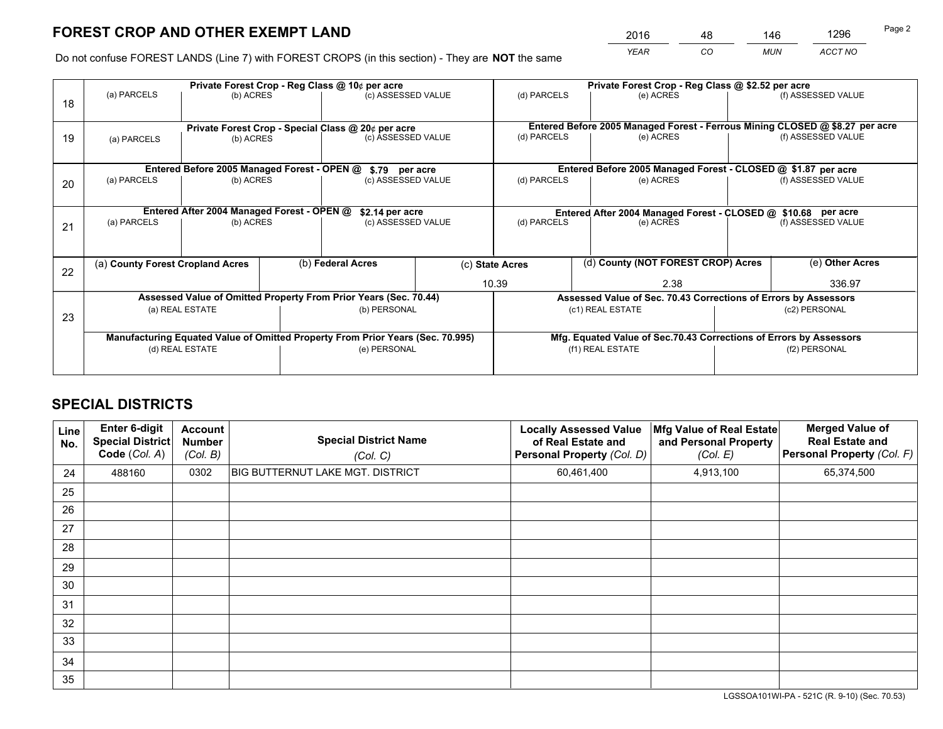*YEAR CO MUN ACCT NO* <sup>2016</sup> <sup>48</sup> <sup>146</sup> <sup>1296</sup>

Do not confuse FOREST LANDS (Line 7) with FOREST CROPS (in this section) - They are **NOT** the same

|    |                                                    |                                             |  | Private Forest Crop - Reg Class @ 10¢ per acre                                 |                                                               |                                                                    |  | Private Forest Crop - Reg Class @ \$2.52 per acre               |               |                                                                              |
|----|----------------------------------------------------|---------------------------------------------|--|--------------------------------------------------------------------------------|---------------------------------------------------------------|--------------------------------------------------------------------|--|-----------------------------------------------------------------|---------------|------------------------------------------------------------------------------|
| 18 | (a) PARCELS                                        | (b) ACRES                                   |  | (c) ASSESSED VALUE                                                             |                                                               | (d) PARCELS                                                        |  | (e) ACRES                                                       |               | (f) ASSESSED VALUE                                                           |
|    |                                                    |                                             |  |                                                                                |                                                               |                                                                    |  |                                                                 |               |                                                                              |
|    | Private Forest Crop - Special Class @ 20¢ per acre |                                             |  |                                                                                |                                                               |                                                                    |  |                                                                 |               | Entered Before 2005 Managed Forest - Ferrous Mining CLOSED @ \$8.27 per acre |
| 19 | (b) ACRES<br>(a) PARCELS                           |                                             |  | (c) ASSESSED VALUE                                                             |                                                               | (d) PARCELS                                                        |  | (e) ACRES                                                       |               | (f) ASSESSED VALUE                                                           |
|    |                                                    |                                             |  |                                                                                |                                                               |                                                                    |  |                                                                 |               |                                                                              |
|    |                                                    | Entered Before 2005 Managed Forest - OPEN @ |  | \$.79 per acre                                                                 |                                                               |                                                                    |  | Entered Before 2005 Managed Forest - CLOSED @ \$1.87 per acre   |               |                                                                              |
| 20 | (a) PARCELS                                        | (b) ACRES                                   |  | (c) ASSESSED VALUE                                                             |                                                               | (d) PARCELS                                                        |  | (e) ACRES                                                       |               | (f) ASSESSED VALUE                                                           |
|    |                                                    |                                             |  |                                                                                |                                                               |                                                                    |  |                                                                 |               |                                                                              |
|    |                                                    | Entered After 2004 Managed Forest - OPEN @  |  | \$2.14 per acre                                                                | Entered After 2004 Managed Forest - CLOSED @ \$10.68 per acre |                                                                    |  |                                                                 |               |                                                                              |
| 21 | (a) PARCELS                                        | (b) ACRES                                   |  | (c) ASSESSED VALUE                                                             |                                                               | (d) PARCELS                                                        |  | (e) ACRES                                                       |               | (f) ASSESSED VALUE                                                           |
|    |                                                    |                                             |  |                                                                                |                                                               |                                                                    |  |                                                                 |               |                                                                              |
|    |                                                    |                                             |  |                                                                                |                                                               |                                                                    |  |                                                                 |               |                                                                              |
| 22 | (a) County Forest Cropland Acres                   |                                             |  | (b) Federal Acres                                                              |                                                               | (d) County (NOT FOREST CROP) Acres<br>(c) State Acres              |  |                                                                 |               | (e) Other Acres                                                              |
|    |                                                    |                                             |  |                                                                                |                                                               | 10.39                                                              |  | 2.38                                                            |               | 336.97                                                                       |
|    |                                                    |                                             |  | Assessed Value of Omitted Property From Prior Years (Sec. 70.44)               |                                                               |                                                                    |  | Assessed Value of Sec. 70.43 Corrections of Errors by Assessors |               |                                                                              |
| 23 |                                                    | (a) REAL ESTATE                             |  | (b) PERSONAL                                                                   |                                                               |                                                                    |  | (c1) REAL ESTATE                                                |               | (c2) PERSONAL                                                                |
|    |                                                    |                                             |  |                                                                                |                                                               |                                                                    |  |                                                                 |               |                                                                              |
|    |                                                    |                                             |  | Manufacturing Equated Value of Omitted Property From Prior Years (Sec. 70.995) |                                                               | Mfg. Equated Value of Sec.70.43 Corrections of Errors by Assessors |  |                                                                 |               |                                                                              |
|    | (d) REAL ESTATE                                    |                                             |  | (e) PERSONAL                                                                   |                                                               | (f1) REAL ESTATE                                                   |  |                                                                 | (f2) PERSONAL |                                                                              |
|    |                                                    |                                             |  |                                                                                |                                                               |                                                                    |  |                                                                 |               |                                                                              |

## **SPECIAL DISTRICTS**

| Line<br>No. | Enter 6-digit<br><b>Special District</b><br>Code (Col. A) | <b>Account</b><br><b>Number</b><br>(Col. B) | <b>Special District Name</b><br>(Col. C) | <b>Locally Assessed Value</b><br>of Real Estate and<br>Personal Property (Col. D) | Mfg Value of Real Estate<br>and Personal Property<br>(Col. E) | <b>Merged Value of</b><br><b>Real Estate and</b><br>Personal Property (Col. F) |
|-------------|-----------------------------------------------------------|---------------------------------------------|------------------------------------------|-----------------------------------------------------------------------------------|---------------------------------------------------------------|--------------------------------------------------------------------------------|
| 24          | 488160                                                    | 0302                                        | <b>BIG BUTTERNUT LAKE MGT. DISTRICT</b>  | 60,461,400                                                                        | 4,913,100                                                     | 65,374,500                                                                     |
| 25          |                                                           |                                             |                                          |                                                                                   |                                                               |                                                                                |
| 26          |                                                           |                                             |                                          |                                                                                   |                                                               |                                                                                |
| 27          |                                                           |                                             |                                          |                                                                                   |                                                               |                                                                                |
| 28          |                                                           |                                             |                                          |                                                                                   |                                                               |                                                                                |
| 29          |                                                           |                                             |                                          |                                                                                   |                                                               |                                                                                |
| 30          |                                                           |                                             |                                          |                                                                                   |                                                               |                                                                                |
| 31          |                                                           |                                             |                                          |                                                                                   |                                                               |                                                                                |
| 32          |                                                           |                                             |                                          |                                                                                   |                                                               |                                                                                |
| 33          |                                                           |                                             |                                          |                                                                                   |                                                               |                                                                                |
| 34          |                                                           |                                             |                                          |                                                                                   |                                                               |                                                                                |
| 35          |                                                           |                                             |                                          |                                                                                   |                                                               |                                                                                |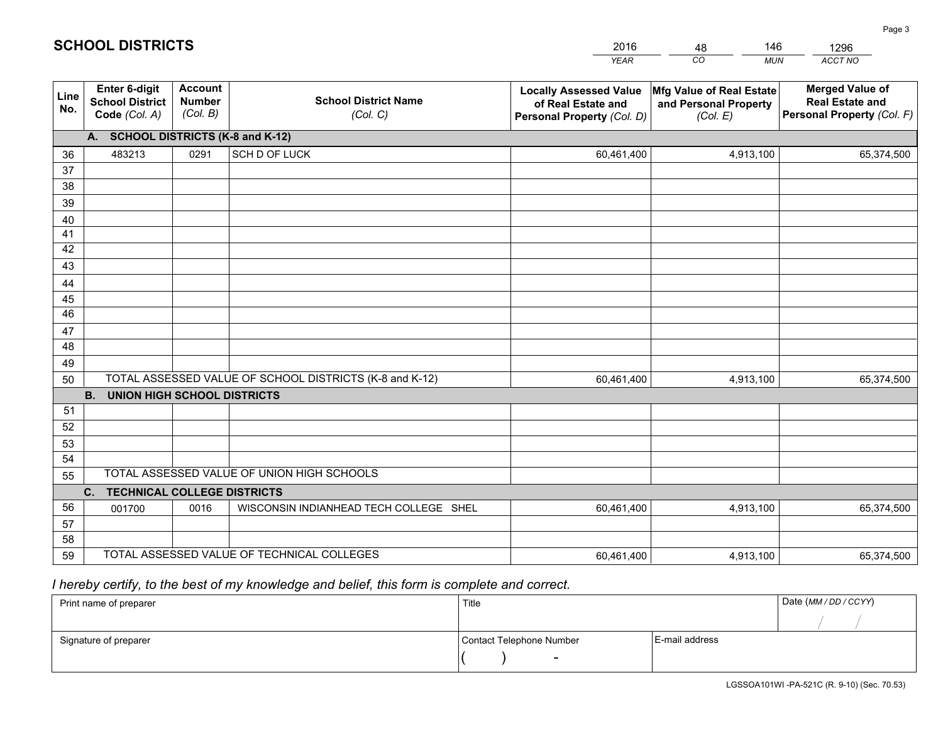|             |                                                                 |                                             |                                                         | <b>YEAR</b>                                                                       | CO<br><b>MUN</b>                                              | ACCT NO                                                                        |  |  |  |  |  |
|-------------|-----------------------------------------------------------------|---------------------------------------------|---------------------------------------------------------|-----------------------------------------------------------------------------------|---------------------------------------------------------------|--------------------------------------------------------------------------------|--|--|--|--|--|
| Line<br>No. | <b>Enter 6-digit</b><br><b>School District</b><br>Code (Col. A) | <b>Account</b><br><b>Number</b><br>(Col. B) | <b>School District Name</b><br>(Col. C)                 | <b>Locally Assessed Value</b><br>of Real Estate and<br>Personal Property (Col. D) | Mfg Value of Real Estate<br>and Personal Property<br>(Col. E) | <b>Merged Value of</b><br><b>Real Estate and</b><br>Personal Property (Col. F) |  |  |  |  |  |
|             | A. SCHOOL DISTRICTS (K-8 and K-12)                              |                                             |                                                         |                                                                                   |                                                               |                                                                                |  |  |  |  |  |
| 36          | 483213                                                          | 0291                                        | SCH D OF LUCK                                           | 60,461,400                                                                        | 4,913,100                                                     | 65,374,500                                                                     |  |  |  |  |  |
| 37          |                                                                 |                                             |                                                         |                                                                                   |                                                               |                                                                                |  |  |  |  |  |
| 38          |                                                                 |                                             |                                                         |                                                                                   |                                                               |                                                                                |  |  |  |  |  |
| 39          |                                                                 |                                             |                                                         |                                                                                   |                                                               |                                                                                |  |  |  |  |  |
| 40          |                                                                 |                                             |                                                         |                                                                                   |                                                               |                                                                                |  |  |  |  |  |
| 41          |                                                                 |                                             |                                                         |                                                                                   |                                                               |                                                                                |  |  |  |  |  |
| 42          |                                                                 |                                             |                                                         |                                                                                   |                                                               |                                                                                |  |  |  |  |  |
| 43          |                                                                 |                                             |                                                         |                                                                                   |                                                               |                                                                                |  |  |  |  |  |
| 44          |                                                                 |                                             |                                                         |                                                                                   |                                                               |                                                                                |  |  |  |  |  |
| 45<br>46    |                                                                 |                                             |                                                         |                                                                                   |                                                               |                                                                                |  |  |  |  |  |
| 47          |                                                                 |                                             |                                                         |                                                                                   |                                                               |                                                                                |  |  |  |  |  |
| 48          |                                                                 |                                             |                                                         |                                                                                   |                                                               |                                                                                |  |  |  |  |  |
| 49          |                                                                 |                                             |                                                         |                                                                                   |                                                               |                                                                                |  |  |  |  |  |
| 50          |                                                                 |                                             | TOTAL ASSESSED VALUE OF SCHOOL DISTRICTS (K-8 and K-12) | 60,461,400                                                                        | 4,913,100                                                     | 65,374,500                                                                     |  |  |  |  |  |
|             | <b>B.</b><br><b>UNION HIGH SCHOOL DISTRICTS</b>                 |                                             |                                                         |                                                                                   |                                                               |                                                                                |  |  |  |  |  |
| 51          |                                                                 |                                             |                                                         |                                                                                   |                                                               |                                                                                |  |  |  |  |  |
| 52          |                                                                 |                                             |                                                         |                                                                                   |                                                               |                                                                                |  |  |  |  |  |
| 53          |                                                                 |                                             |                                                         |                                                                                   |                                                               |                                                                                |  |  |  |  |  |
| 54          |                                                                 |                                             |                                                         |                                                                                   |                                                               |                                                                                |  |  |  |  |  |
| 55          |                                                                 |                                             | TOTAL ASSESSED VALUE OF UNION HIGH SCHOOLS              |                                                                                   |                                                               |                                                                                |  |  |  |  |  |
|             | C.<br><b>TECHNICAL COLLEGE DISTRICTS</b>                        |                                             |                                                         |                                                                                   |                                                               |                                                                                |  |  |  |  |  |
| 56          | 001700                                                          | 0016                                        | WISCONSIN INDIANHEAD TECH COLLEGE SHEL                  | 60,461,400                                                                        | 4,913,100                                                     | 65,374,500                                                                     |  |  |  |  |  |
| 57          |                                                                 |                                             |                                                         |                                                                                   |                                                               |                                                                                |  |  |  |  |  |
| 58          |                                                                 |                                             |                                                         |                                                                                   |                                                               |                                                                                |  |  |  |  |  |
| 59          |                                                                 |                                             | TOTAL ASSESSED VALUE OF TECHNICAL COLLEGES              | 60,461,400                                                                        | 4,913,100                                                     | 65,374,500                                                                     |  |  |  |  |  |

48

146

## *I hereby certify, to the best of my knowledge and belief, this form is complete and correct.*

**SCHOOL DISTRICTS**

| Print name of preparer | Title                    |                | Date (MM / DD / CCYY) |
|------------------------|--------------------------|----------------|-----------------------|
|                        |                          |                |                       |
| Signature of preparer  | Contact Telephone Number | E-mail address |                       |
|                        | $\sim$                   |                |                       |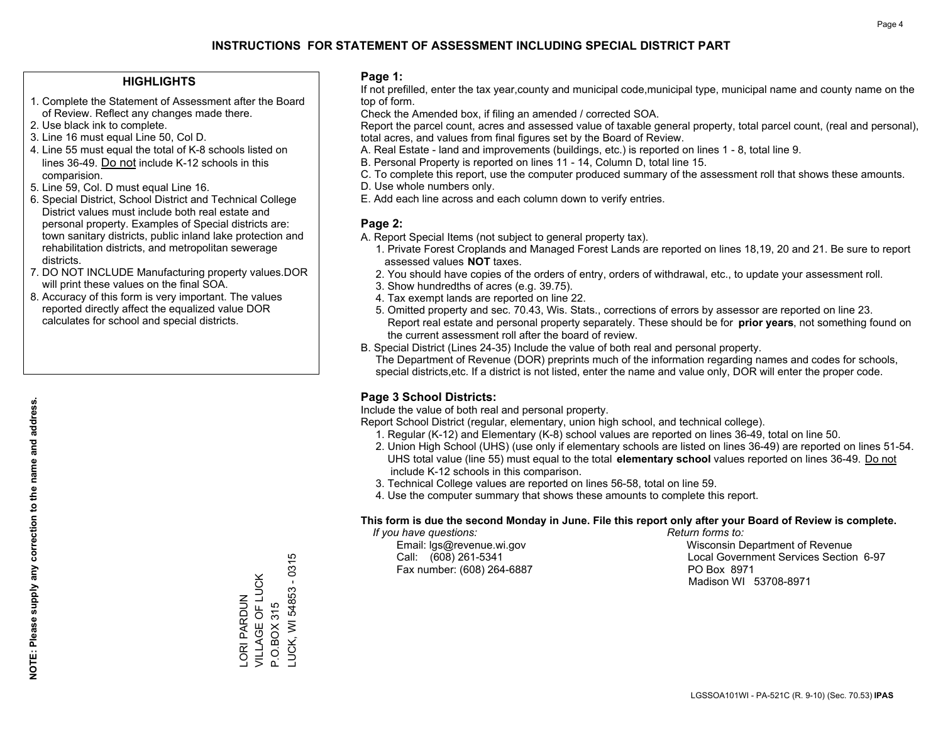#### **HIGHLIGHTS**

- 1. Complete the Statement of Assessment after the Board of Review. Reflect any changes made there.
- 2. Use black ink to complete.
- 3. Line 16 must equal Line 50, Col D.
- 4. Line 55 must equal the total of K-8 schools listed on lines 36-49. Do not include K-12 schools in this comparision.
- 5. Line 59, Col. D must equal Line 16.
- 6. Special District, School District and Technical College District values must include both real estate and personal property. Examples of Special districts are: town sanitary districts, public inland lake protection and rehabilitation districts, and metropolitan sewerage districts.
- 7. DO NOT INCLUDE Manufacturing property values.DOR will print these values on the final SOA.

LORI PARDUN VILLAGE OF LUCK P.O.BOX 315

VILLAGE OF LUCK ORI PARDUN

P.O.BOX 315

LUCK, WI 54853 - 0315

LUCK, WI 54853 - 0315

 8. Accuracy of this form is very important. The values reported directly affect the equalized value DOR calculates for school and special districts.

#### **Page 1:**

 If not prefilled, enter the tax year,county and municipal code,municipal type, municipal name and county name on the top of form.

Check the Amended box, if filing an amended / corrected SOA.

 Report the parcel count, acres and assessed value of taxable general property, total parcel count, (real and personal), total acres, and values from final figures set by the Board of Review.

- A. Real Estate land and improvements (buildings, etc.) is reported on lines 1 8, total line 9.
- B. Personal Property is reported on lines 11 14, Column D, total line 15.
- C. To complete this report, use the computer produced summary of the assessment roll that shows these amounts.
- D. Use whole numbers only.
- E. Add each line across and each column down to verify entries.

#### **Page 2:**

- A. Report Special Items (not subject to general property tax).
- 1. Private Forest Croplands and Managed Forest Lands are reported on lines 18,19, 20 and 21. Be sure to report assessed values **NOT** taxes.
- 2. You should have copies of the orders of entry, orders of withdrawal, etc., to update your assessment roll.
	- 3. Show hundredths of acres (e.g. 39.75).
- 4. Tax exempt lands are reported on line 22.
- 5. Omitted property and sec. 70.43, Wis. Stats., corrections of errors by assessor are reported on line 23. Report real estate and personal property separately. These should be for **prior years**, not something found on the current assessment roll after the board of review.
- B. Special District (Lines 24-35) Include the value of both real and personal property.
- The Department of Revenue (DOR) preprints much of the information regarding names and codes for schools, special districts,etc. If a district is not listed, enter the name and value only, DOR will enter the proper code.

### **Page 3 School Districts:**

Include the value of both real and personal property.

Report School District (regular, elementary, union high school, and technical college).

- 1. Regular (K-12) and Elementary (K-8) school values are reported on lines 36-49, total on line 50.
- 2. Union High School (UHS) (use only if elementary schools are listed on lines 36-49) are reported on lines 51-54. UHS total value (line 55) must equal to the total **elementary school** values reported on lines 36-49. Do notinclude K-12 schools in this comparison.
- 3. Technical College values are reported on lines 56-58, total on line 59.
- 4. Use the computer summary that shows these amounts to complete this report.

#### **This form is due the second Monday in June. File this report only after your Board of Review is complete.**

 *If you have questions: Return forms to:*

Fax number: (608) 264-6887 PO Box 8971

 Email: lgs@revenue.wi.gov Wisconsin Department of Revenue Call: (608) 261-5341 Local Government Services Section 6-97Madison WI 53708-8971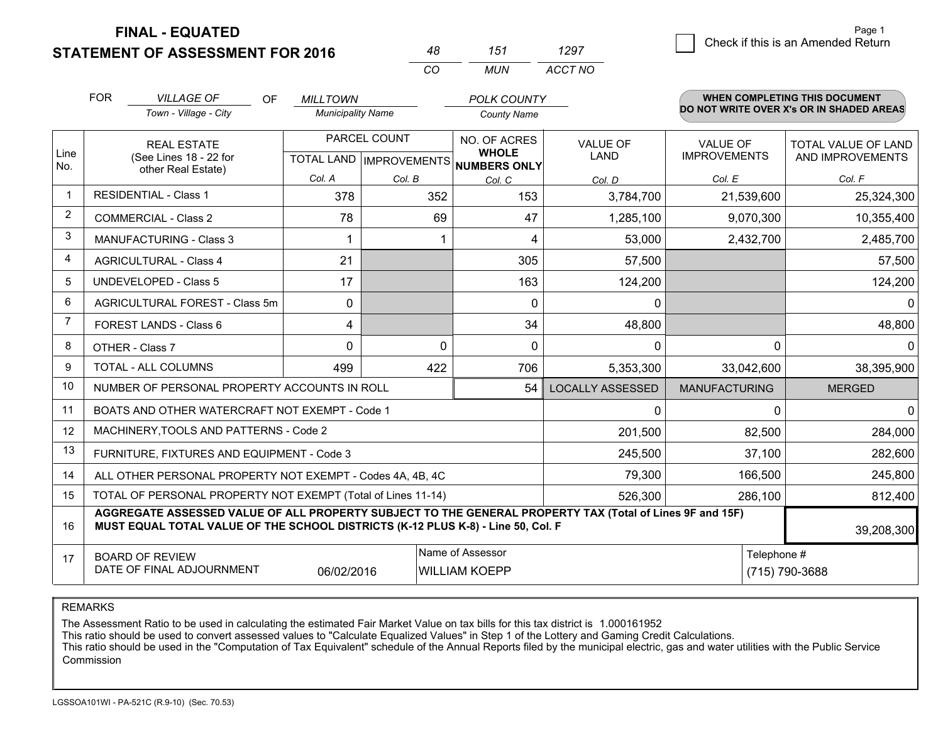**STATEMENT OF ASSESSMENT FOR 2016** 

**FINAL - EQUATED**

|                | <b>FOR</b>                                                                                                    | <b>VILLAGE OF</b><br><b>OF</b>                                                                                                                                                               | <b>MILLTOWN</b>          |              | <b>POLK COUNTY</b>                   |                         |                      | <b>WHEN COMPLETING THIS DOCUMENT</b><br>DO NOT WRITE OVER X's OR IN SHADED AREAS |
|----------------|---------------------------------------------------------------------------------------------------------------|----------------------------------------------------------------------------------------------------------------------------------------------------------------------------------------------|--------------------------|--------------|--------------------------------------|-------------------------|----------------------|----------------------------------------------------------------------------------|
|                |                                                                                                               | Town - Village - City                                                                                                                                                                        | <b>Municipality Name</b> |              | <b>County Name</b>                   |                         |                      |                                                                                  |
|                |                                                                                                               | <b>REAL ESTATE</b>                                                                                                                                                                           |                          | PARCEL COUNT | NO. OF ACRES<br><b>WHOLE</b>         | <b>VALUE OF</b>         | <b>VALUE OF</b>      | <b>TOTAL VALUE OF LAND</b>                                                       |
| Line<br>No.    |                                                                                                               | (See Lines 18 - 22 for<br>other Real Estate)                                                                                                                                                 |                          |              | TOTAL LAND IMPROVEMENTS NUMBERS ONLY | <b>LAND</b>             | <b>IMPROVEMENTS</b>  | AND IMPROVEMENTS                                                                 |
|                |                                                                                                               |                                                                                                                                                                                              | Col. A                   | Col. B       | Col. C                               | Col. D                  | Col. E               | Col. F                                                                           |
|                |                                                                                                               | <b>RESIDENTIAL - Class 1</b>                                                                                                                                                                 | 378                      | 352          | 153                                  | 3,784,700               | 21,539,600           | 25,324,300                                                                       |
| $\overline{2}$ |                                                                                                               | <b>COMMERCIAL - Class 2</b>                                                                                                                                                                  | 78                       | 69           | 47                                   | 1,285,100               | 9,070,300            | 10,355,400                                                                       |
| 3              |                                                                                                               | <b>MANUFACTURING - Class 3</b>                                                                                                                                                               |                          | 1            | 4                                    | 53,000                  | 2,432,700            | 2,485,700                                                                        |
| 4              |                                                                                                               | <b>AGRICULTURAL - Class 4</b>                                                                                                                                                                | 21                       |              | 305                                  | 57,500                  |                      | 57,500                                                                           |
| 5              |                                                                                                               | <b>UNDEVELOPED - Class 5</b>                                                                                                                                                                 | 17                       |              | 163                                  | 124,200                 |                      | 124,200                                                                          |
| 6              | AGRICULTURAL FOREST - Class 5m                                                                                |                                                                                                                                                                                              | 0                        |              | $\Omega$                             | $\mathbf{0}$            |                      | $\Omega$                                                                         |
| $\overline{7}$ | FOREST LANDS - Class 6                                                                                        |                                                                                                                                                                                              | 4                        |              | 34                                   | 48,800                  |                      | 48,800                                                                           |
| 8              |                                                                                                               | OTHER - Class 7                                                                                                                                                                              | 0                        | 0            | 0                                    | $\Omega$                | $\Omega$             | $\mathbf{0}$                                                                     |
| 9              |                                                                                                               | TOTAL - ALL COLUMNS                                                                                                                                                                          | 499                      | 422          | 706                                  | 5,353,300               | 33,042,600           | 38,395,900                                                                       |
| 10             |                                                                                                               | NUMBER OF PERSONAL PROPERTY ACCOUNTS IN ROLL                                                                                                                                                 |                          |              | 54                                   | <b>LOCALLY ASSESSED</b> | <b>MANUFACTURING</b> | <b>MERGED</b>                                                                    |
| 11             |                                                                                                               | BOATS AND OTHER WATERCRAFT NOT EXEMPT - Code 1                                                                                                                                               |                          |              |                                      | $\Omega$                | $\Omega$             | $\Omega$                                                                         |
| 12             |                                                                                                               | MACHINERY, TOOLS AND PATTERNS - Code 2                                                                                                                                                       |                          |              |                                      | 201,500                 | 82,500               | 284,000                                                                          |
| 13             |                                                                                                               | FURNITURE, FIXTURES AND EQUIPMENT - Code 3                                                                                                                                                   |                          |              |                                      | 245,500                 | 37,100               | 282,600                                                                          |
| 14             |                                                                                                               | ALL OTHER PERSONAL PROPERTY NOT EXEMPT - Codes 4A, 4B, 4C                                                                                                                                    |                          |              |                                      | 79,300                  | 166,500              | 245,800                                                                          |
| 15             |                                                                                                               | TOTAL OF PERSONAL PROPERTY NOT EXEMPT (Total of Lines 11-14)                                                                                                                                 |                          |              |                                      | 526,300                 | 286,100              | 812,400                                                                          |
| 16             |                                                                                                               | AGGREGATE ASSESSED VALUE OF ALL PROPERTY SUBJECT TO THE GENERAL PROPERTY TAX (Total of Lines 9F and 15F)<br>MUST EQUAL TOTAL VALUE OF THE SCHOOL DISTRICTS (K-12 PLUS K-8) - Line 50, Col. F |                          |              |                                      |                         |                      | 39,208,300                                                                       |
| 17             | Name of Assessor<br><b>BOARD OF REVIEW</b><br>DATE OF FINAL ADJOURNMENT<br><b>WILLIAM KOEPP</b><br>06/02/2016 |                                                                                                                                                                                              |                          |              |                                      |                         | Telephone #          | (715) 790-3688                                                                   |

*CO*

*MUN*

*ACCT NO1297*

*<sup>48</sup> <sup>151</sup>*

REMARKS

The Assessment Ratio to be used in calculating the estimated Fair Market Value on tax bills for this tax district is 1.000161952<br>This ratio should be used to convert assessed values to "Calculate Equalized Values" in Step Commission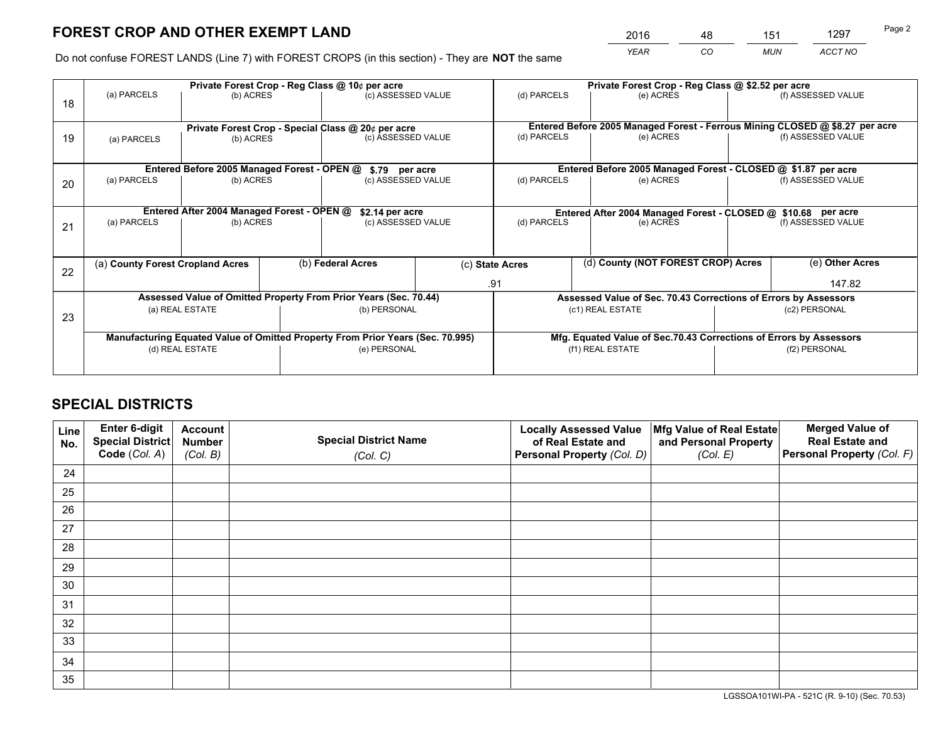*YEAR CO MUN ACCT NO* <sup>2016</sup> <sup>48</sup> <sup>151</sup> <sup>1297</sup>

Do not confuse FOREST LANDS (Line 7) with FOREST CROPS (in this section) - They are **NOT** the same

|    |                                                    |                                             |  | Private Forest Crop - Reg Class @ 10¢ per acre                                 |                                                                              |                                                               | Private Forest Crop - Reg Class @ \$2.52 per acre                  |  |                    |  |
|----|----------------------------------------------------|---------------------------------------------|--|--------------------------------------------------------------------------------|------------------------------------------------------------------------------|---------------------------------------------------------------|--------------------------------------------------------------------|--|--------------------|--|
| 18 | (a) PARCELS                                        | (b) ACRES                                   |  | (c) ASSESSED VALUE                                                             |                                                                              | (d) PARCELS                                                   | (e) ACRES                                                          |  | (f) ASSESSED VALUE |  |
|    | Private Forest Crop - Special Class @ 20¢ per acre |                                             |  |                                                                                | Entered Before 2005 Managed Forest - Ferrous Mining CLOSED @ \$8.27 per acre |                                                               |                                                                    |  |                    |  |
| 19 | (b) ACRES<br>(a) PARCELS                           |                                             |  | (c) ASSESSED VALUE                                                             |                                                                              | (d) PARCELS                                                   | (e) ACRES                                                          |  | (f) ASSESSED VALUE |  |
|    |                                                    | Entered Before 2005 Managed Forest - OPEN @ |  | \$.79 per acre                                                                 |                                                                              |                                                               | Entered Before 2005 Managed Forest - CLOSED @ \$1.87 per acre      |  |                    |  |
|    | (a) PARCELS                                        | (b) ACRES                                   |  | (c) ASSESSED VALUE                                                             |                                                                              | (d) PARCELS                                                   | (e) ACRES                                                          |  | (f) ASSESSED VALUE |  |
| 20 |                                                    |                                             |  |                                                                                |                                                                              |                                                               |                                                                    |  |                    |  |
|    |                                                    | Entered After 2004 Managed Forest - OPEN @  |  | \$2.14 per acre                                                                |                                                                              | Entered After 2004 Managed Forest - CLOSED @ \$10.68 per acre |                                                                    |  |                    |  |
| 21 | (a) PARCELS                                        | (b) ACRES                                   |  | (c) ASSESSED VALUE                                                             |                                                                              | (d) PARCELS<br>(e) ACRES                                      |                                                                    |  | (f) ASSESSED VALUE |  |
|    |                                                    |                                             |  |                                                                                |                                                                              |                                                               |                                                                    |  |                    |  |
| 22 | (a) County Forest Cropland Acres                   |                                             |  | (b) Federal Acres                                                              |                                                                              | (d) County (NOT FOREST CROP) Acres<br>(c) State Acres         |                                                                    |  | (e) Other Acres    |  |
|    |                                                    |                                             |  |                                                                                |                                                                              | .91                                                           |                                                                    |  | 147.82             |  |
|    |                                                    |                                             |  | Assessed Value of Omitted Property From Prior Years (Sec. 70.44)               |                                                                              |                                                               | Assessed Value of Sec. 70.43 Corrections of Errors by Assessors    |  |                    |  |
| 23 |                                                    | (a) REAL ESTATE                             |  | (b) PERSONAL                                                                   |                                                                              |                                                               | (c1) REAL ESTATE                                                   |  | (c2) PERSONAL      |  |
|    |                                                    |                                             |  |                                                                                |                                                                              |                                                               |                                                                    |  |                    |  |
|    |                                                    |                                             |  | Manufacturing Equated Value of Omitted Property From Prior Years (Sec. 70.995) |                                                                              |                                                               | Mfg. Equated Value of Sec.70.43 Corrections of Errors by Assessors |  |                    |  |
|    | (d) REAL ESTATE                                    |                                             |  | (e) PERSONAL                                                                   |                                                                              |                                                               | (f1) REAL ESTATE                                                   |  | (f2) PERSONAL      |  |
|    |                                                    |                                             |  |                                                                                |                                                                              |                                                               |                                                                    |  |                    |  |

## **SPECIAL DISTRICTS**

| Line<br>No. | Enter 6-digit<br><b>Special District</b> | <b>Account</b><br><b>Number</b> | <b>Special District Name</b> | <b>Locally Assessed Value</b><br>of Real Estate and | Mfg Value of Real Estate<br>and Personal Property | <b>Merged Value of</b><br><b>Real Estate and</b> |
|-------------|------------------------------------------|---------------------------------|------------------------------|-----------------------------------------------------|---------------------------------------------------|--------------------------------------------------|
|             | Code (Col. A)                            | (Col. B)                        | (Col. C)                     | Personal Property (Col. D)                          | (Col. E)                                          | Personal Property (Col. F)                       |
| 24          |                                          |                                 |                              |                                                     |                                                   |                                                  |
| 25          |                                          |                                 |                              |                                                     |                                                   |                                                  |
| 26          |                                          |                                 |                              |                                                     |                                                   |                                                  |
| 27          |                                          |                                 |                              |                                                     |                                                   |                                                  |
| 28          |                                          |                                 |                              |                                                     |                                                   |                                                  |
| 29          |                                          |                                 |                              |                                                     |                                                   |                                                  |
| 30          |                                          |                                 |                              |                                                     |                                                   |                                                  |
| 31          |                                          |                                 |                              |                                                     |                                                   |                                                  |
| 32          |                                          |                                 |                              |                                                     |                                                   |                                                  |
| 33          |                                          |                                 |                              |                                                     |                                                   |                                                  |
| 34          |                                          |                                 |                              |                                                     |                                                   |                                                  |
| 35          |                                          |                                 |                              |                                                     |                                                   |                                                  |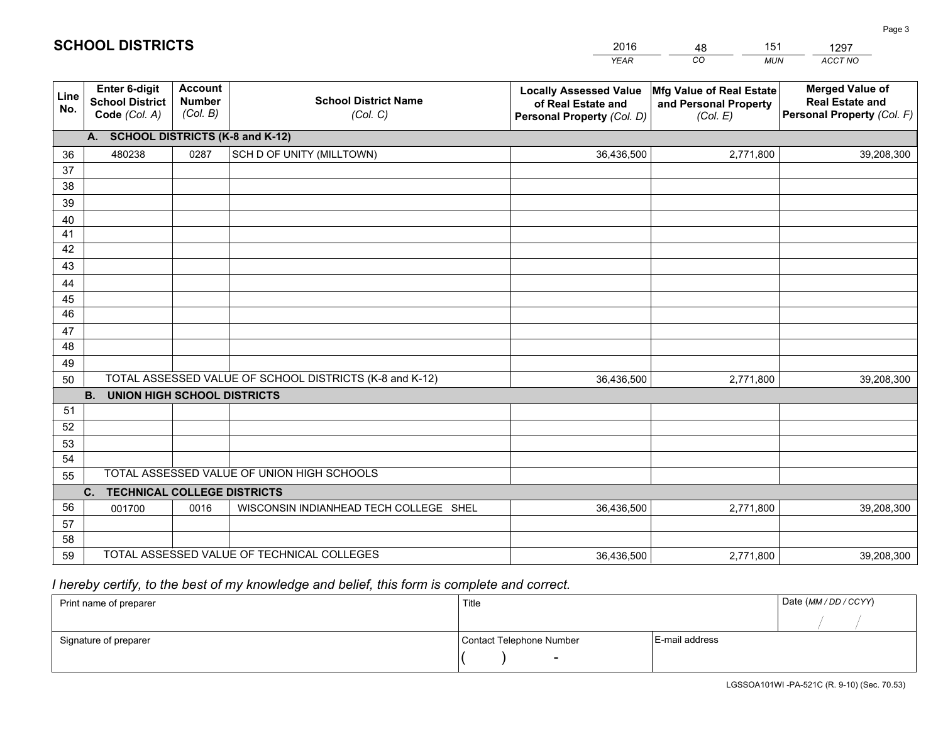|             |                                                          |                                             |                                                         | <b>YEAR</b>                                                                       | CO<br><b>MUN</b>                                              | ACCT NO                                                                        |  |  |  |  |  |  |
|-------------|----------------------------------------------------------|---------------------------------------------|---------------------------------------------------------|-----------------------------------------------------------------------------------|---------------------------------------------------------------|--------------------------------------------------------------------------------|--|--|--|--|--|--|
| Line<br>No. | Enter 6-digit<br><b>School District</b><br>Code (Col. A) | <b>Account</b><br><b>Number</b><br>(Col. B) | <b>School District Name</b><br>(Col. C)                 | <b>Locally Assessed Value</b><br>of Real Estate and<br>Personal Property (Col. D) | Mfg Value of Real Estate<br>and Personal Property<br>(Col. E) | <b>Merged Value of</b><br><b>Real Estate and</b><br>Personal Property (Col. F) |  |  |  |  |  |  |
|             | A. SCHOOL DISTRICTS (K-8 and K-12)                       |                                             |                                                         |                                                                                   |                                                               |                                                                                |  |  |  |  |  |  |
| 36          | 480238                                                   | 0287                                        | SCH D OF UNITY (MILLTOWN)                               | 36,436,500                                                                        | 2,771,800                                                     | 39,208,300                                                                     |  |  |  |  |  |  |
| 37          |                                                          |                                             |                                                         |                                                                                   |                                                               |                                                                                |  |  |  |  |  |  |
| 38          |                                                          |                                             |                                                         |                                                                                   |                                                               |                                                                                |  |  |  |  |  |  |
| 39          |                                                          |                                             |                                                         |                                                                                   |                                                               |                                                                                |  |  |  |  |  |  |
| 40          |                                                          |                                             |                                                         |                                                                                   |                                                               |                                                                                |  |  |  |  |  |  |
| 41<br>42    |                                                          |                                             |                                                         |                                                                                   |                                                               |                                                                                |  |  |  |  |  |  |
| 43          |                                                          |                                             |                                                         |                                                                                   |                                                               |                                                                                |  |  |  |  |  |  |
|             |                                                          |                                             |                                                         |                                                                                   |                                                               |                                                                                |  |  |  |  |  |  |
| 44<br>45    |                                                          |                                             |                                                         |                                                                                   |                                                               |                                                                                |  |  |  |  |  |  |
| 46          |                                                          |                                             |                                                         |                                                                                   |                                                               |                                                                                |  |  |  |  |  |  |
| 47          |                                                          |                                             |                                                         |                                                                                   |                                                               |                                                                                |  |  |  |  |  |  |
| 48          |                                                          |                                             |                                                         |                                                                                   |                                                               |                                                                                |  |  |  |  |  |  |
| 49          |                                                          |                                             |                                                         |                                                                                   |                                                               |                                                                                |  |  |  |  |  |  |
| 50          |                                                          |                                             | TOTAL ASSESSED VALUE OF SCHOOL DISTRICTS (K-8 and K-12) | 36,436,500                                                                        | 2,771,800                                                     | 39,208,300                                                                     |  |  |  |  |  |  |
|             | <b>B.</b><br>UNION HIGH SCHOOL DISTRICTS                 |                                             |                                                         |                                                                                   |                                                               |                                                                                |  |  |  |  |  |  |
| 51          |                                                          |                                             |                                                         |                                                                                   |                                                               |                                                                                |  |  |  |  |  |  |
| 52          |                                                          |                                             |                                                         |                                                                                   |                                                               |                                                                                |  |  |  |  |  |  |
| 53          |                                                          |                                             |                                                         |                                                                                   |                                                               |                                                                                |  |  |  |  |  |  |
| 54          |                                                          |                                             |                                                         |                                                                                   |                                                               |                                                                                |  |  |  |  |  |  |
| 55          |                                                          |                                             | TOTAL ASSESSED VALUE OF UNION HIGH SCHOOLS              |                                                                                   |                                                               |                                                                                |  |  |  |  |  |  |
|             | C.<br><b>TECHNICAL COLLEGE DISTRICTS</b>                 |                                             |                                                         |                                                                                   |                                                               |                                                                                |  |  |  |  |  |  |
| 56          | 001700                                                   | 0016                                        | WISCONSIN INDIANHEAD TECH COLLEGE SHEL                  | 36,436,500                                                                        | 2,771,800                                                     | 39,208,300                                                                     |  |  |  |  |  |  |
| 57<br>58    |                                                          |                                             |                                                         |                                                                                   |                                                               |                                                                                |  |  |  |  |  |  |
| 59          |                                                          |                                             | TOTAL ASSESSED VALUE OF TECHNICAL COLLEGES              | 36,436,500                                                                        | 2,771,800                                                     | 39,208,300                                                                     |  |  |  |  |  |  |
|             |                                                          |                                             |                                                         |                                                                                   |                                                               |                                                                                |  |  |  |  |  |  |

48

151

 *I hereby certify, to the best of my knowledge and belief, this form is complete and correct.*

**SCHOOL DISTRICTS**

| Print name of preparer | Title                    |                | Date (MM / DD / CCYY) |
|------------------------|--------------------------|----------------|-----------------------|
|                        |                          |                |                       |
| Signature of preparer  | Contact Telephone Number | E-mail address |                       |
|                        | $\sim$                   |                |                       |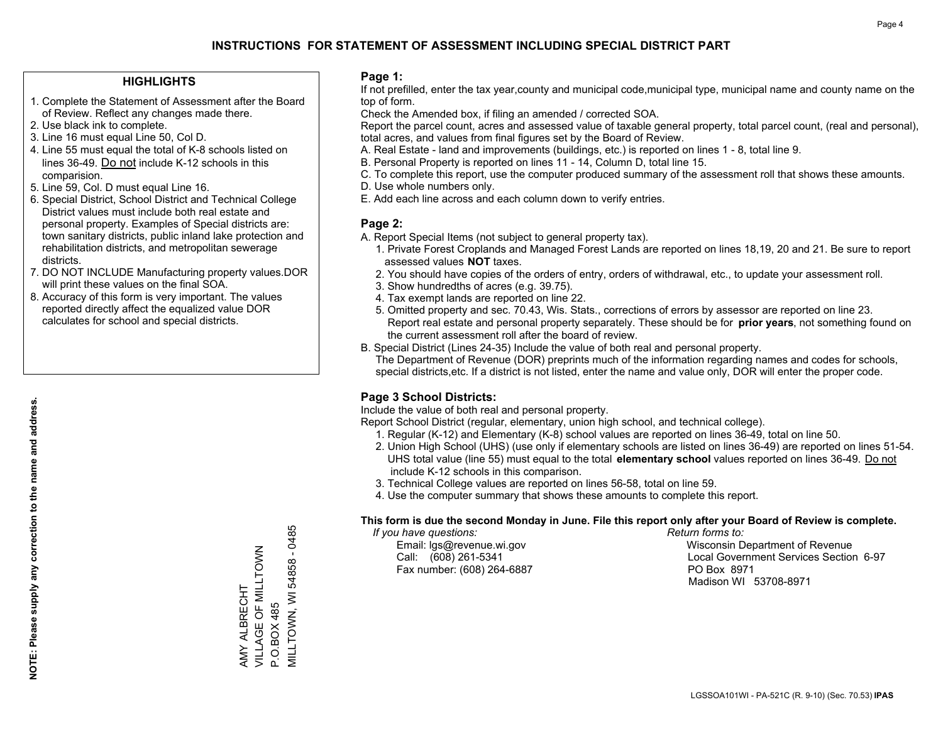#### **HIGHLIGHTS**

- 1. Complete the Statement of Assessment after the Board of Review. Reflect any changes made there.
- 2. Use black ink to complete.
- 3. Line 16 must equal Line 50, Col D.
- 4. Line 55 must equal the total of K-8 schools listed on lines 36-49. Do not include K-12 schools in this comparision.
- 5. Line 59, Col. D must equal Line 16.
- 6. Special District, School District and Technical College District values must include both real estate and personal property. Examples of Special districts are: town sanitary districts, public inland lake protection and rehabilitation districts, and metropolitan sewerage districts.
- 7. DO NOT INCLUDE Manufacturing property values.DOR will print these values on the final SOA.

AMY ALBRECHT

VILLAGE OF MILLTOWN

VILLAGE OF MILLTOWN AMY ALBRECHT

P.O.BOX 485

P.O.BOX 485

MILLTOWN, WI 54858 - 0485

MILLTOWN, WI 54858 - 0485

 8. Accuracy of this form is very important. The values reported directly affect the equalized value DOR calculates for school and special districts.

#### **Page 1:**

 If not prefilled, enter the tax year,county and municipal code,municipal type, municipal name and county name on the top of form.

Check the Amended box, if filing an amended / corrected SOA.

 Report the parcel count, acres and assessed value of taxable general property, total parcel count, (real and personal), total acres, and values from final figures set by the Board of Review.

- A. Real Estate land and improvements (buildings, etc.) is reported on lines 1 8, total line 9.
- B. Personal Property is reported on lines 11 14, Column D, total line 15.
- C. To complete this report, use the computer produced summary of the assessment roll that shows these amounts.
- D. Use whole numbers only.
- E. Add each line across and each column down to verify entries.

### **Page 2:**

- A. Report Special Items (not subject to general property tax).
- 1. Private Forest Croplands and Managed Forest Lands are reported on lines 18,19, 20 and 21. Be sure to report assessed values **NOT** taxes.
- 2. You should have copies of the orders of entry, orders of withdrawal, etc., to update your assessment roll.
	- 3. Show hundredths of acres (e.g. 39.75).
- 4. Tax exempt lands are reported on line 22.
- 5. Omitted property and sec. 70.43, Wis. Stats., corrections of errors by assessor are reported on line 23. Report real estate and personal property separately. These should be for **prior years**, not something found on the current assessment roll after the board of review.
- B. Special District (Lines 24-35) Include the value of both real and personal property.
- The Department of Revenue (DOR) preprints much of the information regarding names and codes for schools, special districts,etc. If a district is not listed, enter the name and value only, DOR will enter the proper code.

## **Page 3 School Districts:**

Include the value of both real and personal property.

Report School District (regular, elementary, union high school, and technical college).

- 1. Regular (K-12) and Elementary (K-8) school values are reported on lines 36-49, total on line 50.
- 2. Union High School (UHS) (use only if elementary schools are listed on lines 36-49) are reported on lines 51-54. UHS total value (line 55) must equal to the total **elementary school** values reported on lines 36-49. Do notinclude K-12 schools in this comparison.
- 3. Technical College values are reported on lines 56-58, total on line 59.
- 4. Use the computer summary that shows these amounts to complete this report.

#### **This form is due the second Monday in June. File this report only after your Board of Review is complete.**

 *If you have questions: Return forms to:*

Fax number: (608) 264-6887 PO Box 8971

 Email: lgs@revenue.wi.gov Wisconsin Department of Revenue Call: (608) 261-5341 Local Government Services Section 6-97Madison WI 53708-8971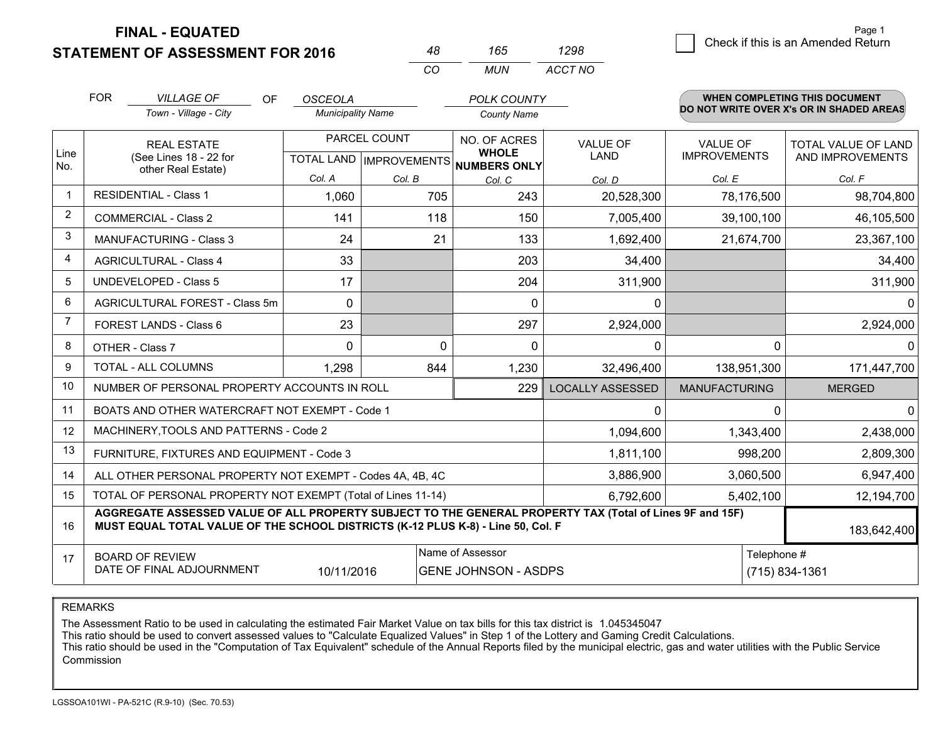**STATEMENT OF ASSESSMENT FOR 2016 FINAL - EQUATED**

|                | <b>STATEMENT OF ASSESSMENT FOR 2016</b>                                                                                                                                                      | 48                       | 165                              | 1298                                |                         | Crieck if this is an American Return     |                               |  |
|----------------|----------------------------------------------------------------------------------------------------------------------------------------------------------------------------------------------|--------------------------|----------------------------------|-------------------------------------|-------------------------|------------------------------------------|-------------------------------|--|
|                |                                                                                                                                                                                              |                          | CO                               | <b>MUN</b>                          | ACCT NO                 |                                          |                               |  |
|                | <b>FOR</b><br><b>VILLAGE OF</b><br><b>OF</b>                                                                                                                                                 | <b>OSCEOLA</b>           |                                  | <b>POLK COUNTY</b>                  |                         |                                          | WHEN COMPLETING THIS DOCUMENT |  |
|                | Town - Village - City                                                                                                                                                                        | <b>Municipality Name</b> |                                  | <b>County Name</b>                  |                         | DO NOT WRITE OVER X's OR IN SHADED AREAS |                               |  |
|                | <b>REAL ESTATE</b>                                                                                                                                                                           |                          | PARCEL COUNT                     | NO. OF ACRES                        | <b>VALUE OF</b>         | <b>VALUE OF</b>                          | <b>TOTAL VALUE OF LAND</b>    |  |
| Line<br>No.    | (See Lines 18 - 22 for<br>other Real Estate)                                                                                                                                                 |                          | <b>TOTAL LAND   IMPROVEMENTS</b> | <b>WHOLE</b><br><b>NUMBERS ONLY</b> | LAND                    | <b>IMPROVEMENTS</b>                      | AND IMPROVEMENTS              |  |
|                |                                                                                                                                                                                              | Col. A                   | Col. B                           | Col. C                              | Col. D                  | Col. E                                   | Col. F                        |  |
|                | <b>RESIDENTIAL - Class 1</b>                                                                                                                                                                 | 1,060                    | 705                              | 243                                 | 20,528,300              | 78,176,500                               | 98,704,800                    |  |
| 2              | <b>COMMERCIAL - Class 2</b>                                                                                                                                                                  | 141                      | 118                              | 150                                 | 7,005,400               | 39,100,100                               | 46,105,500                    |  |
| 3              | <b>MANUFACTURING - Class 3</b>                                                                                                                                                               | 24                       |                                  | 21<br>133                           | 1,692,400               | 21,674,700                               | 23,367,100                    |  |
| 4              | <b>AGRICULTURAL - Class 4</b>                                                                                                                                                                | 33                       |                                  | 203                                 | 34,400                  |                                          | 34,400                        |  |
| 5              | <b>UNDEVELOPED - Class 5</b>                                                                                                                                                                 | 17                       |                                  | 204                                 | 311,900                 |                                          | 311,900                       |  |
| 6              | AGRICULTURAL FOREST - Class 5m                                                                                                                                                               | 0                        |                                  | $\mathbf 0$                         | 0                       |                                          | 0                             |  |
| $\overline{7}$ | FOREST LANDS - Class 6                                                                                                                                                                       | 23                       |                                  | 297                                 | 2,924,000               |                                          | 2,924,000                     |  |
| 8              | OTHER - Class 7                                                                                                                                                                              | 0                        |                                  | $\mathbf 0$<br>0                    | 0                       | $\mathbf 0$                              | 0                             |  |
| 9              | TOTAL - ALL COLUMNS                                                                                                                                                                          | 1,298                    | 844                              | 1,230                               | 32,496,400              | 138,951,300                              | 171,447,700                   |  |
| 10             | NUMBER OF PERSONAL PROPERTY ACCOUNTS IN ROLL                                                                                                                                                 |                          |                                  | 229                                 | <b>LOCALLY ASSESSED</b> | <b>MANUFACTURING</b>                     | <b>MERGED</b>                 |  |
| 11             | BOATS AND OTHER WATERCRAFT NOT EXEMPT - Code 1                                                                                                                                               |                          |                                  |                                     | 0                       | $\Omega$                                 | $\mathbf 0$                   |  |
| 12             | MACHINERY, TOOLS AND PATTERNS - Code 2                                                                                                                                                       |                          |                                  |                                     | 1,094,600               | 1,343,400                                | 2,438,000                     |  |
| 13             | FURNITURE, FIXTURES AND EQUIPMENT - Code 3                                                                                                                                                   |                          |                                  |                                     | 1,811,100               | 998,200                                  | 2,809,300                     |  |
| 14             | ALL OTHER PERSONAL PROPERTY NOT EXEMPT - Codes 4A, 4B, 4C                                                                                                                                    |                          |                                  |                                     | 3,886,900               | 3,060,500                                | 6,947,400                     |  |
| 15             | TOTAL OF PERSONAL PROPERTY NOT EXEMPT (Total of Lines 11-14)                                                                                                                                 |                          |                                  |                                     | 6,792,600               | 5,402,100                                | 12,194,700                    |  |
| 16             | AGGREGATE ASSESSED VALUE OF ALL PROPERTY SUBJECT TO THE GENERAL PROPERTY TAX (Total of Lines 9F and 15F)<br>MUST EQUAL TOTAL VALUE OF THE SCHOOL DISTRICTS (K-12 PLUS K-8) - Line 50, Col. F |                          |                                  |                                     |                         |                                          | 183,642,400                   |  |
| 17             | <b>BOARD OF REVIEW</b>                                                                                                                                                                       |                          |                                  | Name of Assessor                    |                         | Telephone #                              |                               |  |
|                | DATE OF FINAL ADJOURNMENT                                                                                                                                                                    | 10/11/2016               |                                  | <b>GENE JOHNSON - ASDPS</b>         |                         |                                          | (715) 834-1361                |  |

REMARKS

The Assessment Ratio to be used in calculating the estimated Fair Market Value on tax bills for this tax district is 1.045345047

This ratio should be used to convert assessed values to "Calculate Equalized Values" in Step 1 of the Lottery and Gaming Credit Calculations.<br>This ratio should be used in the "Computation of Tax Equivalent" schedule of the Commission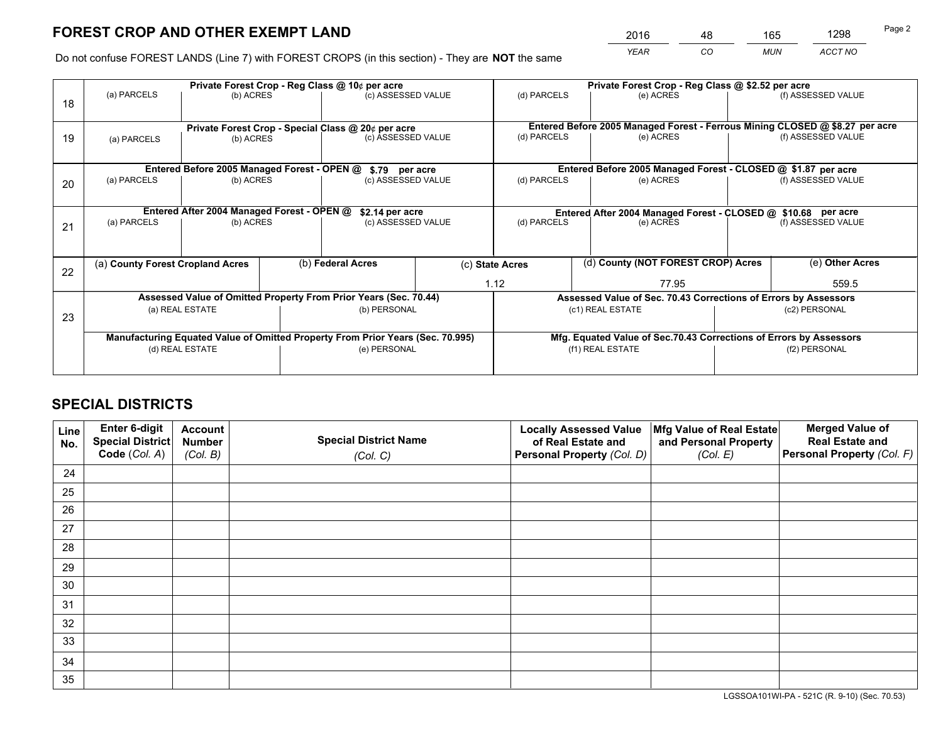*YEAR CO MUN ACCT NO* <sup>2016</sup> <sup>48</sup> <sup>165</sup> <sup>1298</sup>

Do not confuse FOREST LANDS (Line 7) with FOREST CROPS (in this section) - They are **NOT** the same

|    |                                            |                                             |  | Private Forest Crop - Reg Class @ 10¢ per acre                                 |  |                                                                              |  | Private Forest Crop - Reg Class @ \$2.52 per acre                  |               |                    |
|----|--------------------------------------------|---------------------------------------------|--|--------------------------------------------------------------------------------|--|------------------------------------------------------------------------------|--|--------------------------------------------------------------------|---------------|--------------------|
| 18 | (a) PARCELS                                | (b) ACRES                                   |  | (c) ASSESSED VALUE                                                             |  | (d) PARCELS                                                                  |  | (e) ACRES                                                          |               | (f) ASSESSED VALUE |
|    |                                            |                                             |  |                                                                                |  |                                                                              |  |                                                                    |               |                    |
|    |                                            |                                             |  | Private Forest Crop - Special Class @ 20¢ per acre                             |  | Entered Before 2005 Managed Forest - Ferrous Mining CLOSED @ \$8.27 per acre |  |                                                                    |               |                    |
| 19 | (a) PARCELS                                | (b) ACRES                                   |  | (c) ASSESSED VALUE                                                             |  | (d) PARCELS                                                                  |  | (e) ACRES                                                          |               | (f) ASSESSED VALUE |
|    |                                            |                                             |  |                                                                                |  |                                                                              |  |                                                                    |               |                    |
|    |                                            | Entered Before 2005 Managed Forest - OPEN @ |  | \$.79 per acre                                                                 |  |                                                                              |  | Entered Before 2005 Managed Forest - CLOSED @ \$1.87 per acre      |               |                    |
| 20 | (a) PARCELS<br>(b) ACRES                   |                                             |  | (c) ASSESSED VALUE                                                             |  | (d) PARCELS                                                                  |  | (e) ACRES                                                          |               | (f) ASSESSED VALUE |
|    |                                            |                                             |  |                                                                                |  |                                                                              |  |                                                                    |               |                    |
|    | Entered After 2004 Managed Forest - OPEN @ |                                             |  | \$2.14 per acre                                                                |  |                                                                              |  | Entered After 2004 Managed Forest - CLOSED @ \$10.68 per acre      |               |                    |
| 21 | (a) PARCELS                                | (b) ACRES                                   |  | (c) ASSESSED VALUE                                                             |  | (d) PARCELS<br>(e) ACRES                                                     |  | (f) ASSESSED VALUE                                                 |               |                    |
|    |                                            |                                             |  |                                                                                |  |                                                                              |  |                                                                    |               |                    |
|    |                                            |                                             |  |                                                                                |  |                                                                              |  |                                                                    |               |                    |
| 22 | (a) County Forest Cropland Acres           |                                             |  | (b) Federal Acres                                                              |  | (c) State Acres                                                              |  | (d) County (NOT FOREST CROP) Acres                                 |               | (e) Other Acres    |
|    |                                            |                                             |  |                                                                                |  | 1.12<br>77.95                                                                |  |                                                                    |               | 559.5              |
|    |                                            |                                             |  | Assessed Value of Omitted Property From Prior Years (Sec. 70.44)               |  |                                                                              |  | Assessed Value of Sec. 70.43 Corrections of Errors by Assessors    |               |                    |
| 23 |                                            | (a) REAL ESTATE                             |  | (b) PERSONAL                                                                   |  |                                                                              |  | (c1) REAL ESTATE                                                   |               | (c2) PERSONAL      |
|    |                                            |                                             |  |                                                                                |  |                                                                              |  |                                                                    |               |                    |
|    |                                            |                                             |  | Manufacturing Equated Value of Omitted Property From Prior Years (Sec. 70.995) |  |                                                                              |  | Mfg. Equated Value of Sec.70.43 Corrections of Errors by Assessors |               |                    |
|    | (d) REAL ESTATE                            |                                             |  | (e) PERSONAL                                                                   |  | (f1) REAL ESTATE                                                             |  |                                                                    | (f2) PERSONAL |                    |
|    |                                            |                                             |  |                                                                                |  |                                                                              |  |                                                                    |               |                    |

## **SPECIAL DISTRICTS**

| Line<br>No. | Enter 6-digit<br>Special District<br>Code (Col. A) | <b>Account</b><br><b>Number</b><br>(Col. B) | <b>Special District Name</b><br>(Col. C) | <b>Locally Assessed Value</b><br>of Real Estate and<br>Personal Property (Col. D) | Mfg Value of Real Estate<br>and Personal Property<br>(Col. E) | <b>Merged Value of</b><br><b>Real Estate and</b><br>Personal Property (Col. F) |
|-------------|----------------------------------------------------|---------------------------------------------|------------------------------------------|-----------------------------------------------------------------------------------|---------------------------------------------------------------|--------------------------------------------------------------------------------|
| 24          |                                                    |                                             |                                          |                                                                                   |                                                               |                                                                                |
| 25          |                                                    |                                             |                                          |                                                                                   |                                                               |                                                                                |
| 26          |                                                    |                                             |                                          |                                                                                   |                                                               |                                                                                |
| 27          |                                                    |                                             |                                          |                                                                                   |                                                               |                                                                                |
| 28          |                                                    |                                             |                                          |                                                                                   |                                                               |                                                                                |
| 29          |                                                    |                                             |                                          |                                                                                   |                                                               |                                                                                |
| 30          |                                                    |                                             |                                          |                                                                                   |                                                               |                                                                                |
| 31          |                                                    |                                             |                                          |                                                                                   |                                                               |                                                                                |
| 32          |                                                    |                                             |                                          |                                                                                   |                                                               |                                                                                |
| 33          |                                                    |                                             |                                          |                                                                                   |                                                               |                                                                                |
| 34          |                                                    |                                             |                                          |                                                                                   |                                                               |                                                                                |
| 35          |                                                    |                                             |                                          |                                                                                   |                                                               |                                                                                |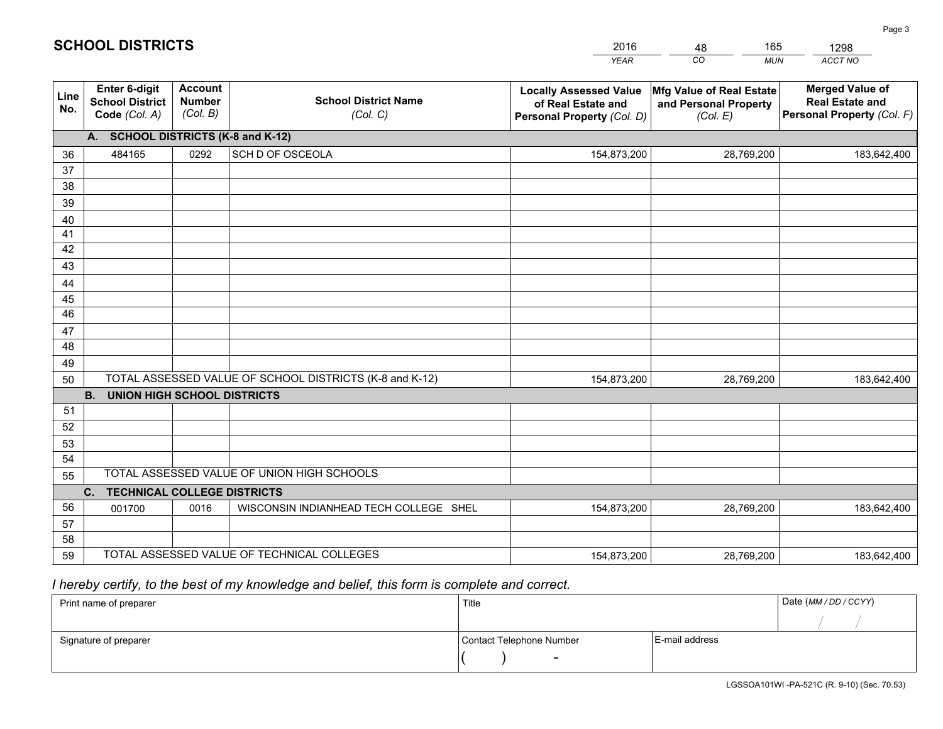|             |                                                          |                                             |                                                         | <b>YEAR</b>                                                                       | CO<br><b>MUN</b>                                              | ACCT NO                                                                        |  |  |  |  |  |  |
|-------------|----------------------------------------------------------|---------------------------------------------|---------------------------------------------------------|-----------------------------------------------------------------------------------|---------------------------------------------------------------|--------------------------------------------------------------------------------|--|--|--|--|--|--|
| Line<br>No. | Enter 6-digit<br><b>School District</b><br>Code (Col. A) | <b>Account</b><br><b>Number</b><br>(Col. B) | <b>School District Name</b><br>(Col. C)                 | <b>Locally Assessed Value</b><br>of Real Estate and<br>Personal Property (Col. D) | Mfg Value of Real Estate<br>and Personal Property<br>(Col. E) | <b>Merged Value of</b><br><b>Real Estate and</b><br>Personal Property (Col. F) |  |  |  |  |  |  |
|             | A. SCHOOL DISTRICTS (K-8 and K-12)                       |                                             |                                                         |                                                                                   |                                                               |                                                                                |  |  |  |  |  |  |
| 36          | 484165                                                   | 0292                                        | SCH D OF OSCEOLA                                        | 154,873,200                                                                       | 28,769,200                                                    | 183,642,400                                                                    |  |  |  |  |  |  |
| 37          |                                                          |                                             |                                                         |                                                                                   |                                                               |                                                                                |  |  |  |  |  |  |
| 38          |                                                          |                                             |                                                         |                                                                                   |                                                               |                                                                                |  |  |  |  |  |  |
| 39          |                                                          |                                             |                                                         |                                                                                   |                                                               |                                                                                |  |  |  |  |  |  |
| 40          |                                                          |                                             |                                                         |                                                                                   |                                                               |                                                                                |  |  |  |  |  |  |
| 41<br>42    |                                                          |                                             |                                                         |                                                                                   |                                                               |                                                                                |  |  |  |  |  |  |
| 43          |                                                          |                                             |                                                         |                                                                                   |                                                               |                                                                                |  |  |  |  |  |  |
|             |                                                          |                                             |                                                         |                                                                                   |                                                               |                                                                                |  |  |  |  |  |  |
| 44<br>45    |                                                          |                                             |                                                         |                                                                                   |                                                               |                                                                                |  |  |  |  |  |  |
| 46          |                                                          |                                             |                                                         |                                                                                   |                                                               |                                                                                |  |  |  |  |  |  |
| 47          |                                                          |                                             |                                                         |                                                                                   |                                                               |                                                                                |  |  |  |  |  |  |
| 48          |                                                          |                                             |                                                         |                                                                                   |                                                               |                                                                                |  |  |  |  |  |  |
| 49          |                                                          |                                             |                                                         |                                                                                   |                                                               |                                                                                |  |  |  |  |  |  |
| 50          |                                                          |                                             | TOTAL ASSESSED VALUE OF SCHOOL DISTRICTS (K-8 and K-12) | 154,873,200                                                                       | 28,769,200                                                    | 183,642,400                                                                    |  |  |  |  |  |  |
|             | <b>B.</b><br>UNION HIGH SCHOOL DISTRICTS                 |                                             |                                                         |                                                                                   |                                                               |                                                                                |  |  |  |  |  |  |
| 51          |                                                          |                                             |                                                         |                                                                                   |                                                               |                                                                                |  |  |  |  |  |  |
| 52          |                                                          |                                             |                                                         |                                                                                   |                                                               |                                                                                |  |  |  |  |  |  |
| 53          |                                                          |                                             |                                                         |                                                                                   |                                                               |                                                                                |  |  |  |  |  |  |
| 54          |                                                          |                                             |                                                         |                                                                                   |                                                               |                                                                                |  |  |  |  |  |  |
| 55          |                                                          |                                             | TOTAL ASSESSED VALUE OF UNION HIGH SCHOOLS              |                                                                                   |                                                               |                                                                                |  |  |  |  |  |  |
|             | C.<br><b>TECHNICAL COLLEGE DISTRICTS</b>                 |                                             |                                                         |                                                                                   |                                                               |                                                                                |  |  |  |  |  |  |
| 56          | 001700                                                   | 0016                                        | WISCONSIN INDIANHEAD TECH COLLEGE SHEL                  | 154,873,200                                                                       | 28,769,200                                                    | 183,642,400                                                                    |  |  |  |  |  |  |
| 57<br>58    |                                                          |                                             |                                                         |                                                                                   |                                                               |                                                                                |  |  |  |  |  |  |
| 59          |                                                          |                                             | TOTAL ASSESSED VALUE OF TECHNICAL COLLEGES              | 154,873,200                                                                       | 28,769,200                                                    | 183,642,400                                                                    |  |  |  |  |  |  |
|             |                                                          |                                             |                                                         |                                                                                   |                                                               |                                                                                |  |  |  |  |  |  |

48

165

 *I hereby certify, to the best of my knowledge and belief, this form is complete and correct.*

**SCHOOL DISTRICTS**

| Print name of preparer | Title                    |                | Date (MM/DD/CCYY) |
|------------------------|--------------------------|----------------|-------------------|
|                        |                          |                |                   |
| Signature of preparer  | Contact Telephone Number | E-mail address |                   |
|                        | $\overline{\phantom{0}}$ |                |                   |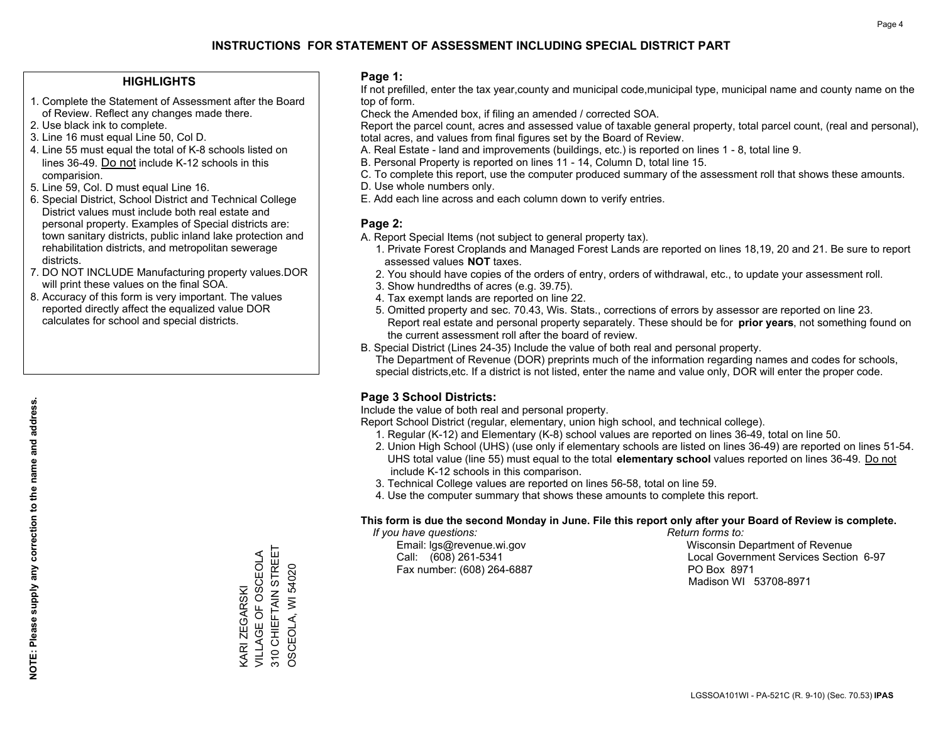#### **HIGHLIGHTS**

- 1. Complete the Statement of Assessment after the Board of Review. Reflect any changes made there.
- 2. Use black ink to complete.
- 3. Line 16 must equal Line 50, Col D.
- 4. Line 55 must equal the total of K-8 schools listed on lines 36-49. Do not include K-12 schools in this comparision.
- 5. Line 59, Col. D must equal Line 16.
- 6. Special District, School District and Technical College District values must include both real estate and personal property. Examples of Special districts are: town sanitary districts, public inland lake protection and rehabilitation districts, and metropolitan sewerage districts.
- 7. DO NOT INCLUDE Manufacturing property values.DOR will print these values on the final SOA.
- 8. Accuracy of this form is very important. The values reported directly affect the equalized value DOR calculates for school and special districts.

#### **Page 1:**

 If not prefilled, enter the tax year,county and municipal code,municipal type, municipal name and county name on the top of form.

Check the Amended box, if filing an amended / corrected SOA.

 Report the parcel count, acres and assessed value of taxable general property, total parcel count, (real and personal), total acres, and values from final figures set by the Board of Review.

- A. Real Estate land and improvements (buildings, etc.) is reported on lines 1 8, total line 9.
- B. Personal Property is reported on lines 11 14, Column D, total line 15.
- C. To complete this report, use the computer produced summary of the assessment roll that shows these amounts.
- D. Use whole numbers only.
- E. Add each line across and each column down to verify entries.

### **Page 2:**

- A. Report Special Items (not subject to general property tax).
- 1. Private Forest Croplands and Managed Forest Lands are reported on lines 18,19, 20 and 21. Be sure to report assessed values **NOT** taxes.
- 2. You should have copies of the orders of entry, orders of withdrawal, etc., to update your assessment roll.
	- 3. Show hundredths of acres (e.g. 39.75).
- 4. Tax exempt lands are reported on line 22.
- 5. Omitted property and sec. 70.43, Wis. Stats., corrections of errors by assessor are reported on line 23. Report real estate and personal property separately. These should be for **prior years**, not something found on the current assessment roll after the board of review.
- B. Special District (Lines 24-35) Include the value of both real and personal property.
- The Department of Revenue (DOR) preprints much of the information regarding names and codes for schools, special districts,etc. If a district is not listed, enter the name and value only, DOR will enter the proper code.

### **Page 3 School Districts:**

Include the value of both real and personal property.

Report School District (regular, elementary, union high school, and technical college).

- 1. Regular (K-12) and Elementary (K-8) school values are reported on lines 36-49, total on line 50.
- 2. Union High School (UHS) (use only if elementary schools are listed on lines 36-49) are reported on lines 51-54. UHS total value (line 55) must equal to the total **elementary school** values reported on lines 36-49. Do notinclude K-12 schools in this comparison.
- 3. Technical College values are reported on lines 56-58, total on line 59.
- 4. Use the computer summary that shows these amounts to complete this report.

#### **This form is due the second Monday in June. File this report only after your Board of Review is complete.**

 *If you have questions: Return forms to:*

Fax number: (608) 264-6887 PO Box 8971

 Email: lgs@revenue.wi.gov Wisconsin Department of Revenue Call: (608) 261-5341 Local Government Services Section 6-97Madison WI 53708-8971

KARI ZEGARSKI

VILLAGE OF OSCEOLA 310 CHIEFTAIN STREET OSCEOLA, WI 54020

310 CHIEFTAIN STREET KARI ZEGARSKI<br>VILLAGE OF OSCEOLA

OSCEOLA, WI 54020

**NOTE: Please supply any correction to the name and address.**

NOTE: Please supply any correction to the name and address.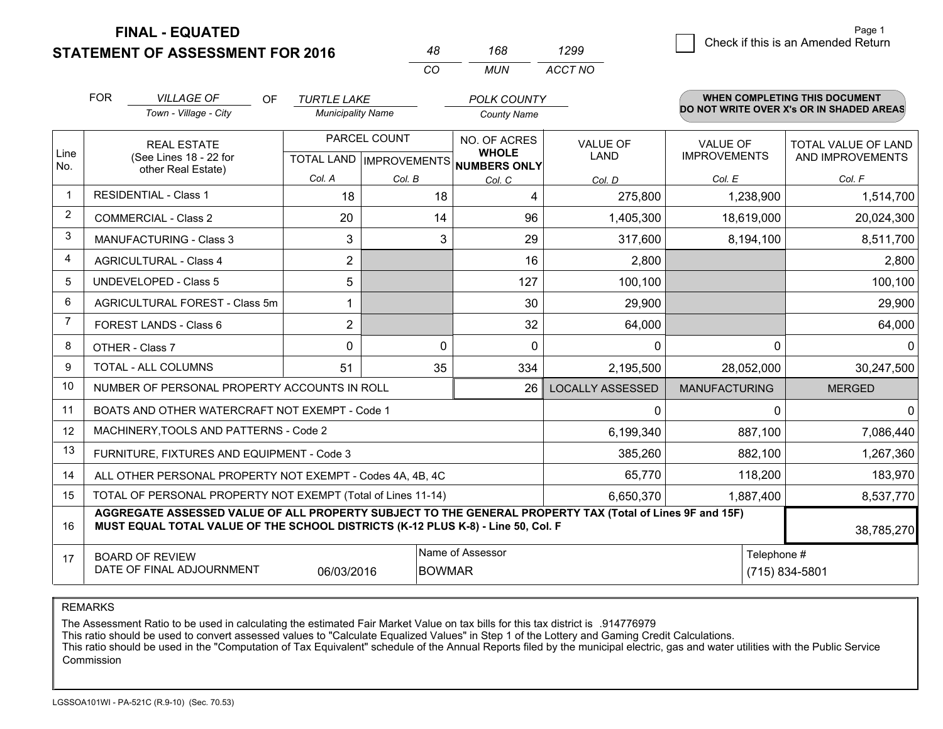**STATEMENT OF ASSESSMENT FOR 2016** 

**FINAL - EQUATED**

|                | <b>FOR</b><br><b>VILLAGE OF</b><br><b>OF</b>                                                                                                                                                 | <b>TURTLE LAKE</b>       |              | <b>POLK COUNTY</b>                                   |                         |                      | <b>WHEN COMPLETING THIS DOCUMENT</b>     |  |
|----------------|----------------------------------------------------------------------------------------------------------------------------------------------------------------------------------------------|--------------------------|--------------|------------------------------------------------------|-------------------------|----------------------|------------------------------------------|--|
|                | Town - Village - City                                                                                                                                                                        | <b>Municipality Name</b> |              | <b>County Name</b>                                   |                         |                      | DO NOT WRITE OVER X's OR IN SHADED AREAS |  |
|                | <b>REAL ESTATE</b>                                                                                                                                                                           |                          | PARCEL COUNT | NO. OF ACRES                                         | <b>VALUE OF</b>         | <b>VALUE OF</b>      | TOTAL VALUE OF LAND                      |  |
| Line<br>No.    | (See Lines 18 - 22 for                                                                                                                                                                       |                          |              | <b>WHOLE</b><br>TOTAL LAND IMPROVEMENTS NUMBERS ONLY | LAND                    | <b>IMPROVEMENTS</b>  | AND IMPROVEMENTS                         |  |
|                | other Real Estate)                                                                                                                                                                           | Col. A                   | Col. B       | Col. C                                               | Col. D                  | Col. E               | Col. F                                   |  |
|                | <b>RESIDENTIAL - Class 1</b>                                                                                                                                                                 | 18                       | 18           | 4                                                    | 275,800                 | 1,238,900            | 1,514,700                                |  |
| $\overline{2}$ | <b>COMMERCIAL - Class 2</b>                                                                                                                                                                  | 20                       | 14           | 96                                                   | 1,405,300               | 18,619,000           | 20,024,300                               |  |
| 3              | <b>MANUFACTURING - Class 3</b>                                                                                                                                                               | 3                        | 3            | 29                                                   | 317,600                 | 8,194,100            | 8,511,700                                |  |
| 4              | <b>AGRICULTURAL - Class 4</b>                                                                                                                                                                | $\overline{2}$           |              | 16                                                   | 2,800                   |                      | 2,800                                    |  |
| 5              | <b>UNDEVELOPED - Class 5</b>                                                                                                                                                                 | 5                        |              | 127                                                  | 100,100                 |                      | 100,100                                  |  |
| 6              | AGRICULTURAL FOREST - Class 5m                                                                                                                                                               |                          |              | 30                                                   | 29,900                  |                      | 29,900                                   |  |
| $\overline{7}$ | FOREST LANDS - Class 6                                                                                                                                                                       | $\overline{2}$           |              | 32                                                   | 64,000                  |                      | 64,000                                   |  |
| 8              | OTHER - Class 7                                                                                                                                                                              | $\mathbf{0}$             | 0            | $\mathbf{0}$                                         | 0                       | 0                    | $\overline{0}$                           |  |
| 9              | <b>TOTAL - ALL COLUMNS</b>                                                                                                                                                                   | 51                       | 35           | 334                                                  | 2,195,500               | 28,052,000           | 30,247,500                               |  |
| 10             | NUMBER OF PERSONAL PROPERTY ACCOUNTS IN ROLL                                                                                                                                                 |                          |              | 26                                                   | <b>LOCALLY ASSESSED</b> | <b>MANUFACTURING</b> | <b>MERGED</b>                            |  |
| 11             | BOATS AND OTHER WATERCRAFT NOT EXEMPT - Code 1                                                                                                                                               |                          |              |                                                      | 0                       | 0                    | $\overline{0}$                           |  |
| 12             | MACHINERY, TOOLS AND PATTERNS - Code 2                                                                                                                                                       |                          |              |                                                      | 6,199,340               | 887,100              | 7,086,440                                |  |
| 13             | FURNITURE, FIXTURES AND EQUIPMENT - Code 3                                                                                                                                                   |                          |              |                                                      | 385,260                 | 882,100              | 1,267,360                                |  |
| 14             | ALL OTHER PERSONAL PROPERTY NOT EXEMPT - Codes 4A, 4B, 4C                                                                                                                                    |                          |              |                                                      | 65,770                  | 118,200              | 183,970                                  |  |
| 15             | TOTAL OF PERSONAL PROPERTY NOT EXEMPT (Total of Lines 11-14)                                                                                                                                 |                          |              |                                                      | 6,650,370               | 1,887,400            | 8,537,770                                |  |
| 16             | AGGREGATE ASSESSED VALUE OF ALL PROPERTY SUBJECT TO THE GENERAL PROPERTY TAX (Total of Lines 9F and 15F)<br>MUST EQUAL TOTAL VALUE OF THE SCHOOL DISTRICTS (K-12 PLUS K-8) - Line 50, Col. F |                          |              |                                                      |                         |                      | 38,785,270                               |  |
| 17             | <b>BOARD OF REVIEW</b>                                                                                                                                                                       |                          |              | Name of Assessor                                     |                         | Telephone #          |                                          |  |
|                | DATE OF FINAL ADJOURNMENT                                                                                                                                                                    | 06/03/2016               |              | <b>BOWMAR</b>                                        |                         |                      | (715) 834-5801                           |  |

*CO*

*MUN*

*ACCT NO1299*

*<sup>48</sup> <sup>168</sup>*

REMARKS

The Assessment Ratio to be used in calculating the estimated Fair Market Value on tax bills for this tax district is .914776979<br>This ratio should be used to convert assessed values to "Calculate Equalized Values" in Step 1 Commission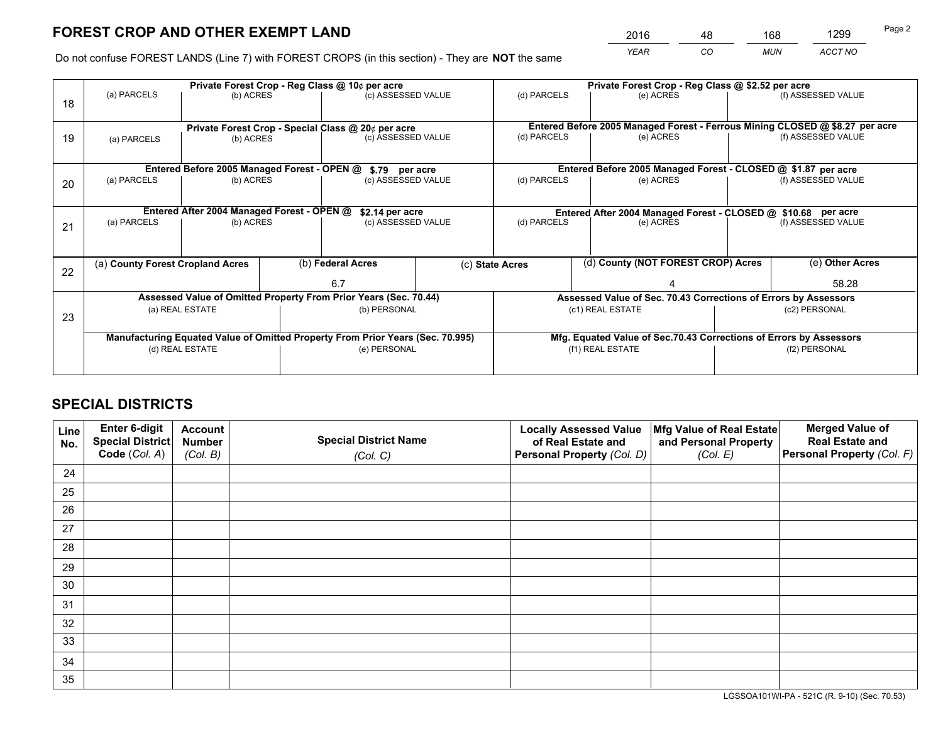*YEAR CO MUN ACCT NO* <sup>2016</sup> <sup>48</sup> <sup>168</sup> <sup>1299</sup>

Do not confuse FOREST LANDS (Line 7) with FOREST CROPS (in this section) - They are **NOT** the same

|    | Private Forest Crop - Reg Class @ 10¢ per acre                |                 |  |                                                                                |                 | Private Forest Crop - Reg Class @ \$2.52 per acre     |  |                                                                    |               |                                                                              |
|----|---------------------------------------------------------------|-----------------|--|--------------------------------------------------------------------------------|-----------------|-------------------------------------------------------|--|--------------------------------------------------------------------|---------------|------------------------------------------------------------------------------|
| 18 | (a) PARCELS                                                   | (b) ACRES       |  | (c) ASSESSED VALUE                                                             |                 | (d) PARCELS                                           |  | (e) ACRES                                                          |               | (f) ASSESSED VALUE                                                           |
|    |                                                               |                 |  |                                                                                |                 |                                                       |  |                                                                    |               |                                                                              |
|    |                                                               |                 |  | Private Forest Crop - Special Class @ 20¢ per acre                             |                 |                                                       |  |                                                                    |               | Entered Before 2005 Managed Forest - Ferrous Mining CLOSED @ \$8.27 per acre |
| 19 | (b) ACRES<br>(a) PARCELS                                      |                 |  | (c) ASSESSED VALUE                                                             |                 | (d) PARCELS                                           |  | (e) ACRES                                                          |               | (f) ASSESSED VALUE                                                           |
|    |                                                               |                 |  |                                                                                |                 |                                                       |  |                                                                    |               |                                                                              |
|    | Entered Before 2005 Managed Forest - OPEN @<br>\$.79 per acre |                 |  |                                                                                |                 |                                                       |  | Entered Before 2005 Managed Forest - CLOSED @ \$1.87 per acre      |               |                                                                              |
| 20 | (a) PARCELS                                                   | (b) ACRES       |  | (c) ASSESSED VALUE                                                             |                 | (d) PARCELS                                           |  | (e) ACRES                                                          |               | (f) ASSESSED VALUE                                                           |
|    |                                                               |                 |  |                                                                                |                 |                                                       |  |                                                                    |               |                                                                              |
|    | Entered After 2004 Managed Forest - OPEN @                    |                 |  |                                                                                | \$2.14 per acre |                                                       |  | Entered After 2004 Managed Forest - CLOSED @ \$10.68 per acre      |               |                                                                              |
| 21 | (a) PARCELS                                                   | (b) ACRES       |  | (c) ASSESSED VALUE                                                             |                 | (d) PARCELS<br>(e) ACRES                              |  |                                                                    |               | (f) ASSESSED VALUE                                                           |
|    |                                                               |                 |  |                                                                                |                 |                                                       |  |                                                                    |               |                                                                              |
|    |                                                               |                 |  |                                                                                |                 |                                                       |  |                                                                    |               |                                                                              |
|    | (a) County Forest Cropland Acres                              |                 |  | (b) Federal Acres                                                              |                 | (d) County (NOT FOREST CROP) Acres<br>(c) State Acres |  | (e) Other Acres                                                    |               |                                                                              |
| 22 |                                                               |                 |  | 6.7                                                                            |                 |                                                       |  |                                                                    | 58.28         |                                                                              |
|    |                                                               |                 |  | Assessed Value of Omitted Property From Prior Years (Sec. 70.44)               |                 |                                                       |  | Assessed Value of Sec. 70.43 Corrections of Errors by Assessors    |               |                                                                              |
|    |                                                               | (a) REAL ESTATE |  | (b) PERSONAL                                                                   |                 |                                                       |  | (c1) REAL ESTATE                                                   |               | (c2) PERSONAL                                                                |
| 23 |                                                               |                 |  |                                                                                |                 |                                                       |  |                                                                    |               |                                                                              |
|    |                                                               |                 |  | Manufacturing Equated Value of Omitted Property From Prior Years (Sec. 70.995) |                 |                                                       |  | Mfg. Equated Value of Sec.70.43 Corrections of Errors by Assessors |               |                                                                              |
|    | (d) REAL ESTATE                                               |                 |  | (e) PERSONAL                                                                   |                 | (f1) REAL ESTATE                                      |  |                                                                    | (f2) PERSONAL |                                                                              |
|    |                                                               |                 |  |                                                                                |                 |                                                       |  |                                                                    |               |                                                                              |

## **SPECIAL DISTRICTS**

| Line<br>No. | Enter 6-digit<br>Special District<br>Code (Col. A) | <b>Account</b><br><b>Number</b><br>(Col. B) | <b>Special District Name</b><br>(Col. C) | <b>Locally Assessed Value</b><br>of Real Estate and<br>Personal Property (Col. D) | Mfg Value of Real Estate<br>and Personal Property<br>(Col. E) | <b>Merged Value of</b><br><b>Real Estate and</b><br>Personal Property (Col. F) |
|-------------|----------------------------------------------------|---------------------------------------------|------------------------------------------|-----------------------------------------------------------------------------------|---------------------------------------------------------------|--------------------------------------------------------------------------------|
| 24          |                                                    |                                             |                                          |                                                                                   |                                                               |                                                                                |
| 25          |                                                    |                                             |                                          |                                                                                   |                                                               |                                                                                |
| 26          |                                                    |                                             |                                          |                                                                                   |                                                               |                                                                                |
| 27          |                                                    |                                             |                                          |                                                                                   |                                                               |                                                                                |
| 28          |                                                    |                                             |                                          |                                                                                   |                                                               |                                                                                |
| 29          |                                                    |                                             |                                          |                                                                                   |                                                               |                                                                                |
| 30          |                                                    |                                             |                                          |                                                                                   |                                                               |                                                                                |
| 31          |                                                    |                                             |                                          |                                                                                   |                                                               |                                                                                |
| 32          |                                                    |                                             |                                          |                                                                                   |                                                               |                                                                                |
| 33          |                                                    |                                             |                                          |                                                                                   |                                                               |                                                                                |
| 34          |                                                    |                                             |                                          |                                                                                   |                                                               |                                                                                |
| 35          |                                                    |                                             |                                          |                                                                                   |                                                               |                                                                                |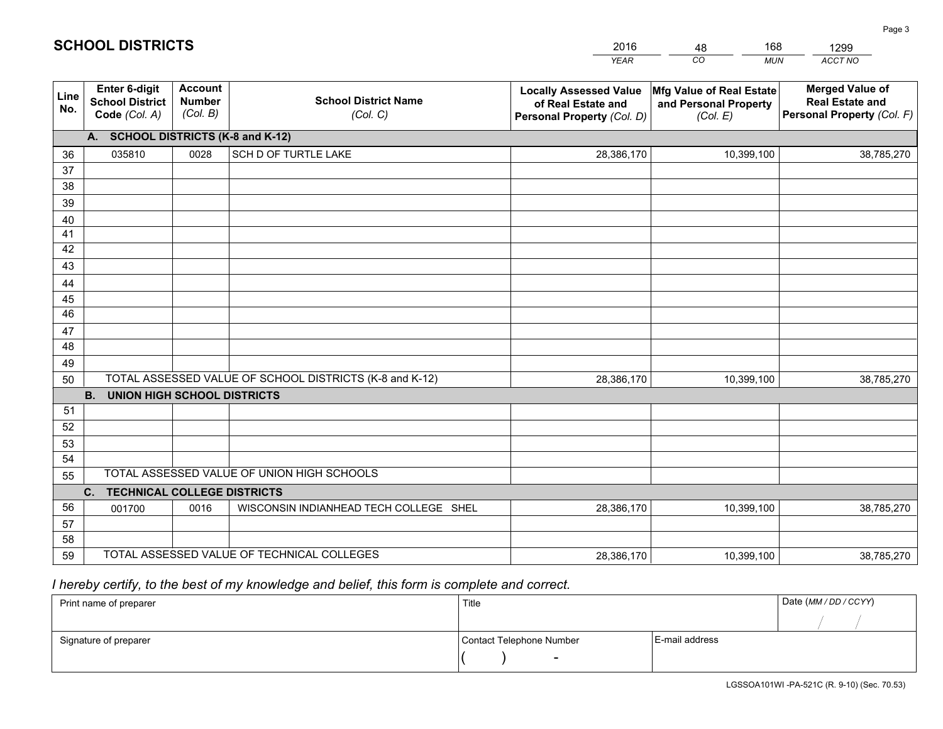|             |                                                                 |                                             |                                                         | <b>YEAR</b>                                                                       | CO<br><b>MUN</b>                                              | ACCT NO                                                                        |  |  |  |  |  |
|-------------|-----------------------------------------------------------------|---------------------------------------------|---------------------------------------------------------|-----------------------------------------------------------------------------------|---------------------------------------------------------------|--------------------------------------------------------------------------------|--|--|--|--|--|
| Line<br>No. | <b>Enter 6-digit</b><br><b>School District</b><br>Code (Col. A) | <b>Account</b><br><b>Number</b><br>(Col. B) | <b>School District Name</b><br>(Col. C)                 | <b>Locally Assessed Value</b><br>of Real Estate and<br>Personal Property (Col. D) | Mfg Value of Real Estate<br>and Personal Property<br>(Col. E) | <b>Merged Value of</b><br><b>Real Estate and</b><br>Personal Property (Col. F) |  |  |  |  |  |
|             | A. SCHOOL DISTRICTS (K-8 and K-12)                              |                                             |                                                         |                                                                                   |                                                               |                                                                                |  |  |  |  |  |
| 36          | 035810                                                          | 0028                                        | SCH D OF TURTLE LAKE                                    | 28,386,170                                                                        | 10,399,100                                                    | 38,785,270                                                                     |  |  |  |  |  |
| 37          |                                                                 |                                             |                                                         |                                                                                   |                                                               |                                                                                |  |  |  |  |  |
| 38          |                                                                 |                                             |                                                         |                                                                                   |                                                               |                                                                                |  |  |  |  |  |
| 39          |                                                                 |                                             |                                                         |                                                                                   |                                                               |                                                                                |  |  |  |  |  |
| 40          |                                                                 |                                             |                                                         |                                                                                   |                                                               |                                                                                |  |  |  |  |  |
| 41<br>42    |                                                                 |                                             |                                                         |                                                                                   |                                                               |                                                                                |  |  |  |  |  |
| 43          |                                                                 |                                             |                                                         |                                                                                   |                                                               |                                                                                |  |  |  |  |  |
|             |                                                                 |                                             |                                                         |                                                                                   |                                                               |                                                                                |  |  |  |  |  |
| 44<br>45    |                                                                 |                                             |                                                         |                                                                                   |                                                               |                                                                                |  |  |  |  |  |
| 46          |                                                                 |                                             |                                                         |                                                                                   |                                                               |                                                                                |  |  |  |  |  |
| 47          |                                                                 |                                             |                                                         |                                                                                   |                                                               |                                                                                |  |  |  |  |  |
| 48          |                                                                 |                                             |                                                         |                                                                                   |                                                               |                                                                                |  |  |  |  |  |
| 49          |                                                                 |                                             |                                                         |                                                                                   |                                                               |                                                                                |  |  |  |  |  |
| 50          |                                                                 |                                             | TOTAL ASSESSED VALUE OF SCHOOL DISTRICTS (K-8 and K-12) | 28,386,170                                                                        | 10,399,100                                                    | 38,785,270                                                                     |  |  |  |  |  |
|             | <b>B. UNION HIGH SCHOOL DISTRICTS</b>                           |                                             |                                                         |                                                                                   |                                                               |                                                                                |  |  |  |  |  |
| 51          |                                                                 |                                             |                                                         |                                                                                   |                                                               |                                                                                |  |  |  |  |  |
| 52          |                                                                 |                                             |                                                         |                                                                                   |                                                               |                                                                                |  |  |  |  |  |
| 53          |                                                                 |                                             |                                                         |                                                                                   |                                                               |                                                                                |  |  |  |  |  |
| 54          |                                                                 |                                             |                                                         |                                                                                   |                                                               |                                                                                |  |  |  |  |  |
| 55          |                                                                 |                                             | TOTAL ASSESSED VALUE OF UNION HIGH SCHOOLS              |                                                                                   |                                                               |                                                                                |  |  |  |  |  |
|             | C.<br><b>TECHNICAL COLLEGE DISTRICTS</b>                        |                                             |                                                         |                                                                                   |                                                               |                                                                                |  |  |  |  |  |
| 56          | 001700                                                          | 0016                                        | WISCONSIN INDIANHEAD TECH COLLEGE SHEL                  | 28,386,170                                                                        | 10,399,100                                                    | 38,785,270                                                                     |  |  |  |  |  |
| 57<br>58    |                                                                 |                                             |                                                         |                                                                                   |                                                               |                                                                                |  |  |  |  |  |
| 59          |                                                                 |                                             | TOTAL ASSESSED VALUE OF TECHNICAL COLLEGES              | 28,386,170                                                                        | 10,399,100                                                    | 38,785,270                                                                     |  |  |  |  |  |
|             |                                                                 |                                             |                                                         |                                                                                   |                                                               |                                                                                |  |  |  |  |  |

48

168

 *I hereby certify, to the best of my knowledge and belief, this form is complete and correct.*

**SCHOOL DISTRICTS**

| Print name of preparer | Title                    |                | Date (MM/DD/CCYY) |
|------------------------|--------------------------|----------------|-------------------|
|                        |                          |                |                   |
| Signature of preparer  | Contact Telephone Number | E-mail address |                   |
|                        | $\overline{\phantom{0}}$ |                |                   |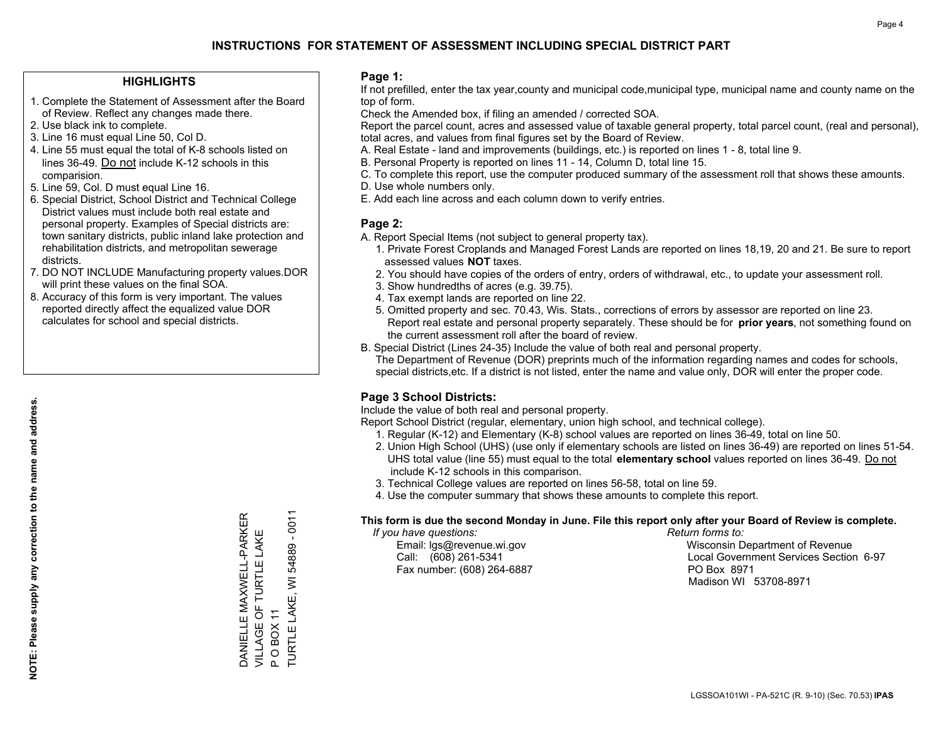#### **HIGHLIGHTS**

- 1. Complete the Statement of Assessment after the Board of Review. Reflect any changes made there.
- 2. Use black ink to complete.
- 3. Line 16 must equal Line 50, Col D.
- 4. Line 55 must equal the total of K-8 schools listed on lines 36-49. Do not include K-12 schools in this comparision.
- 5. Line 59, Col. D must equal Line 16.
- 6. Special District, School District and Technical College District values must include both real estate and personal property. Examples of Special districts are: town sanitary districts, public inland lake protection and rehabilitation districts, and metropolitan sewerage districts.
- 7. DO NOT INCLUDE Manufacturing property values.DOR will print these values on the final SOA.

DANIELLE MAXWELL-PARKER VILLAGE OF TURTLE LAKE

DANIELLE MAXWELL-PARKER<br>VILLAGE OF TURTLE LAKE

P O BOX 11

POBOX

TURTLE LAKE, WI 54889 - 0011

TURTLE LAKE,  $\tilde{\tau}$ 

 $\overline{\geq}$ 

 $-0011$ 

54889

 8. Accuracy of this form is very important. The values reported directly affect the equalized value DOR calculates for school and special districts.

#### **Page 1:**

 If not prefilled, enter the tax year,county and municipal code,municipal type, municipal name and county name on the top of form.

Check the Amended box, if filing an amended / corrected SOA.

 Report the parcel count, acres and assessed value of taxable general property, total parcel count, (real and personal), total acres, and values from final figures set by the Board of Review.

- A. Real Estate land and improvements (buildings, etc.) is reported on lines 1 8, total line 9.
- B. Personal Property is reported on lines 11 14, Column D, total line 15.
- C. To complete this report, use the computer produced summary of the assessment roll that shows these amounts.
- D. Use whole numbers only.
- E. Add each line across and each column down to verify entries.

### **Page 2:**

- A. Report Special Items (not subject to general property tax).
- 1. Private Forest Croplands and Managed Forest Lands are reported on lines 18,19, 20 and 21. Be sure to report assessed values **NOT** taxes.
- 2. You should have copies of the orders of entry, orders of withdrawal, etc., to update your assessment roll.
	- 3. Show hundredths of acres (e.g. 39.75).
- 4. Tax exempt lands are reported on line 22.
- 5. Omitted property and sec. 70.43, Wis. Stats., corrections of errors by assessor are reported on line 23. Report real estate and personal property separately. These should be for **prior years**, not something found on the current assessment roll after the board of review.
- B. Special District (Lines 24-35) Include the value of both real and personal property.

 The Department of Revenue (DOR) preprints much of the information regarding names and codes for schools, special districts,etc. If a district is not listed, enter the name and value only, DOR will enter the proper code.

### **Page 3 School Districts:**

Include the value of both real and personal property.

Report School District (regular, elementary, union high school, and technical college).

- 1. Regular (K-12) and Elementary (K-8) school values are reported on lines 36-49, total on line 50.
- 2. Union High School (UHS) (use only if elementary schools are listed on lines 36-49) are reported on lines 51-54. UHS total value (line 55) must equal to the total **elementary school** values reported on lines 36-49. Do notinclude K-12 schools in this comparison.
- 3. Technical College values are reported on lines 56-58, total on line 59.
- 4. Use the computer summary that shows these amounts to complete this report.

#### **This form is due the second Monday in June. File this report only after your Board of Review is complete.**

 *If you have questions: Return forms to:*

Fax number: (608) 264-6887 PO Box 8971

 Email: lgs@revenue.wi.gov Wisconsin Department of Revenue Call: (608) 261-5341 Local Government Services Section 6-97Madison WI 53708-8971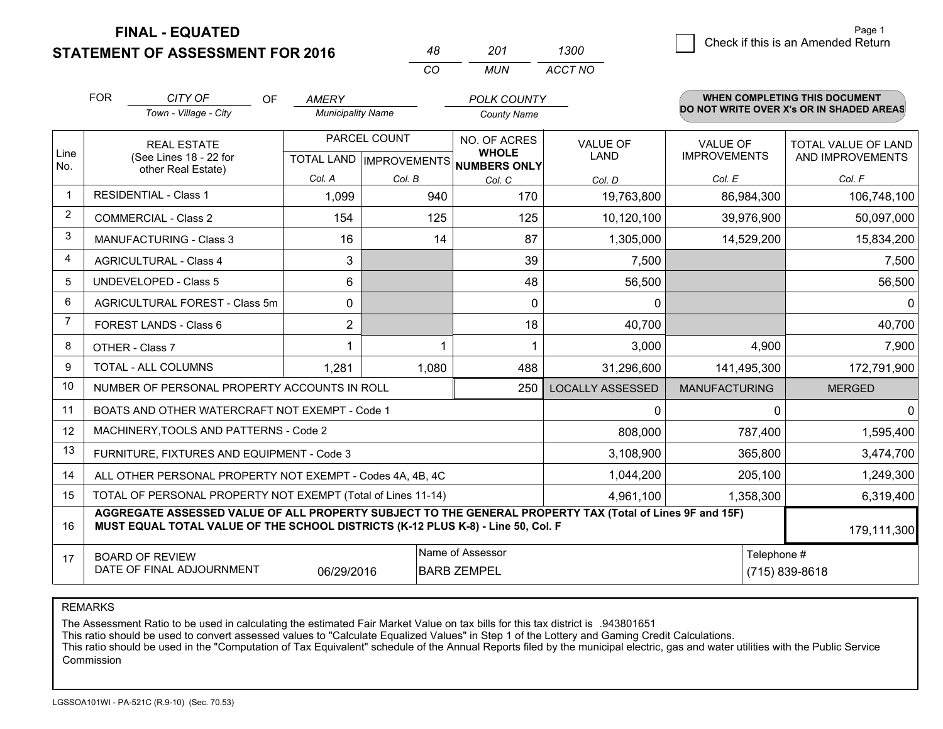**FINAL - EQUATED**

**STATEMENT OF ASSESSMENT FOR 2016** 

|   |                                    | Page 1 |
|---|------------------------------------|--------|
| 0 | Check if this is an Amended Return |        |
|   |                                    |        |

|                | <b>FOR</b><br>CITY OF<br>OF<br>Town - Village - City                                                                                                                                         | AMERY<br><b>Municipality Name</b> |                                           | <b>POLK COUNTY</b><br><b>County Name</b> |                                |                                        | <b>WHEN COMPLETING THIS DOCUMENT</b><br>DO NOT WRITE OVER X's OR IN SHADED AREAS |  |
|----------------|----------------------------------------------------------------------------------------------------------------------------------------------------------------------------------------------|-----------------------------------|-------------------------------------------|------------------------------------------|--------------------------------|----------------------------------------|----------------------------------------------------------------------------------|--|
| Line           | <b>REAL ESTATE</b><br>(See Lines 18 - 22 for                                                                                                                                                 |                                   | PARCEL COUNT<br>TOTAL LAND   IMPROVEMENTS |                                          | <b>VALUE OF</b><br><b>LAND</b> | <b>VALUE OF</b><br><b>IMPROVEMENTS</b> | <b>TOTAL VALUE OF LAND</b><br>AND IMPROVEMENTS                                   |  |
| No.            | other Real Estate)                                                                                                                                                                           | Col. A                            | Col. B                                    | NUMBERS ONLY<br>Col. C                   | Col. D                         | Col. E                                 | Col. F                                                                           |  |
| $\mathbf 1$    | <b>RESIDENTIAL - Class 1</b>                                                                                                                                                                 | 1,099                             | 940                                       | 170                                      | 19,763,800                     | 86,984,300                             | 106,748,100                                                                      |  |
| $\overline{2}$ | <b>COMMERCIAL - Class 2</b>                                                                                                                                                                  | 154                               | 125                                       | 125                                      | 10,120,100                     | 39,976,900                             | 50,097,000                                                                       |  |
| 3              | <b>MANUFACTURING - Class 3</b>                                                                                                                                                               | 16                                | 14                                        | 87                                       | 1,305,000                      | 14,529,200                             | 15,834,200                                                                       |  |
| 4              | <b>AGRICULTURAL - Class 4</b>                                                                                                                                                                | 3                                 |                                           | 39                                       | 7,500                          |                                        | 7,500                                                                            |  |
| 5              | <b>UNDEVELOPED - Class 5</b>                                                                                                                                                                 | 6                                 |                                           | 48                                       | 56,500                         |                                        | 56,500                                                                           |  |
| 6              | AGRICULTURAL FOREST - Class 5m                                                                                                                                                               | 0                                 |                                           | 0                                        | $\Omega$                       |                                        | $\mathbf{0}$                                                                     |  |
| $\overline{7}$ | <b>FOREST LANDS - Class 6</b>                                                                                                                                                                | $\overline{2}$                    |                                           | 18                                       | 40,700                         |                                        | 40,700                                                                           |  |
| 8              | OTHER - Class 7                                                                                                                                                                              | 1                                 | 1                                         | 1                                        | 3,000                          | 4,900                                  | 7,900                                                                            |  |
| 9              | TOTAL - ALL COLUMNS                                                                                                                                                                          | 1,281                             | 1,080                                     | 488                                      | 31,296,600                     | 141,495,300                            | 172,791,900                                                                      |  |
| 10             | NUMBER OF PERSONAL PROPERTY ACCOUNTS IN ROLL                                                                                                                                                 |                                   |                                           | 250                                      | <b>LOCALLY ASSESSED</b>        | <b>MANUFACTURING</b>                   | <b>MERGED</b>                                                                    |  |
| 11             | BOATS AND OTHER WATERCRAFT NOT EXEMPT - Code 1                                                                                                                                               |                                   |                                           |                                          | $\Omega$                       | 0                                      | $\mathbf 0$                                                                      |  |
| 12             | MACHINERY, TOOLS AND PATTERNS - Code 2                                                                                                                                                       |                                   |                                           |                                          | 808,000                        | 787,400                                | 1,595,400                                                                        |  |
| 13             | FURNITURE, FIXTURES AND EQUIPMENT - Code 3                                                                                                                                                   |                                   |                                           |                                          | 3,108,900                      | 365,800                                | 3,474,700                                                                        |  |
| 14             | ALL OTHER PERSONAL PROPERTY NOT EXEMPT - Codes 4A, 4B, 4C                                                                                                                                    |                                   |                                           |                                          | 1,044,200                      | 205,100                                | 1,249,300                                                                        |  |
| 15             | TOTAL OF PERSONAL PROPERTY NOT EXEMPT (Total of Lines 11-14)                                                                                                                                 |                                   |                                           |                                          | 4,961,100                      | 1,358,300                              | 6,319,400                                                                        |  |
| 16             | AGGREGATE ASSESSED VALUE OF ALL PROPERTY SUBJECT TO THE GENERAL PROPERTY TAX (Total of Lines 9F and 15F)<br>MUST EQUAL TOTAL VALUE OF THE SCHOOL DISTRICTS (K-12 PLUS K-8) - Line 50, Col. F |                                   |                                           |                                          |                                |                                        | 179,111,300                                                                      |  |
| 17             | <b>BOARD OF REVIEW</b>                                                                                                                                                                       |                                   |                                           | Name of Assessor                         |                                | Telephone #                            |                                                                                  |  |
|                | DATE OF FINAL ADJOURNMENT                                                                                                                                                                    | 06/29/2016                        |                                           | <b>BARB ZEMPEL</b>                       |                                |                                        | (715) 839-8618                                                                   |  |

*MUN*

*ACCT NO1300*

*<sup>48</sup> <sup>201</sup>*

*CO*

REMARKS

The Assessment Ratio to be used in calculating the estimated Fair Market Value on tax bills for this tax district is .943801651<br>This ratio should be used to convert assessed values to "Calculate Equalized Values" in Step 1 Commission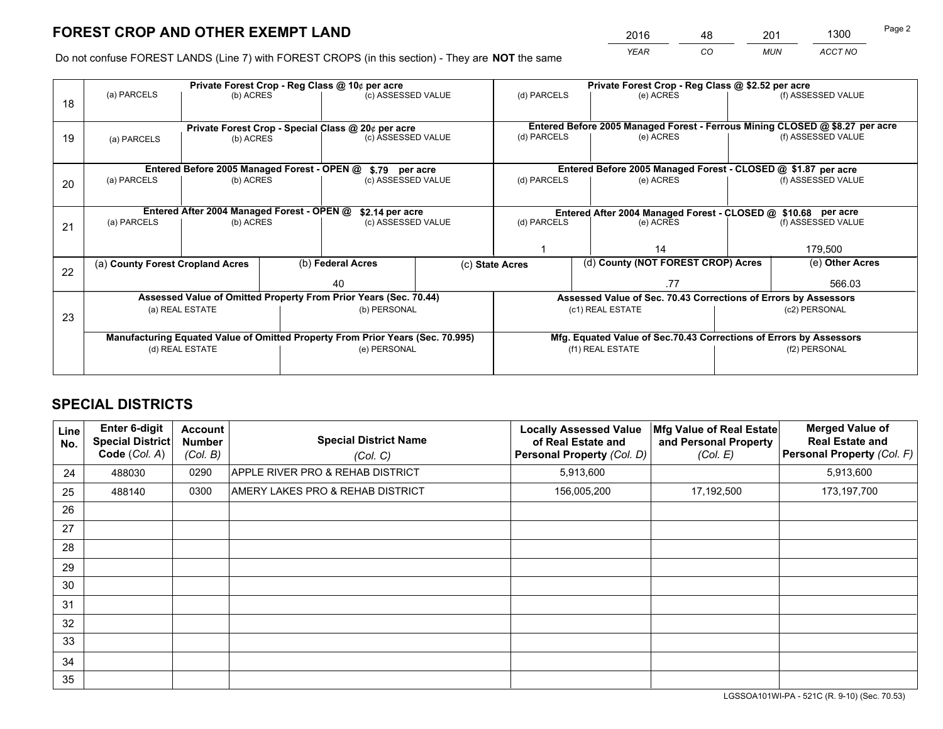*YEAR CO MUN ACCT NO* <sup>2016</sup> <sup>48</sup> <sup>201</sup> <sup>1300</sup>

Do not confuse FOREST LANDS (Line 7) with FOREST CROPS (in this section) - They are **NOT** the same

|    |                                                               |                                 |  | Private Forest Crop - Reg Class @ 10¢ per acre                                 |                          | Private Forest Crop - Reg Class @ \$2.52 per acre |     |                                                                    |                    |                                                                              |
|----|---------------------------------------------------------------|---------------------------------|--|--------------------------------------------------------------------------------|--------------------------|---------------------------------------------------|-----|--------------------------------------------------------------------|--------------------|------------------------------------------------------------------------------|
| 18 | (a) PARCELS                                                   | (b) ACRES                       |  |                                                                                | (c) ASSESSED VALUE       | (d) PARCELS                                       |     | (e) ACRES                                                          |                    | (f) ASSESSED VALUE                                                           |
|    |                                                               |                                 |  |                                                                                |                          |                                                   |     |                                                                    |                    |                                                                              |
|    |                                                               |                                 |  | Private Forest Crop - Special Class @ 20¢ per acre                             |                          |                                                   |     |                                                                    |                    | Entered Before 2005 Managed Forest - Ferrous Mining CLOSED @ \$8.27 per acre |
| 19 | (a) PARCELS                                                   | (c) ASSESSED VALUE<br>(b) ACRES |  |                                                                                | (d) PARCELS<br>(e) ACRES |                                                   |     |                                                                    | (f) ASSESSED VALUE |                                                                              |
|    |                                                               |                                 |  |                                                                                |                          |                                                   |     |                                                                    |                    |                                                                              |
|    |                                                               |                                 |  | Entered Before 2005 Managed Forest - OPEN @ \$.79 per acre                     |                          |                                                   |     | Entered Before 2005 Managed Forest - CLOSED @ \$1.87 per acre      |                    |                                                                              |
| 20 | (a) PARCELS                                                   | (b) ACRES                       |  | (c) ASSESSED VALUE                                                             |                          | (d) PARCELS                                       |     | (e) ACRES                                                          |                    | (f) ASSESSED VALUE                                                           |
|    |                                                               |                                 |  |                                                                                |                          |                                                   |     |                                                                    |                    |                                                                              |
|    | Entered After 2004 Managed Forest - OPEN @<br>\$2.14 per acre |                                 |  |                                                                                |                          |                                                   |     | Entered After 2004 Managed Forest - CLOSED @ \$10.68 per acre      |                    |                                                                              |
| 21 | (a) PARCELS                                                   | (b) ACRES                       |  | (c) ASSESSED VALUE                                                             | (d) PARCELS              |                                                   |     | (e) ACRES                                                          |                    | (f) ASSESSED VALUE                                                           |
|    |                                                               |                                 |  |                                                                                |                          |                                                   |     |                                                                    |                    |                                                                              |
|    |                                                               |                                 |  |                                                                                |                          | 14                                                |     |                                                                    | 179,500            |                                                                              |
|    | (a) County Forest Cropland Acres                              |                                 |  | (b) Federal Acres                                                              | (c) State Acres          |                                                   |     | (d) County (NOT FOREST CROP) Acres                                 |                    | (e) Other Acres                                                              |
| 22 |                                                               |                                 |  | 40                                                                             |                          |                                                   | .77 |                                                                    |                    | 566.03                                                                       |
|    |                                                               |                                 |  | Assessed Value of Omitted Property From Prior Years (Sec. 70.44)               |                          |                                                   |     | Assessed Value of Sec. 70.43 Corrections of Errors by Assessors    |                    |                                                                              |
|    |                                                               | (a) REAL ESTATE                 |  | (b) PERSONAL                                                                   |                          |                                                   |     | (c1) REAL ESTATE                                                   |                    | (c2) PERSONAL                                                                |
| 23 |                                                               |                                 |  |                                                                                |                          |                                                   |     |                                                                    |                    |                                                                              |
|    |                                                               |                                 |  | Manufacturing Equated Value of Omitted Property From Prior Years (Sec. 70.995) |                          |                                                   |     | Mfg. Equated Value of Sec.70.43 Corrections of Errors by Assessors |                    |                                                                              |
|    |                                                               | (d) REAL ESTATE                 |  | (e) PERSONAL                                                                   |                          | (f1) REAL ESTATE                                  |     |                                                                    | (f2) PERSONAL      |                                                                              |
|    |                                                               |                                 |  |                                                                                |                          |                                                   |     |                                                                    |                    |                                                                              |

## **SPECIAL DISTRICTS**

| Line<br>No. | <b>Enter 6-digit</b><br>Special District<br>Code (Col. A) | <b>Account</b><br><b>Number</b><br>(Col. B) | <b>Special District Name</b><br>(Col. C) | <b>Locally Assessed Value</b><br>of Real Estate and<br><b>Personal Property (Col. D)</b> | Mfg Value of Real Estate<br>and Personal Property<br>(Col. E) | <b>Merged Value of</b><br><b>Real Estate and</b><br><b>Personal Property (Col. F)</b> |
|-------------|-----------------------------------------------------------|---------------------------------------------|------------------------------------------|------------------------------------------------------------------------------------------|---------------------------------------------------------------|---------------------------------------------------------------------------------------|
| 24          | 488030                                                    | 0290                                        | APPLE RIVER PRO & REHAB DISTRICT         | 5,913,600                                                                                |                                                               | 5,913,600                                                                             |
| 25          | 488140                                                    | 0300                                        | AMERY LAKES PRO & REHAB DISTRICT         | 156,005,200                                                                              | 17,192,500                                                    | 173,197,700                                                                           |
| 26          |                                                           |                                             |                                          |                                                                                          |                                                               |                                                                                       |
| 27          |                                                           |                                             |                                          |                                                                                          |                                                               |                                                                                       |
| 28          |                                                           |                                             |                                          |                                                                                          |                                                               |                                                                                       |
| 29          |                                                           |                                             |                                          |                                                                                          |                                                               |                                                                                       |
| 30          |                                                           |                                             |                                          |                                                                                          |                                                               |                                                                                       |
| 31          |                                                           |                                             |                                          |                                                                                          |                                                               |                                                                                       |
| 32          |                                                           |                                             |                                          |                                                                                          |                                                               |                                                                                       |
| 33          |                                                           |                                             |                                          |                                                                                          |                                                               |                                                                                       |
| 34          |                                                           |                                             |                                          |                                                                                          |                                                               |                                                                                       |
| 35          |                                                           |                                             |                                          |                                                                                          |                                                               |                                                                                       |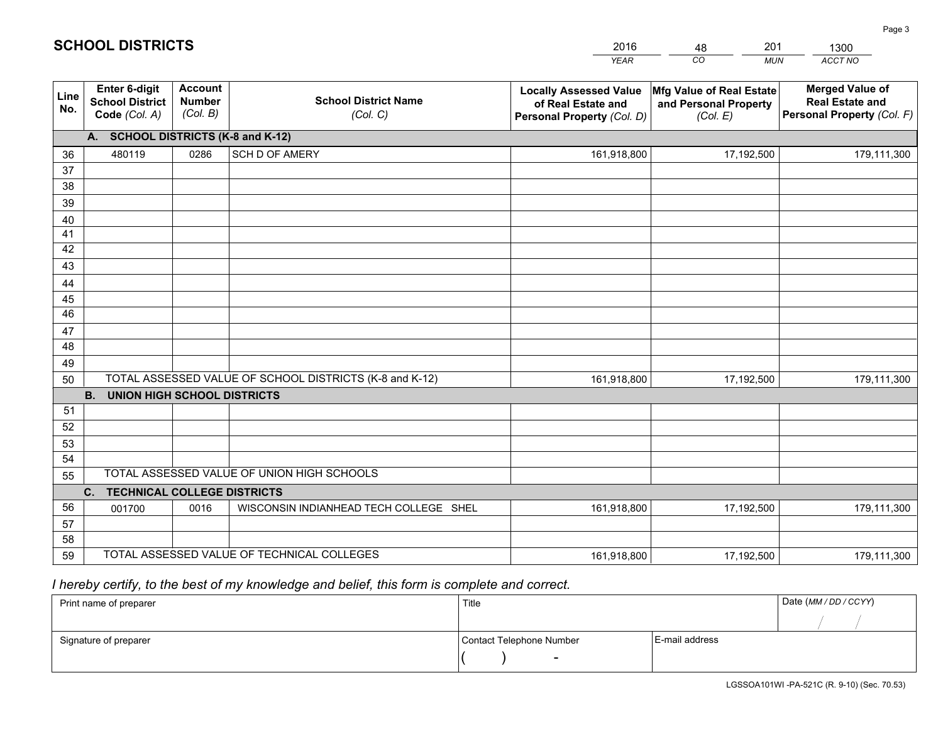|             |                                                                 |                                             |                                                         | <b>YEAR</b>                                                                       | CO<br><b>MUN</b>                                              | <b>ACCT NO</b>                                                                 |
|-------------|-----------------------------------------------------------------|---------------------------------------------|---------------------------------------------------------|-----------------------------------------------------------------------------------|---------------------------------------------------------------|--------------------------------------------------------------------------------|
| Line<br>No. | <b>Enter 6-digit</b><br><b>School District</b><br>Code (Col. A) | <b>Account</b><br><b>Number</b><br>(Col. B) | <b>School District Name</b><br>(Col. C)                 | <b>Locally Assessed Value</b><br>of Real Estate and<br>Personal Property (Col. D) | Mfg Value of Real Estate<br>and Personal Property<br>(Col. E) | <b>Merged Value of</b><br><b>Real Estate and</b><br>Personal Property (Col. F) |
|             | A. SCHOOL DISTRICTS (K-8 and K-12)                              |                                             |                                                         |                                                                                   |                                                               |                                                                                |
| 36          | 480119                                                          | 0286                                        | SCH D OF AMERY                                          | 161,918,800                                                                       | 17,192,500                                                    | 179,111,300                                                                    |
| 37          |                                                                 |                                             |                                                         |                                                                                   |                                                               |                                                                                |
| 38          |                                                                 |                                             |                                                         |                                                                                   |                                                               |                                                                                |
| 39          |                                                                 |                                             |                                                         |                                                                                   |                                                               |                                                                                |
| 40          |                                                                 |                                             |                                                         |                                                                                   |                                                               |                                                                                |
| 41<br>42    |                                                                 |                                             |                                                         |                                                                                   |                                                               |                                                                                |
| 43          |                                                                 |                                             |                                                         |                                                                                   |                                                               |                                                                                |
|             |                                                                 |                                             |                                                         |                                                                                   |                                                               |                                                                                |
| 44<br>45    |                                                                 |                                             |                                                         |                                                                                   |                                                               |                                                                                |
| 46          |                                                                 |                                             |                                                         |                                                                                   |                                                               |                                                                                |
| 47          |                                                                 |                                             |                                                         |                                                                                   |                                                               |                                                                                |
| 48          |                                                                 |                                             |                                                         |                                                                                   |                                                               |                                                                                |
| 49          |                                                                 |                                             |                                                         |                                                                                   |                                                               |                                                                                |
| 50          |                                                                 |                                             | TOTAL ASSESSED VALUE OF SCHOOL DISTRICTS (K-8 and K-12) | 161,918,800                                                                       | 17,192,500                                                    | 179,111,300                                                                    |
|             | <b>B.</b><br><b>UNION HIGH SCHOOL DISTRICTS</b>                 |                                             |                                                         |                                                                                   |                                                               |                                                                                |
| 51          |                                                                 |                                             |                                                         |                                                                                   |                                                               |                                                                                |
| 52          |                                                                 |                                             |                                                         |                                                                                   |                                                               |                                                                                |
| 53          |                                                                 |                                             |                                                         |                                                                                   |                                                               |                                                                                |
| 54          |                                                                 |                                             |                                                         |                                                                                   |                                                               |                                                                                |
| 55          |                                                                 |                                             | TOTAL ASSESSED VALUE OF UNION HIGH SCHOOLS              |                                                                                   |                                                               |                                                                                |
|             | C.<br><b>TECHNICAL COLLEGE DISTRICTS</b>                        |                                             |                                                         |                                                                                   |                                                               |                                                                                |
| 56          | 001700                                                          | 0016                                        | WISCONSIN INDIANHEAD TECH COLLEGE SHEL                  | 161,918,800                                                                       | 17,192,500                                                    | 179,111,300                                                                    |
| 57<br>58    |                                                                 |                                             |                                                         |                                                                                   |                                                               |                                                                                |
| 59          |                                                                 |                                             | TOTAL ASSESSED VALUE OF TECHNICAL COLLEGES              | 161,918,800                                                                       | 17,192,500                                                    | 179,111,300                                                                    |
|             |                                                                 |                                             |                                                         |                                                                                   |                                                               |                                                                                |

48

201

## *I hereby certify, to the best of my knowledge and belief, this form is complete and correct.*

**SCHOOL DISTRICTS**

| Print name of preparer | Title                    |                | Date (MM / DD / CCYY) |
|------------------------|--------------------------|----------------|-----------------------|
|                        |                          |                |                       |
| Signature of preparer  | Contact Telephone Number | E-mail address |                       |
|                        | $\overline{\phantom{0}}$ |                |                       |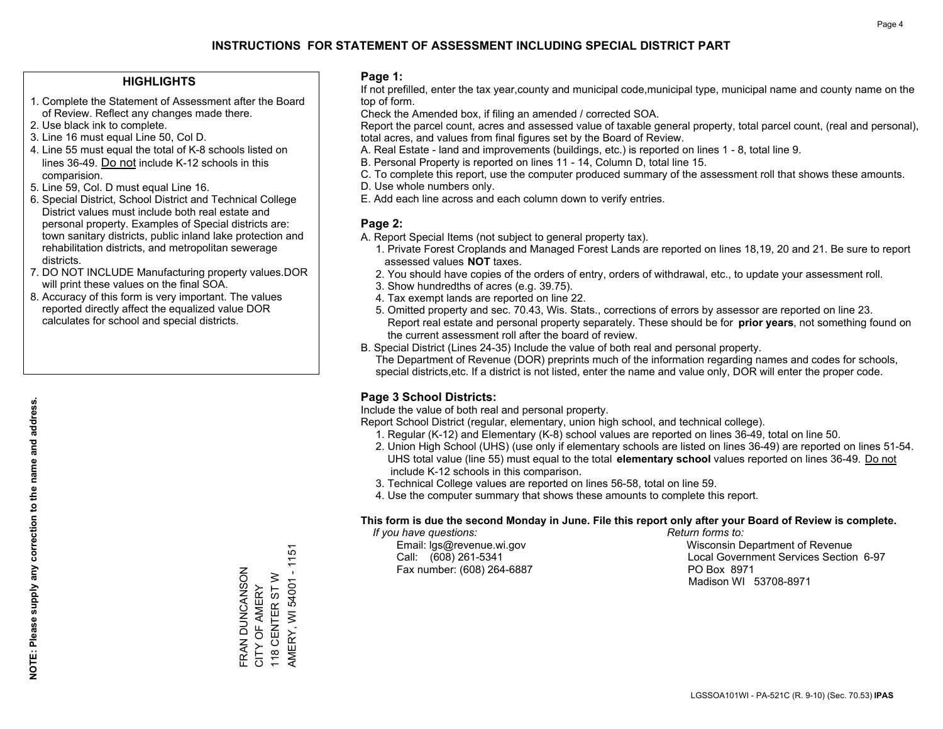#### **HIGHLIGHTS**

- 1. Complete the Statement of Assessment after the Board of Review. Reflect any changes made there.
- 2. Use black ink to complete.
- 3. Line 16 must equal Line 50, Col D.
- 4. Line 55 must equal the total of K-8 schools listed on lines 36-49. Do not include K-12 schools in this comparision.
- 5. Line 59, Col. D must equal Line 16.
- 6. Special District, School District and Technical College District values must include both real estate and personal property. Examples of Special districts are: town sanitary districts, public inland lake protection and rehabilitation districts, and metropolitan sewerage districts.
- 7. DO NOT INCLUDE Manufacturing property values.DOR will print these values on the final SOA.
- 8. Accuracy of this form is very important. The values reported directly affect the equalized value DOR calculates for school and special districts.

#### **Page 1:**

 If not prefilled, enter the tax year,county and municipal code,municipal type, municipal name and county name on the top of form.

Check the Amended box, if filing an amended / corrected SOA.

 Report the parcel count, acres and assessed value of taxable general property, total parcel count, (real and personal), total acres, and values from final figures set by the Board of Review.

- A. Real Estate land and improvements (buildings, etc.) is reported on lines 1 8, total line 9.
- B. Personal Property is reported on lines 11 14, Column D, total line 15.
- C. To complete this report, use the computer produced summary of the assessment roll that shows these amounts.
- D. Use whole numbers only.
- E. Add each line across and each column down to verify entries.

#### **Page 2:**

- A. Report Special Items (not subject to general property tax).
- 1. Private Forest Croplands and Managed Forest Lands are reported on lines 18,19, 20 and 21. Be sure to report assessed values **NOT** taxes.
- 2. You should have copies of the orders of entry, orders of withdrawal, etc., to update your assessment roll.
	- 3. Show hundredths of acres (e.g. 39.75).
- 4. Tax exempt lands are reported on line 22.
- 5. Omitted property and sec. 70.43, Wis. Stats., corrections of errors by assessor are reported on line 23. Report real estate and personal property separately. These should be for **prior years**, not something found on the current assessment roll after the board of review.
- B. Special District (Lines 24-35) Include the value of both real and personal property.
- The Department of Revenue (DOR) preprints much of the information regarding names and codes for schools, special districts,etc. If a district is not listed, enter the name and value only, DOR will enter the proper code.

### **Page 3 School Districts:**

Include the value of both real and personal property.

Report School District (regular, elementary, union high school, and technical college).

- 1. Regular (K-12) and Elementary (K-8) school values are reported on lines 36-49, total on line 50.
- 2. Union High School (UHS) (use only if elementary schools are listed on lines 36-49) are reported on lines 51-54. UHS total value (line 55) must equal to the total **elementary school** values reported on lines 36-49. Do notinclude K-12 schools in this comparison.
- 3. Technical College values are reported on lines 56-58, total on line 59.
- 4. Use the computer summary that shows these amounts to complete this report.

#### **This form is due the second Monday in June. File this report only after your Board of Review is complete.**

 *If you have questions: Return forms to:*

Fax number: (608) 264-6887 PO Box 8971

 Email: lgs@revenue.wi.gov Wisconsin Department of Revenue Call: (608) 261-5341 Local Government Services Section 6-97Madison WI 53708-8971

AMERY, WI 54001 - 1151 AMERY, WI 54001 - 1151 FRAN DUNCANSON FRAN DUNCANSON 118 CENTER ST W 118 CENTER ST W CITY OF AMERY CITY OF AMERY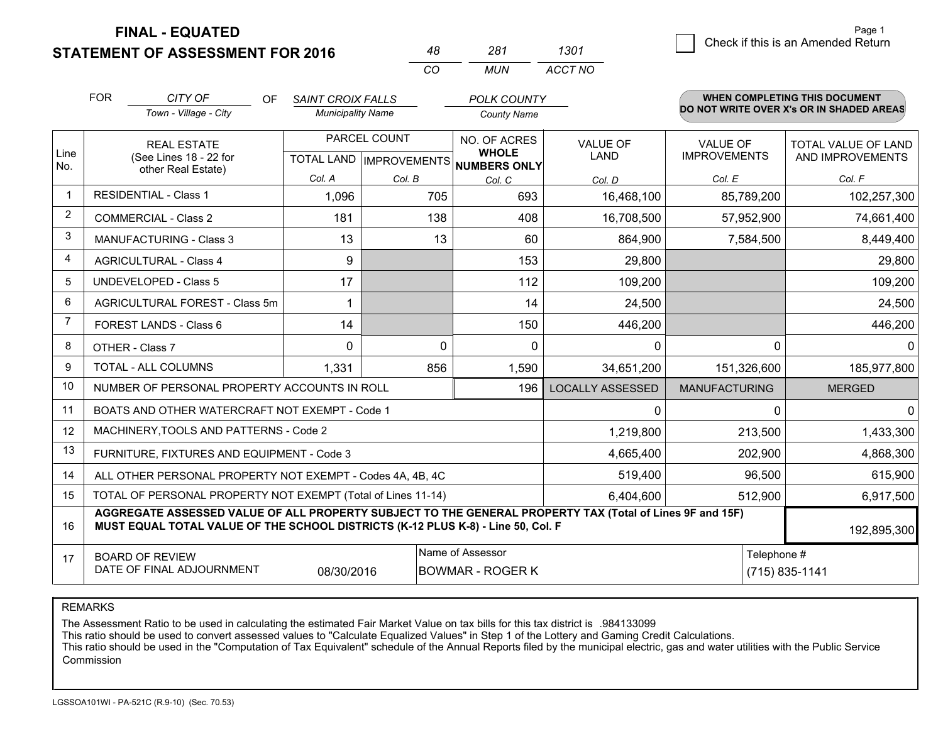| <b>STATEMENT OF ASSESSMENT FOR 2016</b> |  |  |
|-----------------------------------------|--|--|

**FINAL - EQUATED**

|                | <b>STATEMENT OF ASSESSMENT FOR 2016</b> |                                                                                                                                                                                              |                           |        | 48           | 281                                 | 1301                    |                      |                | Check if this is an Amended Return       |  |
|----------------|-----------------------------------------|----------------------------------------------------------------------------------------------------------------------------------------------------------------------------------------------|---------------------------|--------|--------------|-------------------------------------|-------------------------|----------------------|----------------|------------------------------------------|--|
|                |                                         |                                                                                                                                                                                              |                           |        | CO           | <b>MUN</b>                          | ACCT NO                 |                      |                |                                          |  |
|                | <b>FOR</b>                              | CITY OF<br>OF.                                                                                                                                                                               | <b>SAINT CROIX FALLS</b>  |        |              | <b>POLK COUNTY</b>                  |                         |                      |                | WHEN COMPLETING THIS DOCUMENT            |  |
|                |                                         | Town - Village - City                                                                                                                                                                        | <b>Municipality Name</b>  |        |              | <b>County Name</b>                  |                         |                      |                | DO NOT WRITE OVER X's OR IN SHADED AREAS |  |
|                | <b>REAL ESTATE</b>                      |                                                                                                                                                                                              | PARCEL COUNT              |        | NO. OF ACRES |                                     | VALUE OF                | VALUE OF             |                | TOTAL VALUE OF LAND                      |  |
| Line<br>No.    |                                         | (See Lines 18 - 22 for<br>other Real Estate)                                                                                                                                                 | TOTAL LAND   IMPROVEMENTS |        |              | <b>WHOLE</b><br><b>NUMBERS ONLY</b> | <b>LAND</b>             | <b>IMPROVEMENTS</b>  |                | AND IMPROVEMENTS                         |  |
|                |                                         |                                                                                                                                                                                              | Col. A                    | Col. B |              | Col. C                              | Col. D                  | Col. E               |                | Col. F                                   |  |
| $\mathbf{1}$   |                                         | <b>RESIDENTIAL - Class 1</b>                                                                                                                                                                 | 1,096                     |        | 705          | 693                                 | 16,468,100              |                      | 85,789,200     | 102,257,300                              |  |
| $\overline{2}$ |                                         | <b>COMMERCIAL - Class 2</b>                                                                                                                                                                  | 181                       |        | 138          | 408                                 | 16,708,500              |                      | 57,952,900     | 74,661,400                               |  |
| 3              | <b>MANUFACTURING - Class 3</b>          |                                                                                                                                                                                              | 13                        |        | 13           | 60                                  | 864,900                 |                      | 7,584,500      | 8,449,400                                |  |
| $\overline{4}$ | <b>AGRICULTURAL - Class 4</b>           |                                                                                                                                                                                              | 9                         |        |              | 153                                 | 29,800                  |                      |                | 29,800                                   |  |
| 5              | UNDEVELOPED - Class 5                   |                                                                                                                                                                                              | 17                        |        |              | 112                                 | 109,200                 |                      |                | 109,200                                  |  |
| 6              |                                         | AGRICULTURAL FOREST - Class 5m                                                                                                                                                               | 1                         |        |              | 14                                  | 24,500                  |                      |                | 24,500                                   |  |
| $\overline{7}$ |                                         | FOREST LANDS - Class 6                                                                                                                                                                       | 14                        |        |              | 150                                 | 446,200                 |                      |                | 446,200                                  |  |
| 8              |                                         | OTHER - Class 7                                                                                                                                                                              | $\Omega$                  |        | $\mathbf 0$  | $\mathbf 0$                         | 0                       |                      | $\mathbf 0$    | $\mathbf 0$                              |  |
| 9              |                                         | TOTAL - ALL COLUMNS                                                                                                                                                                          | 1,331                     |        | 856          | 1,590                               | 34,651,200              |                      | 151,326,600    | 185,977,800                              |  |
| 10             |                                         | NUMBER OF PERSONAL PROPERTY ACCOUNTS IN ROLL                                                                                                                                                 |                           |        |              | 196                                 | <b>LOCALLY ASSESSED</b> | <b>MANUFACTURING</b> |                | <b>MERGED</b>                            |  |
| 11             |                                         | BOATS AND OTHER WATERCRAFT NOT EXEMPT - Code 1                                                                                                                                               |                           |        |              |                                     | 0                       |                      | $\Omega$       | $\Omega$                                 |  |
| 12             |                                         | MACHINERY, TOOLS AND PATTERNS - Code 2                                                                                                                                                       |                           |        |              |                                     | 1,219,800               |                      | 213,500        | 1,433,300                                |  |
| 13             |                                         | FURNITURE, FIXTURES AND EQUIPMENT - Code 3                                                                                                                                                   |                           |        |              |                                     | 4,665,400               |                      | 202,900        | 4,868,300                                |  |
| 14             |                                         | ALL OTHER PERSONAL PROPERTY NOT EXEMPT - Codes 4A, 4B, 4C                                                                                                                                    |                           |        |              |                                     | 519,400                 |                      | 96,500         | 615,900                                  |  |
| 15             |                                         | TOTAL OF PERSONAL PROPERTY NOT EXEMPT (Total of Lines 11-14)                                                                                                                                 |                           |        |              |                                     | 6,404,600               | 512,900              |                | 6,917,500                                |  |
| 16             |                                         | AGGREGATE ASSESSED VALUE OF ALL PROPERTY SUBJECT TO THE GENERAL PROPERTY TAX (Total of Lines 9F and 15F)<br>MUST EQUAL TOTAL VALUE OF THE SCHOOL DISTRICTS (K-12 PLUS K-8) - Line 50, Col. F |                           |        |              |                                     |                         |                      |                | 192,895,300                              |  |
| 17             |                                         | <b>BOARD OF REVIEW</b>                                                                                                                                                                       |                           |        |              | Name of Assessor                    |                         |                      | Telephone #    |                                          |  |
|                |                                         | DATE OF FINAL ADJOURNMENT                                                                                                                                                                    | 08/30/2016                |        |              | <b>BOWMAR - ROGER K</b>             |                         |                      | (715) 835-1141 |                                          |  |

Page 1

REMARKS

The Assessment Ratio to be used in calculating the estimated Fair Market Value on tax bills for this tax district is .984133099<br>This ratio should be used to convert assessed values to "Calculate Equalized Values" in Step 1 Commission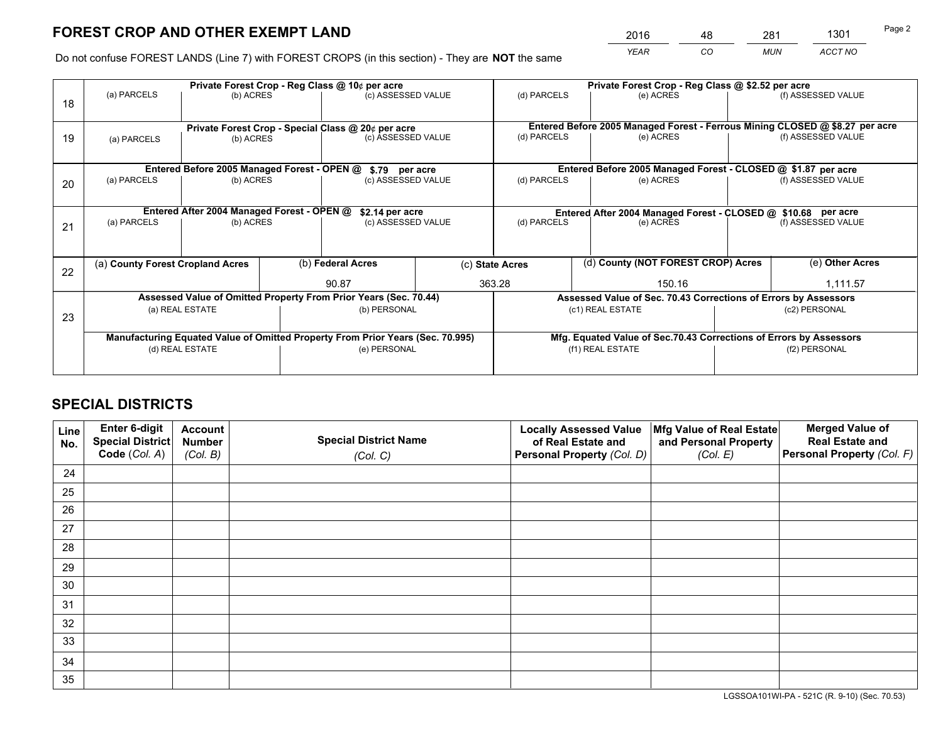*YEAR CO MUN ACCT NO* <sup>2016</sup> <sup>48</sup> <sup>281</sup> <sup>1301</sup>

Do not confuse FOREST LANDS (Line 7) with FOREST CROPS (in this section) - They are **NOT** the same

|    |                                                               |                                             |  | Private Forest Crop - Reg Class @ 10¢ per acre                                 | Private Forest Crop - Reg Class @ \$2.52 per acre |                 |                          |                                                                 |               |                                                                                                    |
|----|---------------------------------------------------------------|---------------------------------------------|--|--------------------------------------------------------------------------------|---------------------------------------------------|-----------------|--------------------------|-----------------------------------------------------------------|---------------|----------------------------------------------------------------------------------------------------|
| 18 | (a) PARCELS                                                   | (b) ACRES                                   |  | (c) ASSESSED VALUE                                                             |                                                   | (d) PARCELS     |                          | (e) ACRES                                                       |               | (f) ASSESSED VALUE                                                                                 |
|    |                                                               |                                             |  |                                                                                |                                                   |                 |                          |                                                                 |               |                                                                                                    |
|    | Private Forest Crop - Special Class @ 20¢ per acre            |                                             |  | (c) ASSESSED VALUE                                                             |                                                   | (d) PARCELS     |                          | (e) ACRES                                                       |               | Entered Before 2005 Managed Forest - Ferrous Mining CLOSED @ \$8.27 per acre<br>(f) ASSESSED VALUE |
| 19 | (a) PARCELS                                                   | (b) ACRES                                   |  |                                                                                |                                                   |                 |                          |                                                                 |               |                                                                                                    |
|    |                                                               |                                             |  |                                                                                |                                                   |                 |                          |                                                                 |               |                                                                                                    |
|    |                                                               | Entered Before 2005 Managed Forest - OPEN @ |  | \$.79 per acre                                                                 |                                                   |                 |                          | Entered Before 2005 Managed Forest - CLOSED @ \$1.87 per acre   |               |                                                                                                    |
| 20 | (a) PARCELS                                                   | (b) ACRES                                   |  | (c) ASSESSED VALUE                                                             |                                                   | (d) PARCELS     |                          | (e) ACRES                                                       |               | (f) ASSESSED VALUE                                                                                 |
|    |                                                               |                                             |  |                                                                                |                                                   |                 |                          |                                                                 |               |                                                                                                    |
|    |                                                               |                                             |  |                                                                                |                                                   |                 |                          |                                                                 |               |                                                                                                    |
|    | Entered After 2004 Managed Forest - OPEN @<br>\$2.14 per acre |                                             |  |                                                                                |                                                   |                 |                          | Entered After 2004 Managed Forest - CLOSED @ \$10.68 per acre   |               |                                                                                                    |
| 21 | (a) PARCELS                                                   | (b) ACRES                                   |  |                                                                                | (c) ASSESSED VALUE                                |                 | (d) PARCELS<br>(e) ACRES |                                                                 |               | (f) ASSESSED VALUE                                                                                 |
|    |                                                               |                                             |  |                                                                                |                                                   |                 |                          |                                                                 |               |                                                                                                    |
|    |                                                               |                                             |  |                                                                                |                                                   |                 |                          |                                                                 |               |                                                                                                    |
|    | (a) County Forest Cropland Acres                              |                                             |  | (b) Federal Acres                                                              |                                                   | (c) State Acres |                          | (d) County (NOT FOREST CROP) Acres                              |               | (e) Other Acres                                                                                    |
| 22 |                                                               |                                             |  |                                                                                |                                                   |                 |                          |                                                                 |               |                                                                                                    |
|    |                                                               |                                             |  | 90.87                                                                          |                                                   | 363.28          |                          | 150.16                                                          |               | 1,111.57                                                                                           |
|    |                                                               |                                             |  | Assessed Value of Omitted Property From Prior Years (Sec. 70.44)               |                                                   |                 |                          | Assessed Value of Sec. 70.43 Corrections of Errors by Assessors |               |                                                                                                    |
|    |                                                               | (a) REAL ESTATE                             |  | (b) PERSONAL                                                                   |                                                   |                 | (c1) REAL ESTATE         |                                                                 |               | (c2) PERSONAL                                                                                      |
| 23 |                                                               |                                             |  |                                                                                |                                                   |                 |                          |                                                                 |               |                                                                                                    |
|    |                                                               |                                             |  | Manufacturing Equated Value of Omitted Property From Prior Years (Sec. 70.995) |                                                   |                 |                          |                                                                 |               | Mfg. Equated Value of Sec.70.43 Corrections of Errors by Assessors                                 |
|    |                                                               | (d) REAL ESTATE                             |  | (e) PERSONAL                                                                   |                                                   |                 | (f1) REAL ESTATE         |                                                                 | (f2) PERSONAL |                                                                                                    |
|    |                                                               |                                             |  |                                                                                |                                                   |                 |                          |                                                                 |               |                                                                                                    |
|    |                                                               |                                             |  |                                                                                |                                                   |                 |                          |                                                                 |               |                                                                                                    |

## **SPECIAL DISTRICTS**

| Line<br>No. | Enter 6-digit<br>Special District<br>Code (Col. A) | <b>Account</b><br><b>Number</b> | <b>Special District Name</b> | <b>Locally Assessed Value</b><br>of Real Estate and | Mfg Value of Real Estate<br>and Personal Property | <b>Merged Value of</b><br><b>Real Estate and</b><br>Personal Property (Col. F) |
|-------------|----------------------------------------------------|---------------------------------|------------------------------|-----------------------------------------------------|---------------------------------------------------|--------------------------------------------------------------------------------|
|             |                                                    | (Col. B)                        | (Col. C)                     | Personal Property (Col. D)                          | (Col. E)                                          |                                                                                |
| 24          |                                                    |                                 |                              |                                                     |                                                   |                                                                                |
| 25          |                                                    |                                 |                              |                                                     |                                                   |                                                                                |
| 26          |                                                    |                                 |                              |                                                     |                                                   |                                                                                |
| 27          |                                                    |                                 |                              |                                                     |                                                   |                                                                                |
| 28          |                                                    |                                 |                              |                                                     |                                                   |                                                                                |
| 29          |                                                    |                                 |                              |                                                     |                                                   |                                                                                |
| 30          |                                                    |                                 |                              |                                                     |                                                   |                                                                                |
| 31          |                                                    |                                 |                              |                                                     |                                                   |                                                                                |
| 32          |                                                    |                                 |                              |                                                     |                                                   |                                                                                |
| 33          |                                                    |                                 |                              |                                                     |                                                   |                                                                                |
| 34          |                                                    |                                 |                              |                                                     |                                                   |                                                                                |
| 35          |                                                    |                                 |                              |                                                     |                                                   |                                                                                |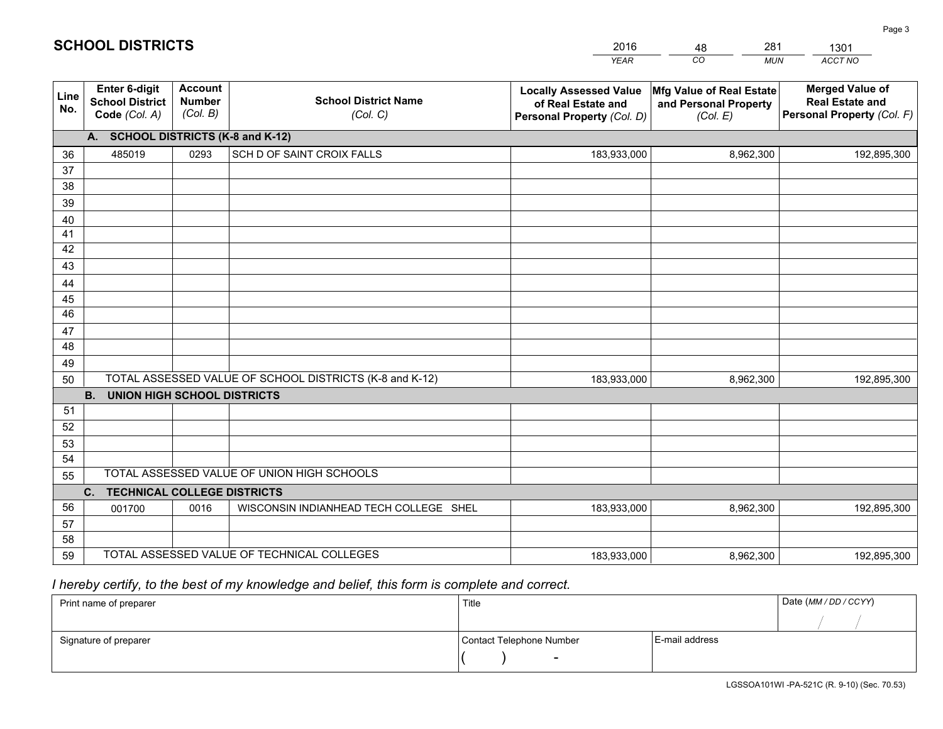|             |                                                          |                                             |                                                         | <b>YEAR</b>                                                                       | CO<br><b>MUN</b>                                              | ACCT NO                                                                        |
|-------------|----------------------------------------------------------|---------------------------------------------|---------------------------------------------------------|-----------------------------------------------------------------------------------|---------------------------------------------------------------|--------------------------------------------------------------------------------|
| Line<br>No. | Enter 6-digit<br><b>School District</b><br>Code (Col. A) | <b>Account</b><br><b>Number</b><br>(Col. B) | <b>School District Name</b><br>(Col. C)                 | <b>Locally Assessed Value</b><br>of Real Estate and<br>Personal Property (Col. D) | Mfg Value of Real Estate<br>and Personal Property<br>(Col. E) | <b>Merged Value of</b><br><b>Real Estate and</b><br>Personal Property (Col. F) |
|             | A. SCHOOL DISTRICTS (K-8 and K-12)                       |                                             |                                                         |                                                                                   |                                                               |                                                                                |
| 36          | 485019                                                   | 0293                                        | SCH D OF SAINT CROIX FALLS                              | 183,933,000                                                                       | 8,962,300                                                     | 192,895,300                                                                    |
| 37          |                                                          |                                             |                                                         |                                                                                   |                                                               |                                                                                |
| 38          |                                                          |                                             |                                                         |                                                                                   |                                                               |                                                                                |
| 39          |                                                          |                                             |                                                         |                                                                                   |                                                               |                                                                                |
| 40          |                                                          |                                             |                                                         |                                                                                   |                                                               |                                                                                |
| 41          |                                                          |                                             |                                                         |                                                                                   |                                                               |                                                                                |
| 42<br>43    |                                                          |                                             |                                                         |                                                                                   |                                                               |                                                                                |
|             |                                                          |                                             |                                                         |                                                                                   |                                                               |                                                                                |
| 44<br>45    |                                                          |                                             |                                                         |                                                                                   |                                                               |                                                                                |
| 46          |                                                          |                                             |                                                         |                                                                                   |                                                               |                                                                                |
| 47          |                                                          |                                             |                                                         |                                                                                   |                                                               |                                                                                |
| 48          |                                                          |                                             |                                                         |                                                                                   |                                                               |                                                                                |
| 49          |                                                          |                                             |                                                         |                                                                                   |                                                               |                                                                                |
| 50          |                                                          |                                             | TOTAL ASSESSED VALUE OF SCHOOL DISTRICTS (K-8 and K-12) | 183,933,000                                                                       | 8,962,300                                                     | 192,895,300                                                                    |
|             | <b>B.</b><br><b>UNION HIGH SCHOOL DISTRICTS</b>          |                                             |                                                         |                                                                                   |                                                               |                                                                                |
| 51          |                                                          |                                             |                                                         |                                                                                   |                                                               |                                                                                |
| 52          |                                                          |                                             |                                                         |                                                                                   |                                                               |                                                                                |
| 53          |                                                          |                                             |                                                         |                                                                                   |                                                               |                                                                                |
| 54          |                                                          |                                             |                                                         |                                                                                   |                                                               |                                                                                |
| 55          |                                                          |                                             | TOTAL ASSESSED VALUE OF UNION HIGH SCHOOLS              |                                                                                   |                                                               |                                                                                |
|             | C.<br><b>TECHNICAL COLLEGE DISTRICTS</b>                 |                                             |                                                         |                                                                                   |                                                               |                                                                                |
| 56          | 001700                                                   | 0016                                        | WISCONSIN INDIANHEAD TECH COLLEGE SHEL                  | 183,933,000                                                                       | 8,962,300                                                     | 192,895,300                                                                    |
| 57<br>58    |                                                          |                                             |                                                         |                                                                                   |                                                               |                                                                                |
| 59          |                                                          |                                             | TOTAL ASSESSED VALUE OF TECHNICAL COLLEGES              | 183,933,000                                                                       | 8,962,300                                                     | 192,895,300                                                                    |
|             |                                                          |                                             |                                                         |                                                                                   |                                                               |                                                                                |

48

281

1301

 *I hereby certify, to the best of my knowledge and belief, this form is complete and correct.*

**SCHOOL DISTRICTS**

| Print name of preparer | Title                    |                | Date (MM / DD / CCYY) |
|------------------------|--------------------------|----------------|-----------------------|
|                        |                          |                |                       |
| Signature of preparer  | Contact Telephone Number | E-mail address |                       |
|                        | $\sim$                   |                |                       |

Page 3